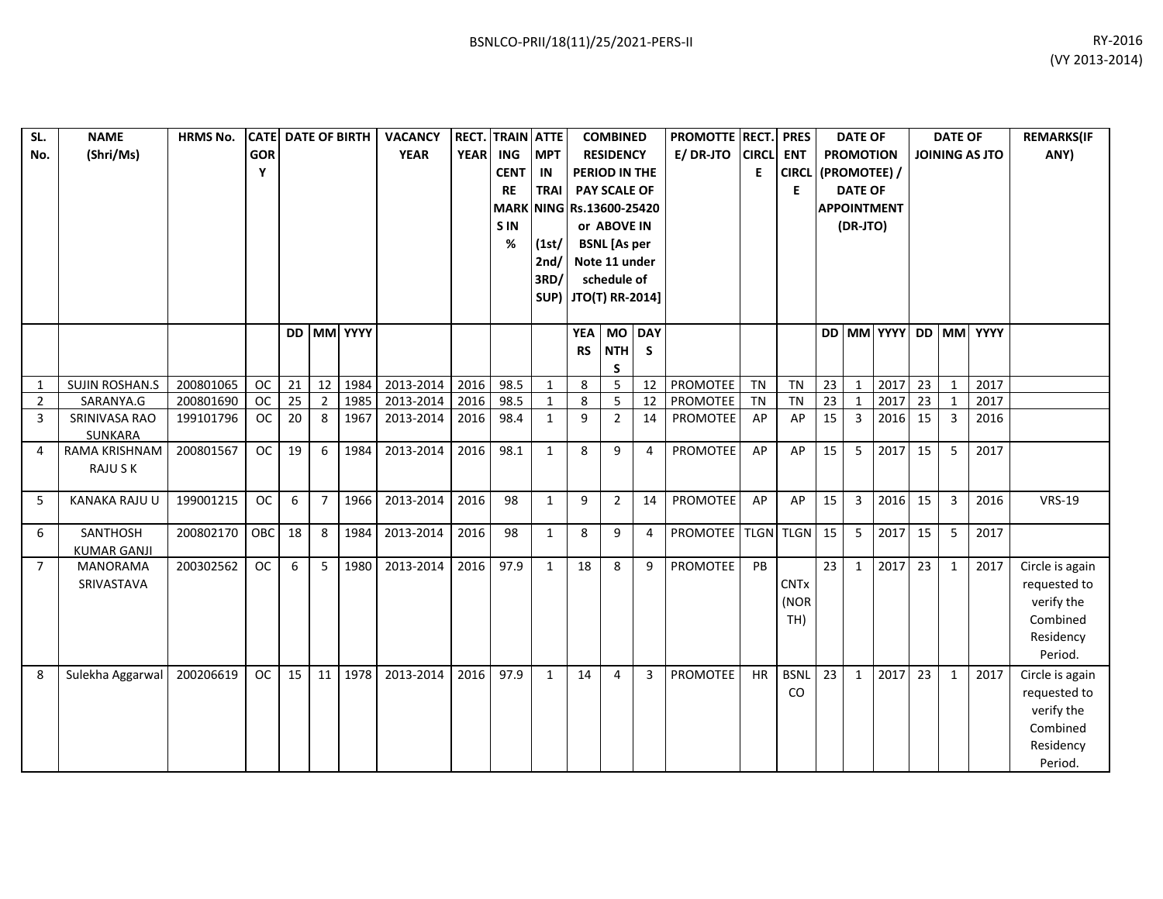| SL.            | <b>NAME</b>           | <b>HRMS No.</b> |            | <b>CATE DATE OF BIRTH</b> |                 |            | <b>VACANCY</b> |             | <b>RECT. TRAIN ATTE</b>  |                      |           | <b>COMBINED</b>     |    | PROMOTTE RECT.  |              | <b>PRES</b>        |    | <b>DATE OF</b>   |                    |    | <b>DATE OF</b> |                       | <b>REMARKS(IF</b> |
|----------------|-----------------------|-----------------|------------|---------------------------|-----------------|------------|----------------|-------------|--------------------------|----------------------|-----------|---------------------|----|-----------------|--------------|--------------------|----|------------------|--------------------|----|----------------|-----------------------|-------------------|
| No.            | (Shri/Ms)             |                 | <b>GOR</b> |                           |                 |            | <b>YEAR</b>    | <b>YEAR</b> | ING                      | <b>IMPT</b>          |           | <b>RESIDENCY</b>    |    | E/DR-JTO        | <b>CIRCL</b> | <b>ENT</b>         |    | <b>PROMOTION</b> |                    |    |                | <b>JOINING AS JTO</b> | ANY)              |
|                |                       |                 | Υ          |                           |                 |            |                |             | <b>CENT</b>              | IN                   |           | PERIOD IN THE       |    |                 | Е            | CIRCL (PROMOTEE) / |    |                  |                    |    |                |                       |                   |
|                |                       |                 |            |                           |                 |            |                |             | <b>RE</b>                | <b>TRAI</b>          |           | PAY SCALE OF        |    |                 |              | E                  |    | <b>DATE OF</b>   |                    |    |                |                       |                   |
|                |                       |                 |            |                           |                 |            |                |             | MARK NING Rs.13600-25420 |                      |           |                     |    |                 |              |                    |    |                  | <b>APPOINTMENT</b> |    |                |                       |                   |
|                |                       |                 |            |                           |                 |            |                |             | <b>SIN</b>               |                      |           | or ABOVE IN         |    |                 |              |                    |    | (DR-JTO)         |                    |    |                |                       |                   |
|                |                       |                 |            |                           |                 |            |                |             | %                        | (1st/                |           | <b>BSNL</b> [As per |    |                 |              |                    |    |                  |                    |    |                |                       |                   |
|                |                       |                 |            |                           |                 |            |                |             |                          | 2nd/                 |           | Note 11 under       |    |                 |              |                    |    |                  |                    |    |                |                       |                   |
|                |                       |                 |            |                           |                 |            |                |             |                          | 3RD/                 |           | schedule of         |    |                 |              |                    |    |                  |                    |    |                |                       |                   |
|                |                       |                 |            |                           |                 |            |                |             |                          | SUP) JTO(T) RR-2014] |           |                     |    |                 |              |                    |    |                  |                    |    |                |                       |                   |
|                |                       |                 |            |                           |                 |            |                |             |                          |                      |           |                     |    |                 |              |                    |    |                  |                    |    |                |                       |                   |
|                |                       |                 |            |                           |                 | DD MM YYYY |                |             |                          |                      |           | YEA MO DAY          |    |                 |              |                    |    |                  |                    |    |                | DD MM YYYY DD MM YYYY |                   |
|                |                       |                 |            |                           |                 |            |                |             |                          |                      | <b>RS</b> | <b>NTH</b>          | S  |                 |              |                    |    |                  |                    |    |                |                       |                   |
|                |                       |                 |            |                           |                 |            |                |             |                          |                      |           | S                   |    |                 |              |                    |    |                  |                    |    |                |                       |                   |
| 1              | <b>SUJIN ROSHAN.S</b> | 200801065       | <b>OC</b>  | 21                        | $\overline{12}$ | 1984       | 2013-2014      | 2016        | 98.5                     | $\mathbf{1}$         | 8         | 5                   | 12 | PROMOTEE        | <b>TN</b>    | <b>TN</b>          | 23 | $\mathbf{1}$     | 2017               | 23 | $\mathbf{1}$   | 2017                  |                   |
| 2              | SARANYA.G             | 200801690       | <b>OC</b>  | 25                        | $\overline{2}$  | 1985       | 2013-2014      | 2016        | 98.5                     | $\mathbf{1}$         | 8         | 5                   | 12 | <b>PROMOTEE</b> | <b>TN</b>    | <b>TN</b>          | 23 | $\overline{1}$   | 2017               | 23 | $\mathbf{1}$   | 2017                  |                   |
| 3              | SRINIVASA RAO         | 199101796       | <b>OC</b>  | 20                        | 8               | 1967       | 2013-2014      | 2016        | 98.4                     | $\mathbf{1}$         | 9         | $\overline{2}$      | 14 | PROMOTEE        | AP           | AP                 | 15 | 3                | 2016               | 15 | $\overline{3}$ | 2016                  |                   |
|                | SUNKARA               |                 |            |                           |                 |            |                |             |                          |                      |           |                     |    |                 |              |                    |    |                  |                    |    |                |                       |                   |
| 4              | RAMA KRISHNAM         | 200801567       | <b>OC</b>  | 19                        | 6               | 1984       | 2013-2014      | 2016        | 98.1                     | $\mathbf{1}$         | 8         | 9                   | 4  | PROMOTEE        | AP           | AP                 | 15 | 5                | 2017               | 15 | 5              | 2017                  |                   |
|                | <b>RAJUSK</b>         |                 |            |                           |                 |            |                |             |                          |                      |           |                     |    |                 |              |                    |    |                  |                    |    |                |                       |                   |
| 5              | <b>KANAKA RAJU U</b>  | 199001215       | <b>OC</b>  | 6                         | $\overline{7}$  | 1966       | 2013-2014      | 2016        | 98                       | $\mathbf{1}$         | 9         | $\overline{2}$      | 14 | PROMOTEE        | AP           | AP                 | 15 | $\overline{3}$   | 2016               | 15 | 3              | 2016                  | <b>VRS-19</b>     |
|                |                       |                 |            |                           |                 |            |                |             |                          |                      |           |                     |    |                 |              |                    |    |                  |                    |    |                |                       |                   |
| 6              | SANTHOSH              | 200802170       | OBC        | 18                        | 8               | 1984       | 2013-2014      | 2016        | 98                       | $\mathbf{1}$         | 8         | 9                   | 4  | PROMOTEE        |              | TLGN TLGN 15       |    | 5                | 2017               | 15 | 5              | 2017                  |                   |
|                | <b>KUMAR GANJI</b>    |                 |            |                           |                 |            |                |             |                          |                      |           |                     |    |                 |              |                    |    |                  |                    |    |                |                       |                   |
| $\overline{7}$ | <b>MANORAMA</b>       | 200302562       | <b>OC</b>  | 6                         | 5               | 1980       | 2013-2014      | 2016        | 97.9                     | $\mathbf{1}$         | 18        | 8                   | 9  | PROMOTEE        | PB           |                    | 23 | $\mathbf{1}$     | 2017               | 23 | $\mathbf{1}$   | 2017                  | Circle is again   |
|                | SRIVASTAVA            |                 |            |                           |                 |            |                |             |                          |                      |           |                     |    |                 |              | <b>CNTx</b>        |    |                  |                    |    |                |                       | requested to      |
|                |                       |                 |            |                           |                 |            |                |             |                          |                      |           |                     |    |                 |              | (NOR               |    |                  |                    |    |                |                       | verify the        |
|                |                       |                 |            |                           |                 |            |                |             |                          |                      |           |                     |    |                 |              | TH)                |    |                  |                    |    |                |                       | Combined          |
|                |                       |                 |            |                           |                 |            |                |             |                          |                      |           |                     |    |                 |              |                    |    |                  |                    |    |                |                       | Residency         |
|                |                       |                 |            |                           |                 |            |                |             |                          |                      |           |                     |    |                 |              |                    |    |                  |                    |    |                |                       | Period.           |
| 8              | Sulekha Aggarwal      | 200206619       | <b>OC</b>  | 15                        | 11              | 1978       | 2013-2014      | 2016        | 97.9                     | $\mathbf{1}$         | 14        | $\overline{4}$      | 3  | <b>PROMOTEE</b> | HR           | <b>BSNL</b>        | 23 | $\mathbf{1}$     | 2017               | 23 | $\mathbf{1}$   | 2017                  | Circle is again   |
|                |                       |                 |            |                           |                 |            |                |             |                          |                      |           |                     |    |                 |              | CO                 |    |                  |                    |    |                |                       | requested to      |
|                |                       |                 |            |                           |                 |            |                |             |                          |                      |           |                     |    |                 |              |                    |    |                  |                    |    |                |                       | verify the        |
|                |                       |                 |            |                           |                 |            |                |             |                          |                      |           |                     |    |                 |              |                    |    |                  |                    |    |                |                       | Combined          |
|                |                       |                 |            |                           |                 |            |                |             |                          |                      |           |                     |    |                 |              |                    |    |                  |                    |    |                |                       | Residency         |
|                |                       |                 |            |                           |                 |            |                |             |                          |                      |           |                     |    |                 |              |                    |    |                  |                    |    |                |                       | Period.           |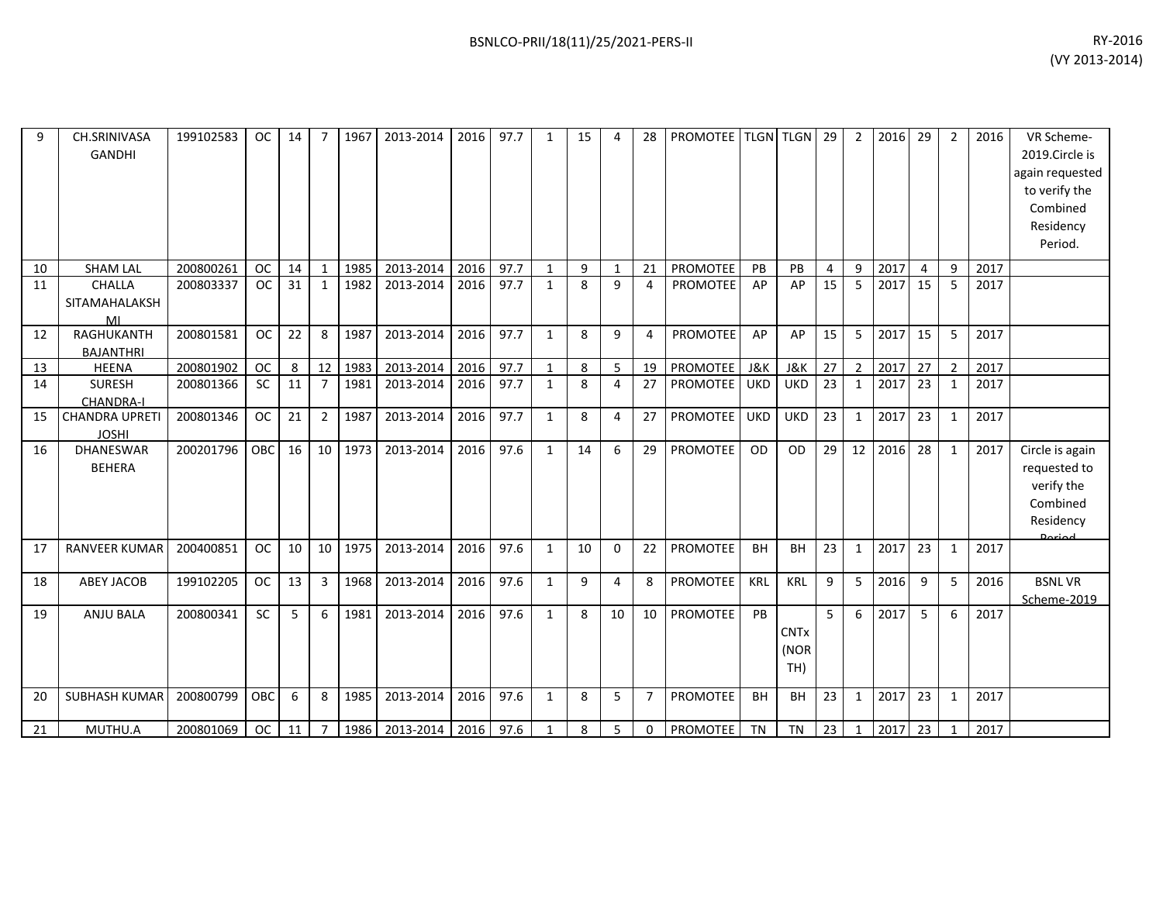| 9  | CH.SRINIVASA<br><b>GANDHI</b>         | 199102583 | <b>OC</b> | 14 |                | 1967 | 2013-2014 | 2016 | 97.7 | 1            | 15 |              | 28             | <b>PROMOTEE</b> |                | <b>TLGN TLGN</b>           | 29             | $\overline{2}$ | 2016 | 29             | $\overline{2}$ | 2016 | VR Scheme-<br>2019.Circle is<br>again requested<br>to verify the<br>Combined<br>Residency<br>Period. |
|----|---------------------------------------|-----------|-----------|----|----------------|------|-----------|------|------|--------------|----|--------------|----------------|-----------------|----------------|----------------------------|----------------|----------------|------|----------------|----------------|------|------------------------------------------------------------------------------------------------------|
| 10 | <b>SHAM LAL</b>                       | 200800261 | <b>OC</b> | 14 | $\mathbf{1}$   | 1985 | 2013-2014 | 2016 | 97.7 | $\mathbf{1}$ | 9  | $\mathbf{1}$ | 21             | <b>PROMOTEE</b> | PB             | PB                         | $\overline{4}$ | 9              | 2017 | $\overline{4}$ | 9              | 2017 |                                                                                                      |
| 11 | CHALLA                                | 200803337 | <b>OC</b> | 31 | 1              | 1982 | 2013-2014 | 2016 | 97.7 | $\mathbf{1}$ | 8  | 9            | 4              | <b>PROMOTEE</b> | AP             | AP                         | 15             | 5              | 2017 | 15             | 5              | 2017 |                                                                                                      |
|    | SITAMAHALAKSH<br>MI                   |           |           |    |                |      |           |      |      |              |    |              |                |                 |                |                            |                |                |      |                |                |      |                                                                                                      |
| 12 | RAGHUKANTH                            | 200801581 | <b>OC</b> | 22 | 8              | 1987 | 2013-2014 | 2016 | 97.7 | 1            | 8  | 9            | 4              | <b>PROMOTEE</b> | AP             | AP                         | 15             | 5              | 2017 | 15             | 5              | 2017 |                                                                                                      |
|    | <b>BAJANTHRI</b>                      |           |           |    |                |      |           |      |      |              |    |              |                |                 |                |                            |                |                |      |                |                |      |                                                                                                      |
| 13 | <b>HEENA</b>                          | 200801902 | <b>OC</b> | 8  | 12             | 1983 | 2013-2014 | 2016 | 97.7 | $\mathbf{1}$ | 8  | 5            | 19             | <b>PROMOTEE</b> | <b>J&amp;K</b> | <b>J&amp;K</b>             | 27             | $\overline{2}$ | 2017 | 27             | $\overline{2}$ | 2017 |                                                                                                      |
| 14 | <b>SURESH</b>                         | 200801366 | <b>SC</b> | 11 | $\overline{7}$ | 1981 | 2013-2014 | 2016 | 97.7 | $\mathbf{1}$ | 8  | 4            | 27             | PROMOTEE        | <b>UKD</b>     | <b>UKD</b>                 | 23             | $\mathbf{1}$   | 2017 | 23             | $\mathbf{1}$   | 2017 |                                                                                                      |
|    | <b>CHANDRA-I</b>                      |           | OC        |    |                |      |           |      |      |              |    |              |                |                 |                |                            |                |                |      |                |                |      |                                                                                                      |
| 15 | <b>CHANDRA UPRETI</b><br><b>JOSHI</b> | 200801346 |           | 21 | 2              | 1987 | 2013-2014 | 2016 | 97.7 | $\mathbf{1}$ | 8  | 4            | 27             | <b>PROMOTEE</b> | <b>UKD</b>     | <b>UKD</b>                 | 23             | $\mathbf{1}$   | 2017 | 23             | $\mathbf{1}$   | 2017 |                                                                                                      |
| 16 | <b>DHANESWAR</b><br><b>BEHERA</b>     | 200201796 | OBC       | 16 | 10             | 1973 | 2013-2014 | 2016 | 97.6 | $\mathbf{1}$ | 14 | 6            | 29             | <b>PROMOTEE</b> | OD             | OD                         | 29             | 12             | 2016 | 28             | $\mathbf{1}$   | 2017 | Circle is again<br>requested to<br>verify the<br>Combined<br>Residency                               |
| 17 | <b>RANVEER KUMAR</b>                  | 200400851 | <b>OC</b> | 10 | 10             | 1975 | 2013-2014 | 2016 | 97.6 | 1            | 10 | $\Omega$     | 22             | <b>PROMOTEE</b> | <b>BH</b>      | <b>BH</b>                  | 23             | $\mathbf{1}$   | 2017 | 23             | $\mathbf{1}$   | 2017 |                                                                                                      |
| 18 | <b>ABEY JACOB</b>                     | 199102205 | <b>OC</b> | 13 | $\overline{3}$ | 1968 | 2013-2014 | 2016 | 97.6 | $\mathbf{1}$ | 9  | 4            | 8              | PROMOTEE        | KRL            | <b>KRL</b>                 | 9              | 5              | 2016 | 9              | 5              | 2016 | <b>BSNLVR</b><br>Scheme-2019                                                                         |
| 19 | <b>ANJU BALA</b>                      | 200800341 | <b>SC</b> | 5  | 6              | 1981 | 2013-2014 | 2016 | 97.6 | $\mathbf{1}$ | 8  | 10           | 10             | <b>PROMOTEE</b> | PB             | <b>CNTx</b><br>(NOR<br>TH) | 5              | 6              | 2017 | 5              | 6              | 2017 |                                                                                                      |
| 20 | SUBHASH KUMAR                         | 200800799 | OBC       | 6  | 8              | 1985 | 2013-2014 | 2016 | 97.6 | 1            | 8  | 5            | $\overline{7}$ | <b>PROMOTEE</b> | <b>BH</b>      | <b>BH</b>                  | 23             | $\mathbf{1}$   | 2017 | 23             | 1              | 2017 |                                                                                                      |
| 21 | MUTHU.A                               | 200801069 | OC        | 11 | $\overline{7}$ | 1986 | 2013-2014 | 2016 | 97.6 | $\mathbf{1}$ | 8  | 5            | 0              | <b>PROMOTEE</b> | <b>TN</b>      | <b>TN</b>                  | 23             | $\mathbf{1}$   | 2017 | 23             | $\mathbf{1}$   | 2017 |                                                                                                      |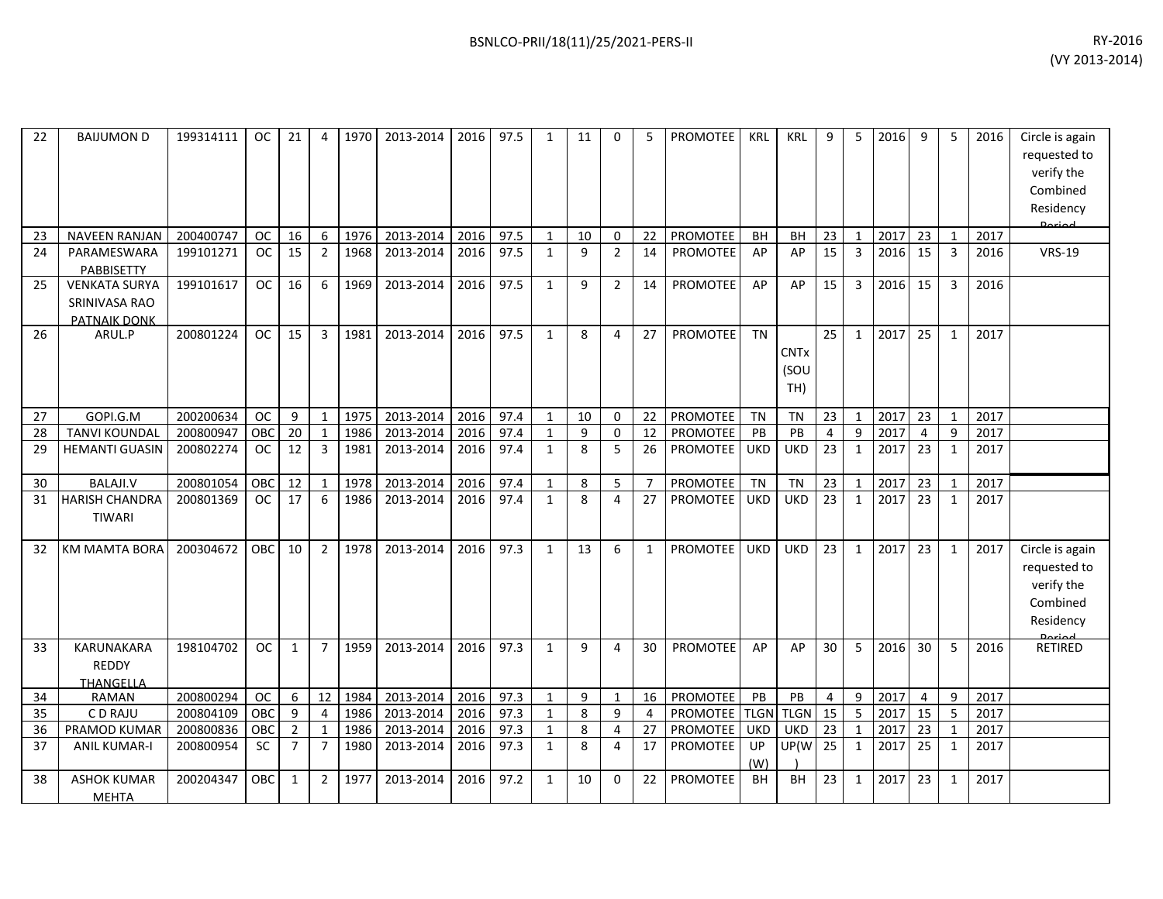| 22 | <b>BAIJUMON D</b>                                            | 199314111 | OC        | 21             | 4               | 1970 | 2013-2014 | 2016 | 97.5 | $\mathbf{1}$ | 11 | $\Omega$       | 5              | <b>PROMOTEE</b>    | <b>KRL</b> | <b>KRL</b>                 | 9               | 5              | 2016 | 9              | 5              | 2016 | Circle is again<br>requested to<br>verify the<br>Combined<br>Residency<br>Dariad |
|----|--------------------------------------------------------------|-----------|-----------|----------------|-----------------|------|-----------|------|------|--------------|----|----------------|----------------|--------------------|------------|----------------------------|-----------------|----------------|------|----------------|----------------|------|----------------------------------------------------------------------------------|
| 23 | <b>NAVEEN RANJAN</b>                                         | 200400747 | <b>OC</b> | 16             | 6               | 1976 | 2013-2014 | 2016 | 97.5 | $\mathbf{1}$ | 10 | 0              | 22             | PROMOTEE           | <b>BH</b>  | BH                         | 23              | $\mathbf{1}$   | 2017 | 23             | $\mathbf{1}$   | 2017 |                                                                                  |
| 24 | PARAMESWARA<br>PABBISETTY                                    | 199101271 | <b>OC</b> | 15             | $\overline{2}$  | 1968 | 2013-2014 | 2016 | 97.5 | $\mathbf{1}$ | 9  | $\overline{2}$ | 14             | PROMOTEE           | AP         | AP                         | 15              | $\overline{3}$ | 2016 | 15             | $\overline{3}$ | 2016 | <b>VRS-19</b>                                                                    |
| 25 | <b>VENKATA SURYA</b><br>SRINIVASA RAO<br><b>PATNAIK DONK</b> | 199101617 | <b>OC</b> | 16             | 6               | 1969 | 2013-2014 | 2016 | 97.5 | $\mathbf{1}$ | 9  | $\overline{2}$ | 14             | <b>PROMOTEE</b>    | AP         | AP                         | 15              | 3              | 2016 | 15             | $\overline{3}$ | 2016 |                                                                                  |
| 26 | ARUL.P                                                       | 200801224 | <b>OC</b> | 15             | $\mathbf{3}$    | 1981 | 2013-2014 | 2016 | 97.5 | $\mathbf{1}$ | 8  | $\overline{4}$ | 27             | <b>PROMOTEE</b>    | <b>TN</b>  | <b>CNTx</b><br>(SOU<br>TH) | 25              | $\mathbf{1}$   | 2017 | 25             | $\mathbf{1}$   | 2017 |                                                                                  |
| 27 | GOPI.G.M                                                     | 200200634 | <b>OC</b> | 9              | -1              | 1975 | 2013-2014 | 2016 | 97.4 | 1            | 10 | 0              | 22             | PROMOTEE           | <b>TN</b>  | <b>TN</b>                  | 23              | 1              | 2017 | 23             | 1              | 2017 |                                                                                  |
| 28 | <b>TANVI KOUNDAL</b>                                         | 200800947 | OBC       | 20             | $\overline{1}$  | 1986 | 2013-2014 | 2016 | 97.4 | $\mathbf{1}$ | 9  | $\mathbf 0$    | 12             | <b>PROMOTEE</b>    | PB         | PB                         | $\overline{4}$  | 9              | 2017 | 4              | 9              | 2017 |                                                                                  |
| 29 | <b>HEMANTI GUASIN</b>                                        | 200802274 | <b>OC</b> | 12             | $\overline{3}$  | 1981 | 2013-2014 | 2016 | 97.4 | $\mathbf{1}$ | 8  | 5              | 26             | PROMOTEE           | <b>UKD</b> | <b>UKD</b>                 | 23              | $\mathbf{1}$   | 2017 | 23             | $\mathbf{1}$   | 2017 |                                                                                  |
| 30 | <b>BALAJI.V</b>                                              | 200801054 | OBC       | 12             | $\mathbf{1}$    | 1978 | 2013-2014 | 2016 | 97.4 | $\mathbf{1}$ | 8  | 5              | $\overline{7}$ | PROMOTEE           | <b>TN</b>  | <b>TN</b>                  | 23              | $\mathbf{1}$   | 2017 | 23             | $\mathbf{1}$   | 2017 |                                                                                  |
| 31 | <b>HARISH CHANDRA</b><br>TIWARI                              | 200801369 | <b>OC</b> | 17             | 6               | 1986 | 2013-2014 | 2016 | 97.4 | $\mathbf{1}$ | 8  | $\overline{4}$ | 27             | <b>PROMOTEE</b>    | <b>UKD</b> | <b>UKD</b>                 | 23              | $\mathbf{1}$   | 2017 | 23             | $\mathbf{1}$   | 2017 |                                                                                  |
| 32 | KM MAMTA BORA                                                | 200304672 | OBC       | 10             | $\overline{2}$  | 1978 | 2013-2014 | 2016 | 97.3 | $\mathbf{1}$ | 13 | 6              | $\mathbf{1}$   | <b>PROMOTEE</b>    | <b>UKD</b> | <b>UKD</b>                 | 23              | $\mathbf{1}$   | 2017 | 23             | $\mathbf{1}$   | 2017 | Circle is again<br>requested to<br>verify the<br>Combined<br>Residency           |
| 33 | <b>KARUNAKARA</b><br><b>REDDY</b><br><b>THANGELLA</b>        | 198104702 | <b>OC</b> | $\mathbf{1}$   | $\overline{7}$  | 1959 | 2013-2014 | 2016 | 97.3 | $\mathbf{1}$ | 9  | $\overline{4}$ | 30             | <b>PROMOTEE</b>    | AP         | AP                         | 30              | 5              | 2016 | 30             | 5              | 2016 | <b>RETIRED</b>                                                                   |
| 34 | <b>RAMAN</b>                                                 | 200800294 | <b>OC</b> | 6              | 12 <sup>1</sup> | 1984 | 2013-2014 | 2016 | 97.3 | $\mathbf{1}$ | 9  | $\mathbf{1}$   | 16             | PROMOTEE           | PB         | PB                         | 4               | 9              | 2017 | $\overline{4}$ | 9              | 2017 |                                                                                  |
| 35 | C D RAJU                                                     | 200804109 | OBC       | 9              | $\overline{4}$  | 1986 | 2013-2014 | 2016 | 97.3 | 1            | 8  | 9              | 4              | PROMOTEE TLGN TLGN |            |                            | 15              | 5              | 2017 | 15             | 5              | 2017 |                                                                                  |
| 36 | PRAMOD KUMAR                                                 | 200800836 | OBC       | $\overline{2}$ | $\mathbf{1}$    | 1986 | 2013-2014 | 2016 | 97.3 | $\mathbf{1}$ | 8  | $\overline{4}$ | 27             | PROMOTEE           | <b>UKD</b> | <b>UKD</b>                 | 23              | $\mathbf{1}$   | 2017 | 23             | $\mathbf{1}$   | 2017 |                                                                                  |
| 37 | <b>ANIL KUMAR-I</b>                                          | 200800954 | <b>SC</b> | $\overline{7}$ | $\overline{7}$  | 1980 | 2013-2014 | 2016 | 97.3 | $\mathbf{1}$ | 8  | $\overline{4}$ | 17             | PROMOTEE           | UP<br>(W)  | UP(W                       | $\overline{25}$ | $\mathbf{1}$   | 2017 | 25             | $\mathbf{1}$   | 2017 |                                                                                  |
| 38 | <b>ASHOK KUMAR</b><br><b>MEHTA</b>                           | 200204347 | OBC.      | 1              | $2^{\circ}$     | 1977 | 2013-2014 | 2016 | 97.2 | $\mathbf{1}$ | 10 | $\Omega$       | 22             | <b>PROMOTEE</b>    | <b>BH</b>  | <b>BH</b>                  | 23              | $\mathbf{1}$   | 2017 | 23             | $\mathbf{1}$   | 2017 |                                                                                  |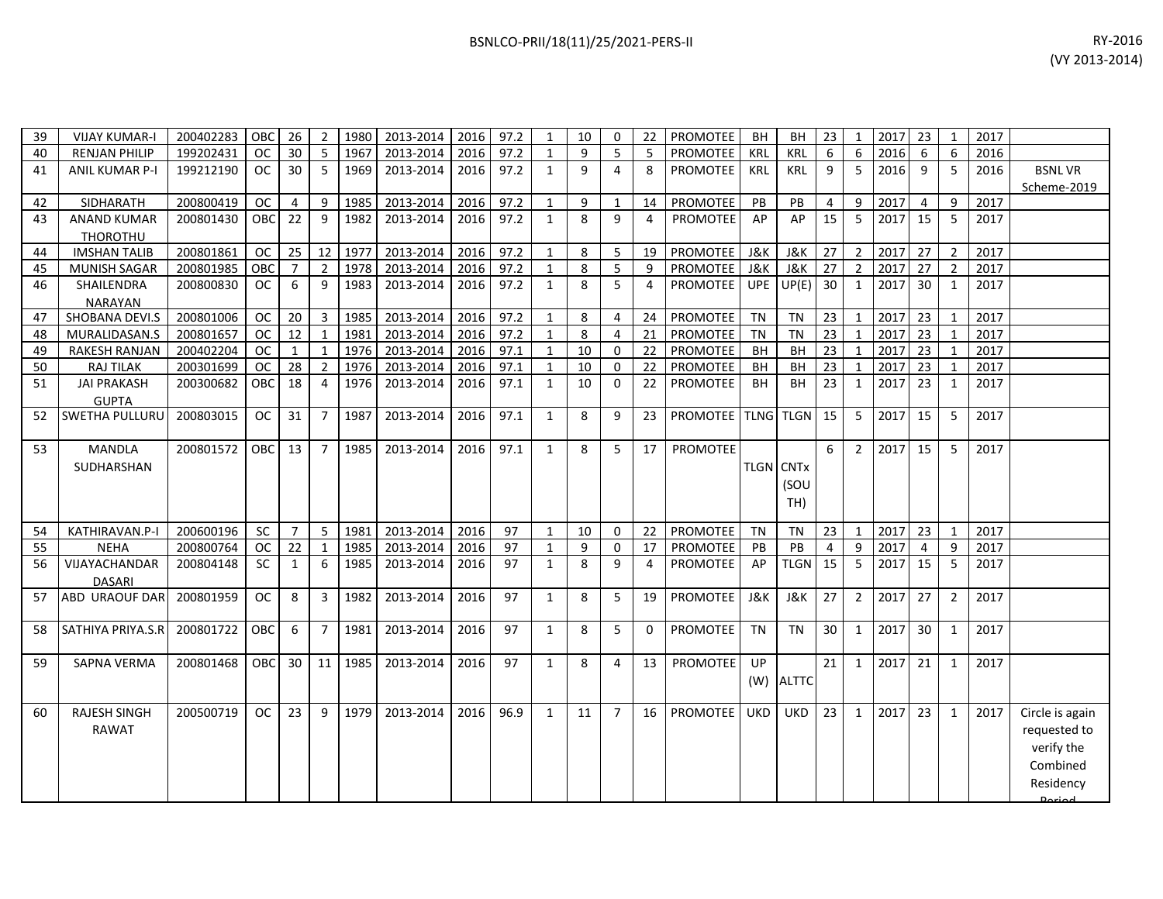| 39 | <b>VIJAY KUMAR-I</b>  | 200402283 | OBC           | 26             | $\overline{2}$ | 1980 | 2013-2014 | 2016 | 97.2 | 1            | 10 | $\Omega$ | 22 | <b>PROMOTEE</b> | <b>BH</b>        | <b>BH</b>   | 23 | -1             | 2017 | 23             | - 1                     | 2017 |               |
|----|-----------------------|-----------|---------------|----------------|----------------|------|-----------|------|------|--------------|----|----------|----|-----------------|------------------|-------------|----|----------------|------|----------------|-------------------------|------|---------------|
| 40 | <b>RENJAN PHILIP</b>  | 199202431 | <b>OC</b>     | 30             | 5              | 1967 | 2013-2014 | 2016 | 97.2 | $\mathbf{1}$ | 9  | 5        | 5  | <b>PROMOTEE</b> | KRL              | KRL         | 6  | 6              | 2016 | 6              | 6                       | 2016 |               |
| 41 | <b>ANIL KUMAR P-I</b> | 199212190 | <b>OC</b>     | 30             | 5              | 1969 | 2013-2014 | 2016 | 97.2 | 1            | 9  | 4        | 8  | <b>PROMOTEE</b> | KRL              | <b>KRL</b>  | 9  | 5              | 2016 | 9              | -5                      | 2016 | <b>BSNLVR</b> |
|    |                       |           |               |                |                |      |           |      |      |              |    |          |    |                 |                  |             |    |                |      |                |                         |      | Scheme-2019   |
| 42 | SIDHARATH             | 200800419 | <sub>OC</sub> | $\overline{4}$ | 9              | 1985 | 2013-2014 | 2016 | 97.2 | 1            | 9  |          | 14 | PROMOTEE        | <b>PB</b>        | <b>PB</b>   | Δ  | q              | 2017 | $\overline{4}$ | 9                       | 2017 |               |
| 43 | <b>ANAND KUMAR</b>    | 200801430 | OBC           | 22             | 9              | 1982 | 2013-2014 | 2016 | 97.2 | 1            | 8  | q        | 4  | <b>PROMOTEE</b> | AP               | AP          | 15 | 5              | 2017 | -15            | -5                      | 2017 |               |
|    | <b>THOROTHU</b>       |           |               |                |                |      |           |      |      |              |    |          |    |                 |                  |             |    |                |      |                |                         |      |               |
| 44 | <b>IMSHAN TALIB</b>   | 200801861 | <b>OC</b>     | 25             | 12             | 1977 | 2013-2014 | 2016 | 97.2 | $\mathbf{1}$ | 8  | 5        | 19 | <b>PROMOTEE</b> | J&K              | J&K         | 27 |                | 2017 | 27             | $\overline{2}$          | 2017 |               |
| 45 | <b>MUNISH SAGAR</b>   | 200801985 | OBC           |                | 2              | 1978 | 2013-2014 | 2016 | 97.2 | $\mathbf{1}$ | 8  | 5        | 9  | <b>PROMOTEE</b> | J&K              | J&K         | 27 |                | 2017 | 27             | 2                       | 2017 |               |
| 46 | SHAILENDRA            | 200800830 | <b>OC</b>     | 6              | 9              | 1983 | 2013-2014 | 2016 | 97.2 | 1            | 8  | 5        | 4  | PROMOTEE        | <b>UPE</b>       | UP(E)       | 30 |                | 2017 | 30             | $\overline{1}$          | 2017 |               |
|    | <b>NARAYAN</b>        |           |               |                |                |      |           |      |      |              |    |          |    |                 |                  |             |    |                |      |                |                         |      |               |
| 47 | SHOBANA DEVI.S        | 200801006 | <b>OC</b>     | 20             | $\overline{3}$ | 1985 | 2013-2014 | 2016 | 97.2 | 1            | 8  |          | 24 | PROMOTEE        | TN               | <b>TN</b>   | 23 |                | 2017 | 23             |                         | 2017 |               |
| 48 | MURALIDASAN.S         | 200801657 | <b>OC</b>     | 12             | $\mathbf{1}$   | 1981 | 2013-2014 | 2016 | 97.2 | $\mathbf{1}$ | 8  | 4        | 21 | PROMOTEE        | <b>TN</b>        | <b>TN</b>   | 23 |                | 2017 | 23             |                         | 2017 |               |
| 49 | <b>RAKESH RANJAN</b>  | 200402204 | <b>OC</b>     |                | $\mathbf{1}$   | 1976 | 2013-2014 | 2016 | 97.1 | $\mathbf{1}$ | 10 | 0        | 22 | <b>PROMOTEE</b> | <b>BH</b>        | <b>BH</b>   | 23 |                | 2017 | 23             |                         | 2017 |               |
| 50 | <b>RAJ TILAK</b>      | 200301699 | <b>OC</b>     | 28             | $\overline{2}$ | 1976 | 2013-2014 | 2016 | 97.1 | $\mathbf{1}$ | 10 | $\Omega$ | 22 | PROMOTEE        | <b>BH</b>        | <b>BH</b>   | 23 |                | 2017 | 23             |                         | 2017 |               |
| 51 | <b>JAI PRAKASH</b>    | 200300682 | OBC           | 18             | 4              | 1976 | 2013-2014 | 2016 | 97.1 | 1            | 10 | $\Omega$ | 22 | <b>PROMOTEE</b> | <b>BH</b>        | <b>BH</b>   | 23 |                | 2017 | 23             | $\mathbf 1$             | 2017 |               |
|    | <b>GUPTA</b>          |           |               |                |                |      |           |      |      |              |    |          |    |                 |                  |             |    |                |      |                |                         |      |               |
| 52 | <b>SWETHA PULLURL</b> | 200803015 | <b>OC</b>     | 31             | $\overline{7}$ | 1987 | 2013-2014 | 2016 | 97.1 | 1            | 8  | q        | 23 | <b>PROMOTEE</b> | <b>TLNG</b>      | <b>TLGN</b> | 15 | 5              | 2017 | 15             | -5                      | 2017 |               |
|    |                       |           |               |                |                |      |           |      |      |              |    |          |    |                 |                  |             |    |                |      |                |                         |      |               |
| 53 | MANDLA                | 200801572 | OBC.          | 13             | $\overline{7}$ | 1985 | 2013-2014 | 2016 | 97.1 | $\mathbf{1}$ | 8  | 5.       | 17 | <b>PROMOTEE</b> |                  |             | 6  | $\overline{2}$ | 2017 | -15            | 5                       | 2017 |               |
|    | SUDHARSHAN            |           |               |                |                |      |           |      |      |              |    |          |    |                 | <b>TLGN CNTX</b> |             |    |                |      |                |                         |      |               |
|    |                       |           |               |                |                |      |           |      |      |              |    |          |    |                 |                  | (SOU        |    |                |      |                |                         |      |               |
|    |                       |           |               |                |                |      |           |      |      |              |    |          |    |                 |                  | TH)         |    |                |      |                |                         |      |               |
|    |                       |           |               |                |                |      |           |      |      |              |    |          |    |                 |                  |             |    |                |      |                |                         |      |               |
| 54 | KATHIRAVAN.P-I        | 200600196 | <b>SC</b>     | $\overline{7}$ | 5              | 1981 | 2013-2014 | 2016 | 97   | 1            | 10 | $\Omega$ | 22 | <b>PROMOTEE</b> | <b>TN</b>        | <b>TN</b>   | 23 |                | 2017 | 23             | $\overline{\mathbf{1}}$ | 2017 |               |
| 55 | <b>NEHA</b>           | 200800764 | <b>OC</b>     | 22             | $\mathbf{1}$   | 1985 | 2013-2014 | 2016 | 97   | $\mathbf{1}$ | 9  | $\Omega$ | 17 | <b>PROMOTEE</b> | PB               | PB          | Δ  | q              | 2017 | 4              | 9                       | 2017 |               |
| 56 | VIJAYACHANDAR         | 200804148 | <b>SC</b>     |                | 6              | 1985 | 2013-2014 | 2016 | 97   | 1            | 8  | q        |    | <b>PROMOTEE</b> | AP               | <b>TLGN</b> | 15 | 5              | 2017 | 15             | -5                      | 2017 |               |
|    | <b>DASARI</b>         |           |               |                |                |      |           |      |      |              |    |          |    |                 |                  |             |    |                |      |                |                         |      |               |

200500719 | OC | 23 | 9 | 1979 | 2013-2014 | 2016 | 96.9 | 1 | 11 | 7 | 16 | PROMOTEE | UKD | UKD | 23 | 1 | 2017 | 23 | 1 | 2017 | Circle is again

(W) ALTTC

21 1 2017 21 1 2017

requested to verify the Combined Residency Period.

57 ABD URAOUF DAR 200801959 OC 8 3 1982 2013-2014 2016 97 1 8 5 19 PROMOTEE J&K J&K 27 2 2017 27 2 2017

58 SATHIYA PRIYA.S.R 200801722 OBC 6 7 1981 2013-2014 2016 97 1 8 5 0 PROMOTEE TN TN 30 1 2017 30 1 2017

59 SAPNA VERMA 200801468 OBC 30 11 1985 2013-2014 2016 97 1 8 4 13 PROMOTEE UP

43 ANAND KUMAR

46

 $51$ 

53

 $\frac{54}{55}$ 

60 RAJESH SINGH RAWAT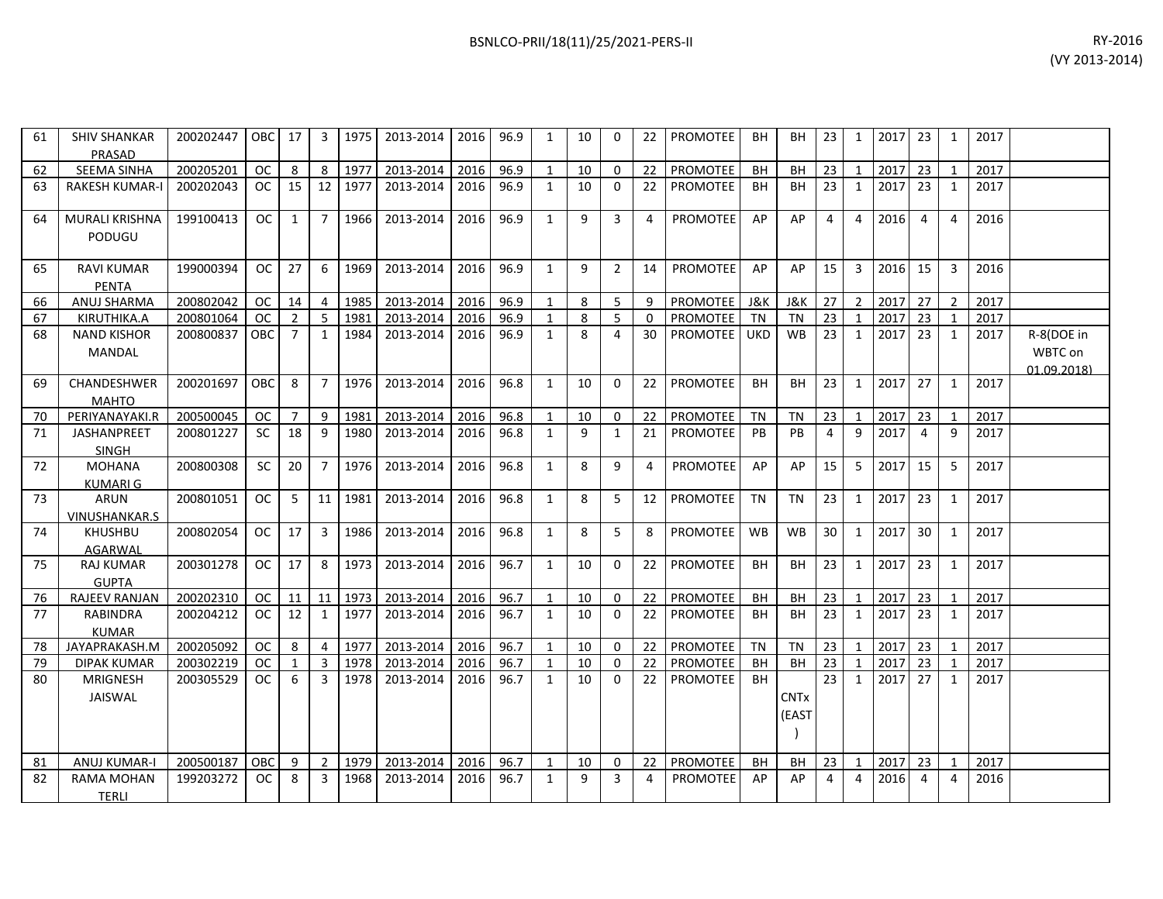| 61 | <b>SHIV SHANKAR</b><br>PRASAD      | 200202447 | OBC 17        |                | 3              | 1975 | 2013-2014 | 2016 | 96.9 | 1            | 10           | $\Omega$       | 22       | PROMOTEE        | <b>BH</b>  | BH                   | 23             | 1              | 2017 | 23             | 1            | 2017 |                                      |
|----|------------------------------------|-----------|---------------|----------------|----------------|------|-----------|------|------|--------------|--------------|----------------|----------|-----------------|------------|----------------------|----------------|----------------|------|----------------|--------------|------|--------------------------------------|
| 62 | <b>SEEMA SINHA</b>                 | 200205201 | <b>OC</b>     | 8              | 8              | 1977 | 2013-2014 | 2016 | 96.9 | $\mathbf{1}$ | 10           | $\mathbf 0$    | 22       | PROMOTEE        | BH         | <b>BH</b>            | 23             | $\mathbf{1}$   | 2017 | 23             | 1            | 2017 |                                      |
| 63 | <b>RAKESH KUMAR-I</b>              | 200202043 | <sub>OC</sub> | 15             | 12             | 1977 | 2013-2014 | 2016 | 96.9 | $\mathbf{1}$ | 10           | $\mathbf{0}$   | 22       | <b>PROMOTEE</b> | <b>BH</b>  | BH                   | 23             | $\mathbf{1}$   | 2017 | 23             | 1            | 2017 |                                      |
| 64 | MURALI KRISHNA<br>PODUGU           | 199100413 | OC            | 1              | $\overline{7}$ | 1966 | 2013-2014 | 2016 | 96.9 | $\mathbf{1}$ | 9            | 3              | 4        | <b>PROMOTEE</b> | AP         | AP                   | $\overline{4}$ | $\overline{4}$ | 2016 | $\overline{4}$ | 4            | 2016 |                                      |
| 65 | <b>RAVI KUMAR</b><br><b>PENTA</b>  | 199000394 | OC            | 27             | 6              | 1969 | 2013-2014 | 2016 | 96.9 | $\mathbf{1}$ | $\mathsf{q}$ | $\overline{2}$ | 14       | <b>PROMOTEE</b> | AP         | AP                   | 15             | $\overline{3}$ | 2016 | 15             | 3            | 2016 |                                      |
| 66 | ANUJ SHARMA                        | 200802042 | <sub>OC</sub> | 14             | $\overline{4}$ | 1985 | 2013-2014 | 2016 | 96.9 | $\mathbf{1}$ | 8            | 5              | 9        | <b>PROMOTEE</b> | J&K        | J&K                  | 27             | 2              | 2017 | 27             | 2            | 2017 |                                      |
| 67 | KIRUTHIKA.A                        | 200801064 | OC.           | 2              | 5              | 1981 | 2013-2014 | 2016 | 96.9 | $\mathbf{1}$ | 8            | 5              | $\Omega$ | PROMOTEE        | TN         | <b>TN</b>            | 23             | 1              | 2017 | 23             | 1            | 2017 |                                      |
| 68 | <b>NAND KISHOR</b><br>MANDAL       | 200800837 | OBC           | $\overline{7}$ | $\mathbf{1}$   | 1984 | 2013-2014 | 2016 | 96.9 | $\mathbf{1}$ | 8            | 4              | 30       | <b>PROMOTEE</b> | <b>UKD</b> | <b>WB</b>            | 23             | 1              | 2017 | 23             | 1            | 2017 | R-8(DOE in<br>WBTC on<br>01.09.2018) |
| 69 | CHANDESHWER<br><b>MAHTO</b>        | 200201697 | <b>OBC</b>    | 8              | $\overline{7}$ | 1976 | 2013-2014 | 2016 | 96.8 | $\mathbf{1}$ | 10           | $\Omega$       | 22       | PROMOTEE        | <b>BH</b>  | <b>BH</b>            | 23             | $\mathbf{1}$   | 2017 | 27             | 1            | 2017 |                                      |
| 70 | PERIYANAYAKI.R                     | 200500045 | <b>OC</b>     | 7              | 9              | 1981 | 2013-2014 | 2016 | 96.8 | $\mathbf{1}$ | 10           | $\mathbf{0}$   | 22       | PROMOTEE        | <b>TN</b>  | <b>TN</b>            | 23             | $\mathbf{1}$   | 2017 | 23             | $\mathbf 1$  | 2017 |                                      |
| 71 | <b>JASHANPREET</b><br><b>SINGH</b> | 200801227 | SC.           | 18             | 9              | 1980 | 2013-2014 | 2016 | 96.8 | $\mathbf{1}$ | $\mathsf{q}$ | 1              | 21       | <b>PROMOTEE</b> | <b>PB</b>  | P <sub>R</sub>       | $\overline{4}$ | 9              | 2017 | $\overline{a}$ | 9            | 2017 |                                      |
| 72 | <b>MOHANA</b><br><b>KUMARI G</b>   | 200800308 | <b>SC</b>     | 20             | $\overline{7}$ | 1976 | 2013-2014 | 2016 | 96.8 | $\mathbf{1}$ | 8            | 9              | 4        | PROMOTEE        | AP         | AP                   | 15             | 5              | 2017 | 15             | 5            | 2017 |                                      |
| 73 | ARUN<br><b>VINUSHANKAR.S</b>       | 200801051 | <sub>OC</sub> | 5              | 11             | 1981 | 2013-2014 | 2016 | 96.8 | $\mathbf{1}$ | 8            | 5              | 12       | PROMOTEE        | <b>TN</b>  | <b>TN</b>            | 23             | $\mathbf{1}$   | 2017 | 23             | 1            | 2017 |                                      |
| 74 | <b>KHUSHBU</b><br>AGARWAL          | 200802054 | <b>OC</b>     | 17             | $\overline{3}$ | 1986 | 2013-2014 | 2016 | 96.8 | $\mathbf{1}$ | 8            | 5              | 8        | PROMOTEE        | <b>WB</b>  | <b>WB</b>            | 30             | $\mathbf{1}$   | 2017 | 30             | 1            | 2017 |                                      |
| 75 | <b>RAJ KUMAR</b><br><b>GUPTA</b>   | 200301278 | <sub>OC</sub> | 17             | 8              | 1973 | 2013-2014 | 2016 | 96.7 | $\mathbf{1}$ | 10           | $\Omega$       | 22       | <b>PROMOTEE</b> | <b>BH</b>  | <b>BH</b>            | 23             | $\mathbf{1}$   | 2017 | 23             | 1            | 2017 |                                      |
| 76 | <b>RAJEEV RANJAN</b>               | 200202310 | OC.           | 11             | 11             | 1973 | 2013-2014 | 2016 | 96.7 | $\mathbf{1}$ | 10           | $\mathbf{0}$   | 22       | PROMOTEE        | BH         | BH                   | 23             | 1              | 2017 | 23             | -1           | 2017 |                                      |
| 77 | <b>RABINDRA</b><br><b>KUMAR</b>    | 200204212 | <sub>OC</sub> | 12             | 1              | 1977 | 2013-2014 | 2016 | 96.7 | $\mathbf{1}$ | 10           | $\mathbf{0}$   | 22       | PROMOTEE        | <b>BH</b>  | <b>BH</b>            | 23             | $\mathbf{1}$   | 2017 | 23             | 1            | 2017 |                                      |
| 78 | JAYAPRAKASH.M                      | 200205092 | <sub>OC</sub> | 8              | 4              | 1977 | 2013-2014 | 2016 | 96.7 | $\mathbf{1}$ | 10           | $\Omega$       | 22       | PROMOTEE        | <b>TN</b>  | <b>TN</b>            | 23             | $\mathbf{1}$   | 2017 | 23             | $\mathbf{1}$ | 2017 |                                      |
| 79 | <b>DIPAK KUMAR</b>                 | 200302219 | OC.           | 1              | $\overline{3}$ | 1978 | 2013-2014 | 2016 | 96.7 | 1            | 10           | $\mathbf{0}$   | 22       | <b>PROMOTEE</b> | <b>BH</b>  | <b>BH</b>            | 23             | $\mathbf{1}$   | 2017 | 23             | $\mathbf{1}$ | 2017 |                                      |
| 80 | <b>MRIGNESH</b><br>JAISWAL         | 200305529 | <sub>OC</sub> | 6              | $\overline{3}$ | 1978 | 2013-2014 | 2016 | 96.7 | $\mathbf{1}$ | 10           | $\Omega$       | 22       | PROMOTEE        | <b>BH</b>  | <b>CNTx</b><br>(EAST | 23             | $\mathbf{1}$   | 2017 | 27             | 1            | 2017 |                                      |
| 81 | ANUJ KUMAR-I                       | 200500187 | <b>OBC</b>    | 9              | $\overline{2}$ | 1979 | 2013-2014 | 2016 | 96.7 | 1            | 10           | 0              | 22       | PROMOTEE        | <b>BH</b>  | <b>BH</b>            | 23             | $\mathbf{1}$   | 2017 | 23             | 1            | 2017 |                                      |
| 82 | RAMA MOHAN<br><b>TERLI</b>         | 199203272 | OC.           | 8              | 3              | 1968 | 2013-2014 | 2016 | 96.7 | $\mathbf{1}$ | 9            | 3              | 4        | <b>PROMOTEE</b> | AP         | AP                   | $\overline{4}$ | 4              | 2016 | 4              | 4            | 2016 |                                      |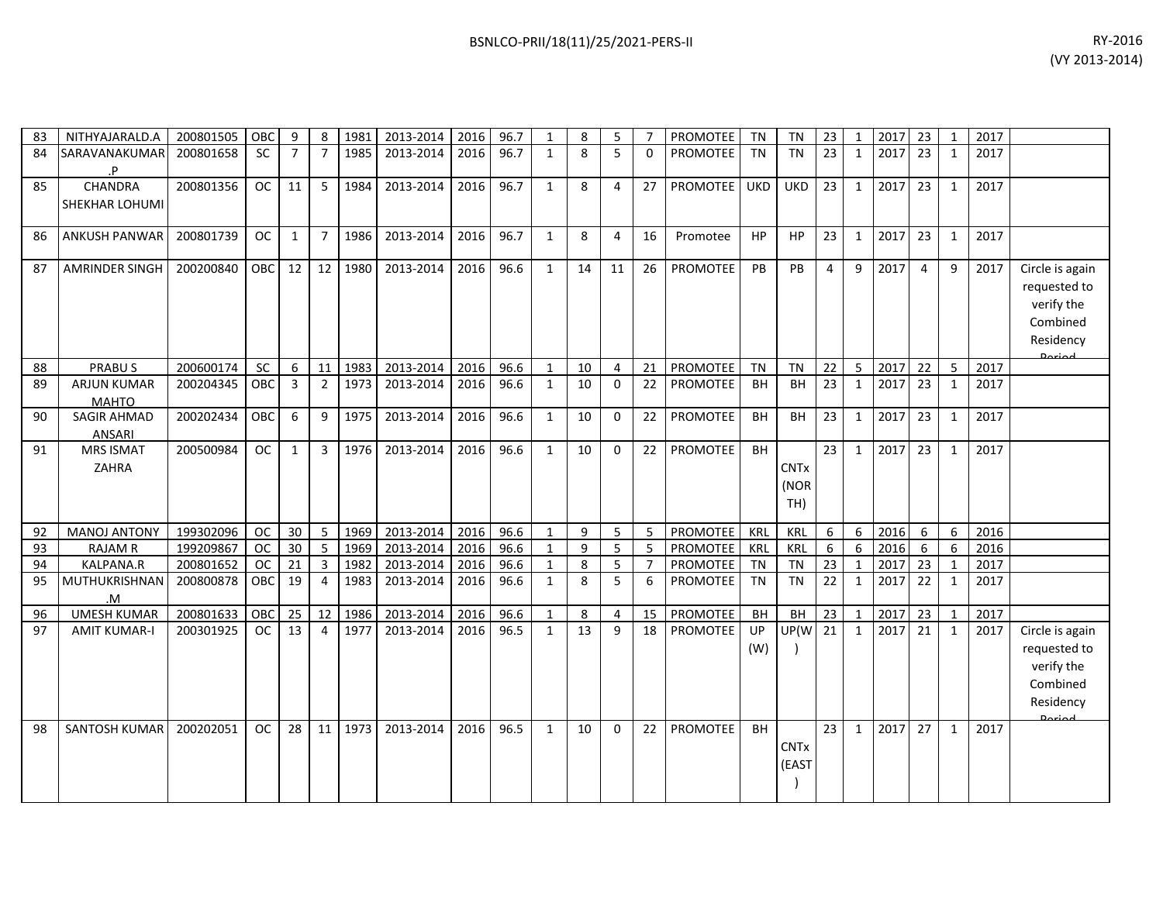| RY-2016        |
|----------------|
| (VY 2013-2014) |

| 83 | NITHYAJARALD.A                      | 200801505 | <b>OBC</b> | 9              | 8              | 1981 | 2013-2014 | 2016 | 96.7 | $\mathbf{1}$ | 8  | 5        |                | <b>PROMOTEE</b> | <b>TN</b>  | <b>TN</b>                  | 23              | $\mathbf{1}$ | 2017 | 23             | $\mathbf{1}$ | 2017 |                                                                                         |
|----|-------------------------------------|-----------|------------|----------------|----------------|------|-----------|------|------|--------------|----|----------|----------------|-----------------|------------|----------------------------|-----------------|--------------|------|----------------|--------------|------|-----------------------------------------------------------------------------------------|
| 84 | SARAVANAKUMAR<br>.P                 | 200801658 | <b>SC</b>  | $\overline{7}$ | $\overline{7}$ | 1985 | 2013-2014 | 2016 | 96.7 | $\mathbf{1}$ | 8  | 5        | $\Omega$       | <b>PROMOTEE</b> | <b>TN</b>  | <b>TN</b>                  | 23              | 1            | 2017 | 23             | 1            | 2017 |                                                                                         |
| 85 | CHANDRA<br>SHEKHAR LOHUMI           | 200801356 | <b>OC</b>  | 11             | 5              | 1984 | 2013-2014 | 2016 | 96.7 | $\mathbf{1}$ | 8  | $\Delta$ | 27             | PROMOTEE        | <b>UKD</b> | <b>UKD</b>                 | 23              | $\mathbf{1}$ | 2017 | 23             | $\mathbf{1}$ | 2017 |                                                                                         |
| 86 | ANKUSH PANWAR                       | 200801739 | <b>OC</b>  | 1              | $\overline{7}$ | 1986 | 2013-2014 | 2016 | 96.7 | $\mathbf{1}$ | 8  | 4        | 16             | Promotee        | <b>HP</b>  | <b>HP</b>                  | 23              | $\mathbf{1}$ | 2017 | 23             | $\mathbf{1}$ | 2017 |                                                                                         |
| 87 | AMRINDER SINGH                      | 200200840 | OBC        | 12             | 12             | 1980 | 2013-2014 | 2016 | 96.6 | $\mathbf{1}$ | 14 | 11       | 26             | <b>PROMOTEE</b> | PB         | PB                         | $\overline{4}$  | 9            | 2017 | $\overline{4}$ | 9            | 2017 | Circle is again<br>requested to<br>verify the<br>Combined<br>Residency<br>لممنعمه       |
| 88 | <b>PRABUS</b>                       | 200600174 | SC         | 6              | 11             | 1983 | 2013-2014 | 2016 | 96.6 | $\mathbf{1}$ | 10 | 4        | 21             | <b>PROMOTEE</b> | <b>TN</b>  | <b>TN</b>                  | 22              | 5            | 2017 | 22             | -5           | 2017 |                                                                                         |
| 89 | <b>ARJUN KUMAR</b><br><b>MAHTO</b>  | 200204345 | OBC        | 3              | $\overline{2}$ | 1973 | 2013-2014 | 2016 | 96.6 | $\mathbf{1}$ | 10 | $\Omega$ | 22             | <b>PROMOTEE</b> | <b>BH</b>  | BH                         | 23              | $\mathbf{1}$ | 2017 | 23             | 1            | 2017 |                                                                                         |
| 90 | <b>SAGIR AHMAD</b><br><b>ANSARI</b> | 200202434 | <b>OBC</b> | 6              | 9              | 1975 | 2013-2014 | 2016 | 96.6 | $\mathbf{1}$ | 10 | $\Omega$ | 22             | <b>PROMOTEE</b> | <b>BH</b>  | <b>BH</b>                  | 23              | $\mathbf{1}$ | 2017 | 23             | $\mathbf{1}$ | 2017 |                                                                                         |
| 91 | <b>MRS ISMAT</b><br><b>ZAHRA</b>    | 200500984 | <b>OC</b>  | $\mathbf{1}$   | $\overline{3}$ | 1976 | 2013-2014 | 2016 | 96.6 | $\mathbf{1}$ | 10 | $\Omega$ | 22             | PROMOTEE        | <b>BH</b>  | <b>CNTx</b><br>(NOR<br>TH) | $\overline{23}$ | $\mathbf{1}$ | 2017 | 23             | 1            | 2017 |                                                                                         |
| 92 | <b>MANOJ ANTONY</b>                 | 199302096 | <b>OC</b>  | 30             | 5              | 1969 | 2013-2014 | 2016 | 96.6 | $\mathbf{1}$ | 9  | 5        | 5              | PROMOTEE        | KRL        | <b>KRL</b>                 | 6               | 6            | 2016 | 6              | 6            | 2016 |                                                                                         |
| 93 | <b>RAJAM R</b>                      | 199209867 | <b>OC</b>  | 30             | 5              | 1969 | 2013-2014 | 2016 | 96.6 | $\mathbf{1}$ | 9  | 5        | 5              | <b>PROMOTEE</b> | KRL        | KRL                        | 6               | 6            | 2016 | 6              | 6            | 2016 |                                                                                         |
| 94 | KALPANA.R                           | 200801652 | <b>OC</b>  | 21             | $\overline{3}$ | 1982 | 2013-2014 | 2016 | 96.6 | $\mathbf{1}$ | 8  | 5        | $\overline{7}$ | PROMOTEE        | <b>TN</b>  | <b>TN</b>                  | 23              | $\mathbf 1$  | 2017 | 23             | $\mathbf{1}$ | 2017 |                                                                                         |
| 95 | MUTHUKRISHNAN<br>M.                 | 200800878 | OBC        | 19             | $\overline{4}$ | 1983 | 2013-2014 | 2016 | 96.6 | $\mathbf{1}$ | 8  | 5        | 6              | PROMOTEE        | <b>TN</b>  | <b>TN</b>                  | 22              | $\mathbf{1}$ | 2017 | 22             | 1            | 2017 |                                                                                         |
| 96 | <b>UMESH KUMAR</b>                  | 200801633 | OBC        | 25             | 12             | 1986 | 2013-2014 | 2016 | 96.6 | $\mathbf{1}$ | 8  | 4        | 15             | PROMOTEE        | <b>BH</b>  | BH                         | 23              | $\mathbf{1}$ | 2017 | 23             | $\mathbf{1}$ | 2017 |                                                                                         |
| 97 | <b>AMIT KUMAR-I</b>                 | 200301925 | <b>OC</b>  | 13             | 4              | 1977 | 2013-2014 | 2016 | 96.5 | $\mathbf{1}$ | 13 | 9        | 18             | <b>PROMOTEE</b> | UP<br>(W)  | UP(W                       | 21              | $\mathbf{1}$ | 2017 | 21             | $\mathbf{1}$ | 2017 | Circle is again<br>requested to<br>verify the<br>Combined<br>Residency<br><b>Doriad</b> |
| 98 | SANTOSH KUMAR                       | 200202051 | OC.        | 28             | 11             | 1973 | 2013-2014 | 2016 | 96.5 | $\mathbf{1}$ | 10 | $\Omega$ | 22             | <b>PROMOTEE</b> | <b>BH</b>  | <b>CNTx</b><br>(EAST       | 23              | $\mathbf{1}$ | 2017 | 27             | 1            | 2017 |                                                                                         |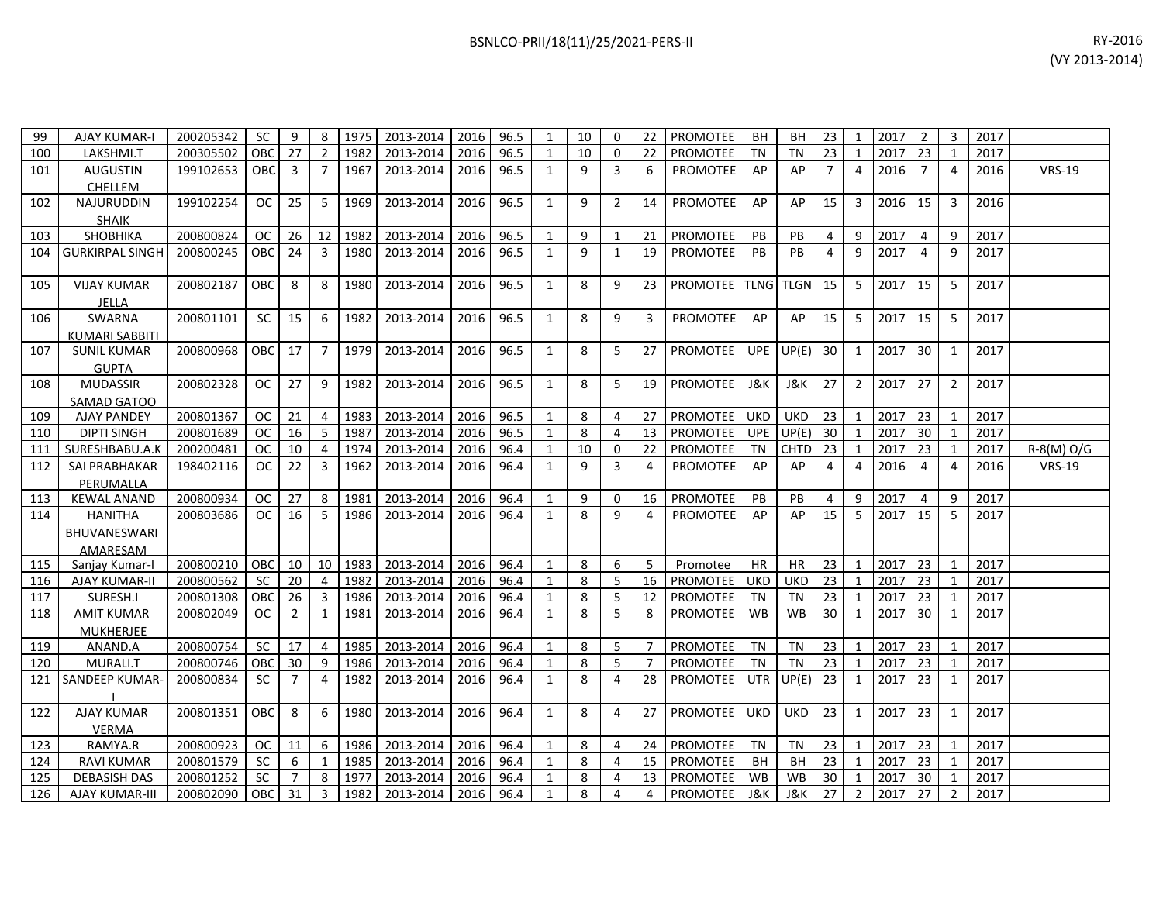| BSNLCO-PRII/18(11)/25/2021-PERS-II | RY-2016 |
|------------------------------------|---------|
|------------------------------------|---------|

| 99  | <b>AJAY KUMAR-I</b>   | 200205342 | SC.        | 9              | 8                       | 1975 | 2013-2014   2016   96.5 |           |      | 1              | 10 | 0              | 22             | PROMOTEE            | BH         | BH         | 23              | -1             | 2017    | $\overline{2}$ | 3              | 2017 |               |
|-----|-----------------------|-----------|------------|----------------|-------------------------|------|-------------------------|-----------|------|----------------|----|----------------|----------------|---------------------|------------|------------|-----------------|----------------|---------|----------------|----------------|------|---------------|
| 100 | LAKSHMI.T             | 200305502 | <b>OBC</b> | 27             | $\overline{2}$          | 1982 | 2013-2014               | 2016      | 96.5 | $\mathbf{1}$   | 10 | 0              | 22             | PROMOTEE            | <b>TN</b>  | <b>TN</b>  | 23              |                | 2017    | 23             | $\mathbf{1}$   | 2017 |               |
| 101 | <b>AUGUSTIN</b>       | 199102653 | <b>OBC</b> | $\overline{3}$ | $\overline{7}$          | 1967 | 2013-2014               | 2016      | 96.5 | 1              | 9  | 3              | 6              | <b>PROMOTEE</b>     | AP         | AP         | 7 <sup>1</sup>  | 4              | 2016    | $\overline{7}$ | $\overline{a}$ | 2016 | <b>VRS-19</b> |
|     | CHELLEM               |           |            |                |                         |      |                         |           |      |                |    |                |                |                     |            |            |                 |                |         |                |                |      |               |
| 102 | <b>NAJURUDDIN</b>     | 199102254 | <b>OC</b>  | 25             | 5 <sup>5</sup>          | 1969 | 2013-2014               | 2016      | 96.5 | 1              | 9  | $\overline{2}$ | 14             | <b>PROMOTEE</b>     | AP         | AP         | 15 <sup>1</sup> | 3              | 2016    | 15             | $\overline{3}$ | 2016 |               |
|     | <b>SHAIK</b>          |           |            |                |                         |      |                         |           |      |                |    |                |                |                     |            |            |                 |                |         |                |                |      |               |
| 103 | <b>SHOBHIKA</b>       | 200800824 | OC.        | 26             | 12                      | 1982 | 2013-2014               | 2016      | 96.5 | 1              | 9  | $\mathbf{1}$   | 21             | PROMOTEE            | PB         | PB         | $\overline{4}$  | 9              | 2017    | $\overline{4}$ | 9              | 2017 |               |
|     | 104 GURKIRPAL SINGH   | 200800245 | <b>OBC</b> | 24             | 3                       | 1980 | 2013-2014               | 2016      | 96.5 | 1              | 9  | 1              | 19             | PROMOTEE            | <b>PB</b>  | PB         | 4               | 9              | 2017    | 4              | 9              | 2017 |               |
|     |                       |           |            |                |                         |      |                         |           |      |                |    |                |                |                     |            |            |                 |                |         |                |                |      |               |
| 105 | <b>VIJAY KUMAR</b>    | 200802187 | OBC        | 8              | 8                       | 1980 | 2013-2014               | 2016      | 96.5 | 1              | 8  | 9              | 23             | PROMOTEE TLNG TLGN  |            |            | 15 <sup>1</sup> | -5             | 2017    | 15             | -5             | 2017 |               |
|     | JELLA                 |           |            |                |                         |      |                         |           |      |                |    |                |                |                     |            |            |                 |                |         |                |                |      |               |
| 106 | <b>SWARNA</b>         | 200801101 | SC         | 15             | 6                       | 1982 | 2013-2014               | 2016      | 96.5 | 1              | 8  | 9              | 3              | <b>PROMOTEE</b>     | AP         | AP         | 15 <sup>1</sup> | 5              | 2017    | 15             | 5              | 2017 |               |
|     | <b>KUMARI SABBITI</b> |           |            |                |                         |      |                         |           |      |                |    |                |                |                     |            |            |                 |                |         |                |                |      |               |
| 107 | <b>SUNIL KUMAR</b>    | 200800968 | OBC        | 17             | $7^{\circ}$             | 1979 | 2013-2014               | 2016      | 96.5 | 1              | 8  | 5              | 27             | PROMOTEE            | <b>UPE</b> | UP(E)      | 30 <sup>1</sup> | 1              | 2017    | 30             | 1              | 2017 |               |
|     | <b>GUPTA</b>          |           |            |                |                         |      |                         |           |      |                |    |                |                |                     |            |            |                 |                |         |                |                |      |               |
| 108 | <b>MUDASSIR</b>       | 200802328 | OC.        | 27             | 9                       | 1982 | 2013-2014               | 2016      | 96.5 | 1              | 8  | 5              | 19             | <b>PROMOTEE</b>     | J&K        | J&K        | 27 <sup>1</sup> | 2              | 2017    | 27             | 2              | 2017 |               |
|     | SAMAD GATOO           |           |            |                |                         |      |                         |           |      |                |    |                |                |                     |            |            |                 |                |         |                |                |      |               |
| 109 | AJAY PANDEY           | 200801367 | <b>OC</b>  | 21             | $\overline{4}$          | 1983 | 2013-2014               | 2016      | 96.5 | $\mathbf{1}$   | 8  | 4              | 27             | <b>PROMOTEE</b>     | <b>UKD</b> | <b>UKD</b> | $23 \mid$       | $\overline{1}$ | 2017    | 23             | 1              | 2017 |               |
| 110 | <b>DIPTI SINGH</b>    | 200801689 | <b>OC</b>  | 16             | 5                       | 1987 | 2013-2014               | 2016      | 96.5 | 1              | 8  | 4              | 13             | PROMOTEE            | <b>UPE</b> | UP(E)      | 30 <sup>1</sup> | 1              | 2017    | 30             | 1              | 2017 |               |
| 111 | SURESHBABU.A.K        | 200200481 | <b>OC</b>  | 10             | 4                       | 1974 | 2013-2014               | 2016      | 96.4 |                | 10 | 0              | 22             | PROMOTEE            | TN         | CHTD       | 23              |                | 2017    | 23             | 1              | 2017 | $R-S(M)O/G$   |
| 112 | <b>SAI PRABHAKAR</b>  | 198402116 | OC.        | 22             | 3                       | 1962 | 2013-2014               | 2016      | 96.4 | 1              | 9  | 3              | 4              | <b>PROMOTEE</b>     | AP         | AP         | $\overline{4}$  | 4              | 2016    | $\overline{4}$ | $\overline{4}$ | 2016 | <b>VRS-19</b> |
|     | PERUMALLA             |           |            |                |                         |      |                         |           |      |                |    |                |                |                     |            |            |                 |                |         |                |                |      |               |
| 113 | KEWAL ANAND           | 200800934 | <b>OC</b>  | 27             | 8                       | 1981 | 2013-2014               | 2016      | 96.4 | $\overline{1}$ | 9  | 0              | 16             | <b>PROMOTEE</b>     | PB         | PB         | 4               | 9              | 2017    | $\overline{4}$ | 9              | 2017 |               |
| 114 | HANITHA               | 200803686 | OC.        | 16             | 5                       | 1986 | 2013-2014               | 2016      | 96.4 | 1              | 8  | 9              | 4              | <b>PROMOTEE</b>     | AP         | AP         | 15 <sup>1</sup> | 5              | 2017    | 15             | 5              | 2017 |               |
|     | BHUVANESWARI          |           |            |                |                         |      |                         |           |      |                |    |                |                |                     |            |            |                 |                |         |                |                |      |               |
|     | AMARESAM              |           |            |                |                         |      |                         |           |      |                |    |                |                |                     |            |            |                 |                |         |                |                |      |               |
| 115 | Sanjay Kumar-I        | 200800210 | <b>OBC</b> | 10             | 10 <sup>1</sup>         | 1983 | 2013-2014               | 2016 96.4 |      | 1              | 8  | 6              | 5              | Promotee            | HR         | HR         | 23              | $\overline{1}$ | 2017 23 |                | 1              | 2017 |               |
| 116 | AJAY KUMAR-II         | 200800562 | <b>SC</b>  | 20             | $\overline{a}$          | 1982 | 2013-2014               | 2016      | 96.4 | $\mathbf{1}$   | 8  | 5              | 16             | <b>PROMOTEE</b>     | <b>UKD</b> | <b>UKD</b> | 23              | $\mathbf{1}$   | 2017    | 23             | 1              | 2017 |               |
| 117 | SURESH.I              | 200801308 | <b>OBC</b> | 26             | $3-1$                   | 1986 | 2013-2014               | 2016      | 96.4 | $\mathbf{1}$   | 8  | 5              | 12             | PROMOTEE            | TN         | <b>TN</b>  | 23              | 1              | 2017    | 23             | 1              | 2017 |               |
| 118 | <b>AMIT KUMAR</b>     | 200802049 | OC.        | $\overline{2}$ | $\mathbf{1}$            | 1981 | 2013-2014               | 2016      | 96.4 | 1              | 8  | 5              | 8              | PROMOTEE            | WB         | <b>WB</b>  | 30 <sup>1</sup> | 1              | 2017    | 30             | $\mathbf{1}$   | 2017 |               |
|     | <b>MUKHERJEE</b>      |           |            |                |                         |      |                         |           |      |                |    |                |                |                     |            |            |                 |                |         |                |                |      |               |
| 119 | ANAND.A               | 200800754 | SC         | 17             | $\overline{4}$          | 1985 | 2013-2014               | 2016      | 96.4 | 1              | 8  | 5              | $\overline{7}$ | <b>PROMOTEE</b>     | <b>TN</b>  | <b>TN</b>  | $23 \mid 1$     |                | 2017    | 23             | 1              | 2017 |               |
| 120 | MURALI.T              | 200800746 | OBC        | 30             | 9                       | 1986 | 2013-2014               | 2016      | 96.4 | $\mathbf{1}$   | 8  | 5              | 7              | PROMOTEE            | TN         | TN         | 23              | $\overline{1}$ | 2017    | 23             | 1              | 2017 |               |
|     | 121 SANDEEP KUMAR-    | 200800834 | SC.        | $\overline{7}$ | 4                       | 1982 | 2013-2014               | 2016      | 96.4 | 1              | 8  | 4              | 28             | <b>PROMOTEE</b>     | <b>UTR</b> | UP(E)      | 23              | 1              | 2017    | 23             | 1              | 2017 |               |
|     |                       |           |            |                |                         |      |                         |           |      |                |    |                |                |                     |            |            |                 |                |         |                |                |      |               |
| 122 | <b>AJAY KUMAR</b>     | 200801351 | <b>OBC</b> | 8              | 6                       | 1980 | 2013-2014               | 2016      | 96.4 | 1              | 8  | 4              | 27             | <b>PROMOTEE</b> UKD |            | <b>UKD</b> | 23              | 1              | 2017    | 23             | 1              | 2017 |               |
|     | <b>VERMA</b>          |           |            |                |                         |      |                         |           |      |                |    |                |                |                     |            |            |                 |                |         |                |                |      |               |
| 123 | RAMYA.R               | 200800923 | OC.        | 11             | 6                       | 1986 | 2013-2014               | 2016      | 96.4 | $\overline{1}$ | 8  | 4              | 24             | PROMOTEE            | <b>TN</b>  | TN         | $23 \mid$       | $\overline{1}$ | 2017 23 |                | 1              | 2017 |               |
| 124 | <b>RAVI KUMAR</b>     | 200801579 | SC         | 6              |                         | 1985 | 2013-2014               | 2016      | 96.4 |                | 8  | 4              | 15             | PROMOTEE            | ВH         | BН         | 23              |                | 2017    | 23             | 1              | 2017 |               |
| 125 | <b>DEBASISH DAS</b>   | 200801252 | SC         |                | 8                       | 1977 | 2013-2014               | 2016      | 96.4 |                | 8  | 4              | 13             | <b>PROMOTEE</b>     | <b>WB</b>  | <b>WB</b>  | 30              |                | 2017    | 30             | 1              | 2017 |               |
| 126 | AJAY KUMAR-III        | 200802090 | <b>OBC</b> | 31             | $\overline{\mathbf{3}}$ | 1982 | 2013-2014               | 2016 96.4 |      | $\overline{1}$ | 8  | 4              | 4              | <b>PROMOTEE</b>     | J&K        | J&K        | 27 <sup>1</sup> | $\overline{2}$ | 2017 27 |                | $\overline{2}$ | 2017 |               |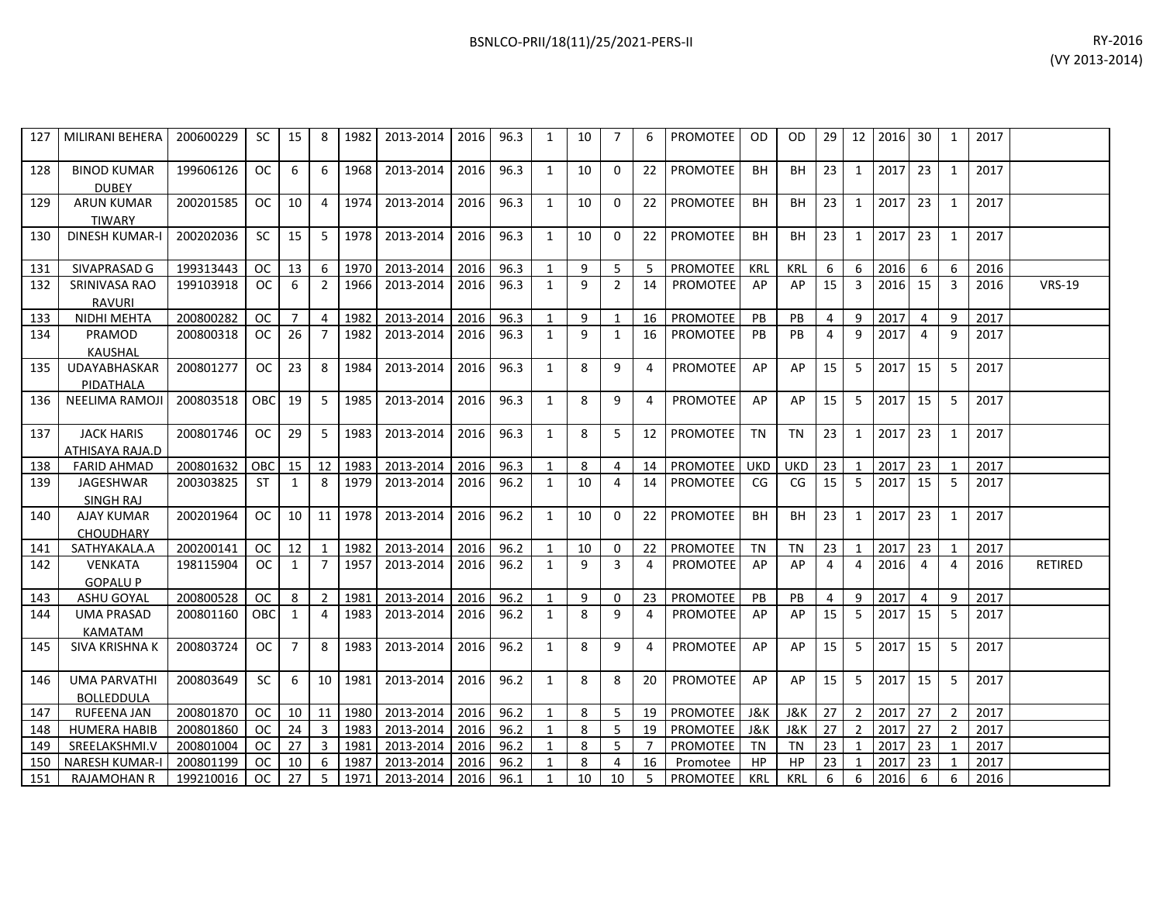|      |           |    |    |      |           |      |      |    |   |    |                 |     |     |    |    |         |     |      | (VY <sub>2</sub> ) |
|------|-----------|----|----|------|-----------|------|------|----|---|----|-----------------|-----|-----|----|----|---------|-----|------|--------------------|
| 0229 | <b>SC</b> | 15 | -8 | 1982 | 2013-2014 | 2016 | 96.3 | 10 |   | -6 | <b>PROMOTEE</b> | OD. | OD. | 29 | 12 | 2016 30 |     | 2017 |                    |
| 6126 | OC.       | 6  | -6 | 1968 | 2013-2014 | 2016 | 96.3 | 10 | 0 | 22 | <b>PROMOTEE</b> | BH  | BH  | 23 |    | 2017    | -23 | 2017 |                    |
| 1585 | <b>OC</b> | 10 | 4  | 1974 | 2013-2014 | 2016 | 96.3 | 10 |   | 22 | <b>PROMOTEE</b> | BH  | BH  | 23 |    | 2017    | 23  | 2017 |                    |

| 127 | MILIRANI BEHERA                          | 200600229 | <b>SC</b>     | 15             | -8                      | 1982 | 2013-2014 | 2016 | 96.3 | $\mathbf{1}$   | 10 | $\overline{7}$ | 6              | PROMOTEE        | <b>OD</b>  | <b>OD</b>      | 29 |                | 12 2016 | 30 <sup>1</sup> | 1              | 2017 |               |
|-----|------------------------------------------|-----------|---------------|----------------|-------------------------|------|-----------|------|------|----------------|----|----------------|----------------|-----------------|------------|----------------|----|----------------|---------|-----------------|----------------|------|---------------|
| 128 | <b>BINOD KUMAR</b><br><b>DUBEY</b>       | 199606126 | OC.           | 6              | 6                       | 1968 | 2013-2014 | 2016 | 96.3 | 1              | 10 | $\mathbf{0}$   | 22             | <b>PROMOTEE</b> | <b>BH</b>  | <b>BH</b>      | 23 | $\mathbf{1}$   | 2017    | 23 <sup>1</sup> | 1              | 2017 |               |
| 129 | <b>ARUN KUMAR</b><br><b>TIWARY</b>       | 200201585 | OC.           | 10             | $\overline{4}$          | 1974 | 2013-2014 | 2016 | 96.3 | 1              | 10 | $\Omega$       | 22             | <b>PROMOTEE</b> | <b>BH</b>  | <b>BH</b>      | 23 | $\mathbf{1}$   | 2017    | 23              | 1              | 2017 |               |
| 130 | <b>DINESH KUMAR-I</b>                    | 200202036 | SC            | 15             | 5                       | 1978 | 2013-2014 | 2016 | 96.3 | 1              | 10 | $\mathbf{0}$   | 22             | PROMOTEE        | <b>BH</b>  | BH             | 23 | $\mathbf{1}$   | 2017    | 23              | 1              | 2017 |               |
| 131 | SIVAPRASAD G                             | 199313443 | <b>OC</b>     | 13             | 6                       | 1970 | 2013-2014 | 2016 | 96.3 | $\mathbf{1}$   | 9  | 5              | 5              | PROMOTEE        | KRL        | <b>KRL</b>     | 6  | 6              | 2016    | 6               | 6              | 2016 |               |
| 132 | SRINIVASA RAO<br><b>RAVURI</b>           | 199103918 | <b>OC</b>     | 6              | $\overline{2}$          | 1966 | 2013-2014 | 2016 | 96.3 | $\mathbf{1}$   | 9  | $\overline{2}$ | 14             | <b>PROMOTEE</b> | AP         | AP             | 15 | $\overline{3}$ | 2016    | 15              | 3              | 2016 | <b>VRS-19</b> |
| 133 | NIDHI MEHTA                              | 200800282 | <b>OC</b>     | $\overline{7}$ | $\overline{4}$          | 1982 | 2013-2014 | 2016 | 96.3 | 1              | 9  | 1              | 16             | PROMOTEE        | PB         | PB             | 4  | 9              | 2017    | 4               | 9              | 2017 |               |
| 134 | PRAMOD<br><b>KAUSHAL</b>                 | 200800318 | <sub>OC</sub> | 26             | $\overline{7}$          | 1982 | 2013-2014 | 2016 | 96.3 | $\mathbf{1}$   | 9  | $\mathbf{1}$   | 16             | <b>PROMOTEE</b> | PB         | PB             | 4  | 9              | 2017    | $\overline{4}$  | 9              | 2017 |               |
| 135 | UDAYABHASKAR<br>PIDATHALA                | 200801277 | <b>OC</b>     | 23             | 8                       | 1984 | 2013-2014 | 2016 | 96.3 | 1              | 8  | 9              | 4              | PROMOTEE        | AP         | AP             | 15 | 5              | 2017    | 15              | 5              | 2017 |               |
| 136 | <b>NEELIMA RAMOJI</b>                    | 200803518 | OBC           | 19             | 5                       | 1985 | 2013-2014 | 2016 | 96.3 | $\mathbf{1}$   | 8  | 9              | 4              | PROMOTEE        | AP         | AP             | 15 | 5              | 2017    | 15              | 5              | 2017 |               |
| 137 | <b>JACK HARIS</b><br>ATHISAYA RAJA.D     | 200801746 | OC.           | 29             | 5                       | 1983 | 2013-2014 | 2016 | 96.3 | 1              | 8  | 5              | 12             | PROMOTEE        | <b>TN</b>  | <b>TN</b>      | 23 | 1              | 2017    | 23              | 1              | 2017 |               |
| 138 | <b>FARID AHMAD</b>                       | 200801632 | OBC           | 15             | 12                      | 1983 | 2013-2014 | 2016 | 96.3 | 1              | 8  | 4              | 14             | PROMOTEE        | <b>UKD</b> | <b>UKD</b>     | 23 | $\mathbf{1}$   | 2017 23 |                 | 1              | 2017 |               |
| 139 | JAGESHWAR<br><b>SINGH RAJ</b>            | 200303825 | ST            | 1              | 8                       | 1979 | 2013-2014 | 2016 | 96.2 | 1              | 10 | 4              | 14             | <b>PROMOTEE</b> | CG         | CG             | 15 | 5              | 2017    | 15              | -5             | 2017 |               |
| 140 | <b>AJAY KUMAR</b><br><b>CHOUDHARY</b>    | 200201964 | OC.           | 10             | 11                      | 1978 | 2013-2014 | 2016 | 96.2 | $\mathbf{1}$   | 10 | $\Omega$       | 22             | PROMOTEE        | <b>BH</b>  | BH             | 23 | $\mathbf{1}$   | 2017    | 23              | 1              | 2017 |               |
| 141 | SATHYAKALA.A                             | 200200141 | <sub>OC</sub> | 12             | 1                       | 1982 | 2013-2014 | 2016 | 96.2 | $\mathbf{1}$   | 10 | 0              | 22             | PROMOTEE        | <b>TN</b>  | <b>TN</b>      | 23 | 1              | 2017    | 23              | $\overline{1}$ | 2017 |               |
| 142 | <b>VENKATA</b><br><b>GOPALUP</b>         | 198115904 | <b>OC</b>     | 1              | $\overline{7}$          | 1957 | 2013-2014 | 2016 | 96.2 | $\mathbf{1}$   | 9  | 3              | 4              | PROMOTEE        | AP         | AP             | 4  | $\overline{4}$ | 2016    | $\overline{4}$  | 4              | 2016 | RETIRED       |
| 143 | ASHU GOYAL                               | 200800528 | <b>OC</b>     | 8              | $\overline{2}$          | 1981 | 2013-2014 | 2016 | 96.2 | 1              | 9  | 0              | 23             | PROMOTEE        | PB         | PB             | 4  | 9              | 2017    | 4               | q              | 2017 |               |
| 144 | <b>UMA PRASAD</b><br><b>KAMATAM</b>      | 200801160 | <b>OBC</b>    | 1              | $\overline{4}$          | 1983 | 2013-2014 | 2016 | 96.2 | $\overline{1}$ | 8  | q              | 4              | PROMOTEE        | AP         | AP             | 15 | 5              | 2017    | 15              | -5             | 2017 |               |
| 145 | SIVA KRISHNA K                           | 200803724 | <b>OC</b>     | $\overline{7}$ | 8                       | 1983 | 2013-2014 | 2016 | 96.2 | 1              | 8  | 9              | 4              | <b>PROMOTEE</b> | AP         | AP             | 15 | 5              | 2017    | 15              | 5              | 2017 |               |
| 146 | <b>UMA PARVATHI</b><br><b>BOLLEDDULA</b> | 200803649 | SC            | 6              | 10                      | 1981 | 2013-2014 | 2016 | 96.2 | $\mathbf{1}$   | 8  | 8              | 20             | PROMOTEE        | AP         | AP             | 15 | 5              | 2017    | 15              | 5              | 2017 |               |
| 147 | <b>RUFEENA JAN</b>                       | 200801870 | <b>OC</b>     | 10             | 11                      | 1980 | 2013-2014 | 2016 | 96.2 | $\mathbf{1}$   | 8  | .5             | 19             | PROMOTEE        | J&K        | <b>J&amp;K</b> | 27 | 2              | 2017 27 |                 | $\mathcal{P}$  | 2017 |               |
| 148 | <b>HUMERA HABIB</b>                      | 200801860 | <b>OC</b>     | 24             | $\overline{\mathbf{3}}$ | 1983 | 2013-2014 | 2016 | 96.2 | $\mathbf{1}$   | 8  | 5              | 19             | PROMOTEE        | J&K        | J&K            | 27 | $\overline{2}$ | 2017 27 |                 | $\overline{2}$ | 2017 |               |
| 149 | SREELAKSHMI.V                            | 200801004 | <b>OC</b>     | 27             | $\overline{3}$          | 1981 | 2013-2014 | 2016 | 96.2 | 1              | 8  | 5              | $\overline{7}$ | PROMOTEE        | TN         | TN             | 23 | 1              | 2017 23 |                 | $\mathbf{1}$   | 2017 |               |
| 150 | <b>NARESH KUMAR-</b>                     | 200801199 | <b>OC</b>     | 10             | 6                       | 1987 | 2013-2014 | 2016 | 96.2 | $\mathbf{1}$   | 8  | 4              | 16             | Promotee        | HP         | HP             | 23 | 1              | 2017    | 23              |                | 2017 |               |
| 151 | <b>RAJAMOHAN R</b>                       | 199210016 | <b>OC</b>     | 27             | -5                      | 1971 | 2013-2014 | 2016 | 96.1 | $\mathbf{1}$   | 10 | 10             | 5              | PROMOTEE        | <b>KRL</b> | <b>KRL</b>     | 6  | 6              | 2016    | 6               | 6              | 2016 |               |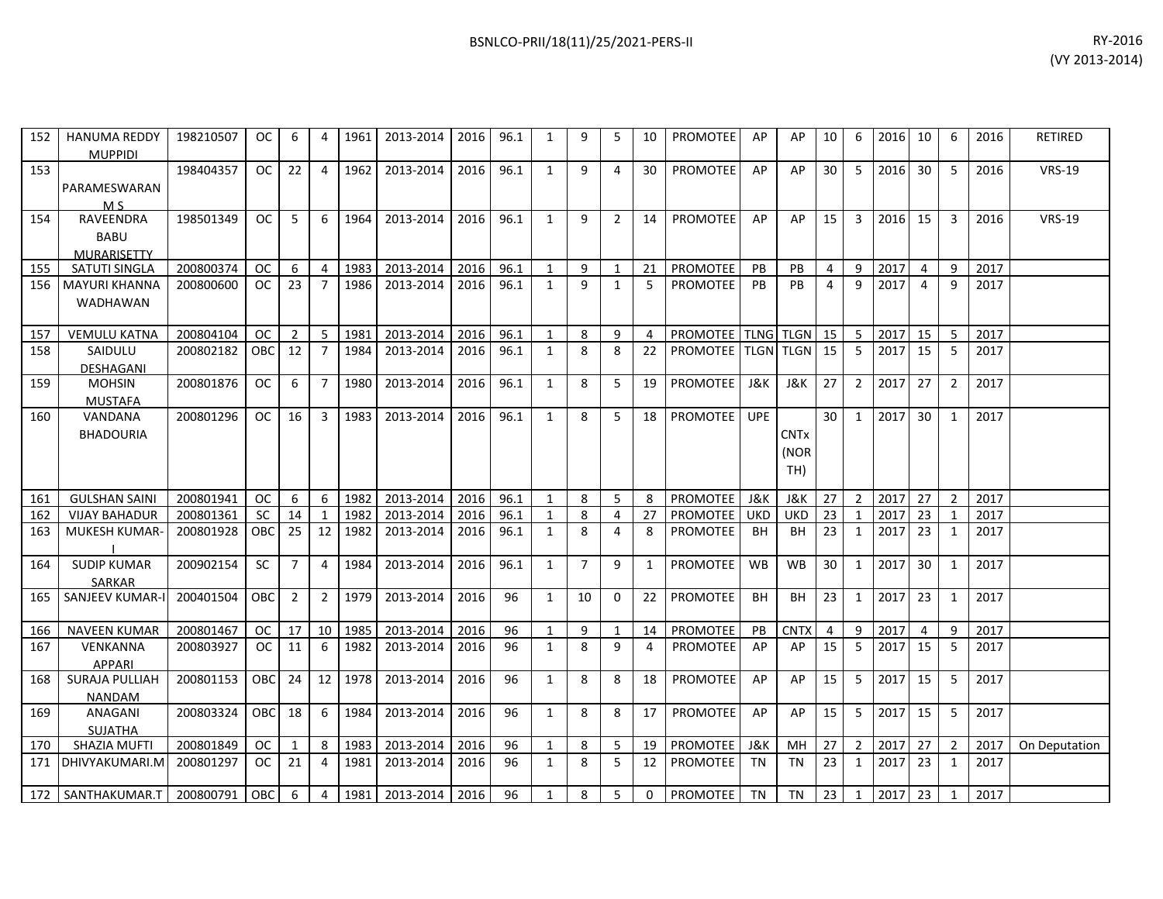| 152 | <b>HANUMA REDDY</b><br><b>MUPPIDI</b>          | 198210507 | OC.        | 6              | 4              | 1961 | 2013-2014           | 2016 | 96.1 | $\mathbf{1}$ | 9              | 5        | 10             | <b>PROMOTEE</b>                    | AP         | AP                         | 10 | 6              | 2016 | 10              | 6              | 2016 | <b>RETIRED</b> |
|-----|------------------------------------------------|-----------|------------|----------------|----------------|------|---------------------|------|------|--------------|----------------|----------|----------------|------------------------------------|------------|----------------------------|----|----------------|------|-----------------|----------------|------|----------------|
| 153 | PARAMESWARAN<br>M <sub>S</sub>                 | 198404357 | OC.        | 22             | 4              | 1962 | 2013-2014           | 2016 | 96.1 | $\mathbf{1}$ | 9              | 4        | 30             | <b>PROMOTEE</b>                    | AP         | AP                         | 30 | 5              | 2016 | 30              | 5              | 2016 | <b>VRS-19</b>  |
| 154 | <b>RAVEENDRA</b><br><b>BABU</b><br>MURARISETTY | 198501349 | OC         | 5              | 6              | 1964 | 2013-2014           | 2016 | 96.1 | 1            | 9              | 2        | 14             | <b>PROMOTEE</b>                    | AP         | AP                         | 15 | 3              | 2016 | 15              | 3              | 2016 | <b>VRS-19</b>  |
| 155 | SATUTI SINGLA                                  | 200800374 | <b>OC</b>  | 6              | 4              | 1983 | 2013-2014           | 2016 | 96.1 | 1            | 9              | 1        | 21             | PROMOTEE                           | <b>PB</b>  | <b>PB</b>                  | 4  | 9              | 2017 | 4               | 9              | 2017 |                |
| 156 | <b>MAYURI KHANNA</b><br>WADHAWAN               | 200800600 | OC.        | 23             | 7              | 1986 | 2013-2014           | 2016 | 96.1 | 1            | q              | 1        | 5              | <b>PROMOTEE</b>                    | <b>PB</b>  | PB                         | 4  | 9              | 2017 | $\overline{a}$  | 9              | 2017 |                |
| 157 | <b>VEMULU KATNA</b>                            | 200804104 | <b>OC</b>  | 2              | -5             | 1981 | 2013-2014           | 2016 | 96.1 | $\mathbf{1}$ | 8              | 9        | 4              | <b>PROMOTEE   TLNG   TLGN   15</b> |            |                            |    | - 5            | 2017 | 15              | 5              | 2017 |                |
| 158 | SAIDULU<br><b>DESHAGANI</b>                    | 200802182 | OBC I      | 12             | -7             | 1984 | 2013-2014           | 2016 | 96.1 | 1            | 8              | 8        | 22             | PROMOTEE   TLGN   TLGN             |            |                            | 15 | -5             | 2017 | 15              | 5              | 2017 |                |
| 159 | <b>MOHSIN</b><br><b>MUSTAFA</b>                | 200801876 | OC.        | 6              | 7              | 1980 | 2013-2014           | 2016 | 96.1 | $\mathbf{1}$ | 8              | 5        | 19             | <b>PROMOTEE</b>                    | J&K        | J&K                        | 27 | $\overline{2}$ | 2017 | 27              | $\overline{2}$ | 2017 |                |
| 160 | VANDANA<br><b>BHADOURIA</b>                    | 200801296 | OC .       | 16             | $\overline{3}$ | 1983 | 2013-2014           | 2016 | 96.1 | $\mathbf{1}$ | 8              | 5        | 18             | PROMOTEE                           | UPE        | <b>CNTx</b><br>(NOR<br>TH) | 30 | $\mathbf{1}$   | 2017 | 30              | 1              | 2017 |                |
| 161 | <b>GULSHAN SAINI</b>                           | 200801941 | OC.        | -6             | 6              | 1982 | 2013-2014           | 2016 | 96.1 | 1            | 8              | 5        | 8              | PROMOTEE                           | J&K        | J&K                        | 27 | $\overline{2}$ | 2017 | 27              | 2              | 2017 |                |
| 162 | <b>VIJAY BAHADUR</b>                           | 200801361 | <b>SC</b>  | 14             | 1              | 1982 | 2013-2014           | 2016 | 96.1 | $\mathbf{1}$ | 8              | 4        | 27             | PROMOTEE                           | <b>UKD</b> | <b>UKD</b>                 | 23 | 1              | 2017 | 23              | $\mathbf 1$    | 2017 |                |
| 163 | MUKESH KUMAR-                                  | 200801928 | <b>OBC</b> | 25             | 12             | 1982 | 2013-2014           | 2016 | 96.1 | $\mathbf{1}$ | 8              | 4        | 8              | <b>PROMOTEE</b>                    | <b>BH</b>  | <b>BH</b>                  | 23 | 1              | 2017 | 23              | 1              | 2017 |                |
| 164 | <b>SUDIP KUMAR</b><br><b>SARKAR</b>            | 200902154 | <b>SC</b>  | 7              | 4              | 1984 | 2013-2014           | 2016 | 96.1 | $\mathbf{1}$ | $\overline{7}$ | 9        | 1              | PROMOTEE                           | <b>WB</b>  | WB                         | 30 | $\mathbf{1}$   | 2017 | 30 <sup>°</sup> | 1              | 2017 |                |
| 165 | <b>SANJEEV KUMAR-I</b>                         | 200401504 | OBC        | $\overline{2}$ | $\overline{2}$ | 1979 | 2013-2014           | 2016 | 96   | $\mathbf{1}$ | 10             | $\Omega$ | 22             | PROMOTEE                           | <b>BH</b>  | <b>BH</b>                  | 23 | 1              | 2017 | 23              | 1              | 2017 |                |
| 166 | <b>NAVEEN KUMAR</b>                            | 200801467 | <b>OC</b>  | 17             | 10             | 1985 | 2013-2014           | 2016 | 96   | 1            | 9              | 1        | 14             | PROMOTEE                           | PB         | <b>CNTX</b>                | 4  | 9              | 2017 | $\overline{4}$  | 9              | 2017 |                |
| 167 | VENKANNA<br><b>APPARI</b>                      | 200803927 | <b>OC</b>  | 11             | 6              | 1982 | 2013-2014           | 2016 | 96   | $\mathbf{1}$ | 8              | 9        | $\overline{a}$ | PROMOTEE                           | AP         | AP                         | 15 | 5              | 2017 | 15              | 5              | 2017 |                |
| 168 | <b>SURAJA PULLIAH</b><br>NANDAM                | 200801153 | <b>OBC</b> | 24             | 12             | 1978 | 2013-2014           | 2016 | 96   | 1            | 8              | 8        | 18             | <b>PROMOTEE</b>                    | AP         | AP                         | 15 | 5              | 2017 | 15              | 5              | 2017 |                |
| 169 | ANAGANI<br><b>SUJATHA</b>                      | 200803324 | <b>OBC</b> | 18             | 6              | 1984 | 2013-2014           | 2016 | 96   | $\mathbf{1}$ | 8              | 8        | 17             | <b>PROMOTEE</b>                    | AP         | AP                         | 15 | 5              | 2017 | 15              | 5              | 2017 |                |
| 170 | <b>SHAZIA MUFTI</b>                            | 200801849 | OC.        | -1             | 8              | 1983 | 2013-2014           | 2016 | 96   | $\mathbf{1}$ | 8              | 5        | 19             | <b>PROMOTEE</b>                    | J&K        | MH                         | 27 | 2              | 2017 | 27              | 2              | 2017 | On Deputation  |
| 171 | DHIVYAKUMARI.M                                 | 200801297 | OC.        | 21             | 4              | 1981 | 2013-2014           | 2016 | 96   | 1            | 8              | 5        | 12             | <b>PROMOTEE</b>                    | TN         | TN                         | 23 | 1              | 2017 | 23              | 1              | 2017 |                |
|     | 172   SANTHAKUMAR.T                            | 200800791 | <b>OBC</b> | -6             | $\overline{4}$ |      | 1981 2013-2014 2016 |      | 96   | $\mathbf{1}$ | 8              | 5        | $\mathbf{0}$   | PROMOTEE TN                        |            | TN                         | 23 | $\mathbf{1}$   | 2017 | 23              | 1              | 2017 |                |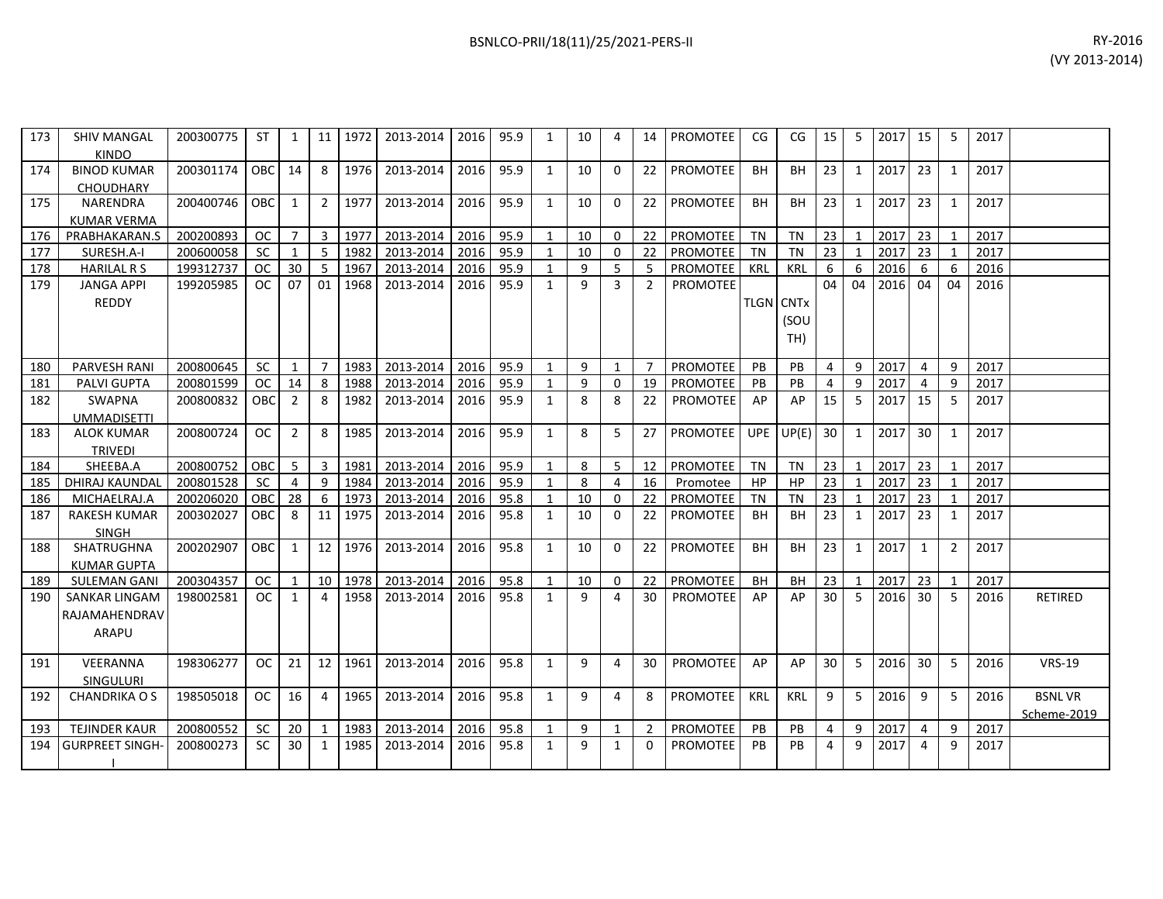| 173 | <b>SHIV MANGAL</b><br><b>KINDO</b> | 200300775 | ST.        | $\mathbf{1}$   |                | 11   1972 | 2013-2014 | 2016 | 95.9 | 1            | 10     | 4              |                | 14   PROMOTEE   | CG.              | CG         | 15 <sub>1</sub> | 5            | 2017   15 |                 | 5            | 2017 |                |
|-----|------------------------------------|-----------|------------|----------------|----------------|-----------|-----------|------|------|--------------|--------|----------------|----------------|-----------------|------------------|------------|-----------------|--------------|-----------|-----------------|--------------|------|----------------|
| 174 | <b>BINOD KUMAR</b>                 | 200301174 | <b>OBC</b> | 14             | 8              | 1976      | 2013-2014 | 2016 | 95.9 | $\mathbf{1}$ | 10     | $\Omega$       | 22             | PROMOTEE        | <b>BH</b>        | <b>BH</b>  | 23              | 1            | 2017      | 23              | $\mathbf{1}$ | 2017 |                |
|     | <b>CHOUDHARY</b>                   |           |            |                |                |           |           |      |      |              |        |                |                |                 |                  |            |                 |              |           |                 |              |      |                |
| 175 | NARENDRA                           | 200400746 | <b>OBC</b> | 1              | $\overline{2}$ | 1977      | 2013-2014 | 2016 | 95.9 | $\mathbf{1}$ | 10     | $\Omega$       | 22             | PROMOTEE        | BH               | BН         | 23              | $\mathbf{1}$ | 2017      | 23              | 1            | 2017 |                |
|     | <b>KUMAR VERMA</b>                 |           |            |                |                |           |           |      |      |              |        |                |                |                 |                  |            |                 |              |           |                 |              |      |                |
| 176 | PRABHAKARAN.S                      | 200200893 | <b>OC</b>  | $\overline{7}$ | $\overline{3}$ | 1977      | 2013-2014 | 2016 | 95.9 | $\mathbf{1}$ | 10     | $\Omega$       | 22             | PROMOTEE        | TN               | <b>TN</b>  | 23              | 1            | 2017      | 23              |              | 2017 |                |
| 177 | SURESH.A-I                         | 200600058 | <b>SC</b>  | 1              | -5             | 1982      | 2013-2014 | 2016 | 95.9 |              | 10     | $\Omega$       | 22             | PROMOTEE        | TN               | <b>TN</b>  | 23              | $\mathbf{1}$ | 2017      | 23              |              | 2017 |                |
| 178 | <b>HARILAL R S</b>                 | 199312737 | <b>OC</b>  | 30             | 5              | 1967      | 2013-2014 | 2016 | 95.9 | 1            | 9      | 5              | -5             | PROMOTEE        | KRL              | <b>KRL</b> | 6               | 6            | 2016      | -6              | 6            | 2016 |                |
| 179 | <b>JANGA APPI</b>                  | 199205985 | <b>OC</b>  | 07             | 01             | 1968      | 2013-2014 | 2016 | 95.9 | $\mathbf{1}$ | 9      | 3              | 2              | <b>PROMOTEE</b> |                  |            | 04              | 04           | 2016      | 04              | 04           | 2016 |                |
|     | REDDY                              |           |            |                |                |           |           |      |      |              |        |                |                |                 | <b>TLGN CNTx</b> |            |                 |              |           |                 |              |      |                |
|     |                                    |           |            |                |                |           |           |      |      |              |        |                |                |                 |                  | (SOU       |                 |              |           |                 |              |      |                |
|     |                                    |           |            |                |                |           |           |      |      |              |        |                |                |                 |                  | TH)        |                 |              |           |                 |              |      |                |
|     |                                    |           |            |                |                |           |           |      |      |              |        |                |                |                 |                  |            |                 |              |           |                 |              |      |                |
| 180 | <b>PARVESH RANI</b>                | 200800645 | <b>SC</b>  | 1              | $\overline{7}$ | 1983      | 2013-2014 | 2016 | 95.9 | $\mathbf{1}$ | 9      | $\overline{1}$ | 7              | <b>PROMOTEE</b> | <b>PB</b>        | PB         | $\overline{4}$  | 9            | 2017      | 4               | q            | 2017 |                |
| 181 | <b>PALVI GUPTA</b>                 | 200801599 | <b>OC</b>  | 14             | 8              | 1988      | 2013-2014 | 2016 | 95.9 | 1            | 9      | $\Omega$       | 19             | <b>PROMOTEE</b> | PB.              | <b>PB</b>  | 4               | 9            | 2017      | 4               | q            | 2017 |                |
| 182 | SWAPNA                             | 200800832 | OBC        | $\overline{2}$ | 8              | 1982      | 2013-2014 | 2016 | 95.9 | $\mathbf{1}$ | 8      | 8              | 22             | <b>PROMOTEE</b> | AP               | AP         | 15              | 5            | 2017      | 15              | 5            | 2017 |                |
|     | <b>UMMADISETTI</b>                 |           |            |                |                |           |           |      |      |              |        |                |                |                 |                  |            |                 |              |           |                 |              |      |                |
| 183 | <b>ALOK KUMAR</b>                  | 200800724 | <b>OC</b>  | $\overline{2}$ | 8              | 1985      | 2013-2014 | 2016 | 95.9 | $\mathbf{1}$ | 8      | -5             | 27             | <b>PROMOTEE</b> | <b>UPE</b>       | UP(E)      | 30              | 1            | 2017      | 30              | $\mathbf{1}$ | 2017 |                |
|     | <b>TRIVEDI</b>                     |           |            |                |                |           |           |      |      |              |        |                |                |                 |                  |            |                 |              |           |                 |              |      |                |
| 184 | SHEEBA.A                           | 200800752 | OBC        | 5              | 3              | 1981      | 2013-2014 | 2016 | 95.9 |              | 8      | -5             | 12             | PROMOTEE        | TN               | <b>TN</b>  | 23              | 1            | 2017      | 23              |              | 2017 |                |
| 185 | DHIRAJ KAUNDAL                     | 200801528 | <b>SC</b>  | $\overline{4}$ | 9              | 1984      | 2013-2014 | 2016 | 95.9 | 1            | 8      | $\overline{a}$ | 16             | Promotee        | <b>HP</b>        | <b>HP</b>  | 23              | $\mathbf{1}$ | 2017      | 23              |              | 2017 |                |
| 186 | MICHAELRAJ.A                       | 200206020 | OBC        | 28             | 6              | 1973      | 2013-2014 | 2016 | 95.8 | $\mathbf{1}$ | 10     | $\Omega$       | 22             | <b>PROMOTEE</b> | <b>TN</b>        | <b>TN</b>  | 23              | $\mathbf{1}$ | 2017      | 23              |              | 2017 |                |
| 187 | <b>RAKESH KUMAR</b>                | 200302027 | OBC        | 8              | 11             | 1975      | 2013-2014 | 2016 | 95.8 | $\mathbf{1}$ | 10     | $\Omega$       | 22             | <b>PROMOTEE</b> | <b>BH</b>        | BH         | 23              | 1            | 2017      | 23              | 1            | 2017 |                |
|     | <b>SINGH</b>                       |           |            |                |                |           |           |      |      |              |        |                |                |                 |                  |            |                 |              |           |                 |              |      |                |
| 188 | SHATRUGHNA                         | 200202907 | <b>OBC</b> | $\mathbf{1}$   | 12             | 1976      | 2013-2014 | 2016 | 95.8 | $\mathbf{1}$ | 10     | $\Omega$       | 22             | <b>PROMOTEE</b> | <b>BH</b>        | <b>BH</b>  | 23              | 1            | 2017      | 1               | 2            | 2017 |                |
|     | <b>KUMAR GUPTA</b>                 |           |            |                |                |           |           |      |      |              |        |                |                |                 |                  |            |                 |              |           |                 |              |      |                |
| 189 | <b>SULEMAN GANI</b>                | 200304357 | <b>OC</b>  | $\mathbf{1}$   | 10             | 1978      | 2013-2014 | 2016 | 95.8 | 1            | 10     | $\mathbf{0}$   | 22             | <b>PROMOTEE</b> | <b>BH</b>        | <b>BH</b>  | 23              | 1            | 2017      | 23              | $\mathbf 1$  | 2017 |                |
| 190 | <b>SANKAR LINGAM</b>               | 198002581 | <b>OC</b>  | $\mathbf{1}$   | 4              | 1958      | 2013-2014 | 2016 | 95.8 | $\mathbf{1}$ | 9      | 4              | 30             | <b>PROMOTEE</b> | AP               | AP         | 30              | 5            | 2016      | 30 <sup>°</sup> | 5            | 2016 | <b>RETIRED</b> |
|     | RAJAMAHENDRAV                      |           |            |                |                |           |           |      |      |              |        |                |                |                 |                  |            |                 |              |           |                 |              |      |                |
|     | ARAPU                              |           |            |                |                |           |           |      |      |              |        |                |                |                 |                  |            |                 |              |           |                 |              |      |                |
|     |                                    |           |            |                |                |           |           |      |      |              |        |                |                |                 |                  |            |                 |              |           |                 |              |      |                |
| 191 | VEERANNA                           | 198306277 | <b>OC</b>  | 21             | 12             | 1961      | 2013-2014 | 2016 | 95.8 | $\mathbf{1}$ | 9      | $\overline{a}$ | 30             | PROMOTEE        | AP               | AP         | 30              | 5            | 2016      | 30              | 5            | 2016 | <b>VRS-19</b>  |
|     | <b>SINGULURI</b>                   |           |            |                |                |           |           |      |      |              |        |                |                |                 |                  |            |                 |              |           |                 |              |      |                |
| 192 | <b>CHANDRIKA O S</b>               | 198505018 | OC.        | 16             | 4              | 1965      | 2013-2014 | 2016 | 95.8 | 1            | 9      | 4              | 8              | PROMOTEE        | <b>KRL</b>       | <b>KRL</b> | 9               | 5            | 2016      | 9               | 5            | 2016 | <b>BSNLVR</b>  |
|     |                                    |           |            |                |                |           |           |      |      |              |        |                |                |                 |                  |            |                 |              |           |                 |              |      | Scheme-2019    |
| 193 | <b>TEJINDER KAUR</b>               | 200800552 | SC         | 20             | 1              | 1983      | 2013-2014 | 2016 | 95.8 | $\mathbf{1}$ | 9<br>9 | 1              | $\overline{2}$ | PROMOTEE        | <b>PB</b>        | <b>PB</b>  | 4               | 9            | 2017      | 4               | 9            | 2017 |                |
| 194 | <b>GURPREET SINGH</b>              | 200800273 | <b>SC</b>  | 30             | 1              | 1985      | 2013-2014 | 2016 | 95.8 | $\mathbf{1}$ |        | 1              | $\Omega$       | PROMOTEE        | PB               | <b>PB</b>  | 4               | 9            | 2017      | 4               | 9            | 2017 |                |
|     |                                    |           |            |                |                |           |           |      |      |              |        |                |                |                 |                  |            |                 |              |           |                 |              |      |                |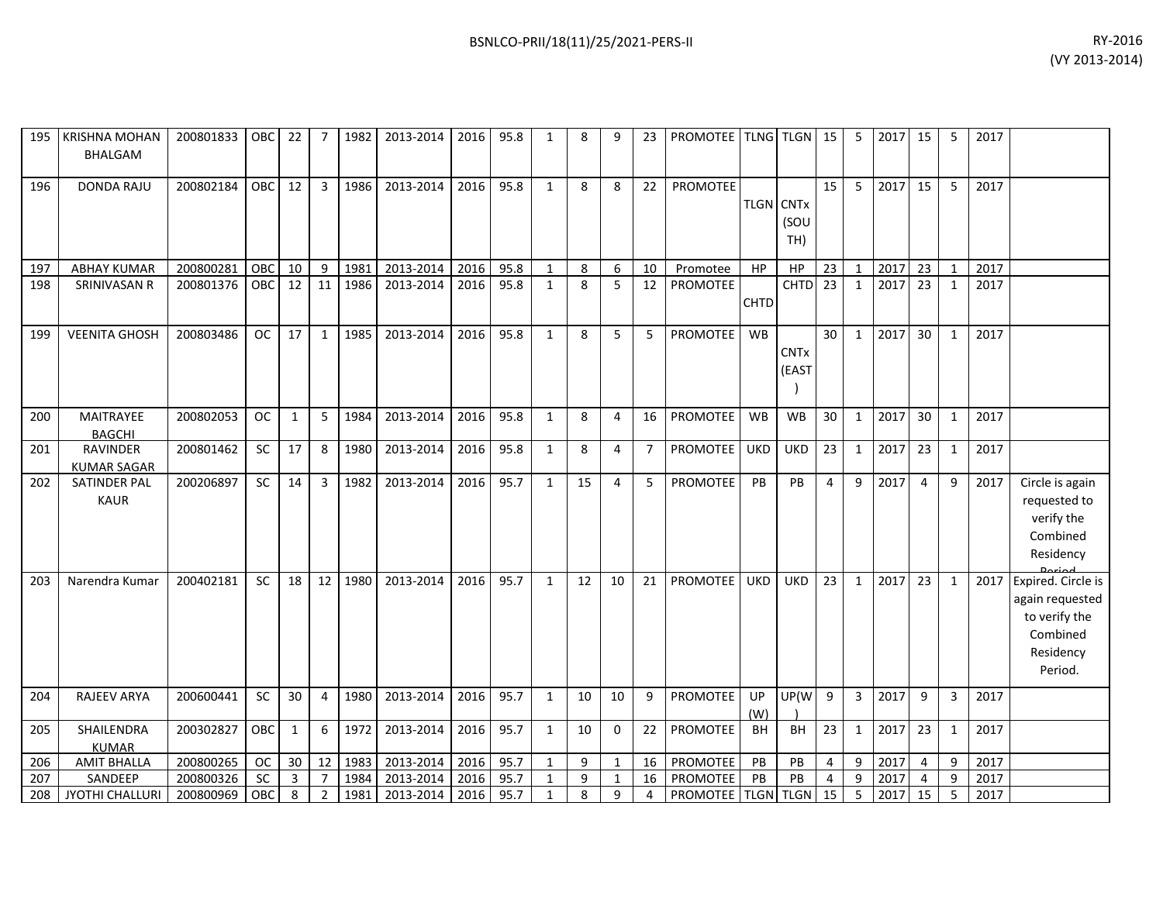| 195 | <b>KRISHNA MOHAN</b><br>BHALGAM       | 200801833 | OBC       | 22           | 7 I             | 1982 | 2013-2014 | 2016 | 95.8 | $\mathbf{1}$ | 8  | q            | 23             | PROMOTEE TLNG TLGN 15         |             |                                             |                | 5              | 2017 | 15             | 5            | 2017 |                                                                                            |
|-----|---------------------------------------|-----------|-----------|--------------|-----------------|------|-----------|------|------|--------------|----|--------------|----------------|-------------------------------|-------------|---------------------------------------------|----------------|----------------|------|----------------|--------------|------|--------------------------------------------------------------------------------------------|
| 196 | <b>DONDA RAJU</b>                     | 200802184 | OBC       | 12           | $\mathbf{3}$    | 1986 | 2013-2014 | 2016 | 95.8 | $\mathbf{1}$ | 8  | 8            | 22             | <b>PROMOTEE</b>               |             | <b>TLGN</b> CNT <sub>x</sub><br>(SOU<br>TH) | 15             | 5              | 2017 | 15             | 5            | 2017 |                                                                                            |
| 197 | <b>ABHAY KUMAR</b>                    | 200800281 | OBC       | 10           | 9               | 1981 | 2013-2014 | 2016 | 95.8 | 1            | 8  | 6            | 10             | Promotee                      | HP          | HP                                          | 23             | 1              | 2017 | 23             | 1            | 2017 |                                                                                            |
| 198 | SRINIVASAN R                          | 200801376 | OBC       | 12           | 11              | 1986 | 2013-2014 | 2016 | 95.8 | $\mathbf{1}$ | 8  | 5            | 12             | <b>PROMOTEE</b>               | <b>CHTD</b> | <b>CHTD</b>                                 | 23             | $\mathbf{1}$   | 2017 | 23             | 1            | 2017 |                                                                                            |
| 199 | <b>VEENITA GHOSH</b>                  | 200803486 | <b>OC</b> | 17           | 1               | 1985 | 2013-2014 | 2016 | 95.8 | $\mathbf{1}$ | 8  | 5            | 5              | PROMOTEE                      | <b>WB</b>   | <b>CNTx</b><br>(EAST                        | 30             | $\mathbf{1}$   | 2017 | 30             | 1            | 2017 |                                                                                            |
| 200 | MAITRAYEE<br><b>BAGCHI</b>            | 200802053 | <b>OC</b> | 1            | 5               | 1984 | 2013-2014 | 2016 | 95.8 | $\mathbf{1}$ | 8  | 4            | 16             | PROMOTEE                      | WB          | WB                                          | 30             | $\mathbf{1}$   | 2017 | 30             | 1            | 2017 |                                                                                            |
| 201 | <b>RAVINDER</b><br><b>KUMAR SAGAR</b> | 200801462 | <b>SC</b> | 17           | 8               | 1980 | 2013-2014 | 2016 | 95.8 | 1            | 8  | 4            | $\overline{7}$ | <b>PROMOTEE</b>               | <b>UKD</b>  | <b>UKD</b>                                  | 23             | $\mathbf{1}$   | 2017 | 23             | 1            | 2017 |                                                                                            |
| 202 | SATINDER PAL<br><b>KAUR</b>           | 200206897 | <b>SC</b> | 14           | $3-1$           | 1982 | 2013-2014 | 2016 | 95.7 | $\mathbf{1}$ | 15 | 4            | 5              | PROMOTEE                      | PB          | <b>PB</b>                                   | 4              | 9              | 2017 | $\overline{4}$ | 9            | 2017 | Circle is again<br>requested to<br>verify the<br>Combined<br>Residency                     |
| 203 | Narendra Kumar                        | 200402181 | SC        | 18           | 12              | 1980 | 2013-2014 | 2016 | 95.7 | 1            | 12 | 10           | 21             | <b>PROMOTEE</b>               | <b>UKD</b>  | <b>UKD</b>                                  | 23             | $\mathbf{1}$   | 2017 | 23             | $\mathbf{1}$ | 2017 | Expired. Circle is<br>again requested<br>to verify the<br>Combined<br>Residency<br>Period. |
| 204 | RAJEEV ARYA                           | 200600441 | SC        | 30           | 4               | 1980 | 2013-2014 | 2016 | 95.7 | $\mathbf{1}$ | 10 | 10           | 9              | PROMOTEE                      | UP<br>(W)   | UP(W                                        | $\overline{9}$ | $\overline{3}$ | 2017 | 9              | 3            | 2017 |                                                                                            |
| 205 | SHAILENDRA<br><b>KUMAR</b>            | 200302827 | OBC       | $\mathbf{1}$ | 6               | 1972 | 2013-2014 | 2016 | 95.7 | $\mathbf{1}$ | 10 | $\Omega$     | 22             | PROMOTEE                      | <b>BH</b>   | <b>BH</b>                                   | 23             | 1              | 2017 | 23             | 1            | 2017 |                                                                                            |
| 206 | <b>AMIT BHALLA</b>                    | 200800265 | <b>OC</b> | 30           | 12 <sup>1</sup> | 1983 | 2013-2014 | 2016 | 95.7 | $\mathbf{1}$ | 9  | 1            | 16             | PROMOTEE                      | PB          | PB                                          | 4              | 9              | 2017 | 4              | 9            | 2017 |                                                                                            |
| 207 | SANDEEP                               | 200800326 | SC        | 3            | 7               | 1984 | 2013-2014 | 2016 | 95.7 | 1            | 9  | $\mathbf{1}$ | 16             | PROMOTEE                      | PB          | PB                                          | $\overline{4}$ | 9              | 2017 | 4              | 9            | 2017 |                                                                                            |
| 208 | JYOTHI CHALLURI                       | 200800969 | OBC       | 8            | $\overline{2}$  | 1981 | 2013-2014 | 2016 | 95.7 | $\mathbf{1}$ | 8  | 9            | 4              | <b>PROMOTEE   TLGN   TLGN</b> |             |                                             | 15             | -5             | 2017 | 15             | -5           | 2017 |                                                                                            |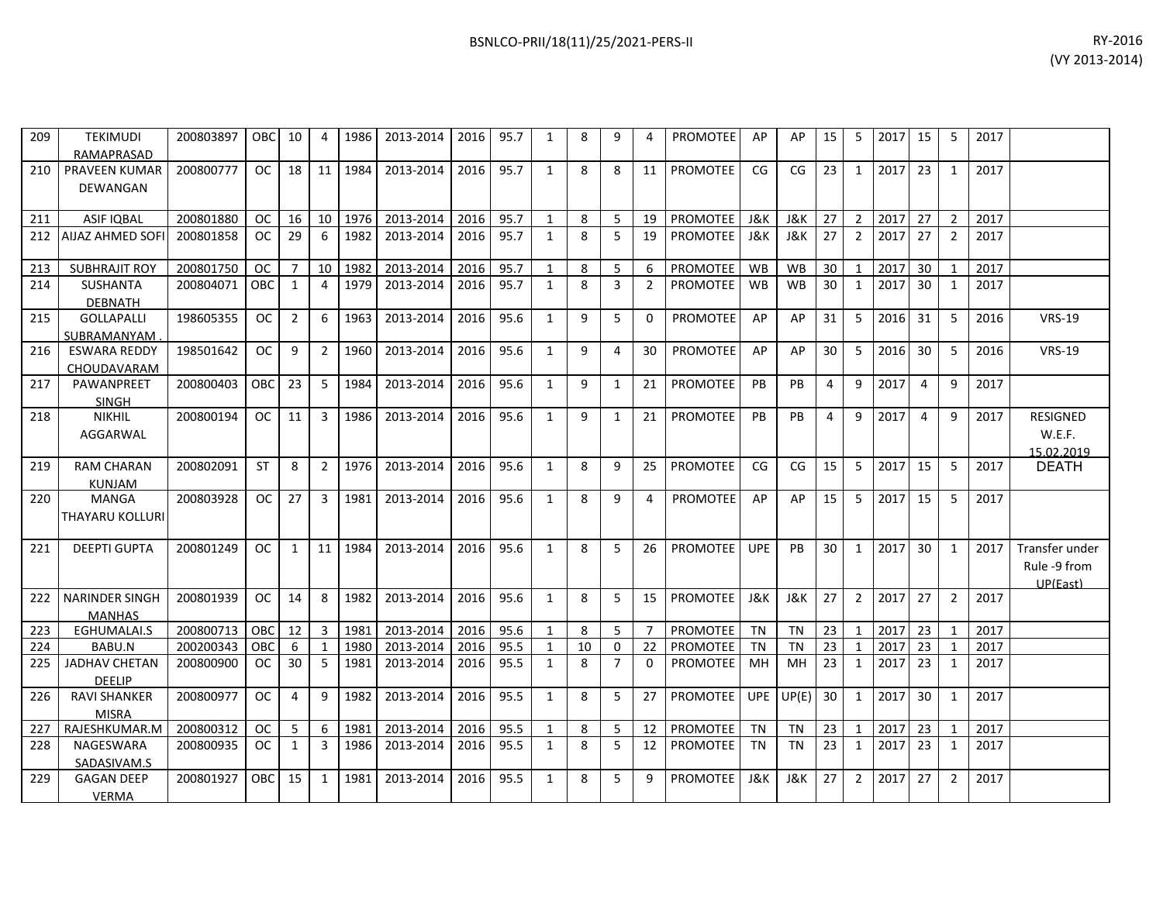| 209 | <b>TEKIMUDI</b><br>RAMAPRASAD         | 200803897 | <b>OBC</b>    | 10             | 4              | 1986 | 2013-2014 | 2016 | 95.7 | 1            | 8            | 9              | 4              | <b>PROMOTEE</b> | AP             | AP             | 15             | 5              | 2017 | 15              | 5              | 2017 |                                            |
|-----|---------------------------------------|-----------|---------------|----------------|----------------|------|-----------|------|------|--------------|--------------|----------------|----------------|-----------------|----------------|----------------|----------------|----------------|------|-----------------|----------------|------|--------------------------------------------|
| 210 | PRAVEEN KUMAR<br>DEWANGAN             | 200800777 | <b>OC</b>     | 18             | 11             | 1984 | 2013-2014 | 2016 | 95.7 | $\mathbf{1}$ | 8            | 8              | 11             | PROMOTEE        | CG             | CG             | 23             | $\mathbf{1}$   | 2017 | 23              | 1              | 2017 |                                            |
| 211 | <b>ASIF IQBAL</b>                     | 200801880 | <b>OC</b>     | 16             | 10             | 1976 | 2013-2014 | 2016 | 95.7 | $\mathbf{1}$ | 8            | 5              | 19             | PROMOTEE        | <b>J&amp;K</b> | J&K            | 27             | $\overline{2}$ | 2017 | 27              | $\overline{2}$ | 2017 |                                            |
| 212 | <b>AIJAZ AHMED SOFI</b>               | 200801858 | <sub>OC</sub> | 29             | 6              | 1982 | 2013-2014 | 2016 | 95.7 | $\mathbf{1}$ | $\mathbf{8}$ | $\overline{5}$ | 19             | PROMOTEE        | J&K            | J&K            | 27             | 2              | 2017 | 27              | $\overline{2}$ | 2017 |                                            |
| 213 | <b>SUBHRAJIT ROY</b>                  | 200801750 | <b>OC</b>     | $\overline{7}$ | 10             | 1982 | 2013-2014 | 2016 | 95.7 | $\mathbf{1}$ | 8            | 5              | 6              | PROMOTEE        | <b>WB</b>      | <b>WB</b>      | 30             | $\mathbf{1}$   | 2017 | 30              | $\mathbf 1$    | 2017 |                                            |
| 214 | <b>SUSHANTA</b><br><b>DEBNATH</b>     | 200804071 | OBC           | $\mathbf{1}$   | 4              | 1979 | 2013-2014 | 2016 | 95.7 | $\mathbf{1}$ | 8            | 3              | $\overline{2}$ | PROMOTEE        | <b>WB</b>      | <b>WB</b>      | 30             | $\mathbf{1}$   | 2017 | 30              | 1              | 2017 |                                            |
| 215 | <b>GOLLAPALLI</b><br>SUBRAMANYAM.     | 198605355 | <sub>OC</sub> | $\overline{2}$ | 6              | 1963 | 2013-2014 | 2016 | 95.6 | $\mathbf{1}$ | 9            | 5              | 0              | <b>PROMOTEE</b> | AP             | AP             | 31             | 5              | 2016 | 31              | -5             | 2016 | <b>VRS-19</b>                              |
| 216 | <b>ESWARA REDDY</b><br>CHOUDAVARAM    | 198501642 | <b>OC</b>     | 9              | $\overline{2}$ | 1960 | 2013-2014 | 2016 | 95.6 | $\mathbf{1}$ | 9            | 4              | 30             | <b>PROMOTEE</b> | AP             | AP             | 30             | 5              | 2016 | 30              | -5             | 2016 | <b>VRS-19</b>                              |
| 217 | PAWANPREET<br><b>SINGH</b>            | 200800403 | OBC.          | 23             | -5             | 1984 | 2013-2014 | 2016 | 95.6 | $\mathbf{1}$ | 9            | $\mathbf{1}$   | 21             | <b>PROMOTEE</b> | PB             | <b>PB</b>      | $\overline{4}$ | 9              | 2017 | 4               | 9              | 2017 |                                            |
| 218 | <b>NIKHIL</b><br>AGGARWAL             | 200800194 | <sub>OC</sub> | 11             | 3              | 1986 | 2013-2014 | 2016 | 95.6 | $\mathbf{1}$ | 9            | $\mathbf{1}$   | 21             | PROMOTEE        | PB             | <b>PB</b>      | $\overline{4}$ | 9              | 2017 | 4               | 9              | 2017 | <b>RESIGNED</b><br>W.E.F.<br>15.02.2019    |
| 219 | <b>RAM CHARAN</b><br><b>KUNJAM</b>    | 200802091 | <b>ST</b>     | 8              | $\overline{2}$ | 1976 | 2013-2014 | 2016 | 95.6 | $\mathbf{1}$ | 8            | 9              | 25             | PROMOTEE        | CG             | CG             | 15             | 5              | 2017 | 15              | 5              | 2017 | <b>DEATH</b>                               |
| 220 | <b>MANGA</b><br>THAYARU KOLLURI       | 200803928 | OC.           | 27             | 3              | 1981 | 2013-2014 | 2016 | 95.6 | 1            | 8            | 9              | 4              | <b>PROMOTEE</b> | AP             | AP             | 15             | 5              | 2017 | 15              | 5              | 2017 |                                            |
| 221 | <b>DEEPTI GUPTA</b>                   | 200801249 | OC            | 1              | 11             | 1984 | 2013-2014 | 2016 | 95.6 | $\mathbf{1}$ | 8            | 5              | 26             | <b>PROMOTEE</b> | <b>UPE</b>     | PB             | 30             | 1              | 2017 | 30 <sup>°</sup> | 1              | 2017 | Transfer under<br>Rule -9 from<br>UP(East) |
| 222 | NARINDER SINGH<br><b>MANHAS</b>       | 200801939 | <sub>OC</sub> | 14             | 8              | 1982 | 2013-2014 | 2016 | 95.6 | $\mathbf{1}$ | 8            | 5              | 15             | PROMOTEE        | J&K            | J&K            | 27             | $\overline{2}$ | 2017 | 27              | $\overline{2}$ | 2017 |                                            |
| 223 | EGHUMALAI.S                           | 200800713 | <b>OBC</b>    | 12             | $\overline{3}$ | 1981 | 2013-2014 | 2016 | 95.6 | $\mathbf{1}$ | 8            | 5              | $\overline{7}$ | PROMOTEE        | <b>TN</b>      | <b>TN</b>      | 23             | 1              | 2017 | 23              | 1              | 2017 |                                            |
| 224 | BABU.N                                | 200200343 | OBC           | 6              | $\mathbf{1}$   | 1980 | 2013-2014 | 2016 | 95.5 | $\mathbf{1}$ | 10           | $\Omega$       | 22             | PROMOTEE        | <b>TN</b>      | <b>TN</b>      | 23             | $\mathbf{1}$   | 2017 | 23              |                | 2017 |                                            |
| 225 | <b>JADHAV CHETAN</b><br><b>DEELIP</b> | 200800900 | <sub>OC</sub> | 30             | 5              | 1981 | 2013-2014 | 2016 | 95.5 | $\mathbf{1}$ | 8            | $\overline{7}$ | $\Omega$       | <b>PROMOTEE</b> | MН             | MH             | 23             | 1              | 2017 | 23              | 1              | 2017 |                                            |
| 226 | <b>RAVI SHANKER</b><br><b>MISRA</b>   | 200800977 | <sub>OC</sub> | $\overline{a}$ | 9              | 1982 | 2013-2014 | 2016 | 95.5 | $\mathbf{1}$ | 8            | 5              | 27             | <b>PROMOTEE</b> |                | UPE $UP(E)$    | 30             | $\mathbf{1}$   | 2017 | 30              | 1              | 2017 |                                            |
| 227 | RAJESHKUMAR.M                         | 200800312 | <sub>OC</sub> | 5              | 6              | 1981 | 2013-2014 | 2016 | 95.5 | $\mathbf{1}$ | 8            | 5              | 12             | PROMOTEE        | <b>TN</b>      | <b>TN</b>      | 23             | $\mathbf{1}$   | 2017 | 23              | 1              | 2017 |                                            |
| 228 | NAGESWARA<br>SADASIVAM.S              | 200800935 | <sub>OC</sub> | 1              | 3              | 1986 | 2013-2014 | 2016 | 95.5 | $\mathbf{1}$ | 8            | 5              | 12             | <b>PROMOTEE</b> | <b>TN</b>      | <b>TN</b>      | 23             | 1              | 2017 | 23              | 1              | 2017 |                                            |
| 229 | <b>GAGAN DEEP</b><br><b>VERMA</b>     | 200801927 | OBC           | 15             | $\mathbf{1}$   | 1981 | 2013-2014 | 2016 | 95.5 | 1            | 8            | 5              | 9              | PROMOTEE        | <b>J&amp;K</b> | <b>J&amp;K</b> | 27             | 2              | 2017 | 27              | $\overline{2}$ | 2017 |                                            |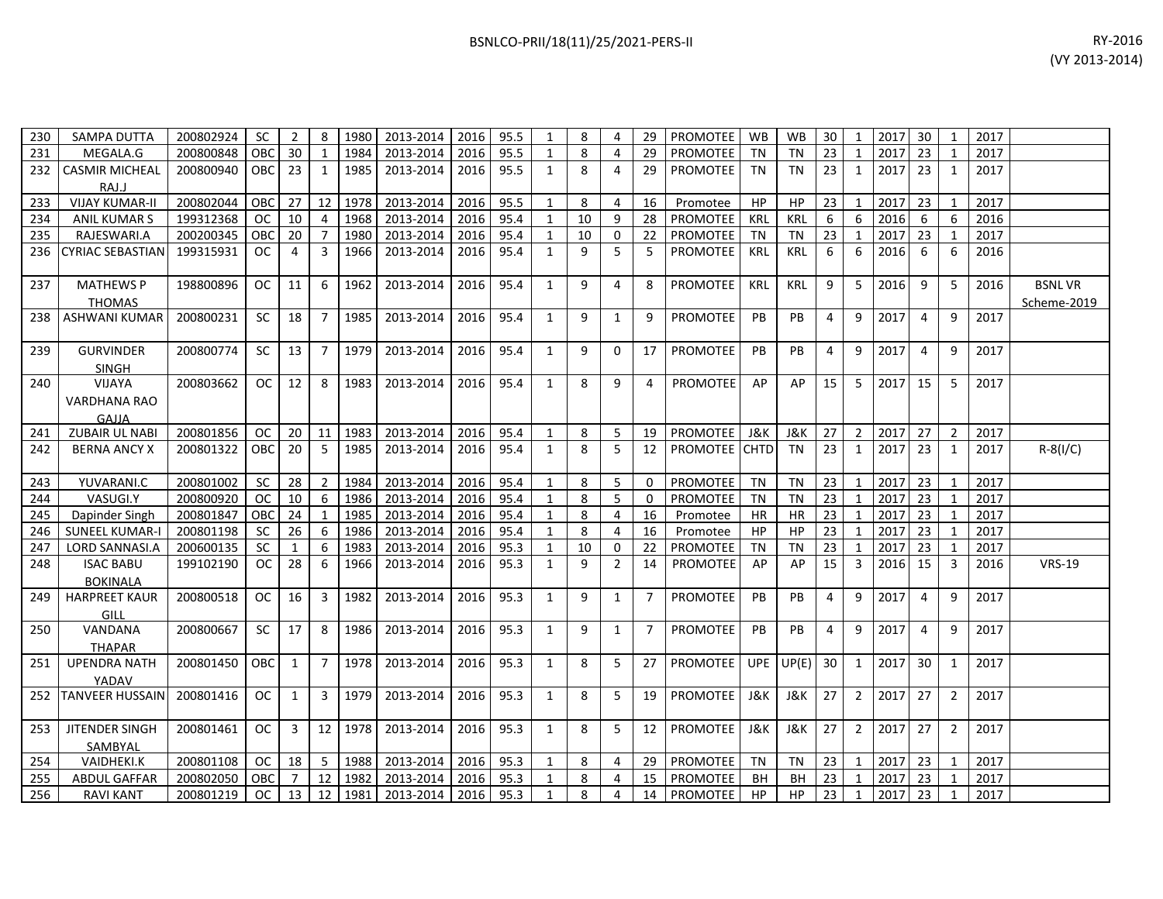| 230   | SAMPA DUTTA                      | 200802924 | <b>SC</b>  | 2   | 8  | 1980 | 2013-2014 |      | 2016 95.5 | 8  |          | 29 | PROMOTEE        | <b>WB</b>  | <b>WB</b>  | 30 |    | 2017 | 30 |   | 2017 |               |
|-------|----------------------------------|-----------|------------|-----|----|------|-----------|------|-----------|----|----------|----|-----------------|------------|------------|----|----|------|----|---|------|---------------|
| 231   | MEGALA.G                         | 200800848 | OBC.       | 30  |    | 1984 | 2013-2014 | 2016 | 95.5      | 8  |          | 29 | PROMOTEE        | ΤN         | TN         | 23 |    | 2017 | 23 |   | 2017 |               |
| 232   | <b>CASMIR MICHEAL</b>            | 200800940 | OBC I      | -23 |    | 1985 | 2013-2014 | 2016 | 95.5      | 8  | 4        | 29 | <b>PROMOTEE</b> | TN         | TN         | 23 |    | 2017 | 23 |   | 2017 |               |
|       | RAJ.J                            |           |            |     |    |      |           |      |           |    |          |    |                 |            |            |    |    |      |    |   |      |               |
| 233   | <b>VIJAY KUMAR-II</b>            | 200802044 | <b>OBC</b> | 27  | 12 | 1978 | 2013-2014 | 2016 | 95.5      | 8  |          | 16 | Promotee        | HP         | HP         | 23 |    | 2017 | 23 |   | 2017 |               |
| 234   | <b>ANIL KUMAR S</b>              | 199312368 | ОC         | 10  |    | 1968 | 2013-2014 | 2016 | 95.4      | 10 | 9        | 28 | PROMOTEE        | KRL        | <b>KRL</b> |    | h  | 2016 | 6  | 6 | 2016 |               |
| 235   | RAJESWARI.A                      | 200200345 | OBC        | 20  |    | 1980 | 2013-2014 | 2016 | 95.4      | 10 |          | 22 | PROMOTEE        | TN         | <b>TN</b>  | 23 |    | 2017 | 23 |   | 2017 |               |
|       | 236 CYRIAC SEBASTIAN             | 199315931 | ОC         | 4   |    | 1966 | 2013-2014 | 2016 | 95.4      | 9  |          |    | <b>PROMOTEE</b> | <b>KRL</b> | <b>KRL</b> | 6  | 6. | 2016 | 6  | 6 | 2016 |               |
| 237   | <b>MATHEWS P</b>                 | 198800896 | <b>OC</b>  | 11  | 6  | 1962 | 2013-2014 | 2016 | 95.4      | 9  | 4        | 8  | <b>PROMOTEE</b> | <b>KRL</b> | KRL        | 9  | 5  | 2016 | 9  | 5 | 2016 | <b>BSNLVR</b> |
|       | <b>THOMAS</b>                    |           |            |     |    |      |           |      |           |    |          |    |                 |            |            |    |    |      |    |   |      | Scheme-2019   |
| 238 l | ASHWANI KUMAR                    | 200800231 | <b>SC</b>  | 18  |    | 1985 | 2013-2014 | 2016 | 95.4      | 9  |          | 9  | <b>PROMOTEE</b> | <b>PB</b>  | <b>PB</b>  |    | 9  | 2017 | 4  | 9 | 2017 |               |
| 239   | <b>GURVINDER</b><br><b>SINGH</b> | 200800774 | <b>SC</b>  | 13  |    | 1979 | 2013-2014 | 2016 | 95.4      | 9  | $\Omega$ | 17 | <b>PROMOTEE</b> | <b>PB</b>  | PB         |    | -9 | 2017 | 4  | 9 | 2017 |               |
| 240   | <b>VIJAYA</b><br>VARDHANA RAO    | 200803662 | ОC         | 12  | 8  | 1983 | 2013-2014 | 2016 | 95.4      | 8  | 9        | 4  | <b>PROMOTEE</b> | AP         | AP         | 15 |    | 2017 | 15 | 5 | 2017 |               |

241 | ZUBAIR UL NABI | 200801856 | OC | 20 | 11 | 1983 | 2013-2014 | 2016 | 95.4 | 1 | 8 | 5 | 19 | PROMOTEE | J&K | J&K | 27 | 2 |2017 | 27 | 2 | 2017

243 | YUVARANI.C |200801002 | SC | 28 | 2 |1984 |2013-2014 |2016 |95.4 | 1 | 8 | 5 | 0 |PROMOTEE | TN | TN |23 | 1 |2017 |23 | 1 |2017 244 | VASUGI.Y 200800920 | OC | 10 | 6 |1986 |2013-2014 |2016 |95.4 | 1 | 8 | 5 | 0 |PROMOTEE | TN | TN |23 | 1 |2017 |23 | 1 |2017 245 | Dapinder Singh | 200801847 | OBC | 24 | 1 | 1985 | 2013-2014 | 2016 | 95.4 | 1 | 8 | 4 | 16 | Promotee | HR | HR | 23 | 1 | 2017 | 23 | 1 | 2017 246 SUNEEL KUMAR-I 200801198 SC 26 6 1986 2013-2014 2016 95.4 1 8 4 16 Promotee HP HP 23 1 2017 23 1 2017 247 | LORD SANNASI.A | 200600135 | SC | 1 | 6 |1983| 2013-2014 | 2016 | 95.3 | 1 | 10 | 0 | 22 |PROMOTEE | TN | TN | 23 | 1 |2017 | 23 | 1 | 2017

252 |TANVEER HUSSAIN| 200801416 | OC | 1 | 3 |1979| 2013-2014 | 2016| 95.3 | 1 | 8 | 5 | 19 |PROMOTEE | J&K | J&K | 27 | 2 |2017| 27 | 2 |2017

254 | VAIDHEKI.K | 200801108 | OC | 18 | 5 | 1988 | 2013-2014 | 2016 | 95.3 | 1 | 8 | 4 | 29 |PROMOTEE | TN | TN | 23 | 1 | 2017 | 23 | 1 | 2017 255 | ABDULGAFFAR | 200802050 |OBC| 7 | 12 | 1982 | 2013-2014 | 2016 | 95.3 | 1 | 8 | 4 | 15 |PROMOTEE | BH | BH | 23 | 1 |2017 | 23 | 1 | 2017 256 | RAVI KANT | 200801219 | OC | 13 | 12 | 1981 | 2013-2014 | 2016 | 95.3 | 1 | 8 | 4 | 14 | PROMOTEE | HP | HP | 23 | 1 |2017 | 23 | 1 | 2017

242 | BERNA ANCY X | 200801322 |OBC| 20 | 5 |1985| 2013-2014 |2016| 95.4 | 1 | 8 | 5 | 12 |PROMOTEE |CHTD| TN |23 | 1 |2017| 23 | 1 |2017| R-8(I/C)

199102190 | OC | 28 | 6 | 1966 | 2013-2014 | 2016 | 95.3 | 1 | 9 | 2 | 14 | PROMOTEE | AP | AP | 15 | 3 | 2016 | 15 | 3 | 2016 | VRS-19

200800518 OC 16 3 1982 2013-2014 2016 95.3 1 9 1 7 PROMOTEE PB PB 4 9 2017 4 9 2017

200800667 | SC | 17 | 8 |1986| 2013-2014 | 2016| 95.3 | 1 | 9 | 1 | 7 | PROMOTEE | PB | PB | 4 | 9 |2017| 4 | 9 |2017

200801450 | OBC | 1 | 7 | 1978 | 2013-2014 | 2016 | 95.3 | 1 | 8 | 5 | 27 | PROMOTEE | UPE |UP(E)| 30 | 1 | 2017 | 30 | 1 | 2017

200801461 | OC | 3 | 12 |1978| 2013-2014 | 2016| 95.3 | 1 | 8 | 5 | 12 |PROMOTEE | J&K | J&K | 27 | 2 |2017| 27 | 2 |2017

GAJJA<br>ZUBAJR UL NABI

248 | ISAC BABU

250 VANDANA

249 HARPREET KAUR GILL

251 UPENDRA NATH

253 JITENDER SINGH

BOKINALA

THAPAR

**MADAV**<br>TANVEER HUSSAIN

SAMBYAL<br>VAIDHEKI.K

| BSNLCO-PRII/18(11)/25/2021-PERS-II | RY-2016 |
|------------------------------------|---------|
|------------------------------------|---------|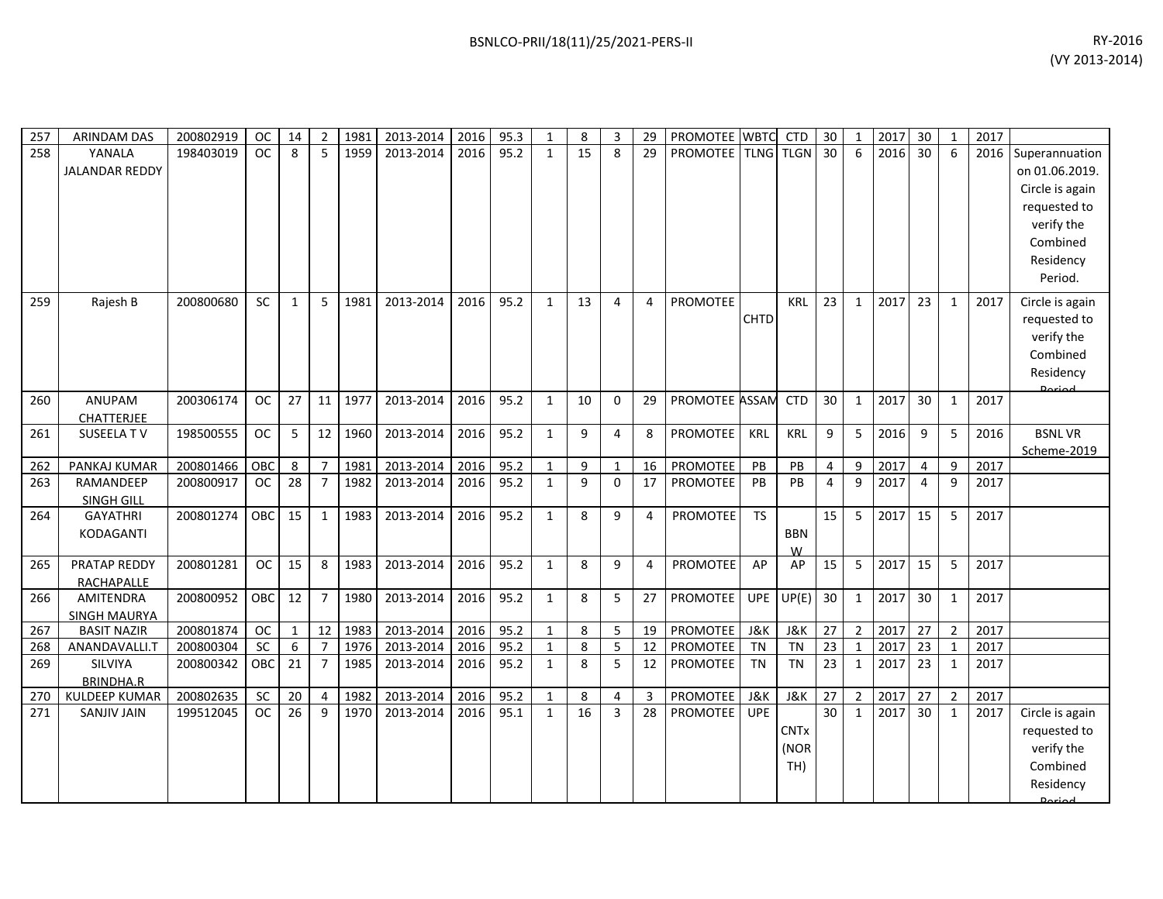| 8<br>5<br>1959<br>95.2<br>15<br><b>PROMOTEE</b> TLNG TLGN<br>2016<br>$6 \overline{6}$<br>258<br>YANALA<br>198403019<br><b>OC</b><br>8<br>2013-2014<br>2016<br>$\mathbf{1}$<br>29<br>30<br>$6\overline{6}$<br>30<br>2016<br><b>JALANDAR REDDY</b><br>verify the<br>Combined<br>Residency<br>Period.<br>23<br>23<br>259<br>Rajesh B<br>200800680<br><b>SC</b><br>1981<br>2013-2014<br>2016<br>95.2<br>$\mathbf{1}$<br>13<br>$\overline{4}$<br><b>PROMOTEE</b><br><b>KRL</b><br>2017<br>2017<br>$\mathbf{1}$<br>5<br>4<br>$\mathbf{1}$<br>$\mathbf{1}$<br>Circle is again<br><b>CHTD</b><br>requested to<br>verify the<br>Combined<br>Residency<br>Doriad<br>ANUPAM<br>PROMOTEE ASSAM<br><b>CTD</b><br>30<br>260<br>200306174<br><b>OC</b><br>27<br>11 <sup>1</sup><br>1977<br>2013-2014<br>2016<br>95.2<br>$\mathbf{1}$<br>10<br>$\Omega$<br>29<br>$\mathbf{1}$<br>2017<br>30<br>$\mathbf{1}$<br>2017<br><b>CHATTERJEE</b><br>2013-2014<br>95.2<br><b>PROMOTEE</b><br>2016<br>5<br><b>BSNLVR</b><br>198500555<br><b>OC</b><br>5<br>12 1960<br>2016<br>$\mathbf{1}$<br>9<br>4<br>8<br>KRL<br><b>KRL</b><br>9<br>5<br>9<br>2016<br>261<br>SUSEELA TV<br>95.2<br>200801466<br>OBC<br>1981<br>2013-2014<br>2016<br>9<br>PROMOTEE<br>PB<br>PB<br>9<br>2017<br>9<br>2017<br>262<br>PANKAJ KUMAR<br>8<br>$\overline{7}$<br>$\mathbf{1}$<br>16<br>$\overline{4}$<br>4<br>1<br>$\overline{0}$<br>$\overline{28}$<br>9<br>RAMANDEEP<br>$\overline{7}$<br>1982<br>95.2<br>$\mathbf{q}$<br>17<br>PROMOTEE<br>PB<br>2017<br>9<br>200800917<br><b>OC</b><br>2013-2014<br>2016<br>$\mathbf{1}$<br>PB<br>$\overline{4}$<br>2017<br>263<br>4<br>SINGH GILL<br>2013-2014<br>95.2<br><b>TS</b><br>15<br>2017<br>15<br><b>GAYATHRI</b><br>200801274<br><b>OBC</b><br>15<br>1983<br>2016<br>$\mathbf{1}$<br>8<br>9<br>4<br><b>PROMOTEE</b><br>5<br>5<br>2017<br>264<br>1<br><b>BBN</b><br>KODAGANTI<br>W<br>PRATAP REDDY<br>2013-2014<br>95.2<br>15<br>2017<br>200801281<br><b>OC</b><br>8<br>1983<br>2016<br>$\mathbf{1}$<br>8<br>9<br>PROMOTEE<br>AP<br>AP<br>5<br>15<br>5<br>2017<br>265<br>15<br>4<br>RACHAPALLE<br>$U\overline{P}(E)$<br>95.2<br>5<br>30<br>2017<br>AMITENDRA<br>200800952<br>OBC<br>12<br>$\overline{7}$<br>1980<br>2013-2014<br>2016<br>$\mathbf{1}$<br>8<br>27<br>PROMOTEE<br><b>UPE</b><br>30<br>2017<br>266<br>$\mathbf{1}$<br>$\mathbf{1}$<br><b>SINGH MAURYA</b><br>95.2<br>200801874<br><b>OC</b><br>12 1983<br>2013-2014<br>2016<br>8<br>PROMOTEE<br><b>J&amp;K</b><br>J&K<br>27<br>$\overline{2}$<br>2017<br>27<br>267<br><b>BASIT NAZIR</b><br>$\mathbf{1}$<br>5<br>19<br>$\overline{2}$<br>2017<br>1<br>$\overline{5}$<br>$\overline{23}$<br>SC<br>6<br>$\overline{7}$<br>1976<br>95.2<br>8<br>12<br><b>TN</b><br>2017<br>23<br>200800304<br>2013-2014<br>2016<br>$\mathbf{1}$<br>PROMOTEE<br><b>TN</b><br>$\mathbf{1}$<br>$\mathbf{1}$<br>2017<br>268<br>ANANDAVALLI.T<br>5 <sup>1</sup><br>23<br>2017<br>SILVIYA<br>200800342<br>21<br>$\overline{7}$<br>1985<br>2013-2014<br>2016<br>95.2<br>8<br>PROMOTEE<br><b>TN</b><br>$\mathbf{1}$<br>23<br>2017<br>269<br>OBC<br>$\mathbf{1}$<br>12<br><b>TN</b><br>$\mathbf{1}$<br><b>BRINDHA.R</b> | 257 | <b>ARINDAM DAS</b> | 200802919 | <b>OC</b> | 14 | $\overline{2}$ | 1981 | 2013-2014 | 2016 | 95.3 | $\mathbf{1}$ | 8 | 3 | 29 | PROMOTEE WBTC | <b>CTD</b> | 30 | $\mathbf{1}$ | 2017 | 30 | $\mathbf{1}$ | 2017 |                 |
|---------------------------------------------------------------------------------------------------------------------------------------------------------------------------------------------------------------------------------------------------------------------------------------------------------------------------------------------------------------------------------------------------------------------------------------------------------------------------------------------------------------------------------------------------------------------------------------------------------------------------------------------------------------------------------------------------------------------------------------------------------------------------------------------------------------------------------------------------------------------------------------------------------------------------------------------------------------------------------------------------------------------------------------------------------------------------------------------------------------------------------------------------------------------------------------------------------------------------------------------------------------------------------------------------------------------------------------------------------------------------------------------------------------------------------------------------------------------------------------------------------------------------------------------------------------------------------------------------------------------------------------------------------------------------------------------------------------------------------------------------------------------------------------------------------------------------------------------------------------------------------------------------------------------------------------------------------------------------------------------------------------------------------------------------------------------------------------------------------------------------------------------------------------------------------------------------------------------------------------------------------------------------------------------------------------------------------------------------------------------------------------------------------------------------------------------------------------------------------------------------------------------------------------------------------------------------------------------------------------------------------------------------------------------------------------------------------------------------------------------------------------------------------------------------------------------------------------------------------------------------------------------------------------------------------------------------------------------------------------------------------------------------------------------------------------------------------------------------------------------------------------------------------|-----|--------------------|-----------|-----------|----|----------------|------|-----------|------|------|--------------|---|---|----|---------------|------------|----|--------------|------|----|--------------|------|-----------------|
|                                                                                                                                                                                                                                                                                                                                                                                                                                                                                                                                                                                                                                                                                                                                                                                                                                                                                                                                                                                                                                                                                                                                                                                                                                                                                                                                                                                                                                                                                                                                                                                                                                                                                                                                                                                                                                                                                                                                                                                                                                                                                                                                                                                                                                                                                                                                                                                                                                                                                                                                                                                                                                                                                                                                                                                                                                                                                                                                                                                                                                                                                                                                                         |     |                    |           |           |    |                |      |           |      |      |              |   |   |    |               |            |    |              |      |    |              |      | Superannuation  |
|                                                                                                                                                                                                                                                                                                                                                                                                                                                                                                                                                                                                                                                                                                                                                                                                                                                                                                                                                                                                                                                                                                                                                                                                                                                                                                                                                                                                                                                                                                                                                                                                                                                                                                                                                                                                                                                                                                                                                                                                                                                                                                                                                                                                                                                                                                                                                                                                                                                                                                                                                                                                                                                                                                                                                                                                                                                                                                                                                                                                                                                                                                                                                         |     |                    |           |           |    |                |      |           |      |      |              |   |   |    |               |            |    |              |      |    |              |      | on 01.06.2019.  |
|                                                                                                                                                                                                                                                                                                                                                                                                                                                                                                                                                                                                                                                                                                                                                                                                                                                                                                                                                                                                                                                                                                                                                                                                                                                                                                                                                                                                                                                                                                                                                                                                                                                                                                                                                                                                                                                                                                                                                                                                                                                                                                                                                                                                                                                                                                                                                                                                                                                                                                                                                                                                                                                                                                                                                                                                                                                                                                                                                                                                                                                                                                                                                         |     |                    |           |           |    |                |      |           |      |      |              |   |   |    |               |            |    |              |      |    |              |      | Circle is again |
|                                                                                                                                                                                                                                                                                                                                                                                                                                                                                                                                                                                                                                                                                                                                                                                                                                                                                                                                                                                                                                                                                                                                                                                                                                                                                                                                                                                                                                                                                                                                                                                                                                                                                                                                                                                                                                                                                                                                                                                                                                                                                                                                                                                                                                                                                                                                                                                                                                                                                                                                                                                                                                                                                                                                                                                                                                                                                                                                                                                                                                                                                                                                                         |     |                    |           |           |    |                |      |           |      |      |              |   |   |    |               |            |    |              |      |    |              |      | requested to    |
|                                                                                                                                                                                                                                                                                                                                                                                                                                                                                                                                                                                                                                                                                                                                                                                                                                                                                                                                                                                                                                                                                                                                                                                                                                                                                                                                                                                                                                                                                                                                                                                                                                                                                                                                                                                                                                                                                                                                                                                                                                                                                                                                                                                                                                                                                                                                                                                                                                                                                                                                                                                                                                                                                                                                                                                                                                                                                                                                                                                                                                                                                                                                                         |     |                    |           |           |    |                |      |           |      |      |              |   |   |    |               |            |    |              |      |    |              |      |                 |
|                                                                                                                                                                                                                                                                                                                                                                                                                                                                                                                                                                                                                                                                                                                                                                                                                                                                                                                                                                                                                                                                                                                                                                                                                                                                                                                                                                                                                                                                                                                                                                                                                                                                                                                                                                                                                                                                                                                                                                                                                                                                                                                                                                                                                                                                                                                                                                                                                                                                                                                                                                                                                                                                                                                                                                                                                                                                                                                                                                                                                                                                                                                                                         |     |                    |           |           |    |                |      |           |      |      |              |   |   |    |               |            |    |              |      |    |              |      |                 |
|                                                                                                                                                                                                                                                                                                                                                                                                                                                                                                                                                                                                                                                                                                                                                                                                                                                                                                                                                                                                                                                                                                                                                                                                                                                                                                                                                                                                                                                                                                                                                                                                                                                                                                                                                                                                                                                                                                                                                                                                                                                                                                                                                                                                                                                                                                                                                                                                                                                                                                                                                                                                                                                                                                                                                                                                                                                                                                                                                                                                                                                                                                                                                         |     |                    |           |           |    |                |      |           |      |      |              |   |   |    |               |            |    |              |      |    |              |      |                 |
|                                                                                                                                                                                                                                                                                                                                                                                                                                                                                                                                                                                                                                                                                                                                                                                                                                                                                                                                                                                                                                                                                                                                                                                                                                                                                                                                                                                                                                                                                                                                                                                                                                                                                                                                                                                                                                                                                                                                                                                                                                                                                                                                                                                                                                                                                                                                                                                                                                                                                                                                                                                                                                                                                                                                                                                                                                                                                                                                                                                                                                                                                                                                                         |     |                    |           |           |    |                |      |           |      |      |              |   |   |    |               |            |    |              |      |    |              |      |                 |
|                                                                                                                                                                                                                                                                                                                                                                                                                                                                                                                                                                                                                                                                                                                                                                                                                                                                                                                                                                                                                                                                                                                                                                                                                                                                                                                                                                                                                                                                                                                                                                                                                                                                                                                                                                                                                                                                                                                                                                                                                                                                                                                                                                                                                                                                                                                                                                                                                                                                                                                                                                                                                                                                                                                                                                                                                                                                                                                                                                                                                                                                                                                                                         |     |                    |           |           |    |                |      |           |      |      |              |   |   |    |               |            |    |              |      |    |              |      |                 |
|                                                                                                                                                                                                                                                                                                                                                                                                                                                                                                                                                                                                                                                                                                                                                                                                                                                                                                                                                                                                                                                                                                                                                                                                                                                                                                                                                                                                                                                                                                                                                                                                                                                                                                                                                                                                                                                                                                                                                                                                                                                                                                                                                                                                                                                                                                                                                                                                                                                                                                                                                                                                                                                                                                                                                                                                                                                                                                                                                                                                                                                                                                                                                         |     |                    |           |           |    |                |      |           |      |      |              |   |   |    |               |            |    |              |      |    |              |      |                 |
|                                                                                                                                                                                                                                                                                                                                                                                                                                                                                                                                                                                                                                                                                                                                                                                                                                                                                                                                                                                                                                                                                                                                                                                                                                                                                                                                                                                                                                                                                                                                                                                                                                                                                                                                                                                                                                                                                                                                                                                                                                                                                                                                                                                                                                                                                                                                                                                                                                                                                                                                                                                                                                                                                                                                                                                                                                                                                                                                                                                                                                                                                                                                                         |     |                    |           |           |    |                |      |           |      |      |              |   |   |    |               |            |    |              |      |    |              |      |                 |
|                                                                                                                                                                                                                                                                                                                                                                                                                                                                                                                                                                                                                                                                                                                                                                                                                                                                                                                                                                                                                                                                                                                                                                                                                                                                                                                                                                                                                                                                                                                                                                                                                                                                                                                                                                                                                                                                                                                                                                                                                                                                                                                                                                                                                                                                                                                                                                                                                                                                                                                                                                                                                                                                                                                                                                                                                                                                                                                                                                                                                                                                                                                                                         |     |                    |           |           |    |                |      |           |      |      |              |   |   |    |               |            |    |              |      |    |              |      |                 |
|                                                                                                                                                                                                                                                                                                                                                                                                                                                                                                                                                                                                                                                                                                                                                                                                                                                                                                                                                                                                                                                                                                                                                                                                                                                                                                                                                                                                                                                                                                                                                                                                                                                                                                                                                                                                                                                                                                                                                                                                                                                                                                                                                                                                                                                                                                                                                                                                                                                                                                                                                                                                                                                                                                                                                                                                                                                                                                                                                                                                                                                                                                                                                         |     |                    |           |           |    |                |      |           |      |      |              |   |   |    |               |            |    |              |      |    |              |      |                 |
|                                                                                                                                                                                                                                                                                                                                                                                                                                                                                                                                                                                                                                                                                                                                                                                                                                                                                                                                                                                                                                                                                                                                                                                                                                                                                                                                                                                                                                                                                                                                                                                                                                                                                                                                                                                                                                                                                                                                                                                                                                                                                                                                                                                                                                                                                                                                                                                                                                                                                                                                                                                                                                                                                                                                                                                                                                                                                                                                                                                                                                                                                                                                                         |     |                    |           |           |    |                |      |           |      |      |              |   |   |    |               |            |    |              |      |    |              |      |                 |
|                                                                                                                                                                                                                                                                                                                                                                                                                                                                                                                                                                                                                                                                                                                                                                                                                                                                                                                                                                                                                                                                                                                                                                                                                                                                                                                                                                                                                                                                                                                                                                                                                                                                                                                                                                                                                                                                                                                                                                                                                                                                                                                                                                                                                                                                                                                                                                                                                                                                                                                                                                                                                                                                                                                                                                                                                                                                                                                                                                                                                                                                                                                                                         |     |                    |           |           |    |                |      |           |      |      |              |   |   |    |               |            |    |              |      |    |              |      |                 |
|                                                                                                                                                                                                                                                                                                                                                                                                                                                                                                                                                                                                                                                                                                                                                                                                                                                                                                                                                                                                                                                                                                                                                                                                                                                                                                                                                                                                                                                                                                                                                                                                                                                                                                                                                                                                                                                                                                                                                                                                                                                                                                                                                                                                                                                                                                                                                                                                                                                                                                                                                                                                                                                                                                                                                                                                                                                                                                                                                                                                                                                                                                                                                         |     |                    |           |           |    |                |      |           |      |      |              |   |   |    |               |            |    |              |      |    |              |      |                 |
|                                                                                                                                                                                                                                                                                                                                                                                                                                                                                                                                                                                                                                                                                                                                                                                                                                                                                                                                                                                                                                                                                                                                                                                                                                                                                                                                                                                                                                                                                                                                                                                                                                                                                                                                                                                                                                                                                                                                                                                                                                                                                                                                                                                                                                                                                                                                                                                                                                                                                                                                                                                                                                                                                                                                                                                                                                                                                                                                                                                                                                                                                                                                                         |     |                    |           |           |    |                |      |           |      |      |              |   |   |    |               |            |    |              |      |    |              |      | Scheme-2019     |
|                                                                                                                                                                                                                                                                                                                                                                                                                                                                                                                                                                                                                                                                                                                                                                                                                                                                                                                                                                                                                                                                                                                                                                                                                                                                                                                                                                                                                                                                                                                                                                                                                                                                                                                                                                                                                                                                                                                                                                                                                                                                                                                                                                                                                                                                                                                                                                                                                                                                                                                                                                                                                                                                                                                                                                                                                                                                                                                                                                                                                                                                                                                                                         |     |                    |           |           |    |                |      |           |      |      |              |   |   |    |               |            |    |              |      |    |              |      |                 |
|                                                                                                                                                                                                                                                                                                                                                                                                                                                                                                                                                                                                                                                                                                                                                                                                                                                                                                                                                                                                                                                                                                                                                                                                                                                                                                                                                                                                                                                                                                                                                                                                                                                                                                                                                                                                                                                                                                                                                                                                                                                                                                                                                                                                                                                                                                                                                                                                                                                                                                                                                                                                                                                                                                                                                                                                                                                                                                                                                                                                                                                                                                                                                         |     |                    |           |           |    |                |      |           |      |      |              |   |   |    |               |            |    |              |      |    |              |      |                 |
|                                                                                                                                                                                                                                                                                                                                                                                                                                                                                                                                                                                                                                                                                                                                                                                                                                                                                                                                                                                                                                                                                                                                                                                                                                                                                                                                                                                                                                                                                                                                                                                                                                                                                                                                                                                                                                                                                                                                                                                                                                                                                                                                                                                                                                                                                                                                                                                                                                                                                                                                                                                                                                                                                                                                                                                                                                                                                                                                                                                                                                                                                                                                                         |     |                    |           |           |    |                |      |           |      |      |              |   |   |    |               |            |    |              |      |    |              |      |                 |
|                                                                                                                                                                                                                                                                                                                                                                                                                                                                                                                                                                                                                                                                                                                                                                                                                                                                                                                                                                                                                                                                                                                                                                                                                                                                                                                                                                                                                                                                                                                                                                                                                                                                                                                                                                                                                                                                                                                                                                                                                                                                                                                                                                                                                                                                                                                                                                                                                                                                                                                                                                                                                                                                                                                                                                                                                                                                                                                                                                                                                                                                                                                                                         |     |                    |           |           |    |                |      |           |      |      |              |   |   |    |               |            |    |              |      |    |              |      |                 |
|                                                                                                                                                                                                                                                                                                                                                                                                                                                                                                                                                                                                                                                                                                                                                                                                                                                                                                                                                                                                                                                                                                                                                                                                                                                                                                                                                                                                                                                                                                                                                                                                                                                                                                                                                                                                                                                                                                                                                                                                                                                                                                                                                                                                                                                                                                                                                                                                                                                                                                                                                                                                                                                                                                                                                                                                                                                                                                                                                                                                                                                                                                                                                         |     |                    |           |           |    |                |      |           |      |      |              |   |   |    |               |            |    |              |      |    |              |      |                 |
|                                                                                                                                                                                                                                                                                                                                                                                                                                                                                                                                                                                                                                                                                                                                                                                                                                                                                                                                                                                                                                                                                                                                                                                                                                                                                                                                                                                                                                                                                                                                                                                                                                                                                                                                                                                                                                                                                                                                                                                                                                                                                                                                                                                                                                                                                                                                                                                                                                                                                                                                                                                                                                                                                                                                                                                                                                                                                                                                                                                                                                                                                                                                                         |     |                    |           |           |    |                |      |           |      |      |              |   |   |    |               |            |    |              |      |    |              |      |                 |
|                                                                                                                                                                                                                                                                                                                                                                                                                                                                                                                                                                                                                                                                                                                                                                                                                                                                                                                                                                                                                                                                                                                                                                                                                                                                                                                                                                                                                                                                                                                                                                                                                                                                                                                                                                                                                                                                                                                                                                                                                                                                                                                                                                                                                                                                                                                                                                                                                                                                                                                                                                                                                                                                                                                                                                                                                                                                                                                                                                                                                                                                                                                                                         |     |                    |           |           |    |                |      |           |      |      |              |   |   |    |               |            |    |              |      |    |              |      |                 |
|                                                                                                                                                                                                                                                                                                                                                                                                                                                                                                                                                                                                                                                                                                                                                                                                                                                                                                                                                                                                                                                                                                                                                                                                                                                                                                                                                                                                                                                                                                                                                                                                                                                                                                                                                                                                                                                                                                                                                                                                                                                                                                                                                                                                                                                                                                                                                                                                                                                                                                                                                                                                                                                                                                                                                                                                                                                                                                                                                                                                                                                                                                                                                         |     |                    |           |           |    |                |      |           |      |      |              |   |   |    |               |            |    |              |      |    |              |      |                 |
|                                                                                                                                                                                                                                                                                                                                                                                                                                                                                                                                                                                                                                                                                                                                                                                                                                                                                                                                                                                                                                                                                                                                                                                                                                                                                                                                                                                                                                                                                                                                                                                                                                                                                                                                                                                                                                                                                                                                                                                                                                                                                                                                                                                                                                                                                                                                                                                                                                                                                                                                                                                                                                                                                                                                                                                                                                                                                                                                                                                                                                                                                                                                                         |     |                    |           |           |    |                |      |           |      |      |              |   |   |    |               |            |    |              |      |    |              |      |                 |
|                                                                                                                                                                                                                                                                                                                                                                                                                                                                                                                                                                                                                                                                                                                                                                                                                                                                                                                                                                                                                                                                                                                                                                                                                                                                                                                                                                                                                                                                                                                                                                                                                                                                                                                                                                                                                                                                                                                                                                                                                                                                                                                                                                                                                                                                                                                                                                                                                                                                                                                                                                                                                                                                                                                                                                                                                                                                                                                                                                                                                                                                                                                                                         |     |                    |           |           |    |                |      |           |      |      |              |   |   |    |               |            |    |              |      |    |              |      |                 |
|                                                                                                                                                                                                                                                                                                                                                                                                                                                                                                                                                                                                                                                                                                                                                                                                                                                                                                                                                                                                                                                                                                                                                                                                                                                                                                                                                                                                                                                                                                                                                                                                                                                                                                                                                                                                                                                                                                                                                                                                                                                                                                                                                                                                                                                                                                                                                                                                                                                                                                                                                                                                                                                                                                                                                                                                                                                                                                                                                                                                                                                                                                                                                         |     |                    |           |           |    |                |      |           |      |      |              |   |   |    |               |            |    |              |      |    |              |      |                 |
|                                                                                                                                                                                                                                                                                                                                                                                                                                                                                                                                                                                                                                                                                                                                                                                                                                                                                                                                                                                                                                                                                                                                                                                                                                                                                                                                                                                                                                                                                                                                                                                                                                                                                                                                                                                                                                                                                                                                                                                                                                                                                                                                                                                                                                                                                                                                                                                                                                                                                                                                                                                                                                                                                                                                                                                                                                                                                                                                                                                                                                                                                                                                                         |     |                    |           |           |    |                |      |           |      |      |              |   |   |    |               |            |    |              |      |    |              |      |                 |
| 2013-2014<br>2016<br>95.2<br>PROMOTEE<br><b>J&amp;K</b><br><b>J&amp;K</b><br>27<br>$\overline{2}$<br>2017<br>27<br>2017<br><b>KULDEEP KUMAR</b><br>200802635<br>SC<br>20<br>1982<br>$\mathbf{1}$<br>8<br>$\overline{4}$<br>3<br>$\overline{2}$<br>270<br>4                                                                                                                                                                                                                                                                                                                                                                                                                                                                                                                                                                                                                                                                                                                                                                                                                                                                                                                                                                                                                                                                                                                                                                                                                                                                                                                                                                                                                                                                                                                                                                                                                                                                                                                                                                                                                                                                                                                                                                                                                                                                                                                                                                                                                                                                                                                                                                                                                                                                                                                                                                                                                                                                                                                                                                                                                                                                                              |     |                    |           |           |    |                |      |           |      |      |              |   |   |    |               |            |    |              |      |    |              |      |                 |
| $\overline{3}$<br>26<br>30<br><b>OC</b><br>1970<br>95.1<br>$\mathbf{1}$<br>16<br>28<br><b>UPE</b><br>2017<br>30<br><b>SANJIV JAIN</b><br>199512045<br>9<br>2013-2014<br>2016<br>PROMOTEE<br>$\mathbf{1}$<br>$\mathbf{1}$<br>2017<br>271                                                                                                                                                                                                                                                                                                                                                                                                                                                                                                                                                                                                                                                                                                                                                                                                                                                                                                                                                                                                                                                                                                                                                                                                                                                                                                                                                                                                                                                                                                                                                                                                                                                                                                                                                                                                                                                                                                                                                                                                                                                                                                                                                                                                                                                                                                                                                                                                                                                                                                                                                                                                                                                                                                                                                                                                                                                                                                                 |     |                    |           |           |    |                |      |           |      |      |              |   |   |    |               |            |    |              |      |    |              |      | Circle is again |
| <b>CNTx</b>                                                                                                                                                                                                                                                                                                                                                                                                                                                                                                                                                                                                                                                                                                                                                                                                                                                                                                                                                                                                                                                                                                                                                                                                                                                                                                                                                                                                                                                                                                                                                                                                                                                                                                                                                                                                                                                                                                                                                                                                                                                                                                                                                                                                                                                                                                                                                                                                                                                                                                                                                                                                                                                                                                                                                                                                                                                                                                                                                                                                                                                                                                                                             |     |                    |           |           |    |                |      |           |      |      |              |   |   |    |               |            |    |              |      |    |              |      | requested to    |
| (NOR<br>verify the                                                                                                                                                                                                                                                                                                                                                                                                                                                                                                                                                                                                                                                                                                                                                                                                                                                                                                                                                                                                                                                                                                                                                                                                                                                                                                                                                                                                                                                                                                                                                                                                                                                                                                                                                                                                                                                                                                                                                                                                                                                                                                                                                                                                                                                                                                                                                                                                                                                                                                                                                                                                                                                                                                                                                                                                                                                                                                                                                                                                                                                                                                                                      |     |                    |           |           |    |                |      |           |      |      |              |   |   |    |               |            |    |              |      |    |              |      |                 |
| TH)<br>Combined                                                                                                                                                                                                                                                                                                                                                                                                                                                                                                                                                                                                                                                                                                                                                                                                                                                                                                                                                                                                                                                                                                                                                                                                                                                                                                                                                                                                                                                                                                                                                                                                                                                                                                                                                                                                                                                                                                                                                                                                                                                                                                                                                                                                                                                                                                                                                                                                                                                                                                                                                                                                                                                                                                                                                                                                                                                                                                                                                                                                                                                                                                                                         |     |                    |           |           |    |                |      |           |      |      |              |   |   |    |               |            |    |              |      |    |              |      |                 |
|                                                                                                                                                                                                                                                                                                                                                                                                                                                                                                                                                                                                                                                                                                                                                                                                                                                                                                                                                                                                                                                                                                                                                                                                                                                                                                                                                                                                                                                                                                                                                                                                                                                                                                                                                                                                                                                                                                                                                                                                                                                                                                                                                                                                                                                                                                                                                                                                                                                                                                                                                                                                                                                                                                                                                                                                                                                                                                                                                                                                                                                                                                                                                         |     |                    |           |           |    |                |      |           |      |      |              |   |   |    |               |            |    |              |      |    |              |      |                 |
| Residency                                                                                                                                                                                                                                                                                                                                                                                                                                                                                                                                                                                                                                                                                                                                                                                                                                                                                                                                                                                                                                                                                                                                                                                                                                                                                                                                                                                                                                                                                                                                                                                                                                                                                                                                                                                                                                                                                                                                                                                                                                                                                                                                                                                                                                                                                                                                                                                                                                                                                                                                                                                                                                                                                                                                                                                                                                                                                                                                                                                                                                                                                                                                               |     |                    |           |           |    |                |      |           |      |      |              |   |   |    |               |            |    |              |      |    |              |      |                 |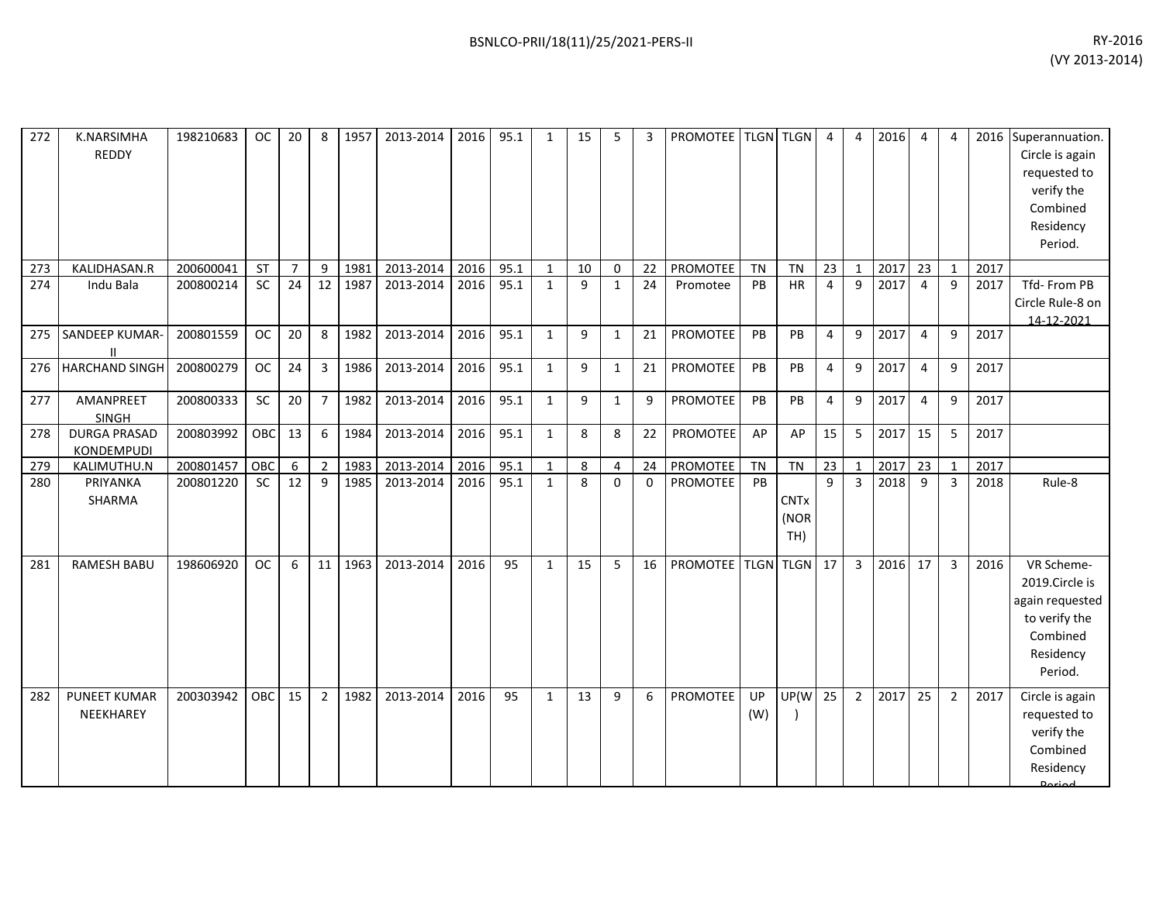| 272 | K.NARSIMHA<br><b>REDDY</b>               | 198210683 | <b>OC</b>  | 20             | 8               | 1957 | 2013-2014 | 2016 | 95.1 | 1            | 15 | 5            | 3           | PROMOTEE   TLGN   TLGN |           |                            | $\overline{4}$ | $\overline{4}$ | 2016 | $\overline{4}$ | 4              |      | 2016 Superannuation.<br>Circle is again<br>requested to<br>verify the<br>Combined<br>Residency<br>Period. |
|-----|------------------------------------------|-----------|------------|----------------|-----------------|------|-----------|------|------|--------------|----|--------------|-------------|------------------------|-----------|----------------------------|----------------|----------------|------|----------------|----------------|------|-----------------------------------------------------------------------------------------------------------|
| 273 | KALIDHASAN.R                             | 200600041 | ST         | $\overline{7}$ | $\mathsf{q}$    | 1981 | 2013-2014 | 2016 | 95.1 | 1            | 10 | $\Omega$     | 22          | PROMOTEE               | <b>TN</b> | <b>TN</b>                  | 23             | $\overline{1}$ | 2017 | 23             | $\mathbf{1}$   | 2017 |                                                                                                           |
| 274 | Indu Bala                                | 200800214 | <b>SC</b>  | 24             | 12              | 1987 | 2013-2014 | 2016 | 95.1 | $\mathbf{1}$ | 9  | $\mathbf{1}$ | 24          | Promotee               | PB        | <b>HR</b>                  | 4              | 9              | 2017 | $\overline{4}$ | 9              | 2017 | Tfd-From PB<br>Circle Rule-8 on<br>14-12-2021                                                             |
| 275 | SANDEEP KUMAR-<br>$\mathbf{I}$           | 200801559 | <b>OC</b>  | 20             | 8               | 1982 | 2013-2014 | 2016 | 95.1 | $\mathbf{1}$ | 9  | $\mathbf{1}$ | 21          | PROMOTEE               | PB        | PB                         | 4              | 9              | 2017 | $\overline{a}$ | 9              | 2017 |                                                                                                           |
| 276 | <b>HARCHAND SINGH</b>                    | 200800279 | OC         | 24             | $\overline{3}$  | 1986 | 2013-2014 | 2016 | 95.1 | 1            | 9  | $\mathbf{1}$ | 21          | PROMOTEE               | PB        | PB                         | 4              | 9              | 2017 | $\overline{4}$ | 9              | 2017 |                                                                                                           |
| 277 | AMANPREET<br>SINGH                       | 200800333 | SC         | 20             | $\overline{7}$  | 1982 | 2013-2014 | 2016 | 95.1 | $\mathbf{1}$ | 9  | $\mathbf{1}$ | 9           | PROMOTEE               | PB        | PB                         | $\overline{4}$ | 9              | 2017 | $\overline{4}$ | 9              | 2017 |                                                                                                           |
| 278 | <b>DURGA PRASAD</b><br><b>KONDEMPUDI</b> | 200803992 | OBC        | 13             | 6               | 1984 | 2013-2014 | 2016 | 95.1 | $\mathbf{1}$ | 8  | 8            | 22          | PROMOTEE               | AP        | AP                         | 15             | 5              | 2017 | 15             | 5              | 2017 |                                                                                                           |
| 279 | KALIMUTHU.N                              | 200801457 | OBC        | 6              | $\overline{2}$  | 1983 | 2013-2014 | 2016 | 95.1 | 1            | 8  | 4            | 24          | PROMOTEE               | <b>TN</b> | <b>TN</b>                  | 23             | $\mathbf{1}$   | 2017 | 23             | 1              | 2017 |                                                                                                           |
| 280 | PRIYANKA<br>SHARMA                       | 200801220 | SC         | 12             | 9               | 1985 | 2013-2014 | 2016 | 95.1 | $\mathbf{1}$ | 8  | $\mathbf 0$  | $\mathbf 0$ | PROMOTEE               | PB        | <b>CNTx</b><br>(NOR<br>TH) | 9              | $\overline{3}$ | 2018 | 9              | $\overline{3}$ | 2018 | Rule-8                                                                                                    |
| 281 | <b>RAMESH BABU</b>                       | 198606920 | <b>OC</b>  | 6              | 11 <sup>1</sup> | 1963 | 2013-2014 | 2016 | 95   | 1            | 15 | 5            | 16          | <b>PROMOTEE</b>        |           | TLGN TLGN 17               |                | $\overline{3}$ | 2016 | 17             | $\overline{3}$ | 2016 | VR Scheme-<br>2019.Circle is<br>again requested<br>to verify the<br>Combined<br>Residency<br>Period.      |
| 282 | <b>PUNEET KUMAR</b><br>NEEKHAREY         | 200303942 | <b>OBC</b> | 15             | $\overline{2}$  | 1982 | 2013-2014 | 2016 | 95   | 1            | 13 | 9            | 6           | <b>PROMOTEE</b>        | UP<br>(W) | UP(W                       | 25             | $\overline{2}$ | 2017 | 25             | $\overline{2}$ | 2017 | Circle is again<br>requested to<br>verify the<br>Combined<br>Residency                                    |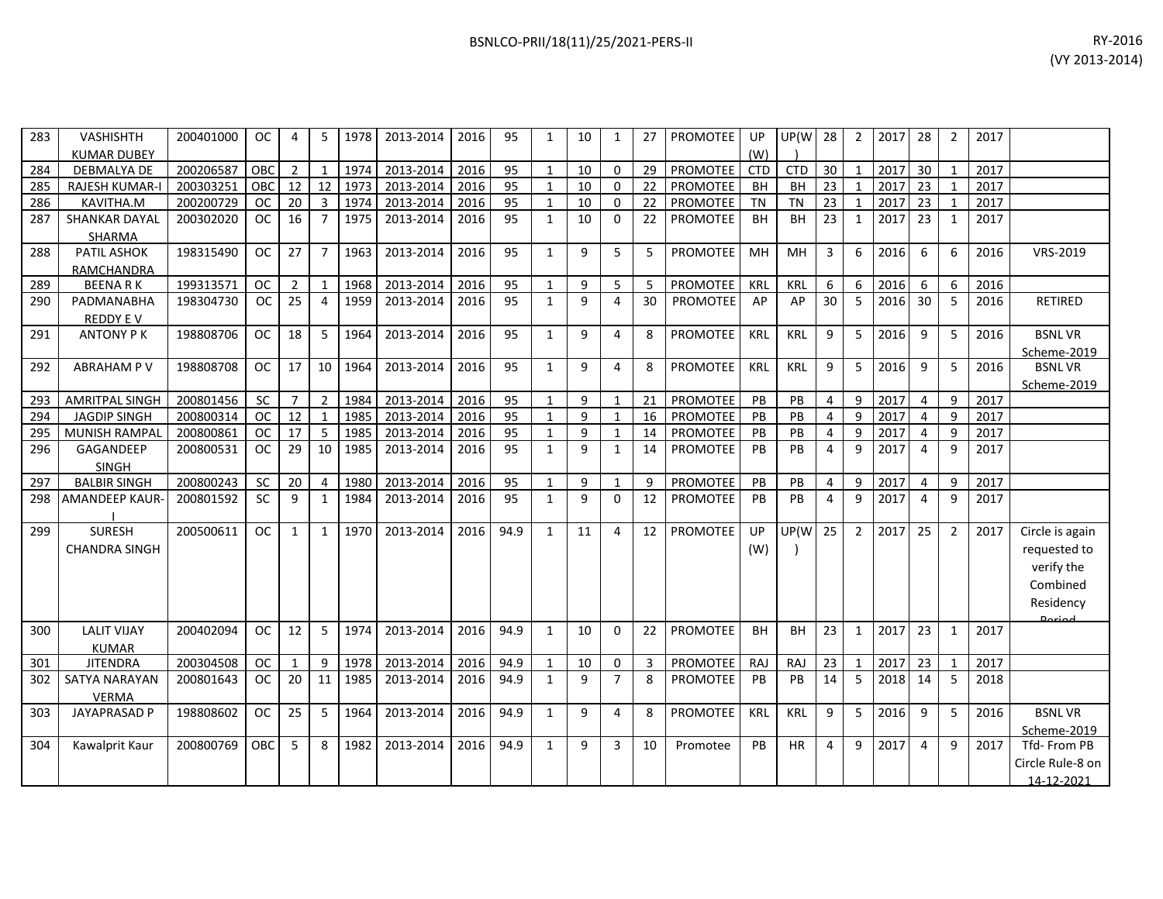| 283 | <b>VASHISHTH</b>      | 200401000 | <b>OC</b>  | 4              | 5              | 1978 | 2013-2014 | 2016 | 95   | $\mathbf{1}$ | 10 | $\mathbf{1}$   | 27              | PROMOTEE        | UP         | UP(W       | 28              | $\overline{2}$ | 2017 | 28             | $\overline{2}$ | 2017 |                  |
|-----|-----------------------|-----------|------------|----------------|----------------|------|-----------|------|------|--------------|----|----------------|-----------------|-----------------|------------|------------|-----------------|----------------|------|----------------|----------------|------|------------------|
|     | <b>KUMAR DUBEY</b>    |           |            |                |                |      |           |      |      |              |    |                |                 |                 | (W)        |            |                 |                |      |                |                |      |                  |
| 284 | DEBMALYA DE           | 200206587 | OBC        | $\overline{2}$ | $\mathbf{1}$   | 1974 | 2013-2014 | 2016 | 95   | $\mathbf{1}$ | 10 | $\Omega$       | 29              | <b>PROMOTEE</b> | <b>CTD</b> | <b>CTD</b> | 30              | $\mathbf{1}$   | 2017 | 30             | $\overline{1}$ | 2017 |                  |
| 285 | <b>RAJESH KUMAR-I</b> | 200303251 | OBC        | 12             | 12             | 1973 | 2013-2014 | 2016 | 95   | $\mathbf{1}$ | 10 | $\Omega$       | 22              | <b>PROMOTEE</b> | <b>BH</b>  | BH         | $\overline{23}$ | $\mathbf{1}$   | 2017 | 23             | $\mathbf{1}$   | 2017 |                  |
| 286 | KAVITHA.M             | 200200729 | <b>OC</b>  | 20             | $\overline{3}$ | 1974 | 2013-2014 | 2016 | 95   | $\mathbf{1}$ | 10 | $\Omega$       | 22              | PROMOTEE        | <b>TN</b>  | <b>TN</b>  | 23              | $\mathbf{1}$   | 2017 | 23             | -1             | 2017 |                  |
| 287 | <b>SHANKAR DAYAL</b>  | 200302020 | <b>OC</b>  | 16             | $\overline{7}$ | 1975 | 2013-2014 | 2016 | 95   | $\mathbf{1}$ | 10 | $\Omega$       | 22              | PROMOTEE        | <b>BH</b>  | <b>BH</b>  | 23              | $\mathbf{1}$   | 2017 | 23             | $\mathbf{1}$   | 2017 |                  |
|     | <b>SHARMA</b>         |           |            |                |                |      |           |      |      |              |    |                |                 |                 |            |            |                 |                |      |                |                |      |                  |
| 288 | <b>PATIL ASHOK</b>    | 198315490 | <b>OC</b>  | 27             | $\overline{7}$ | 1963 | 2013-2014 | 2016 | 95   | $\mathbf{1}$ | 9  | 5              | 5               | <b>PROMOTEE</b> | MH         | MH         | 3               | 6              | 2016 | 6              | 6              | 2016 | VRS-2019         |
|     | RAMCHANDRA            |           |            |                |                |      |           |      |      |              |    |                |                 |                 |            |            |                 |                |      |                |                |      |                  |
| 289 | <b>BEENARK</b>        | 199313571 | <b>OC</b>  | $\overline{2}$ | $\mathbf{1}$   | 1968 | 2013-2014 | 2016 | 95   | $\mathbf{1}$ | 9  | 5              | 5               | PROMOTEE        | KRL        | KRL        | 6               | 6              | 2016 | 6              | 6              | 2016 |                  |
| 290 | PADMANABHA            | 198304730 | OC         | 25             | $\overline{4}$ | 1959 | 2013-2014 | 2016 | 95   | $\mathbf{1}$ | 9  | 4              | 30 <sup>°</sup> | <b>PROMOTEE</b> | AP         | AP         | 30              | 5              | 2016 | 30             | 5              | 2016 | <b>RETIRED</b>   |
|     | <b>REDDY EV</b>       |           |            |                |                |      |           |      |      |              |    |                |                 |                 |            |            |                 |                |      |                |                |      |                  |
| 291 | <b>ANTONY PK</b>      | 198808706 | <b>OC</b>  | 18             | 5              | 1964 | 2013-2014 | 2016 | 95   | $\mathbf{1}$ | 9  | 4              | 8               | PROMOTEE        | KRL        | KRL        | 9               | 5              | 2016 | 9              | 5              | 2016 | <b>BSNLVR</b>    |
|     |                       |           |            |                |                |      |           |      |      |              |    |                |                 |                 |            |            |                 |                |      |                |                |      | Scheme-2019      |
| 292 | <b>ABRAHAM P V</b>    | 198808708 | <b>OC</b>  | 17             | 10             | 1964 | 2013-2014 | 2016 | 95   | $\mathbf{1}$ | 9  | 4              | 8               | <b>PROMOTEE</b> | <b>KRL</b> | <b>KRL</b> | 9               | 5              | 2016 | 9              | 5              | 2016 | <b>BSNLVR</b>    |
|     |                       |           |            |                |                |      |           |      |      |              |    |                |                 |                 |            |            |                 |                |      |                |                |      | Scheme-2019      |
| 293 | <b>AMRITPAL SINGH</b> | 200801456 | SC         | $\overline{7}$ | $\overline{2}$ | 1984 | 2013-2014 | 2016 | 95   | $\mathbf{1}$ | 9  | $\mathbf{1}$   | 21              | <b>PROMOTEE</b> | PB         | PB         | $\overline{4}$  | 9              | 2017 | $\overline{4}$ | $\mathbf{q}$   | 2017 |                  |
| 294 | <b>JAGDIP SINGH</b>   | 200800314 | <b>OC</b>  | 12             | 1              | 1985 | 2013-2014 | 2016 | 95   | $\mathbf{1}$ | 9  | $\mathbf{1}$   | 16              | <b>PROMOTEE</b> | PB         | PB         | $\overline{4}$  | 9              | 2017 | $\overline{4}$ | 9              | 2017 |                  |
| 295 | MUNISH RAMPAL         | 200800861 | <b>OC</b>  | 17             | 5              | 1985 | 2013-2014 | 2016 | 95   | $\mathbf{1}$ | 9  | 1              | 14              | PROMOTEE        | PB         | PB         | $\overline{4}$  | 9              | 2017 | $\overline{4}$ | 9              | 2017 |                  |
| 296 | GAGANDEEP             | 200800531 | <b>OC</b>  | 29             | 10             | 1985 | 2013-2014 | 2016 | 95   | $\mathbf{1}$ | 9  | $\mathbf{1}$   | 14              | <b>PROMOTEE</b> | PB         | PB         | $\overline{4}$  | 9              | 2017 | 4              | 9              | 2017 |                  |
|     | <b>SINGH</b>          |           |            |                |                |      |           |      |      |              |    |                |                 |                 |            |            |                 |                |      |                |                |      |                  |
| 297 | <b>BALBIR SINGH</b>   | 200800243 | <b>SC</b>  | 20             | $\overline{4}$ | 1980 | 2013-2014 | 2016 | 95   | $\mathbf{1}$ | 9  | $\mathbf{1}$   | 9               | <b>PROMOTEE</b> | PB         | PB         | $\overline{4}$  | 9              | 2017 | $\overline{4}$ | $\mathbf{q}$   | 2017 |                  |
| 298 | AMANDEEP KAUR-        | 200801592 | <b>SC</b>  | 9              | $\mathbf{1}$   | 1984 | 2013-2014 | 2016 | 95   | $\mathbf{1}$ | 9  | $\Omega$       | 12              | <b>PROMOTEE</b> | PB         | PB         | 4               | 9              | 2017 | $\overline{4}$ | $\mathsf{q}$   | 2017 |                  |
| 299 | <b>SURESH</b>         | 200500611 | <b>OC</b>  | $\mathbf{1}$   | $\mathbf{1}$   | 1970 | 2013-2014 | 2016 | 94.9 | $\mathbf{1}$ | 11 | 4              | 12              | <b>PROMOTEE</b> | UP         | UP(W       | 25              | $\overline{2}$ | 2017 | 25             | $\overline{2}$ | 2017 | Circle is again  |
|     | <b>CHANDRA SINGH</b>  |           |            |                |                |      |           |      |      |              |    |                |                 |                 | (W)        |            |                 |                |      |                |                |      | requested to     |
|     |                       |           |            |                |                |      |           |      |      |              |    |                |                 |                 |            |            |                 |                |      |                |                |      | verify the       |
|     |                       |           |            |                |                |      |           |      |      |              |    |                |                 |                 |            |            |                 |                |      |                |                |      | Combined         |
|     |                       |           |            |                |                |      |           |      |      |              |    |                |                 |                 |            |            |                 |                |      |                |                |      |                  |
|     |                       |           |            |                |                |      |           |      |      |              |    |                |                 |                 |            |            |                 |                |      |                |                |      | Residency        |
| 300 | <b>LALIT VIJAY</b>    | 200402094 | <b>OC</b>  | 12             | 5              | 1974 | 2013-2014 | 2016 | 94.9 | $\mathbf{1}$ | 10 | $\Omega$       | 22              | <b>PROMOTEE</b> | <b>BH</b>  | <b>BH</b>  | 23              | $\mathbf{1}$   | 2017 | 23             | 1              | 2017 | لممنعمه          |
|     | <b>KUMAR</b>          |           |            |                |                |      |           |      |      |              |    |                |                 |                 |            |            |                 |                |      |                |                |      |                  |
| 301 | <b>JITENDRA</b>       | 200304508 | <b>OC</b>  | $\mathbf{1}$   | 9              | 1978 | 2013-2014 | 2016 | 94.9 | $\mathbf{1}$ | 10 | 0              | 3               | <b>PROMOTEE</b> | <b>RAJ</b> | RAJ        | 23              | $\mathbf{1}$   | 2017 | 23             | $\overline{1}$ | 2017 |                  |
| 302 | <b>SATYA NARAYAN</b>  | 200801643 | <b>OC</b>  | 20             | 11             | 1985 | 2013-2014 | 2016 | 94.9 | $\mathbf{1}$ | 9  | $\overline{7}$ | 8               | <b>PROMOTEE</b> | PB         | PB         | 14              | 5              | 2018 | 14             | 5              | 2018 |                  |
|     | <b>VERMA</b>          |           |            |                |                |      |           |      |      |              |    |                |                 |                 |            |            |                 |                |      |                |                |      |                  |
| 303 | <b>JAYAPRASAD P</b>   | 198808602 | <b>OC</b>  | 25             | 5              | 1964 | 2013-2014 | 2016 | 94.9 | $\mathbf{1}$ | 9  | 4              | 8               | <b>PROMOTEE</b> | <b>KRL</b> | <b>KRL</b> | 9               | 5              | 2016 | 9              | 5              | 2016 | <b>BSNLVR</b>    |
|     |                       |           |            |                |                |      |           |      |      |              |    |                |                 |                 |            |            |                 |                |      |                |                |      | Scheme-2019      |
| 304 | Kawalprit Kaur        | 200800769 | <b>OBC</b> | 5              | 8              | 1982 | 2013-2014 | 2016 | 94.9 | $\mathbf{1}$ | 9  | 3              | 10              | Promotee        | PB         | HR         | $\overline{4}$  | 9              | 2017 | $\overline{4}$ | 9              | 2017 | Tfd-From PB      |
|     |                       |           |            |                |                |      |           |      |      |              |    |                |                 |                 |            |            |                 |                |      |                |                |      | Circle Rule-8 on |
|     |                       |           |            |                |                |      |           |      |      |              |    |                |                 |                 |            |            |                 |                |      |                |                |      | 14-12-2021       |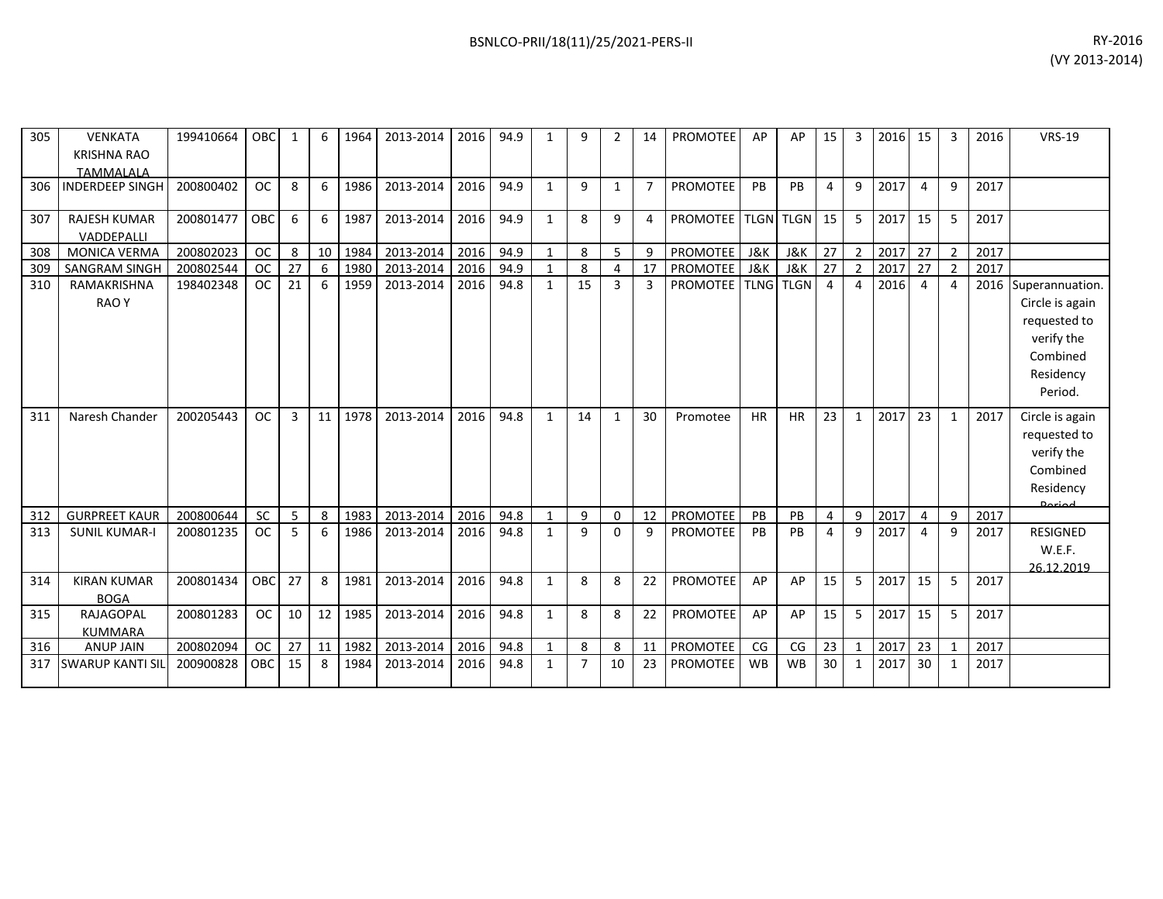|     |                          |           |            |     |     |      |                |      |      |    |   |               |                             |           |             |                |                |        |                |   |      | $V \cup 2013 - 2017$ |
|-----|--------------------------|-----------|------------|-----|-----|------|----------------|------|------|----|---|---------------|-----------------------------|-----------|-------------|----------------|----------------|--------|----------------|---|------|----------------------|
|     |                          |           |            |     |     |      |                |      |      |    |   |               |                             |           |             |                |                |        |                |   |      |                      |
|     |                          |           |            |     |     |      |                |      |      |    |   |               |                             |           |             |                |                |        |                |   |      |                      |
| 305 | <b>VENKATA</b>           | 199410664 | OBC        |     | 6   | 1964 | 2013-2014      | 2016 | 94.9 | 9  |   | 14            | <b>PROMOTEE</b>             | AP        | AP          | 15             | 3              | 2016   | 15             | 3 | 2016 | <b>VRS-19</b>        |
|     |                          |           |            |     |     |      |                |      |      |    |   |               |                             |           |             |                |                |        |                |   |      |                      |
|     | KRISHNA RAO<br>TAMMALALA |           |            |     |     |      |                |      |      |    |   |               |                             |           |             |                |                |        |                |   |      |                      |
|     | 306 INDERDEEP SINGH      | 200800402 | OC.        | 8   | 6   | 1986 | 2013-2014      | 2016 | 94.9 | 9  |   | $\mathcal{I}$ | <b>PROMOTEE</b>             | <b>PB</b> | <b>PB</b>   | 4              | 9              | 2017   | $\overline{4}$ | 9 | 2017 |                      |
|     |                          |           |            |     |     |      |                |      |      |    |   |               |                             |           |             |                |                |        |                |   |      |                      |
| 307 | <b>RAJESH KUMAR</b>      | 200801477 | <b>OBC</b> | 6   | -6  | 1987 | 2013-2014      | 2016 | 94.9 | 8  | 9 | 4             | PROMOTEE   TLGN   TLGN   15 |           |             |                |                | 5 2017 | 15             | 5 | 2017 |                      |
|     | VADDEPALLI               |           |            |     |     |      |                |      |      |    |   |               |                             |           |             |                |                |        |                |   |      |                      |
| 308 | <b>MONICA VERMA</b>      | 200802023 | <b>OC</b>  | 8   | 10  | 1984 | 2013-2014 2016 |      | 94.9 | 8  | 5 | 9             | <b>PROMOTEE</b>             | J&K       | J&K         | 27             | 2 <sub>1</sub> | 2017   | 27             |   | 2017 |                      |
|     | 309   SANGRAM SINGH      | 200802544 | OC.        | -27 | - 6 | 1980 | 2013-2014 2016 |      | 94.9 | 8  |   |               | <b>PROMOTEE</b>             | J&K       | J&K         | 27             | 2 <sup>1</sup> | 2017   | 27             |   | 2017 |                      |
| 310 | RAMAKRISHNA              | 198402348 | OC         | 21  | - 6 | 1959 | 2013-2014      | 2016 | 94.8 | 15 | 3 | 3             | <b>PROMOTEE   TLNG</b>      |           | <b>TLGN</b> | $\overline{4}$ | $\overline{4}$ | 2016   | 4              |   |      | 2016 Superannuation. |
|     | RAO Y                    |           |            |     |     |      |                |      |      |    |   |               |                             |           |             |                |                |        |                |   |      | Circle is again      |
|     |                          |           |            |     |     |      |                |      |      |    |   |               |                             |           |             |                |                |        |                |   |      | requested to         |
|     |                          |           |            |     |     |      |                |      |      |    |   |               |                             |           |             |                |                |        |                |   |      | verify the           |

| 307 | <b>RAJESH KUMAR</b>        | 200801477 | <b>OBC</b> | 6  |    | 1987 | 2013-2014 | 2016 | 94.9 |              | 8            | q            |    | PROMOTEE   TLGN   TLGN   15 |           |           |                | 5              | 2017 15 |    | 5              | 2017 |                                         |
|-----|----------------------------|-----------|------------|----|----|------|-----------|------|------|--------------|--------------|--------------|----|-----------------------------|-----------|-----------|----------------|----------------|---------|----|----------------|------|-----------------------------------------|
|     | VADDEPALLI                 |           |            |    |    |      |           |      |      |              |              |              |    |                             |           |           |                |                |         |    |                |      |                                         |
| 308 | <b>MONICA VERMA</b>        | 200802023 | <b>OC</b>  | 8  | 10 | 1984 | 2013-2014 | 2016 | 94.9 |              | 8            | 5            | 9  | <b>PROMOTEE</b> J&K         |           | J&K       | 27             | $\overline{2}$ | 2017    | 27 | $\overline{2}$ | 2017 |                                         |
| 309 | <b>SANGRAM SINGH</b>       | 200802544 | <b>OC</b>  | 27 | 6  | 1980 | 2013-2014 | 2016 | 94.9 |              | 8            | 4            | 17 | PROMOTEE J&K                |           | J&K       | 27             | $\overline{2}$ | 2017    | 27 |                | 2017 |                                         |
| 310 | RAMAKRISHNA<br><b>RAOY</b> | 198402348 | <b>OC</b>  | 21 | 6  | 1959 | 2013-2014 | 2016 | 94.8 | $\mathbf{1}$ | 15           | 3            | 3  | PROMOTEE TLNG TLGN          |           |           | $\overline{a}$ | 4              | 2016    | 4  |                |      | 2016 Superannuation.<br>Circle is again |
|     |                            |           |            |    |    |      |           |      |      |              |              |              |    |                             |           |           |                |                |         |    |                |      | requested to                            |
|     |                            |           |            |    |    |      |           |      |      |              |              |              |    |                             |           |           |                |                |         |    |                |      | verify the                              |
|     |                            |           |            |    |    |      |           |      |      |              |              |              |    |                             |           |           |                |                |         |    |                |      | Combined                                |
|     |                            |           |            |    |    |      |           |      |      |              |              |              |    |                             |           |           |                |                |         |    |                |      | Residency                               |
|     |                            |           |            |    |    |      |           |      |      |              |              |              |    |                             |           |           |                |                |         |    |                |      | Period.                                 |
| 311 | Naresh Chander             | 200205443 | <b>OC</b>  | 3  | 11 | 1978 | 2013-2014 | 2016 | 94.8 | $\mathbf{1}$ | 14           | $\mathbf{1}$ | 30 | Promotee                    | <b>HR</b> | <b>HR</b> | 23             | $\mathbf{1}$   | 2017    | 23 | $\mathbf{1}$   | 2017 | Circle is again                         |
|     |                            |           |            |    |    |      |           |      |      |              |              |              |    |                             |           |           |                |                |         |    |                |      | requested to                            |
|     |                            |           |            |    |    |      |           |      |      |              |              |              |    |                             |           |           |                |                |         |    |                |      | verify the                              |
|     |                            |           |            |    |    |      |           |      |      |              |              |              |    |                             |           |           |                |                |         |    |                |      | Combined                                |
|     |                            |           |            |    |    |      |           |      |      |              |              |              |    |                             |           |           |                |                |         |    |                |      | Residency                               |
| 312 | <b>GURPREET KAUR</b>       | 200800644 | SC         | 5  | 8  | 1983 | 2013-2014 | 2016 | 94.8 |              | 9            | 0            | 12 | <b>PROMOTEE</b>             | PB        | PB        | $\overline{4}$ | 9              | 2017    | 4  | 9              | 2017 |                                         |
| 313 | <b>SUNIL KUMAR-I</b>       | 200801235 | <b>OC</b>  | 5  | 6  | 1986 | 2013-2014 | 2016 | 94.8 | $\mathbf{1}$ | 9            | $\Omega$     | 9  | <b>PROMOTEE</b>             | PB        | PB        | 4              | 9              | 2017    | 4  | 9              | 2017 | <b>RESIGNED</b>                         |
|     |                            |           |            |    |    |      |           |      |      |              |              |              |    |                             |           |           |                |                |         |    |                |      | W.E.F.                                  |
|     |                            |           |            |    |    |      |           |      |      |              |              |              |    |                             |           |           |                |                |         |    |                |      | 26.12.2019                              |
| 314 | <b>KIRAN KUMAR</b>         | 200801434 | <b>OBC</b> | 27 | 8  | 1981 | 2013-2014 | 2016 | 94.8 | $\mathbf{1}$ | 8            | 8            | 22 | <b>PROMOTEE</b>             | AP        | AP        | 15             | 5              | 2017    | 15 | 5              | 2017 |                                         |
|     | <b>BOGA</b>                |           |            |    |    |      |           |      |      |              |              |              |    |                             |           |           |                |                |         |    |                |      |                                         |
| 315 | <b>RAJAGOPAL</b>           | 200801283 | <b>OC</b>  | 10 | 12 | 1985 | 2013-2014 | 2016 | 94.8 | $\mathbf{1}$ | $\mathbf{8}$ | 8            | 22 | <b>PROMOTEE</b>             | AP        | AP        | 15             | 5              | 2017    | 15 | 5              | 2017 |                                         |
|     | <b>KUMMARA</b>             |           |            |    |    |      |           |      |      |              |              |              |    |                             |           |           |                |                |         |    |                |      |                                         |
| 316 | <b>ANUP JAIN</b>           | 200802094 | <b>OC</b>  | 27 | 11 | 1982 | 2013-2014 | 2016 | 94.8 |              | 8            | 8            | 11 | PROMOTEE                    | CG        | CG        | 23             |                | 2017    | 23 |                | 2017 |                                         |
| 317 | <b>SWARUP KANTI SI</b>     | 200900828 | OBC        | 15 | 8  | 1984 | 2013-2014 | 2016 | 94.8 | 1            |              | 10           | 23 | <b>PROMOTEE</b>             | <b>WB</b> | <b>WB</b> | 30             | 1              | 2017    | 30 |                | 2017 |                                         |
|     |                            |           |            |    |    |      |           |      |      |              |              |              |    |                             |           |           |                |                |         |    |                |      |                                         |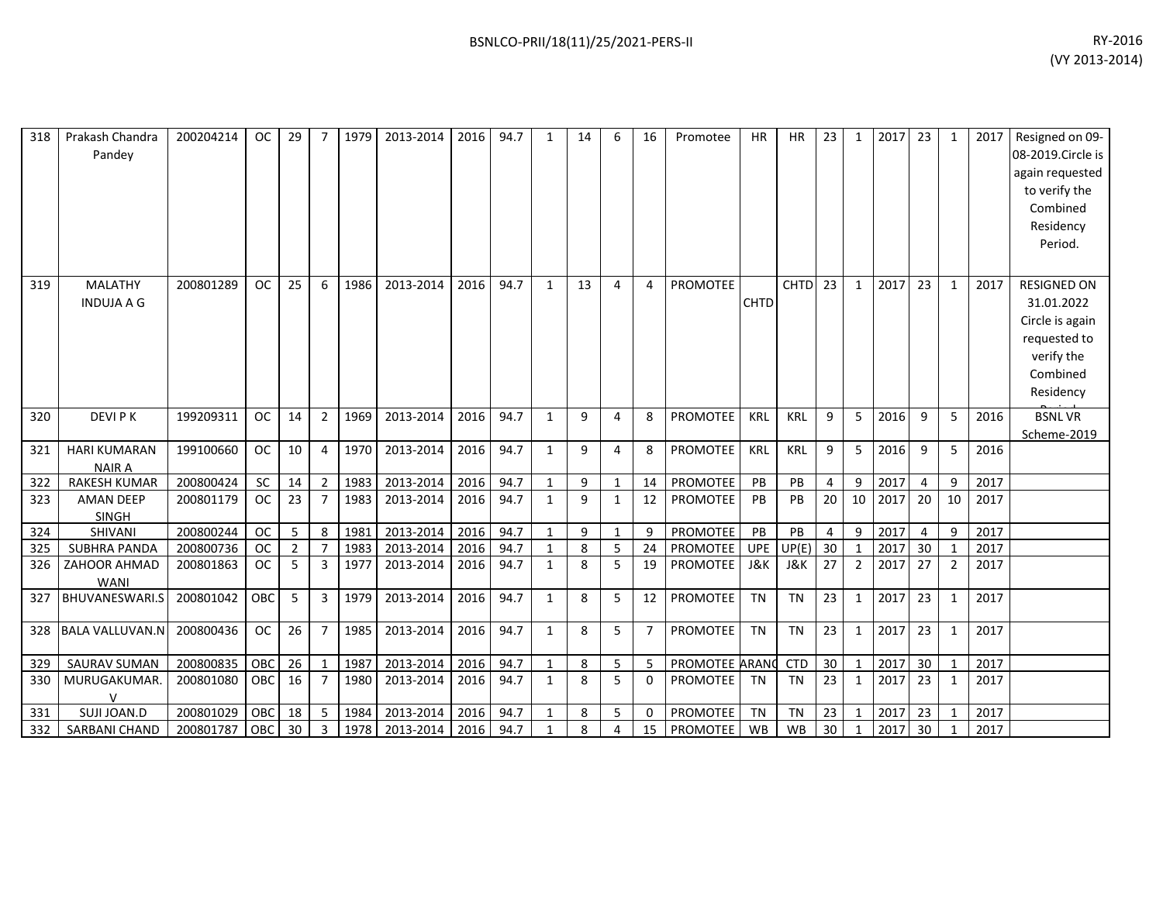| 318 | Prakash Chandra<br>Pandey            | 200204214 | <b>OC</b>  | 29             |                | 1979 | 2013-2014 | 2016 | 94.7 | $\mathbf{1}$ | 14 | 6              | 16             | Promotee        | <b>HR</b>   | <b>HR</b>   | 23             | $\mathbf{1}$   | 2017 | 23             | $\mathbf{1}$   | 2017 | Resigned on 09-<br>08-2019. Circle is<br>again requested<br>to verify the<br>Combined<br>Residency<br>Period. |
|-----|--------------------------------------|-----------|------------|----------------|----------------|------|-----------|------|------|--------------|----|----------------|----------------|-----------------|-------------|-------------|----------------|----------------|------|----------------|----------------|------|---------------------------------------------------------------------------------------------------------------|
| 319 | <b>MALATHY</b><br><b>INDUJA A G</b>  | 200801289 | <b>OC</b>  | 25             | 6              | 1986 | 2013-2014 | 2016 | 94.7 | $\mathbf{1}$ | 13 | $\overline{4}$ | 4              | <b>PROMOTEE</b> | <b>CHTD</b> | <b>CHTD</b> | 23             | 1              | 2017 | 23             | $\mathbf{1}$   | 2017 | <b>RESIGNED ON</b><br>31.01.2022<br>Circle is again<br>requested to<br>verify the<br>Combined<br>Residency    |
| 320 | <b>DEVIPK</b>                        | 199209311 | OC         | 14             | 2              | 1969 | 2013-2014 | 2016 | 94.7 | 1            | 9  | 4              | 8              | <b>PROMOTEE</b> | KRL         | KRL         | 9              | 5              | 2016 | 9              | 5              | 2016 | <b>BSNLVR</b><br>Scheme-2019                                                                                  |
| 321 | <b>HARI KUMARAN</b><br><b>NAIR A</b> | 199100660 | <b>OC</b>  | 10             | 4              | 1970 | 2013-2014 | 2016 | 94.7 | $\mathbf{1}$ | 9  | 4              | 8              | <b>PROMOTEE</b> | <b>KRL</b>  | <b>KRL</b>  | 9              | 5              | 2016 | 9              | 5              | 2016 |                                                                                                               |
| 322 | <b>RAKESH KUMAR</b>                  | 200800424 | <b>SC</b>  | 14             | 2              | 1983 | 2013-2014 | 2016 | 94.7 | $\mathbf{1}$ | 9  | $\mathbf{1}$   | 14             | PROMOTEE        | PB          | PB          | $\overline{4}$ | 9              | 2017 | $\overline{4}$ | 9              | 2017 |                                                                                                               |
| 323 | <b>AMAN DEEP</b><br>SINGH            | 200801179 | <b>OC</b>  | 23             | $\overline{7}$ | 1983 | 2013-2014 | 2016 | 94.7 | $\mathbf{1}$ | 9  | $\mathbf{1}$   | 12             | <b>PROMOTEE</b> | <b>PB</b>   | PB          | 20             | 10             | 2017 | 20             | 10             | 2017 |                                                                                                               |
| 324 | SHIVANI                              | 200800244 | <b>OC</b>  | 5              | 8              | 1981 | 2013-2014 | 2016 | 94.7 | $\mathbf{1}$ | 9  | $\mathbf{1}$   | 9              | PROMOTEE        | PB          | PB          | 4              | 9              | 2017 | 4              | 9              | 2017 |                                                                                                               |
| 325 | <b>SUBHRA PANDA</b>                  | 200800736 | OC         | $\overline{2}$ | $\overline{7}$ | 1983 | 2013-2014 | 2016 | 94.7 | 1            | 8  | 5              | 24             | PROMOTEE        | <b>UPE</b>  | UP(E)       | 30             | $\mathbf{1}$   | 2017 | 30             | $\mathbf{1}$   | 2017 |                                                                                                               |
| 326 | ZAHOOR AHMAD<br><b>WANI</b>          | 200801863 | <b>OC</b>  | 5              | 3              | 1977 | 2013-2014 | 2016 | 94.7 | 1            | 8  | 5              | 19             | PROMOTEE        | J&K         | J&K         | 27             | $\overline{2}$ | 2017 | 27             | $\overline{2}$ | 2017 |                                                                                                               |
| 327 | <b>BHUVANESWARI.S</b>                | 200801042 | <b>OBC</b> | 5              | $\overline{3}$ | 1979 | 2013-2014 | 2016 | 94.7 | $\mathbf{1}$ | 8  | 5              | 12             | <b>PROMOTEE</b> | <b>TN</b>   | <b>TN</b>   | 23             | $\mathbf{1}$   | 2017 | 23             | $\mathbf{1}$   | 2017 |                                                                                                               |
| 328 | <b>BALA VALLUVAN.N</b>               | 200800436 | OC         | 26             | $\overline{7}$ | 1985 | 2013-2014 | 2016 | 94.7 | $\mathbf{1}$ | 8  | 5              | $\overline{7}$ | PROMOTEE        | TN          | <b>TN</b>   | 23             | $\mathbf{1}$   | 2017 | 23             | $\mathbf{1}$   | 2017 |                                                                                                               |
| 329 | <b>SAURAV SUMAN</b>                  | 200800835 | OBC        | 26             | $\overline{1}$ | 1987 | 2013-2014 | 2016 | 94.7 | $\mathbf{1}$ | 8  | 5              | 5              | PROMOTEE ARANO  |             | <b>CTD</b>  | 30             | $\mathbf{1}$   | 2017 | 30             | $\mathbf{1}$   | 2017 |                                                                                                               |
| 330 | MURUGAKUMAR.<br>$\vee$               | 200801080 | OBC        | 16             | $\overline{7}$ | 1980 | 2013-2014 | 2016 | 94.7 | $\mathbf{1}$ | 8  | 5              | 0              | PROMOTEE        | <b>TN</b>   | <b>TN</b>   | 23             | $\mathbf{1}$   | 2017 | 23             | $\mathbf{1}$   | 2017 |                                                                                                               |
| 331 | SUJI JOAN.D                          | 200801029 | OBC        | 18             | 5              | 1984 | 2013-2014 | 2016 | 94.7 | $\mathbf{1}$ | 8  | 5              | $\mathbf 0$    | PROMOTEE        | <b>TN</b>   | <b>TN</b>   | 23             | $\mathbf{1}$   | 2017 | 23             |                | 2017 |                                                                                                               |
| 332 | SARBANI CHAND                        | 200801787 | OBC        | 30             | $\overline{3}$ | 1978 | 2013-2014 | 2016 | 94.7 | $\mathbf{1}$ | 8  | 4              | 15             | PROMOTEE        | <b>WB</b>   | <b>WB</b>   | 30             | $\mathbf{1}$   | 2017 | 30             |                | 2017 |                                                                                                               |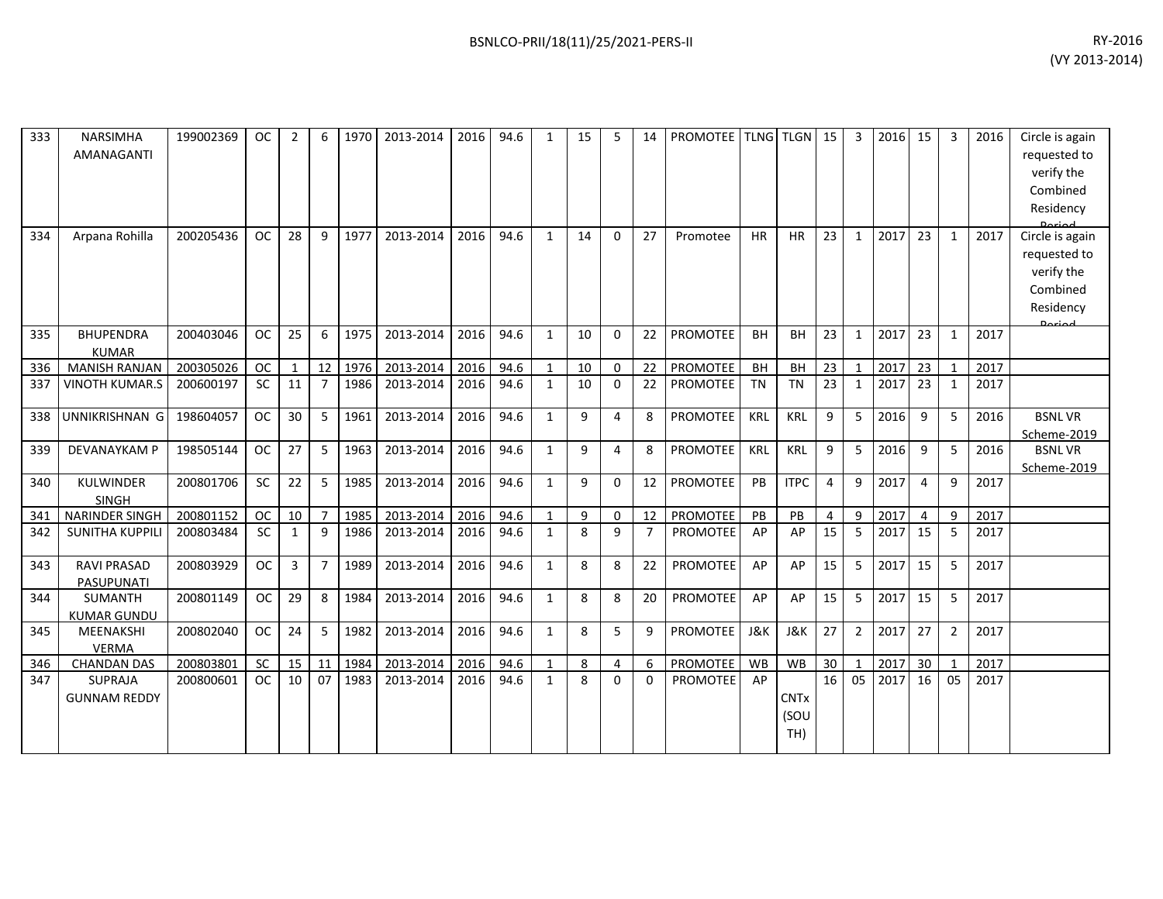| 333 | <b>NARSIMHA</b><br>AMANAGANTI    | 199002369 | <b>OC</b> | $\overline{2}$  | 6              | 1970 | 2013-2014 | 2016 | 94.6 | $\mathbf{1}$ | 15 | 5           | 14             | <b>PROMOTEE TLNG TLGN</b> 15 |            |                            |                 | 3              | 2016 | 15 | 3              | 2016 | Circle is again<br>requested to<br>verify the<br>Combined<br>Residency<br>لمهنعها |
|-----|----------------------------------|-----------|-----------|-----------------|----------------|------|-----------|------|------|--------------|----|-------------|----------------|------------------------------|------------|----------------------------|-----------------|----------------|------|----|----------------|------|-----------------------------------------------------------------------------------|
| 334 | Arpana Rohilla                   | 200205436 | <b>OC</b> | 28              | q              | 1977 | 2013-2014 | 2016 | 94.6 | $\mathbf{1}$ | 14 | $\Omega$    | 27             | Promotee                     | <b>HR</b>  | <b>HR</b>                  | 23              | $\mathbf{1}$   | 2017 | 23 | $\mathbf{1}$   | 2017 | Circle is again<br>requested to<br>verify the<br>Combined<br>Residency<br>لممنعمه |
| 335 | <b>BHUPENDRA</b><br><b>KUMAR</b> | 200403046 | <b>OC</b> | 25              | 6              | 1975 | 2013-2014 | 2016 | 94.6 | $\mathbf{1}$ | 10 | $\Omega$    | 22             | <b>PROMOTEE</b>              | <b>BH</b>  | <b>BH</b>                  | 23              | $\mathbf{1}$   | 2017 | 23 | $\mathbf{1}$   | 2017 |                                                                                   |
| 336 | <b>MANISH RANJAN</b>             | 200305026 | <b>OC</b> | $\mathbf{1}$    | 12             | 1976 | 2013-2014 | 2016 | 94.6 | $\mathbf{1}$ | 10 | $\mathbf 0$ | 22             | <b>PROMOTEE</b>              | BH         | BH                         | 23              | $\mathbf{1}$   | 2017 | 23 | $\mathbf{1}$   | 2017 |                                                                                   |
| 337 | <b>VINOTH KUMAR.S</b>            | 200600197 | <b>SC</b> | 11              | 7              | 1986 | 2013-2014 | 2016 | 94.6 | $\mathbf{1}$ | 10 | 0           | 22             | <b>PROMOTEE</b>              | <b>TN</b>  | TN                         | 23              | 1              | 2017 | 23 | $\mathbf{1}$   | 2017 |                                                                                   |
| 338 | UNNIKRISHNAN G                   | 198604057 | <b>OC</b> | 30              | 5              | 1961 | 2013-2014 | 2016 | 94.6 | $\mathbf{1}$ | 9  | 4           | 8              | PROMOTEE                     | KRL        | <b>KRL</b>                 | 9               | 5              | 2016 | 9  | 5              | 2016 | <b>BSNLVR</b><br>Scheme-2019                                                      |
| 339 | DEVANAYKAM P                     | 198505144 | <b>OC</b> | 27              | 5              | 1963 | 2013-2014 | 2016 | 94.6 | $\mathbf{1}$ | 9  | 4           | 8              | PROMOTEE                     | <b>KRL</b> | <b>KRL</b>                 | 9               | 5              | 2016 | 9  | 5              | 2016 | <b>BSNLVR</b><br>Scheme-2019                                                      |
| 340 | KULWINDER<br><b>SINGH</b>        | 200801706 | <b>SC</b> | 22              | 5              | 1985 | 2013-2014 | 2016 | 94.6 | $\mathbf{1}$ | 9  | 0           | 12             | <b>PROMOTEE</b>              | PB         | <b>ITPC</b>                | 4               | 9              | 2017 | 4  | 9              | 2017 |                                                                                   |
| 341 | NARINDER SINGH                   | 200801152 | <b>OC</b> | 10 <sup>1</sup> | $\overline{7}$ | 1985 | 2013-2014 | 2016 | 94.6 | $\mathbf{1}$ | 9  | $\mathbf 0$ | 12             | PROMOTEE                     | PB         | PB                         | $\overline{4}$  | 9              | 2017 | 4  | 9              | 2017 |                                                                                   |
| 342 | <b>SUNITHA KUPPILI</b>           | 200803484 | <b>SC</b> | $\mathbf{1}$    | $\mathbf{q}$   | 1986 | 2013-2014 | 2016 | 94.6 | $\mathbf{1}$ | 8  | 9           | $\overline{7}$ | <b>PROMOTEE</b>              | AP         | AP                         | 15              | 5              | 2017 | 15 | 5              | 2017 |                                                                                   |
| 343 | <b>RAVI PRASAD</b><br>PASUPUNATI | 200803929 | <b>OC</b> | 3               | $\overline{7}$ | 1989 | 2013-2014 | 2016 | 94.6 | $\mathbf{1}$ | 8  | 8           | 22             | <b>PROMOTEE</b>              | AP         | AP                         | 15              | 5              | 2017 | 15 | 5              | 2017 |                                                                                   |
| 344 | SUMANTH<br><b>KUMAR GUNDU</b>    | 200801149 | <b>OC</b> | 29              | 8              | 1984 | 2013-2014 | 2016 | 94.6 | $\mathbf{1}$ | 8  | 8           | 20             | <b>PROMOTEE</b>              | AP         | AP                         | 15              | 5              | 2017 | 15 | 5              | 2017 |                                                                                   |
| 345 | <b>MEENAKSHI</b><br><b>VERMA</b> | 200802040 | <b>OC</b> | 24              | .5             | 1982 | 2013-2014 | 2016 | 94.6 | $\mathbf{1}$ | 8  | 5           | 9              | PROMOTEE                     | J&K        | <b>J&amp;K</b>             | 27              | $\overline{2}$ | 2017 | 27 | $\overline{2}$ | 2017 |                                                                                   |
| 346 | <b>CHANDAN DAS</b>               | 200803801 | <b>SC</b> | 15              | 11             | 1984 | 2013-2014 | 2016 | 94.6 | $\mathbf{1}$ | 8  | 4           | 6              | PROMOTEE                     | WB         | <b>WB</b>                  | 30              |                | 2017 | 30 | $\mathbf{1}$   | 2017 |                                                                                   |
| 347 | SUPRAJA<br><b>GUNNAM REDDY</b>   | 200800601 | <b>OC</b> | 10              | 07             | 1983 | 2013-2014 | 2016 | 94.6 | $\mathbf{1}$ | 8  | $\Omega$    | $\Omega$       | <b>PROMOTEE</b>              | AP         | <b>CNTx</b><br>(SOU<br>TH) | $\overline{16}$ | 05             | 2017 | 16 | 05             | 2017 |                                                                                   |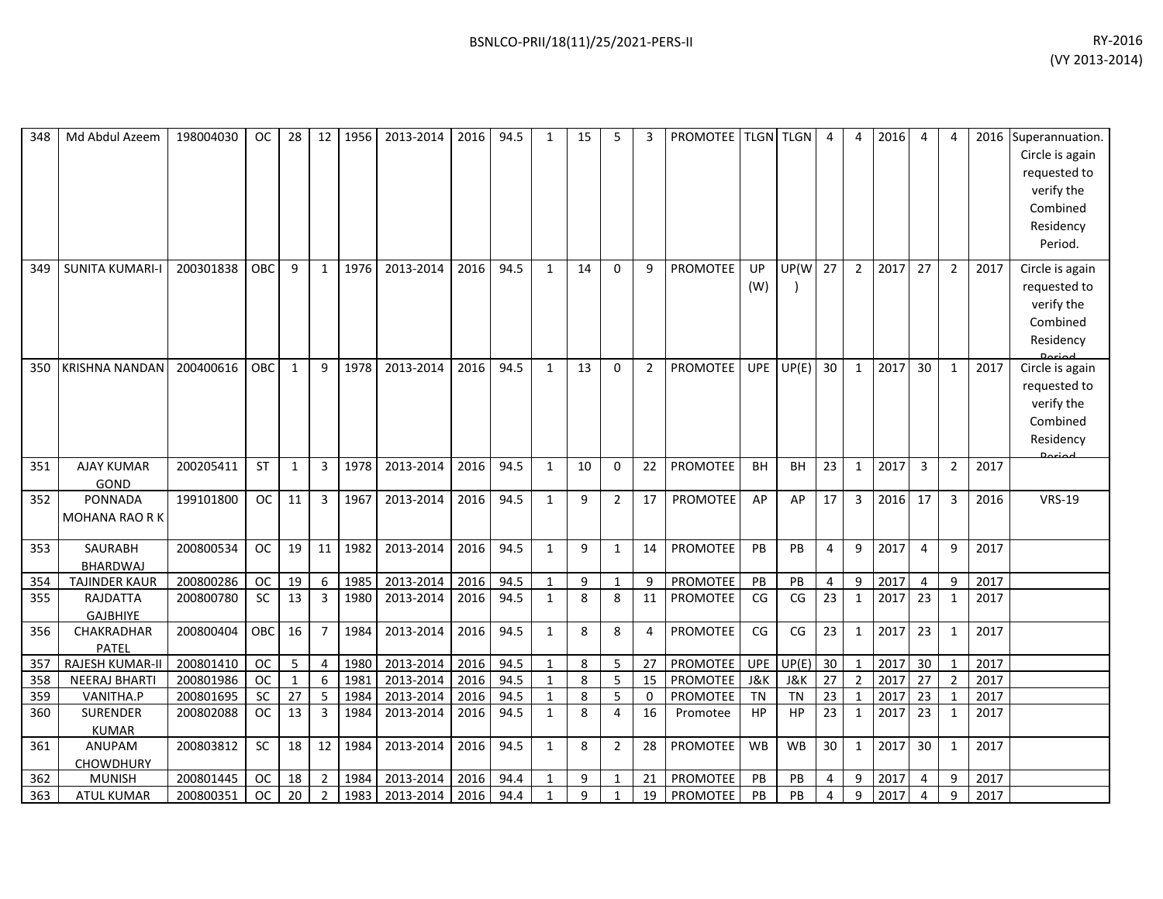| 348 | Md Abdul Azeem                         | 198004030 | OC.        | 28           |                | 12 1956 | 2013-2014 | 2016 | 94.5 | $\mathbf{1}$ | 15 | 5              | 3              | PROMOTEE   TLGN   TLGN |                  |                          | 4               | 4              | 2016 | 4              | 4              |      | 2016 Superannuation.<br>Circle is again<br>requested to<br>verify the<br>Combined<br>Residency<br>Period. |
|-----|----------------------------------------|-----------|------------|--------------|----------------|---------|-----------|------|------|--------------|----|----------------|----------------|------------------------|------------------|--------------------------|-----------------|----------------|------|----------------|----------------|------|-----------------------------------------------------------------------------------------------------------|
| 349 | <b>SUNITA KUMARI-I</b>                 | 200301838 | <b>OBC</b> | 9            | 1              | 1976    | 2013-2014 | 2016 | 94.5 | 1            | 14 | $\Omega$       | 9              | PROMOTEE               | <b>UP</b><br>(W) | UP(W                     | 27              | $\overline{2}$ | 2017 | 27             | $\overline{2}$ | 2017 | Circle is again<br>requested to<br>verify the<br>Combined<br>Residency                                    |
| 350 | KRISHNA NANDAN                         | 200400616 | OBC        | 1            | 9              | 1978    | 2013-2014 | 2016 | 94.5 | $\mathbf{1}$ | 13 | $\Omega$       | $\overline{2}$ | PROMOTEE               | <b>UPE</b>       | UP(E)                    | 30              | 1              | 2017 | 30             | $\mathbf{1}$   | 2017 | Circle is again<br>requested to<br>verify the<br>Combined<br>Residency<br>لمهنعه                          |
| 351 | <b>AJAY KUMAR</b><br>GOND              | 200205411 | <b>ST</b>  | 1            | $\overline{3}$ | 1978    | 2013-2014 | 2016 | 94.5 | $\mathbf{1}$ | 10 | $\Omega$       | 22             | PROMOTEE               | <b>BH</b>        | BH                       | 23              | 1              | 2017 | 3              | $\overline{2}$ | 2017 |                                                                                                           |
| 352 | <b>PONNADA</b><br><b>MOHANA RAO RK</b> | 199101800 | <b>OC</b>  | 11           | $\overline{3}$ | 1967    | 2013-2014 | 2016 | 94.5 | $\mathbf{1}$ | 9  | $\overline{2}$ | 17             | <b>PROMOTEE</b>        | AP               | AP                       | 17              | 3              | 2016 | 17             | $\overline{3}$ | 2016 | <b>VRS-19</b>                                                                                             |
| 353 | <b>SAURABH</b><br><b>BHARDWAJ</b>      | 200800534 | <b>OC</b>  | 19           | 11             | 1982    | 2013-2014 | 2016 | 94.5 | $\mathbf{1}$ | 9  | $\mathbf{1}$   | 14             | <b>PROMOTEE</b>        | PB               | <b>PB</b>                | 4               | $\mathbf{q}$   | 2017 | $\overline{4}$ | 9              | 2017 |                                                                                                           |
| 354 | <b>TAJINDER KAUR</b>                   | 200800286 | <b>OC</b>  | 19           | 6              | 1985    | 2013-2014 | 2016 | 94.5 | $\mathbf{1}$ | 9  | $\mathbf{1}$   | 9              | PROMOTEE               | PB               | PB                       | $\overline{4}$  | 9              | 2017 | $\overline{4}$ | 9              | 2017 |                                                                                                           |
| 355 | <b>RAJDATTA</b><br><b>GAJBHIYE</b>     | 200800780 | <b>SC</b>  | 13           | 3              | 1980    | 2013-2014 | 2016 | 94.5 | $\mathbf{1}$ | 8  | 8              | 11             | <b>PROMOTEE</b>        | CG               | CG                       | 23              | $\mathbf{1}$   | 2017 | 23             | $\mathbf{1}$   | 2017 |                                                                                                           |
| 356 | CHAKRADHAR<br><b>PATEL</b>             | 200800404 | OBC        | 16           | $\overline{7}$ | 1984    | 2013-2014 | 2016 | 94.5 | $\mathbf{1}$ | 8  | 8              | 4              | PROMOTEE               | CG               | $\mathsf{CG}\phantom{.}$ | 23              | $\mathbf{1}$   | 2017 | 23             | $\mathbf{1}$   | 2017 |                                                                                                           |
| 357 | <b>RAJESH KUMAR-II</b>                 | 200801410 | <b>OC</b>  | 5            | 4              | 1980    | 2013-2014 | 2016 | 94.5 | $\mathbf{1}$ | 8  | 5              | 27             | <b>PROMOTEE</b>        | <b>UPE</b>       | UP(E)                    | 30              | 1              | 2017 | 30             | 1              | 2017 |                                                                                                           |
| 358 | <b>NEERAJ BHARTI</b>                   | 200801986 | <b>OC</b>  | $\mathbf{1}$ | 6              | 1981    | 2013-2014 | 2016 | 94.5 | $\mathbf{1}$ | 8  | 5              | 15             | PROMOTEE               | <b>J&amp;K</b>   | <b>J&amp;K</b>           | 27              | $\overline{2}$ | 2017 | 27             | $\overline{2}$ | 2017 |                                                                                                           |
| 359 | VANITHA.P                              | 200801695 | <b>SC</b>  | 27           | 5              | 1984    | 2013-2014 | 2016 | 94.5 | 1            | 8  | 5              | $\mathbf 0$    | <b>PROMOTEE</b>        | <b>TN</b>        | <b>TN</b>                | $\overline{23}$ | $\mathbf{1}$   | 2017 | 23             | 1              | 2017 |                                                                                                           |
| 360 | <b>SURENDER</b><br><b>KUMAR</b>        | 200802088 | <b>OC</b>  | 13           | 3              | 1984    | 2013-2014 | 2016 | 94.5 | $\mathbf{1}$ | 8  | 4              | 16             | Promotee               | HP               | HP                       | 23              | $\mathbf{1}$   | 2017 | 23             | $\mathbf{1}$   | 2017 |                                                                                                           |
| 361 | <b>ANUPAM</b><br><b>CHOWDHURY</b>      | 200803812 | <b>SC</b>  | 18           | 12             | 1984    | 2013-2014 | 2016 | 94.5 | $\mathbf{1}$ | 8  | $\overline{2}$ | 28             | <b>PROMOTEE</b>        | <b>WB</b>        | <b>WB</b>                | 30              | 1              | 2017 | 30             | 1              | 2017 |                                                                                                           |
| 362 | <b>MUNISH</b>                          | 200801445 | <b>OC</b>  | 18           | $\overline{2}$ | 1984    | 2013-2014 | 2016 | 94.4 | $\mathbf{1}$ | 9  | $\mathbf{1}$   | 21             | PROMOTEE               | PB               | PB                       | 4               | 9              | 2017 | $\overline{4}$ | 9              | 2017 |                                                                                                           |
| 363 | <b>ATUL KUMAR</b>                      | 200800351 | <b>OC</b>  | 20           | $\overline{2}$ | 1983    | 2013-2014 | 2016 | 94.4 | $\mathbf{1}$ | 9  | $\mathbf{1}$   | 19             | PROMOTEE               | PB               | PB                       | 4               | 9              | 2017 | $\overline{4}$ | 9              | 2017 |                                                                                                           |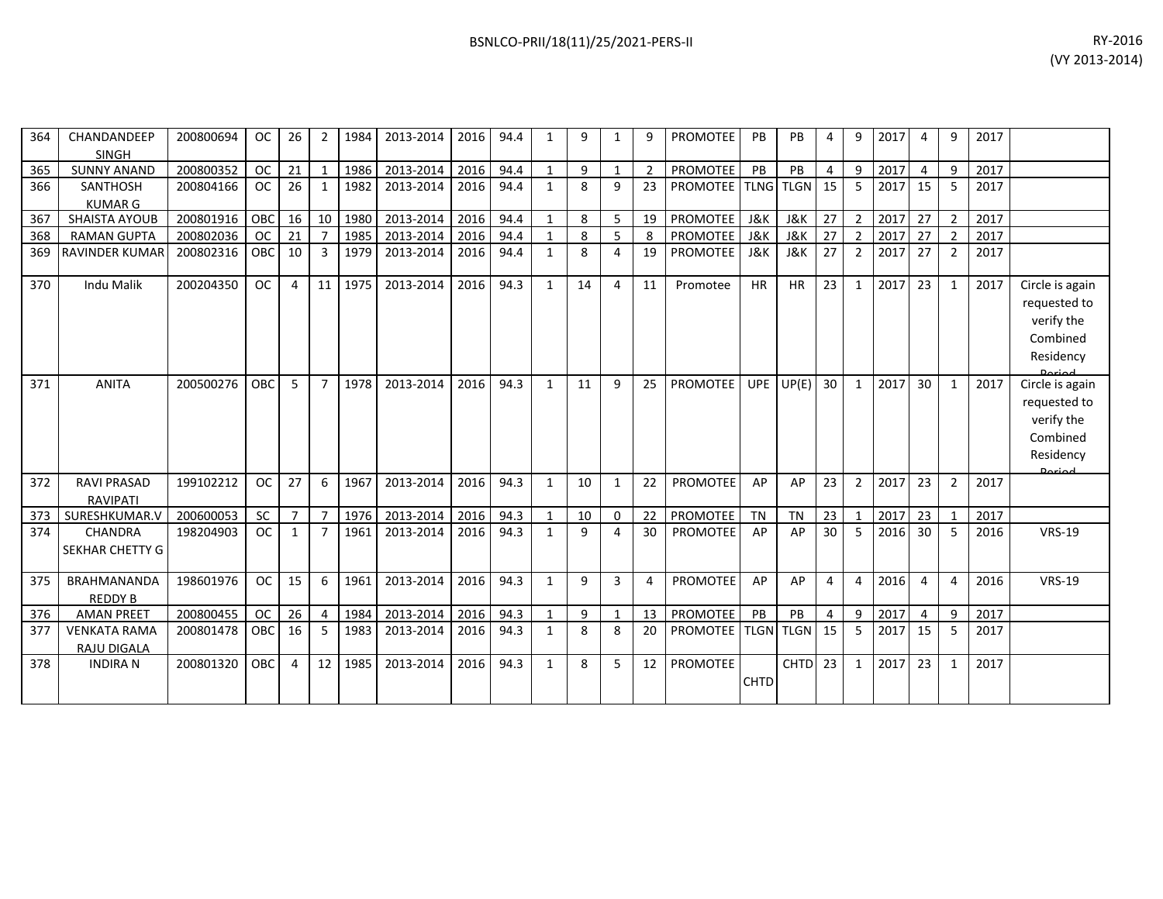| 364 | CHANDANDEEP                        | 200800694 | <b>OC</b>  | 26             | 2              | 1984 | 2013-2014 | 2016 | 94.4 | 1            | 9  | 1            | 9              | <b>PROMOTEE</b> | PB             | PB             | 4              | 9              | 2017 | 4               | q              | 2017 |                            |
|-----|------------------------------------|-----------|------------|----------------|----------------|------|-----------|------|------|--------------|----|--------------|----------------|-----------------|----------------|----------------|----------------|----------------|------|-----------------|----------------|------|----------------------------|
| 365 | <b>SINGH</b><br><b>SUNNY ANAND</b> | 200800352 | <b>OC</b>  | 21             | $\mathbf 1$    | 1986 | 2013-2014 | 2016 | 94.4 | $\mathbf{1}$ | 9  | $\mathbf{1}$ | $\overline{2}$ | PROMOTEE        | PB             | PB             | 4              | 9              | 2017 | 4               | 9              | 2017 |                            |
| 366 | <b>SANTHOSH</b>                    | 200804166 | <b>OC</b>  | 26             | 1              | 1982 | 2013-2014 | 2016 | 94.4 | $\mathbf{1}$ | 8  | 9            | 23             | <b>PROMOTEE</b> | <b>TLNG</b>    | <b>TLGN</b>    | 15             | 5              | 2017 | 15              | 5              | 2017 |                            |
|     | <b>KUMAR G</b>                     |           |            |                |                |      |           |      |      |              |    |              |                |                 |                |                |                |                |      |                 |                |      |                            |
| 367 | <b>SHAISTA AYOUB</b>               | 200801916 | OBC        | 16             | 10             | 1980 | 2013-2014 | 2016 | 94.4 | $\mathbf{1}$ | 8  | 5            | 19             | <b>PROMOTEE</b> | J&K            | J&K            | 27             | $\overline{2}$ | 2017 | 27              | $\overline{2}$ | 2017 |                            |
| 368 | <b>RAMAN GUPTA</b>                 | 200802036 | <b>OC</b>  | 21             | $\overline{7}$ | 1985 | 2013-2014 | 2016 | 94.4 | $\mathbf{1}$ | 8  | 5            | 8              | PROMOTEE        | <b>J&amp;K</b> | <b>J&amp;K</b> | 27             | $\overline{2}$ | 2017 | 27              | $\overline{2}$ | 2017 |                            |
| 369 | RAVINDER KUMAR                     | 200802316 | <b>OBC</b> | 10             | 3              | 1979 | 2013-2014 | 2016 | 94.4 | $\mathbf{1}$ | 8  | 4            | 19             | <b>PROMOTEE</b> | <b>J&amp;K</b> | J&K            | 27             | $\overline{2}$ | 2017 | 27              | $\overline{2}$ | 2017 |                            |
| 370 | Indu Malik                         | 200204350 | <b>OC</b>  | 4              | 11             | 1975 | 2013-2014 | 2016 | 94.3 | $\mathbf{1}$ | 14 | 4            | 11             | Promotee        | <b>HR</b>      | HR             | 23             | 1              | 2017 | 23              | 1              | 2017 | Circle is again            |
|     |                                    |           |            |                |                |      |           |      |      |              |    |              |                |                 |                |                |                |                |      |                 |                |      | requested to               |
|     |                                    |           |            |                |                |      |           |      |      |              |    |              |                |                 |                |                |                |                |      |                 |                |      | verify the                 |
|     |                                    |           |            |                |                |      |           |      |      |              |    |              |                |                 |                |                |                |                |      |                 |                |      | Combined                   |
|     |                                    |           |            |                |                |      |           |      |      |              |    |              |                |                 |                |                |                |                |      |                 |                |      | Residency                  |
|     |                                    |           |            |                |                |      |           |      |      |              |    |              |                |                 |                |                |                |                |      |                 |                |      | لمهنعها                    |
| 371 | <b>ANITA</b>                       | 200500276 | OBC        | 5              | $\overline{7}$ | 1978 | 2013-2014 | 2016 | 94.3 | $\mathbf{1}$ | 11 | 9            | 25             | PROMOTEE        | <b>UPE</b>     | UP(E)          | 30             | $\mathbf{1}$   | 2017 | 30 <sup>°</sup> | $\mathbf{1}$   | 2017 | Circle is again            |
|     |                                    |           |            |                |                |      |           |      |      |              |    |              |                |                 |                |                |                |                |      |                 |                |      | requested to               |
|     |                                    |           |            |                |                |      |           |      |      |              |    |              |                |                 |                |                |                |                |      |                 |                |      | verify the                 |
|     |                                    |           |            |                |                |      |           |      |      |              |    |              |                |                 |                |                |                |                |      |                 |                |      | Combined                   |
|     |                                    |           |            |                |                |      |           |      |      |              |    |              |                |                 |                |                |                |                |      |                 |                |      | Residency<br><b>Doriad</b> |
| 372 | <b>RAVI PRASAD</b>                 | 199102212 | <b>OC</b>  | 27             | 6              | 1967 | 2013-2014 | 2016 | 94.3 | $\mathbf{1}$ | 10 | 1            | 22             | <b>PROMOTEE</b> | AP             | AP             | 23             | $\overline{2}$ | 2017 | 23              | $\overline{2}$ | 2017 |                            |
|     | <b>RAVIPATI</b>                    |           |            |                |                |      |           |      |      |              |    |              |                |                 |                |                |                |                |      |                 |                |      |                            |
| 373 | SURESHKUMAR.V                      | 200600053 | <b>SC</b>  | $\overline{7}$ | $\overline{7}$ | 1976 | 2013-2014 | 2016 | 94.3 | $\mathbf{1}$ | 10 | $\Omega$     | 22             | PROMOTEE        | <b>TN</b>      | <b>TN</b>      | 23             | $\mathbf{1}$   | 2017 | 23              |                | 2017 |                            |
| 374 | <b>CHANDRA</b>                     | 198204903 | <b>OC</b>  | 1              | $\overline{7}$ | 1961 | 2013-2014 | 2016 | 94.3 | $\mathbf{1}$ | 9  | 4            | 30             | <b>PROMOTEE</b> | AP             | AP             | 30             | 5              | 2016 | 30              | -5             | 2016 | <b>VRS-19</b>              |
|     | <b>SEKHAR CHETTY G</b>             |           |            |                |                |      |           |      |      |              |    |              |                |                 |                |                |                |                |      |                 |                |      |                            |
| 375 | <b>BRAHMANANDA</b>                 | 198601976 | <b>OC</b>  | 15             | 6              | 1961 | 2013-2014 | 2016 | 94.3 | $\mathbf{1}$ | 9  | 3            | 4              | <b>PROMOTEE</b> | AP             | AP             | $\overline{4}$ | $\overline{4}$ | 2016 | 4               | $\overline{a}$ | 2016 | <b>VRS-19</b>              |
|     | <b>REDDY B</b>                     |           |            |                |                |      |           |      |      |              |    |              |                |                 |                |                |                |                |      |                 |                |      |                            |
| 376 | <b>AMAN PREET</b>                  | 200800455 | <b>OC</b>  | 26             | 4              | 1984 | 2013-2014 | 2016 | 94.3 | $\mathbf{1}$ | 9  | $\mathbf{1}$ | 13             | PROMOTEE        | PB             | PB             | 4              | 9              | 2017 | 4               | $\mathsf{q}$   | 2017 |                            |
| 377 | <b>VENKATA RAMA</b>                | 200801478 | OBC        | 16             | 5              | 1983 | 2013-2014 | 2016 | 94.3 | $\mathbf{1}$ | 8  | 8            | 20             | PROMOTEE TLGN   |                | <b>TLGN</b>    | 15             | 5              | 2017 | 15              | 5              | 2017 |                            |
|     | <b>RAJU DIGALA</b>                 |           |            |                |                |      |           |      |      |              |    |              |                |                 |                |                |                |                |      |                 |                |      |                            |
| 378 | <b>INDIRAN</b>                     | 200801320 | <b>OBC</b> | $\overline{a}$ | 12             | 1985 | 2013-2014 | 2016 | 94.3 | $\mathbf{1}$ | 8  | 5            | 12             | PROMOTEE        |                | <b>CHTD</b>    | 23             | $\mathbf{1}$   | 2017 | 23              | 1              | 2017 |                            |
|     |                                    |           |            |                |                |      |           |      |      |              |    |              |                |                 | <b>CHTD</b>    |                |                |                |      |                 |                |      |                            |
|     |                                    |           |            |                |                |      |           |      |      |              |    |              |                |                 |                |                |                |                |      |                 |                |      |                            |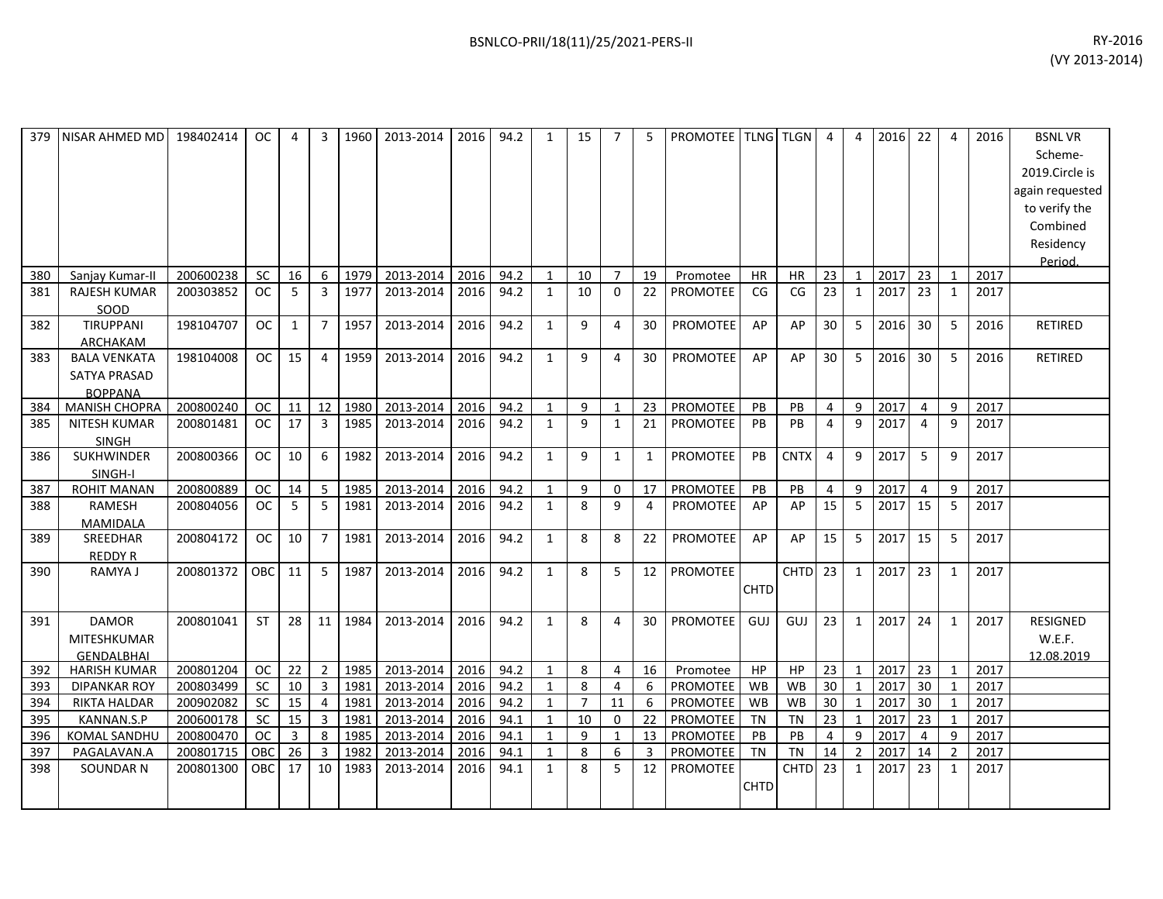| 379 | NISAR AHMED MD                                               | 198402414 | OC.        | 4  | 3              | 1960 | 2013-2014 | 2016 | 94.2 | $\mathbf{1}$ | 15             | $\overline{7}$ | 5            | PROMOTEE TLNG TLGN |             |             | $\overline{4}$  | $\overline{4}$ | 2016 | 22             | 4              | 2016 | <b>BSNLVR</b><br>Scheme-<br>2019.Circle is<br>again requested<br>to verify the<br>Combined<br>Residency<br>Period. |
|-----|--------------------------------------------------------------|-----------|------------|----|----------------|------|-----------|------|------|--------------|----------------|----------------|--------------|--------------------|-------------|-------------|-----------------|----------------|------|----------------|----------------|------|--------------------------------------------------------------------------------------------------------------------|
| 380 | Sanjay Kumar-II                                              | 200600238 | SC         | 16 | 6              | 1979 | 2013-2014 | 2016 | 94.2 | $\mathbf{1}$ | 10             | $\overline{7}$ | 19           | Promotee           | HR          | HR          | 23              | $\mathbf{1}$   | 2017 | 23             | 1              | 2017 |                                                                                                                    |
| 381 | <b>RAJESH KUMAR</b><br>SOOD                                  | 200303852 | <b>OC</b>  | -5 | 3              | 1977 | 2013-2014 | 2016 | 94.2 | 1            | 10             | 0              | 22           | <b>PROMOTEE</b>    | CG          | CG          | 23              | 1              | 2017 | 23             | 1              | 2017 |                                                                                                                    |
| 382 | TIRUPPANI<br><b>ARCHAKAM</b>                                 | 198104707 | <b>OC</b>  | 1  | $\overline{7}$ | 1957 | 2013-2014 | 2016 | 94.2 | $\mathbf{1}$ | 9              | 4              | 30           | PROMOTEE           | AP          | AP          | 30              | 5              | 2016 | 30             | 5              | 2016 | <b>RETIRED</b>                                                                                                     |
| 383 | <b>BALA VENKATA</b><br><b>SATYA PRASAD</b><br><b>BOPPANA</b> | 198104008 | OC.        | 15 | 4              | 1959 | 2013-2014 | 2016 | 94.2 | $\mathbf{1}$ | 9              | 4              | 30           | <b>PROMOTEE</b>    | AP          | AP          | 30              | 5              | 2016 | 30             | 5              | 2016 | <b>RETIRED</b>                                                                                                     |
| 384 | <b>MANISH CHOPRA</b>                                         | 200800240 | <b>OC</b>  | 11 | 12             | 1980 | 2013-2014 | 2016 | 94.2 | $\mathbf{1}$ | 9              | 1              | 23           | PROMOTEE           | PB          | PB          | $\overline{4}$  | 9              | 2017 | $\overline{4}$ | 9              | 2017 |                                                                                                                    |
| 385 | <b>NITESH KUMAR</b><br><b>SINGH</b>                          | 200801481 | <b>OC</b>  | 17 | $\overline{3}$ | 1985 | 2013-2014 | 2016 | 94.2 | $\mathbf{1}$ | 9              | $\mathbf{1}$   | 21           | <b>PROMOTEE</b>    | PB          | PB          | $\overline{4}$  | 9              | 2017 | $\overline{4}$ | 9              | 2017 |                                                                                                                    |
| 386 | <b>SUKHWINDER</b><br>SINGH-I                                 | 200800366 | OC.        | 10 | 6              | 1982 | 2013-2014 | 2016 | 94.2 | 1            | 9              | $\mathbf{1}$   | $\mathbf{1}$ | <b>PROMOTEE</b>    | PB          | <b>CNTX</b> | $\overline{4}$  | 9              | 2017 | 5              | 9              | 2017 |                                                                                                                    |
| 387 | <b>ROHIT MANAN</b>                                           | 200800889 | <b>OC</b>  | 14 | 5              | 1985 | 2013-2014 | 2016 | 94.2 | $\mathbf{1}$ | 9              | 0              | 17           | PROMOTEE           | PB          | PB          | $\overline{4}$  | 9              | 2017 | $\overline{4}$ | 9              | 2017 |                                                                                                                    |
| 388 | RAMESH<br><b>MAMIDALA</b>                                    | 200804056 | <b>OC</b>  | 5  | 5              | 1981 | 2013-2014 | 2016 | 94.2 | $\mathbf{1}$ | 8              | 9              | 4            | <b>PROMOTEE</b>    | AP          | AP          | 15              | 5              | 2017 | 15             | 5              | 2017 |                                                                                                                    |
| 389 | SREEDHAR<br><b>REDDY R</b>                                   | 200804172 | <b>OC</b>  | 10 | 7              | 1981 | 2013-2014 | 2016 | 94.2 | $\mathbf{1}$ | 8              | 8              | 22           | PROMOTEE           | AP          | AP          | 15              | 5              | 2017 | 15             | 5              | 2017 |                                                                                                                    |
| 390 | RAMYA J                                                      | 200801372 | <b>OBC</b> | 11 | 5              | 1987 | 2013-2014 | 2016 | 94.2 | $\mathbf{1}$ | 8              | 5              | 12           | <b>PROMOTEE</b>    | <b>CHTD</b> | <b>CHTD</b> | 23              | $\mathbf{1}$   | 2017 | 23             | 1              | 2017 |                                                                                                                    |
| 391 | <b>DAMOR</b><br>MITESHKUMAR<br><b>GENDALBHAI</b>             | 200801041 | ST         | 28 | 11             | 1984 | 2013-2014 | 2016 | 94.2 | $\mathbf{1}$ | 8              | 4              | 30           | PROMOTEE           | GUJ         | GUJ         | 23              | $\mathbf{1}$   | 2017 | 24             | 1              | 2017 | <b>RESIGNED</b><br>W.E.F.<br>12.08.2019                                                                            |
| 392 | <b>HARISH KUMAR</b>                                          | 200801204 | OC.        | 22 | 2              | 1985 | 2013-2014 | 2016 | 94.2 | $\mathbf{1}$ | 8              | 4              | 16           | Promotee           | HP          | HP          | 23              | $\mathbf{1}$   | 2017 | 23             | 1              | 2017 |                                                                                                                    |
| 393 | <b>DIPANKAR ROY</b>                                          | 200803499 | <b>SC</b>  | 10 | $\overline{3}$ | 1981 | 2013-2014 | 2016 | 94.2 | $\mathbf{1}$ | $\mathbf{8}$   | 4              | 6            | PROMOTEE           | WB          | <b>WB</b>   | 30 <sup>°</sup> | $\overline{1}$ | 2017 | 30             | $\mathbf{1}$   | 2017 |                                                                                                                    |
| 394 | RIKTA HALDAR                                                 | 200902082 | <b>SC</b>  | 15 | 4              | 1981 | 2013-2014 | 2016 | 94.2 | $\mathbf{1}$ | $\overline{7}$ | 11             | 6            | PROMOTEE           | WB          | <b>WB</b>   | 30 <sup>°</sup> | 1              | 2017 | 30             | 1              | 2017 |                                                                                                                    |
| 395 | KANNAN.S.P                                                   | 200600178 | <b>SC</b>  | 15 | $\overline{3}$ | 1981 | 2013-2014 | 2016 | 94.1 | $\mathbf{1}$ | 10             | $\Omega$       | 22           | PROMOTEE           | <b>TN</b>   | <b>TN</b>   | 23              | 1              | 2017 | 23             | 1              | 2017 |                                                                                                                    |
| 396 | <b>KOMAL SANDHU</b>                                          | 200800470 | <b>OC</b>  | 3  | 8              | 1985 | 2013-2014 | 2016 | 94.1 | $\mathbf{1}$ | 9              | $\mathbf{1}$   | 13           | <b>PROMOTEE</b>    | PB          | PB          | $\overline{4}$  | 9              | 2017 | $\overline{4}$ | 9              | 2017 |                                                                                                                    |
| 397 | PAGALAVAN.A                                                  | 200801715 | <b>OBC</b> | 26 | $\overline{3}$ | 1982 | 2013-2014 | 2016 | 94.1 | $\mathbf{1}$ | 8              | 6              | 3            | <b>PROMOTEE</b>    | <b>TN</b>   | <b>TN</b>   | 14              | $\overline{2}$ | 2017 | 14             | $\overline{2}$ | 2017 |                                                                                                                    |
| 398 | SOUNDAR N                                                    | 200801300 | <b>OBC</b> | 17 | 10             | 1983 | 2013-2014 | 2016 | 94.1 | $\mathbf{1}$ | 8              | 5              | 12           | PROMOTEE           | <b>CHTD</b> | <b>CHTD</b> | 23              | $\mathbf{1}$   | 2017 | 23             | $\mathbf{1}$   | 2017 |                                                                                                                    |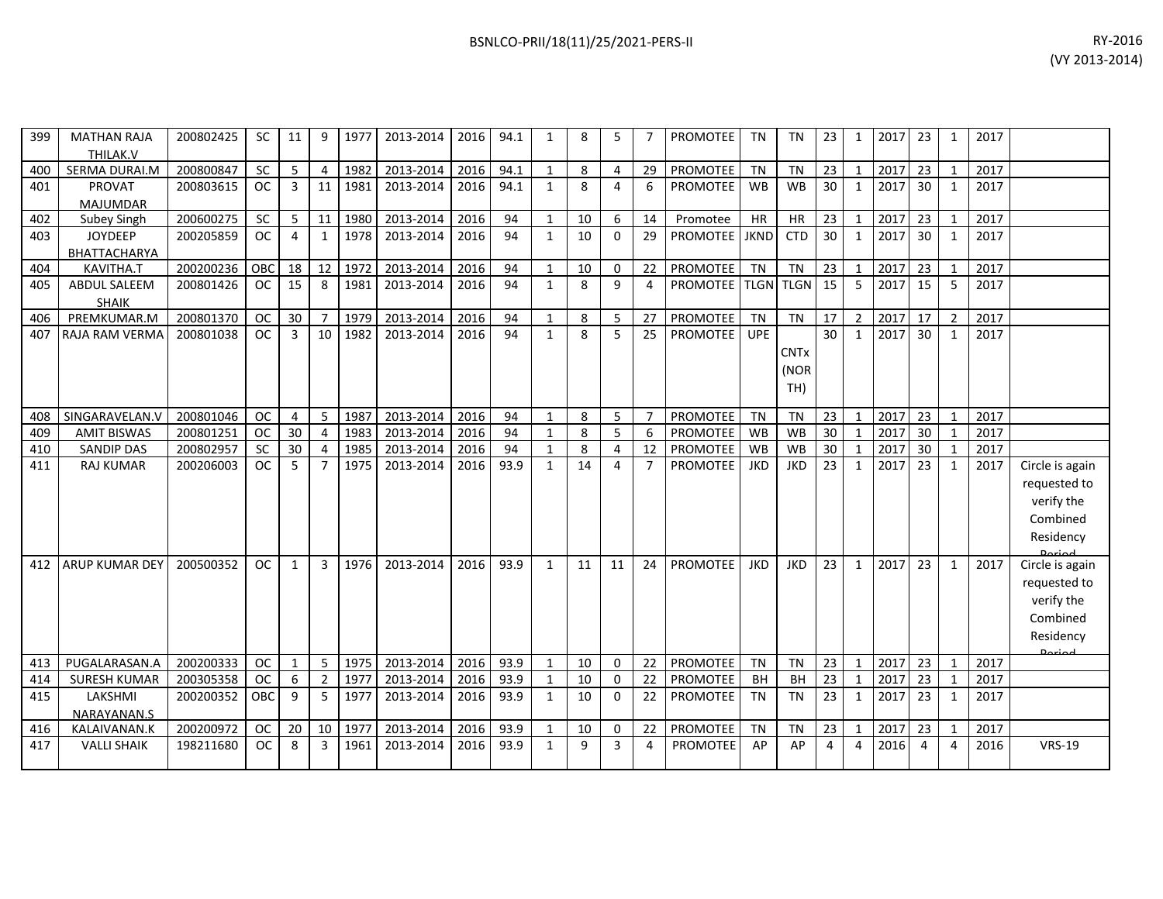| 399 | <b>MATHAN RAJA</b><br>THILAK.V   | 200802425 | <b>SC</b> | 11           | 9              | 1977 | 2013-2014 | 2016 | 94.1 | $\mathbf{1}$ | 8  | 5        | 7              | <b>PROMOTEE</b> | <b>TN</b>   | <b>TN</b>   | 23 | $\mathbf{1}$   | 2017 | 23              | 1              | 2017 |                 |
|-----|----------------------------------|-----------|-----------|--------------|----------------|------|-----------|------|------|--------------|----|----------|----------------|-----------------|-------------|-------------|----|----------------|------|-----------------|----------------|------|-----------------|
| 400 | SERMA DURAI.M                    | 200800847 | SC        | 5            | 4              | 1982 | 2013-2014 | 2016 | 94.1 | $\mathbf{1}$ | 8  | 4        | 29             | PROMOTEE        | <b>TN</b>   | <b>TN</b>   | 23 | 1              | 2017 | 23              |                | 2017 |                 |
| 401 | <b>PROVAT</b><br><b>MAJUMDAR</b> | 200803615 | <b>OC</b> | $\mathbf{3}$ | 11             | 1981 | 2013-2014 | 2016 | 94.1 | $\mathbf{1}$ | 8  | 4        | 6              | <b>PROMOTEE</b> | <b>WB</b>   | <b>WB</b>   | 30 | $\mathbf{1}$   | 2017 | 30 <sup>°</sup> | 1              | 2017 |                 |
| 402 | Subey Singh                      | 200600275 | SC        | 5            | 11             | 1980 | 2013-2014 | 2016 | 94   | $\mathbf{1}$ | 10 | 6        | 14             | Promotee        | HR          | HR          | 23 | $\mathbf{1}$   | 2017 | 23              | $\mathbf{1}$   | 2017 |                 |
| 403 | <b>JOYDEEP</b>                   | 200205859 | <b>OC</b> | 4            | $\mathbf{1}$   | 1978 | 2013-2014 | 2016 | 94   | $\mathbf{1}$ | 10 | 0        | 29             | <b>PROMOTEE</b> | <b>JKND</b> | <b>CTD</b>  | 30 | $\mathbf{1}$   | 2017 | 30              | $\mathbf{1}$   | 2017 |                 |
|     | BHATTACHARYA                     |           |           |              |                |      |           |      |      |              |    |          |                |                 |             |             |    |                |      |                 |                |      |                 |
| 404 | KAVITHA.T                        | 200200236 | OBC       | 18           | 12             | 1972 | 2013-2014 | 2016 | 94   | $\mathbf{1}$ | 10 | 0        | 22             | PROMOTEE        | <b>TN</b>   | <b>TN</b>   | 23 | $\mathbf{1}$   | 2017 | 23              | 1              | 2017 |                 |
| 405 | <b>ABDUL SALEEM</b>              | 200801426 | OC        | 15           | 8              | 1981 | 2013-2014 | 2016 | 94   | $\mathbf{1}$ | 8  | 9        | 4              | <b>PROMOTEE</b> | <b>TLGN</b> | <b>TLGN</b> | 15 | 5              | 2017 | 15              | 5              | 2017 |                 |
|     | <b>SHAIK</b>                     |           |           |              |                |      |           |      |      |              |    |          |                |                 |             |             |    |                |      |                 |                |      |                 |
| 406 | PREMKUMAR.M                      | 200801370 | <b>OC</b> | 30           | $\overline{7}$ | 1979 | 2013-2014 | 2016 | 94   | $\mathbf{1}$ | 8  | 5        | 27             | <b>PROMOTEE</b> | <b>TN</b>   | TN          | 17 | $\overline{2}$ | 2017 | 17              | $\overline{2}$ | 2017 |                 |
| 407 | RAJA RAM VERMA                   | 200801038 | OC        | 3            | 10             | 1982 | 2013-2014 | 2016 | 94   | $\mathbf{1}$ | 8  | 5        | 25             | <b>PROMOTEE</b> | <b>UPE</b>  |             | 30 | $\mathbf{1}$   | 2017 | 30              | $\mathbf{1}$   | 2017 |                 |
|     |                                  |           |           |              |                |      |           |      |      |              |    |          |                |                 |             | <b>CNTx</b> |    |                |      |                 |                |      |                 |
|     |                                  |           |           |              |                |      |           |      |      |              |    |          |                |                 |             | (NOR        |    |                |      |                 |                |      |                 |
|     |                                  |           |           |              |                |      |           |      |      |              |    |          |                |                 |             | TH)         |    |                |      |                 |                |      |                 |
|     |                                  |           |           |              |                |      |           |      |      |              |    |          |                |                 |             |             |    |                |      |                 |                |      |                 |
| 408 | SINGARAVELAN.V                   | 200801046 | <b>OC</b> | 4            | 5              | 1987 | 2013-2014 | 2016 | 94   | $\mathbf{1}$ | 8  | 5        | $\overline{7}$ | PROMOTEE        | <b>TN</b>   | <b>TN</b>   | 23 | $\mathbf{1}$   | 2017 | 23              | $\mathbf{1}$   | 2017 |                 |
| 409 | <b>AMIT BISWAS</b>               | 200801251 | <b>OC</b> | 30           | $\overline{4}$ | 1983 | 2013-2014 | 2016 | 94   | $\mathbf{1}$ | 8  | 5        | 6              | PROMOTEE        | WB          | <b>WB</b>   | 30 | $\mathbf{1}$   | 2017 | 30              | $\mathbf{1}$   | 2017 |                 |
| 410 | <b>SANDIP DAS</b>                | 200802957 | <b>SC</b> | 30           | $\overline{a}$ | 1985 | 2013-2014 | 2016 | 94   | $\mathbf{1}$ | 8  | 4        | 12             | <b>PROMOTEE</b> | <b>WB</b>   | <b>WB</b>   | 30 | $\mathbf{1}$   | 2017 | 30 <sup>°</sup> | 1              | 2017 |                 |
| 411 | <b>RAJ KUMAR</b>                 | 200206003 | OC        | 5            | $\overline{7}$ | 1975 | 2013-2014 | 2016 | 93.9 | $\mathbf{1}$ | 14 | 4        | $\overline{7}$ | <b>PROMOTEE</b> | <b>JKD</b>  | <b>JKD</b>  | 23 | $\mathbf{1}$   | 2017 | 23              | 1              | 2017 | Circle is again |
|     |                                  |           |           |              |                |      |           |      |      |              |    |          |                |                 |             |             |    |                |      |                 |                |      | requested to    |
|     |                                  |           |           |              |                |      |           |      |      |              |    |          |                |                 |             |             |    |                |      |                 |                |      | verify the      |
|     |                                  |           |           |              |                |      |           |      |      |              |    |          |                |                 |             |             |    |                |      |                 |                |      | Combined        |
|     |                                  |           |           |              |                |      |           |      |      |              |    |          |                |                 |             |             |    |                |      |                 |                |      | Residency       |
|     |                                  |           |           |              |                |      |           |      |      |              |    |          |                |                 |             |             |    |                |      |                 |                |      |                 |
| 412 | <b>ARUP KUMAR DEY</b>            | 200500352 | <b>OC</b> | 1            | 3              | 1976 | 2013-2014 | 2016 | 93.9 | $\mathbf{1}$ | 11 | 11       | 24             | <b>PROMOTEE</b> | <b>JKD</b>  | <b>JKD</b>  | 23 | $\mathbf{1}$   | 2017 | 23              | $\mathbf{1}$   | 2017 | Circle is again |
|     |                                  |           |           |              |                |      |           |      |      |              |    |          |                |                 |             |             |    |                |      |                 |                |      | requested to    |
|     |                                  |           |           |              |                |      |           |      |      |              |    |          |                |                 |             |             |    |                |      |                 |                |      | verify the      |
|     |                                  |           |           |              |                |      |           |      |      |              |    |          |                |                 |             |             |    |                |      |                 |                |      | Combined        |
|     |                                  |           |           |              |                |      |           |      |      |              |    |          |                |                 |             |             |    |                |      |                 |                |      | Residency       |
| 413 | PUGALARASAN.A                    | 200200333 | <b>OC</b> | 1            | 5              | 1975 | 2013-2014 | 2016 | 93.9 | $\mathbf{1}$ | 10 | 0        | 22             | PROMOTEE        | <b>TN</b>   | <b>TN</b>   | 23 | $\mathbf{1}$   | 2017 | 23              | 1              | 2017 |                 |
| 414 | <b>SURESH KUMAR</b>              | 200305358 | <b>OC</b> | 6            | $\overline{2}$ | 1977 | 2013-2014 | 2016 | 93.9 | $\mathbf{1}$ | 10 | 0        | 22             | <b>PROMOTEE</b> | <b>BH</b>   | BH          | 23 | $\mathbf 1$    | 2017 | 23              | 1              | 2017 |                 |
| 415 | LAKSHMI                          | 200200352 | OBC       | 9            | 5              | 1977 | 2013-2014 | 2016 | 93.9 | $\mathbf{1}$ | 10 | $\Omega$ | 22             | PROMOTEE        | <b>TN</b>   | <b>TN</b>   | 23 | $\mathbf{1}$   | 2017 | 23              | $\mathbf{1}$   | 2017 |                 |
|     | NARAYANAN.S                      |           |           |              |                |      |           |      |      |              |    |          |                |                 |             |             |    |                |      |                 |                |      |                 |
| 416 | KALAIVANAN.K                     | 200200972 | <b>OC</b> | 20           | 10             | 1977 | 2013-2014 | 2016 | 93.9 | $\mathbf{1}$ | 10 | 0        | 22             | PROMOTEE        | <b>TN</b>   | <b>TN</b>   | 23 | $\mathbf{1}$   | 2017 | 23              | 1              | 2017 |                 |
| 417 | <b>VALLI SHAIK</b>               | 198211680 | <b>OC</b> | 8            | 3              | 1961 | 2013-2014 | 2016 | 93.9 | $\mathbf{1}$ | 9  | 3        | 4              | <b>PROMOTEE</b> | AP          | AP          | 4  | 4              | 2016 | 4               | 4              | 2016 | <b>VRS-19</b>   |
|     |                                  |           |           |              |                |      |           |      |      |              |    |          |                |                 |             |             |    |                |      |                 |                |      |                 |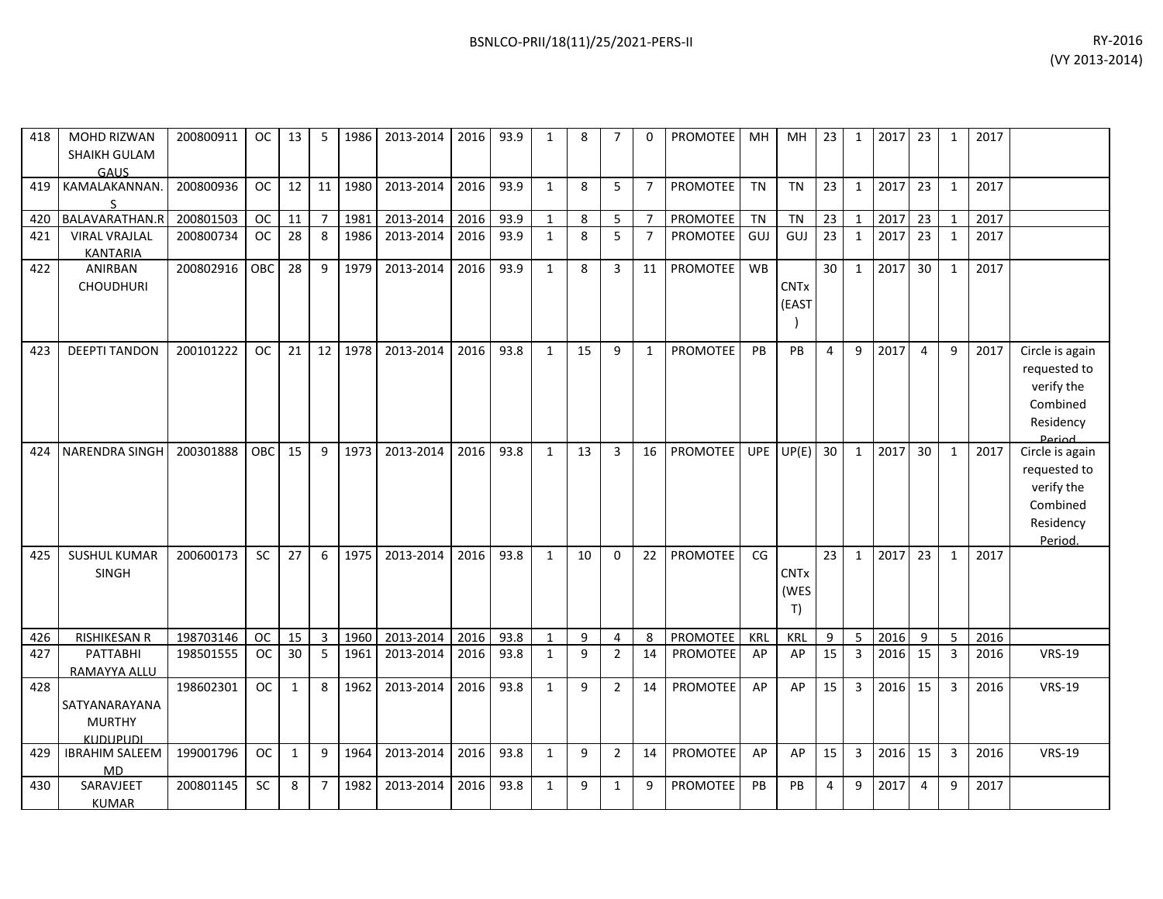418 MOHD RIZWAN

| RY-2016 | (VY 2013-2014) |              |             |                  |    |           |           |                 |     |   |               | BSNLCO-PRII/18(11)/25/2021-PERS-II |      |                                                                    |      |          |           |                       |                          |
|---------|----------------|--------------|-------------|------------------|----|-----------|-----------|-----------------|-----|---|---------------|------------------------------------|------|--------------------------------------------------------------------|------|----------|-----------|-----------------------|--------------------------|
|         |                | 2017         | 23          | 2017             | 23 | MН        | MН        | <b>PROMOTEE</b> | - 0 |   | 8             | 93.9                               | 2016 | 2013-2014                                                          | 1986 |          | 13        | OC                    | 200800911                |
|         |                | 2017         | 23          | 2017             | 23 | <b>TN</b> | <b>TN</b> | <b>PROMOTEE</b> |     | 5 | 8             | 93.9                               | 2016 | 2013-2014                                                          | 1980 | 11       | 12        | <b>OC</b>             | 200800936                |
|         |                | 2017<br>2017 | $\sqrt{23}$ | 2017<br>12017121 | 23 | TN        | ΤN        | <b>PROMOTEE</b> | ⇁   | 5 | 8<br>$\Omega$ |                                    |      | 2013-2014   2016   93.9<br>$1000 \leq 2012.2011$ $1010 \leq 0.201$ | 1981 | $\Omega$ | 11<br>ാ വ | <b>OC</b><br>$\sim$ 1 | 200801503<br>$300000724$ |

|     | <b>SHAIKH GULAM</b><br>GAUS |           |               |              |                |      |           |      |      |              |    |                |                |                 |            |             |    |              |         |                |              |      |                 |
|-----|-----------------------------|-----------|---------------|--------------|----------------|------|-----------|------|------|--------------|----|----------------|----------------|-----------------|------------|-------------|----|--------------|---------|----------------|--------------|------|-----------------|
| 419 | KAMALAKANNAN<br>S           | 200800936 | <b>OC</b>     | 12           | 11             | 1980 | 2013-2014 | 2016 | 93.9 | $\mathbf{1}$ | 8  | 5              | $\overline{7}$ | <b>PROMOTEE</b> | <b>TN</b>  | <b>TN</b>   | 23 | $\mathbf{1}$ | 2017    | 23             | 1            | 2017 |                 |
| 420 | BALAVARATHAN.R              | 200801503 | <b>OC</b>     | 11           | $\overline{7}$ | 1981 | 2013-2014 | 2016 | 93.9 | $\mathbf{1}$ | 8  | 5              | $\overline{7}$ | PROMOTEE        | <b>TN</b>  | <b>TN</b>   | 23 | $\mathbf{1}$ | 2017    | 23             | $\mathbf{1}$ | 2017 |                 |
| 421 | <b>VIRAL VRAJLAL</b>        | 200800734 | <b>OC</b>     | 28           | 8              | 1986 | 2013-2014 | 2016 | 93.9 | $\mathbf{1}$ | 8  | 5              | $\overline{7}$ | <b>PROMOTEE</b> | GUJ        | GUJ         | 23 | $\mathbf{1}$ | 2017    | 23             | 1            | 2017 |                 |
|     | <b>KANTARIA</b>             |           |               |              |                |      |           |      |      |              |    |                |                |                 |            |             |    |              |         |                |              |      |                 |
| 422 | ANIRBAN                     | 200802916 | OBC           | 28           | 9              | 1979 | 2013-2014 | 2016 | 93.9 | $\mathbf{1}$ | 8  | 3              | 11             | PROMOTEE        | <b>WB</b>  |             | 30 | $\mathbf{1}$ | 2017    | 30             | 1            | 2017 |                 |
|     | <b>CHOUDHURI</b>            |           |               |              |                |      |           |      |      |              |    |                |                |                 |            | <b>CNTx</b> |    |              |         |                |              |      |                 |
|     |                             |           |               |              |                |      |           |      |      |              |    |                |                |                 |            | (EAST       |    |              |         |                |              |      |                 |
|     |                             |           |               |              |                |      |           |      |      |              |    |                |                |                 |            |             |    |              |         |                |              |      |                 |
|     |                             |           |               |              |                |      |           |      |      |              |    |                |                |                 |            |             |    |              |         |                |              |      |                 |
| 423 | <b>DEEPTI TANDON</b>        | 200101222 | OC .          | 21           | 12             | 1978 | 2013-2014 | 2016 | 93.8 | $\mathbf{1}$ | 15 | 9              | $\mathbf{1}$   | <b>PROMOTEE</b> | PB         | PB          | 4  | 9            | 2017    | $\Delta$       | 9            | 2017 | Circle is again |
|     |                             |           |               |              |                |      |           |      |      |              |    |                |                |                 |            |             |    |              |         |                |              |      | requested to    |
|     |                             |           |               |              |                |      |           |      |      |              |    |                |                |                 |            |             |    |              |         |                |              |      | verify the      |
|     |                             |           |               |              |                |      |           |      |      |              |    |                |                |                 |            |             |    |              |         |                |              |      | Combined        |
|     |                             |           |               |              |                |      |           |      |      |              |    |                |                |                 |            |             |    |              |         |                |              |      | Residency       |
|     |                             |           |               |              |                |      |           |      |      |              |    |                |                |                 |            |             |    |              |         |                |              |      | Period          |
| 424 | <b>NARENDRA SINGH</b>       | 200301888 | <b>OBC</b>    | 15           | 9              | 1973 | 2013-2014 | 2016 | 93.8 | $\mathbf{1}$ | 13 | 3              | 16             | <b>PROMOTEE</b> | <b>UPE</b> | UP(E)       | 30 | $\mathbf{1}$ | 2017    | 30             | $\mathbf{1}$ | 2017 | Circle is again |
|     |                             |           |               |              |                |      |           |      |      |              |    |                |                |                 |            |             |    |              |         |                |              |      | requested to    |
|     |                             |           |               |              |                |      |           |      |      |              |    |                |                |                 |            |             |    |              |         |                |              |      | verify the      |
|     |                             |           |               |              |                |      |           |      |      |              |    |                |                |                 |            |             |    |              |         |                |              |      | Combined        |
|     |                             |           |               |              |                |      |           |      |      |              |    |                |                |                 |            |             |    |              |         |                |              |      | Residency       |
|     |                             |           |               |              |                |      |           |      |      |              |    |                |                |                 |            |             |    |              |         |                |              |      | Period.         |
| 425 | <b>SUSHUL KUMAR</b>         | 200600173 | <b>SC</b>     | 27           | 6              | 1975 | 2013-2014 | 2016 | 93.8 | $\mathbf{1}$ | 10 | $\mathbf 0$    | 22             | PROMOTEE        | CG         |             | 23 | $\mathbf{1}$ | 2017    | 23             | $\mathbf{1}$ | 2017 |                 |
|     | SINGH                       |           |               |              |                |      |           |      |      |              |    |                |                |                 |            | <b>CNTx</b> |    |              |         |                |              |      |                 |
|     |                             |           |               |              |                |      |           |      |      |              |    |                |                |                 |            | (WES        |    |              |         |                |              |      |                 |
|     |                             |           |               |              |                |      |           |      |      |              |    |                |                |                 |            | T)          |    |              |         |                |              |      |                 |
| 426 | RISHIKESAN R                | 198703146 | OC            | 15           | 3              | 1960 | 2013-2014 | 2016 | 93.8 | $\mathbf{1}$ | 9  | 4              | 8              | <b>PROMOTEE</b> | KRL        | <b>KRL</b>  | 9  | 5            | 2016    | 9              | 5            | 2016 |                 |
| 427 | PATTABHI                    | 198501555 | <sub>OC</sub> | 30           | 5              | 1961 | 2013-2014 | 2016 | 93.8 | $\mathbf{1}$ | 9  | $\overline{2}$ | 14             | <b>PROMOTEE</b> | AP         | AP          | 15 | $\mathbf{3}$ | 2016    | 15             | 3            | 2016 | <b>VRS-19</b>   |
|     | RAMAYYA ALLU                |           |               |              |                |      |           |      |      |              |    |                |                |                 |            |             |    |              |         |                |              |      |                 |
| 428 |                             | 198602301 | <b>OC</b>     | $\mathbf{1}$ | 8              | 1962 | 2013-2014 | 2016 | 93.8 | $\mathbf{1}$ | 9  | $\overline{2}$ | 14             | <b>PROMOTEE</b> | AP         | AP          | 15 | 3            | 2016 15 |                | 3            | 2016 | <b>VRS-19</b>   |
|     | SATYANARAYANA               |           |               |              |                |      |           |      |      |              |    |                |                |                 |            |             |    |              |         |                |              |      |                 |
|     | <b>MURTHY</b>               |           |               |              |                |      |           |      |      |              |    |                |                |                 |            |             |    |              |         |                |              |      |                 |
|     | <b>KUDUPUDI</b>             |           |               |              |                |      |           |      |      |              |    |                |                |                 |            |             |    |              |         |                |              |      |                 |
| 429 | <b>IBRAHIM SALEEM</b>       | 199001796 | <b>OC</b>     | 1            | 9              | 1964 | 2013-2014 | 2016 | 93.8 | $\mathbf{1}$ | 9  | $\overline{2}$ | 14             | PROMOTEE        | AP         | AP          | 15 | 3            | 2016    | 15             | 3            | 2016 | <b>VRS-19</b>   |
|     | MD                          |           |               |              |                |      |           |      |      |              |    |                |                |                 |            |             |    |              |         |                |              |      |                 |
| 430 | SARAVJEET                   | 200801145 | <b>SC</b>     | 8            | $\overline{7}$ | 1982 | 2013-2014 | 2016 | 93.8 | $\mathbf{1}$ | 9  | $\mathbf{1}$   | 9              | <b>PROMOTEE</b> | PB         | PB          | 4  | 9            | 2017    | $\overline{4}$ | 9            | 2017 |                 |
|     | <b>KUMAR</b>                |           |               |              |                |      |           |      |      |              |    |                |                |                 |            |             |    |              |         |                |              |      |                 |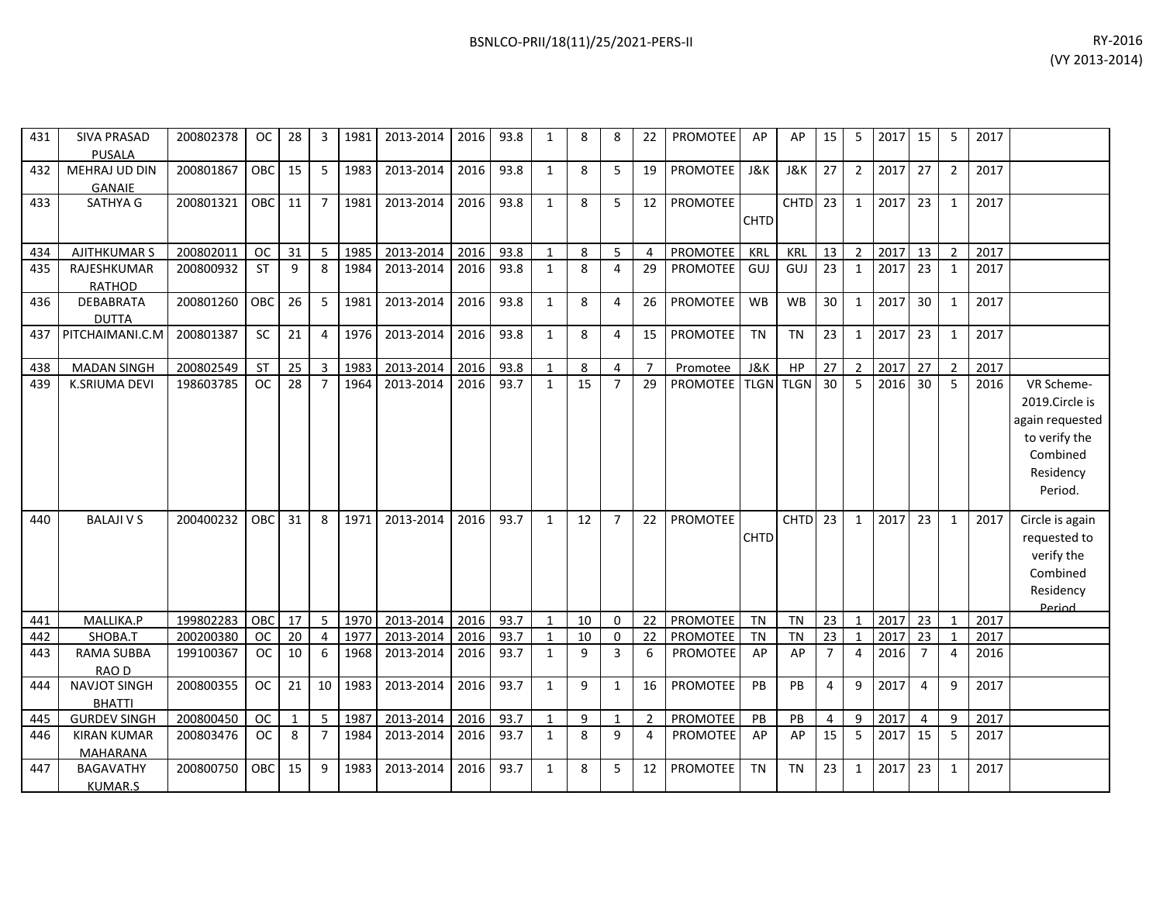| 431 | <b>SIVA PRASAD</b><br><b>PUSALA</b>  | 200802378 | OC.        | 28           | 3              | 1981 | 2013-2014 | 2016 | 93.8 | $\mathbf{1}$ | 8  | 8              | 22             | <b>PROMOTEE</b> | AP             | AP                 | 15             | 5              | 2017 | 15             | 5                     | 2017 |                                                                                                      |
|-----|--------------------------------------|-----------|------------|--------------|----------------|------|-----------|------|------|--------------|----|----------------|----------------|-----------------|----------------|--------------------|----------------|----------------|------|----------------|-----------------------|------|------------------------------------------------------------------------------------------------------|
| 432 | MEHRAJ UD DIN<br><b>GANAIE</b>       | 200801867 | <b>OBC</b> | 15           | 5              | 1983 | 2013-2014 | 2016 | 93.8 | $\mathbf{1}$ | 8  | 5              | 19             | PROMOTEE        | J&K            | <b>J&amp;K</b>     | 27             | $\overline{2}$ | 2017 | 27             | 2                     | 2017 |                                                                                                      |
| 433 | SATHYA G                             | 200801321 | OBC        | 11           | $\overline{7}$ | 1981 | 2013-2014 | 2016 | 93.8 | $\mathbf{1}$ | 8  | 5              | 12             | <b>PROMOTEE</b> | <b>CHTD</b>    | CHTD <sub>23</sub> |                | $\mathbf{1}$   | 2017 | 23             | $\mathbf{1}$          | 2017 |                                                                                                      |
| 434 | <b>AJITHKUMAR S</b>                  | 200802011 | <b>OC</b>  | 31           | 5              | 1985 | 2013-2014 | 2016 | 93.8 | $\mathbf{1}$ | 8  | 5              | Δ              | <b>PROMOTEE</b> | KRL            | KRL                | 13             | 2              | 2017 | 13             | $\mathcal{P}$         | 2017 |                                                                                                      |
| 435 | RAJESHKUMAR<br><b>RATHOD</b>         | 200800932 | <b>ST</b>  | 9            | 8              | 1984 | 2013-2014 | 2016 | 93.8 | $\mathbf{1}$ | 8  | 4              | 29             | <b>PROMOTEE</b> | GUJ            | GUJ                | 23             | 1              | 2017 | 23             | 1                     | 2017 |                                                                                                      |
| 436 | <b>DEBABRATA</b><br><b>DUTTA</b>     | 200801260 | OBC        | 26           | 5              | 1981 | 2013-2014 | 2016 | 93.8 | $\mathbf{1}$ | 8  | 4              | 26             | PROMOTEE        | <b>WB</b>      | <b>WB</b>          | 30             | $\mathbf{1}$   | 2017 | 30             | $\mathbf{1}$          | 2017 |                                                                                                      |
| 437 | PITCHAIMANI.C.M                      | 200801387 | SC         | 21           | 4              | 1976 | 2013-2014 | 2016 | 93.8 | $\mathbf{1}$ | 8  | 4              | 15             | <b>PROMOTEE</b> | <b>TN</b>      | <b>TN</b>          | 23             | $\mathbf{1}$   | 2017 | 23             | $\mathbf{1}$          | 2017 |                                                                                                      |
| 438 | <b>MADAN SINGH</b>                   | 200802549 | ST         | 25           | $\overline{3}$ | 1983 | 2013-2014 | 2016 | 93.8 | $\mathbf{1}$ | 8  | $\overline{4}$ | $\overline{7}$ | Promotee        | <b>J&amp;K</b> | HP                 | 27             | $\overline{2}$ | 2017 | 27             | $\overline{2}$        | 2017 |                                                                                                      |
| 439 | K.SRIUMA DEVI                        | 198603785 | <b>OC</b>  | 28           | $\overline{7}$ | 1964 | 2013-2014 | 2016 | 93.7 | $\mathbf{1}$ | 15 | $\overline{7}$ | 29             | <b>PROMOTEE</b> | <b>TLGN</b>    | <b>TLGN</b>        | 30             | $\overline{5}$ | 2016 | 30             | 5                     | 2016 | VR Scheme-<br>2019.Circle is<br>again requested<br>to verify the<br>Combined<br>Residency<br>Period. |
| 440 | <b>BALAJI V S</b>                    | 200400232 | OBC        | 31           | 8              | 1971 | 2013-2014 | 2016 | 93.7 | $\mathbf{1}$ | 12 | $\overline{7}$ | 22             | PROMOTEE        | <b>CHTD</b>    | $CHTD$ 23          |                | $\mathbf{1}$   | 2017 | 23             | $\mathbf{1}$          | 2017 | Circle is again<br>requested to<br>verify the<br>Combined<br>Residency<br><b>Period</b>              |
| 441 | MALLIKA.P                            | 199802283 | OBC        | 17           | 5              | 1970 | 2013-2014 | 2016 | 93.7 | $\mathbf{1}$ | 10 | $\Omega$       | 22             | PROMOTEE        | <b>TN</b>      | <b>TN</b>          | 23             | $\mathbf{1}$   | 2017 | 23             |                       | 2017 |                                                                                                      |
| 442 | SHOBA.T                              | 200200380 | <b>OC</b>  | 20           | 4              | 1977 | 2013-2014 | 2016 | 93.7 |              | 10 | 0              | 22             | PROMOTEE        | <b>TN</b>      | <b>TN</b>          | 23             | 1              | 2017 | 23             |                       | 2017 |                                                                                                      |
| 443 | <b>RAMA SUBBA</b><br>RAO D           | 199100367 | <b>OC</b>  | 10           | 6              | 1968 | 2013-2014 | 2016 | 93.7 | $\mathbf{1}$ | 9  | $\overline{3}$ | 6              | <b>PROMOTEE</b> | AP             | AP                 | $\overline{7}$ | $\overline{4}$ | 2016 | $\overline{7}$ | $\boldsymbol{\Delta}$ | 2016 |                                                                                                      |
| 444 | <b>NAVJOT SINGH</b><br><b>BHATTI</b> | 200800355 | <b>OC</b>  | 21           | 10             | 1983 | 2013-2014 | 2016 | 93.7 | $\mathbf{1}$ | 9  | $\mathbf{1}$   | 16             | <b>PROMOTEE</b> | PB             | PB                 | 4              | 9              | 2017 | 4              | 9                     | 2017 |                                                                                                      |
| 445 | <b>GURDEV SINGH</b>                  | 200800450 | OC.        | $\mathbf{1}$ | 5              | 1987 | 2013-2014 | 2016 | 93.7 | $\mathbf{1}$ | 9  | 1              | $\overline{2}$ | <b>PROMOTEE</b> | PB             | PB                 | 4              | 9              | 2017 | $\overline{a}$ | 9                     | 2017 |                                                                                                      |

445 | GURDEV SINGH | 200800450 | OC | 1 | 5 |1987 |2013-2014 |2016 |93.7 | 1 | 9 | 1 | 2 |PROMOTEE | PB | PB | 4 | 9 |2017 | 4 | 9 |2017

200803476 | OC | 8 | 7 |1984| 2013-2014 | 2016| 93.7 | 1 | 8 | 9 | 4 | PROMOTEE| AP | AP | 15 | 5 |2017| 15 | 5 |2017

200800750 | OBC | 15 | 9 | 1983 | 2013-2014 | 2016 | 93.7 | 1 | 8 | 5 | 12 | PROMOTEE | TN | TN | 23 | 1 |2017 | 23 | 1 | 2017

446 KIRAN KUMAR MAHARANA

447 BAGAVATHY

KUMAR.S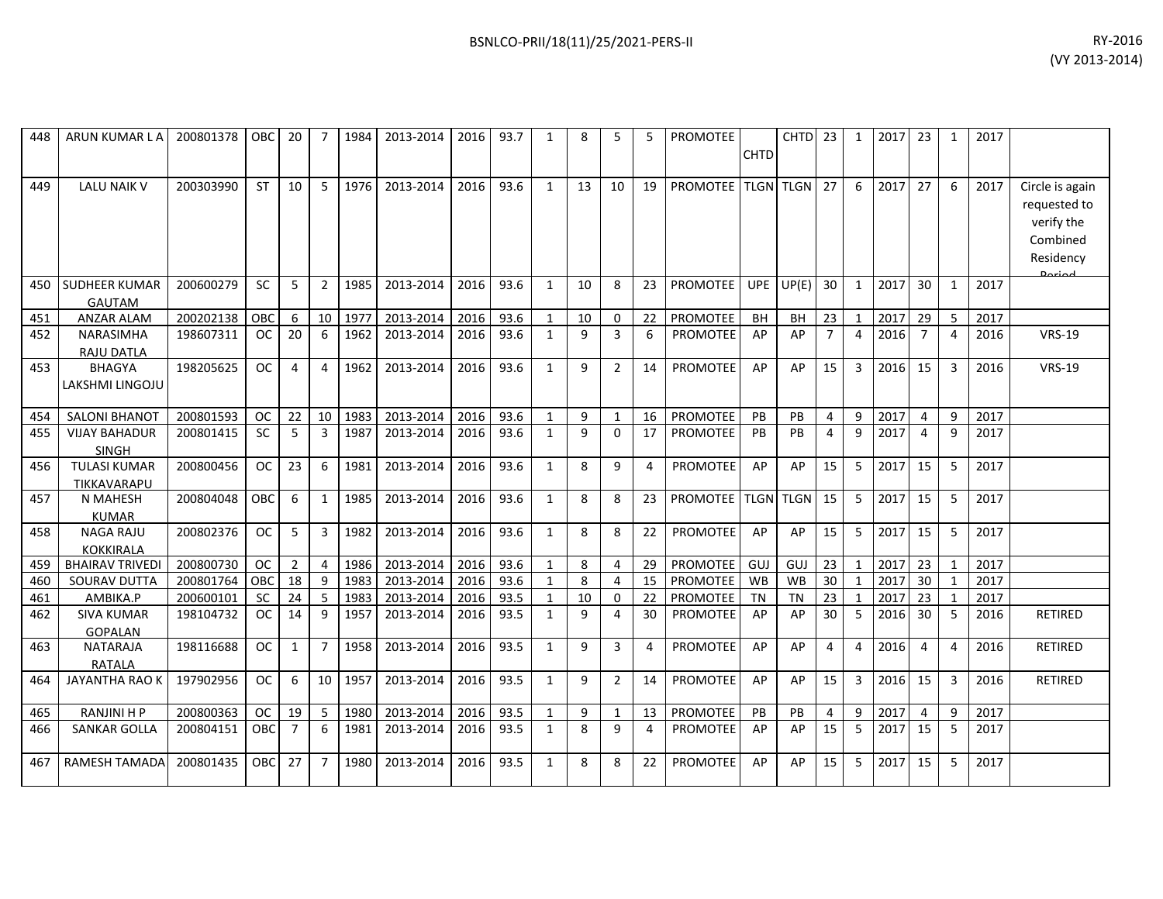| 448 | ARUN KUMAR LA                        | 200801378 | OBC       | 20             | 7              | 1984 | 2013-2014 | 2016 | 93.7 | 1            | 8  | 5              | 5  | <b>PROMOTEE</b> | <b>CHTD</b> | CHTD <sub>23</sub> |                | 1              | 2017 | 23             | $\mathbf{1}$   | 2017 |                                                                                  |
|-----|--------------------------------------|-----------|-----------|----------------|----------------|------|-----------|------|------|--------------|----|----------------|----|-----------------|-------------|--------------------|----------------|----------------|------|----------------|----------------|------|----------------------------------------------------------------------------------|
| 449 | <b>LALU NAIK V</b>                   | 200303990 | <b>ST</b> | 10             | 5              | 1976 | 2013-2014 | 2016 | 93.6 | 1            | 13 | 10             | 19 | <b>PROMOTEE</b> |             | <b>TLGN TLGN</b>   | 27             | 6              | 2017 | 27             | 6              | 2017 | Circle is again<br>requested to<br>verify the<br>Combined<br>Residency<br>Doriad |
| 450 | SUDHEER KUMAR<br><b>GAUTAM</b>       | 200600279 | <b>SC</b> | 5              | $\overline{2}$ | 1985 | 2013-2014 | 2016 | 93.6 | 1            | 10 | 8              | 23 | <b>PROMOTEE</b> | <b>UPE</b>  | UP(E)              | 30             | 1              | 2017 | 30             | $\mathbf{1}$   | 2017 |                                                                                  |
| 451 | <b>ANZAR ALAM</b>                    | 200202138 | OBC       | 6              | 10             | 1977 | 2013-2014 | 2016 | 93.6 | $\mathbf{1}$ | 10 | 0              | 22 | PROMOTEE        | BH          | <b>BH</b>          | 23             | $\mathbf{1}$   | 2017 | 29             | 5              | 2017 |                                                                                  |
| 452 | <b>NARASIMHA</b><br>RAJU DATLA       | 198607311 | <b>OC</b> | 20             | 6              | 1962 | 2013-2014 | 2016 | 93.6 | 1            | 9  | 3              | 6  | <b>PROMOTEE</b> | AP          | AP                 | $\overline{7}$ | 4              | 2016 | $\overline{7}$ | 4              | 2016 | <b>VRS-19</b>                                                                    |
| 453 | <b>BHAGYA</b><br>LAKSHMI LINGOJU     | 198205625 | <b>OC</b> | 4              | $\overline{4}$ | 1962 | 2013-2014 | 2016 | 93.6 | $\mathbf{1}$ | 9  | $\overline{2}$ | 14 | <b>PROMOTEE</b> | AP          | AP                 | 15             | 3              | 2016 | 15             | 3              | 2016 | <b>VRS-19</b>                                                                    |
| 454 | SALONI BHANOT                        | 200801593 | <b>OC</b> | 22             | 10             | 1983 | 2013-2014 | 2016 | 93.6 | $\mathbf{1}$ | 9  | $\mathbf{1}$   | 16 | PROMOTEE        | PB          | PB                 | $\overline{4}$ | 9              | 2017 | 4              | 9              | 2017 |                                                                                  |
| 455 | <b>VIJAY BAHADUR</b><br><b>SINGH</b> | 200801415 | <b>SC</b> | 5              | 3              | 1987 | 2013-2014 | 2016 | 93.6 | 1            | 9  | $\mathbf{0}$   | 17 | <b>PROMOTEE</b> | <b>PB</b>   | PB                 | 4              | 9              | 2017 | $\overline{4}$ | 9              | 2017 |                                                                                  |
| 456 | <b>TULASI KUMAR</b><br>TIKKAVARAPU   | 200800456 | <b>OC</b> | 23             | 6              | 1981 | 2013-2014 | 2016 | 93.6 | $\mathbf{1}$ | 8  | 9              | 4  | <b>PROMOTEE</b> | AP          | AP                 | 15             | 5              | 2017 | 15             | 5              | 2017 |                                                                                  |
| 457 | N MAHESH<br><b>KUMAR</b>             | 200804048 | OBC       | 6              | $\mathbf{1}$   | 1985 | 2013-2014 | 2016 | 93.6 | 1            | 8  | 8              | 23 | <b>PROMOTEE</b> | <b>TLGN</b> | <b>TLGN</b>        | 15             | 5              | 2017 | 15             | 5              | 2017 |                                                                                  |
| 458 | <b>NAGA RAJU</b><br><b>KOKKIRALA</b> | 200802376 | <b>OC</b> | 5              | 3              | 1982 | 2013-2014 | 2016 | 93.6 | $\mathbf{1}$ | 8  | 8              | 22 | PROMOTEE        | AP          | AP                 | 15             | 5              | 2017 | 15             | 5              | 2017 |                                                                                  |
| 459 | <b>BHAIRAV TRIVEDI</b>               | 200800730 | <b>OC</b> | $\overline{2}$ | $\overline{4}$ | 1986 | 2013-2014 | 2016 | 93.6 | $\mathbf{1}$ | 8  | 4              | 29 | PROMOTEE        | GUJ         | GUJ                | 23             | -1             | 2017 | 23             |                | 2017 |                                                                                  |
| 460 | SOURAV DUTTA                         | 200801764 | OBC       | 18             | $\mathbf{q}$   | 1983 | 2013-2014 | 2016 | 93.6 | $\mathbf{1}$ | 8  | 4              | 15 | <b>PROMOTEE</b> | WB          | <b>WB</b>          | 30             | $\mathbf{1}$   | 2017 | 30             | $\mathbf{1}$   | 2017 |                                                                                  |
| 461 | AMBIKA.P                             | 200600101 | <b>SC</b> | 24             | 5              | 1983 | 2013-2014 | 2016 | 93.5 | $\mathbf{1}$ | 10 | 0              | 22 | PROMOTEE        | TN          | TN                 | 23             | $\mathbf{1}$   | 2017 | 23             | $\mathbf{1}$   | 2017 |                                                                                  |
| 462 | <b>SIVA KUMAR</b><br><b>GOPALAN</b>  | 198104732 | OC.       | 14             | 9              | 1957 | 2013-2014 | 2016 | 93.5 | 1            | 9  | 4              | 30 | <b>PROMOTEE</b> | AP          | AP                 | 30             | -5             | 2016 | 30             | 5              | 2016 | RETIRED                                                                          |
| 463 | <b>NATARAJA</b><br><b>RATALA</b>     | 198116688 | <b>OC</b> | 1              | $\overline{7}$ | 1958 | 2013-2014 | 2016 | 93.5 | 1            | 9  | 3              | 4  | <b>PROMOTEE</b> | AP          | AP                 | $\overline{4}$ | 4              | 2016 | 4              | 4              | 2016 | <b>RETIRED</b>                                                                   |
| 464 | <b>JAYANTHA RAO K</b>                | 197902956 | <b>OC</b> | 6              | 10             | 1957 | 2013-2014 | 2016 | 93.5 | $\mathbf{1}$ | 9  | $\overline{2}$ | 14 | <b>PROMOTEE</b> | AP          | AP                 | 15             | $\overline{3}$ | 2016 | 15             | $\overline{3}$ | 2016 | <b>RETIRED</b>                                                                   |
| 465 | <b>RANJINI H P</b>                   | 200800363 | OC.       | 19             | 5              | 1980 | 2013-2014 | 2016 | 93.5 | 1            | 9  | $\mathbf{1}$   | 13 | PROMOTEE        | <b>PB</b>   | <b>PB</b>          | 4              | 9              | 2017 | 4              | 9              | 2017 |                                                                                  |
| 466 | SANKAR GOLLA                         | 200804151 | OBC       | 7              | 6              | 1981 | 2013-2014 | 2016 | 93.5 | 1            | 8  | 9              | 4  | <b>PROMOTEE</b> | AP          | AP                 | 15             | -5             | 2017 | 15             | 5              | 2017 |                                                                                  |
| 467 | RAMESH TAMADA                        | 200801435 | OBC       | 27             | $\overline{7}$ | 1980 | 2013-2014 | 2016 | 93.5 | $\mathbf{1}$ | 8  | 8              | 22 | <b>PROMOTEE</b> | AP          | AP                 | 15             | 5              | 2017 | 15             | 5              | 2017 |                                                                                  |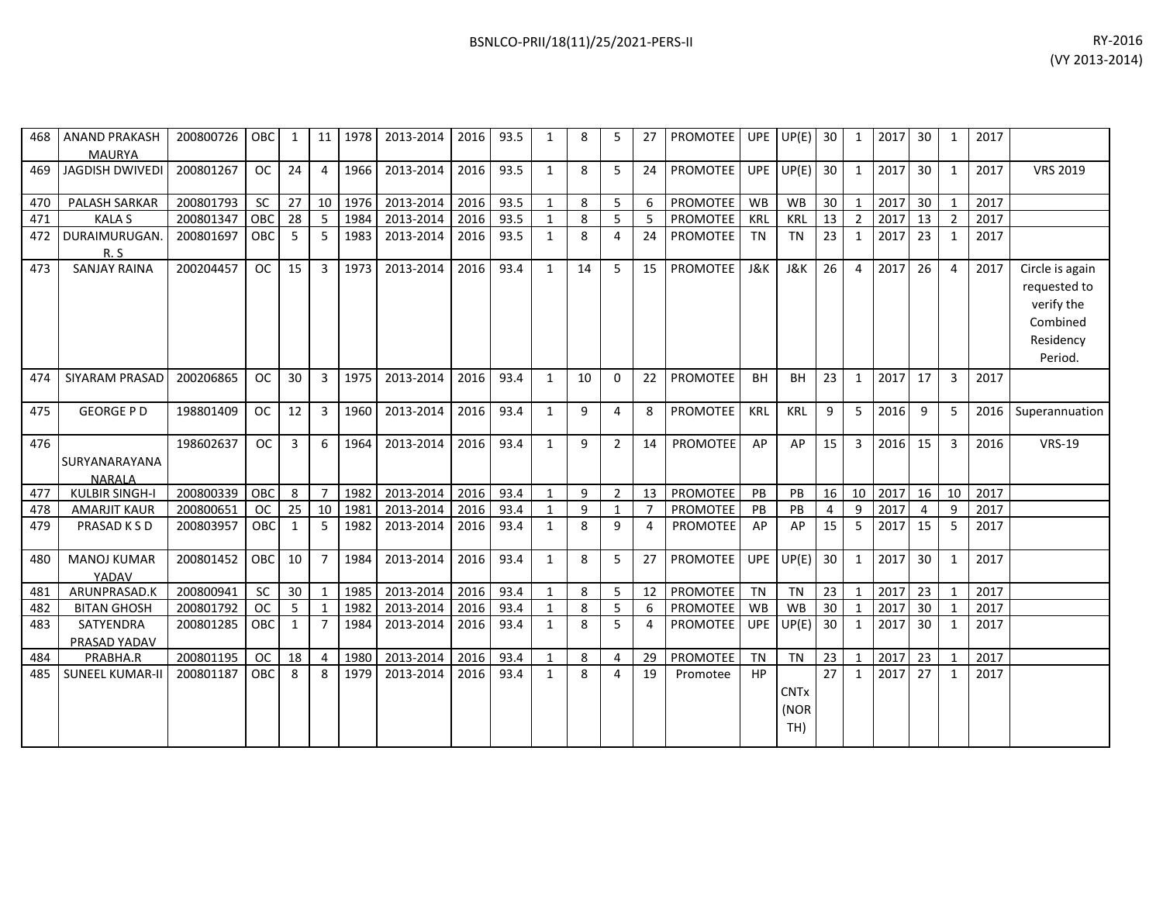| 468 | <b>ANAND PRAKASH</b><br><b>MAURYA</b>  | 200800726 | <b>OBC</b> | $\mathbf{1}$    | 11 <sup>1</sup> | 1978 | 2013-2014 | 2016 | 93.5 | $\mathbf{1}$ | 8  | 5              | 27             | <b>PROMOTEE</b> |            | $UPE$ $UP(E)$  | 30              | 1              | 2017 | 30              | $\mathbf{1}$   | 2017 |                 |
|-----|----------------------------------------|-----------|------------|-----------------|-----------------|------|-----------|------|------|--------------|----|----------------|----------------|-----------------|------------|----------------|-----------------|----------------|------|-----------------|----------------|------|-----------------|
| 469 | <b>JAGDISH DWIVEDI</b>                 | 200801267 | <b>OC</b>  | 24              | 4               | 1966 | 2013-2014 | 2016 | 93.5 | $\mathbf{1}$ | 8  | 5              | 24             | PROMOTEE        |            | UPE $UP(E)$    | 30              | $\mathbf{1}$   | 2017 | 30              | 1              | 2017 | <b>VRS 2019</b> |
| 470 | PALASH SARKAR                          | 200801793 | <b>SC</b>  | 27              | 10 <sup>1</sup> | 1976 | 2013-2014 | 2016 | 93.5 | $\mathbf{1}$ | 8  | $5 -$          | 6              | PROMOTEE        | WB         | <b>WB</b>      | 30 <sup>°</sup> | $\mathbf{1}$   | 2017 | 30              | 1              | 2017 |                 |
| 471 | <b>KALA S</b>                          | 200801347 | OBC        | 28              | 5               | 1984 | 2013-2014 | 2016 | 93.5 | $\mathbf{1}$ | 8  | 5 <sup>7</sup> | 5              | PROMOTEE        | KRL        | KRL            | 13              | $\overline{2}$ | 2017 | 13              | $\overline{2}$ | 2017 |                 |
| 472 | DURAIMURUGAN.                          | 200801697 | <b>OBC</b> | -5              | 5               | 1983 | 2013-2014 | 2016 | 93.5 | 1            | 8  | 4              | 24             | <b>PROMOTEE</b> | <b>TN</b>  | <b>TN</b>      | 23              | 1              | 2017 | 23              | 1              | 2017 |                 |
|     | R.S                                    |           |            |                 |                 |      |           |      |      |              |    |                |                |                 |            |                |                 |                |      |                 |                |      |                 |
| 473 | <b>SANJAY RAINA</b>                    | 200204457 | <b>OC</b>  | 15              | 3               | 1973 | 2013-2014 | 2016 | 93.4 | $\mathbf{1}$ | 14 | 5              | 15             | PROMOTEE        | J&K        | <b>J&amp;K</b> | 26              | $\overline{4}$ | 2017 | 26              | $\overline{4}$ | 2017 | Circle is again |
|     |                                        |           |            |                 |                 |      |           |      |      |              |    |                |                |                 |            |                |                 |                |      |                 |                |      | requested to    |
|     |                                        |           |            |                 |                 |      |           |      |      |              |    |                |                |                 |            |                |                 |                |      |                 |                |      | verify the      |
|     |                                        |           |            |                 |                 |      |           |      |      |              |    |                |                |                 |            |                |                 |                |      |                 |                |      | Combined        |
|     |                                        |           |            |                 |                 |      |           |      |      |              |    |                |                |                 |            |                |                 |                |      |                 |                |      | Residency       |
|     |                                        |           |            |                 |                 |      |           |      |      |              |    |                |                |                 |            |                |                 |                |      |                 |                |      | Period.         |
|     |                                        |           |            |                 |                 |      |           |      |      |              |    |                |                |                 |            |                |                 |                |      |                 |                |      |                 |
| 474 | SIYARAM PRASAD                         | 200206865 | <b>OC</b>  | 30              | 3               | 1975 | 2013-2014 | 2016 | 93.4 | 1            | 10 | $\Omega$       | 22             | <b>PROMOTEE</b> | <b>BH</b>  | <b>BH</b>      | 23              | $\mathbf{1}$   | 2017 | 17              | 3              | 2017 |                 |
|     |                                        |           |            |                 |                 |      |           |      |      |              |    |                |                |                 |            |                |                 |                |      |                 |                |      |                 |
| 475 | <b>GEORGE P D</b>                      | 198801409 | <b>OC</b>  | 12              | 3               | 1960 | 2013-2014 | 2016 | 93.4 | 1            | q  | 4              | 8              | <b>PROMOTEE</b> | <b>KRL</b> | <b>KRL</b>     | 9               | 5              | 2016 | 9               | 5              | 2016 | Superannuation  |
| 476 |                                        | 198602637 | <b>OC</b>  | 3               | 6               | 1964 | 2013-2014 | 2016 | 93.4 | 1            | 9  | $\overline{2}$ | 14             | <b>PROMOTEE</b> | AP         | AP             | 15              | 3              | 2016 | 15              | 3              | 2016 | <b>VRS-19</b>   |
|     |                                        |           |            |                 |                 |      |           |      |      |              |    |                |                |                 |            |                |                 |                |      |                 |                |      |                 |
|     | SURYANARAYANA                          |           |            |                 |                 |      |           |      |      |              |    |                |                |                 |            |                |                 |                |      |                 |                |      |                 |
| 477 | <b>NARAIA</b><br><b>KULBIR SINGH-I</b> | 200800339 | OBC        | 8               | $\overline{7}$  | 1982 | 2013-2014 | 2016 | 93.4 | 1            | 9  | $\overline{2}$ | 13             | PROMOTEE        | PB         | PB             | 16              | 10             | 2017 | 16              | 10             | 2017 |                 |
| 478 | <b>AMARJIT KAUR</b>                    | 200800651 | <b>OC</b>  | 25              | 10              | 1981 | 2013-2014 | 2016 | 93.4 | 1            | 9  | $\mathbf{1}$   | $\overline{7}$ | PROMOTEE        | PB         | PB             | $\overline{4}$  | 9              | 2017 | $\overline{4}$  | 9              | 2017 |                 |
| 479 | PRASAD K S D                           | 200803957 | <b>OBC</b> | 1               | 5               | 1982 | 2013-2014 | 2016 | 93.4 | 1            | 8  | 9              | 4              | <b>PROMOTEE</b> | AP         | AP             | 15              | 5              | 2017 | 15              | 5              | 2017 |                 |
|     |                                        |           |            |                 |                 |      |           |      |      |              |    |                |                |                 |            |                |                 |                |      |                 |                |      |                 |
| 480 | <b>MANOJ KUMAR</b>                     | 200801452 | OBC        | 10              | $\overline{7}$  | 1984 | 2013-2014 | 2016 | 93.4 | 1            | 8  | 5              | 27             | <b>PROMOTEE</b> | UPE        | UP(E)          | 30              | 1              | 2017 | 30              | 1              | 2017 |                 |
|     | YADAV                                  |           |            |                 |                 |      |           |      |      |              |    |                |                |                 |            |                |                 |                |      |                 |                |      |                 |
| 481 | ARUNPRASAD.K                           | 200800941 | <b>SC</b>  | 30 <sup>1</sup> | 1               | 1985 | 2013-2014 | 2016 | 93.4 | 1            | 8  | 5 <sup>7</sup> | 12             | PROMOTEE        | TN         | <b>TN</b>      | 23              | 1              | 2017 | 23              | 1              | 2017 |                 |
| 482 | <b>BITAN GHOSH</b>                     | 200801792 | <b>OC</b>  | 5               | 1               | 1982 | 2013-2014 | 2016 | 93.4 | 1            | 8  | 5              | 6              | PROMOTEE        | WB         | <b>WB</b>      | 30              | $\mathbf{1}$   | 2017 | 30 <sup>°</sup> | 1              | 2017 |                 |
| 483 | SATYENDRA                              | 200801285 | OBC        | 1               | $\overline{7}$  | 1984 | 2013-2014 | 2016 | 93.4 | 1            | 8  | 5              | 4              | <b>PROMOTEE</b> | UPE        | UP(E)          | 30              | 1              | 2017 | 30              | 1              | 2017 |                 |
|     | PRASAD YADAV                           |           |            |                 |                 |      |           |      |      |              |    |                |                |                 |            |                |                 |                |      |                 |                |      |                 |
| 484 | PRABHA.R                               | 200801195 | <b>OC</b>  | 18              | $\overline{4}$  | 1980 | 2013-2014 | 2016 | 93.4 | 1            | 8  | $\overline{4}$ | 29             | PROMOTEE        | <b>TN</b>  | <b>TN</b>      | 23              | $\mathbf{1}$   | 2017 | 23              | $\mathbf{1}$   | 2017 |                 |
| 485 | <b>SUNEEL KUMAR-II</b>                 | 200801187 | <b>OBC</b> | 8               | 8               | 1979 | 2013-2014 | 2016 | 93.4 | 1            | 8  | 4              | 19             | Promotee        | <b>HP</b>  |                | 27              | $\mathbf{1}$   | 2017 | 27              | 1              | 2017 |                 |
|     |                                        |           |            |                 |                 |      |           |      |      |              |    |                |                |                 |            | <b>CNTx</b>    |                 |                |      |                 |                |      |                 |
|     |                                        |           |            |                 |                 |      |           |      |      |              |    |                |                |                 |            | (NOR           |                 |                |      |                 |                |      |                 |
|     |                                        |           |            |                 |                 |      |           |      |      |              |    |                |                |                 |            | TH)            |                 |                |      |                 |                |      |                 |
|     |                                        |           |            |                 |                 |      |           |      |      |              |    |                |                |                 |            |                |                 |                |      |                 |                |      |                 |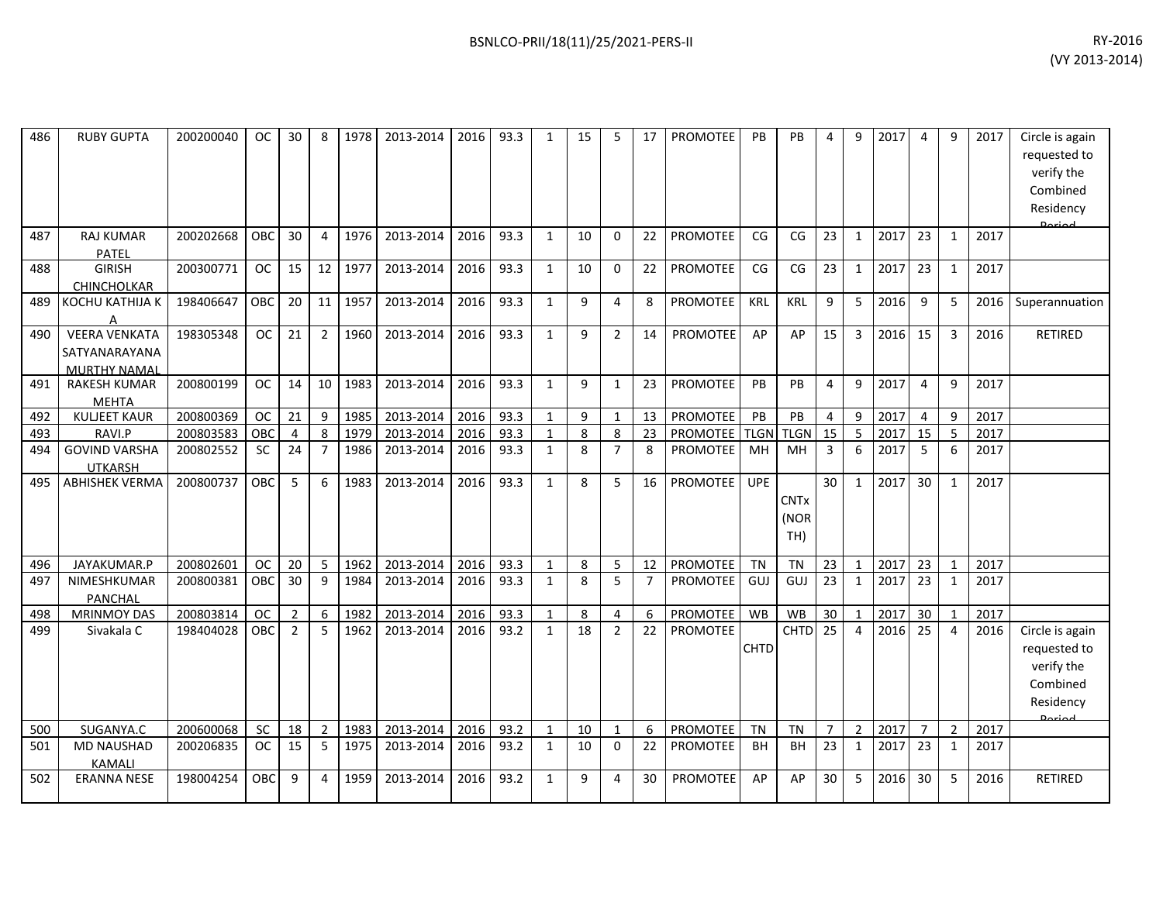| 486 | <b>RUBY GUPTA</b>                                            | 200200040 | <b>OC</b>  | 30             | 8              | 1978 | 2013-2014 | 2016 | 93.3 | $\mathbf{1}$ | 15 | 5              | 17             | PROMOTEE        | PB          | PB                         | 4               | 9              | 2017 | 4              | 9              | 2017 | Circle is again<br>requested to<br>verify the<br>Combined<br>Residency<br>لممنعها |
|-----|--------------------------------------------------------------|-----------|------------|----------------|----------------|------|-----------|------|------|--------------|----|----------------|----------------|-----------------|-------------|----------------------------|-----------------|----------------|------|----------------|----------------|------|-----------------------------------------------------------------------------------|
| 487 | <b>RAJ KUMAR</b><br>PATEL                                    | 200202668 | OBC        | 30             | $\overline{4}$ | 1976 | 2013-2014 | 2016 | 93.3 | $\mathbf{1}$ | 10 | $\mathbf{0}$   | 22             | <b>PROMOTEE</b> | CG          | CG                         | 23              | $\mathbf{1}$   | 2017 | 23             | $\mathbf{1}$   | 2017 |                                                                                   |
| 488 | <b>GIRISH</b><br>CHINCHOLKAR                                 | 200300771 | <b>OC</b>  | 15             | 12             | 1977 | 2013-2014 | 2016 | 93.3 | $\mathbf{1}$ | 10 | 0              | 22             | PROMOTEE        | CG          | CG                         | 23              | $\mathbf{1}$   | 2017 | 23             | $\mathbf{1}$   | 2017 |                                                                                   |
| 489 | KOCHU KATHIJA K                                              | 198406647 | OBC        | 20             | 11             | 1957 | 2013-2014 | 2016 | 93.3 | $\mathbf{1}$ | 9  | 4              | 8              | <b>PROMOTEE</b> | KRL         | KRL                        | 9               | 5              | 2016 | 9              | 5              | 2016 | Superannuation                                                                    |
| 490 | <b>VEERA VENKATA</b><br>SATYANARAYANA<br><b>MURTHY NAMAL</b> | 198305348 | <b>OC</b>  | 21             | $\overline{2}$ | 1960 | 2013-2014 | 2016 | 93.3 | $\mathbf{1}$ | 9  | 2              | 14             | PROMOTEE        | AP          | AP                         | 15              | 3              | 2016 | 15             | 3              | 2016 | <b>RETIRED</b>                                                                    |
| 491 | <b>RAKESH KUMAR</b><br><b>MEHTA</b>                          | 200800199 | <b>OC</b>  | 14             | 10             | 1983 | 2013-2014 | 2016 | 93.3 | $\mathbf{1}$ | 9  | 1              | 23             | <b>PROMOTEE</b> | PB          | PB                         | $\overline{4}$  | 9              | 2017 | 4              | 9              | 2017 |                                                                                   |
| 492 | <b>KULJEET KAUR</b>                                          | 200800369 | <b>OC</b>  | 21             | 9              | 1985 | 2013-2014 | 2016 | 93.3 | $\mathbf{1}$ | 9  | $\mathbf{1}$   | 13             | <b>PROMOTEE</b> | PB          | PB                         | $\overline{4}$  | 9              | 2017 | $\overline{4}$ | 9              | 2017 |                                                                                   |
| 493 | RAVI.P                                                       | 200803583 | OBC        | 4              | 8              | 1979 | 2013-2014 | 2016 | 93.3 | $\mathbf{1}$ | 8  | 8              | 23             | PROMOTEE        | <b>TLGN</b> | <b>TLGN</b>                | $\overline{15}$ | 5              | 2017 | 15             | 5              | 2017 |                                                                                   |
| 494 | <b>GOVIND VARSHA</b><br><b>UTKARSH</b>                       | 200802552 | <b>SC</b>  | 24             | $\overline{7}$ | 1986 | 2013-2014 | 2016 | 93.3 | $\mathbf{1}$ | 8  | $\overline{7}$ | 8              | PROMOTEE        | MH          | MН                         | $\overline{3}$  | 6              | 2017 | 5              | 6              | 2017 |                                                                                   |
| 495 | <b>ABHISHEK VERMA</b>                                        | 200800737 | OBC        | 5              | 6              | 1983 | 2013-2014 | 2016 | 93.3 | $\mathbf{1}$ | 8  | 5              | 16             | <b>PROMOTEE</b> | <b>UPE</b>  | <b>CNTx</b><br>(NOR<br>TH) | 30              | $\mathbf{1}$   | 2017 | 30             | 1              | 2017 |                                                                                   |
| 496 | JAYAKUMAR.P                                                  | 200802601 | <b>OC</b>  | 20             | 5              | 1962 | 2013-2014 | 2016 | 93.3 | $\mathbf{1}$ | 8  | 5              | 12             | PROMOTEE        | <b>TN</b>   | <b>TN</b>                  | 23              | $\mathbf{1}$   | 2017 | 23             | $\mathbf{1}$   | 2017 |                                                                                   |
| 497 | NIMESHKUMAR<br><b>PANCHAL</b>                                | 200800381 | OBC        | 30             | 9              | 1984 | 2013-2014 | 2016 | 93.3 | $\mathbf{1}$ | 8  | 5              | $\overline{7}$ | <b>PROMOTEE</b> | GUJ         | GUJ                        | 23              | 1              | 2017 | 23             | 1              | 2017 |                                                                                   |
| 498 | <b>MRINMOY DAS</b>                                           | 200803814 | <b>OC</b>  | $\overline{2}$ | 6              | 1982 | 2013-2014 | 2016 | 93.3 | $\mathbf{1}$ | 8  | 4              | 6              | PROMOTEE        | <b>WB</b>   | WB                         | 30              | $\mathbf{1}$   | 2017 | 30             | $\mathbf{1}$   | 2017 |                                                                                   |
| 499 | Sivakala C                                                   | 198404028 | OBC        | $\overline{2}$ | 5              | 1962 | 2013-2014 | 2016 | 93.2 | $\mathbf{1}$ | 18 | $\overline{2}$ | 22             | <b>PROMOTEE</b> | CHTD        | <b>CHTD</b>                | 25              | $\overline{4}$ | 2016 | 25             | 4              | 2016 | Circle is again<br>requested to<br>verify the<br>Combined<br>Residency            |
| 500 | SUGANYA.C                                                    | 200600068 | SC         | 18             | $\overline{2}$ | 1983 | 2013-2014 | 2016 | 93.2 | $\mathbf{1}$ | 10 | $\mathbf{1}$   | 6              | PROMOTEE        | <b>TN</b>   | <b>TN</b>                  | $\overline{7}$  | $\overline{2}$ | 2017 | $\overline{7}$ | $\overline{2}$ | 2017 |                                                                                   |
| 501 | <b>MD NAUSHAD</b><br><b>KAMALI</b>                           | 200206835 | <b>OC</b>  | 15             | 5              | 1975 | 2013-2014 | 2016 | 93.2 | $\mathbf{1}$ | 10 | 0              | 22             | <b>PROMOTEE</b> | BH          | BH                         | 23              | $\mathbf{1}$   | 2017 | 23             | 1              | 2017 |                                                                                   |
| 502 | <b>ERANNA NESE</b>                                           | 198004254 | <b>OBC</b> | 9              | 4              | 1959 | 2013-2014 | 2016 | 93.2 | $\mathbf{1}$ | 9  | 4              | 30             | <b>PROMOTEE</b> | AP          | AP                         | 30              | 5              | 2016 | 30             | 5              | 2016 | <b>RETIRED</b>                                                                    |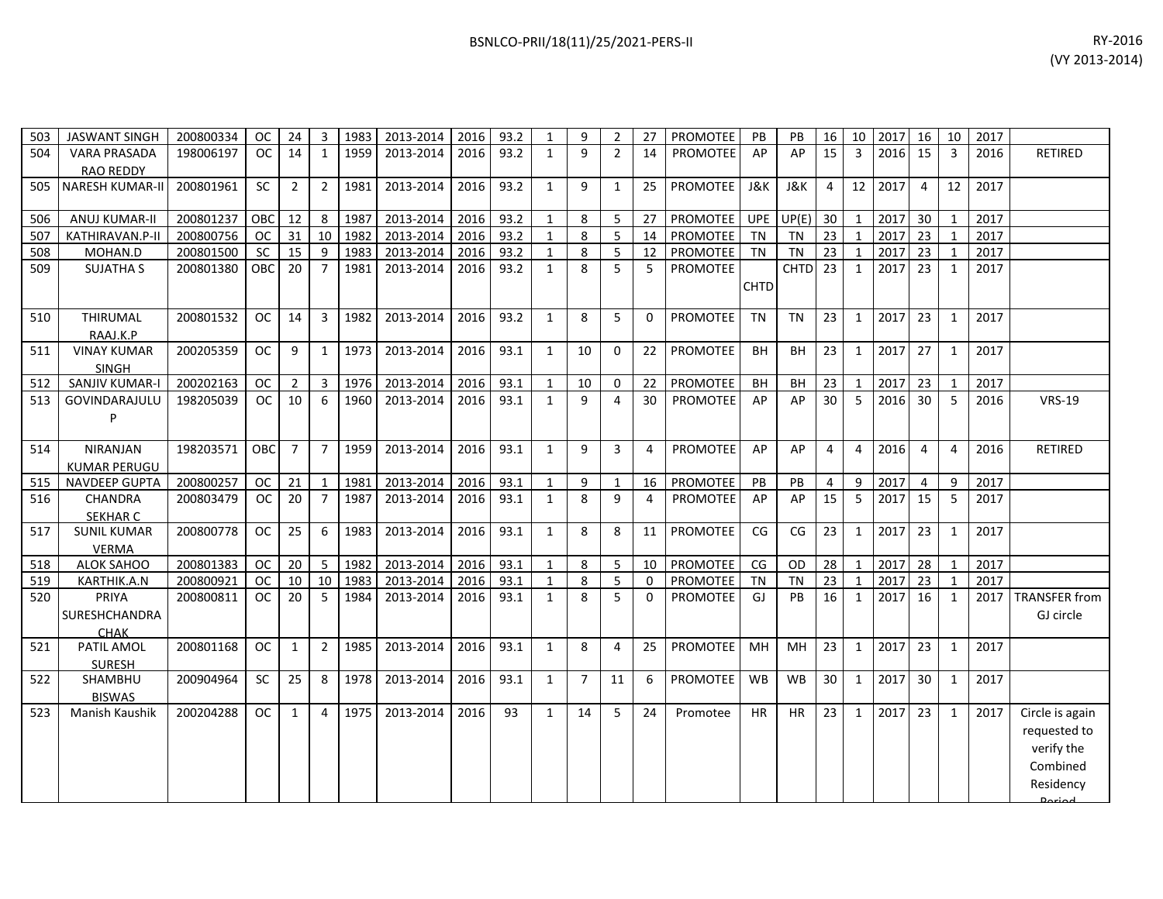| 503 | <b>JASWANT SINGH</b>   | 200800334 | <sub>OC</sub> | 24              | 3              | 1983    | 2013-2014 | 2016 | 93.2 | $\mathbf{1}$ | 9              | $\overline{2}$ | 27           | <b>PROMOTEE</b> | PB          | PB                 | 16             | 10             | 2017 | 16             | 10             | 2017 |                      |
|-----|------------------------|-----------|---------------|-----------------|----------------|---------|-----------|------|------|--------------|----------------|----------------|--------------|-----------------|-------------|--------------------|----------------|----------------|------|----------------|----------------|------|----------------------|
| 504 | <b>VARA PRASADA</b>    | 198006197 | OC            | 14              | 1              | 1959    | 2013-2014 | 2016 | 93.2 | $\mathbf{1}$ | 9              | $\overline{2}$ | 14           | PROMOTEE        | AP          | AP                 | 15             | 3              | 2016 | 15             | $\overline{3}$ | 2016 | <b>RETIRED</b>       |
|     | <b>RAO REDDY</b>       |           |               |                 |                |         |           |      |      |              |                |                |              |                 |             |                    |                |                |      |                |                |      |                      |
| 505 | <b>NARESH KUMAR-II</b> | 200801961 | <b>SC</b>     | $\overline{2}$  | $\overline{2}$ | 1981    | 2013-2014 | 2016 | 93.2 | $\mathbf{1}$ | 9              | $\mathbf{1}$   | 25           | <b>PROMOTEE</b> | J&K         | J&K                | $\overline{4}$ | 12             | 2017 | $\overline{4}$ | 12             | 2017 |                      |
|     |                        |           |               |                 |                |         |           |      |      |              |                |                |              |                 |             |                    |                |                |      |                |                |      |                      |
| 506 | <b>ANUJ KUMAR-II</b>   | 200801237 | OBC           | 12              | 8              | 1987    | 2013-2014 | 2016 | 93.2 | $\mathbf{1}$ | 8              | 5              | 27           | <b>PROMOTEE</b> | UPE         | UP(E)              | 30             | $\mathbf{1}$   | 2017 | 30             | $\mathbf{1}$   | 2017 |                      |
| 507 | KATHIRAVAN.P-II        | 200800756 | <b>OC</b>     | 31              |                | 10 1982 | 2013-2014 | 2016 | 93.2 | 1            | 8              | 5              | 14           | PROMOTEE        | TN          | <b>TN</b>          | 23             | 1              | 2017 | 23             | $\mathbf{1}$   | 2017 |                      |
| 508 | MOHAN.D                | 200801500 | <b>SC</b>     | 15              | 9              | 1983    | 2013-2014 | 2016 | 93.2 | 1            | 8              | 5 <sup>1</sup> | 12           | PROMOTEE        | TN          | <b>TN</b>          | 23             | $\mathbf{1}$   | 2017 | 23             | $\mathbf{1}$   | 2017 |                      |
| 509 | <b>SUJATHA S</b>       | 200801380 | <b>OBC</b>    | 20              | $\overline{7}$ | 1981    | 2013-2014 | 2016 | 93.2 | 1            | 8              | 5 <sup>1</sup> | 5            | PROMOTEE        |             | CHTD <sub>23</sub> |                | 1              | 2017 | 23             | 1              | 2017 |                      |
|     |                        |           |               |                 |                |         |           |      |      |              |                |                |              |                 | <b>CHTD</b> |                    |                |                |      |                |                |      |                      |
|     |                        |           |               |                 |                |         |           |      |      |              |                |                |              |                 |             |                    |                |                |      |                |                |      |                      |
| 510 | <b>THIRUMAL</b>        | 200801532 | <sub>OC</sub> | 14              | 3              | 1982    | 2013-2014 | 2016 | 93.2 | $\mathbf{1}$ | 8              | 5              | $\mathbf{0}$ | <b>PROMOTEE</b> | <b>TN</b>   | <b>TN</b>          | 23             | 1              | 2017 | 23             | 1              | 2017 |                      |
|     | RAAJ.K.P               |           |               |                 |                |         |           |      |      |              |                |                |              |                 |             |                    |                |                |      |                |                |      |                      |
| 511 | <b>VINAY KUMAR</b>     | 200205359 | <b>OC</b>     | 9               | 1              | 1973    | 2013-2014 | 2016 | 93.1 | $\mathbf{1}$ | 10             | $\Omega$       | 22           | PROMOTEE        | <b>BH</b>   | BH                 | 23             | 1              | 2017 | 27             | 1              | 2017 |                      |
|     | <b>SINGH</b>           |           |               |                 |                |         |           |      |      |              |                |                |              |                 |             |                    |                |                |      |                |                |      |                      |
| 512 | SANJIV KUMAR-I         | 200202163 | <b>OC</b>     | $2^{\circ}$     | $\mathbf{3}$   | 1976    | 2013-2014 | 2016 | 93.1 | $\mathbf{1}$ | 10             | $\mathsf{O}$   | 22           | PROMOTEE        | BH          | BH                 | 23             | $\mathbf{1}$   | 2017 | 23             | $\mathbf{1}$   | 2017 |                      |
| 513 | GOVINDARAJULU          | 198205039 | OC            | 10              | 6              | 1960    | 2013-2014 | 2016 | 93.1 | $\mathbf{1}$ | 9              | $\overline{4}$ | 30           | <b>PROMOTEE</b> | AP          | AP                 | 30             | 5              | 2016 | 30             | -5             | 2016 | <b>VRS-19</b>        |
|     | P                      |           |               |                 |                |         |           |      |      |              |                |                |              |                 |             |                    |                |                |      |                |                |      |                      |
|     |                        |           |               |                 |                |         |           |      |      |              |                |                |              |                 |             |                    |                |                |      |                |                |      |                      |
| 514 | <b>NIRANJAN</b>        | 198203571 | <b>OBC</b>    | $\overline{7}$  | $\overline{7}$ | 1959    | 2013-2014 | 2016 | 93.1 | $\mathbf{1}$ | 9              | 3              | 4            | <b>PROMOTEE</b> | AP          | AP                 | 4              | $\overline{4}$ | 2016 | $\overline{4}$ | 4              | 2016 | <b>RETIRED</b>       |
|     | KUMAR PERUGU           |           |               |                 |                |         |           |      |      |              |                |                |              |                 |             |                    |                |                |      |                |                |      |                      |
| 515 | <b>NAVDEEP GUPTA</b>   | 200800257 | <b>OC</b>     | 21              | 1              | 1981    | 2013-2014 | 2016 | 93.1 | 1            | 9              | $\mathbf{1}$   | 16           | PROMOTEE        | PB          | PB                 | 4              | 9              | 2017 | $\overline{4}$ | 9              | 2017 |                      |
| 516 | <b>CHANDRA</b>         | 200803479 | OC            | 20              | $\overline{7}$ | 1987    | 2013-2014 | 2016 | 93.1 | $\mathbf{1}$ | 8              | 9              | 4            | PROMOTEE        | AP          | AP                 | 15             | 5              | 2017 | 15             | 5              | 2017 |                      |
|     | <b>SEKHAR C</b>        |           |               |                 |                |         |           |      |      |              |                |                |              |                 |             |                    |                |                |      |                |                |      |                      |
| 517 | <b>SUNIL KUMAR</b>     | 200800778 | <b>OC</b>     | 25              | 6              | 1983    | 2013-2014 | 2016 | 93.1 | $\mathbf{1}$ | 8              | 8              | 11           | <b>PROMOTEE</b> | CG          | CG                 | 23             | 1              | 2017 | 23             | 1              | 2017 |                      |
|     | <b>VERMA</b>           |           |               |                 |                |         |           |      |      |              |                |                |              |                 |             |                    |                |                |      |                |                |      |                      |
| 518 | ALOK SAHOO             | 200801383 | <b>OC</b>     | 20 <sub>2</sub> | 5              | 1982    | 2013-2014 | 2016 | 93.1 | $\mathbf{1}$ | 8              | 5 <sup>1</sup> | 10           | PROMOTEE        | CG          | OD                 | 28             | $\mathbf{1}$   | 2017 | 28             | 1              | 2017 |                      |
| 519 | KARTHIK.A.N            | 200800921 | <b>OC</b>     | 10              | 10             | 1983    | 2013-2014 | 2016 | 93.1 | 1            | 8              | 5 <sup>1</sup> | $\mathbf 0$  | <b>PROMOTEE</b> | <b>TN</b>   | <b>TN</b>          | 23             | 1              | 2017 | 23             | $\mathbf{1}$   | 2017 |                      |
| 520 | <b>PRIYA</b>           | 200800811 | <sub>OC</sub> | 20              | $\overline{5}$ | 1984    | 2013-2014 | 2016 | 93.1 | $\mathbf{1}$ | 8              | 5              | 0            | PROMOTEE        | GJ          | PB                 | 16             | 1              | 2017 | 16             | 1              | 2017 | <b>TRANSFER from</b> |
|     | SURESHCHANDRA          |           |               |                 |                |         |           |      |      |              |                |                |              |                 |             |                    |                |                |      |                |                |      | GJ circle            |
|     | <b>CHAK</b>            |           |               |                 |                |         |           |      |      |              |                |                |              |                 |             |                    |                |                |      |                |                |      |                      |
| 521 | PATIL AMOL             | 200801168 | <b>OC</b>     | $\mathbf{1}$    | $\overline{2}$ | 1985    | 2013-2014 | 2016 | 93.1 | $\mathbf{1}$ | 8              | $\overline{4}$ | 25           | PROMOTEE        | MH          | MH                 | 23             | $\mathbf{1}$   | 2017 | 23             | $\mathbf{1}$   | 2017 |                      |
|     | <b>SURESH</b>          |           |               |                 |                |         |           |      |      |              |                |                |              |                 |             |                    |                |                |      |                |                |      |                      |
| 522 | SHAMBHU                | 200904964 | <b>SC</b>     | 25              | 8              | 1978    | 2013-2014 | 2016 | 93.1 | $\mathbf{1}$ | $\overline{7}$ | 11             | 6            | <b>PROMOTEE</b> | <b>WB</b>   | <b>WB</b>          | 30             | 1              | 2017 | 30             | 1              | 2017 |                      |
|     | <b>BISWAS</b>          |           |               |                 |                |         |           |      |      |              |                | 5              |              |                 |             |                    |                |                |      |                |                |      |                      |
| 523 | Manish Kaushik         | 200204288 | <b>OC</b>     | $\mathbf{1}$    | 4              | 1975    | 2013-2014 | 2016 | 93   | 1            | 14             |                | 24           | Promotee        | HR.         | <b>HR</b>          | 23             | 1              | 2017 | 23             | 1              | 2017 | Circle is again      |
|     |                        |           |               |                 |                |         |           |      |      |              |                |                |              |                 |             |                    |                |                |      |                |                |      | requested to         |
|     |                        |           |               |                 |                |         |           |      |      |              |                |                |              |                 |             |                    |                |                |      |                |                |      | verify the           |
|     |                        |           |               |                 |                |         |           |      |      |              |                |                |              |                 |             |                    |                |                |      |                |                |      | Combined             |
|     |                        |           |               |                 |                |         |           |      |      |              |                |                |              |                 |             |                    |                |                |      |                |                |      | Residency            |
|     |                        |           |               |                 |                |         |           |      |      |              |                |                |              |                 |             |                    |                |                |      |                |                |      |                      |

Period.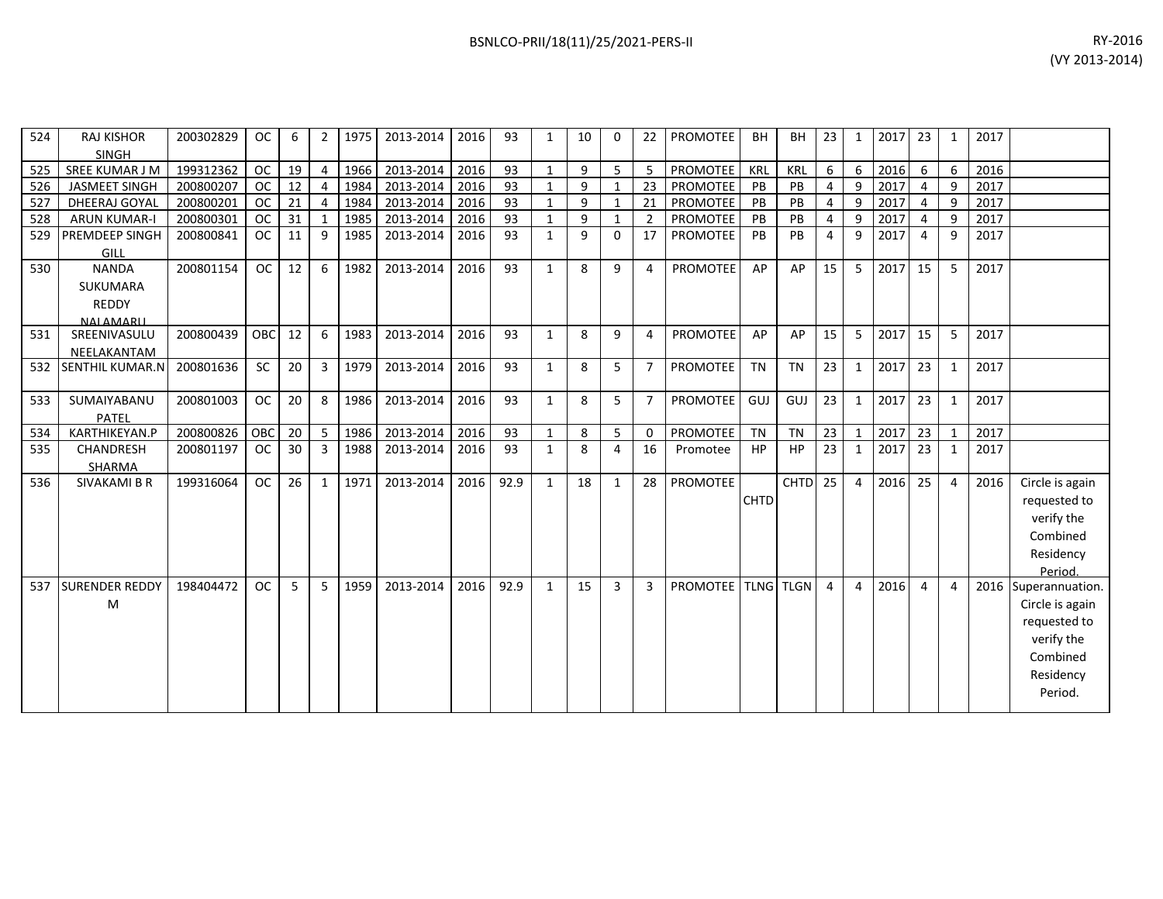| 524 | <b>RAJ KISHOR</b><br><b>SINGH</b> | 200302829 | <b>OC</b>  | 6  | $\overline{2}$ | 1975 | 2013-2014 | 2016 | 93   | $\mathbf{1}$ | 10 | 0                        | 22             | <b>PROMOTEE</b>           | <b>BH</b>   | <b>BH</b>   | 23             | $\mathbf{1}$   | 2017 | 23              | 1            | 2017 |                 |
|-----|-----------------------------------|-----------|------------|----|----------------|------|-----------|------|------|--------------|----|--------------------------|----------------|---------------------------|-------------|-------------|----------------|----------------|------|-----------------|--------------|------|-----------------|
| 525 | SREE KUMAR J M                    | 199312362 | <b>OC</b>  | 19 | $\overline{4}$ | 1966 | 2013-2014 | 2016 | 93   | $\mathbf{1}$ | 9  | 5                        | 5              | PROMOTEE                  | <b>KRL</b>  | <b>KRL</b>  | 6              | 6              | 2016 | 6               | 6            | 2016 |                 |
| 526 | JASMEET SINGH                     | 200800207 | <b>OC</b>  | 12 | $\overline{4}$ | 1984 | 2013-2014 | 2016 | 93   | $\mathbf{1}$ | 9  | $\overline{\phantom{a}}$ | 23             | PROMOTEE                  | PB          | PB          | 4              | 9              | 2017 | $\overline{4}$  | q            | 2017 |                 |
| 527 | DHEERAJ GOYAL                     | 200800201 | <b>OC</b>  | 21 | $\overline{4}$ | 1984 | 2013-2014 | 2016 | 93   | $\mathbf{1}$ | 9  |                          | 21             | <b>PROMOTEE</b>           | PB          | PB          | 4              | 9              | 2017 | 4               |              | 2017 |                 |
| 528 | <b>ARUN KUMAR-I</b>               | 200800301 | <b>OC</b>  | 31 | $\overline{1}$ | 1985 | 2013-2014 | 2016 | 93   | $\mathbf{1}$ | 9  | -1                       | 2              | PROMOTEE                  | PB          | PB          | $\overline{4}$ | 9              | 2017 | 4               | q            | 2017 |                 |
| 529 | PREMDEEP SINGH                    | 200800841 | <b>OC</b>  | 11 | 9              | 1985 | 2013-2014 | 2016 | 93   | $\mathbf{1}$ | 9  | 0                        | 17             | PROMOTEE                  | PB          | PB          | 4              | 9              | 2017 | 4               | 9            | 2017 |                 |
|     | GILL                              |           |            |    |                |      |           |      |      |              |    |                          |                |                           |             |             |                |                |      |                 |              |      |                 |
| 530 | <b>NANDA</b>                      | 200801154 | <b>OC</b>  | 12 | 6              | 1982 | 2013-2014 | 2016 | 93   | $\mathbf{1}$ | 8  | 9                        | 4              | <b>PROMOTEE</b>           | AP          | AP          | 15             | 5              | 2017 | 15 <sup>1</sup> | 5            | 2017 |                 |
|     | SUKUMARA                          |           |            |    |                |      |           |      |      |              |    |                          |                |                           |             |             |                |                |      |                 |              |      |                 |
|     | <b>REDDY</b>                      |           |            |    |                |      |           |      |      |              |    |                          |                |                           |             |             |                |                |      |                 |              |      |                 |
|     | <b>NALAMARII</b>                  |           |            |    |                |      |           |      |      |              |    |                          |                |                           |             |             |                |                |      |                 |              |      |                 |
| 531 | SREENIVASULU                      | 200800439 | <b>OBC</b> | 12 | 6              | 1983 | 2013-2014 | 2016 | 93   | $\mathbf{1}$ | 8  | 9                        | 4              | <b>PROMOTEE</b>           | AP          | AP          | 15             | 5              | 2017 | 15              | 5            | 2017 |                 |
|     | NEELAKANTAM                       |           |            |    |                |      |           |      |      |              |    |                          |                |                           |             |             |                |                |      |                 |              |      |                 |
| 532 | <b>SENTHIL KUMAR.N</b>            | 200801636 | SC         | 20 | 3              | 1979 | 2013-2014 | 2016 | 93   | $\mathbf{1}$ | 8  | 5                        | $\overline{7}$ | <b>PROMOTEE</b>           | <b>TN</b>   | <b>TN</b>   | 23             | $\mathbf{1}$   | 2017 | 23              | 1            | 2017 |                 |
| 533 | SUMAIYABANU                       | 200801003 | <b>OC</b>  | 20 | 8              | 1986 | 2013-2014 | 2016 | 93   | $\mathbf{1}$ | 8  | 5                        | $\overline{7}$ | <b>PROMOTEE</b>           | GUJ         | GUJ         | 23             | $\mathbf{1}$   | 2017 | 23              |              | 2017 |                 |
|     | PATEL                             |           |            |    |                |      |           |      |      |              |    |                          |                |                           |             |             |                |                |      |                 |              |      |                 |
| 534 | KARTHIKEYAN.P                     | 200800826 | OBC        | 20 | - 5            | 1986 | 2013-2014 | 2016 | 93   | $\mathbf{1}$ | 8  | 5                        | $\Omega$       | PROMOTEE                  | <b>TN</b>   | <b>TN</b>   | 23             | 1              | 2017 | 23              | $\mathbf 1$  | 2017 |                 |
| 535 | <b>CHANDRESH</b>                  | 200801197 | <b>OC</b>  | 30 | 3              | 1988 | 2013-2014 | 2016 | 93   | $\mathbf{1}$ | 8  | 4                        | 16             | Promotee                  | HP          | <b>HP</b>   | 23             | $\mathbf{1}$   | 2017 | 23              | $\mathbf{1}$ | 2017 |                 |
|     | SHARMA                            |           |            |    |                |      |           |      |      |              |    |                          |                |                           |             |             |                |                |      |                 |              |      |                 |
| 536 | <b>SIVAKAMI B R</b>               | 199316064 | OC         | 26 | $\mathbf{1}$   | 1971 | 2013-2014 | 2016 | 92.9 | $\mathbf{1}$ | 18 | $\mathbf{1}$             | 28             | <b>PROMOTEE</b>           |             | <b>CHTD</b> | 25             | $\overline{4}$ | 2016 | 25              | 4            | 2016 | Circle is again |
|     |                                   |           |            |    |                |      |           |      |      |              |    |                          |                |                           | <b>CHTD</b> |             |                |                |      |                 |              |      | requested to    |
|     |                                   |           |            |    |                |      |           |      |      |              |    |                          |                |                           |             |             |                |                |      |                 |              |      | verify the      |
|     |                                   |           |            |    |                |      |           |      |      |              |    |                          |                |                           |             |             |                |                |      |                 |              |      | Combined        |
|     |                                   |           |            |    |                |      |           |      |      |              |    |                          |                |                           |             |             |                |                |      |                 |              |      | Residency       |
|     |                                   |           |            |    |                |      |           |      |      |              |    |                          |                |                           |             |             |                |                |      |                 |              |      | Period.         |
| 537 | <b>SURENDER REDDY</b>             | 198404472 | <b>OC</b>  | 5  | 5              | 1959 | 2013-2014 | 2016 | 92.9 | $\mathbf{1}$ | 15 | 3                        | $\overline{3}$ | <b>PROMOTEE TLNG TLGN</b> |             |             | $\overline{4}$ | 4              | 2016 | $\overline{4}$  | 4            | 2016 | Superannuation. |
|     | M                                 |           |            |    |                |      |           |      |      |              |    |                          |                |                           |             |             |                |                |      |                 |              |      | Circle is again |
|     |                                   |           |            |    |                |      |           |      |      |              |    |                          |                |                           |             |             |                |                |      |                 |              |      | requested to    |
|     |                                   |           |            |    |                |      |           |      |      |              |    |                          |                |                           |             |             |                |                |      |                 |              |      | verify the      |
|     |                                   |           |            |    |                |      |           |      |      |              |    |                          |                |                           |             |             |                |                |      |                 |              |      | Combined        |
|     |                                   |           |            |    |                |      |           |      |      |              |    |                          |                |                           |             |             |                |                |      |                 |              |      | Residency       |
|     |                                   |           |            |    |                |      |           |      |      |              |    |                          |                |                           |             |             |                |                |      |                 |              |      | Period.         |
|     |                                   |           |            |    |                |      |           |      |      |              |    |                          |                |                           |             |             |                |                |      |                 |              |      |                 |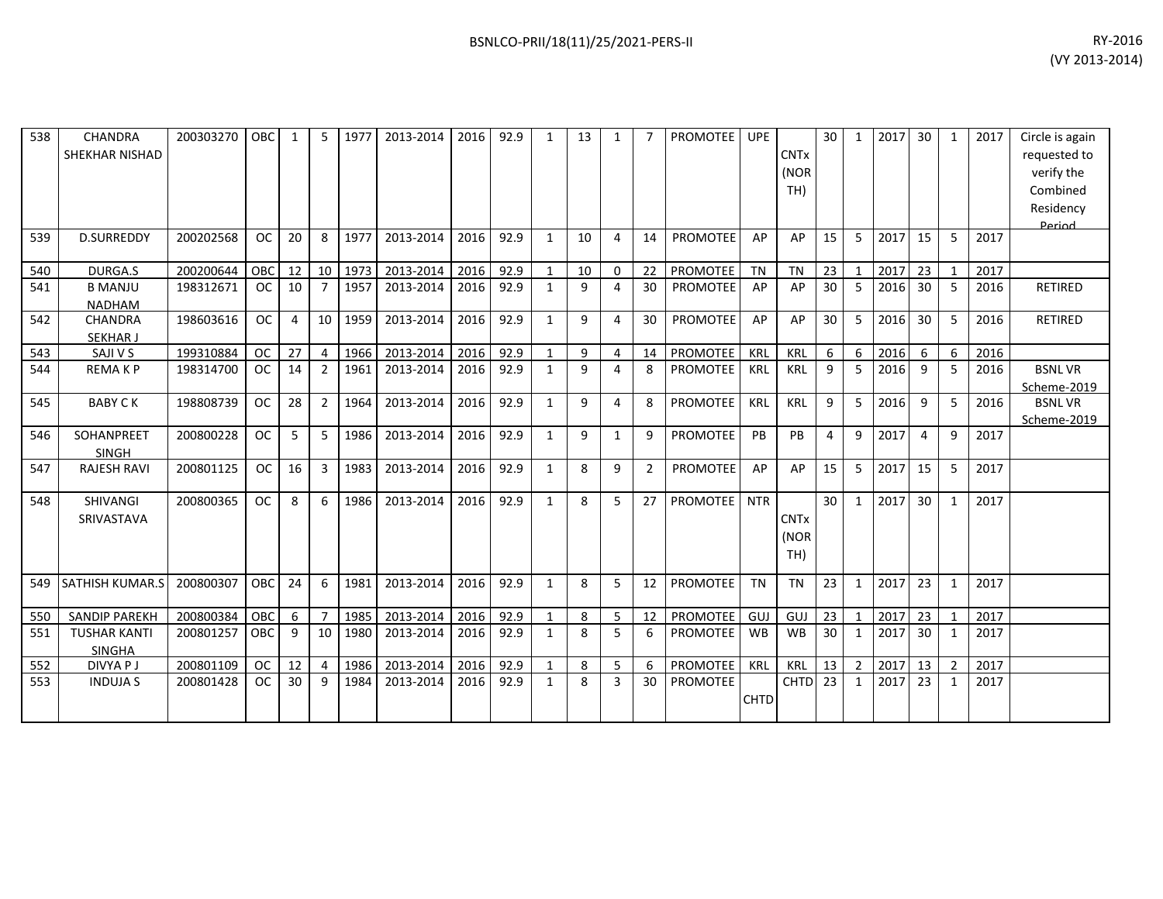| 538 | CHANDRA<br>SHEKHAR NISHAD            | 200303270 | OBC       |          | .5             | 1977 | 2013-2014 | 2016 | 92.9 | 1            | 13           | 1            |                | <b>PROMOTEE</b> | <b>UPE</b>  | <b>CNTx</b><br>(NOR<br>TH) | 30 | 1              | 2017 | 30 | 1            | 2017 | Circle is again<br>requested to<br>verify the<br>Combined<br>Residency<br><b>Period</b> |
|-----|--------------------------------------|-----------|-----------|----------|----------------|------|-----------|------|------|--------------|--------------|--------------|----------------|-----------------|-------------|----------------------------|----|----------------|------|----|--------------|------|-----------------------------------------------------------------------------------------|
| 539 | <b>D.SURREDDY</b>                    | 200202568 | <b>OC</b> | 20       | 8              | 1977 | 2013-2014 | 2016 | 92.9 | $\mathbf{1}$ | 10           | 4            | 14             | <b>PROMOTEE</b> | AP          | AP                         | 15 | 5              | 2017 | 15 | 5            | 2017 |                                                                                         |
| 540 | DURGA.S                              | 200200644 | OBC       | 12       | 10             | 1973 | 2013-2014 | 2016 | 92.9 | $\mathbf{1}$ | 10           | 0            | 22             | <b>PROMOTEE</b> | <b>TN</b>   | <b>TN</b>                  | 23 | $\mathbf{1}$   | 2017 | 23 | $\mathbf{1}$ | 2017 |                                                                                         |
| 541 | <b>B MANJU</b><br><b>NADHAM</b>      | 198312671 | <b>OC</b> | 10       | $\overline{7}$ | 1957 | 2013-2014 | 2016 | 92.9 | $\mathbf{1}$ | 9            | 4            | 30             | <b>PROMOTEE</b> | AP          | AP                         | 30 | 5              | 2016 | 30 | 5            | 2016 | <b>RETIRED</b>                                                                          |
| 542 | <b>CHANDRA</b><br><b>SEKHAR J</b>    | 198603616 | <b>OC</b> | $\Delta$ | 10             | 1959 | 2013-2014 | 2016 | 92.9 | $\mathbf{1}$ | $\mathbf{q}$ | 4            | 30             | <b>PROMOTEE</b> | AP          | AP                         | 30 | 5              | 2016 | 30 | 5            | 2016 | RETIRED                                                                                 |
| 543 | SAJI V S                             | 199310884 | <b>OC</b> | 27       | $\overline{4}$ | 1966 | 2013-2014 | 2016 | 92.9 | 1            | 9            | 4            | 14             | <b>PROMOTEE</b> | <b>KRL</b>  | KRL                        | 6  | 6              | 2016 | 6  | 6            | 2016 |                                                                                         |
| 544 | <b>REMAKP</b>                        | 198314700 | <b>OC</b> | 14       | $\overline{2}$ | 1961 | 2013-2014 | 2016 | 92.9 | 1            | q            | 4            | 8              | <b>PROMOTEE</b> | KRL         | KRL                        | 9  | -5             | 2016 | 9  | 5            | 2016 | <b>BSNLVR</b><br>Scheme-2019                                                            |
| 545 | <b>BABY CK</b>                       | 198808739 | <b>OC</b> | 28       | $\overline{2}$ | 1964 | 2013-2014 | 2016 | 92.9 | 1            | q            | 4            | 8              | <b>PROMOTEE</b> | KRL         | KRL                        | 9  | 5              | 2016 | 9  | 5            | 2016 | <b>BSNLVR</b><br>Scheme-2019                                                            |
| 546 | SOHANPREET<br>SINGH                  | 200800228 | <b>OC</b> | 5        | -5             | 1986 | 2013-2014 | 2016 | 92.9 | 1            | 9            | $\mathbf{1}$ | 9              | PROMOTEE        | PB          | PB                         | 4  | 9              | 2017 | 4  | 9            | 2017 |                                                                                         |
| 547 | <b>RAJESH RAVI</b>                   | 200801125 | <b>OC</b> | 16       | 3              | 1983 | 2013-2014 | 2016 | 92.9 | 1            | 8            | 9            | $\overline{2}$ | <b>PROMOTEE</b> | AP          | AP                         | 15 | 5              | 2017 | 15 | 5            | 2017 |                                                                                         |
| 548 | <b>SHIVANGI</b><br>SRIVASTAVA        | 200800365 | <b>OC</b> | 8        | 6              | 1986 | 2013-2014 | 2016 | 92.9 | 1            | 8            | 5            | 27             | <b>PROMOTEE</b> | <b>NTR</b>  | <b>CNTx</b><br>(NOR<br>TH) | 30 | 1              | 2017 | 30 | 1            | 2017 |                                                                                         |
| 549 | SATHISH KUMAR.S                      | 200800307 | OBC       | 24       | 6              | 1981 | 2013-2014 | 2016 | 92.9 | 1            | 8            | 5            | 12             | <b>PROMOTEE</b> | <b>TN</b>   | <b>TN</b>                  | 23 | $\mathbf{1}$   | 2017 | 23 | 1            | 2017 |                                                                                         |
| 550 | <b>SANDIP PAREKH</b>                 | 200800384 | OBC       | 6        | $\overline{7}$ | 1985 | 2013-2014 | 2016 | 92.9 | 1            | 8            | 5            | 12             | PROMOTEE        | GUJ         | GUJ                        | 23 | 1              | 2017 | 23 | 1            | 2017 |                                                                                         |
| 551 | <b>TUSHAR KANTI</b><br><b>SINGHA</b> | 200801257 | OBC       | 9        | 10             | 1980 | 2013-2014 | 2016 | 92.9 | 1            | 8            | 5            | 6              | <b>PROMOTEE</b> | <b>WB</b>   | <b>WB</b>                  | 30 | 1              | 2017 | 30 | 1            | 2017 |                                                                                         |
| 552 | <b>DIVYAPJ</b>                       | 200801109 | <b>OC</b> | 12       | $\overline{4}$ | 1986 | 2013-2014 | 2016 | 92.9 | 1            | 8            | 5            | 6              | PROMOTEE        | <b>KRL</b>  | <b>KRL</b>                 | 13 | $\overline{2}$ | 2017 | 13 | 2            | 2017 |                                                                                         |
| 553 | <b>INDUJA S</b>                      | 200801428 | <b>OC</b> | 30       | 9              | 1984 | 2013-2014 | 2016 | 92.9 | 1            | 8            | 3            | 30             | <b>PROMOTEE</b> | <b>CHTD</b> | <b>CHTD</b>                | 23 | 1              | 2017 | 23 | 1            | 2017 |                                                                                         |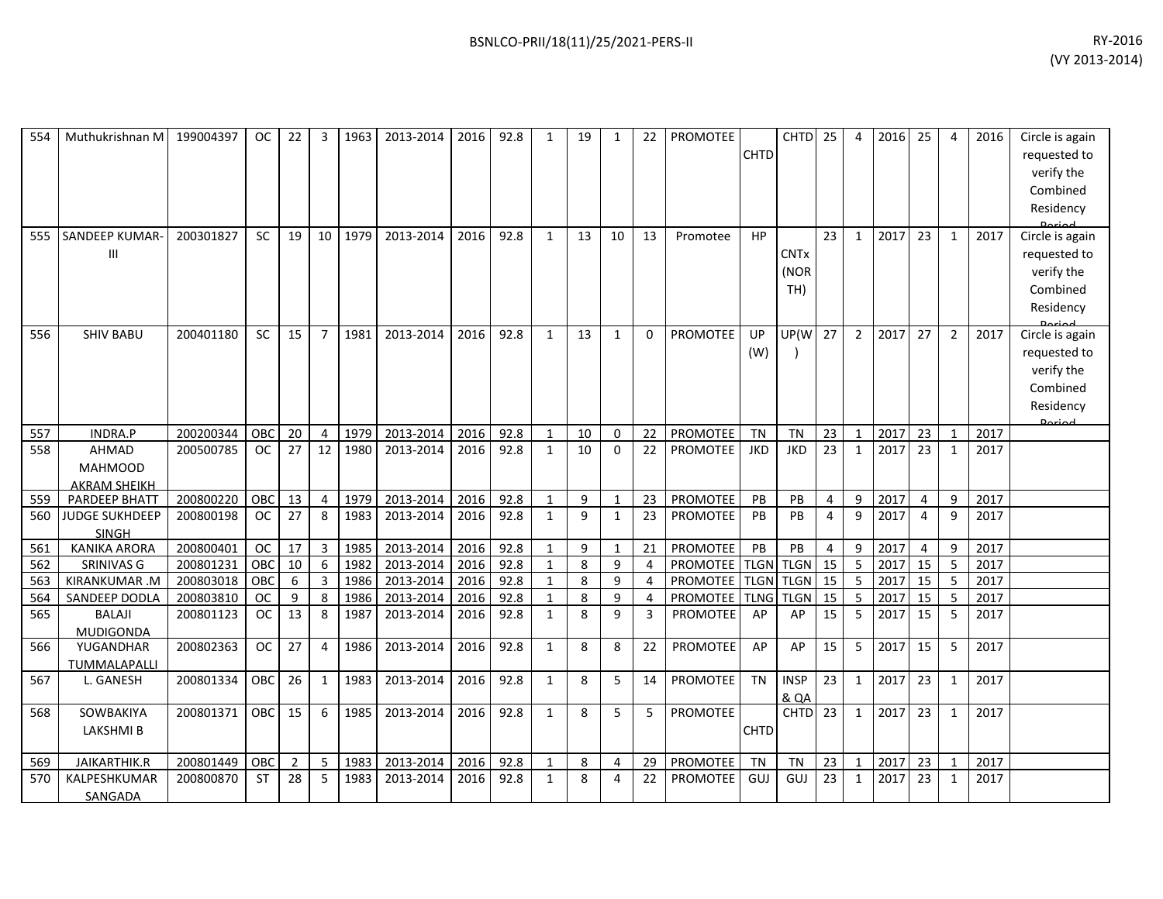| 554<br>555 | Muthukrishnan M<br><b>SANDEEP KUMAR-</b>              | 199004397<br>200301827 | OC .<br>SC    | 22<br>19       | 3<br>10        | 1963<br>1979 | 2013-2014<br>2013-2014 | 2016 l<br>2016 | 92.8<br>92.8 | 1<br>$\mathbf{1}$ | 19<br>13     | 1<br>10        | 22<br>13       | <b>PROMOTEE</b><br>Promotee | <b>CHTD</b><br>HP | CHTD 25                        | 23              | 4<br>$\mathbf{1}$ | 2016 25<br>2017 | 23             | 4<br>$\mathbf{1}$ | 2016<br>2017 | Circle is again<br>requested to<br>verify the<br>Combined<br>Residency<br>Circle is again |
|------------|-------------------------------------------------------|------------------------|---------------|----------------|----------------|--------------|------------------------|----------------|--------------|-------------------|--------------|----------------|----------------|-----------------------------|-------------------|--------------------------------|-----------------|-------------------|-----------------|----------------|-------------------|--------------|-------------------------------------------------------------------------------------------|
|            | Ш                                                     |                        |               |                |                |              |                        |                |              |                   |              |                |                |                             |                   | <b>CNTx</b><br>(NOR<br>TH)     |                 |                   |                 |                |                   |              | requested to<br>verify the<br>Combined<br>Residency                                       |
| 556        | <b>SHIV BABU</b>                                      | 200401180              | <b>SC</b>     | 15             | $\overline{7}$ | 1981         | 2013-2014              | 2016           | 92.8         | $\mathbf{1}$      | 13           | $\mathbf{1}$   | $\Omega$       | <b>PROMOTEE</b>             | UP<br>(W)         | UP(W                           | 27              | $\overline{2}$    | 2017            | 27             | $\overline{2}$    | 2017         | Circle is again<br>requested to<br>verify the<br>Combined<br>Residency<br>لممنعها         |
| 557        | INDRA.P                                               | 200200344              | OBC           | 20             | 4              | 1979         | 2013-2014              | 2016           | 92.8         | $\mathbf{1}$      | 10           | $\mathbf 0$    | 22             | PROMOTEE                    | <b>TN</b>         | <b>TN</b>                      | 23              | $\overline{1}$    | 2017            | 23             | $\mathbf{1}$      | 2017         |                                                                                           |
| 558        | <b>AHMAD</b><br><b>MAHMOOD</b><br><b>AKRAM SHEIKH</b> | 200500785              | <sub>OC</sub> | 27             | 12             | 1980         | 2013-2014              | 2016           | 92.8         | 1                 | 10           | $\mathbf{0}$   | 22             | <b>PROMOTEE</b>             | <b>JKD</b>        | <b>JKD</b>                     | 23              | 1                 | 2017            | 23             | $\mathbf{1}$      | 2017         |                                                                                           |
| 559        | PARDEEP BHATT                                         | 200800220              | OBC           | 13             | $\overline{4}$ | 1979         | 2013-2014              | 2016           | 92.8         | $\mathbf{1}$      | 9            | $\mathbf{1}$   | 23             | PROMOTEE                    | PB                | PB                             | $\overline{4}$  | 9                 | 2017            | $\overline{4}$ | 9                 | 2017         |                                                                                           |
| 560        | <b>JUDGE SUKHDEEP</b><br><b>SINGH</b>                 | 200800198              | <b>OC</b>     | 27             | 8              | 1983         | 2013-2014              | 2016           | 92.8         | 1                 | $\mathbf{q}$ | $\mathbf{1}$   | 23             | <b>PROMOTEE</b>             | PB                | PB                             | $\overline{4}$  | 9                 | 2017            | $\overline{4}$ | 9                 | 2017         |                                                                                           |
| 561        | <b>KANIKA ARORA</b>                                   | 200800401              | $_{\rm OC}$   | 17             | 3              | 1985         | 2013-2014              | 2016           | 92.8         | $\mathbf{1}$      | 9            | $\mathbf{1}$   | 21             | PROMOTEE                    | PB                | PB                             | 4               | 9                 | 2017            | 4              | 9                 | 2017         |                                                                                           |
| 562        | SRINIVAS G                                            | 200801231              | OBC           | 10             | 6              | 1982         | 2013-2014              | 2016           | 92.8         | $\mathbf{1}$      | 8            | 9              | $\overline{4}$ | PROMOTEE TLGN               |                   | <b>TLGN</b>                    | $\overline{15}$ | 5                 | 2017            | 15             | 5                 | 2017         |                                                                                           |
| 563        | KIRANKUMAR.M                                          | 200803018              | OBC           | 6              | 3              | 1986         | 2013-2014              | 2016           | 92.8         | 1                 | 8            | 9              | $\overline{4}$ | PROMOTEE TLGN TLGN          |                   |                                | 15              | 5                 | 2017            | 15             | 5                 | 2017         |                                                                                           |
| 564        | SANDEEP DODLA                                         | 200803810              | <b>OC</b>     | 9              | 8              | 1986         | 2013-2014              | 2016           | 92.8         | $\mathbf{1}$      | 8            | 9              | 4              | <b>PROMOTEE</b>             | <b>TLNG</b>       | <b>TLGN</b>                    | 15              | 5                 | 2017            | 15             | 5                 | 2017         |                                                                                           |
| 565        | <b>BALAJI</b><br><b>MUDIGONDA</b>                     | 200801123              | <b>OC</b>     | 13             | 8              | 1987         | 2013-2014              | 2016           | 92.8         | $\mathbf{1}$      | 8            | 9              | 3              | PROMOTEE                    | AP                | AP                             | 15              | 5                 | 2017            | 15             | 5                 | 2017         |                                                                                           |
| 566        | YUGANDHAR<br>TUMMALAPALLI                             | 200802363              | <b>OC</b>     | 27             | $\overline{4}$ | 1986         | 2013-2014              | 2016           | 92.8         | $\mathbf{1}$      | 8            | 8              | 22             | <b>PROMOTEE</b>             | AP                | AP                             | 15              | 5                 | 2017            | 15             | 5                 | 2017         |                                                                                           |
| 567        | L. GANESH                                             | 200801334              | OBC           | 26             | 1              | 1983         | 2013-2014              | 2016           | 92.8         | $\mathbf{1}$      | 8            | 5              | 14             | <b>PROMOTEE</b>             | <b>TN</b>         | <b>INSP</b><br><b>&amp; QA</b> | 23              | 1                 | 2017            | 23             | $\mathbf{1}$      | 2017         |                                                                                           |
| 568        | SOWBAKIYA<br>LAKSHMI B                                | 200801371              | OBC           | 15             | 6              | 1985         | 2013-2014              | 2016           | 92.8         | $\mathbf{1}$      | 8            | 5              | 5              | PROMOTEE                    | <b>CHTD</b>       | CHTD <sub>23</sub>             |                 | $\mathbf{1}$      | 2017            | 23             | $\mathbf{1}$      | 2017         |                                                                                           |
| 569        | JAIKARTHIK.R                                          | 200801449              | OBC           | $\overline{2}$ | 5              | 1983         | 2013-2014              | 2016           | 92.8         | $\mathbf{1}$      | 8            | $\overline{4}$ | 29             | PROMOTEE                    | <b>TN</b>         | <b>TN</b>                      | 23              | $\mathbf{1}$      | 2017            | 23             | $\mathbf{1}$      | 2017         |                                                                                           |
| 570        | KALPESHKUMAR<br>SANGADA                               | 200800870              | ST            | 28             | 5              | 1983         | 2013-2014              | 2016           | 92.8         | 1                 | 8            | 4              | 22             | <b>PROMOTEE</b>             | GUJ               | GUJ                            | 23              | 1                 | 2017            | 23             | $\mathbf{1}$      | 2017         |                                                                                           |
|            |                                                       |                        |               |                |                |              |                        |                |              |                   |              |                |                |                             |                   |                                |                 |                   |                 |                |                   |              |                                                                                           |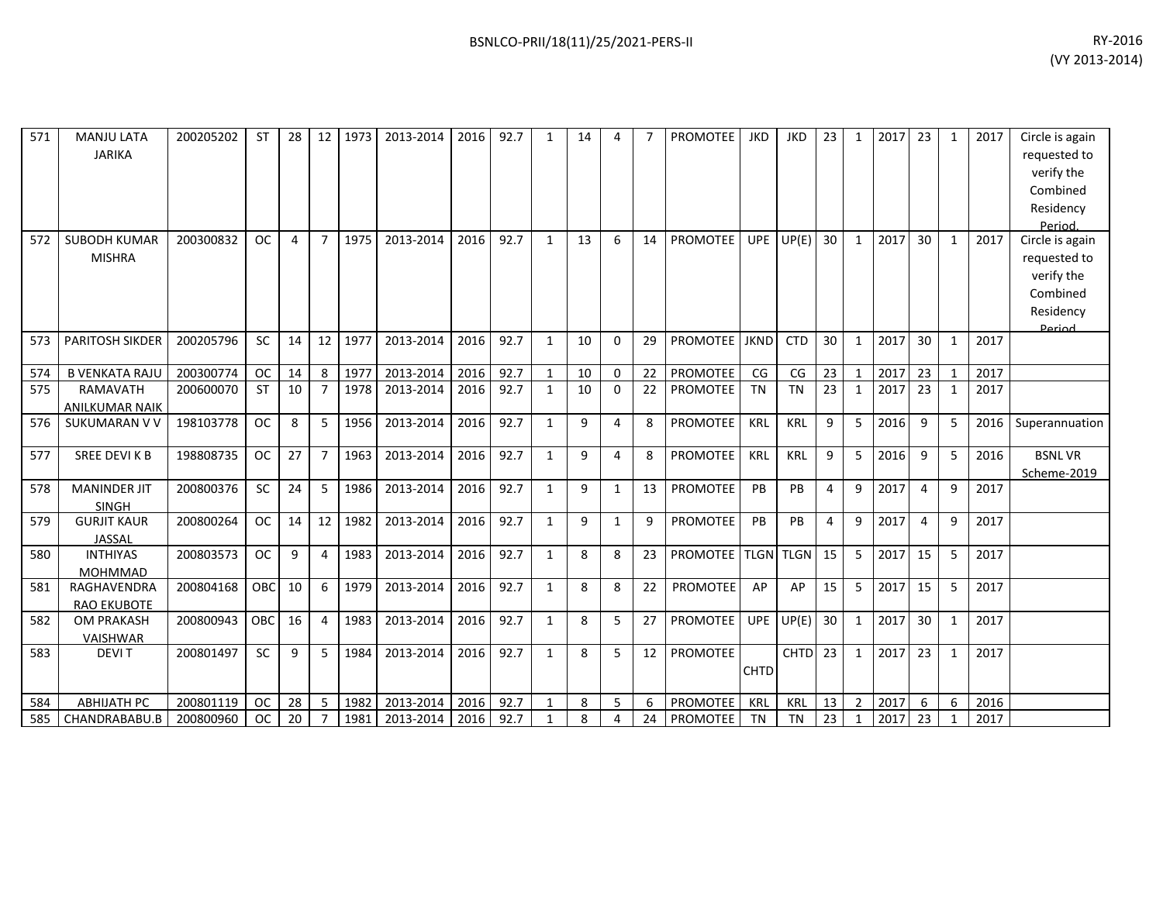| 571 | <b>MANJU LATA</b><br><b>JARIKA</b>       | 200205202 | <b>ST</b>  | 28           | 12             | 1973 | 2013-2014 | 2016 | 92.7 | 1            | 14           |              |    | <b>PROMOTEE</b> | <b>JKD</b>  | <b>JKD</b>         | 23 | 1              | 2017 | 23 | 1            | 2017 | Circle is again<br>requested to<br>verify the                                               |
|-----|------------------------------------------|-----------|------------|--------------|----------------|------|-----------|------|------|--------------|--------------|--------------|----|-----------------|-------------|--------------------|----|----------------|------|----|--------------|------|---------------------------------------------------------------------------------------------|
|     |                                          |           |            |              |                |      |           |      |      |              |              |              |    |                 |             |                    |    |                |      |    |              |      | Combined<br>Residency                                                                       |
| 572 | <b>SUBODH KUMAR</b><br><b>MISHRA</b>     | 200300832 | <b>OC</b>  | 4            | $\overline{7}$ | 1975 | 2013-2014 | 2016 | 92.7 | $\mathbf{1}$ | 13           | 6            | 14 | <b>PROMOTEE</b> | UPE I       | UP(E)              | 30 | $\mathbf{1}$   | 2017 | 30 | 1            | 2017 | Period.<br>Circle is again<br>requested to<br>verify the<br>Combined<br>Residency<br>Period |
| 573 | <b>PARITOSH SIKDER</b>                   | 200205796 | <b>SC</b>  | 14           | 12             | 1977 | 2013-2014 | 2016 | 92.7 | $\mathbf{1}$ | 10           | $\Omega$     | 29 | <b>PROMOTEE</b> | <b>JKND</b> | <b>CTD</b>         | 30 | $\mathbf{1}$   | 2017 | 30 | $\mathbf{1}$ | 2017 |                                                                                             |
| 574 | <b>B VENKATA RAJU</b>                    | 200300774 | <b>OC</b>  | 14           | 8              | 1977 | 2013-2014 | 2016 | 92.7 | $\mathbf{1}$ | 10           | $\mathbf{0}$ | 22 | <b>PROMOTEE</b> | CG          | CG                 | 23 | $\mathbf{1}$   | 2017 | 23 | 1            | 2017 |                                                                                             |
| 575 | <b>RAMAVATH</b><br><b>ANILKUMAR NAIK</b> | 200600070 | <b>ST</b>  | 10           | $\overline{7}$ | 1978 | 2013-2014 | 2016 | 92.7 | $\mathbf{1}$ | 10           | $\Omega$     | 22 | PROMOTEE        | <b>TN</b>   | <b>TN</b>          | 23 | $\mathbf{1}$   | 2017 | 23 | 1            | 2017 |                                                                                             |
| 576 | <b>SUKUMARAN V V</b>                     | 198103778 | <b>OC</b>  | $\mathbf{8}$ | 5              | 1956 | 2013-2014 | 2016 | 92.7 | $\mathbf{1}$ | $\mathbf{q}$ | 4            | 8  | <b>PROMOTEE</b> | KRL         | KRL                | 9  | 5              | 2016 | 9  | 5            | 2016 | Superannuation                                                                              |
| 577 | SREE DEVI K B                            | 198808735 | <b>OC</b>  | 27           | $\overline{7}$ | 1963 | 2013-2014 | 2016 | 92.7 | $\mathbf{1}$ | 9            | 4            | 8  | <b>PROMOTEE</b> | KRL         | <b>KRL</b>         | 9  | 5              | 2016 | 9  | 5            | 2016 | <b>BSNLVR</b><br>Scheme-2019                                                                |
| 578 | <b>MANINDER JIT</b><br><b>SINGH</b>      | 200800376 | <b>SC</b>  | 24           | 5              | 1986 | 2013-2014 | 2016 | 92.7 | $\mathbf{1}$ | 9            | 1            | 13 | <b>PROMOTEE</b> | PB          | PB                 | 4  | 9              | 2017 | 4  | 9            | 2017 |                                                                                             |
| 579 | <b>GURJIT KAUR</b><br>JASSAL             | 200800264 | <b>OC</b>  | 14           | 12             | 1982 | 2013-2014 | 2016 | 92.7 | $\mathbf{1}$ | $\mathbf{q}$ | $\mathbf{1}$ | 9  | <b>PROMOTEE</b> | PB          | PB                 | 4  | 9              | 2017 | 4  | 9            | 2017 |                                                                                             |
| 580 | <b>INTHIYAS</b><br><b>MOHMMAD</b>        | 200803573 | <b>OC</b>  | 9            | 4              | 1983 | 2013-2014 | 2016 | 92.7 | 1            | 8            | 8            | 23 | <b>PROMOTEE</b> | <b>TLGN</b> | <b>TLGN</b>        | 15 | 5              | 2017 | 15 | 5            | 2017 |                                                                                             |
| 581 | RAGHAVENDRA<br><b>RAO EKUBOTE</b>        | 200804168 | <b>OBC</b> | 10           | 6              | 1979 | 2013-2014 | 2016 | 92.7 | $\mathbf{1}$ | 8            | 8            | 22 | PROMOTEE        | AP          | AP                 | 15 | 5              | 2017 | 15 | 5            | 2017 |                                                                                             |
| 582 | <b>OM PRAKASH</b><br>VAISHWAR            | 200800943 | OBC        | 16           | 4              | 1983 | 2013-2014 | 2016 | 92.7 | $\mathbf{1}$ | 8            | 5            | 27 | PROMOTEE        | UPE         | UP(E)              | 30 | $\mathbf{1}$   | 2017 | 30 | 1            | 2017 |                                                                                             |
| 583 | <b>DEVIT</b>                             | 200801497 | <b>SC</b>  | 9            | 5              | 1984 | 2013-2014 | 2016 | 92.7 | $\mathbf{1}$ | 8            | 5            | 12 | <b>PROMOTEE</b> | <b>CHTD</b> | CHTD <sub>23</sub> |    | $\mathbf{1}$   | 2017 | 23 | 1            | 2017 |                                                                                             |
| 584 | <b>ABHIJATH PC</b>                       | 200801119 | <b>OC</b>  | 28           | 5              | 1982 | 2013-2014 | 2016 | 92.7 | 1            | 8            | 5            | 6  | <b>PROMOTEE</b> | KRL         | KRL                | 13 | $\overline{2}$ | 2017 | 6  | 6            | 2016 |                                                                                             |
| 585 | CHANDRABABU.B                            | 200800960 | <b>OC</b>  | 20           | $\overline{7}$ | 1981 | 2013-2014 | 2016 | 92.7 | $\mathbf{1}$ | 8            | 4            | 24 | <b>PROMOTEE</b> | <b>TN</b>   | <b>TN</b>          | 23 | -1             | 2017 | 23 |              | 2017 |                                                                                             |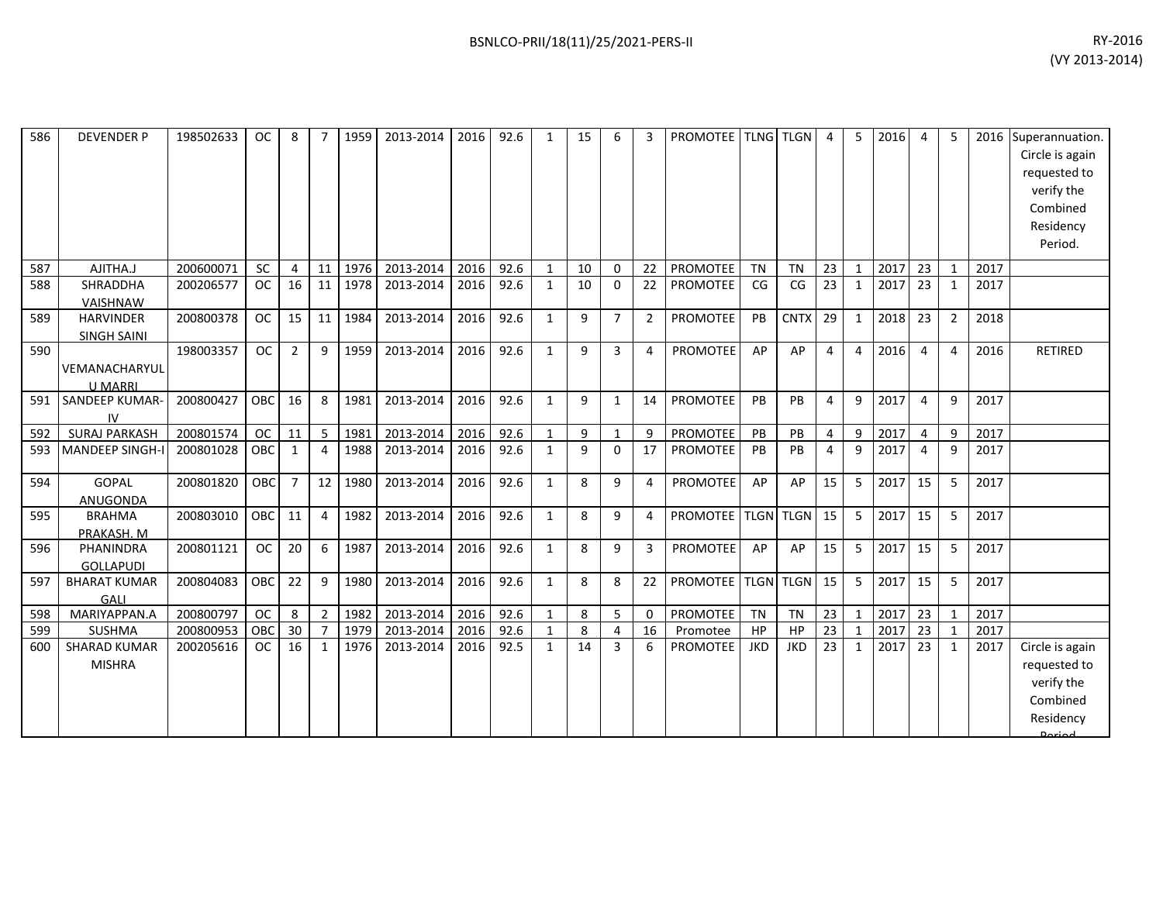| 586 | <b>DEVENDER P</b>                      | 198502633 | <b>OC</b>  | 8              |                | 1959 | 2013-2014 | 2016 | 92.6 | $\mathbf{1}$ | 15 | 6              | 3              | <b>PROMOTEE TLNG TLGN</b> |            |             | $\overline{4}$  | 5              | 2016 | $\overline{4}$ | 5              |      | 2016 Superannuation.<br>Circle is again<br>requested to<br>verify the<br>Combined<br>Residency<br>Period. |
|-----|----------------------------------------|-----------|------------|----------------|----------------|------|-----------|------|------|--------------|----|----------------|----------------|---------------------------|------------|-------------|-----------------|----------------|------|----------------|----------------|------|-----------------------------------------------------------------------------------------------------------|
| 587 | AJITHA.J                               | 200600071 | <b>SC</b>  | 4              | 11             | 1976 | 2013-2014 | 2016 | 92.6 | $\mathbf{1}$ | 10 | $\Omega$       | 22             | PROMOTEE                  | <b>TN</b>  | <b>TN</b>   | 23              | $\mathbf{1}$   | 2017 | 23             | $\mathbf 1$    | 2017 |                                                                                                           |
| 588 | SHRADDHA<br>VAISHNAW                   | 200206577 | <b>OC</b>  | 16             | 11             | 1978 | 2013-2014 | 2016 | 92.6 | $\mathbf{1}$ | 10 | $\Omega$       | 22             | PROMOTEE                  | CG         | CG          | 23              | $\mathbf{1}$   | 2017 | 23             | $\mathbf{1}$   | 2017 |                                                                                                           |
| 589 | <b>HARVINDER</b><br><b>SINGH SAINI</b> | 200800378 | <b>OC</b>  | 15             | 11             | 1984 | 2013-2014 | 2016 | 92.6 | $\mathbf{1}$ | 9  | $\overline{7}$ | $\overline{2}$ | PROMOTEE                  | PB         | <b>CNTX</b> | 29              | $\mathbf{1}$   | 2018 | 23             | $\overline{2}$ | 2018 |                                                                                                           |
| 590 | VEMANACHARYUL<br><b>U MARRI</b>        | 198003357 | <b>OC</b>  | 2              | 9              | 1959 | 2013-2014 | 2016 | 92.6 | $\mathbf{1}$ | 9  | 3              | 4              | PROMOTEE                  | AP         | AP          | $\overline{4}$  | $\overline{4}$ | 2016 | 4              | 4              | 2016 | <b>RETIRED</b>                                                                                            |
| 591 | SANDEEP KUMAR-<br>IV                   | 200800427 | OBC        | 16             | 8              | 1981 | 2013-2014 | 2016 | 92.6 | $\mathbf{1}$ | 9  | $\mathbf{1}$   | 14             | PROMOTEE                  | PB         | PB          | $\overline{4}$  | 9              | 2017 | 4              | 9              | 2017 |                                                                                                           |
| 592 | <b>SURAJ PARKASH</b>                   | 200801574 | OC         | 11             | 5              | 1981 | 2013-2014 | 2016 | 92.6 | $\mathbf{1}$ | 9  | $\mathbf{1}$   | 9              | PROMOTEE                  | PB         | PB          | 4               | 9              | 2017 | 4              | 9              | 2017 |                                                                                                           |
| 593 | MANDEEP SINGH-I                        | 200801028 | <b>OBC</b> | 1              | $\overline{4}$ | 1988 | 2013-2014 | 2016 | 92.6 | $\mathbf{1}$ | 9  | $\mathbf{0}$   | 17             | PROMOTEE                  | PB         | PB          | 4               | 9              | 2017 | $\overline{4}$ | 9              | 2017 |                                                                                                           |
| 594 | <b>GOPAL</b><br><b>ANUGONDA</b>        | 200801820 | OBC        | $\overline{7}$ | 12             | 1980 | 2013-2014 | 2016 | 92.6 | $\mathbf{1}$ | 8  | 9              | 4              | PROMOTEE                  | AP         | AP          | 15              | 5              | 2017 | 15             | 5              | 2017 |                                                                                                           |
| 595 | <b>BRAHMA</b><br>PRAKASH. M            | 200803010 | <b>OBC</b> | 11             | 4              | 1982 | 2013-2014 | 2016 | 92.6 | $\mathbf{1}$ | 8  | 9              | 4              | PROMOTEE TLGN TLGN        |            |             | 15              | 5              | 2017 | 15             | 5              | 2017 |                                                                                                           |
| 596 | PHANINDRA<br><b>GOLLAPUDI</b>          | 200801121 | <b>OC</b>  | 20             | 6              | 1987 | 2013-2014 | 2016 | 92.6 | $\mathbf{1}$ | 8  | 9              | 3              | PROMOTEE                  | AP         | AP          | 15              | 5              | 2017 | 15             | -5             | 2017 |                                                                                                           |
| 597 | <b>BHARAT KUMAR</b><br><b>GALI</b>     | 200804083 | <b>OBC</b> | 22             | 9              | 1980 | 2013-2014 | 2016 | 92.6 | $\mathbf{1}$ | 8  | 8              | 22             | PROMOTEE TLGN TLGN        |            |             | 15              | 5              | 2017 | 15             | 5              | 2017 |                                                                                                           |
| 598 | MARIYAPPAN.A                           | 200800797 | <b>OC</b>  | 8              | $\overline{2}$ | 1982 | 2013-2014 | 2016 | 92.6 | $\mathbf{1}$ | 8  | 5              | 0              | PROMOTEE                  | <b>TN</b>  | <b>TN</b>   | 23              | $\mathbf{1}$   | 2017 | 23             |                | 2017 |                                                                                                           |
| 599 | <b>SUSHMA</b>                          | 200800953 | OBC        | 30             | $\overline{7}$ | 1979 | 2013-2014 | 2016 | 92.6 | $\mathbf{1}$ | 8  | 4              | 16             | Promotee                  | HP         | <b>HP</b>   | $\overline{23}$ | $\mathbf{1}$   | 2017 | 23             |                | 2017 |                                                                                                           |
| 600 | <b>SHARAD KUMAR</b><br><b>MISHRA</b>   | 200205616 | <b>OC</b>  | 16             | 1              | 1976 | 2013-2014 | 2016 | 92.5 | $\mathbf{1}$ | 14 | 3              | 6              | PROMOTEE                  | <b>JKD</b> | <b>JKD</b>  | 23              | $\mathbf{1}$   | 2017 | 23             | $\mathbf{1}$   | 2017 | Circle is again<br>requested to<br>verify the<br>Combined<br>Residency<br>لممنعمه                         |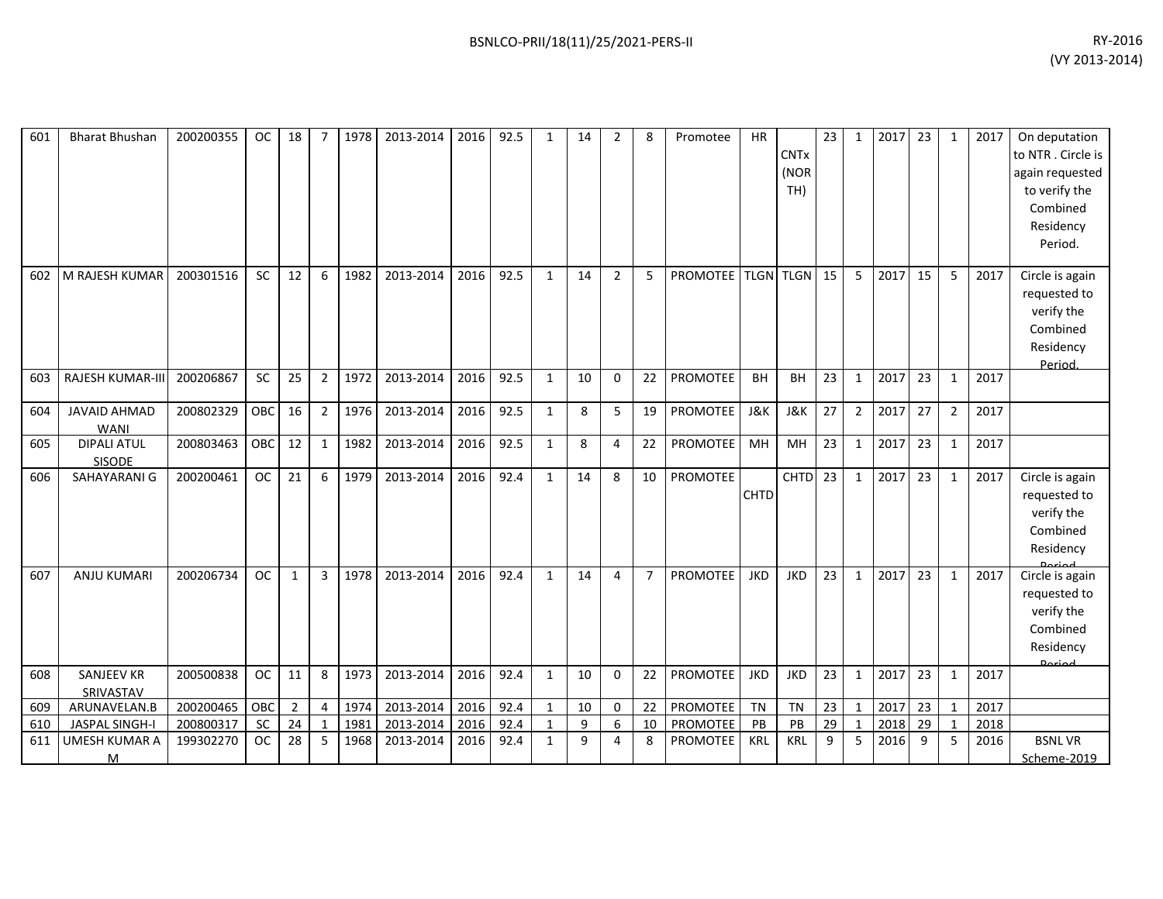| 601 | <b>Bharat Bhushan</b>              | 200200355 | <b>OC</b> | 18 |                | 1978 | 2013-2014 | 2016 | 92.5 | $\mathbf{1}$ | 14 | $\overline{2}$ | 8              | Promotee        | HR          | <b>CNTx</b><br>(NOR<br>TH) | 23 | $\mathbf{1}$            | 2017 | 23 | $\mathbf{1}$   | 2017 | On deputation<br>to NTR . Circle is<br>again requested<br>to verify the<br>Combined<br>Residency<br>Period. |
|-----|------------------------------------|-----------|-----------|----|----------------|------|-----------|------|------|--------------|----|----------------|----------------|-----------------|-------------|----------------------------|----|-------------------------|------|----|----------------|------|-------------------------------------------------------------------------------------------------------------|
| 602 | M RAJESH KUMAR                     | 200301516 | SC        | 12 | 6              | 1982 | 2013-2014 | 2016 | 92.5 | $\mathbf{1}$ | 14 | $\overline{2}$ | 5              | <b>PROMOTEE</b> |             | <b>TLGN TLGN</b>           | 15 | 5                       | 2017 | 15 | 5              | 2017 | Circle is again<br>requested to<br>verify the<br>Combined<br>Residency<br>Period.                           |
| 603 | <b>RAJESH KUMAR-III</b>            | 200206867 | SC        | 25 | $\overline{2}$ | 1972 | 2013-2014 | 2016 | 92.5 | 1            | 10 | $\Omega$       | 22             | <b>PROMOTEE</b> | <b>BH</b>   | BH                         | 23 | $\mathbf{1}$            | 2017 | 23 | $\mathbf{1}$   | 2017 |                                                                                                             |
| 604 | <b>JAVAID AHMAD</b><br><b>WANI</b> | 200802329 | OBC       | 16 | $\overline{2}$ | 1976 | 2013-2014 | 2016 | 92.5 | $\mathbf{1}$ | 8  | 5              | 19             | PROMOTEE        | J&K         | <b>J&amp;K</b>             | 27 | $\overline{2}$          | 2017 | 27 | $\overline{2}$ | 2017 |                                                                                                             |
| 605 | <b>DIPALI ATUL</b><br>SISODE       | 200803463 | OBC       | 12 | 1              | 1982 | 2013-2014 | 2016 | 92.5 | $\mathbf{1}$ | 8  | 4              | 22             | PROMOTEE        | MH          | MH                         | 23 | $\mathbf{1}$            | 2017 | 23 | $\mathbf{1}$   | 2017 |                                                                                                             |
| 606 | SAHAYARANI G                       | 200200461 | <b>OC</b> | 21 | 6              | 1979 | 2013-2014 | 2016 | 92.4 | $\mathbf{1}$ | 14 | 8              | 10             | PROMOTEE        | <b>CHTD</b> | <b>CHTD</b>                | 23 | 1                       | 2017 | 23 | $\mathbf{1}$   | 2017 | Circle is again<br>requested to<br>verify the<br>Combined<br>Residency                                      |
| 607 | <b>ANJU KUMARI</b>                 | 200206734 | <b>OC</b> | 1  | 3              | 1978 | 2013-2014 | 2016 | 92.4 | $\mathbf{1}$ | 14 | 4              | $\overline{7}$ | <b>PROMOTEE</b> | <b>JKD</b>  | <b>JKD</b>                 | 23 | 1                       | 2017 | 23 | $\mathbf{1}$   | 2017 | Circle is again<br>requested to<br>verify the<br>Combined<br>Residency<br>لمهنعها                           |
| 608 | <b>SANJEEV KR</b><br>SRIVASTAV     | 200500838 | <b>OC</b> | 11 | 8              | 1973 | 2013-2014 | 2016 | 92.4 | 1            | 10 | $\Omega$       | 22             | PROMOTEE        | <b>JKD</b>  | <b>JKD</b>                 | 23 | 1                       | 2017 | 23 | $\mathbf{1}$   | 2017 |                                                                                                             |
| 609 | ARUNAVELAN.B                       | 200200465 | OBC       | 2  | $\overline{4}$ | 1974 | 2013-2014 | 2016 | 92.4 | $\mathbf{1}$ | 10 | 0              | 22             | PROMOTEE        | <b>TN</b>   | <b>TN</b>                  | 23 | $\mathbf{1}$            | 2017 | 23 | 1              | 2017 |                                                                                                             |
| 610 | <b>JASPAL SINGH-I</b>              | 200800317 | <b>SC</b> | 24 | $\overline{1}$ | 1981 | 2013-2014 | 2016 | 92.4 | $\mathbf{1}$ | 9  | 6              | 10             | PROMOTEE        | PB          | PB                         | 29 | $\overline{\mathbf{1}}$ | 2018 | 29 |                | 2018 |                                                                                                             |
| 611 | UMESH KUMAR A                      | 199302270 | <b>OC</b> | 28 | 5              | 1968 | 2013-2014 | 2016 | 92.4 | $\mathbf{1}$ | 9  | 4              | 8              | PROMOTEE        | <b>KRL</b>  | KRL                        | 9  | 5                       | 2016 | 9  | 5              | 2016 | <b>BSNLVR</b>                                                                                               |
|     | м                                  |           |           |    |                |      |           |      |      |              |    |                |                |                 |             |                            |    |                         |      |    |                |      | Scheme-2019                                                                                                 |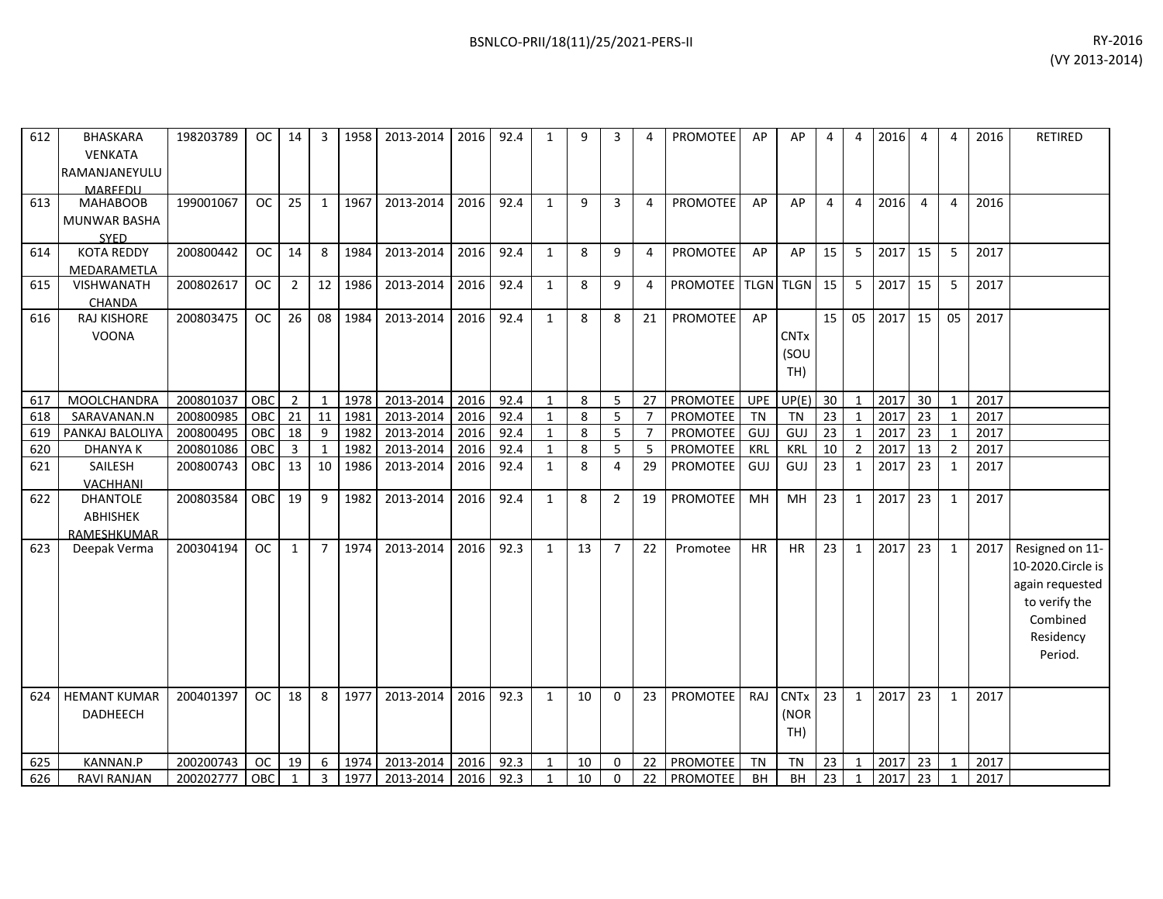| 612 | BHASKARA<br><b>VENKATA</b><br>RAMANJANEYULU<br>MARFFDU | 198203789 | OC.        | 14             | 3              | 1958 | 2013-2014 | 2016 | 92.4 | $\mathbf{1}$ | 9  | 3              | 4              | PROMOTEE               | AP         | AP                         | 4               | 4              | 2016 | 4               | 4              | 2016 | <b>RETIRED</b>                                                                                               |
|-----|--------------------------------------------------------|-----------|------------|----------------|----------------|------|-----------|------|------|--------------|----|----------------|----------------|------------------------|------------|----------------------------|-----------------|----------------|------|-----------------|----------------|------|--------------------------------------------------------------------------------------------------------------|
| 613 | <b>MAHABOOB</b><br><b>MUNWAR BASHA</b><br><b>SYED</b>  | 199001067 | <b>OC</b>  | 25             | $\mathbf{1}$   | 1967 | 2013-2014 | 2016 | 92.4 | $\mathbf{1}$ | 9  | $\overline{3}$ | 4              | <b>PROMOTEE</b>        | AP         | AP                         | $\overline{4}$  | 4              | 2016 | 4               | 4              | 2016 |                                                                                                              |
| 614 | <b>KOTA REDDY</b><br>MEDARAMETLA                       | 200800442 | <b>OC</b>  | 14             | 8              | 1984 | 2013-2014 | 2016 | 92.4 | $\mathbf{1}$ | 8  | 9              | 4              | <b>PROMOTEE</b>        | AP         | AP                         | 15              | 5              | 2017 | 15              | 5              | 2017 |                                                                                                              |
| 615 | VISHWANATH<br><b>CHANDA</b>                            | 200802617 | <b>OC</b>  | $\overline{2}$ | 12             | 1986 | 2013-2014 | 2016 | 92.4 | $\mathbf{1}$ | 8  | 9              | 4              | PROMOTEE   TLGN   TLGN |            |                            | 15              | 5              | 2017 | 15              | 5              | 2017 |                                                                                                              |
| 616 | <b>RAJ KISHORE</b><br><b>VOONA</b>                     | 200803475 | <b>OC</b>  | 26             | 08             | 1984 | 2013-2014 | 2016 | 92.4 | $\mathbf{1}$ | 8  | 8              | 21             | <b>PROMOTEE</b>        | AP         | <b>CNTx</b><br>(SOU<br>TH) | 15              | 05             | 2017 | 15              | 05             | 2017 |                                                                                                              |
| 617 | MOOLCHANDRA                                            | 200801037 | <b>OBC</b> | $\overline{2}$ | 1              | 1978 | 2013-2014 | 2016 | 92.4 | $\mathbf{1}$ | 8  | 5              | 27             | PROMOTEE               | <b>UPE</b> | UP(E)                      | 30 <sup>°</sup> | $\mathbf{1}$   | 2017 | 30              | $\mathbf{1}$   | 2017 |                                                                                                              |
| 618 | SARAVANAN.N                                            | 200800985 | OBC        | 21             | 11             | 1981 | 2013-2014 | 2016 | 92.4 | $\mathbf{1}$ | 8  | 5              | $\overline{7}$ | PROMOTEE               | <b>TN</b>  | <b>TN</b>                  | 23              | $\mathbf{1}$   | 2017 | $\overline{23}$ | $\mathbf{1}$   | 2017 |                                                                                                              |
| 619 | PANKAJ BALOLIYA                                        | 200800495 | OBC        | 18             | 9              | 1982 | 2013-2014 | 2016 | 92.4 | $\mathbf{1}$ | 8  | 5              | $\overline{7}$ | PROMOTEE               | <b>GUJ</b> | GUJ                        | 23              | $\mathbf{1}$   | 2017 | 23              | 1              | 2017 |                                                                                                              |
| 620 | <b>DHANYAK</b>                                         | 200801086 | OBC        | 3              | $\mathbf{1}$   | 1982 | 2013-2014 | 2016 | 92.4 | $\mathbf{1}$ | 8  | 5              | 5              | PROMOTEE               | <b>KRL</b> | <b>KRL</b>                 | 10              | $\overline{2}$ | 2017 | 13              | $\overline{2}$ | 2017 |                                                                                                              |
| 621 | SAILESH<br><b>VACHHANI</b>                             | 200800743 | <b>OBC</b> | 13             | 10             | 1986 | 2013-2014 | 2016 | 92.4 | $\mathbf{1}$ | 8  | 4              | 29             | PROMOTEE               | GUJ        | GUJ                        | 23              | $\mathbf{1}$   | 2017 | 23              | 1              | 2017 |                                                                                                              |
| 622 | <b>DHANTOLE</b><br>ABHISHEK<br>RAMESHKUMAR             | 200803584 | OBC        | 19             | 9              | 1982 | 2013-2014 | 2016 | 92.4 | $\mathbf{1}$ | 8  | $\overline{2}$ | 19             | PROMOTEE               | MH         | MH                         | 23              | $\mathbf{1}$   | 2017 | 23              | 1              | 2017 |                                                                                                              |
| 623 | Deepak Verma                                           | 200304194 | <b>OC</b>  | $\mathbf{1}$   | $\overline{7}$ | 1974 | 2013-2014 | 2016 | 92.3 | $\mathbf{1}$ | 13 | $\overline{7}$ | 22             | Promotee               | <b>HR</b>  | HR                         | 23              | $\mathbf{1}$   | 2017 | 23              | 1              | 2017 | Resigned on 11-<br>10-2020.Circle is<br>again requested<br>to verify the<br>Combined<br>Residency<br>Period. |
| 624 | <b>HEMANT KUMAR</b><br>DADHEECH                        | 200401397 | <b>OC</b>  | 18             | 8              | 1977 | 2013-2014 | 2016 | 92.3 | $\mathbf{1}$ | 10 | $\Omega$       | 23             | PROMOTEE               | RAJ        | <b>CNTx</b><br>(NOR<br>TH) | 23              | $\mathbf{1}$   | 2017 | 23              | $\mathbf{1}$   | 2017 |                                                                                                              |
| 625 | KANNAN.P                                               | 200200743 | <b>OC</b>  | 19             | 6              | 1974 | 2013-2014 | 2016 | 92.3 | $\mathbf{1}$ | 10 | $\mathbf{0}$   | 22             | PROMOTEE               | <b>TN</b>  | <b>TN</b>                  | 23              | $\mathbf{1}$   | 2017 | 23              | 1              | 2017 |                                                                                                              |
| 626 | <b>RAVI RANJAN</b>                                     | 200202777 | OBC        | 1              | 3              | 1977 | 2013-2014 | 2016 | 92.3 | $\mathbf{1}$ | 10 | $\mathbf{0}$   | 22             | PROMOTEE               | <b>BH</b>  | <b>BH</b>                  | 23              | 1              | 2017 | 23              | $\mathbf{1}$   | 2017 |                                                                                                              |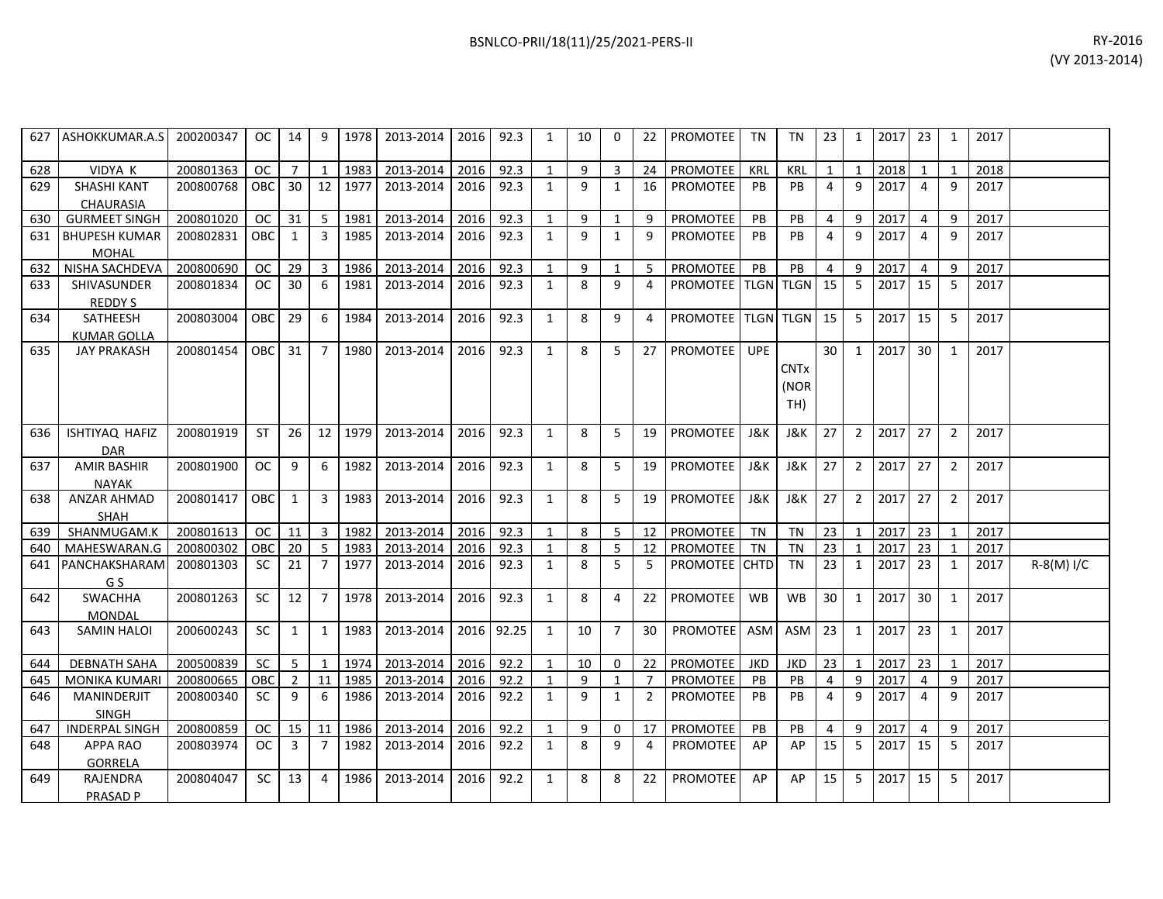|     | 627 ASHOKKUMAR.A.S                     | 200200347 | OC.        | - 14 I                  | 9                       | 1978 | 2013-2014   2016 |      | 92.3  | 1            | 10 | $\Omega$       | 22             | <b>PROMOTEE</b>           | TN         | TN                         | 23             | 1              | 2017 23 |                | 1              | 2017 |            |
|-----|----------------------------------------|-----------|------------|-------------------------|-------------------------|------|------------------|------|-------|--------------|----|----------------|----------------|---------------------------|------------|----------------------------|----------------|----------------|---------|----------------|----------------|------|------------|
| 628 | VIDYA K                                | 200801363 | OC.        | 7                       | 1                       | 1983 | 2013-2014        | 2016 | 92.3  | 1            | 9  | $\overline{3}$ | 24             | PROMOTEE                  | KRL        | <b>KRL</b>                 | $\mathbf{1}$   | $\mathbf{1}$   | 2018    | $\mathbf{1}$   | 1              | 2018 |            |
| 629 | <b>SHASHI KANT</b><br><b>CHAURASIA</b> | 200800768 | OBC        | 30                      | 12                      | 1977 | 2013-2014        | 2016 | 92.3  | $\mathbf{1}$ | 9  | $\mathbf{1}$   | 16             | <b>PROMOTEE</b>           | <b>PB</b>  | PB                         | $\overline{4}$ | 9              | 2017    | $\overline{4}$ | 9              | 2017 |            |
| 630 | <b>GURMEET SINGH</b>                   | 200801020 | <b>OC</b>  | 31                      | -5                      | 1981 | 2013-2014        | 2016 | 92.3  | 1            | 9  | $\mathbf{1}$   | 9              | PROMOTEE                  | <b>PB</b>  | PB                         | 4              | 9              | 2017    | 4              | 9              | 2017 |            |
| 631 | <b>BHUPESH KUMAR</b><br><b>MOHAL</b>   | 200802831 | OBC        | 1                       | 3                       | 1985 | 2013-2014        | 2016 | 92.3  | $\mathbf{1}$ | 9  | $\mathbf{1}$   | 9              | PROMOTEE                  | PB         | <b>PB</b>                  | $\overline{4}$ | 9              | 2017    | $\overline{a}$ | $\mathsf{q}$   | 2017 |            |
| 632 | NISHA SACHDEVA                         | 200800690 | <b>OC</b>  | 29                      | 3                       | 1986 | 2013-2014        | 2016 | 92.3  | $\mathbf{1}$ | 9  | $\mathbf{1}$   | 5              | PROMOTEE                  | PB         | PB                         | $\overline{4}$ | 9              | 2017    | 4              | 9              | 2017 |            |
| 633 | <b>SHIVASUNDER</b><br><b>REDDYS</b>    | 200801834 | OC.        | 30                      | -6                      | 1981 | 2013-2014        | 2016 | 92.3  | $\mathbf{1}$ | 8  | 9              | 4              | <b>PROMOTEE TLGN TLGN</b> |            |                            | 15             | - 5            | 2017    | 15             | 5              | 2017 |            |
| 634 | SATHEESH<br><b>KUMAR GOLLA</b>         | 200803004 | OBC        | 29                      | 6                       | 1984 | 2013-2014        | 2016 | 92.3  | $\mathbf{1}$ | 8  | 9              | 4              | PROMOTEE TLGN TLGN 15     |            |                            |                | 5              | 2017    | 15             | 5              | 2017 |            |
| 635 | <b>JAY PRAKASH</b>                     | 200801454 | OBC.       | 31                      | 7                       | 1980 | 2013-2014        | 2016 | 92.3  | $\mathbf{1}$ | 8  | 5              | 27             | <b>PROMOTEE</b>           | <b>UPE</b> | <b>CNTx</b><br>(NOR<br>TH) | 30             | 1              | 2017    | 30             | 1              | 2017 |            |
| 636 | ISHTIYAQ HAFIZ<br><b>DAR</b>           | 200801919 | <b>ST</b>  | 26                      | 12                      | 1979 | 2013-2014        | 2016 | 92.3  | 1            | 8  | 5              | 19             | PROMOTEE                  | J&K        | J&K                        | 27             | $\overline{2}$ | 2017    | 27             | $\overline{2}$ | 2017 |            |
| 637 | <b>AMIR BASHIR</b><br><b>NAYAK</b>     | 200801900 | OC.        | 9                       | 6                       | 1982 | 2013-2014        | 2016 | 92.3  | 1            | 8  | 5              | 19             | <b>PROMOTEE</b>           | J&K        | J&K                        | 27             | $\overline{2}$ | 2017    | 27             | $\overline{2}$ | 2017 |            |
| 638 | <b>ANZAR AHMAD</b><br><b>SHAH</b>      | 200801417 | <b>OBC</b> | 1                       | 3                       | 1983 | 2013-2014        | 2016 | 92.3  | 1            | 8  | 5              | 19             | <b>PROMOTEE</b>           | J&K        | J&K                        | 27             | 2              | 2017    | 27             | 2              | 2017 |            |
| 639 | SHANMUGAM.K                            | 200801613 | OC         | 11                      | $\overline{\mathbf{3}}$ | 1982 | 2013-2014        | 2016 | 92.3  | 1            | 8  | 5              | 12             | PROMOTEE                  | TN         | <b>TN</b>                  | 23             | $\mathbf{1}$   | 2017    | 23             | $\mathbf{1}$   | 2017 |            |
| 640 | MAHESWARAN.G                           | 200800302 | <b>OBC</b> | 20                      | 5                       | 1983 | 2013-2014        | 2016 | 92.3  | 1            | 8  | 5              | 12             | <b>PROMOTEE</b>           | <b>TN</b>  | <b>TN</b>                  | 23             | $\mathbf{1}$   | 2017    | 23             | $\mathbf{1}$   | 2017 |            |
| 641 | PANCHAKSHARAM<br>G S                   | 200801303 | <b>SC</b>  | 21                      | $\overline{7}$          | 1977 | 2013-2014        | 2016 | 92.3  | $\mathbf{1}$ | 8  | 5              | 5              | PROMOTEE CHTD             |            | TN                         | 23             | 1              | 2017    | 23             | $\mathbf{1}$   | 2017 | R-8(M) I/C |
| 642 | <b>SWACHHA</b><br>MONDAL               | 200801263 | <b>SC</b>  | 12                      | $\overline{7}$          | 1978 | 2013-2014        | 2016 | 92.3  | $\mathbf{1}$ | 8  | $\overline{4}$ | 22             | PROMOTEE                  | WB         | <b>WB</b>                  | 30             | $\overline{1}$ | 2017    | 30             | $\mathbf{1}$   | 2017 |            |
| 643 | <b>SAMIN HALOI</b>                     | 200600243 | SC.        | 1                       | 1                       | 1983 | 2013-2014        | 2016 | 92.25 | 1            | 10 | $\overline{7}$ | 30             | <b>PROMOTEE</b>           | ASM        | <b>ASM</b>                 | 23             | 1              | 2017    | 23             | $\mathbf{1}$   | 2017 |            |
| 644 | <b>DEBNATH SAHA</b>                    | 200500839 | <b>SC</b>  | 5                       | 1                       | 1974 | 2013-2014        | 2016 | 92.2  | 1            | 10 | $\Omega$       | 22             | <b>PROMOTEE</b>           | JKD        | <b>JKD</b>                 | 23             | $\overline{1}$ | 2017    | 23             | $\mathbf{1}$   | 2017 |            |
| 645 | <b>MONIKA KUMARI</b>                   | 200800665 | ОВС        | $\overline{2}$          | 11                      | 1985 | 2013-2014        | 2016 | 92.2  | 1            | 9  | 1              | $\overline{7}$ | PROMOTEE                  | <b>PB</b>  | PB                         | 4              | 9              | 2017    | 4              | 9              | 2017 |            |
| 646 | MANINDERJIT<br><b>SINGH</b>            | 200800340 | <b>SC</b>  | -9                      | 6                       | 1986 | 2013-2014        | 2016 | 92.2  | 1            | 9  | $\mathbf{1}$   | $\overline{2}$ | PROMOTEE                  | PB         | PB                         | $\overline{4}$ | $\mathsf{q}$   | 2017    | $\overline{4}$ | 9              | 2017 |            |
| 647 | <b>INDERPAL SINGH</b>                  | 200800859 | <b>OC</b>  | 15                      | 11                      | 1986 | 2013-2014        | 2016 | 92.2  | 1            | 9  | 0              | 17             | PROMOTEE                  | PB         | PB                         | $\overline{4}$ | 9              | 2017    | 4              | 9              | 2017 |            |
| 648 | <b>APPA RAO</b><br><b>GORRELA</b>      | 200803974 | OC.        | $\overline{\mathbf{3}}$ | $\overline{7}$          | 1982 | 2013-2014        | 2016 | 92.2  | $\mathbf{1}$ | 8  | 9              | 4              | PROMOTEE                  | AP         | AP                         | 15             | - 5            | 2017    | 15             | 5              | 2017 |            |
| 649 | RAJENDRA<br><b>PRASAD P</b>            | 200804047 | <b>SC</b>  | 13                      | $\overline{4}$          | 1986 | 2013-2014        | 2016 | 92.2  | 1            | 8  | 8              | 22             | <b>PROMOTEE</b>           | AP         | AP                         | 15             | 5              | 2017    | 15             | 5              | 2017 |            |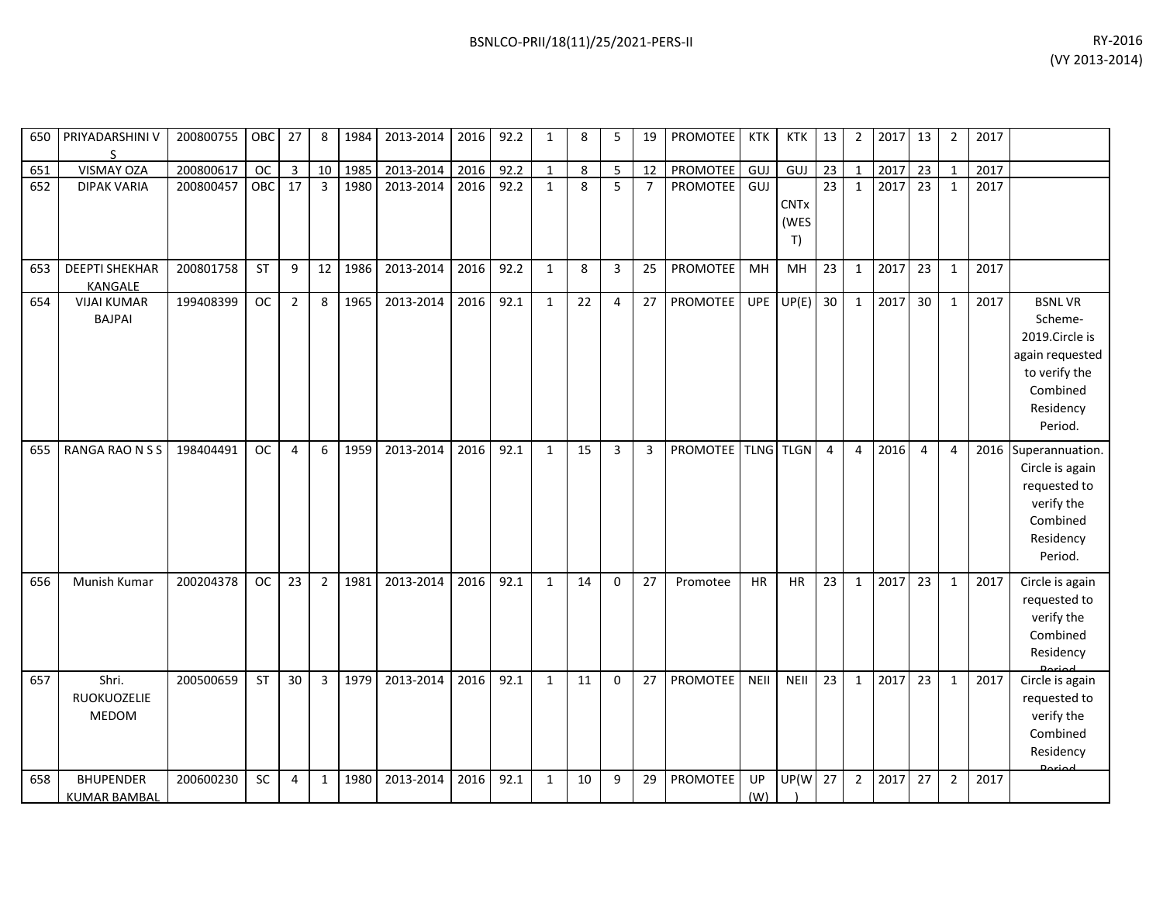| 650 | PRIYADARSHINI V<br>S                    | 200800755 | OBC       | 27             | 8              | 1984 | 2013-2014 | 2016 | 92.2 | $\mathbf{1}$ | 8  | 5              | 19             | PROMOTEE           | KTK        | <b>KTK</b>                | 13              | $\overline{2}$ | 2017 | 13              | $\overline{2}$ | 2017 |                                                                                                                    |
|-----|-----------------------------------------|-----------|-----------|----------------|----------------|------|-----------|------|------|--------------|----|----------------|----------------|--------------------|------------|---------------------------|-----------------|----------------|------|-----------------|----------------|------|--------------------------------------------------------------------------------------------------------------------|
| 651 | VISMAY OZA                              | 200800617 | <b>OC</b> | 3              | 10             | 1985 | 2013-2014 | 2016 | 92.2 | $\mathbf{1}$ | 8  | 5              | 12             | PROMOTEE           | GUJ        | GUJ                       | 23              | $\mathbf{1}$   | 2017 | 23              | 1              | 2017 |                                                                                                                    |
| 652 | <b>DIPAK VARIA</b>                      | 200800457 | OBC       | 17             | $\overline{3}$ | 1980 | 2013-2014 | 2016 | 92.2 | $\mathbf{1}$ | 8  | 5              | $\overline{7}$ | <b>PROMOTEE</b>    | GUJ        | <b>CNTx</b><br>(WES<br>T) | 23              | $\mathbf{1}$   | 2017 | 23              | $\mathbf{1}$   | 2017 |                                                                                                                    |
| 653 | <b>DEEPTI SHEKHAR</b><br><b>KANGALE</b> | 200801758 | ST        | 9              | 12             | 1986 | 2013-2014 | 2016 | 92.2 | $\mathbf{1}$ | 8  | 3              | 25             | PROMOTEE           | MH         | MH                        | $\overline{23}$ | $\mathbf{1}$   | 2017 | 23              | $\mathbf{1}$   | 2017 |                                                                                                                    |
| 654 | <b>VIJAI KUMAR</b><br><b>BAJPAI</b>     | 199408399 | <b>OC</b> | $\overline{2}$ | 8              | 1965 | 2013-2014 | 2016 | 92.1 | $\mathbf{1}$ | 22 | 4              | 27             | PROMOTEE           | <b>UPE</b> | UP(E)                     | 30              | $\mathbf{1}$   | 2017 | 30 <sup>°</sup> | $\mathbf{1}$   | 2017 | <b>BSNLVR</b><br>Scheme-<br>2019.Circle is<br>again requested<br>to verify the<br>Combined<br>Residency<br>Period. |
| 655 | RANGA RAO N S S                         | 198404491 | <b>OC</b> | $\overline{4}$ | 6              | 1959 | 2013-2014 | 2016 | 92.1 | $\mathbf{1}$ | 15 | $\overline{3}$ | $\overline{3}$ | PROMOTEE TLNG TLGN |            |                           | $\overline{4}$  | $\overline{4}$ | 2016 | $\overline{4}$  | 4              | 2016 | Superannuation.<br>Circle is again<br>requested to<br>verify the<br>Combined<br>Residency<br>Period.               |
| 656 | Munish Kumar                            | 200204378 | <b>OC</b> | 23             | $\overline{2}$ | 1981 | 2013-2014 | 2016 | 92.1 | $\mathbf{1}$ | 14 | $\Omega$       | 27             | Promotee           | <b>HR</b>  | <b>HR</b>                 | 23              | $\mathbf{1}$   | 2017 | 23              | $\mathbf{1}$   | 2017 | Circle is again<br>requested to<br>verify the<br>Combined<br>Residency                                             |
| 657 | Shri.<br>RUOKUOZELIE<br><b>MEDOM</b>    | 200500659 | ST        | 30             | 3              | 1979 | 2013-2014 | 2016 | 92.1 | $\mathbf{1}$ | 11 | $\Omega$       | 27             | <b>PROMOTEE</b>    | NEII       | <b>NEII</b>               | 23              | $\mathbf{1}$   | 2017 | 23              | $\mathbf{1}$   | 2017 | Circle is again<br>requested to<br>verify the<br>Combined<br>Residency<br><b>Doriod</b>                            |
| 658 | <b>BHUPENDER</b><br><b>KUMAR BAMBAL</b> | 200600230 | <b>SC</b> | 4              | 1              | 1980 | 2013-2014 | 2016 | 92.1 | $\mathbf{1}$ | 10 | 9              | 29             | PROMOTEE           | UP<br>(W)  | UP(W                      | 27              | $\overline{2}$ | 2017 | 27              | $\overline{2}$ | 2017 |                                                                                                                    |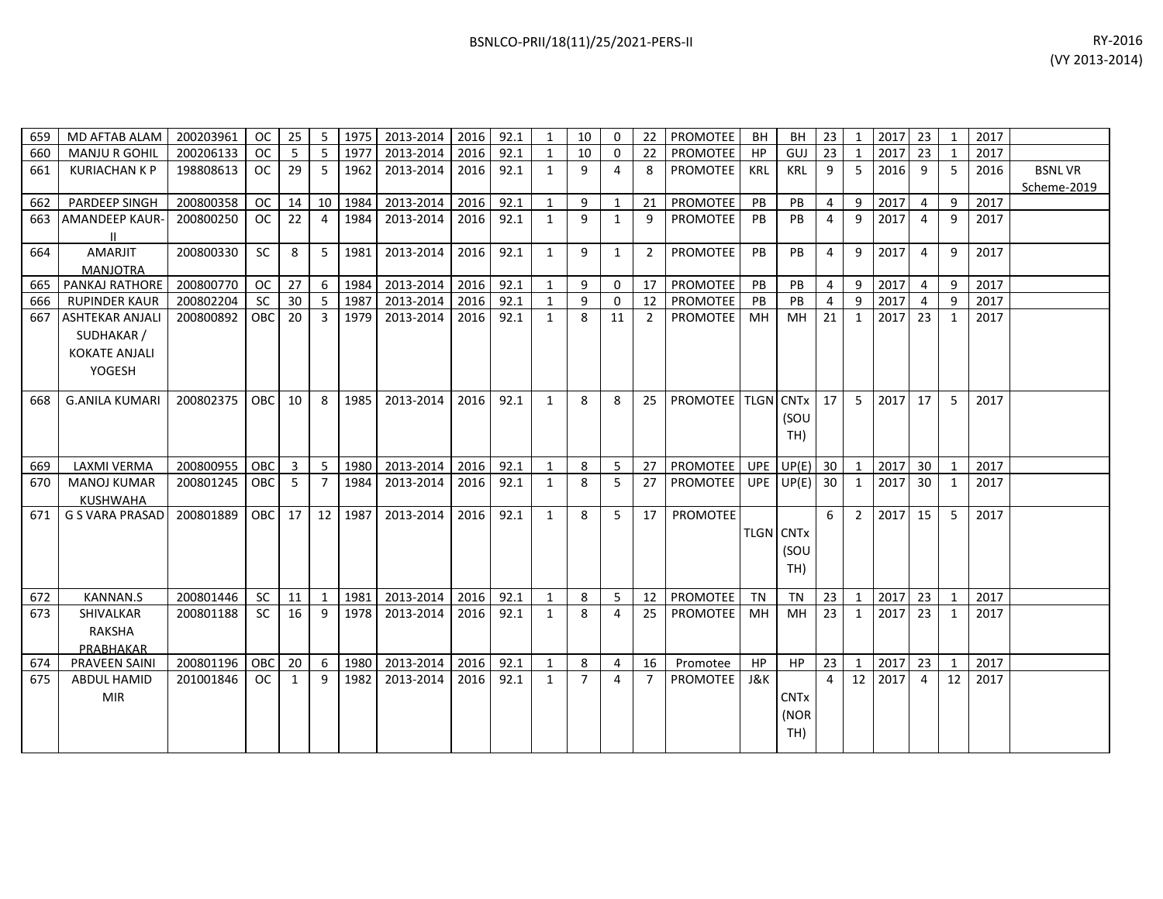| 659 | MD AFTAB ALAM          | 200203961 | OC            | 25 | 5              | 1975 | 2013-2014 2016 |      | 92.1 | 1            | 10             | 0            | 22             | PROMOTEE                  | BH               | BH                     | 23             | 1               | 2017 23 |                 | $\overline{1}$ | 2017 |               |
|-----|------------------------|-----------|---------------|----|----------------|------|----------------|------|------|--------------|----------------|--------------|----------------|---------------------------|------------------|------------------------|----------------|-----------------|---------|-----------------|----------------|------|---------------|
| 660 | <b>MANJU R GOHIL</b>   | 200206133 | <b>OC</b>     | -5 | 5              | 1977 | 2013-2014 2016 |      | 92.1 | 1            | 10             | $\Omega$     | 22             | <b>PROMOTEE</b>           | HP               | GUJ                    | 23             | $\mathbf{1}$    | 2017    | 23              |                | 2017 |               |
| 661 | <b>KURIACHAN K P</b>   | 198808613 | OC.           | 29 | -5             | 1962 | 2013-2014      | 2016 | 92.1 | 1            | 9              | 4            | 8              | PROMOTEE                  | <b>KRL</b>       | <b>KRL</b>             | 9              | 5               | 2016    | 9               | 5              | 2016 | <b>BSNLVR</b> |
|     |                        |           |               |    |                |      |                |      |      |              |                |              |                |                           |                  |                        |                |                 |         |                 |                |      | Scheme-2019   |
| 662 | PARDEEP SINGH          | 200800358 | <b>OC</b>     | 14 | 10             | 1984 | 2013-2014      | 2016 | 92.1 | $\mathbf{1}$ | 9              | $\mathbf{1}$ | 21             | <b>PROMOTEE</b>           | PB               | PB                     | $\overline{4}$ | 9               | 2017    | $\overline{4}$  | q              | 2017 |               |
| 663 | <b>AMANDEEP KAUR-</b>  | 200800250 | OC            | 22 | 4              | 1984 | 2013-2014      | 2016 | 92.1 | 1            | 9              | 1            | 9              | PROMOTEE                  | <b>PB</b>        | PB                     | 4              | 9               | 2017    | $\overline{a}$  | q              | 2017 |               |
|     |                        |           |               |    |                |      |                |      |      |              |                |              |                |                           |                  |                        |                |                 |         |                 |                |      |               |
| 664 | AMARJIT                | 200800330 | <b>SC</b>     | 8  | 5              | 1981 | 2013-2014      | 2016 | 92.1 | $\mathbf{1}$ | 9              | $\mathbf{1}$ | $\overline{2}$ | PROMOTEE                  | PB               | PB                     | $\overline{4}$ | 9               | 2017    | $\overline{a}$  | q              | 2017 |               |
|     | <b>MANJOTRA</b>        |           |               |    |                |      |                |      |      |              |                |              |                |                           |                  |                        |                |                 |         |                 |                |      |               |
|     | 665 PANKAJ RATHORE     | 200800770 | <b>OC</b>     | 27 | 6              | 1984 | 2013-2014      | 2016 | 92.1 | 1            | 9              | $\Omega$     | 17             | <b>PROMOTEE</b>           | PB               | PB                     | $\overline{4}$ | 9               | 2017    | 4               | 9              | 2017 |               |
| 666 | <b>RUPINDER KAUR</b>   | 200802204 | <b>SC</b>     | 30 | 5              | 1987 | 2013-2014      | 2016 | 92.1 | 1            | 9              | $\mathbf{0}$ | 12             | <b>PROMOTEE</b>           | PB               | PB                     | $\overline{4}$ | 9               | 2017    | $\overline{a}$  | q              | 2017 |               |
| 667 | <b>ASHTEKAR ANJALI</b> | 200800892 | <b>OBC</b>    | 20 | 3              | 1979 | 2013-2014      | 2016 | 92.1 | 1            | 8              | 11           | $\overline{2}$ | <b>PROMOTEE</b>           | MН               | MН                     | 21             | 1               | 2017 23 |                 | 1              | 2017 |               |
|     | SUDHAKAR /             |           |               |    |                |      |                |      |      |              |                |              |                |                           |                  |                        |                |                 |         |                 |                |      |               |
|     | <b>KOKATE ANJALI</b>   |           |               |    |                |      |                |      |      |              |                |              |                |                           |                  |                        |                |                 |         |                 |                |      |               |
|     | YOGESH                 |           |               |    |                |      |                |      |      |              |                |              |                |                           |                  |                        |                |                 |         |                 |                |      |               |
|     |                        |           |               |    |                |      |                |      |      |              |                |              |                |                           |                  |                        |                |                 |         |                 |                |      |               |
| 668 | <b>G.ANILA KUMARI</b>  | 200802375 | <b>OBC</b>    | 10 | 8              | 1985 | 2013-2014      | 2016 | 92.1 | $\mathbf{1}$ | 8              | 8            | 25             | <b>PROMOTEE TLGN CNTX</b> |                  |                        | 17             | 5               | 2017    | 17 <sup>1</sup> | 5              | 2017 |               |
|     |                        |           |               |    |                |      |                |      |      |              |                |              |                |                           |                  | (SOU                   |                |                 |         |                 |                |      |               |
|     |                        |           |               |    |                |      |                |      |      |              |                |              |                |                           |                  | TH)                    |                |                 |         |                 |                |      |               |
|     |                        |           |               |    |                |      |                |      |      |              |                |              |                |                           |                  |                        |                |                 |         |                 |                |      |               |
| 669 | <b>LAXMI VERMA</b>     | 200800955 | <b>OBC</b>    | 3  | 5              | 1980 | 2013-2014      | 2016 | 92.1 | $\mathbf{1}$ | 8              | 5            | 27             | <b>PROMOTEE</b>           | <b>UPE</b>       | $UP(E)$ 30             |                | $\mathbf{1}$    | 2017    | 30 <sup>1</sup> | $\mathbf{1}$   | 2017 |               |
| 670 | <b>MANOJ KUMAR</b>     | 200801245 | <b>OBC</b>    | 5  | $\overline{7}$ | 1984 | 2013-2014      | 2016 | 92.1 | 1            | 8              | 5            | 27             | <b>PROMOTEE</b>           |                  | UPE $UP(E)$ 30         |                | 1               | 2017    | 30 <sup>1</sup> | 1              | 2017 |               |
|     | <b>KUSHWAHA</b>        |           |               |    |                |      |                |      |      |              |                |              |                |                           |                  |                        |                |                 |         |                 |                |      |               |
| 671 | <b>G S VARA PRASAD</b> | 200801889 | <b>OBC</b>    | 17 | 12             | 1987 | 2013-2014      | 2016 | 92.1 | 1            | 8              | 5            | 17             | <b>PROMOTEE</b>           |                  |                        | 6              | $\overline{2}$  | 2017    | 15 <sup>1</sup> | -5             | 2017 |               |
|     |                        |           |               |    |                |      |                |      |      |              |                |              |                |                           | <b>TLGN CNTx</b> |                        |                |                 |         |                 |                |      |               |
|     |                        |           |               |    |                |      |                |      |      |              |                |              |                |                           |                  | (SOU                   |                |                 |         |                 |                |      |               |
|     |                        |           |               |    |                |      |                |      |      |              |                |              |                |                           |                  | TH)                    |                |                 |         |                 |                |      |               |
|     |                        |           |               |    |                |      |                |      |      |              |                |              |                |                           |                  |                        |                |                 |         |                 |                |      |               |
| 672 | <b>KANNAN.S</b>        | 200801446 | <b>SC</b>     | 11 | 1              | 1981 | 2013-2014      | 2016 | 92.1 | 1            | 8              | 5            | 12             | <b>PROMOTEE</b>           | TN               | <b>TN</b>              | 23             | $\mathbf{1}$    | 2017 23 |                 | $\mathbf{1}$   | 2017 |               |
| 673 | SHIVALKAR              | 200801188 | <b>SC</b>     | 16 | q              | 1978 | 2013-2014      | 2016 | 92.1 | $\mathbf{1}$ | 8              | 4            | 25             | <b>PROMOTEE</b>           | MН               | MН                     | 23             | 1               | 2017    | 23 <sup>1</sup> | 1              | 2017 |               |
|     | <b>RAKSHA</b>          |           |               |    |                |      |                |      |      |              |                |              |                |                           |                  |                        |                |                 |         |                 |                |      |               |
|     | PRABHAKAR              |           |               |    |                |      |                |      |      |              |                |              |                |                           |                  |                        |                |                 |         |                 |                |      |               |
| 674 | <b>PRAVEEN SAINI</b>   | 200801196 | OBC           | 20 | 6              | 1980 | 2013-2014      | 2016 | 92.1 | 1            | 8              | 4            | 16             | Promotee                  | <b>HP</b>        | <b>HP</b>              | 23             | $\mathbf{1}$    | 2017 23 |                 | $\mathbf{1}$   | 2017 |               |
| 675 | <b>ABDUL HAMID</b>     | 201001846 | <sub>OC</sub> | 1  | $\mathsf{q}$   | 1982 | 2013-2014      | 2016 | 92.1 | 1            | $\overline{7}$ | 4            | $\overline{7}$ | <b>PROMOTEE</b>           | J&K              |                        | $\overline{a}$ | 12 <sup>1</sup> | 2017    | $\overline{a}$  | 12             | 2017 |               |
|     | <b>MIR</b>             |           |               |    |                |      |                |      |      |              |                |              |                |                           |                  | <b>CNT<sub>x</sub></b> |                |                 |         |                 |                |      |               |
|     |                        |           |               |    |                |      |                |      |      |              |                |              |                |                           |                  | (NOR                   |                |                 |         |                 |                |      |               |
|     |                        |           |               |    |                |      |                |      |      |              |                |              |                |                           |                  | TH)                    |                |                 |         |                 |                |      |               |
|     |                        |           |               |    |                |      |                |      |      |              |                |              |                |                           |                  |                        |                |                 |         |                 |                |      |               |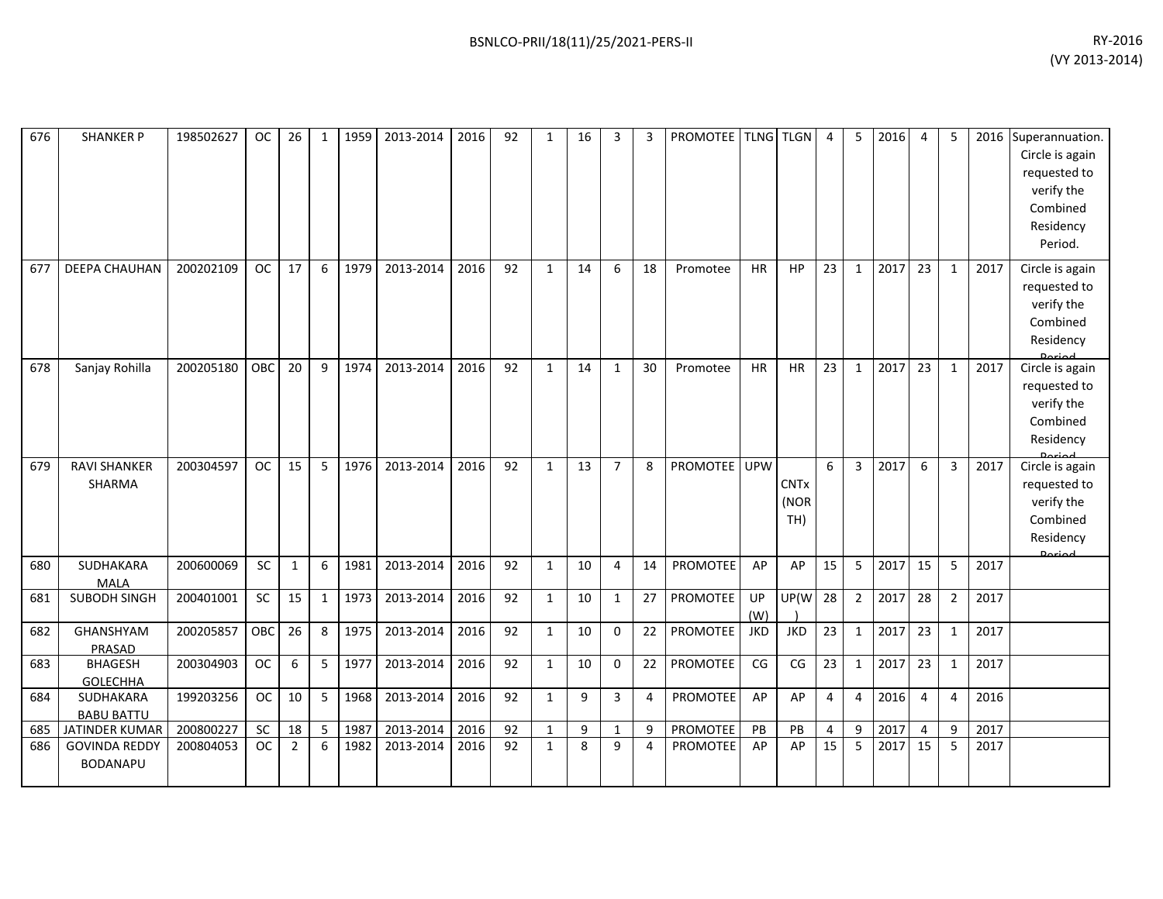| 676 | <b>SHANKER P</b>                        | 198502627 | OC.       | 26           | $\mathbf{1}$ | 1959 | 2013-2014 | 2016 | 92 | $\mathbf{1}$ | 16 | 3              | 3  | PROMOTEE TLNG TLGN |            |                            | 4              | 5              | 2016 | $\overline{4}$ | 5              |      | 2016 Superannuation<br>Circle is again<br>requested to<br>verify the<br>Combined<br>Residency<br>Period. |
|-----|-----------------------------------------|-----------|-----------|--------------|--------------|------|-----------|------|----|--------------|----|----------------|----|--------------------|------------|----------------------------|----------------|----------------|------|----------------|----------------|------|----------------------------------------------------------------------------------------------------------|
| 677 | DEEPA CHAUHAN                           | 200202109 | <b>OC</b> | 17           | 6            | 1979 | 2013-2014 | 2016 | 92 | $\mathbf{1}$ | 14 | 6              | 18 | Promotee           | <b>HR</b>  | <b>HP</b>                  | 23             | $\mathbf{1}$   | 2017 | 23             | 1              | 2017 | Circle is again<br>requested to<br>verify the<br>Combined<br>Residency                                   |
| 678 | Sanjay Rohilla                          | 200205180 | OBC       | 20           | 9            | 1974 | 2013-2014 | 2016 | 92 | $\mathbf{1}$ | 14 | $\mathbf{1}$   | 30 | Promotee           | <b>HR</b>  | HR                         | 23             | $\mathbf{1}$   | 2017 | 23             | $\mathbf{1}$   | 2017 | Circle is again<br>requested to<br>verify the<br>Combined<br>Residency                                   |
| 679 | <b>RAVI SHANKER</b><br>SHARMA           | 200304597 | <b>OC</b> | 15           | 5            | 1976 | 2013-2014 | 2016 | 92 | $\mathbf{1}$ | 13 | $\overline{7}$ | 8  | PROMOTEE           | <b>UPW</b> | <b>CNTx</b><br>(NOR<br>TH) | 6              | 3              | 2017 | 6              | $\overline{3}$ | 2017 | Circle is again<br>requested to<br>verify the<br>Combined<br>Residency                                   |
| 680 | SUDHAKARA<br><b>MALA</b>                | 200600069 | SC        | $\mathbf{1}$ | 6            | 1981 | 2013-2014 | 2016 | 92 | $\mathbf{1}$ | 10 | 4              | 14 | <b>PROMOTEE</b>    | AP         | AP                         | 15             | 5              | 2017 | 15             | 5              | 2017 |                                                                                                          |
| 681 | SUBODH SINGH                            | 200401001 | SC        | 15           | 1            | 1973 | 2013-2014 | 2016 | 92 | $\mathbf{1}$ | 10 | $\mathbf{1}$   | 27 | PROMOTEE           | UP<br>(W)  | UP(W                       | 28             | $\overline{2}$ | 2017 | 28             | $\overline{2}$ | 2017 |                                                                                                          |
| 682 | GHANSHYAM<br>PRASAD                     | 200205857 | OBC       | 26           | 8            | 1975 | 2013-2014 | 2016 | 92 | $\mathbf{1}$ | 10 | $\mathbf 0$    | 22 | PROMOTEE           | <b>JKD</b> | <b>JKD</b>                 | 23             | $\mathbf{1}$   | 2017 | 23             | $\mathbf{1}$   | 2017 |                                                                                                          |
| 683 | <b>BHAGESH</b><br><b>GOLECHHA</b>       | 200304903 | OC        | 6            | 5            | 1977 | 2013-2014 | 2016 | 92 | $\mathbf{1}$ | 10 | $\mathbf 0$    | 22 | <b>PROMOTEE</b>    | CG         | CG                         | 23             | $\mathbf{1}$   | 2017 | 23             | $\mathbf{1}$   | 2017 |                                                                                                          |
| 684 | SUDHAKARA<br><b>BABU BATTU</b>          | 199203256 | <b>OC</b> | 10           | 5            | 1968 | 2013-2014 | 2016 | 92 | $\mathbf{1}$ | 9  | 3              | 4  | <b>PROMOTEE</b>    | AP         | AP                         | $\overline{4}$ | 4              | 2016 | 4              | $\overline{4}$ | 2016 |                                                                                                          |
| 685 | JATINDER KUMAR                          | 200800227 | <b>SC</b> | 18           | 5            | 1987 | 2013-2014 | 2016 | 92 | $\mathbf{1}$ | 9  | 1              | 9  | PROMOTEE           | PB         | PB                         | $\overline{4}$ | 9              | 2017 | 4              | 9              | 2017 |                                                                                                          |
| 686 | <b>GOVINDA REDDY</b><br><b>BODANAPU</b> | 200804053 | <b>OC</b> | 2            | 6            | 1982 | 2013-2014 | 2016 | 92 | $\mathbf{1}$ | 8  | 9              | 4  | <b>PROMOTEE</b>    | AP         | AP                         | 15             | 5              | 2017 | 15             | 5              | 2017 |                                                                                                          |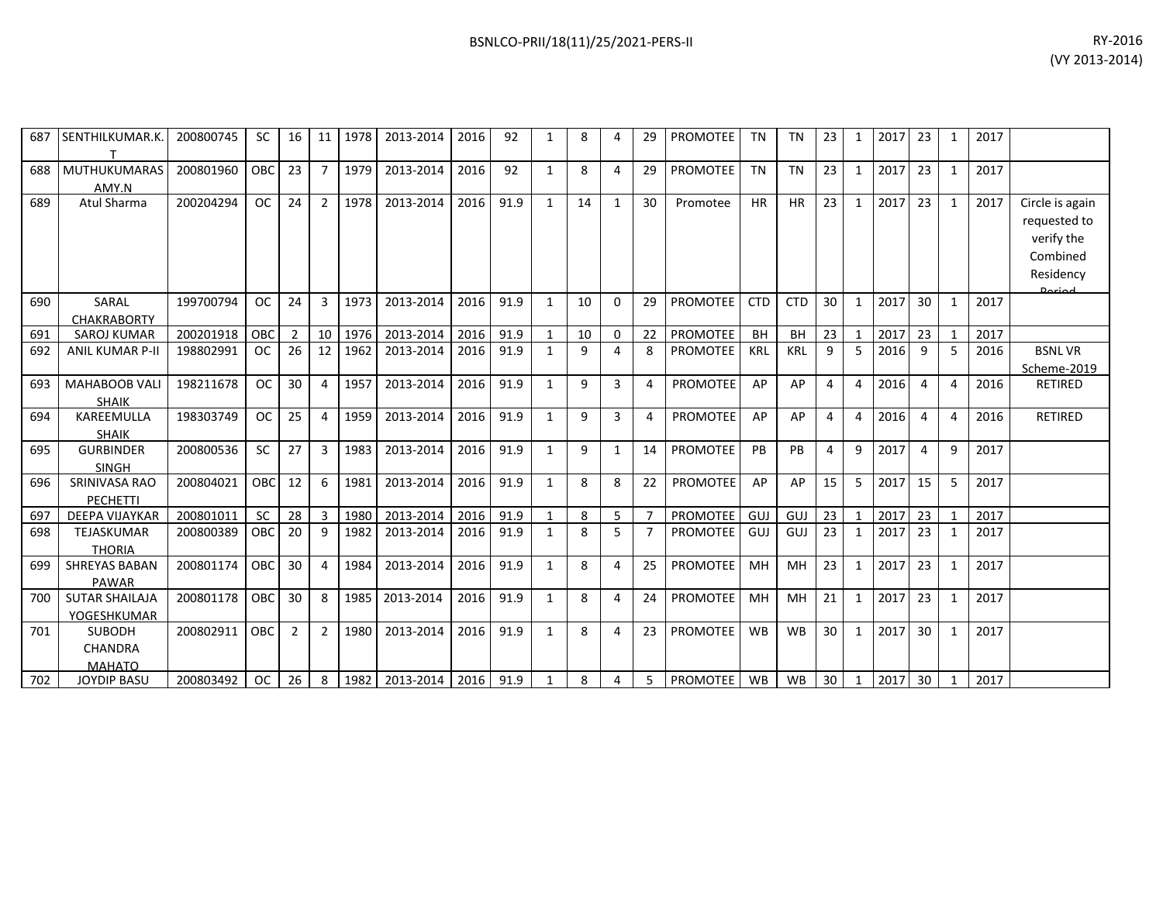| 687 | SENTHILKUMAR.K.                                  | 200800745 | <b>SC</b> | 16             | 11             | 1978 | 2013-2014 | 2016 | 92   | 1            | 8            | 4            | 29             | <b>PROMOTEE</b> | <b>TN</b>  | <b>TN</b>  | 23             | 1            | 2017 | 23             | 1            | 2017 |                                                                                   |
|-----|--------------------------------------------------|-----------|-----------|----------------|----------------|------|-----------|------|------|--------------|--------------|--------------|----------------|-----------------|------------|------------|----------------|--------------|------|----------------|--------------|------|-----------------------------------------------------------------------------------|
| 688 | <b>MUTHUKUMARAS</b><br>AMY.N                     | 200801960 | OBC       | 23             | $\overline{7}$ | 1979 | 2013-2014 | 2016 | 92   | 1            | 8            | 4            | 29             | PROMOTEE        | <b>TN</b>  | <b>TN</b>  | 23             | 1            | 2017 | 23             | $\mathbf{1}$ | 2017 |                                                                                   |
| 689 | Atul Sharma                                      | 200204294 | <b>OC</b> | 24             | $\overline{2}$ | 1978 | 2013-2014 | 2016 | 91.9 | $\mathbf{1}$ | 14           | $\mathbf{1}$ | 30             | Promotee        | <b>HR</b>  | <b>HR</b>  | 23             | 1            | 2017 | 23             | $\mathbf{1}$ | 2017 | Circle is again<br>requested to<br>verify the<br>Combined<br>Residency<br>لممنعمى |
| 690 | SARAL<br><b>CHAKRABORTY</b>                      | 199700794 | <b>OC</b> | 24             | 3              | 1973 | 2013-2014 | 2016 | 91.9 | 1            | 10           | $\Omega$     | 29             | <b>PROMOTEE</b> | <b>CTD</b> | <b>CTD</b> | 30             | 1            | 2017 | 30             | $\mathbf{1}$ | 2017 |                                                                                   |
| 691 | <b>SAROJ KUMAR</b>                               | 200201918 | OBC       | $\overline{2}$ | 10             | 1976 | 2013-2014 | 2016 | 91.9 | $\mathbf{1}$ | 10           | $\Omega$     | 22             | PROMOTEE        | <b>BH</b>  | <b>BH</b>  | 23             | $\mathbf{1}$ | 2017 | 23             | $\mathbf{1}$ | 2017 |                                                                                   |
| 692 | <b>ANIL KUMAR P-II</b>                           | 198802991 | <b>OC</b> | 26             | 12             | 1962 | 2013-2014 | 2016 | 91.9 | 1            | 9            | 4            | 8              | <b>PROMOTEE</b> | <b>KRL</b> | <b>KRL</b> | 9              | 5            | 2016 | 9              | 5            | 2016 | <b>BSNLVR</b><br>Scheme-2019                                                      |
| 693 | <b>MAHABOOB VALI</b><br><b>SHAIK</b>             | 198211678 | <b>OC</b> | 30             | $\overline{4}$ | 1957 | 2013-2014 | 2016 | 91.9 | $\mathbf{1}$ | 9            | 3            | 4              | PROMOTEE        | AP         | AP         | $\overline{4}$ | 4            | 2016 | 4              | 4            | 2016 | <b>RETIRED</b>                                                                    |
| 694 | KAREEMULLA<br><b>SHAIK</b>                       | 198303749 | <b>OC</b> | 25             | $\overline{4}$ | 1959 | 2013-2014 | 2016 | 91.9 | 1            | $\mathbf{q}$ | 3            | 4              | <b>PROMOTEE</b> | AP         | AP         | 4              | 4            | 2016 | 4              | 4            | 2016 | <b>RETIRED</b>                                                                    |
| 695 | <b>GURBINDER</b><br><b>SINGH</b>                 | 200800536 | <b>SC</b> | 27             | 3              | 1983 | 2013-2014 | 2016 | 91.9 | 1            | 9            | 1            | 14             | <b>PROMOTEE</b> | PB         | PB         | 4              | 9            | 2017 | $\overline{4}$ | 9            | 2017 |                                                                                   |
| 696 | <b>SRINIVASA RAO</b><br><b>PECHETTI</b>          | 200804021 | OBC       | 12             | 6              | 1981 | 2013-2014 | 2016 | 91.9 | $\mathbf{1}$ | 8            | 8            | 22             | <b>PROMOTEE</b> | AP         | AP         | 15             | 5            | 2017 | 15             | 5            | 2017 |                                                                                   |
| 697 | DEEPA VIJAYKAR                                   | 200801011 | <b>SC</b> | 28             | 3              | 1980 | 2013-2014 | 2016 | 91.9 | $\mathbf{1}$ | 8            | 5            |                | PROMOTEE        | GUJ        | GUJ        | 23             | $\mathbf{1}$ | 2017 | 23             |              | 2017 |                                                                                   |
| 698 | TEJASKUMAR<br><b>THORIA</b>                      | 200800389 | OBC       | 20             | 9              | 1982 | 2013-2014 | 2016 | 91.9 | 1            | 8            | 5            | $\overline{7}$ | PROMOTEE        | GUJ        | GUJ        | 23             | 1            | 2017 | 23             | 1            | 2017 |                                                                                   |
| 699 | <b>SHREYAS BABAN</b><br><b>PAWAR</b>             | 200801174 | OBC       | 30             | $\overline{4}$ | 1984 | 2013-2014 | 2016 | 91.9 | 1            | 8            | 4            | 25             | PROMOTEE        | MH         | <b>MH</b>  | 23             | 1            | 2017 | 23             | $\mathbf{1}$ | 2017 |                                                                                   |
| 700 | <b>SUTAR SHAILAJA</b><br>YOGESHKUMAR             | 200801178 | OBC       | 30             | 8              | 1985 | 2013-2014 | 2016 | 91.9 | 1            | 8            | 4            | 24             | <b>PROMOTEE</b> | MH         | MH         | 21             | 1            | 2017 | 23             | $\mathbf{1}$ | 2017 |                                                                                   |
| 701 | <b>SUBODH</b><br><b>CHANDRA</b><br><b>MAHATO</b> | 200802911 | OBC       | 2              | $\overline{2}$ | 1980 | 2013-2014 | 2016 | 91.9 | $\mathbf{1}$ | 8            | 4            | 23             | <b>PROMOTEE</b> | <b>WB</b>  | <b>WB</b>  | 30             | 1            | 2017 | 30             | $\mathbf{1}$ | 2017 |                                                                                   |
| 702 | <b>JOYDIP BASU</b>                               | 200803492 | <b>OC</b> | 26             | 8              | 1982 | 2013-2014 | 2016 | 91.9 | $\mathbf{1}$ | 8            | 4            | 5              | <b>PROMOTEE</b> | WB         | <b>WB</b>  | 30             | 1            | 2017 | 30             |              | 2017 |                                                                                   |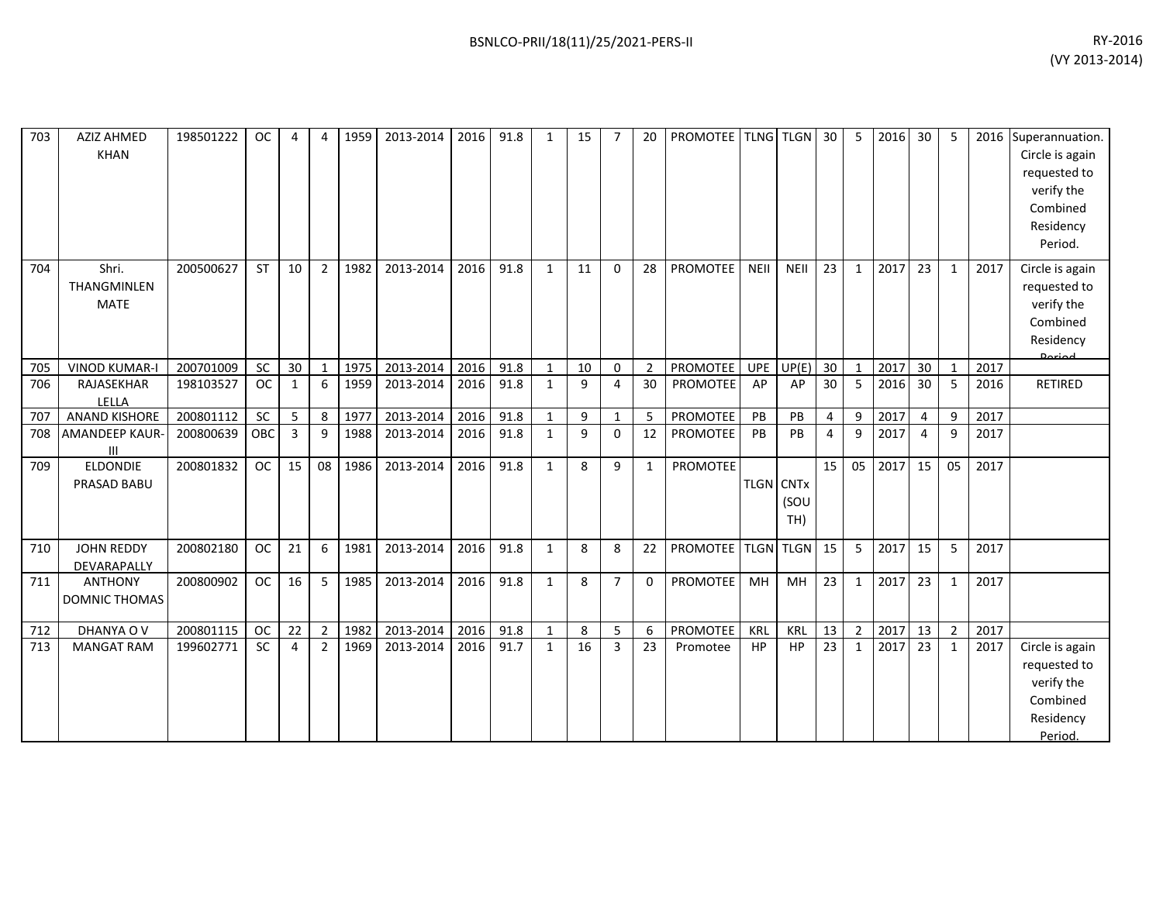| 703 | <b>AZIZ AHMED</b><br><b>KHAN</b>    | 198501222 | <b>OC</b> | $\overline{4}$ | $\boldsymbol{\Delta}$ | 1959 | 2013-2014 | 2016 | 91.8 | 1            | 15 |                | 20             | <b>PROMOTEE</b> |                  | <b>TLNG TLGN</b> | 30             | 5              | 2016 | 30             | 5              |      | 2016 Superannuation.<br>Circle is again<br>requested to<br>verify the<br>Combined<br>Residency<br>Period. |
|-----|-------------------------------------|-----------|-----------|----------------|-----------------------|------|-----------|------|------|--------------|----|----------------|----------------|-----------------|------------------|------------------|----------------|----------------|------|----------------|----------------|------|-----------------------------------------------------------------------------------------------------------|
| 704 | Shri.<br>THANGMINLEN<br><b>MATE</b> | 200500627 | <b>ST</b> | 10             | $\overline{2}$        | 1982 | 2013-2014 | 2016 | 91.8 | $\mathbf{1}$ | 11 | $\Omega$       | 28             | <b>PROMOTEE</b> | <b>NEII</b>      | NEII             | 23             | $\mathbf{1}$   | 2017 | 23             | $\mathbf{1}$   | 2017 | Circle is again<br>requested to<br>verify the<br>Combined<br>Residency<br>الممنعم                         |
| 705 | <b>VINOD KUMAR-I</b>                | 200701009 | <b>SC</b> | 30             | $\mathbf{1}$          | 1975 | 2013-2014 | 2016 | 91.8 | $\mathbf{1}$ | 10 | $\mathbf 0$    | $\overline{2}$ | <b>PROMOTEE</b> | <b>UPE</b>       | UP(E)            | 30             | $\mathbf{1}$   | 2017 | 30             | $\mathbf{1}$   | 2017 |                                                                                                           |
| 706 | RAJASEKHAR<br>LELLA                 | 198103527 | <b>OC</b> | $\mathbf{1}$   | 6                     | 1959 | 2013-2014 | 2016 | 91.8 | $\mathbf{1}$ | 9  | 4              | 30             | PROMOTEE        | AP               | AP               | 30             | 5              | 2016 | 30             | 5              | 2016 | RETIRED                                                                                                   |
| 707 | <b>ANAND KISHORE</b>                | 200801112 | <b>SC</b> | 5              | 8                     | 1977 | 2013-2014 | 2016 | 91.8 | $\mathbf{1}$ | 9  | $\mathbf{1}$   | 5              | PROMOTEE        | PB               | PB               | $\overline{4}$ | 9              | 2017 | $\overline{4}$ | 9              | 2017 |                                                                                                           |
| 708 | AMANDEEP KAUR-<br>Ш                 | 200800639 | OBC       | 3              | 9                     | 1988 | 2013-2014 | 2016 | 91.8 | $\mathbf{1}$ | 9  | $\Omega$       | 12             | <b>PROMOTEE</b> | PB               | PB               | $\overline{4}$ | 9              | 2017 | $\overline{4}$ | 9              | 2017 |                                                                                                           |
| 709 | <b>ELDONDIE</b><br>PRASAD BABU      | 200801832 | <b>OC</b> | 15             | 08                    | 1986 | 2013-2014 | 2016 | 91.8 | $\mathbf{1}$ | 8  | 9              | $\mathbf{1}$   | PROMOTEE        | <b>TLGN</b> CNTx | (SOU<br>TH)      | 15             | 05             | 2017 | 15             | 05             | 2017 |                                                                                                           |
| 710 | <b>JOHN REDDY</b><br>DEVARAPALLY    | 200802180 | <b>OC</b> | 21             | 6                     | 1981 | 2013-2014 | 2016 | 91.8 | $\mathbf{1}$ | 8  | 8              | 22             | PROMOTEE        |                  | TLGN TLGN        | 15             | 5              | 2017 | 15             | 5              | 2017 |                                                                                                           |
| 711 | <b>ANTHONY</b><br>DOMNIC THOMAS     | 200800902 | <b>OC</b> | 16             | -5                    | 1985 | 2013-2014 | 2016 | 91.8 | $\mathbf{1}$ | 8  | $\overline{7}$ | 0              | PROMOTEE        | MH               | <b>MH</b>        | 23             | 1              | 2017 | 23             | 1              | 2017 |                                                                                                           |
| 712 | DHANYA O V                          | 200801115 | <b>OC</b> | 22             | $\overline{2}$        | 1982 | 2013-2014 | 2016 | 91.8 | $\mathbf{1}$ | 8  | 5              | 6              | <b>PROMOTEE</b> | KRL              | KRL              | 13             | $\overline{2}$ | 2017 | 13             | $\overline{2}$ | 2017 |                                                                                                           |
| 713 | <b>MANGAT RAM</b>                   | 199602771 | <b>SC</b> | $\overline{4}$ | $\overline{2}$        | 1969 | 2013-2014 | 2016 | 91.7 | $\mathbf{1}$ | 16 | $\overline{3}$ | 23             | Promotee        | HP               | HP               | 23             | 1              | 2017 | 23             | 1              | 2017 | Circle is again<br>requested to<br>verify the<br>Combined<br>Residency<br>Period.                         |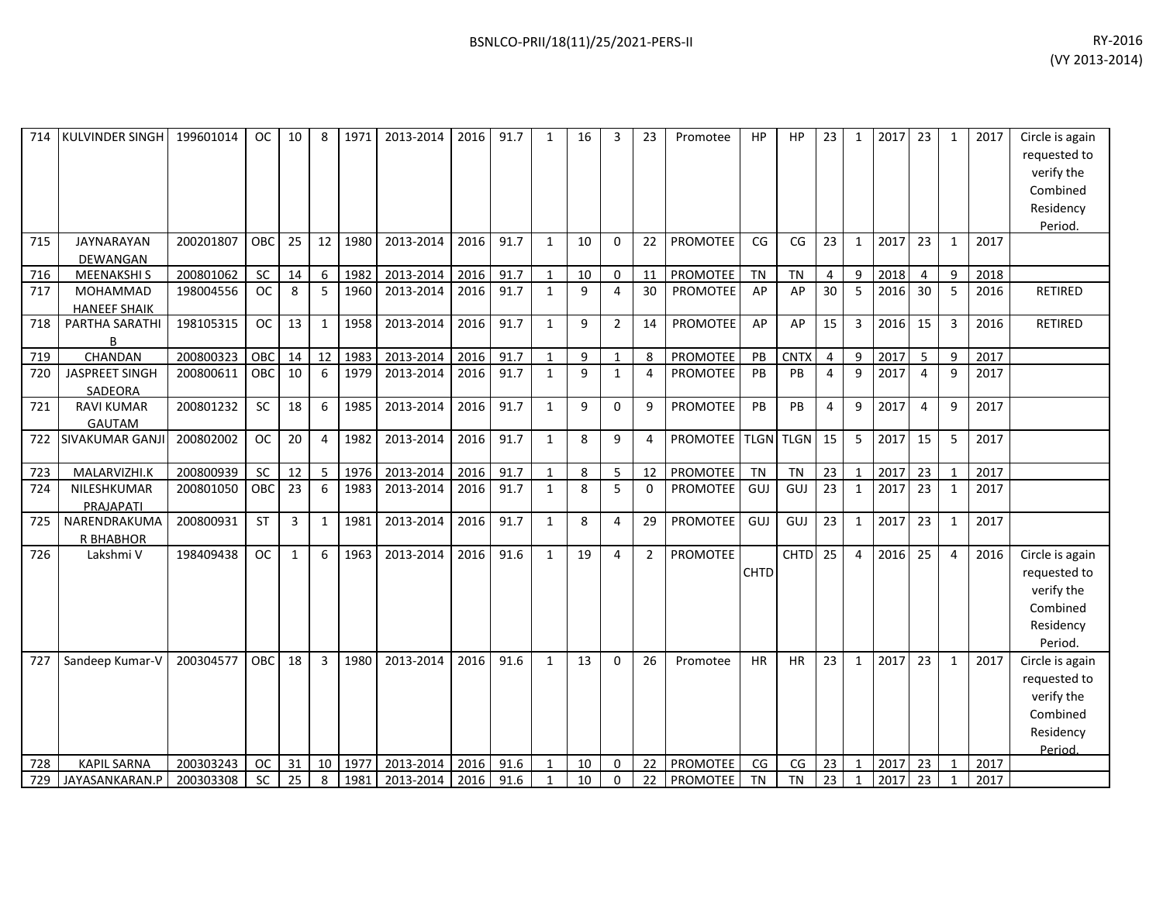| 714 | KULVINDER SINGH                    | 199601014 | <b>OC</b>  | 10           | -8             | 1971 | 2013-2014 | 2016 | 91.7 | $\mathbf{1}$ | 16 | 3              | 23             | Promotee        | HP          | HP          | 23             | $\mathbf{1}$   | 2017 | 23             | 1            | 2017 | Circle is again<br>requested to<br>verify the<br>Combined<br>Residency<br>Period. |
|-----|------------------------------------|-----------|------------|--------------|----------------|------|-----------|------|------|--------------|----|----------------|----------------|-----------------|-------------|-------------|----------------|----------------|------|----------------|--------------|------|-----------------------------------------------------------------------------------|
| 715 | <b>JAYNARAYAN</b><br>DEWANGAN      | 200201807 | <b>OBC</b> | 25           | 12             | 1980 | 2013-2014 | 2016 | 91.7 | $\mathbf{1}$ | 10 | $\Omega$       | 22             | PROMOTEE        | CG          | CG          | 23             | $\mathbf{1}$   | 2017 | 23             | 1            | 2017 |                                                                                   |
| 716 | <b>MEENAKSHIS</b>                  | 200801062 | SC         | 14           | 6              | 1982 | 2013-2014 | 2016 | 91.7 | $\mathbf{1}$ | 10 | 0              | 11             | PROMOTEE        | <b>TN</b>   | <b>TN</b>   | 4              | 9              | 2018 | 4              | 9            | 2018 |                                                                                   |
| 717 | MOHAMMAD<br><b>HANEEF SHAIK</b>    | 198004556 | <b>OC</b>  | 8            | 5              | 1960 | 2013-2014 | 2016 | 91.7 | $\mathbf{1}$ | 9  | 4              | 30             | <b>PROMOTEE</b> | AP          | AP          | 30             | 5              | 2016 | 30             | 5            | 2016 | <b>RETIRED</b>                                                                    |
| 718 | PARTHA SARATHI<br>B                | 198105315 | <b>OC</b>  | 13           | $\mathbf{1}$   | 1958 | 2013-2014 | 2016 | 91.7 | $\mathbf{1}$ | 9  | $\overline{2}$ | 14             | <b>PROMOTEE</b> | AP          | AP          | 15             | 3              | 2016 | 15             | 3            | 2016 | RETIRED                                                                           |
| 719 | CHANDAN                            | 200800323 | OBC        | 14           | 12             | 1983 | 2013-2014 | 2016 | 91.7 | $\mathbf{1}$ | 9  | 1              | 8              | <b>PROMOTEE</b> | PB          | <b>CNTX</b> | 4              | 9              | 2017 | 5              | 9            | 2017 |                                                                                   |
| 720 | <b>JASPREET SINGH</b><br>SADEORA   | 200800611 | OBC        | 10           | 6              | 1979 | 2013-2014 | 2016 | 91.7 | $\mathbf{1}$ | 9  | $\mathbf{1}$   | $\overline{4}$ | PROMOTEE        | PB          | PB          | $\overline{4}$ | 9              | 2017 | $\overline{4}$ | 9            | 2017 |                                                                                   |
| 721 | <b>RAVI KUMAR</b><br><b>GAUTAM</b> | 200801232 | <b>SC</b>  | 18           | 6              | 1985 | 2013-2014 | 2016 | 91.7 | $\mathbf{1}$ | 9  | 0              | 9              | <b>PROMOTEE</b> | PB          | PB          | 4              | 9              | 2017 | $\overline{4}$ | 9            | 2017 |                                                                                   |
| 722 | <b>SIVAKUMAR GANJI</b>             | 200802002 | <b>OC</b>  | 20           | $\overline{4}$ | 1982 | 2013-2014 | 2016 | 91.7 | $\mathbf{1}$ | 8  | 9              | 4              | PROMOTEE        |             | TLGN TLGN   | 15             | 5              | 2017 | 15             | 5            | 2017 |                                                                                   |
| 723 | MALARVIZHI.K                       | 200800939 | SC         | 12           | 5              | 1976 | 2013-2014 | 2016 | 91.7 | $\mathbf{1}$ | 8  | 5              | 12             | PROMOTEE        | <b>TN</b>   | <b>TN</b>   | 23             | $\mathbf{1}$   | 2017 | 23             | 1            | 2017 |                                                                                   |
| 724 | NILESHKUMAR<br>PRAJAPATI           | 200801050 | <b>OBC</b> | 23           | 6              | 1983 | 2013-2014 | 2016 | 91.7 | 1            | 8  | 5              | $\Omega$       | <b>PROMOTEE</b> | GUJ         | GUJ         | 23             | $\mathbf{1}$   | 2017 | 23             | 1            | 2017 |                                                                                   |
| 725 | NARENDRAKUMA<br>R BHABHOR          | 200800931 | <b>ST</b>  | 3            | 1              | 1981 | 2013-2014 | 2016 | 91.7 | $\mathbf{1}$ | 8  | 4              | 29             | <b>PROMOTEE</b> | GUJ         | GUJ         | 23             | $\mathbf{1}$   | 2017 | 23             | 1            | 2017 |                                                                                   |
| 726 | Lakshmi V                          | 198409438 | <b>OC</b>  | $\mathbf{1}$ | 6              | 1963 | 2013-2014 | 2016 | 91.6 | $\mathbf{1}$ | 19 | 4              | $\overline{2}$ | PROMOTEE        | <b>CHTD</b> | <b>CHTD</b> | 25             | $\overline{4}$ | 2016 | 25             | 4            | 2016 | Circle is again<br>requested to<br>verify the<br>Combined<br>Residency<br>Period. |
| 727 | Sandeep Kumar-V                    | 200304577 | <b>OBC</b> | 18           | 3              | 1980 | 2013-2014 | 2016 | 91.6 | $\mathbf{1}$ | 13 | $\Omega$       | 26             | Promotee        | <b>HR</b>   | <b>HR</b>   | 23             | $\mathbf{1}$   | 2017 | 23             | $\mathbf{1}$ | 2017 | Circle is again<br>requested to<br>verify the<br>Combined<br>Residency<br>Period. |
| 728 | <b>KAPIL SARNA</b>                 | 200303243 | <b>OC</b>  | 31           | 10             | 1977 | 2013-2014 | 2016 | 91.6 | 1            | 10 | 0              | 22             | PROMOTEE        | CG          | CG          | 23             | $\mathbf{1}$   | 2017 | 23             | 1            | 2017 |                                                                                   |
| 729 | JAYASANKARAN.P                     | 200303308 | <b>SC</b>  | 25           | 8              | 1981 | 2013-2014 | 2016 | 91.6 | $\mathbf{1}$ | 10 | 0              | 22             | <b>PROMOTEE</b> | <b>TN</b>   | <b>TN</b>   | 23             | 1              | 2017 | 23             |              | 2017 |                                                                                   |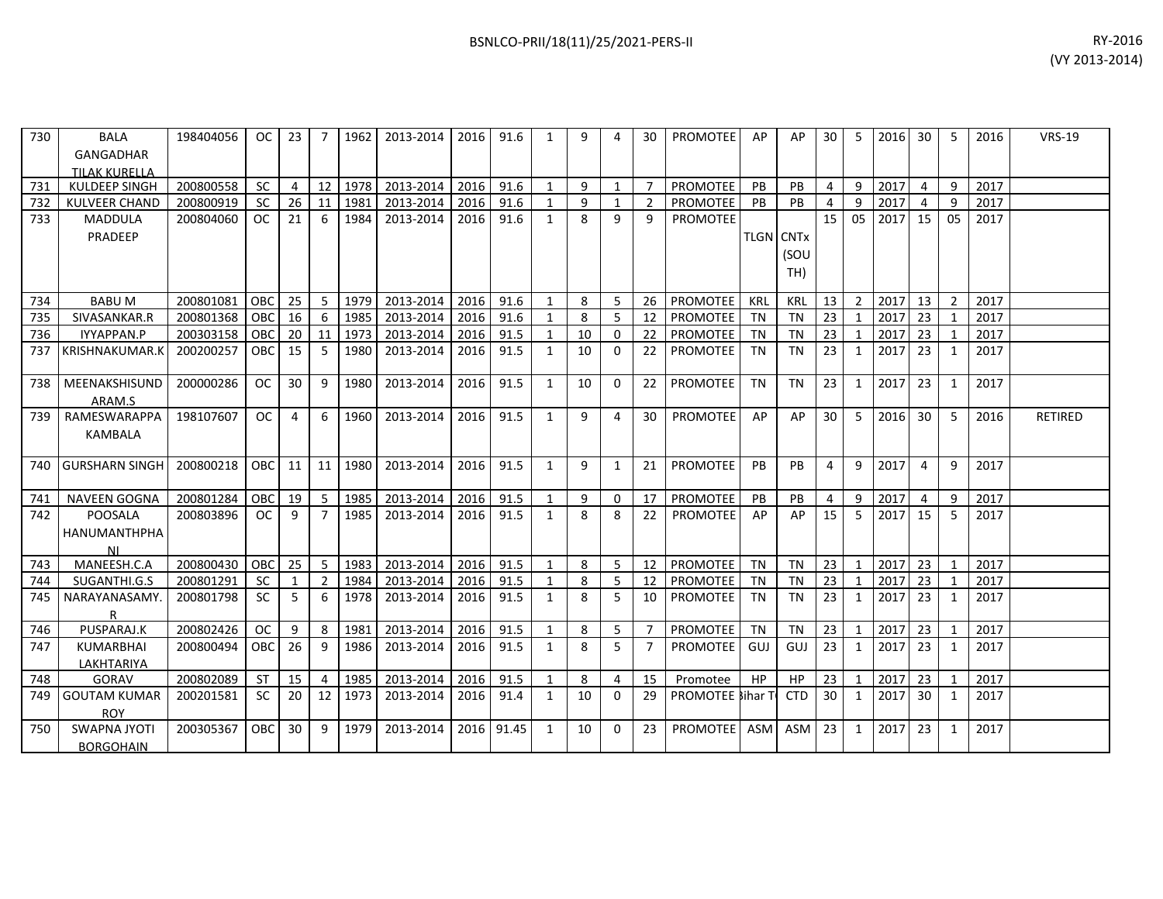| 730 l | <b>BALA</b>          | 198404056     | $OC$ 23    |                |                | 7 1962 | 2013-2014   2016   91.6 |           |      | $\mathbf{1}$ | 9  | 4              | 30            | <b>PROMOTEE</b>          | AP               | AP         | 30 I           | -5              | 2016 30 |                 | -5           | 2016 | <b>VRS-19</b>  |
|-------|----------------------|---------------|------------|----------------|----------------|--------|-------------------------|-----------|------|--------------|----|----------------|---------------|--------------------------|------------------|------------|----------------|-----------------|---------|-----------------|--------------|------|----------------|
|       | GANGADHAR            |               |            |                |                |        |                         |           |      |              |    |                |               |                          |                  |            |                |                 |         |                 |              |      |                |
|       | <b>TILAK KURELLA</b> |               |            |                |                |        |                         |           |      |              |    |                |               |                          |                  |            |                |                 |         |                 |              |      |                |
| 731   | KULDEEP SINGH        | 200800558     | SC         | $\overline{4}$ | 12             | 1978   | 2013-2014               | 2016      | 91.6 |              | 9  | $\mathbf{1}$   |               | PROMOTEE                 | PB               | PB         | $\overline{4}$ | 9               | 2017    | 4               | 9            | 2017 |                |
| 732   | <b>KULVEER CHAND</b> | 200800919     | <b>SC</b>  | 26             | 11             | 1981   | 2013-2014               | 2016      | 91.6 |              | 9  |                | $\mathcal{P}$ | <b>PROMOTEE</b>          | <b>PB</b>        | PB         | 4              | 9               | 2017    | $\overline{a}$  | 9            | 2017 |                |
| 733   | <b>MADDULA</b>       | 200804060     | <b>OC</b>  | 21             | 6              | 1984   | 2013-2014               | 2016      | 91.6 | $\mathbf{1}$ | 8  | q              | q             | <b>PROMOTEE</b>          |                  |            | 15             | 05 <sub>1</sub> | 2017    | 15 <sup>1</sup> | 05           | 2017 |                |
|       | PRADEEP              |               |            |                |                |        |                         |           |      |              |    |                |               |                          | <b>TLGN CNTx</b> |            |                |                 |         |                 |              |      |                |
|       |                      |               |            |                |                |        |                         |           |      |              |    |                |               |                          |                  | (SOU       |                |                 |         |                 |              |      |                |
|       |                      |               |            |                |                |        |                         |           |      |              |    |                |               |                          |                  | TH)        |                |                 |         |                 |              |      |                |
|       |                      |               |            |                |                |        |                         |           |      |              |    |                |               |                          |                  |            |                |                 |         |                 |              |      |                |
| 734   | <b>BABUM</b>         | 200801081     | OBC        | 25             | 5              | 1979   | 2013-2014               | 2016      | 91.6 |              | 8  | 5              | 26            | <b>PROMOTEE</b>          | KRL              | <b>KRL</b> | 13             | 2               | 2017    | 13 <sup>1</sup> | 2            | 2017 |                |
| 735   | SIVASANKAR.R         | 200801368     | IOBC       | 16             | 6              | 1985   | 2013-2014               | 2016      | 91.6 |              | 8  | 5              | 12            | <b>PROMOTEE</b>          | <b>TN</b>        | <b>TN</b>  | 23             | $\mathbf{1}$    | 2017 23 |                 |              | 2017 |                |
| 736   | IYYAPPAN.P           | 200303158 OBC |            | 20             | 11             | 1973   | 2013-2014               | 2016      | 91.5 |              | 10 | $\Omega$       | 22            | PROMOTEE                 | TN               | TN         | 23             |                 | 2017    | 23              |              | 2017 |                |
|       | 737 KRISHNAKUMAR.K   | 200200257     | <b>OBC</b> | 15             | 5              | 1980   | 2013-2014               | 2016      | 91.5 | $\mathbf{1}$ | 10 | $\Omega$       | 22            | <b>PROMOTEE</b>          | <b>TN</b>        | <b>TN</b>  | 23             | 1               | 2017    | 23 <sup>1</sup> | 1            | 2017 |                |
|       |                      |               |            |                |                |        |                         |           |      |              |    |                |               |                          |                  |            |                |                 |         |                 |              |      |                |
|       | 738 MEENAKSHISUND    | 200000286     | <b>OC</b>  | 30             | 9              | 1980   | 2013-2014               | 2016      | 91.5 | $\mathbf{1}$ | 10 | $\Omega$       | 22            | PROMOTEE                 | <b>TN</b>        | <b>TN</b>  | 23             | $\mathbf{1}$    | 2017    | 23 <sup>1</sup> | $\mathbf{1}$ | 2017 |                |
|       | ARAM.S               |               |            |                |                |        |                         |           |      |              |    |                |               |                          |                  |            |                |                 |         |                 |              |      |                |
| 739   | RAMESWARAPPA         | 198107607     | OC.        | 4              | 6              | 1960   | 2013-2014               | 2016      | 91.5 | 1            | 9  | 4              | 30            | <b>PROMOTEE</b>          | AP               | AP         | 30             | -5              | 2016    | 30              | 5            | 2016 | <b>RETIRED</b> |
|       | KAMBALA              |               |            |                |                |        |                         |           |      |              |    |                |               |                          |                  |            |                |                 |         |                 |              |      |                |
|       |                      |               |            |                |                |        |                         |           |      |              |    |                |               |                          |                  |            |                |                 |         |                 |              |      |                |
|       | 740 GURSHARN SINGH   | 200800218     | <b>OBC</b> | 11             | 11             | 1980   | 2013-2014               | 2016      | 91.5 | 1            | 9  | 1              | 21            | <b>PROMOTEE</b>          | <b>PB</b>        | PB         | 4              | 9               | 2017    | 4               | 9            | 2017 |                |
|       |                      |               |            |                |                |        |                         |           |      |              |    |                |               |                          |                  |            |                |                 |         |                 |              |      |                |
|       | 741 NAVEEN GOGNA     | 200801284     | OBC        | 19             | 5              | 1985   | 2013-2014               | 2016      | 91.5 | 1            | 9  | $\Omega$       | 17            | PROMOTEE                 | PB               | PB         | $\overline{4}$ | 9               | 2017    | 4               | 9            | 2017 |                |
| 742   | <b>POOSALA</b>       | 200803896     | OC         | 9              | $\overline{7}$ | 1985   | 2013-2014               | 2016 91.5 |      | $\mathbf{1}$ | 8  | 8              | 22            | <b>PROMOTEE</b>          | AP               | AP         | 15             | 5               | 2017 15 |                 | .5           | 2017 |                |
|       | HANUMANTHPHA         |               |            |                |                |        |                         |           |      |              |    |                |               |                          |                  |            |                |                 |         |                 |              |      |                |
|       | ΝI                   |               |            |                |                |        |                         |           |      |              |    |                |               |                          |                  |            |                |                 |         |                 |              |      |                |
| 743   | MANEESH.C.A          | 200800430     | OBC        | 25             | 5              | 1983   | 2013-2014               | 2016 91.5 |      | 1            | 8  | 5              | 12            | PROMOTEE                 | TN               | <b>TN</b>  | 23             | 1               | 2017    | 23 <sup>1</sup> |              | 2017 |                |
| 744   | SUGANTHI.G.S         | 200801291     | <b>SC</b>  | 1              | 2              | 1984   | 2013-2014               | 2016      | 91.5 | 1            | 8  | -5             | 12            | PROMOTEE                 | <b>TN</b>        | <b>TN</b>  | 23             | $\mathbf{1}$    | 2017    | 23              |              | 2017 |                |
| 745   | NARAYANASAMY         | 200801798     | <b>SC</b>  | 5              | 6              | 1978   | 2013-2014               | 2016      | 91.5 | 1            | 8  | 5              | 10            | <b>PROMOTEE</b>          | <b>TN</b>        | <b>TN</b>  | 23             | 1               | 2017    | 23 <sup>1</sup> | 1            | 2017 |                |
|       |                      |               |            |                |                |        |                         |           |      |              |    |                |               |                          |                  |            |                |                 |         |                 |              |      |                |
| 746   | PUSPARAJ.K           | 200802426     | <b>OC</b>  | 9              | 8              | 1981   | 2013-2014               | 2016      | 91.5 | 1            | 8  | 5              |               | <b>PROMOTEE</b>          | TN               | <b>TN</b>  | 23             | 1               | 2017    | 23              |              | 2017 |                |
| 747   | <b>KUMARBHAI</b>     | 200800494     | OBC        | 26             | 9              | 1986   | 2013-2014               | 2016      | 91.5 | $\mathbf{1}$ | 8  | 5              |               | PROMOTEE                 | GUJ              | GUJ        | 23             | $\mathbf{1}$    | 2017    | 23 <sup>1</sup> | 1            | 2017 |                |
|       | LAKHTARIYA           |               |            |                |                |        |                         |           |      |              |    |                |               |                          |                  |            |                |                 |         |                 |              |      |                |
| 748   | GORAV                | 200802089     | <b>ST</b>  | 15             | $\overline{4}$ | 1985   | 2013-2014               | 2016      | 91.5 |              | 8  | $\overline{4}$ | 15            | Promotee                 | HP               | <b>HP</b>  | 23             | $\mathbf{1}$    | 2017    | 23              |              | 2017 |                |
| 749   | <b>GOUTAM KUMAR</b>  | 200201581     | <b>SC</b>  | 20             | 12             | 1973   | 2013-2014               | 2016      | 91.4 | 1            | 10 | $\Omega$       | 29            | <b>PROMOTEE Sihar To</b> |                  | <b>CTD</b> | 30             | 1               | 2017    | 30              | 1            | 2017 |                |
|       | <b>ROY</b>           |               |            |                |                |        |                         |           |      |              |    |                |               |                          |                  |            |                |                 |         |                 |              |      |                |

200305367 OBC 30 9 1979 2013-2014 2016 91.45 1 10 0 23 PROMOTEE ASM ASM 23 1 2017 23 1 2017

750 SWAPNA JYOTI **BORGOHAIN**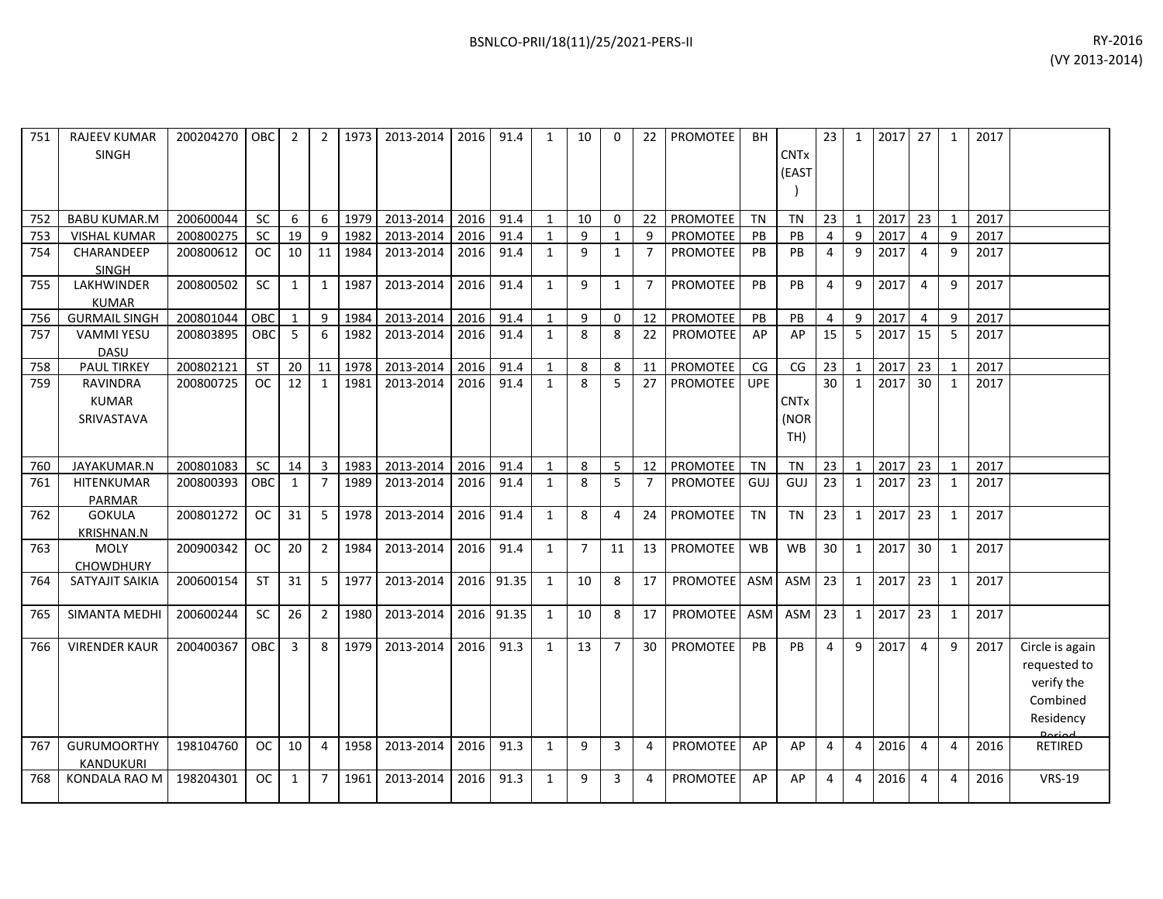| 751 | <b>RAJEEV KUMAR</b><br><b>SINGH</b>           | 200204270 | <b>OBC</b> | 2              | $\overline{2}$ | 1973 | 2013-2014 | 2016 | 91.4       | $\mathbf{1}$ | 10             | <sup>0</sup>   | 22             | <b>PROMOTEE</b> | <b>BH</b>  | <b>CNT<sub>x</sub></b><br>(EAST       | 23             | $\mathbf{1}$   | 2017 | 27             | 1              | 2017 |                                                                                   |
|-----|-----------------------------------------------|-----------|------------|----------------|----------------|------|-----------|------|------------|--------------|----------------|----------------|----------------|-----------------|------------|---------------------------------------|----------------|----------------|------|----------------|----------------|------|-----------------------------------------------------------------------------------|
| 752 | <b>BABU KUMAR.M</b>                           | 200600044 | SC         | 6              | 6              | 1979 | 2013-2014 | 2016 | 91.4       | $\mathbf{1}$ | 10             | $\Omega$       | 22             | PROMOTEE        | <b>TN</b>  | <b>TN</b>                             | 23             | $\mathbf{1}$   | 2017 | 23             | 1              | 2017 |                                                                                   |
| 753 | <b>VISHAL KUMAR</b>                           | 200800275 | SC         | 19             | 9              | 1982 | 2013-2014 | 2016 | 91.4       | $\mathbf{1}$ | 9              | $\mathbf{1}$   | 9              | PROMOTEE        | PB         | PB                                    | 4              | 9              | 2017 | 4              | 9              | 2017 |                                                                                   |
| 754 | CHARANDEEP<br><b>SINGH</b>                    | 200800612 | <b>OC</b>  | 10             | 11             | 1984 | 2013-2014 | 2016 | 91.4       | $\mathbf{1}$ | 9              | $\mathbf{1}$   | $\overline{7}$ | <b>PROMOTEE</b> | PB         | PB                                    | 4              | 9              | 2017 | 4              | 9              | 2017 |                                                                                   |
| 755 | LAKHWINDER<br><b>KUMAR</b>                    | 200800502 | SC         | 1              | 1              | 1987 | 2013-2014 | 2016 | 91.4       | $\mathbf{1}$ | 9              | 1              | $\overline{7}$ | <b>PROMOTEE</b> | PB         | <b>PB</b>                             | 4              | 9              | 2017 | 4              | 9              | 2017 |                                                                                   |
| 756 | <b>GURMAIL SINGH</b>                          | 200801044 | OBC        | 1              | 9              | 1984 | 2013-2014 | 2016 | 91.4       | $\mathbf{1}$ | 9              | $\mathbf{0}$   | 12             | PROMOTEE        | PB         | PB                                    | 4              | 9              | 2017 | $\overline{4}$ | 9              | 2017 |                                                                                   |
| 757 | <b>VAMMI YESU</b><br><b>DASU</b>              | 200803895 | OBC        | -5             | 6              | 1982 | 2013-2014 | 2016 | 91.4       | $\mathbf{1}$ | 8              | 8              | 22             | PROMOTEE        | AP         | AP                                    | 15             | 5              | 2017 | 15             | 5              | 2017 |                                                                                   |
| 758 | <b>PAUL TIRKEY</b>                            | 200802121 | <b>ST</b>  | 20             | 11             | 1978 | 2013-2014 | 2016 | 91.4       | $\mathbf{1}$ | 8              | 8              | 11             | PROMOTEE        | CG         | $\mathsf{CG}\phantom{.}$              | 23             | $\mathbf{1}$   | 2017 | 23             | $\mathbf{1}$   | 2017 |                                                                                   |
| 759 | <b>RAVINDRA</b><br><b>KUMAR</b><br>SRIVASTAVA | 200800725 | <b>OC</b>  | 12             | 1              | 1981 | 2013-2014 | 2016 | 91.4       | $\mathbf{1}$ | 8              | 5              | 27             | <b>PROMOTEE</b> | <b>UPE</b> | <b>CNT<sub>x</sub></b><br>(NOR<br>TH) | 30             | $\mathbf{1}$   | 2017 | 30             | 1              | 2017 |                                                                                   |
| 760 | JAYAKUMAR.N                                   | 200801083 | <b>SC</b>  | 14             | 3              | 1983 | 2013-2014 | 2016 | 91.4       | $\mathbf{1}$ | 8              | 5              | 12             | <b>PROMOTEE</b> | <b>TN</b>  | <b>TN</b>                             | 23             | $\mathbf{1}$   | 2017 | 23             | $\mathbf{1}$   | 2017 |                                                                                   |
| 761 | HITENKUMAR<br><b>PARMAR</b>                   | 200800393 | <b>OBC</b> | 1              | $\overline{7}$ | 1989 | 2013-2014 | 2016 | 91.4       | $\mathbf{1}$ | 8              | 5              | $\overline{7}$ | <b>PROMOTEE</b> | GUJ        | GUJ                                   | 23             | $\mathbf{1}$   | 2017 | 23             | 1              | 2017 |                                                                                   |
| 762 | <b>GOKULA</b><br><b>KRISHNAN.N</b>            | 200801272 | <b>OC</b>  | 31             | 5              | 1978 | 2013-2014 | 2016 | 91.4       | $\mathbf{1}$ | 8              | 4              | 24             | PROMOTEE        | <b>TN</b>  | <b>TN</b>                             | 23             | $\mathbf{1}$   | 2017 | 23             | 1              | 2017 |                                                                                   |
| 763 | <b>MOLY</b><br><b>CHOWDHURY</b>               | 200900342 | OC.        | 20             | $\overline{2}$ | 1984 | 2013-2014 | 2016 | 91.4       | $\mathbf{1}$ | $\overline{7}$ | 11             | 13             | <b>PROMOTEE</b> | <b>WB</b>  | WB                                    | 30             | $\mathbf{1}$   | 2017 | 30             | 1              | 2017 |                                                                                   |
| 764 | SATYAJIT SAIKIA                               | 200600154 | <b>ST</b>  | 31             | 5              | 1977 | 2013-2014 | 2016 | 91.35      | $\mathbf{1}$ | 10             | 8              | 17             | <b>PROMOTEE</b> | ASM        | ASM                                   | 23             | $\mathbf{1}$   | 2017 | 23             | 1              | 2017 |                                                                                   |
| 765 | <b>SIMANTA MEDHI</b>                          | 200600244 | SC         | 26             | $\overline{2}$ | 1980 | 2013-2014 |      | 2016 91.35 | $\mathbf{1}$ | 10             | 8              | 17             | <b>PROMOTEE</b> | ASM        | ASM                                   | 23             | $\mathbf{1}$   | 2017 | 23             | $\mathbf{1}$   | 2017 |                                                                                   |
| 766 | <b>VIRENDER KAUR</b>                          | 200400367 | OBC        | $\overline{3}$ | 8              | 1979 | 2013-2014 | 2016 | 91.3       | $\mathbf{1}$ | 13             | $\overline{7}$ | 30             | PROMOTEE        | PB         | PB                                    | $\overline{4}$ | 9              | 2017 | $\overline{4}$ | 9              | 2017 | Circle is again<br>requested to<br>verify the<br>Combined<br>Residency<br>لممنعمه |
| 767 | <b>GURUMOORTHY</b><br><b>KANDUKURI</b>        | 198104760 | OC.        | 10             | 4              | 1958 | 2013-2014 | 2016 | 91.3       | $\mathbf{1}$ | 9              | 3              | 4              | <b>PROMOTEE</b> | AP         | AP                                    | 4              | $\overline{4}$ | 2016 | 4              | 4              | 2016 | RETIRED                                                                           |
| 768 | <b>KONDALA RAO M</b>                          | 198204301 | OC         | 1              | $\overline{7}$ | 1961 | 2013-2014 | 2016 | 91.3       | $\mathbf{1}$ | 9              | 3              | 4              | <b>PROMOTEE</b> | AP         | AP                                    | 4              | $\overline{4}$ | 2016 | 4              | $\overline{a}$ | 2016 | <b>VRS-19</b>                                                                     |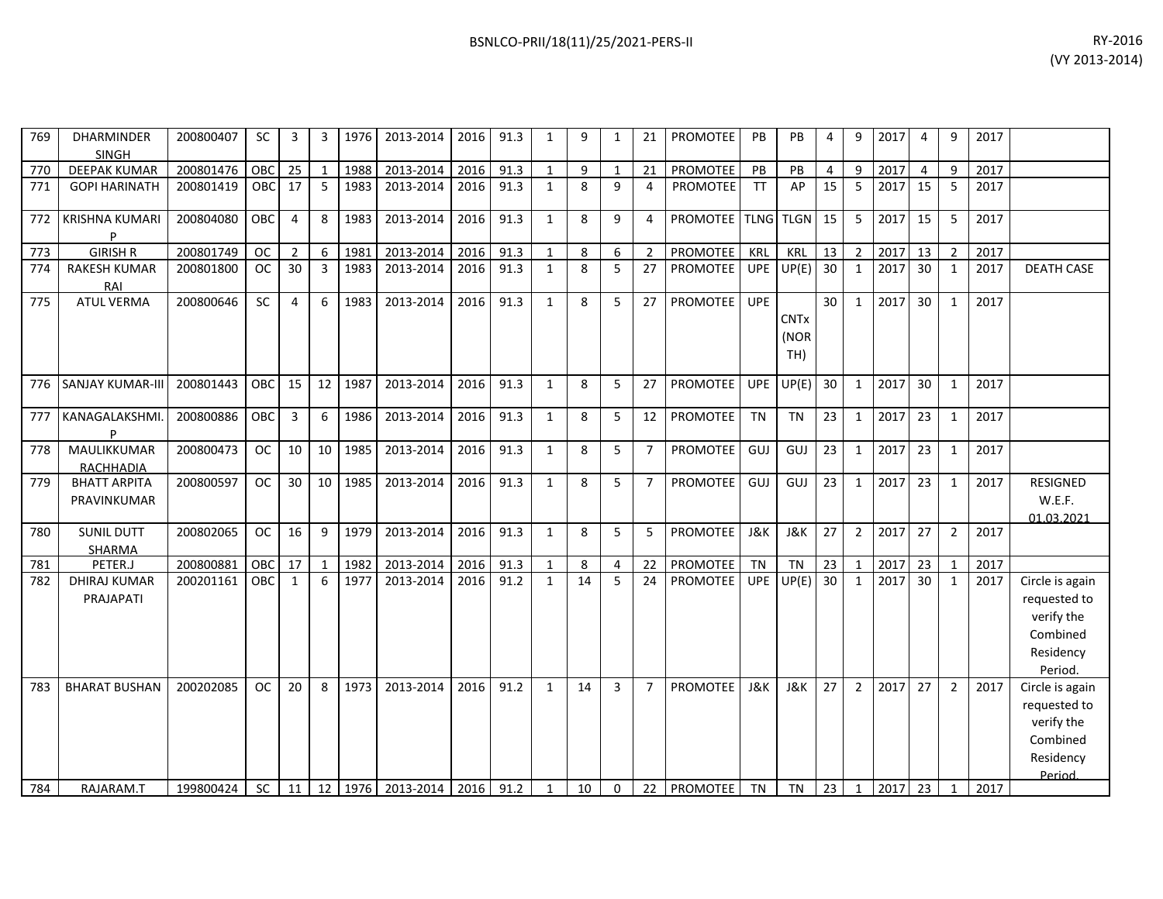| 769 | <b>DHARMINDER</b><br><b>SINGH</b>  | 200800407 | <b>SC</b>  | 3               | 3               | 1976    | 2013-2014      | 2016 | 91.3 | 1            | 9  | 1            | 21             | PROMOTEE           | <b>PB</b>      | PB                         | 4              | 9              | 2017 | 4  | 9              | 2017 |                                                                                   |
|-----|------------------------------------|-----------|------------|-----------------|-----------------|---------|----------------|------|------|--------------|----|--------------|----------------|--------------------|----------------|----------------------------|----------------|----------------|------|----|----------------|------|-----------------------------------------------------------------------------------|
| 770 | <b>DEEPAK KUMAR</b>                | 200801476 | OBC        | 25              | 1               | 1988    | 2013-2014      | 2016 | 91.3 | $\mathbf{1}$ | 9  | $\mathbf{1}$ | 21             | PROMOTEE           | PB             | PB                         | $\overline{4}$ | 9              | 2017 | 4  | q              | 2017 |                                                                                   |
| 771 | <b>GOPI HARINATH</b>               | 200801419 | OBC        | 17              | 5               | 1983    | 2013-2014      | 2016 | 91.3 | $\mathbf{1}$ | 8  | 9            | $\overline{4}$ | PROMOTEE           | <b>TT</b>      | AP                         | 15             | 5              | 2017 | 15 | 5              | 2017 |                                                                                   |
| 772 | <b>KRISHNA KUMARI</b><br>P         | 200804080 | <b>OBC</b> | 4               | 8               | 1983    | 2013-2014      | 2016 | 91.3 | $\mathbf{1}$ | 8  | 9            | 4              | PROMOTEE TLNG TLGN |                |                            | 15             | 5              | 2017 | 15 | -5             | 2017 |                                                                                   |
| 773 | <b>GIRISH R</b>                    | 200801749 | <b>OC</b>  | $\overline{2}$  | 6               | 1981    | 2013-2014      | 2016 | 91.3 | $\mathbf{1}$ | 8  | 6            | $\overline{2}$ | PROMOTEE           | KRL            | KRL                        | 13             | $\overline{2}$ | 2017 | 13 | $\overline{2}$ | 2017 |                                                                                   |
| 774 | <b>RAKESH KUMAR</b><br>RAI         | 200801800 | OC.        | 30 <sub>o</sub> | $\overline{3}$  | 1983    | 2013-2014      | 2016 | 91.3 | $\mathbf{1}$ | 8  | 5            | 27             | <b>PROMOTEE</b>    | <b>UPE</b>     | UP(E)                      | 30             | $\mathbf{1}$   | 2017 | 30 | $\mathbf{1}$   | 2017 | <b>DEATH CASE</b>                                                                 |
| 775 | <b>ATUL VERMA</b>                  | 200800646 | SC         | 4               | 6               | 1983    | 2013-2014      | 2016 | 91.3 | $\mathbf{1}$ | 8  | 5            | 27             | <b>PROMOTEE</b>    | <b>UPE</b>     | <b>CNTx</b><br>(NOR<br>TH) | 30             | $\mathbf{1}$   | 2017 | 30 | 1              | 2017 |                                                                                   |
| 776 | <b>SANJAY KUMAR-III</b>            | 200801443 | OBC        | 15              | 12              | 1987    | 2013-2014      | 2016 | 91.3 | $\mathbf{1}$ | 8  | 5            | 27             | <b>PROMOTEE</b>    | <b>UPE</b>     | UP(E)                      | 30             | $\mathbf{1}$   | 2017 | 30 | $\mathbf{1}$   | 2017 |                                                                                   |
| 777 | KANAGALAKSHMI.                     | 200800886 | OBC        | 3               | 6               | 1986    | 2013-2014      | 2016 | 91.3 | $\mathbf{1}$ | 8  | 5            | 12             | PROMOTEE           | <b>TN</b>      | <b>TN</b>                  | 23             | $\mathbf{1}$   | 2017 | 23 | 1              | 2017 |                                                                                   |
| 778 | MAULIKKUMAR                        | 200800473 | <b>OC</b>  | 10 <sup>1</sup> | 10 <sup>1</sup> | 1985    | 2013-2014      | 2016 | 91.3 | $\mathbf{1}$ | 8  | 5            | $\overline{7}$ | PROMOTEE           | GUJ            | GUJ                        | 23             | $\mathbf{1}$   | 2017 | 23 | 1              | 2017 |                                                                                   |
|     | <b>RACHHADIA</b>                   |           |            |                 |                 |         |                |      |      |              |    |              |                |                    |                |                            |                |                |      |    |                |      |                                                                                   |
| 779 | <b>BHATT ARPITA</b><br>PRAVINKUMAR | 200800597 | <b>OC</b>  | 30 <sup>1</sup> |                 | 10 1985 | 2013-2014      | 2016 | 91.3 | $\mathbf{1}$ | 8  | 5            | $\overline{7}$ | <b>PROMOTEE</b>    | GUJ            | GUJ                        | 23             | $\mathbf{1}$   | 2017 | 23 | $\mathbf{1}$   | 2017 | <b>RESIGNED</b><br>W.E.F.<br>01.03.2021                                           |
| 780 | <b>SUNIL DUTT</b><br>SHARMA        | 200802065 | <b>OC</b>  | 16              | 9               | 1979    | 2013-2014      | 2016 | 91.3 | $\mathbf{1}$ | 8  | 5            | 5              | PROMOTEE           | <b>J&amp;K</b> | <b>J&amp;K</b>             | 27             | $\overline{2}$ | 2017 | 27 | $\overline{2}$ | 2017 |                                                                                   |
| 781 | PETER.J                            | 200800881 | OBC        | 17 <sup>1</sup> | $\mathbf{1}$    | 1982    | 2013-2014      | 2016 | 91.3 | $\mathbf{1}$ | 8  | 4            | 22             | PROMOTEE           | <b>TN</b>      | <b>TN</b>                  | 23             | $\mathbf{1}$   | 2017 | 23 | $\overline{1}$ | 2017 |                                                                                   |
| 782 | <b>DHIRAJ KUMAR</b><br>PRAJAPATI   | 200201161 | OBC.       | $\mathbf{1}$    | 6               | 1977    | 2013-2014      | 2016 | 91.2 | $\mathbf{1}$ | 14 | 5            | 24             | <b>PROMOTEE</b>    | <b>UPE</b>     | UP(E)                      | 30             | $\mathbf{1}$   | 2017 | 30 | $\mathbf{1}$   | 2017 | Circle is again<br>requested to<br>verify the<br>Combined<br>Residency<br>Period. |
| 783 | <b>BHARAT BUSHAN</b>               | 200202085 | <b>OC</b>  | 20              | 8               | 1973    | 2013-2014      | 2016 | 91.2 | $\mathbf{1}$ | 14 | 3            | $\overline{7}$ | PROMOTEE           | <b>J&amp;K</b> | <b>J&amp;K</b>             | 27             | $\overline{2}$ | 2017 | 27 | $\overline{2}$ | 2017 | Circle is again<br>requested to<br>verify the<br>Combined<br>Residency<br>Period  |
| 784 | RAJARAM.T                          | 199800424 | SC         | 11              |                 | 12 1976 | 2013-2014 2016 |      | 91.2 | $\mathbf{1}$ | 10 | $\Omega$     | 22             | PROMOTEE           | <b>TN</b>      | <b>TN</b>                  | 23             | $\mathbf{1}$   | 2017 | 23 | $\mathbf{1}$   | 2017 |                                                                                   |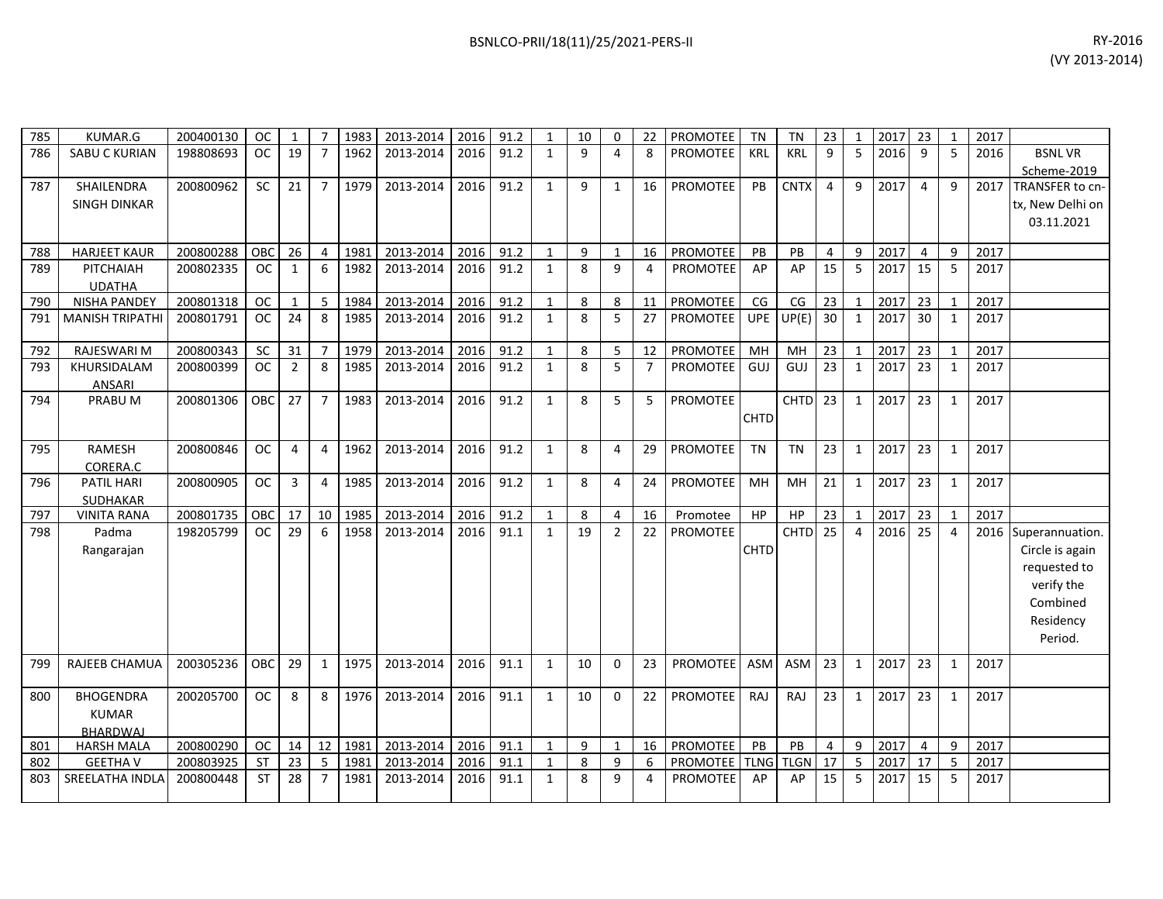| 785        | KUMAR.G                           | 200400130              | <b>OC</b>  | 1              | $\overline{7}$ | 1983         | 2013-2014 | 2016 | 91.2 | $\mathbf{1}$                 | 10           | $\Omega$       | 22             | PROMOTEE        | <b>TN</b>   | TN                       | 23             | 1              | 2017         | 23                   | $\mathbf{1}$ | 2017 |                  |
|------------|-----------------------------------|------------------------|------------|----------------|----------------|--------------|-----------|------|------|------------------------------|--------------|----------------|----------------|-----------------|-------------|--------------------------|----------------|----------------|--------------|----------------------|--------------|------|------------------|
| 786        | <b>SABU C KURIAN</b>              | 198808693              | <b>OC</b>  | 19             | $\overline{7}$ | 1962         | 2013-2014 | 2016 | 91.2 | $\mathbf{1}$                 | $\mathsf{q}$ | 4              | 8              | <b>PROMOTEE</b> | <b>KRL</b>  | KRL                      | 9              | 5              | 2016         | 9                    | 5            | 2016 | <b>BSNLVR</b>    |
|            |                                   |                        |            |                |                |              |           |      |      |                              |              |                |                |                 |             |                          |                |                |              |                      |              |      | Scheme-2019      |
| 787        | SHAILENDRA                        | 200800962              | <b>SC</b>  | 21             | $\overline{7}$ | 1979         | 2013-2014 | 2016 | 91.2 | $\mathbf{1}$                 | 9            | $\mathbf{1}$   | 16             | <b>PROMOTEE</b> | PB          | <b>CNTX</b>              | $\overline{4}$ | 9              | 2017         | $\overline{4}$       | 9            | 2017 | TRANSFER to cn-  |
|            | <b>SINGH DINKAR</b>               |                        |            |                |                |              |           |      |      |                              |              |                |                |                 |             |                          |                |                |              |                      |              |      | tx, New Delhi on |
|            |                                   |                        |            |                |                |              |           |      |      |                              |              |                |                |                 |             |                          |                |                |              |                      |              |      | 03.11.2021       |
|            |                                   |                        |            |                |                |              |           |      |      |                              |              |                |                |                 |             |                          |                |                |              |                      |              |      |                  |
| 788        | <b>HARJEET KAUR</b>               | 200800288              | OBC        | 26             | $\overline{4}$ | 1981         | 2013-2014 | 2016 | 91.2 | $\mathbf{1}$                 | $\mathsf{q}$ | $\mathbf{1}$   | 16             | PROMOTEE        | PB          | PB                       | $\overline{4}$ | 9              | 2017         | $\overline{4}$       | 9            | 2017 |                  |
| 789        | PITCHAIAH                         | 200802335              | <b>OC</b>  | 1              | 6              | 1982         | 2013-2014 | 2016 | 91.2 | $\mathbf{1}$                 | 8            | 9              | 4              | <b>PROMOTEE</b> | AP          | AP                       | 15             | 5              | 2017         | 15                   | 5            | 2017 |                  |
|            | <b>UDATHA</b>                     |                        |            |                |                |              |           |      |      |                              |              |                |                |                 |             |                          |                |                |              |                      |              |      |                  |
| 790        | <b>NISHA PANDEY</b>               | 200801318              | <b>OC</b>  | 1              | 5              | 1984         | 2013-2014 | 2016 | 91.2 | $\mathbf{1}$                 | 8            | 8              | 11             | PROMOTEE        | CG          | $\mathsf{CG}\xspace$     | 23             | $\mathbf{1}$   | 2017         | 23                   | 1            | 2017 |                  |
| 791        | <b>MANISH TRIPATHI</b>            | 200801791              | OC.        | 24             | 8              | 1985         | 2013-2014 | 2016 | 91.2 | $\mathbf{1}$                 | 8            | 5              | 27             | <b>PROMOTEE</b> | UPE         | UP(E)                    | 30             | $\mathbf{1}$   | 2017         | 30 <sup>°</sup>      | 1            | 2017 |                  |
|            |                                   |                        |            |                |                |              |           |      |      |                              |              |                |                |                 |             |                          |                |                |              |                      |              |      |                  |
| 792        | RAJESWARI M                       | 200800343              | SC         | 31             | $\overline{7}$ | 1979         | 2013-2014 | 2016 | 91.2 | $\mathbf{1}$                 | 8            | 5              | 12             | PROMOTEE        | MH          | MH                       | 23             | $\mathbf 1$    | 2017         | 23                   | 1            | 2017 |                  |
| 793        | KHURSIDALAM                       | 200800399              | <b>OC</b>  | $\overline{2}$ | 8              | 1985         | 2013-2014 | 2016 | 91.2 | $\mathbf{1}$                 | 8            | 5              | $\overline{7}$ | PROMOTEE        | GUJ         | GUJ                      | 23             | $\mathbf{1}$   | 2017         | 23                   | $\mathbf{1}$ | 2017 |                  |
|            | <b>ANSARI</b>                     |                        |            |                |                |              |           |      |      |                              |              |                |                |                 |             |                          |                |                |              |                      |              |      |                  |
| 794        | PRABU M                           | 200801306              | OBC        | 27             | $\overline{7}$ | 1983         | 2013-2014 | 2016 | 91.2 | $\mathbf{1}$                 | 8            | 5              | 5              | PROMOTEE        |             | <b>CHTD</b>              | 23             | $\mathbf{1}$   | 2017         | 23                   | 1            | 2017 |                  |
|            |                                   |                        |            |                |                |              |           |      |      |                              |              |                |                |                 | <b>CHTD</b> |                          |                |                |              |                      |              |      |                  |
|            |                                   |                        |            |                |                |              |           |      |      |                              |              |                |                |                 |             |                          |                |                |              |                      |              |      |                  |
| 795        | <b>RAMESH</b>                     | 200800846              | <b>OC</b>  | 4              | 4              | 1962         | 2013-2014 | 2016 | 91.2 | $\mathbf{1}$                 | 8            | 4              | 29             | PROMOTEE        | <b>TN</b>   | <b>TN</b>                | 23             | $\mathbf{1}$   | 2017         | 23                   | 1            | 2017 |                  |
|            | CORERA.C                          |                        |            |                |                |              |           |      |      |                              |              |                |                |                 |             |                          |                |                |              |                      |              |      |                  |
| 796        | PATIL HARI                        | 200800905              | <b>OC</b>  | 3              | 4              | 1985         | 2013-2014 | 2016 | 91.2 | $\mathbf{1}$                 | 8            | 4              | 24             | PROMOTEE        | MH          | MH                       | 21             | $\mathbf{1}$   | 2017         | 23                   | 1            | 2017 |                  |
|            | SUDHAKAR                          |                        |            |                |                |              |           |      |      |                              |              |                |                |                 |             |                          |                |                |              |                      |              |      |                  |
| 797        | <b>VINITA RANA</b>                | 200801735              | OBC        | 17             | 10             | 1985         | 2013-2014 | 2016 | 91.2 | $\mathbf{1}$                 | 8            | 4              | 16             | Promotee        | HP          | HP                       | 23             | $\mathbf{1}$   | 2017         | 23                   | 1            | 2017 |                  |
| 798        | Padma                             | 198205799              | <b>OC</b>  | 29             | 6              | 1958         | 2013-2014 | 2016 | 91.1 | $\mathbf{1}$                 | 19           | $\overline{2}$ | 22             | <b>PROMOTEE</b> |             | <b>CHTD</b>              | 25             | $\overline{4}$ | 2016         | 25                   | 4            | 2016 | Superannuation.  |
|            | Rangarajan                        |                        |            |                |                |              |           |      |      |                              |              |                |                |                 | <b>CHTD</b> |                          |                |                |              |                      |              |      | Circle is again  |
|            |                                   |                        |            |                |                |              |           |      |      |                              |              |                |                |                 |             |                          |                |                |              |                      |              |      | requested to     |
|            |                                   |                        |            |                |                |              |           |      |      |                              |              |                |                |                 |             |                          |                |                |              |                      |              |      | verify the       |
|            |                                   |                        |            |                |                |              |           |      |      |                              |              |                |                |                 |             |                          |                |                |              |                      |              |      | Combined         |
|            |                                   |                        |            |                |                |              |           |      |      |                              |              |                |                |                 |             |                          |                |                |              |                      |              |      | Residency        |
|            |                                   |                        |            |                |                |              |           |      |      |                              |              |                |                |                 |             |                          |                |                |              |                      |              |      | Period.          |
|            |                                   |                        |            |                |                |              |           |      |      |                              |              |                |                |                 |             |                          |                |                |              |                      |              |      |                  |
| 799        | RAJEEB CHAMUA                     | 200305236              | <b>OBC</b> | 29             | $\mathbf{1}$   | 1975         | 2013-2014 | 2016 | 91.1 | $\mathbf{1}$                 | 10           | $\Omega$       | 23             | <b>PROMOTEE</b> | <b>ASM</b>  | <b>ASM</b>               | 23             | $\mathbf{1}$   | 2017         | 23                   | 1            | 2017 |                  |
|            |                                   |                        |            |                |                |              |           |      |      |                              |              |                |                |                 |             |                          |                |                |              |                      |              |      |                  |
| 800        | <b>BHOGENDRA</b>                  | 200205700              | <b>OC</b>  | 8              | 8              | 1976         | 2013-2014 | 2016 | 91.1 | $\mathbf{1}$                 | 10           | 0              | 22             | <b>PROMOTEE</b> | RAJ         | RAJ                      | 23             | $\mathbf{1}$   | 2017         | 23                   | 1            | 2017 |                  |
|            | <b>KUMAR</b>                      |                        |            |                |                |              |           |      |      |                              |              |                |                |                 |             |                          |                |                |              |                      |              |      |                  |
|            | <b>BHARDWAI</b>                   |                        | <b>OC</b>  |                | 12             |              | 2013-2014 | 2016 | 91.1 |                              | 9            | $\mathbf{1}$   |                | PROMOTEE        | PB          |                          |                |                |              |                      |              | 2017 |                  |
| 801        | <b>HARSH MALA</b>                 | 200800290<br>200803925 | <b>ST</b>  | 14<br>23       | 5              | 1981<br>1981 | 2013-2014 | 2016 | 91.1 | $\mathbf{1}$<br>$\mathbf{1}$ | 8            | 9              | 16<br>6        | PROMOTEE        | <b>TLNG</b> | <b>PB</b><br><b>TLGN</b> | 4<br>17        | 9<br>5         | 2017<br>2017 | $\overline{4}$<br>17 | 9<br>5       | 2017 |                  |
| 802<br>803 | <b>GEETHAV</b><br>SREELATHA INDLA | 200800448              | <b>ST</b>  | 28             | $\overline{7}$ | 1981         | 2013-2014 | 2016 | 91.1 | $\mathbf{1}$                 | 8            | 9              | 4              | <b>PROMOTEE</b> | AP          | AP                       | 15             | 5              | 2017         | 15                   | 5            | 2017 |                  |
|            |                                   |                        |            |                |                |              |           |      |      |                              |              |                |                |                 |             |                          |                |                |              |                      |              |      |                  |
|            |                                   |                        |            |                |                |              |           |      |      |                              |              |                |                |                 |             |                          |                |                |              |                      |              |      |                  |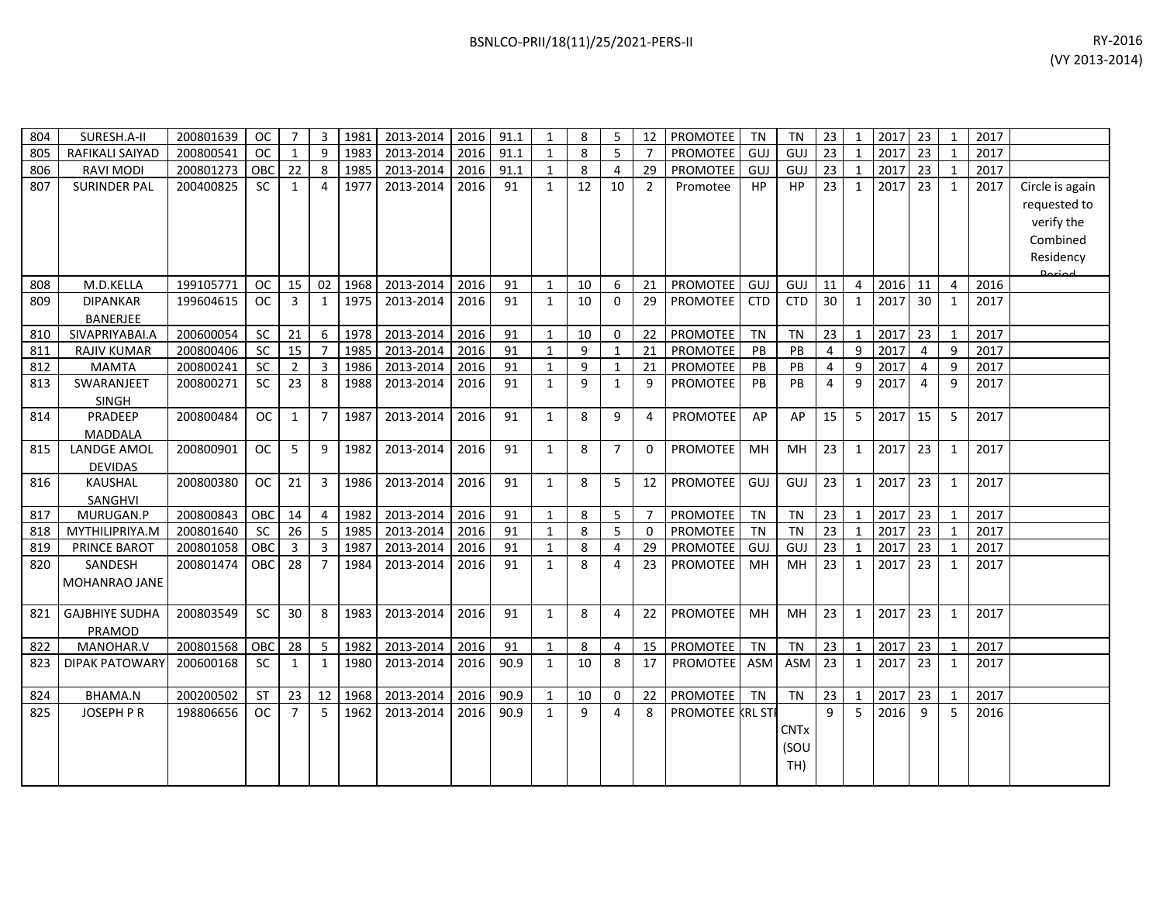| 804 | SURESH.A-II           | 200801639 | <b>OC</b>     | $\overline{7}$ | 3              | 1981 | 2013-2014 | 2016 | 91.1 | 1            | 8  | 5              | 12             | PROMOTEE         | <b>TN</b>  | TN          | 23             | 1              | 2017 | 23             | -1             | 2017 |                 |
|-----|-----------------------|-----------|---------------|----------------|----------------|------|-----------|------|------|--------------|----|----------------|----------------|------------------|------------|-------------|----------------|----------------|------|----------------|----------------|------|-----------------|
| 805 | RAFIKALI SAIYAD       | 200800541 | <b>OC</b>     | $\mathbf{1}$   | 9              | 1983 | 2013-2014 | 2016 | 91.1 | $\mathbf{1}$ | 8  | 5              |                | <b>PROMOTEE</b>  | GUJ        | GUJ         | 23             | $\mathbf{1}$   | 2017 | 23             |                | 2017 |                 |
| 806 | <b>RAVI MODI</b>      | 200801273 | OBC           | 22             | 8              | 1985 | 2013-2014 | 2016 | 91.1 | 1            | 8  | 4              | 29             | PROMOTEE         | GUJ        | GUJ         | 23             | $\mathbf{1}$   | 2017 | 23             | 1              | 2017 |                 |
| 807 | <b>SURINDER PAL</b>   | 200400825 | <b>SC</b>     | 1              | 4              | 1977 | 2013-2014 | 2016 | 91   | 1            | 12 | 10             | $\overline{2}$ | Promotee         | <b>HP</b>  | <b>HP</b>   | 23             | 1              | 2017 | 23             | 1              | 2017 | Circle is again |
|     |                       |           |               |                |                |      |           |      |      |              |    |                |                |                  |            |             |                |                |      |                |                |      | requested to    |
|     |                       |           |               |                |                |      |           |      |      |              |    |                |                |                  |            |             |                |                |      |                |                |      | verify the      |
|     |                       |           |               |                |                |      |           |      |      |              |    |                |                |                  |            |             |                |                |      |                |                |      | Combined        |
|     |                       |           |               |                |                |      |           |      |      |              |    |                |                |                  |            |             |                |                |      |                |                |      | Residency       |
|     |                       |           |               |                |                |      |           |      |      |              |    |                |                |                  |            |             |                |                |      |                |                |      | <b>Doriod</b>   |
| 808 | M.D.KELLA             | 199105771 | <b>OC</b>     | 15             | 02             | 1968 | 2013-2014 | 2016 | 91   | $\mathbf{1}$ | 10 | 6              | 21             | <b>PROMOTEE</b>  | GUJ        | GUJ         | 11             | $\overline{4}$ | 2016 | 11             | $\overline{4}$ | 2016 |                 |
| 809 | <b>DIPANKAR</b>       | 199604615 | <b>OC</b>     | 3              | $\mathbf{1}$   | 1975 | 2013-2014 | 2016 | 91   | 1            | 10 | $\mathbf 0$    | 29             | PROMOTEE         | <b>CTD</b> | <b>CTD</b>  | 30             | $\mathbf{1}$   | 2017 | 30             | 1              | 2017 |                 |
|     | BANERJEE              |           |               |                |                |      |           |      |      |              |    |                |                |                  |            |             |                |                |      |                |                |      |                 |
| 810 | SIVAPRIYABAI.A        | 200600054 | <b>SC</b>     | 21             | 6              | 1978 | 2013-2014 | 2016 | 91   | 1            | 10 | 0              | 22             | PROMOTEE         | <b>TN</b>  | <b>TN</b>   | 23             | $\mathbf{1}$   | 2017 | 23             |                | 2017 |                 |
| 811 | <b>RAJIV KUMAR</b>    | 200800406 | <b>SC</b>     | 15             | $\overline{7}$ | 1985 | 2013-2014 | 2016 | 91   | 1            | 9  | $\mathbf{1}$   | 21             | <b>PROMOTEE</b>  | PB         | PB          | 4              | 9              | 2017 | 4              | 9              | 2017 |                 |
| 812 | <b>MAMTA</b>          | 200800241 | <b>SC</b>     | 2              | 3              | 1986 | 2013-2014 | 2016 | 91   | 1            | 9  | $\mathbf{1}$   | 21             | PROMOTEE         | PB         | PB          | 4              | 9              | 2017 | 4              | 9              | 2017 |                 |
| 813 | SWARANJEET            | 200800271 | <b>SC</b>     | 23             | 8              | 1988 | 2013-2014 | 2016 | 91   | $\mathbf{1}$ | 9  | $\mathbf{1}$   | 9              | <b>PROMOTEE</b>  | PB         | PB          | $\overline{4}$ | 9              | 2017 | $\overline{4}$ | 9              | 2017 |                 |
|     | <b>SINGH</b>          |           |               |                |                |      |           |      |      |              |    |                |                |                  |            |             |                |                |      |                |                |      |                 |
| 814 | PRADEEP               | 200800484 | <b>OC</b>     | 1              | $\overline{7}$ | 1987 | 2013-2014 | 2016 | 91   | $\mathbf{1}$ | 8  | 9              | 4              | <b>PROMOTEE</b>  | AP         | AP          | 15             | 5              | 2017 | 15             | 5              | 2017 |                 |
|     | <b>MADDALA</b>        |           |               |                |                |      |           |      |      |              |    |                |                |                  |            |             |                |                |      |                |                |      |                 |
| 815 | <b>LANDGE AMOL</b>    | 200800901 | <b>OC</b>     | 5              | 9              | 1982 | 2013-2014 | 2016 | 91   | $\mathbf{1}$ | 8  | $\overline{7}$ | 0              | <b>PROMOTEE</b>  | <b>MH</b>  | MH          | 23             | $\mathbf{1}$   | 2017 | 23             | 1              | 2017 |                 |
|     | <b>DEVIDAS</b>        |           |               |                |                |      |           |      |      |              |    |                |                |                  |            |             |                |                |      |                |                |      |                 |
| 816 | KAUSHAL               | 200800380 | <b>OC</b>     | 21             | 3              | 1986 | 2013-2014 | 2016 | 91   | 1            | 8  | 5              | 12             | PROMOTEE         | GUJ        | GUJ         | 23             | $\mathbf{1}$   | 2017 | 23             | 1              | 2017 |                 |
|     | SANGHVI               |           |               |                |                |      |           |      |      |              |    |                |                |                  |            |             |                |                |      |                |                |      |                 |
| 817 | MURUGAN.P             | 200800843 | OBC           | 14             | 4              | 1982 | 2013-2014 | 2016 | 91   | $\mathbf{1}$ | 8  | 5              | $\overline{7}$ | <b>PROMOTEE</b>  | <b>TN</b>  | <b>TN</b>   | 23             | $\mathbf{1}$   | 2017 | 23             | $\mathbf{1}$   | 2017 |                 |
| 818 | MYTHILIPRIYA.M        | 200801640 | <b>SC</b>     | 26             | 5              | 1985 | 2013-2014 | 2016 | 91   | 1            | 8  | 5              | $\mathbf 0$    | PROMOTEE         | <b>TN</b>  | <b>TN</b>   | 23             | 1              | 2017 | 23             | 1              | 2017 |                 |
| 819 | PRINCE BAROT          | 200801058 | OBC           | 3              | 3              | 1987 | 2013-2014 | 2016 | 91   | 1            | 8  | 4              | 29             | <b>PROMOTEE</b>  | GUJ        | <b>GUJ</b>  | 23             | $\mathbf{1}$   | 2017 | 23             |                | 2017 |                 |
| 820 | SANDESH               | 200801474 | <b>OBC</b>    | 28             | $\overline{7}$ | 1984 | 2013-2014 | 2016 | 91   | $\mathbf{1}$ | 8  | 4              | 23             | <b>PROMOTEE</b>  | MH         | MH          | 23             | $\mathbf{1}$   | 2017 | 23             | 1              | 2017 |                 |
|     | MOHANRAO JANE         |           |               |                |                |      |           |      |      |              |    |                |                |                  |            |             |                |                |      |                |                |      |                 |
| 821 | <b>GAJBHIYE SUDHA</b> | 200803549 | <b>SC</b>     | 30             | 8              | 1983 | 2013-2014 | 2016 | 91   | $\mathbf{1}$ | 8  | $\overline{4}$ | 22             | <b>PROMOTEE</b>  | <b>MH</b>  | MH          | 23             | $\mathbf{1}$   | 2017 | 23             | $\mathbf{1}$   | 2017 |                 |
|     | <b>PRAMOD</b>         |           |               |                |                |      |           |      |      |              |    |                |                |                  |            |             |                |                |      |                |                |      |                 |
| 822 | MANOHAR.V             | 200801568 | OBC           | 28             | 5              | 1982 | 2013-2014 | 2016 | 91   | $\mathbf{1}$ | 8  | 4              | 15             | PROMOTEE         | <b>TN</b>  | <b>TN</b>   | 23             | $\mathbf{1}$   | 2017 | 23             | 1              | 2017 |                 |
| 823 | <b>DIPAK PATOWARY</b> | 200600168 | <b>SC</b>     | 1              | $\mathbf{1}$   | 1980 | 2013-2014 | 2016 | 90.9 | 1            | 10 | 8              | 17             | PROMOTEE         | ASM        | <b>ASM</b>  | 23             | 1              | 2017 | 23             | 1              | 2017 |                 |
|     |                       |           |               |                |                |      |           |      |      |              |    |                |                |                  |            |             |                |                |      |                |                |      |                 |
| 824 | BHAMA.N               | 200200502 | <b>ST</b>     | 23             | 12             | 1968 | 2013-2014 | 2016 | 90.9 | 1            | 10 | $\mathbf 0$    | 22             | PROMOTEE         | <b>TN</b>  | <b>TN</b>   | 23             | $\mathbf{1}$   | 2017 | 23             | 1              | 2017 |                 |
| 825 | <b>JOSEPH P R</b>     | 198806656 | <sub>OC</sub> | $\overline{7}$ | 5              | 1962 | 2013-2014 | 2016 | 90.9 | 1            | 9  | 4              | 8              | PROMOTEE KRL STI |            |             | 9              | 5              | 2016 | 9              | 5              | 2016 |                 |
|     |                       |           |               |                |                |      |           |      |      |              |    |                |                |                  |            | <b>CNTx</b> |                |                |      |                |                |      |                 |
|     |                       |           |               |                |                |      |           |      |      |              |    |                |                |                  |            | (SOU        |                |                |      |                |                |      |                 |
|     |                       |           |               |                |                |      |           |      |      |              |    |                |                |                  |            | TH)         |                |                |      |                |                |      |                 |
|     |                       |           |               |                |                |      |           |      |      |              |    |                |                |                  |            |             |                |                |      |                |                |      |                 |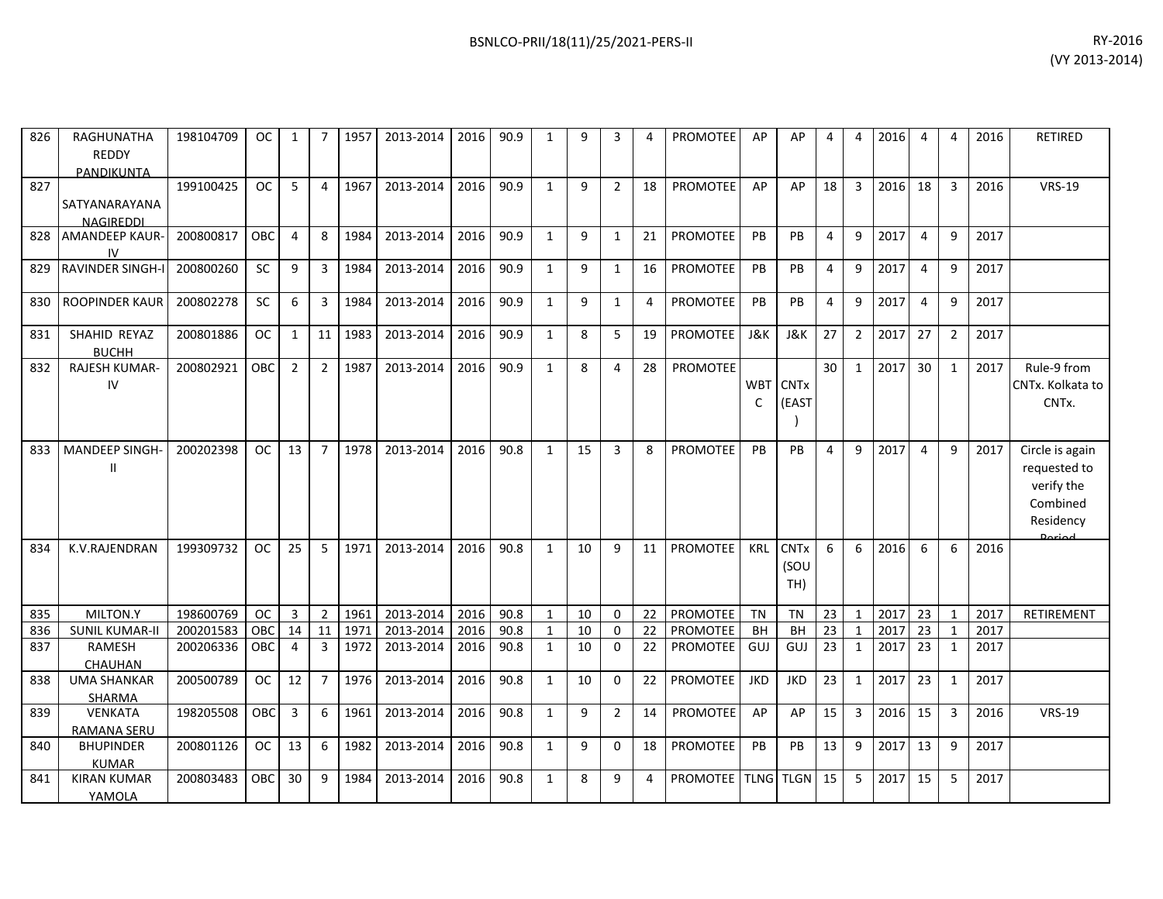| 826 | RAGHUNATHA<br><b>REDDY</b><br>PANDIKUNTA | 198104709 | <sub>OC</sub> | $\mathbf{1}$   |                | 1957 | 2013-2014 | 2016 | 90.9 | $\mathbf{1}$ | 9  | 3              | 4  | <b>PROMOTEE</b> | AP              | AP                              | 4              | $\overline{4}$ | 2016 | 4              | 4              | 2016 | <b>RETIRED</b>                                                                   |
|-----|------------------------------------------|-----------|---------------|----------------|----------------|------|-----------|------|------|--------------|----|----------------|----|-----------------|-----------------|---------------------------------|----------------|----------------|------|----------------|----------------|------|----------------------------------------------------------------------------------|
| 827 | SATYANARAYANA<br><b>NAGIREDDI</b>        | 199100425 | <b>OC</b>     | 5              | $\Delta$       | 1967 | 2013-2014 | 2016 | 90.9 | $\mathbf{1}$ | 9  | $\overline{2}$ | 18 | <b>PROMOTEE</b> | AP              | AP                              | 18             | 3              | 2016 | 18             | 3              | 2016 | <b>VRS-19</b>                                                                    |
| 828 | <b>AMANDEEP KAUR-</b><br>IV.             | 200800817 | <b>OBC</b>    | 4              | 8              | 1984 | 2013-2014 | 2016 | 90.9 | 1            | 9  | 1              | 21 | <b>PROMOTEE</b> | PB              | <b>PB</b>                       | $\overline{4}$ | 9              | 2017 | 4              | 9              | 2017 |                                                                                  |
| 829 | <b>RAVINDER SINGH-I</b>                  | 200800260 | SC            | 9              | 3              | 1984 | 2013-2014 | 2016 | 90.9 | $\mathbf{1}$ | 9  | $\mathbf{1}$   | 16 | <b>PROMOTEE</b> | PB              | PB                              | $\overline{4}$ | 9              | 2017 | $\overline{4}$ | 9              | 2017 |                                                                                  |
| 830 | ROOPINDER KAUR                           | 200802278 | SC            | 6              | 3              | 1984 | 2013-2014 | 2016 | 90.9 | $\mathbf{1}$ | 9  | $\mathbf{1}$   | 4  | <b>PROMOTEE</b> | PB              | PB                              | $\overline{4}$ | 9              | 2017 | $\overline{4}$ | 9              | 2017 |                                                                                  |
| 831 | SHAHID REYAZ<br><b>BUCHH</b>             | 200801886 | <b>OC</b>     | 1              | 11             | 1983 | 2013-2014 | 2016 | 90.9 | $\mathbf{1}$ | 8  | 5              | 19 | PROMOTEE        | <b>J&amp;K</b>  | <b>J&amp;K</b>                  | 27             | $\overline{2}$ | 2017 | 27             | $\overline{2}$ | 2017 |                                                                                  |
| 832 | RAJESH KUMAR-<br>IV                      | 200802921 | OBC           | $\overline{2}$ | $\overline{2}$ | 1987 | 2013-2014 | 2016 | 90.9 | $\mathbf{1}$ | 8  | 4              | 28 | <b>PROMOTEE</b> | <b>WBT</b><br>C | <b>CNT<sub>x</sub></b><br>(EAST | 30             | $\mathbf{1}$   | 2017 | 30             | 1              | 2017 | Rule-9 from<br>CNTx. Kolkata to<br>CNTx.                                         |
| 833 | MANDEEP SINGH-<br>$\mathbf{I}$           | 200202398 | <b>OC</b>     | 13             | $\overline{7}$ | 1978 | 2013-2014 | 2016 | 90.8 | $\mathbf{1}$ | 15 | 3              | 8  | <b>PROMOTEE</b> | PB              | PB                              | 4              | 9              | 2017 | 4              | 9              | 2017 | Circle is again<br>requested to<br>verify the<br>Combined<br>Residency<br>Doriad |
| 834 | K.V.RAJENDRAN                            | 199309732 | <b>OC</b>     | 25             | 5              | 1971 | 2013-2014 | 2016 | 90.8 | $\mathbf{1}$ | 10 | 9              | 11 | <b>PROMOTEE</b> | KRL             | <b>CNTx</b><br>(SOU<br>TH)      | 6              | 6              | 2016 | 6              | 6              | 2016 |                                                                                  |
| 835 | MILTON.Y                                 | 198600769 | <b>OC</b>     | $\overline{3}$ | $\overline{2}$ | 1961 | 2013-2014 | 2016 | 90.8 | $\mathbf{1}$ | 10 | $\Omega$       | 22 | <b>PROMOTEE</b> | <b>TN</b>       | <b>TN</b>                       | 23             | $\mathbf{1}$   | 2017 | 23             | 1              | 2017 | RETIREMENT                                                                       |
| 836 | <b>SUNIL KUMAR-II</b>                    | 200201583 | OBC           | 14             | 11             | 1971 | 2013-2014 | 2016 | 90.8 | $\mathbf{1}$ | 10 | 0              | 22 | <b>PROMOTEE</b> | <b>BH</b>       | BH                              | 23             | $\mathbf{1}$   | 2017 | 23             | -1             | 2017 |                                                                                  |
| 837 | RAMESH<br>CHAUHAN                        | 200206336 | OBC           | 4              | 3              | 1972 | 2013-2014 | 2016 | 90.8 | $\mathbf{1}$ | 10 | 0              | 22 | <b>PROMOTEE</b> | GUJ             | GUJ                             | 23             | $\mathbf{1}$   | 2017 | 23             | $\mathbf{1}$   | 2017 |                                                                                  |
| 838 | <b>UMA SHANKAR</b><br>SHARMA             | 200500789 | <b>OC</b>     | 12             | $\overline{7}$ | 1976 | 2013-2014 | 2016 | 90.8 | $\mathbf{1}$ | 10 | 0              | 22 | PROMOTEE        | <b>JKD</b>      | <b>JKD</b>                      | 23             | $\mathbf{1}$   | 2017 | 23             | 1              | 2017 |                                                                                  |
| 839 | <b>VENKATA</b><br><b>RAMANA SERU</b>     | 198205508 | OBC           | 3              | 6              | 1961 | 2013-2014 | 2016 | 90.8 | $\mathbf{1}$ | 9  | $\overline{2}$ | 14 | <b>PROMOTEE</b> | AP              | AP                              | 15             | 3              | 2016 | 15             | 3              | 2016 | <b>VRS-19</b>                                                                    |
| 840 | <b>BHUPINDER</b><br><b>KUMAR</b>         | 200801126 | <b>OC</b>     | 13             | 6              | 1982 | 2013-2014 | 2016 | 90.8 | $\mathbf{1}$ | 9  | 0              | 18 | <b>PROMOTEE</b> | PB              | PB                              | 13             | 9              | 2017 | 13             | 9              | 2017 |                                                                                  |
| 841 | <b>KIRAN KUMAR</b><br>YAMOLA             | 200803483 | <b>OBC</b>    | 30             | 9              | 1984 | 2013-2014 | 2016 | 90.8 | $\mathbf{1}$ | 8  | 9              | 4  | <b>PROMOTEE</b> | <b>TLNG</b>     | <b>TLGN</b>                     | 15             | 5              | 2017 | 15             | 5              | 2017 |                                                                                  |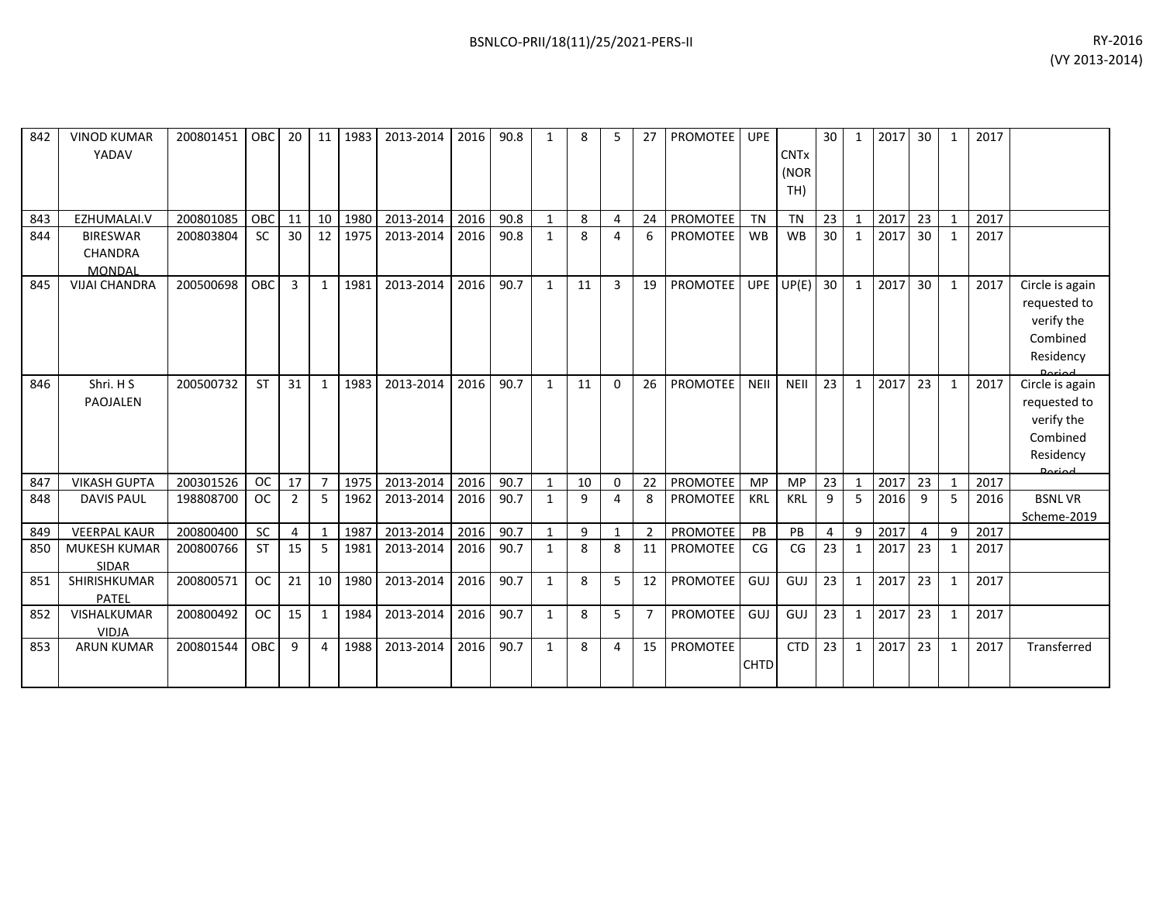| 842 | <b>VINOD KUMAR</b><br>YADAV                 | 200801451 | $ $ OBC    | 20             |                 | 11 1983 | 2013-2014 | 2016 | 90.8 | 1            | 8  |                | 27 | <b>PROMOTEE</b> UPE |             | <b>CNT<sub>x</sub></b><br>(NOR<br>TH) | 30 | 1            | 2017 | 30 <sup>1</sup> | 1            | 2017 |                                                                                   |
|-----|---------------------------------------------|-----------|------------|----------------|-----------------|---------|-----------|------|------|--------------|----|----------------|----|---------------------|-------------|---------------------------------------|----|--------------|------|-----------------|--------------|------|-----------------------------------------------------------------------------------|
| 843 | EZHUMALAI.V                                 | 200801085 | <b>OBC</b> | 11             | 10 <sup>1</sup> | 1980    | 2013-2014 | 2016 | 90.8 |              | 8  | $\overline{4}$ | 24 | <b>PROMOTEE</b>     | <b>TN</b>   | <b>TN</b>                             | 23 | $\mathbf{1}$ | 2017 | 23              |              | 2017 |                                                                                   |
| 844 | <b>BIRESWAR</b><br><b>CHANDRA</b><br>MONDAL | 200803804 | <b>SC</b>  | 30             | 12 <sup>1</sup> | 1975    | 2013-2014 | 2016 | 90.8 | $\mathbf{1}$ | 8  | 4              | 6  | <b>PROMOTEE</b>     | <b>WB</b>   | <b>WB</b>                             | 30 | $\mathbf{1}$ | 2017 | 30 <sup>°</sup> | 1            | 2017 |                                                                                   |
| 845 | <b>VIJAI CHANDRA</b>                        | 200500698 | OBC        | $\overline{3}$ | $\mathbf{1}$    | 1981    | 2013-2014 | 2016 | 90.7 | $\mathbf{1}$ | 11 | 3              | 19 | PROMOTEE            | <b>UPE</b>  | UP(E)                                 | 30 | $\mathbf{1}$ | 2017 | 30 <sup>°</sup> | 1            | 2017 | Circle is again<br>requested to<br>verify the<br>Combined<br>Residency            |
| 846 | Shri. H S<br>PAOJALEN                       | 200500732 | <b>ST</b>  | 31             | $\mathbf{1}$    | 1983    | 2013-2014 | 2016 | 90.7 | 1            | 11 | $\Omega$       | 26 | <b>PROMOTEE</b>     | <b>NEII</b> | <b>NEII</b>                           | 23 | $\mathbf{1}$ | 2017 | 23              | 1            | 2017 | Circle is again<br>requested to<br>verify the<br>Combined<br>Residency<br>لممنعمه |
| 847 | <b>VIKASH GUPTA</b>                         | 200301526 | OC.        | 17             | $\overline{7}$  | 1975    | 2013-2014 | 2016 | 90.7 |              | 10 | $\Omega$       | 22 | PROMOTEE            | <b>MP</b>   | <b>MP</b>                             | 23 | 1            | 2017 | 23              |              | 2017 |                                                                                   |
| 848 | <b>DAVIS PAUL</b>                           | 198808700 | <b>OC</b>  | $\overline{2}$ | 5               | 1962    | 2013-2014 | 2016 | 90.7 | $\mathbf{1}$ | 9  | $\Delta$       | 8  | <b>PROMOTEE</b>     | KRL         | <b>KRL</b>                            | 9  | 5            | 2016 | 9               | 5            | 2016 | <b>BSNLVR</b><br>Scheme-2019                                                      |
| 849 | <b>VEERPAL KAUR</b>                         | 200800400 | SC         | 4              | $\mathbf{1}$    | 1987    | 2013-2014 | 2016 | 90.7 |              | 9  |                |    | <b>PROMOTEE</b>     | PB          | PB                                    | 4  | 9            | 2017 | $\overline{4}$  | 9            | 2017 |                                                                                   |
| 850 | <b>MUKESH KUMAR</b><br><b>SIDAR</b>         | 200800766 | <b>ST</b>  | 15             | 5               | 1981    | 2013-2014 | 2016 | 90.7 | 1            | 8  | -8             | 11 | <b>PROMOTEE</b>     | CG          | CG                                    | 23 | 1            | 2017 | 23              | $\mathbf{1}$ | 2017 |                                                                                   |
| 851 | SHIRISHKUMAR<br>PATEL                       | 200800571 | <b>OC</b>  | 21             | 10              | 1980    | 2013-2014 | 2016 | 90.7 | $\mathbf{1}$ | 8  | 5              | 12 | <b>PROMOTEE</b>     | GUJ         | GUJ                                   | 23 | $\mathbf{1}$ | 2017 | 23              | 1            | 2017 |                                                                                   |
| 852 | VISHALKUMAR<br><b>VIDJA</b>                 | 200800492 | <b>OC</b>  | 15             | $\mathbf{1}$    | 1984    | 2013-2014 | 2016 | 90.7 | $\mathbf{1}$ | 8  | 5              |    | <b>PROMOTEE</b>     | <b>GUJ</b>  | GUJ                                   | 23 | $\mathbf{1}$ | 2017 | 23              | 1            | 2017 |                                                                                   |
| 853 | <b>ARUN KUMAR</b>                           | 200801544 | OBC        | 9              | 4               | 1988    | 2013-2014 | 2016 | 90.7 | $\mathbf{1}$ | 8  | 4              | 15 | <b>PROMOTEE</b>     | <b>CHTD</b> | <b>CTD</b>                            | 23 | $\mathbf{1}$ | 2017 | 23              | 1            | 2017 | Transferred                                                                       |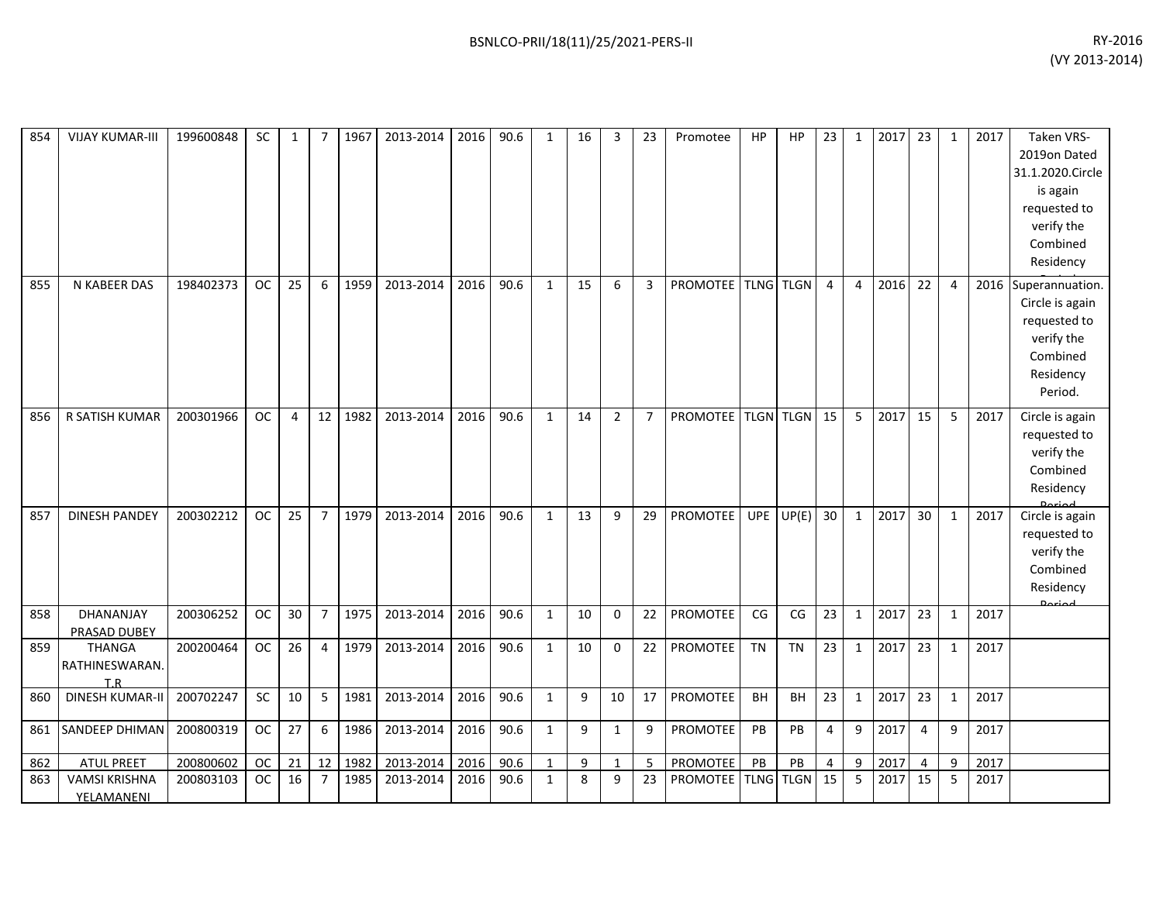| 854 | <b>VIJAY KUMAR-III</b>                 | 199600848 | <b>SC</b> | 1  | 7              | 1967 | 2013-2014 | 2016 | 90.6 | 1            | 16 | 3              | 23             | Promotee        | HP          | HP            | 23             | 1              | 2017 | 23             | 1              | 2017 | <b>Taken VRS-</b><br>2019on Dated<br>31.1.2020.Circle<br>is again<br>requested to<br>verify the<br>Combined<br>Residency |
|-----|----------------------------------------|-----------|-----------|----|----------------|------|-----------|------|------|--------------|----|----------------|----------------|-----------------|-------------|---------------|----------------|----------------|------|----------------|----------------|------|--------------------------------------------------------------------------------------------------------------------------|
| 855 | N KABEER DAS                           | 198402373 | <b>OC</b> | 25 | 6              | 1959 | 2013-2014 | 2016 | 90.6 | $\mathbf{1}$ | 15 | 6              | 3              | PROMOTEE        |             | TLNG TLGN     | $\overline{4}$ | $\overline{4}$ | 2016 | 22             | $\overline{4}$ |      | 2016 Superannuation.<br>Circle is again<br>requested to<br>verify the<br>Combined<br>Residency<br>Period.                |
| 856 | R SATISH KUMAR                         | 200301966 | <b>OC</b> | 4  | 12             | 1982 | 2013-2014 | 2016 | 90.6 | 1            | 14 | $\overline{2}$ | $\overline{7}$ | <b>PROMOTEE</b> |             | TLGN TLGN     | 15             | 5              | 2017 | 15             | 5              | 2017 | Circle is again<br>requested to<br>verify the<br>Combined<br>Residency                                                   |
| 857 | <b>DINESH PANDEY</b>                   | 200302212 | <b>OC</b> | 25 | $\overline{7}$ | 1979 | 2013-2014 | 2016 | 90.6 | $\mathbf{1}$ | 13 | 9              | 29             | <b>PROMOTEE</b> | <b>UPE</b>  | UP(E)         | 30             | $\mathbf{1}$   | 2017 | 30             | $\mathbf{1}$   | 2017 | Circle is again<br>requested to<br>verify the<br>Combined<br>Residency                                                   |
| 858 | DHANANJAY<br>PRASAD DUBEY              | 200306252 | <b>OC</b> | 30 | $\overline{7}$ | 1975 | 2013-2014 | 2016 | 90.6 | $\mathbf{1}$ | 10 | $\mathbf 0$    | 22             | PROMOTEE        | CG          | CG            | 23             | $\mathbf{1}$   | 2017 | 23             | $\mathbf{1}$   | 2017 |                                                                                                                          |
| 859 | <b>THANGA</b><br>RATHINESWARAN.<br>T.R | 200200464 | <b>OC</b> | 26 | 4              | 1979 | 2013-2014 | 2016 | 90.6 | $\mathbf{1}$ | 10 | $\mathbf 0$    | 22             | PROMOTEE        | <b>TN</b>   | <b>TN</b>     | 23             | 1              | 2017 | 23             | 1              | 2017 |                                                                                                                          |
| 860 | <b>DINESH KUMAR-II</b>                 | 200702247 | SC        | 10 | 5              | 1981 | 2013-2014 | 2016 | 90.6 | $\mathbf{1}$ | 9  | 10             | 17             | <b>PROMOTEE</b> | <b>BH</b>   | <b>BH</b>     | 23             | $\mathbf{1}$   | 2017 | 23             | $\mathbf{1}$   | 2017 |                                                                                                                          |
| 861 | SANDEEP DHIMAN                         | 200800319 | <b>OC</b> | 27 | 6              | 1986 | 2013-2014 | 2016 | 90.6 | $\mathbf{1}$ | 9  | $\mathbf{1}$   | 9              | PROMOTEE        | PB          | PB            | 4              | 9              | 2017 | $\overline{4}$ | 9              | 2017 |                                                                                                                          |
| 862 | <b>ATUL PREET</b>                      | 200800602 | <b>OC</b> | 21 | 12             | 1982 | 2013-2014 | 2016 | 90.6 | $\mathbf{1}$ | 9  | $\mathbf{1}$   | 5              | PROMOTEE        | PB          | $\mathsf{PB}$ | 4              | 9              | 2017 | $\overline{4}$ | 9              | 2017 |                                                                                                                          |
| 863 | <b>VAMSI KRISHNA</b><br>YELAMANENI     | 200803103 | <b>OC</b> | 16 | $\overline{7}$ | 1985 | 2013-2014 | 2016 | 90.6 | $\mathbf{1}$ | 8  | 9              | 23             | PROMOTEE        | <b>TLNG</b> | <b>TLGN</b>   | 15             | 5              | 2017 | 15             | 5              | 2017 |                                                                                                                          |
|     |                                        |           |           |    |                |      |           |      |      |              |    |                |                |                 |             |               |                |                |      |                |                |      |                                                                                                                          |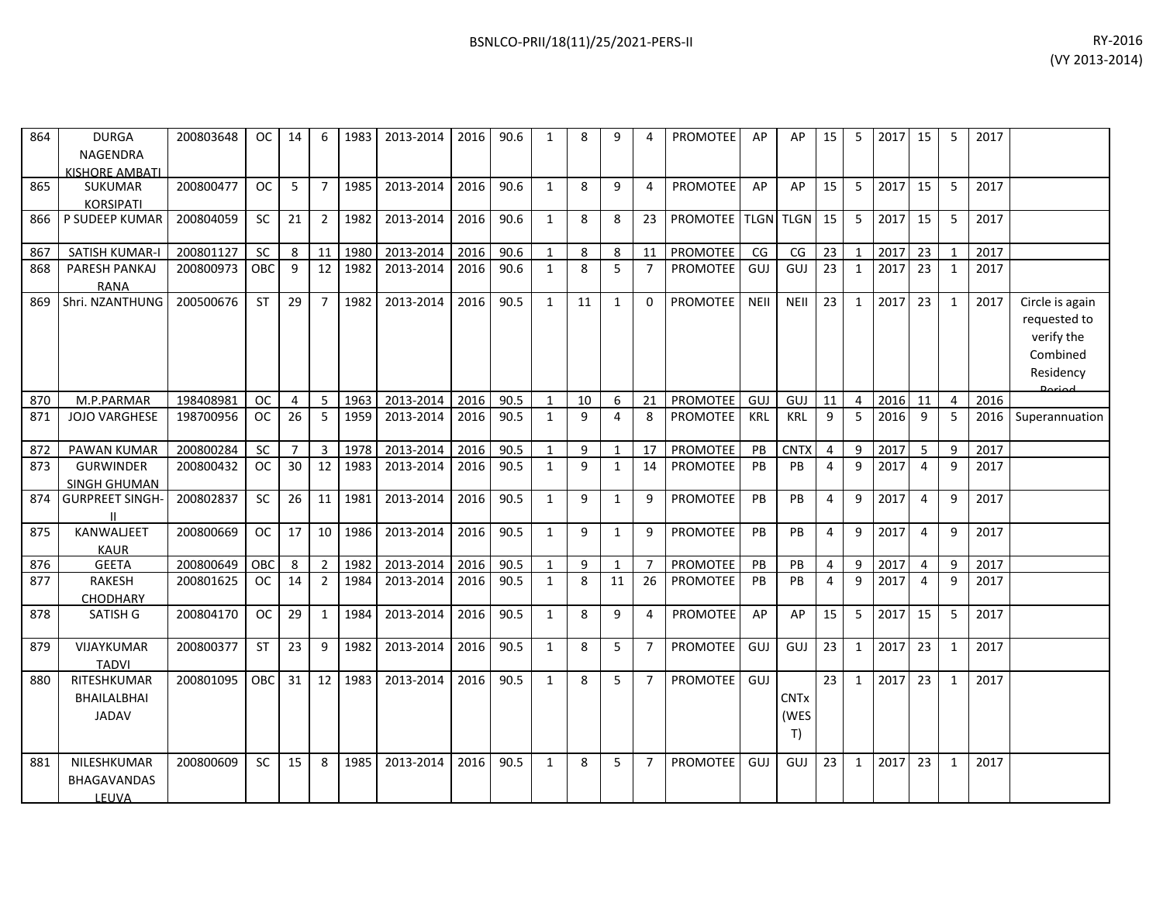| 864 | <b>DURGA</b>          | 200803648 | <b>OC</b> | 14             | 6              | 1983 | 2013-2014 | 2016 | 90.6 | 1            | 8  | 9            | 4              | <b>PROMOTEE</b> | AP          | AP                     | 15             | 5              | 2017 | 15              | 5            | 2017 |                 |
|-----|-----------------------|-----------|-----------|----------------|----------------|------|-----------|------|------|--------------|----|--------------|----------------|-----------------|-------------|------------------------|----------------|----------------|------|-----------------|--------------|------|-----------------|
|     | <b>NAGENDRA</b>       |           |           |                |                |      |           |      |      |              |    |              |                |                 |             |                        |                |                |      |                 |              |      |                 |
|     | KISHORE AMBATL        |           |           |                |                |      |           |      |      |              |    |              |                |                 |             |                        |                |                |      |                 |              |      |                 |
| 865 | <b>SUKUMAR</b>        | 200800477 | <b>OC</b> | 5              | $\overline{7}$ | 1985 | 2013-2014 | 2016 | 90.6 | $\mathbf{1}$ | 8  | 9            | $\overline{4}$ | PROMOTEE        | AP          | AP                     | 15             | 5              | 2017 | 15              | 5            | 2017 |                 |
|     | <b>KORSIPATI</b>      |           |           |                |                |      |           |      |      |              |    |              |                |                 |             |                        |                |                |      |                 |              |      |                 |
| 866 | P SUDEEP KUMAR        | 200804059 | <b>SC</b> | 21             | $\overline{2}$ | 1982 | 2013-2014 | 2016 | 90.6 | $\mathbf{1}$ | 8  | 8            | 23             | <b>PROMOTEE</b> | <b>TLGN</b> | <b>TLGN</b>            | 15             | 5              | 2017 | 15              | 5            | 2017 |                 |
|     |                       |           |           |                |                |      |           |      |      |              |    |              |                |                 |             |                        |                |                |      |                 |              |      |                 |
| 867 | SATISH KUMAR-I        | 200801127 | <b>SC</b> | 8              | 11             | 1980 | 2013-2014 | 2016 | 90.6 | 1            | 8  | 8            | 11             | PROMOTEE        | CG          | CG                     | 23             | $\mathbf{1}$   | 2017 | 23              | 1            | 2017 |                 |
| 868 | PARESH PANKAJ         | 200800973 | OBC       | 9              | 12             | 1982 | 2013-2014 | 2016 | 90.6 | $\mathbf{1}$ | 8  | 5            | $\overline{7}$ | <b>PROMOTEE</b> | GUJ         | GUJ                    | 23             | $\mathbf{1}$   | 2017 | 23              | 1            | 2017 |                 |
|     | <b>RANA</b>           |           |           |                |                |      |           |      |      |              |    |              |                |                 |             |                        |                |                |      |                 |              |      |                 |
| 869 | Shri. NZANTHUNG       | 200500676 | <b>ST</b> | 29             | $\overline{7}$ | 1982 | 2013-2014 | 2016 | 90.5 | $\mathbf{1}$ | 11 | $\mathbf{1}$ | $\Omega$       | PROMOTEE        | <b>NEII</b> | <b>NEII</b>            | 23             | 1              | 2017 | 23              | $\mathbf{1}$ | 2017 | Circle is again |
|     |                       |           |           |                |                |      |           |      |      |              |    |              |                |                 |             |                        |                |                |      |                 |              |      | requested to    |
|     |                       |           |           |                |                |      |           |      |      |              |    |              |                |                 |             |                        |                |                |      |                 |              |      |                 |
|     |                       |           |           |                |                |      |           |      |      |              |    |              |                |                 |             |                        |                |                |      |                 |              |      | verify the      |
|     |                       |           |           |                |                |      |           |      |      |              |    |              |                |                 |             |                        |                |                |      |                 |              |      | Combined        |
|     |                       |           |           |                |                |      |           |      |      |              |    |              |                |                 |             |                        |                |                |      |                 |              |      | Residency       |
|     |                       |           |           |                |                |      |           |      |      |              |    |              |                |                 |             |                        |                |                |      |                 |              |      | Dariad          |
| 870 | M.P.PARMAR            | 198408981 | <b>OC</b> | 4              | 5              | 1963 | 2013-2014 | 2016 | 90.5 | $\mathbf{1}$ | 10 | 6            | 21             | <b>PROMOTEE</b> | GUJ         | GUJ                    | 11             | $\overline{4}$ | 2016 | 11              | 4            | 2016 |                 |
| 871 | <b>JOJO VARGHESE</b>  | 198700956 | <b>OC</b> | 26             | 5              | 1959 | 2013-2014 | 2016 | 90.5 | $\mathbf{1}$ | 9  | 4            | 8              | PROMOTEE        | <b>KRL</b>  | <b>KRL</b>             | 9              | 5              | 2016 | 9               | 5            | 2016 | Superannuation  |
|     |                       |           |           |                |                |      |           |      |      |              |    |              |                |                 |             |                        |                |                |      |                 |              |      |                 |
| 872 | <b>PAWAN KUMAR</b>    | 200800284 | SC        | $\overline{7}$ | $\overline{3}$ | 1978 | 2013-2014 | 2016 | 90.5 | $\mathbf{1}$ | 9  | $\mathbf{1}$ | 17             | <b>PROMOTEE</b> | PB          | <b>CNTX</b>            | $\overline{4}$ | 9              | 2017 | $5\overline{)}$ | 9            | 2017 |                 |
| 873 | <b>GURWINDER</b>      | 200800432 | <b>OC</b> | 30             | 12             | 1983 | 2013-2014 | 2016 | 90.5 | $\mathbf{1}$ | 9  | $\mathbf{1}$ | 14             | <b>PROMOTEE</b> | PB          | PB                     | $\overline{4}$ | 9              | 2017 | $\overline{4}$  | 9            | 2017 |                 |
|     | <b>SINGH GHUMAN</b>   |           |           |                |                |      |           |      |      |              |    |              |                |                 |             |                        |                |                |      |                 |              |      |                 |
| 874 | <b>GURPREET SINGH</b> | 200802837 | <b>SC</b> | 26             | 11             | 1981 | 2013-2014 | 2016 | 90.5 | $\mathbf{1}$ | 9  | $\mathbf{1}$ | 9              | <b>PROMOTEE</b> | PB          | PB                     | $\overline{4}$ | 9              | 2017 | $\overline{4}$  | 9            | 2017 |                 |
|     | $\mathbf{H}$          |           |           |                |                |      |           |      |      |              |    |              |                |                 |             |                        |                |                |      |                 |              |      |                 |
| 875 | KANWALJEET            | 200800669 | <b>OC</b> | 17             | 10             | 1986 | 2013-2014 | 2016 | 90.5 | $\mathbf{1}$ | 9  | $\mathbf{1}$ | 9              | <b>PROMOTEE</b> | PB          | PB                     | $\overline{4}$ | 9              | 2017 | $\overline{4}$  | 9            | 2017 |                 |
|     | <b>KAUR</b>           |           |           |                |                |      |           |      |      |              |    |              |                |                 |             |                        |                |                |      |                 |              |      |                 |
| 876 | <b>GEETA</b>          | 200800649 | OBC       | 8              | $\overline{2}$ | 1982 | 2013-2014 | 2016 | 90.5 | $\mathbf{1}$ | 9  | $\mathbf{1}$ | $\overline{7}$ | <b>PROMOTEE</b> | PB          | PB                     | $\overline{4}$ | 9              | 2017 | $\overline{4}$  | 9            | 2017 |                 |
| 877 | <b>RAKESH</b>         | 200801625 | <b>OC</b> | 14             | $\overline{2}$ | 1984 | 2013-2014 | 2016 | 90.5 | 1            | 8  | 11           | 26             | <b>PROMOTEE</b> | PB          | <b>PB</b>              | $\overline{4}$ | 9              | 2017 | $\overline{4}$  | 9            | 2017 |                 |
|     | <b>CHODHARY</b>       |           |           |                |                |      |           |      |      |              |    |              |                |                 |             |                        |                |                |      |                 |              |      |                 |
| 878 | SATISH G              | 200804170 | <b>OC</b> | 29             | $\mathbf{1}$   | 1984 | 2013-2014 | 2016 | 90.5 | $\mathbf{1}$ | 8  | 9            | $\overline{4}$ | <b>PROMOTEE</b> | AP          | AP                     | 15             | 5              | 2017 | 15              | 5            | 2017 |                 |
|     |                       |           |           |                |                |      |           |      |      |              |    |              |                |                 |             |                        |                |                |      |                 |              |      |                 |
| 879 | VIJAYKUMAR            | 200800377 | <b>ST</b> | 23             | 9              | 1982 | 2013-2014 | 2016 | 90.5 | $\mathbf{1}$ | 8  | 5            | $\overline{7}$ | <b>PROMOTEE</b> | GUJ         | GUJ                    | 23             | $\mathbf{1}$   | 2017 | 23              | $\mathbf{1}$ | 2017 |                 |
|     | <b>TADVI</b>          |           |           |                |                |      |           |      |      |              |    |              |                |                 |             |                        |                |                |      |                 |              |      |                 |
| 880 | RITESHKUMAR           | 200801095 | OBC       | 31             | 12             | 1983 | 2013-2014 | 2016 | 90.5 | $\mathbf{1}$ | 8  | 5            | $\overline{7}$ | <b>PROMOTEE</b> | GUJ         |                        | 23             | $\mathbf{1}$   | 2017 | 23              | 1            | 2017 |                 |
|     |                       |           |           |                |                |      |           |      |      |              |    |              |                |                 |             |                        |                |                |      |                 |              |      |                 |
|     | <b>BHAILALBHAI</b>    |           |           |                |                |      |           |      |      |              |    |              |                |                 |             | <b>CNT<sub>x</sub></b> |                |                |      |                 |              |      |                 |
|     | <b>JADAV</b>          |           |           |                |                |      |           |      |      |              |    |              |                |                 |             | (WES                   |                |                |      |                 |              |      |                 |
|     |                       |           |           |                |                |      |           |      |      |              |    |              |                |                 |             | T)                     |                |                |      |                 |              |      |                 |
|     |                       |           |           |                |                |      |           |      |      |              |    |              |                |                 |             |                        |                |                |      |                 |              |      |                 |
| 881 | NILESHKUMAR           | 200800609 | <b>SC</b> | 15             | 8              | 1985 | 2013-2014 | 2016 | 90.5 | 1            | 8  | 5            | $\overline{7}$ | <b>PROMOTEE</b> | GUJ         | GUJ                    | 23             | 1              | 2017 | 23              | 1            | 2017 |                 |
|     | <b>BHAGAVANDAS</b>    |           |           |                |                |      |           |      |      |              |    |              |                |                 |             |                        |                |                |      |                 |              |      |                 |
|     | LEUVA                 |           |           |                |                |      |           |      |      |              |    |              |                |                 |             |                        |                |                |      |                 |              |      |                 |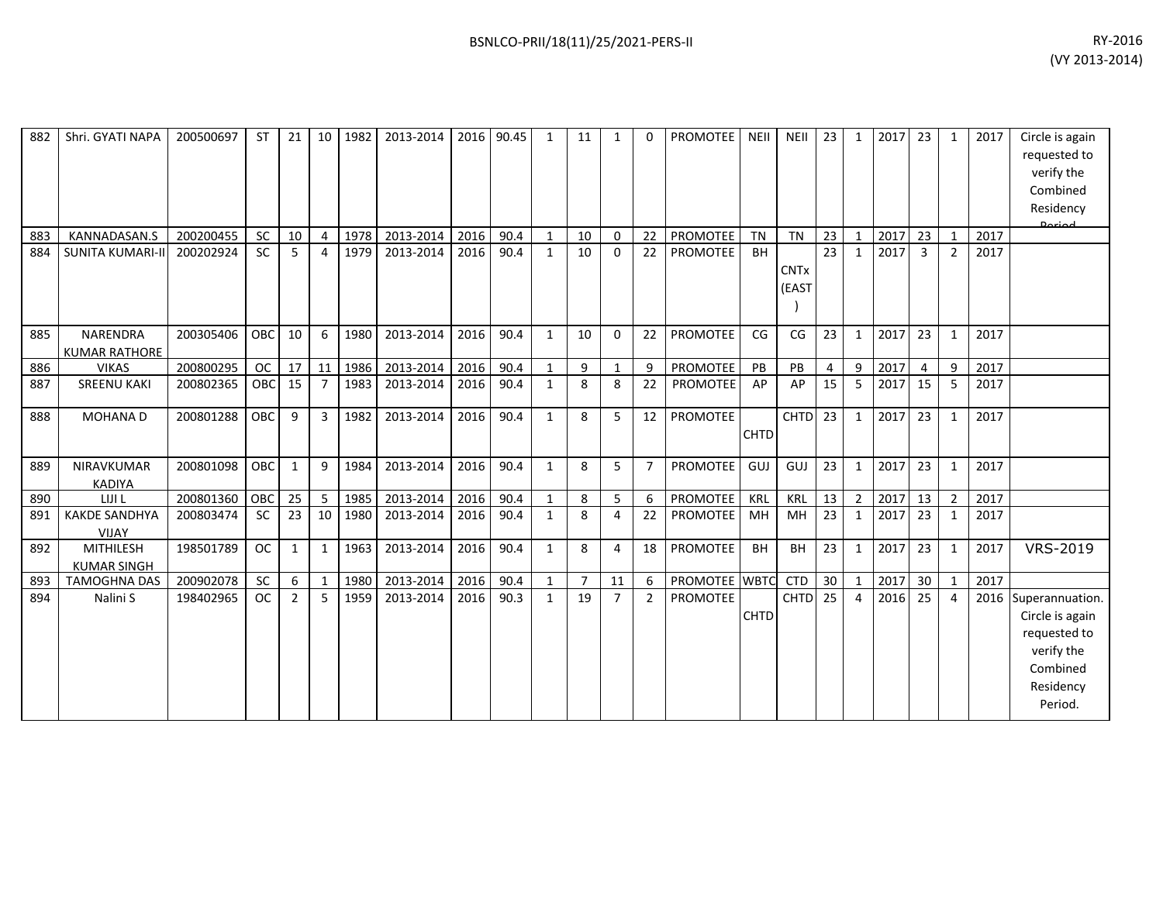| 882 | Shri. GYATI NAPA                        | 200500697 | <b>ST</b>  | 21             | 10             | 1982 | 2013-2014 | 2016 | 90.45 | 1            | 11             | 1              | 0              | PROMOTEE        | <b>NEII</b> | <b>NEII</b>          | 23             | 1              | 2017 | 23              | $\mathbf{1}$   | 2017 | Circle is again<br>requested to<br>verify the<br>Combined<br>Residency<br>لممتعمه                         |
|-----|-----------------------------------------|-----------|------------|----------------|----------------|------|-----------|------|-------|--------------|----------------|----------------|----------------|-----------------|-------------|----------------------|----------------|----------------|------|-----------------|----------------|------|-----------------------------------------------------------------------------------------------------------|
| 883 | KANNADASAN.S                            | 200200455 | <b>SC</b>  | 10             | $\overline{4}$ | 1978 | 2013-2014 | 2016 | 90.4  | 1            | 10             | $\Omega$       | 22             | <b>PROMOTEE</b> | <b>TN</b>   | <b>TN</b>            | 23             | 1              | 2017 | 23              | $\mathbf{1}$   | 2017 |                                                                                                           |
| 884 | <b>SUNITA KUMARI-II</b>                 | 200202924 | SC         | 5              | $\overline{a}$ | 1979 | 2013-2014 | 2016 | 90.4  | 1            | 10             | $\Omega$       | 22             | PROMOTEE        | <b>BH</b>   | <b>CNTx</b><br>(EAST | 23             | 1              | 2017 | $\mathbf{3}$    | $\overline{2}$ | 2017 |                                                                                                           |
| 885 | <b>NARENDRA</b><br><b>KUMAR RATHORE</b> | 200305406 | OBC        | 10             | 6              | 1980 | 2013-2014 | 2016 | 90.4  | $\mathbf{1}$ | 10             | $\Omega$       | 22             | <b>PROMOTEE</b> | CG          | CG                   | 23             | $\mathbf{1}$   | 2017 | 23              | $\mathbf{1}$   | 2017 |                                                                                                           |
| 886 | <b>VIKAS</b>                            | 200800295 | <b>OC</b>  | 17             | $\vert$ 11     | 1986 | 2013-2014 | 2016 | 90.4  | 1            | 9              | $\mathbf{1}$   | 9              | PROMOTEE        | PB          | PB                   | $\overline{4}$ | 9              | 2017 | $\overline{4}$  | 9              | 2017 |                                                                                                           |
| 887 | <b>SREENU KAKI</b>                      | 200802365 | <b>OBC</b> | 15             | $\overline{7}$ | 1983 | 2013-2014 | 2016 | 90.4  | $\mathbf{1}$ | 8              | 8              | 22             | PROMOTEE        | AP          | AP                   | 15             | 5              | 2017 | 15              | 5              | 2017 |                                                                                                           |
| 888 | MOHANA D                                | 200801288 | <b>OBC</b> | 9              | $\overline{3}$ | 1982 | 2013-2014 | 2016 | 90.4  | $\mathbf{1}$ | 8              | 5              | 12             | PROMOTEE        | <b>CHTD</b> | CHTD <sub>23</sub>   |                | $\mathbf{1}$   | 2017 | 23              | $\mathbf{1}$   | 2017 |                                                                                                           |
| 889 | NIRAVKUMAR<br><b>KADIYA</b>             | 200801098 | OBC        | 1              | 9              | 1984 | 2013-2014 | 2016 | 90.4  | $\mathbf{1}$ | 8              | 5              | $\overline{7}$ | PROMOTEE        | GUJ         | GUJ                  | 23             | 1              | 2017 | 23              | $\mathbf{1}$   | 2017 |                                                                                                           |
| 890 | LIJI L                                  | 200801360 | OBC        | 25             | 5              | 1985 | 2013-2014 | 2016 | 90.4  | 1            | 8              | 5              | 6              | PROMOTEE        | KRL         | KRL                  | 13             | $\overline{2}$ | 2017 | 13              | $\overline{2}$ | 2017 |                                                                                                           |
| 891 | <b>KAKDE SANDHYA</b><br><b>VIJAY</b>    | 200803474 | <b>SC</b>  | 23             | 10             | 1980 | 2013-2014 | 2016 | 90.4  | $\mathbf{1}$ | 8              | 4              | 22             | PROMOTEE        | MH          | MH                   | 23             | $\mathbf{1}$   | 2017 | 23              | $\mathbf{1}$   | 2017 |                                                                                                           |
| 892 | <b>MITHILESH</b><br><b>KUMAR SINGH</b>  | 198501789 | <b>OC</b>  | 1              | 1              | 1963 | 2013-2014 | 2016 | 90.4  | 1            | 8              | 4              | 18             | <b>PROMOTEE</b> | <b>BH</b>   | <b>BH</b>            | 23             | 1              | 2017 | 23              | $\mathbf{1}$   | 2017 | VRS-2019                                                                                                  |
| 893 | <b>TAMOGHNA DAS</b>                     | 200902078 | <b>SC</b>  | 6              | 1              | 1980 | 2013-2014 | 2016 | 90.4  | $\mathbf{1}$ | $\overline{7}$ | 11             | 6              | PROMOTEE WBTC   |             | <b>CTD</b>           | 30             | $\mathbf{1}$   | 2017 | 30 <sup>°</sup> | $\mathbf{1}$   | 2017 |                                                                                                           |
| 894 | Nalini S                                | 198402965 | <b>OC</b>  | $\overline{2}$ | -5             | 1959 | 2013-2014 | 2016 | 90.3  | $\mathbf{1}$ | 19             | $\overline{7}$ | 2              | <b>PROMOTEE</b> | <b>CHTD</b> | <b>CHTD</b>          | 25             | $\overline{a}$ | 2016 | 25              | 4              |      | 2016 Superannuation.<br>Circle is again<br>requested to<br>verify the<br>Combined<br>Residency<br>Period. |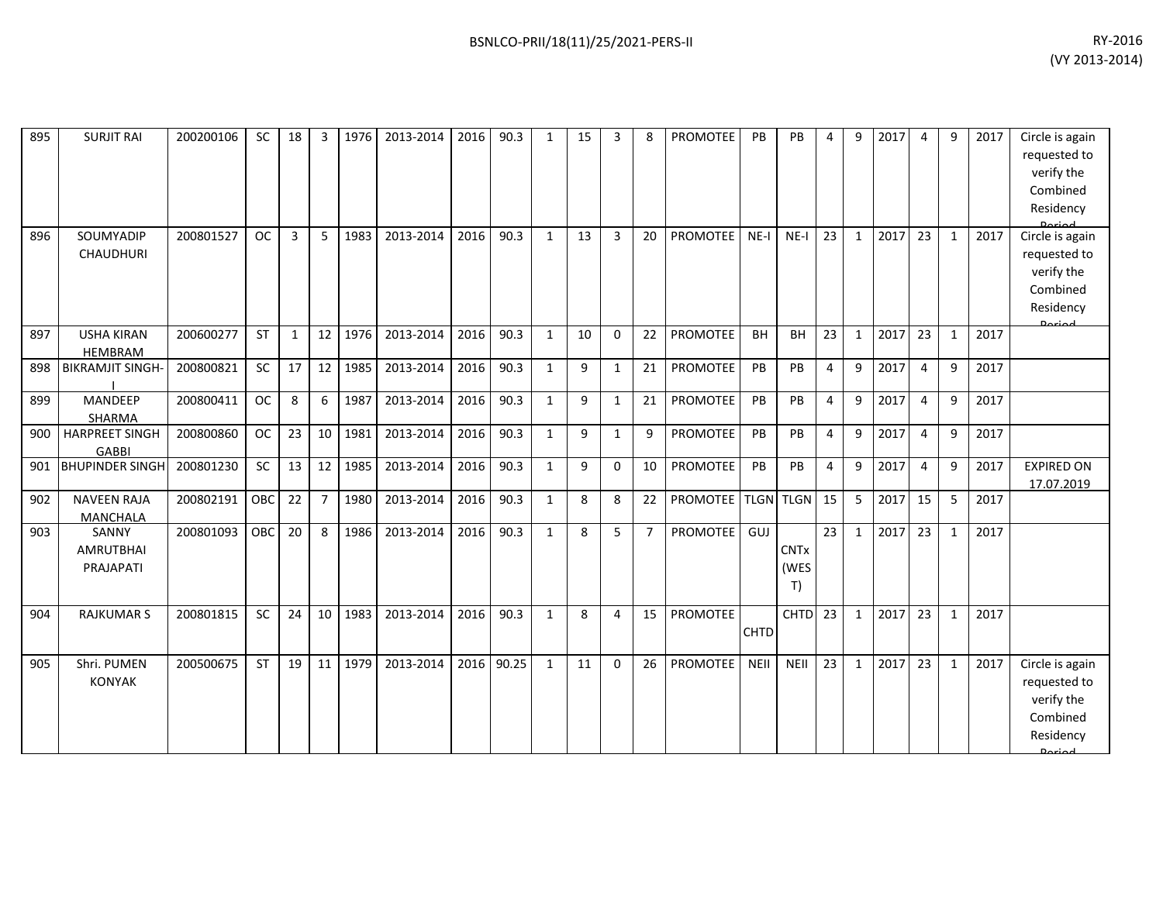| 895 | <b>SURJIT RAI</b>                      | 200200106 | <b>SC</b>  | 18 | 3              | 1976 | 2013-2014 | 2016 | 90.3  | $\mathbf{1}$ | 15 | 3              | 8              | <b>PROMOTEE</b>    | <b>PB</b>   | PB                        | $\boldsymbol{\Delta}$ | 9            | 2017 | 4              | 9            | 2017 | Circle is again<br>requested to<br>verify the<br>Combined<br>Residency                  |
|-----|----------------------------------------|-----------|------------|----|----------------|------|-----------|------|-------|--------------|----|----------------|----------------|--------------------|-------------|---------------------------|-----------------------|--------------|------|----------------|--------------|------|-----------------------------------------------------------------------------------------|
| 896 | SOUMYADIP<br><b>CHAUDHURI</b>          | 200801527 | <b>OC</b>  | 3  | 5              | 1983 | 2013-2014 | 2016 | 90.3  | $\mathbf{1}$ | 13 | $\overline{3}$ | 20             | PROMOTEE           | $NE-I$      | $NE-I$                    | 23                    | 1            | 2017 | 23             | $\mathbf{1}$ | 2017 | Circle is again<br>requested to<br>verify the<br>Combined<br>Residency<br><b>Doriod</b> |
| 897 | <b>USHA KIRAN</b><br><b>HEMBRAM</b>    | 200600277 | <b>ST</b>  | 1  | 12             | 1976 | 2013-2014 | 2016 | 90.3  | $\mathbf{1}$ | 10 | $\mathbf{0}$   | 22             | <b>PROMOTEE</b>    | <b>BH</b>   | <b>BH</b>                 | 23                    | 1            | 2017 | 23             | $\mathbf{1}$ | 2017 |                                                                                         |
| 898 | <b>BIKRAMJIT SINGH-</b>                | 200800821 | <b>SC</b>  | 17 | 12             | 1985 | 2013-2014 | 2016 | 90.3  | $\mathbf{1}$ | 9  | 1              | 21             | <b>PROMOTEE</b>    | PB          | PB                        | $\overline{4}$        | 9            | 2017 | $\overline{4}$ | 9            | 2017 |                                                                                         |
| 899 | MANDEEP<br><b>SHARMA</b>               | 200800411 | <b>OC</b>  | 8  | 6              | 1987 | 2013-2014 | 2016 | 90.3  | $\mathbf{1}$ | 9  | 1              | 21             | <b>PROMOTEE</b>    | PB          | PB                        | $\overline{4}$        | 9            | 2017 | $\overline{4}$ | 9            | 2017 |                                                                                         |
| 900 | <b>HARPREET SINGH</b><br><b>GABBI</b>  | 200800860 | <b>OC</b>  | 23 | 10             | 1981 | 2013-2014 | 2016 | 90.3  | $\mathbf{1}$ | 9  | $\mathbf{1}$   | 9              | <b>PROMOTEE</b>    | PB          | PB                        | $\overline{4}$        | 9            | 2017 | 4              | 9            | 2017 |                                                                                         |
| 901 | <b>BHUPINDER SINGH</b>                 | 200801230 | <b>SC</b>  | 13 | 12             | 1985 | 2013-2014 | 2016 | 90.3  | $\mathbf{1}$ | 9  | $\mathbf{0}$   | 10             | PROMOTEE           | PB          | PB                        | $\overline{4}$        | 9            | 2017 | $\overline{4}$ | 9            | 2017 | <b>EXPIRED ON</b><br>17.07.2019                                                         |
| 902 | <b>NAVEEN RAJA</b><br><b>MANCHALA</b>  | 200802191 | OBC        | 22 | $\overline{7}$ | 1980 | 2013-2014 | 2016 | 90.3  | $\mathbf{1}$ | 8  | 8              | 22             | PROMOTEE TLGN TLGN |             |                           | 15                    | 5            | 2017 | 15             | 5            | 2017 |                                                                                         |
| 903 | SANNY<br><b>AMRUTBHAI</b><br>PRAJAPATI | 200801093 | <b>OBC</b> | 20 | 8              | 1986 | 2013-2014 | 2016 | 90.3  | $\mathbf{1}$ | 8  | 5              | $\overline{7}$ | <b>PROMOTEE</b>    | GUJ         | <b>CNTx</b><br>(WES<br>T) | 23                    | $\mathbf{1}$ | 2017 | 23             | $\mathbf{1}$ | 2017 |                                                                                         |
| 904 | <b>RAJKUMAR S</b>                      | 200801815 | <b>SC</b>  | 24 | 10             | 1983 | 2013-2014 | 2016 | 90.3  | $\mathbf{1}$ | 8  | 4              | 15             | PROMOTEE           | <b>CHTD</b> | <b>CHTD</b>               | 23                    | 1            | 2017 | 23             | $\mathbf{1}$ | 2017 |                                                                                         |
| 905 | Shri. PUMEN<br><b>KONYAK</b>           | 200500675 | <b>ST</b>  | 19 | 11             | 1979 | 2013-2014 | 2016 | 90.25 | $\mathbf{1}$ | 11 | $\Omega$       | 26             | <b>PROMOTEE</b>    | <b>NEII</b> | <b>NEII</b>               | 23                    | $\mathbf{1}$ | 2017 | 23             | $\mathbf{1}$ | 2017 | Circle is again<br>requested to<br>verify the<br>Combined<br>Residency<br>Doriad        |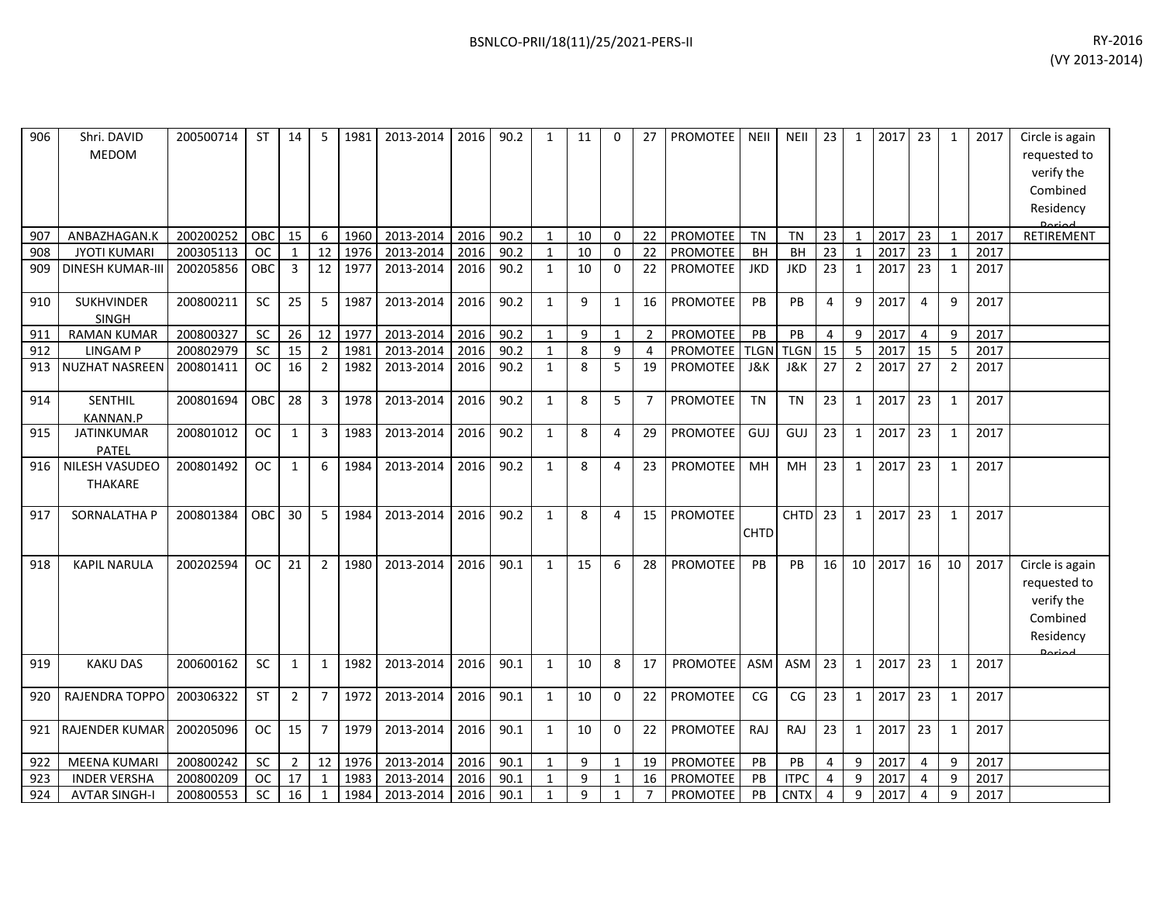| 906 | Shri. DAVID<br>MEDOM                    | 200500714 | <b>ST</b>     | 14           | 5              | 1981 | 2013-2014 | 2016 | 90.2 | $\mathbf{1}$ | 11 | $\Omega$     | 27             | <b>PROMOTEE</b>      | <b>NEII</b> | <b>NEII</b> | 23             | $\mathbf{1}$   | 2017 | 23 | 1              | 2017 | Circle is again<br>requested to<br>verify the<br>Combined<br>Residency           |
|-----|-----------------------------------------|-----------|---------------|--------------|----------------|------|-----------|------|------|--------------|----|--------------|----------------|----------------------|-------------|-------------|----------------|----------------|------|----|----------------|------|----------------------------------------------------------------------------------|
| 907 | ANBAZHAGAN.K                            | 200200252 | OBC           | 15           | 6              | 1960 | 2013-2014 | 2016 | 90.2 | $\mathbf{1}$ | 10 | 0            | 22             | PROMOTEE             | <b>TN</b>   | <b>TN</b>   | 23             | $\mathbf{1}$   | 2017 | 23 | $\mathbf{1}$   | 2017 | RETIREMENT                                                                       |
| 908 | <b>JYOTI KUMARI</b>                     | 200305113 | <b>OC</b>     | $\mathbf{1}$ | 12             | 1976 | 2013-2014 | 2016 | 90.2 | $\mathbf{1}$ | 10 | $\Omega$     | 22             | PROMOTEE             | <b>BH</b>   | BH          | 23             | $\mathbf{1}$   | 2017 | 23 |                | 2017 |                                                                                  |
| 909 | <b>DINESH KUMAR-III</b>                 | 200205856 | OBC           | 3            | 12             | 1977 | 2013-2014 | 2016 | 90.2 | $\mathbf{1}$ | 10 | $\mathbf{0}$ | 22             | <b>PROMOTEE</b>      | <b>JKD</b>  | <b>JKD</b>  | 23             | $\mathbf{1}$   | 2017 | 23 | 1              | 2017 |                                                                                  |
| 910 | <b>SUKHVINDER</b><br>SINGH              | 200800211 | <b>SC</b>     | 25           | 5              | 1987 | 2013-2014 | 2016 | 90.2 | $\mathbf{1}$ | 9  | 1            | 16             | PROMOTEE             | PB          | PB          | $\overline{4}$ | 9              | 2017 | 4  | 9              | 2017 |                                                                                  |
| 911 | <b>RAMAN KUMAR</b>                      | 200800327 | <b>SC</b>     | 26           | 12             | 1977 | 2013-2014 | 2016 | 90.2 | $\mathbf{1}$ | 9  | $\mathbf 1$  | 2              | PROMOTEE             | PB          | PB          | 4              | 9              | 2017 | 4  | 9              | 2017 |                                                                                  |
| 912 | <b>LINGAMP</b>                          | 200802979 | <b>SC</b>     | 15           | $\overline{2}$ | 1981 | 2013-2014 | 2016 | 90.2 | $\mathbf{1}$ | 8  | 9            | 4              | <b>PROMOTEE TLGN</b> |             | <b>TLGN</b> | 15             | 5              | 2017 | 15 | 5              | 2017 |                                                                                  |
| 913 | <b>NUZHAT NASREEN</b>                   | 200801411 | <sub>OC</sub> | 16           | $\overline{2}$ | 1982 | 2013-2014 | 2016 | 90.2 | $\mathbf{1}$ | 8  | 5            | 19             | <b>PROMOTEE</b>      | J&K         | J&K         | 27             | $\overline{2}$ | 2017 | 27 | $\overline{2}$ | 2017 |                                                                                  |
| 914 | <b>SENTHIL</b><br><b>KANNAN.P</b>       | 200801694 | OBC           | 28           | $\overline{3}$ | 1978 | 2013-2014 | 2016 | 90.2 | $\mathbf{1}$ | 8  | 5            | $\overline{7}$ | <b>PROMOTEE</b>      | <b>TN</b>   | <b>TN</b>   | 23             | $\mathbf{1}$   | 2017 | 23 | 1              | 2017 |                                                                                  |
| 915 | <b>JATINKUMAR</b><br>PATEL              | 200801012 | <b>OC</b>     | $\mathbf{1}$ | 3              | 1983 | 2013-2014 | 2016 | 90.2 | $\mathbf{1}$ | 8  | 4            | 29             | <b>PROMOTEE</b>      | GUJ         | GUJ         | 23             | $\mathbf{1}$   | 2017 | 23 | $\mathbf{1}$   | 2017 |                                                                                  |
| 916 | <b>NILESH VASUDEO</b><br><b>THAKARE</b> | 200801492 | <b>OC</b>     | 1            | 6              | 1984 | 2013-2014 | 2016 | 90.2 | $\mathbf{1}$ | 8  | 4            | 23             | <b>PROMOTEE</b>      | MH          | MH          | 23             | $\mathbf{1}$   | 2017 | 23 | 1              | 2017 |                                                                                  |
| 917 | SORNALATHA P                            | 200801384 | <b>OBC</b>    | 30           | 5              | 1984 | 2013-2014 | 2016 | 90.2 | $\mathbf{1}$ | 8  | 4            | 15             | <b>PROMOTEE</b>      | <b>CHTD</b> | <b>CHTD</b> | 23             | $\mathbf{1}$   | 2017 | 23 | 1              | 2017 |                                                                                  |
| 918 | <b>KAPIL NARULA</b>                     | 200202594 | <b>OC</b>     | 21           | $\overline{2}$ | 1980 | 2013-2014 | 2016 | 90.1 | $\mathbf{1}$ | 15 | 6            | 28             | <b>PROMOTEE</b>      | <b>PB</b>   | <b>PB</b>   | 16             | 10             | 2017 | 16 | 10             | 2017 | Circle is again<br>requested to<br>verify the<br>Combined<br>Residency<br>Dariad |
| 919 | <b>KAKU DAS</b>                         | 200600162 | <b>SC</b>     | 1            | 1              | 1982 | 2013-2014 | 2016 | 90.1 | $\mathbf{1}$ | 10 | 8            | 17             | PROMOTEE             | <b>ASM</b>  | ASM         | 23             | $\mathbf{1}$   | 2017 | 23 | 1              | 2017 |                                                                                  |
| 920 | <b>RAJENDRA TOPPO</b>                   | 200306322 | <b>ST</b>     | 2            | $\overline{7}$ | 1972 | 2013-2014 | 2016 | 90.1 | $\mathbf{1}$ | 10 | $\mathbf{0}$ | 22             | <b>PROMOTEE</b>      | CG          | CG          | 23             | $\mathbf{1}$   | 2017 | 23 | 1              | 2017 |                                                                                  |
| 921 | <b>RAJENDER KUMAR</b>                   | 200205096 | <b>OC</b>     | 15           | $\overline{7}$ | 1979 | 2013-2014 | 2016 | 90.1 | $\mathbf{1}$ | 10 | $\Omega$     | 22             | PROMOTEE             | RAJ         | RAJ         | 23             | $\mathbf{1}$   | 2017 | 23 | 1              | 2017 |                                                                                  |
| 922 | <b>MEENA KUMARI</b>                     | 200800242 | <b>SC</b>     | 2            | 12             | 1976 | 2013-2014 | 2016 | 90.1 | $\mathbf{1}$ | 9  | $\mathbf 1$  | 19             | PROMOTEE             | PB          | <b>PB</b>   | 4              | 9              | 2017 | 4  | 9              | 2017 |                                                                                  |
| 923 | <b>INDER VERSHA</b>                     | 200800209 | <b>OC</b>     | 17           | $\mathbf{1}$   | 1983 | 2013-2014 | 2016 | 90.1 | $\mathbf{1}$ | 9  | 1            | 16             | <b>PROMOTEE</b>      | PB          | <b>ITPC</b> | 4              | 9              | 2017 | 4  | 9              | 2017 |                                                                                  |
| 924 | <b>AVTAR SINGH-I</b>                    | 200800553 | SC            | 16           | 1              | 1984 | 2013-2014 | 2016 | 90.1 | $\mathbf{1}$ | 9  | 1            | 7              | PROMOTEE             | PB          | <b>CNTX</b> | 4              | 9              | 2017 | 4  | 9              | 2017 |                                                                                  |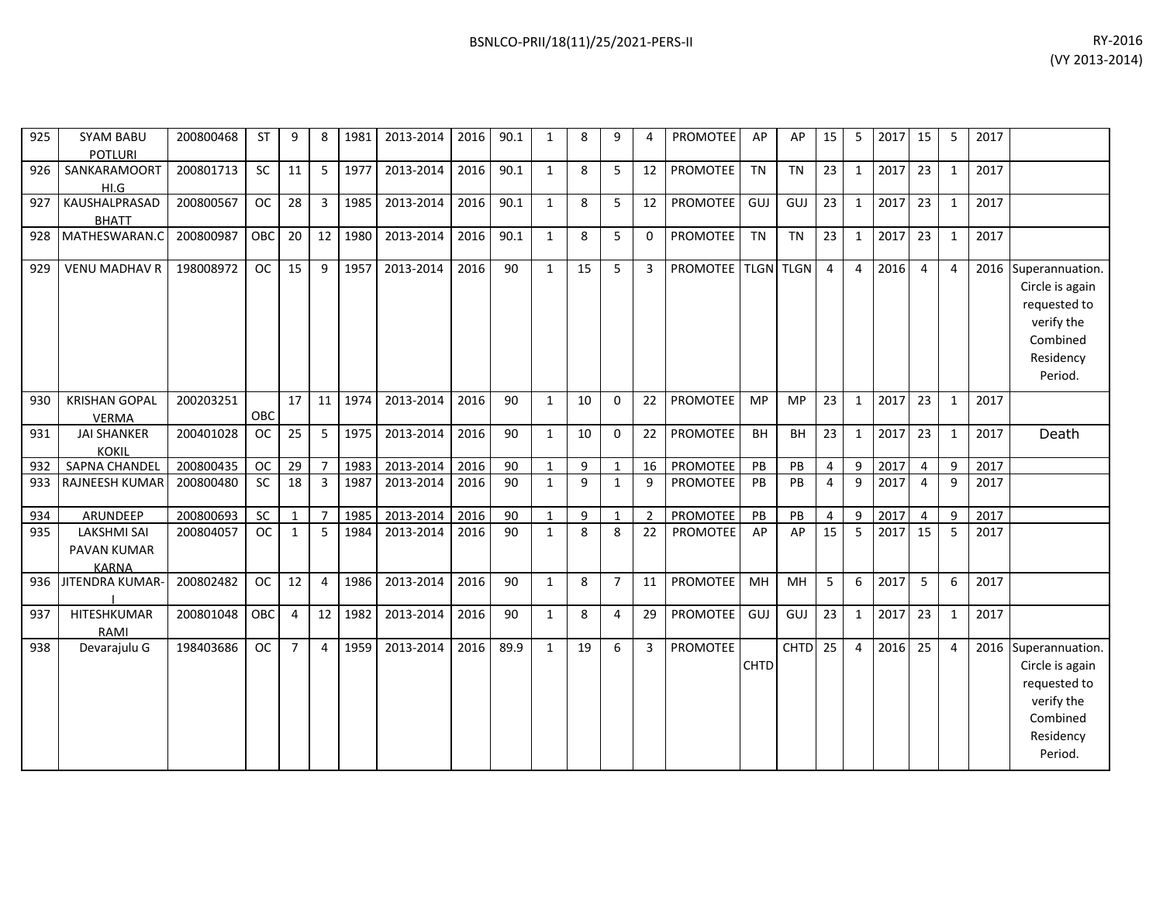| 925 | <b>SYAM BABU</b><br><b>POTLURI</b>                | 200800468 | <b>ST</b> | 9              | 8              | 1981 | 2013-2014 | 2016 | 90.1 | $\mathbf{1}$ | 8            | 9              | $\overline{4}$ | <b>PROMOTEE</b>    | AP          | AP                 | 15             | 5              | 2017 | 15             | 5              | 2017 |                                                                                                           |
|-----|---------------------------------------------------|-----------|-----------|----------------|----------------|------|-----------|------|------|--------------|--------------|----------------|----------------|--------------------|-------------|--------------------|----------------|----------------|------|----------------|----------------|------|-----------------------------------------------------------------------------------------------------------|
| 926 | SANKARAMOORT<br>HI.G                              | 200801713 | SC        | 11             | 5              | 1977 | 2013-2014 | 2016 | 90.1 | $\mathbf{1}$ | 8            | 5              | 12             | PROMOTEE           | <b>TN</b>   | <b>TN</b>          | 23             | $\mathbf{1}$   | 2017 | 23             | $\mathbf{1}$   | 2017 |                                                                                                           |
| 927 | KAUSHALPRASAD<br><b>BHATT</b>                     | 200800567 | <b>OC</b> | 28             | 3              | 1985 | 2013-2014 | 2016 | 90.1 | 1            | 8            | 5              | 12             | PROMOTEE           | GUJ         | GUJ                | 23             | $\mathbf{1}$   | 2017 | 23             | $\mathbf{1}$   | 2017 |                                                                                                           |
| 928 | MATHESWARAN.C                                     | 200800987 | OBC       | 20             | 12             | 1980 | 2013-2014 | 2016 | 90.1 | 1            | 8            | 5              | $\Omega$       | <b>PROMOTEE</b>    | <b>TN</b>   | <b>TN</b>          | 23             | $\mathbf{1}$   | 2017 | 23             | $\mathbf{1}$   | 2017 |                                                                                                           |
| 929 | <b>VENU MADHAV R</b>                              | 198008972 | <b>OC</b> | 15             | 9              | 1957 | 2013-2014 | 2016 | 90   | $\mathbf{1}$ | 15           | 5              | $\overline{3}$ | PROMOTEE TLGN TLGN |             |                    | $\overline{4}$ | $\overline{4}$ | 2016 | $\overline{4}$ | $\overline{4}$ |      | 2016 Superannuation.<br>Circle is again<br>requested to<br>verify the<br>Combined<br>Residency<br>Period. |
| 930 | <b>KRISHAN GOPAL</b><br><b>VERMA</b>              | 200203251 | OBC       | 17             | 11             | 1974 | 2013-2014 | 2016 | 90   | 1            | 10           | $\mathbf 0$    | 22             | PROMOTEE           | MP          | <b>MP</b>          | 23             | $\mathbf{1}$   | 2017 | 23             | $\mathbf{1}$   | 2017 |                                                                                                           |
| 931 | <b>JAI SHANKER</b><br><b>KOKIL</b>                | 200401028 | <b>OC</b> | 25             | 5              | 1975 | 2013-2014 | 2016 | 90   | 1            | 10           | $\Omega$       | 22             | PROMOTEE           | BH          | BH                 | 23             | $\mathbf{1}$   | 2017 | 23             | $\mathbf{1}$   | 2017 | Death                                                                                                     |
| 932 | <b>SAPNA CHANDEL</b>                              | 200800435 | <b>OC</b> | 29             | $\overline{7}$ | 1983 | 2013-2014 | 2016 | 90   | $\mathbf{1}$ | 9            | $\mathbf{1}$   | 16             | <b>PROMOTEE</b>    | PB          | PB                 | $\overline{4}$ | $\mathbf{q}$   | 2017 | $\overline{4}$ | 9              | 2017 |                                                                                                           |
| 933 | RAJNEESH KUMAR                                    | 200800480 | <b>SC</b> | 18             | $\overline{3}$ | 1987 | 2013-2014 | 2016 | 90   | $\mathbf{1}$ | $\mathbf{q}$ | $\mathbf{1}$   | 9              | <b>PROMOTEE</b>    | PB          | PB                 | $\overline{a}$ | $\mathbf{q}$   | 2017 | $\overline{4}$ | $\mathsf{q}$   | 2017 |                                                                                                           |
| 934 | ARUNDEEP                                          | 200800693 | <b>SC</b> | 1              | $\overline{7}$ | 1985 | 2013-2014 | 2016 | 90   | $\mathbf{1}$ | 9            | $\mathbf{1}$   | $\overline{2}$ | PROMOTEE           | PB          | PB                 | 4              | 9              | 2017 | $\overline{4}$ | 9              | 2017 |                                                                                                           |
| 935 | <b>LAKSHMI SAI</b><br>PAVAN KUMAR<br><b>KARNA</b> | 200804057 | <b>OC</b> | 1              | 5              | 1984 | 2013-2014 | 2016 | 90   | $\mathbf{1}$ | 8            | 8              | 22             | PROMOTEE           | AP          | AP                 | 15             | 5              | 2017 | 15             | 5              | 2017 |                                                                                                           |
| 936 | JITENDRA KUMAR-                                   | 200802482 | <b>OC</b> | 12             | $\overline{4}$ | 1986 | 2013-2014 | 2016 | 90   | 1            | 8            | $\overline{7}$ | 11             | PROMOTEE           | MH          | <b>MH</b>          | 5              | 6              | 2017 | 5              | 6              | 2017 |                                                                                                           |
| 937 | HITESHKUMAR<br>RAMI                               | 200801048 | OBC       | 4              | 12             | 1982 | 2013-2014 | 2016 | 90   | 1            | 8            | $\overline{a}$ | 29             | PROMOTEE           | GUJ         | GUJ                | 23             | $\mathbf{1}$   | 2017 | 23             | $\mathbf{1}$   | 2017 |                                                                                                           |
| 938 | Devarajulu G                                      | 198403686 | <b>OC</b> | $\overline{7}$ | 4              | 1959 | 2013-2014 | 2016 | 89.9 | $\mathbf{1}$ | 19           | 6              | $\overline{3}$ | PROMOTEE           | <b>CHTD</b> | CHTD <sub>25</sub> |                | $\overline{4}$ | 2016 | 25             | $\overline{4}$ |      | 2016 Superannuation.<br>Circle is again<br>requested to<br>verify the<br>Combined<br>Residency<br>Period. |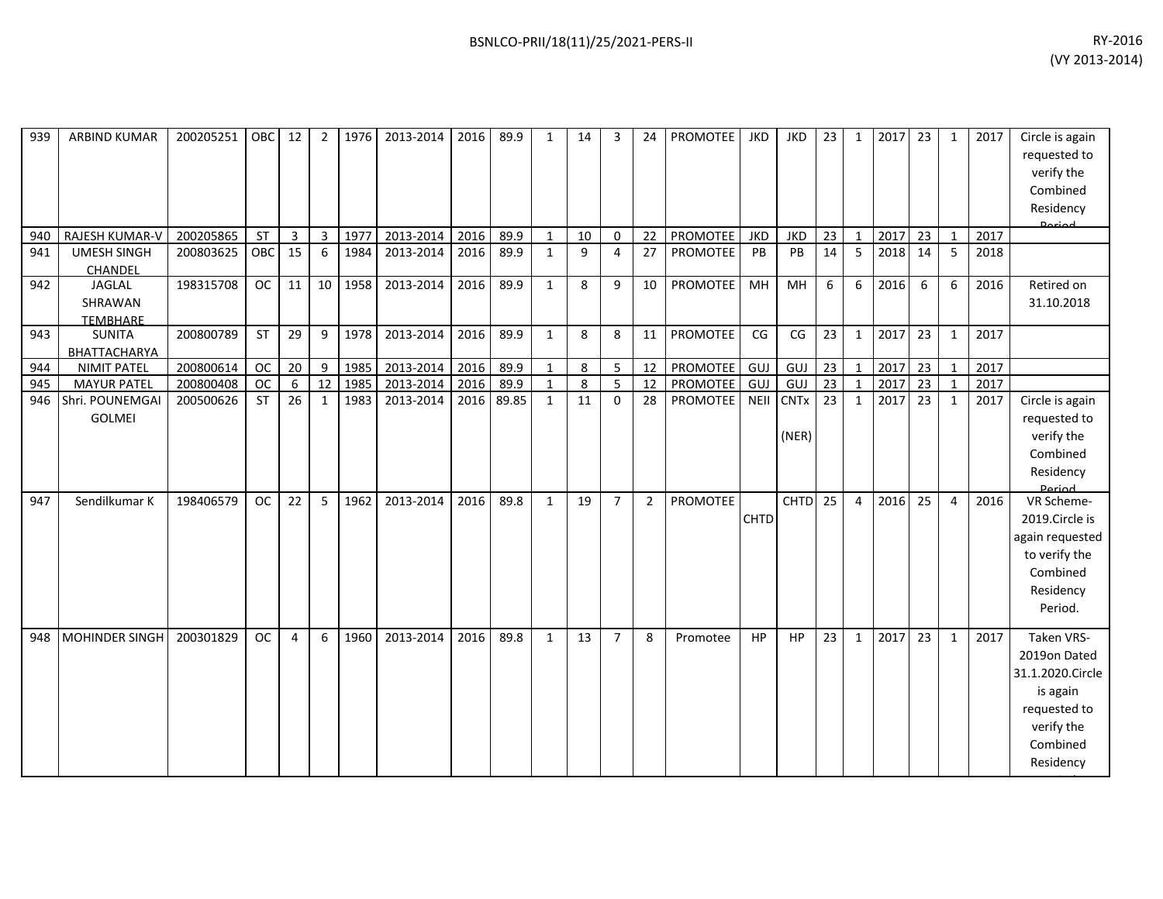| 939        | <b>ARBIND KUMAR</b>                               | 200205251              | OBC                    | 12             | $\overline{2}$  | 1976         | 2013-2014              | 2016         | 89.9          | $\mathbf{1}$      | 14       | 3                          | 24                   | PROMOTEE                    | <b>JKD</b>  | <b>JKD</b>                          | 23       | $\mathbf{1}$ | 2017         | 23       | 1                              | 2017         | Circle is again<br>requested to<br>verify the<br>Combined<br>Residency<br>اممنعمى                                 |
|------------|---------------------------------------------------|------------------------|------------------------|----------------|-----------------|--------------|------------------------|--------------|---------------|-------------------|----------|----------------------------|----------------------|-----------------------------|-------------|-------------------------------------|----------|--------------|--------------|----------|--------------------------------|--------------|-------------------------------------------------------------------------------------------------------------------|
| 940        | RAJESH KUMAR-V                                    | 200205865              | <b>ST</b>              | $\overline{3}$ | $\overline{3}$  | 1977         | 2013-2014              | 2016         | 89.9          | $\mathbf{1}$      | 10       | 0                          | 22                   | PROMOTEE                    | <b>JKD</b>  | <b>JKD</b>                          | 23       | $\mathbf{1}$ | 2017         | 23       | $\mathbf{1}$                   | 2017         |                                                                                                                   |
| 941        | <b>UMESH SINGH</b><br>CHANDEL                     | 200803625              | OBC                    | 15             | 6               | 1984         | 2013-2014              | 2016         | 89.9          | $\mathbf{1}$      | 9        | 4                          | 27                   | <b>PROMOTEE</b>             | PB          | PB                                  | 14       | 5            | 2018         | 14       | 5                              | 2018         |                                                                                                                   |
| 942        | <b>JAGLAL</b><br>SHRAWAN<br><b>TEMBHARE</b>       | 198315708              | OC                     | 11             | 10 <sup>1</sup> | 1958         | 2013-2014              | 2016         | 89.9          | $\mathbf{1}$      | 8        | 9                          | 10                   | PROMOTEE                    | MH          | MH                                  | 6        | 6            | 2016         | 6        | 6                              | 2016         | Retired on<br>31.10.2018                                                                                          |
| 943        | <b>SUNITA</b><br>BHATTACHARYA                     | 200800789              | <b>ST</b>              | 29             | 9               | 1978         | 2013-2014              | 2016         | 89.9          | $\mathbf{1}$      | 8        | 8                          | 11                   | <b>PROMOTEE</b>             | CG          | CG                                  | 23       | $\mathbf{1}$ | 2017         | 23       | $\mathbf{1}$                   | 2017         |                                                                                                                   |
| 944        | <b>NIMIT PATEL</b>                                | 200800614              | <b>OC</b>              | 20             | 9               | 1985         | 2013-2014              | 2016         | 89.9          | $\mathbf{1}$      | 8        | 5 <sub>1</sub>             | 12                   | PROMOTEE                    | GUJ         | GUJ                                 | 23       | $\mathbf{1}$ | 2017         | 23       | $\mathbf{1}$                   | 2017         |                                                                                                                   |
| 945        | <b>MAYUR PATEL</b>                                | 200800408              | <b>OC</b>              | 6              | 12              | 1985         | 2013-2014              | 2016         | 89.9          | $\mathbf{1}$      | 8        | 5 <sup>1</sup>             | 12                   | <b>PROMOTEE</b>             | GUJ         | GUJ                                 | 23       | $\mathbf{1}$ | 2017         | 23       |                                | 2017         |                                                                                                                   |
| 946<br>947 | Shri. POUNEMGAI<br><b>GOLMEI</b><br>Sendilkumar K | 200500626<br>198406579 | <b>ST</b><br><b>OC</b> | 26<br>22       | 1<br>5          | 1983<br>1962 | 2013-2014<br>2013-2014 | 2016<br>2016 | 89.85<br>89.8 | 1<br>$\mathbf{1}$ | 11<br>19 | $\Omega$<br>$\overline{7}$ | 28<br>$\overline{2}$ | PROMOTEE<br><b>PROMOTEE</b> | <b>NEII</b> | <b>CNTx</b><br>(NER)<br><b>CHTD</b> | 23<br>25 | 1<br>4       | 2017<br>2016 | 23<br>25 | $\mathbf{1}$<br>$\overline{4}$ | 2017<br>2016 | Circle is again<br>requested to<br>verify the<br>Combined<br>Residency<br><b>Period</b><br>VR Scheme-             |
|            |                                                   |                        |                        |                |                 |              |                        |              |               |                   |          |                            |                      |                             | <b>CHTD</b> |                                     |          |              |              |          |                                |              | 2019.Circle is<br>again requested<br>to verify the<br>Combined<br>Residency<br>Period.                            |
| 948        | MOHINDER SINGH                                    | 200301829              | <b>OC</b>              | 4              | 6               | 1960         | 2013-2014              | 2016         | 89.8          | $\mathbf{1}$      | 13       | $\overline{7}$             | 8                    | Promotee                    | <b>HP</b>   | <b>HP</b>                           | 23       | $\mathbf{1}$ | 2017         | 23       | $\mathbf{1}$                   | 2017         | Taken VRS-<br>2019on Dated<br>31.1.2020.Circle<br>is again<br>requested to<br>verify the<br>Combined<br>Residency |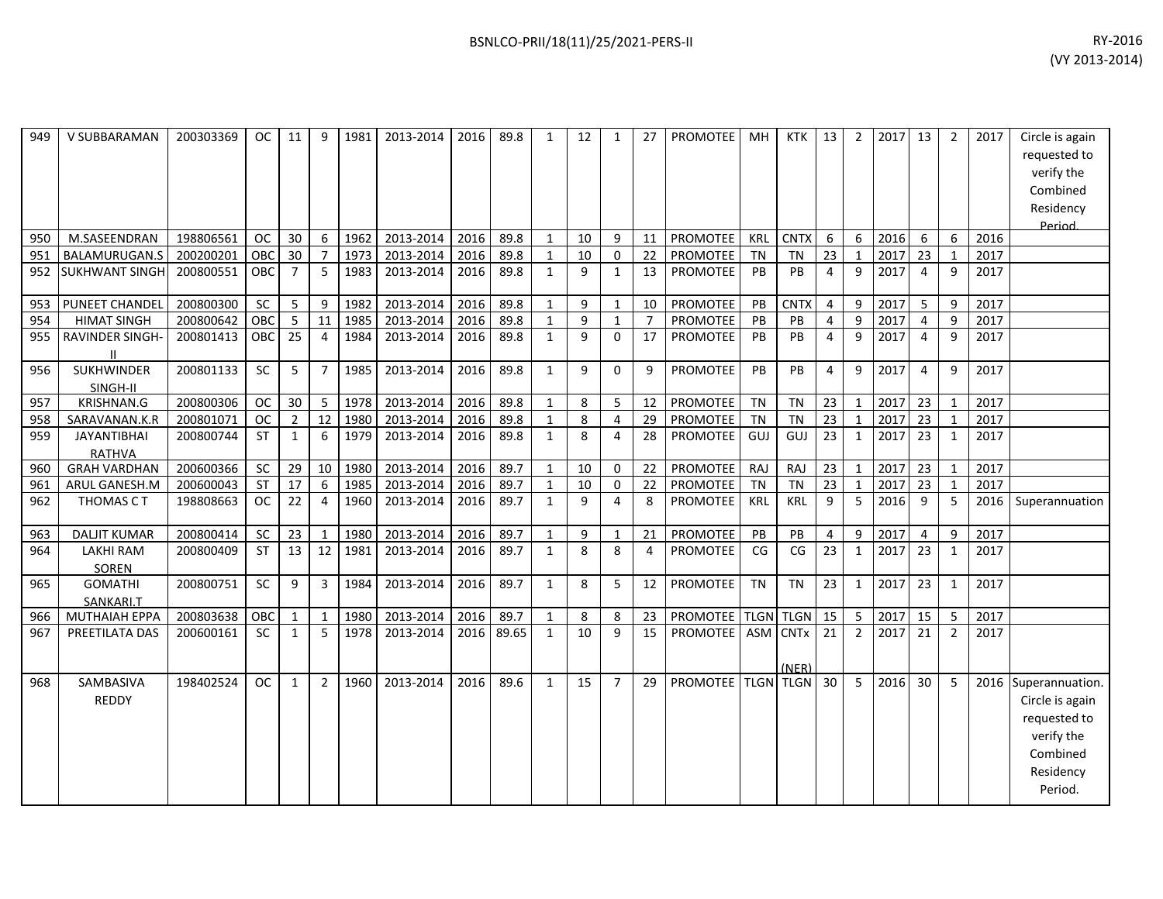| 949 | V SUBBARAMAN                     | 200303369 | <b>OC</b>  | 11             | 9              | 1981 | 2013-2014 | 2016 | 89.8  | $\mathbf{1}$ | 12 | $\mathbf{1}$   | 27             | PROMOTEE           | <b>MH</b>  | <b>KTK</b>        | 13             | $\overline{2}$   | 2017 | 13             | $\overline{2}$ | 2017 | Circle is again<br>requested to<br>verify the<br>Combined<br>Residency<br>Period                          |
|-----|----------------------------------|-----------|------------|----------------|----------------|------|-----------|------|-------|--------------|----|----------------|----------------|--------------------|------------|-------------------|----------------|------------------|------|----------------|----------------|------|-----------------------------------------------------------------------------------------------------------|
| 950 | M.SASEENDRAN                     | 198806561 | <b>OC</b>  | 30             | 6              | 1962 | 2013-2014 | 2016 | 89.8  | $\mathbf{1}$ | 10 | 9              | 11             | <b>PROMOTEE</b>    | KRL        | <b>CNTX</b>       | 6              | 6                | 2016 | 6              | 6              | 2016 |                                                                                                           |
| 951 | BALAMURUGAN.S                    | 200200201 | OBC        | 30             | $\overline{7}$ | 1973 | 2013-2014 | 2016 | 89.8  | 1            | 10 | $\Omega$       | 22             | PROMOTEE           | <b>TN</b>  | <b>TN</b>         | 23             | $\mathbf{1}$     | 2017 | 23             | $\mathbf{1}$   | 2017 |                                                                                                           |
| 952 | <b>SUKHWANT SINGH</b>            | 200800551 | OBC        | 7              | 5              | 1983 | 2013-2014 | 2016 | 89.8  | $\mathbf{1}$ | 9  | 1              | 13             | PROMOTEE           | PB         | PB                | 4              | 9                | 2017 | $\overline{4}$ | 9              | 2017 |                                                                                                           |
| 953 | PUNEET CHANDEL                   | 200800300 | SC         | 5              | 9              | 1982 | 2013-2014 | 2016 | 89.8  | $\mathbf{1}$ | 9  | 1              | $10\,$         | PROMOTEE           | PB         | <b>CNTX</b>       | $\overline{4}$ | $\boldsymbol{9}$ | 2017 | 5              | 9              | 2017 |                                                                                                           |
| 954 | <b>HIMAT SINGH</b>               | 200800642 | OBC        | 5              | 11             | 1985 | 2013-2014 | 2016 | 89.8  | $\mathbf{1}$ | 9  | $\mathbf{1}$   | $\overline{7}$ | <b>PROMOTEE</b>    | PB         | PB                | $\overline{4}$ | 9                | 2017 | $\overline{4}$ | 9              | 2017 |                                                                                                           |
| 955 | RAVINDER SINGH-                  | 200801413 | <b>OBC</b> | 25             | $\overline{4}$ | 1984 | 2013-2014 | 2016 | 89.8  | $\mathbf{1}$ | 9  | 0              | 17             | <b>PROMOTEE</b>    | PB         | PB                | 4              | 9                | 2017 | $\overline{4}$ | 9              | 2017 |                                                                                                           |
| 956 | <b>SUKHWINDER</b><br>SINGH-II    | 200801133 | SC         | 5              | $\overline{7}$ | 1985 | 2013-2014 | 2016 | 89.8  | $\mathbf{1}$ | 9  | $\Omega$       | 9              | <b>PROMOTEE</b>    | PB         | PB                | $\overline{4}$ | 9                | 2017 | $\overline{4}$ | 9              | 2017 |                                                                                                           |
| 957 | KRISHNAN.G                       | 200800306 | <b>OC</b>  | 30             | 5              | 1978 | 2013-2014 | 2016 | 89.8  | $\mathbf{1}$ | 8  | 5              | 12             | <b>PROMOTEE</b>    | <b>TN</b>  | <b>TN</b>         | 23             | $\mathbf{1}$     | 2017 | 23             | $\mathbf 1$    | 2017 |                                                                                                           |
| 958 | SARAVANAN.K.R                    | 200801071 | <b>OC</b>  | $\overline{2}$ | 12             | 1980 | 2013-2014 | 2016 | 89.8  | $\mathbf{1}$ | 8  | 4              | 29             | <b>PROMOTEE</b>    | <b>TN</b>  | <b>TN</b>         | 23             | $\mathbf{1}$     | 2017 | 23             | $\mathbf{1}$   | 2017 |                                                                                                           |
| 959 | <b>JAYANTIBHAI</b><br>RATHVA     | 200800744 | <b>ST</b>  | 1              | 6              | 1979 | 2013-2014 | 2016 | 89.8  | $\mathbf{1}$ | 8  | 4              | 28             | PROMOTEE           | GUJ        | GUJ               | 23             | $\mathbf{1}$     | 2017 | 23             | 1              | 2017 |                                                                                                           |
| 960 | <b>GRAH VARDHAN</b>              | 200600366 | SC         | 29             | 10             | 1980 | 2013-2014 | 2016 | 89.7  | $\mathbf{1}$ | 10 | $\Omega$       | 22             | PROMOTEE           | RAJ        | RAJ               | 23             | $\mathbf{1}$     | 2017 | 23             | $\mathbf{1}$   | 2017 |                                                                                                           |
| 961 | ARUL GANESH.M                    | 200600043 | <b>ST</b>  | 17             | 6              | 1985 | 2013-2014 | 2016 | 89.7  | $\mathbf{1}$ | 10 | 0              | 22             | PROMOTEE           | <b>TN</b>  | <b>TN</b>         | 23             | $\mathbf{1}$     | 2017 | 23             |                | 2017 |                                                                                                           |
| 962 | THOMAS CT                        | 198808663 | <b>OC</b>  | 22             | 4              | 1960 | 2013-2014 | 2016 | 89.7  | $\mathbf{1}$ | 9  | 4              | 8              | PROMOTEE           | <b>KRL</b> | <b>KRL</b>        | 9              | 5                | 2016 | 9              | 5              | 2016 | Superannuation                                                                                            |
| 963 | <b>DALJIT KUMAR</b>              | 200800414 | SC         | 23             | $\mathbf{1}$   | 1980 | 2013-2014 | 2016 | 89.7  | $\mathbf{1}$ | 9  | $\mathbf{1}$   | 21             | <b>PROMOTEE</b>    | PB         | PB                | 4              | 9                | 2017 | $\overline{4}$ | 9              | 2017 |                                                                                                           |
| 964 | <b>LAKHI RAM</b><br><b>SOREN</b> | 200800409 | <b>ST</b>  | 13             | 12             | 1981 | 2013-2014 | 2016 | 89.7  | $\mathbf{1}$ | 8  | 8              | 4              | PROMOTEE           | CG         | CG                | 23             | $\mathbf{1}$     | 2017 | 23             | 1              | 2017 |                                                                                                           |
| 965 | <b>GOMATHI</b><br>SANKARI.T      | 200800751 | SC         | 9              | 3              | 1984 | 2013-2014 | 2016 | 89.7  | $\mathbf{1}$ | 8  | 5              | 12             | <b>PROMOTEE</b>    | <b>TN</b>  | <b>TN</b>         | 23             | $\mathbf{1}$     | 2017 | 23             | 1              | 2017 |                                                                                                           |
| 966 | <b>MUTHAIAH EPPA</b>             | 200803638 | OBC        |                | $\mathbf{1}$   | 1980 | 2013-2014 | 2016 | 89.7  | $\mathbf{1}$ | 8  | 8              | 23             | PROMOTEE           |            | TLGN TLGN         | 15             | 5                | 2017 | 15             | 5              | 2017 |                                                                                                           |
| 967 | PREETILATA DAS                   | 200600161 | <b>SC</b>  | 1              | 5              | 1978 | 2013-2014 | 2016 | 89.65 | $\mathbf{1}$ | 10 | 9              | 15             | <b>PROMOTEE</b>    |            | ASM CNTx<br>(NER) | 21             | $\overline{2}$   | 2017 | 21             | $\overline{2}$ | 2017 |                                                                                                           |
| 968 | SAMBASIVA<br><b>REDDY</b>        | 198402524 | <b>OC</b>  | $\mathbf{1}$   | $\overline{2}$ | 1960 | 2013-2014 | 2016 | 89.6  | $\mathbf{1}$ | 15 | $\overline{7}$ | 29             | PROMOTEE TLGN TLGN |            |                   | 30             | 5                | 2016 | 30             | 5              |      | 2016 Superannuation.<br>Circle is again<br>requested to<br>verify the<br>Combined<br>Residency<br>Period. |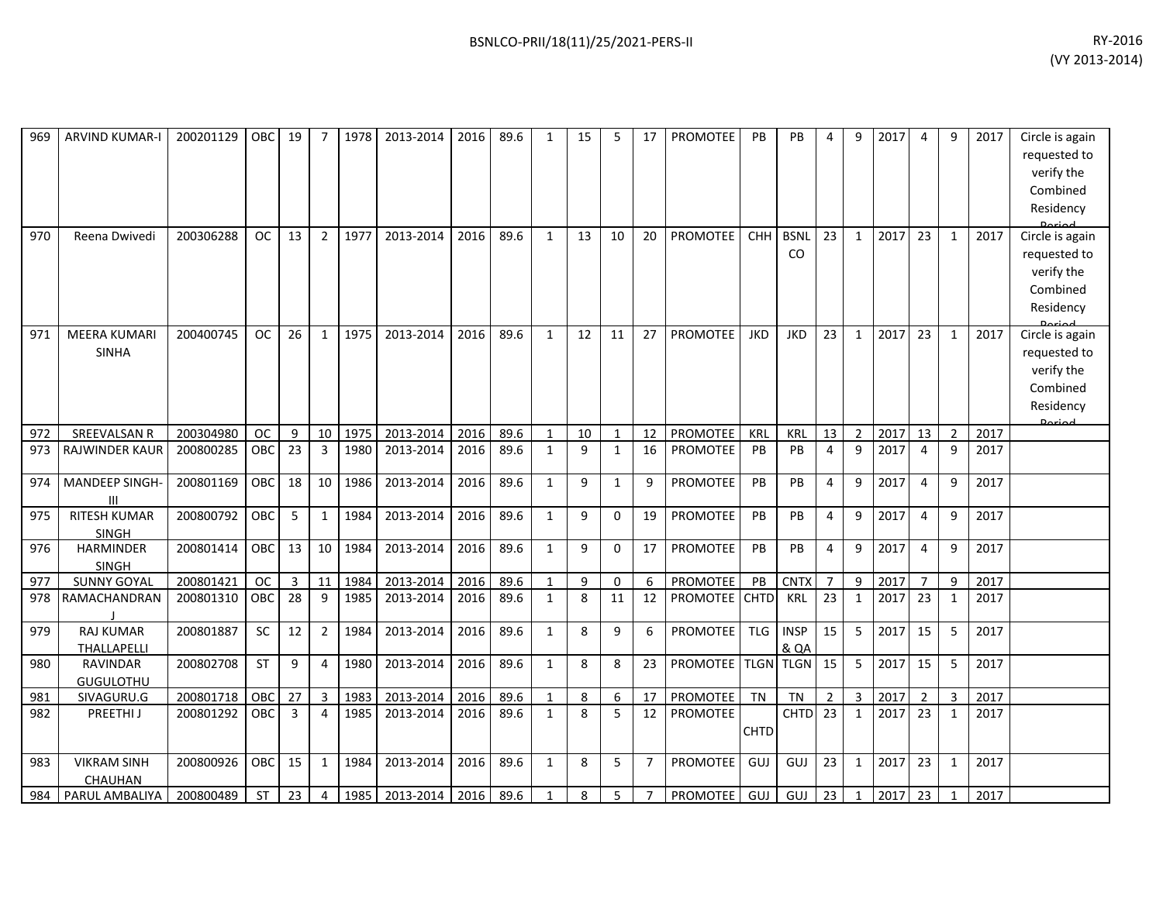| ARVIND KUMAR-I       | 200201129                                                                                                                                                                                                                   |                                                                                                                                |                                                                                |                                                             |                                                                                                       | 2013-2014                                                                                | 2016                                                                                                                           | 89.6                                                                         | 1                                                                            | 15                                                                                                               | 5                                           | 17                                                                                        | <b>PROMOTEE</b>                                   | PB                                                                                                                                                 | PB.                                                                               | 4                                                                                                                     | 9                                                                                                                                           | 2017                                                                                           | 4                                                                            | 9                                                                                                                    | 2017                                                                                                    | Circle is again                                                              |
|----------------------|-----------------------------------------------------------------------------------------------------------------------------------------------------------------------------------------------------------------------------|--------------------------------------------------------------------------------------------------------------------------------|--------------------------------------------------------------------------------|-------------------------------------------------------------|-------------------------------------------------------------------------------------------------------|------------------------------------------------------------------------------------------|--------------------------------------------------------------------------------------------------------------------------------|------------------------------------------------------------------------------|------------------------------------------------------------------------------|------------------------------------------------------------------------------------------------------------------|---------------------------------------------|-------------------------------------------------------------------------------------------|---------------------------------------------------|----------------------------------------------------------------------------------------------------------------------------------------------------|-----------------------------------------------------------------------------------|-----------------------------------------------------------------------------------------------------------------------|---------------------------------------------------------------------------------------------------------------------------------------------|------------------------------------------------------------------------------------------------|------------------------------------------------------------------------------|----------------------------------------------------------------------------------------------------------------------|---------------------------------------------------------------------------------------------------------|------------------------------------------------------------------------------|
|                      |                                                                                                                                                                                                                             |                                                                                                                                |                                                                                |                                                             |                                                                                                       |                                                                                          |                                                                                                                                |                                                                              |                                                                              |                                                                                                                  |                                             |                                                                                           |                                                   |                                                                                                                                                    |                                                                                   |                                                                                                                       |                                                                                                                                             |                                                                                                |                                                                              |                                                                                                                      |                                                                                                         | requested to                                                                 |
|                      |                                                                                                                                                                                                                             |                                                                                                                                |                                                                                |                                                             |                                                                                                       |                                                                                          |                                                                                                                                |                                                                              |                                                                              |                                                                                                                  |                                             |                                                                                           |                                                   |                                                                                                                                                    |                                                                                   |                                                                                                                       |                                                                                                                                             |                                                                                                |                                                                              |                                                                                                                      |                                                                                                         | verify the                                                                   |
|                      |                                                                                                                                                                                                                             |                                                                                                                                |                                                                                |                                                             |                                                                                                       |                                                                                          |                                                                                                                                |                                                                              |                                                                              |                                                                                                                  |                                             |                                                                                           |                                                   |                                                                                                                                                    |                                                                                   |                                                                                                                       |                                                                                                                                             |                                                                                                |                                                                              |                                                                                                                      |                                                                                                         | Combined                                                                     |
|                      |                                                                                                                                                                                                                             |                                                                                                                                |                                                                                |                                                             |                                                                                                       |                                                                                          |                                                                                                                                |                                                                              |                                                                              |                                                                                                                  |                                             |                                                                                           |                                                   |                                                                                                                                                    |                                                                                   |                                                                                                                       |                                                                                                                                             |                                                                                                |                                                                              |                                                                                                                      |                                                                                                         | Residency                                                                    |
|                      |                                                                                                                                                                                                                             |                                                                                                                                |                                                                                |                                                             |                                                                                                       |                                                                                          |                                                                                                                                |                                                                              |                                                                              |                                                                                                                  |                                             |                                                                                           |                                                   |                                                                                                                                                    |                                                                                   |                                                                                                                       |                                                                                                                                             |                                                                                                |                                                                              |                                                                                                                      |                                                                                                         | Circle is again                                                              |
|                      |                                                                                                                                                                                                                             |                                                                                                                                |                                                                                |                                                             |                                                                                                       |                                                                                          |                                                                                                                                |                                                                              |                                                                              |                                                                                                                  |                                             |                                                                                           |                                                   |                                                                                                                                                    |                                                                                   |                                                                                                                       |                                                                                                                                             |                                                                                                |                                                                              |                                                                                                                      |                                                                                                         |                                                                              |
|                      |                                                                                                                                                                                                                             |                                                                                                                                |                                                                                |                                                             |                                                                                                       |                                                                                          |                                                                                                                                |                                                                              |                                                                              |                                                                                                                  |                                             |                                                                                           |                                                   |                                                                                                                                                    |                                                                                   |                                                                                                                       |                                                                                                                                             |                                                                                                |                                                                              |                                                                                                                      |                                                                                                         | requested to<br>verify the                                                   |
|                      |                                                                                                                                                                                                                             |                                                                                                                                |                                                                                |                                                             |                                                                                                       |                                                                                          |                                                                                                                                |                                                                              |                                                                              |                                                                                                                  |                                             |                                                                                           |                                                   |                                                                                                                                                    |                                                                                   |                                                                                                                       |                                                                                                                                             |                                                                                                |                                                                              |                                                                                                                      |                                                                                                         |                                                                              |
|                      |                                                                                                                                                                                                                             |                                                                                                                                |                                                                                |                                                             |                                                                                                       |                                                                                          |                                                                                                                                |                                                                              |                                                                              |                                                                                                                  |                                             |                                                                                           |                                                   |                                                                                                                                                    |                                                                                   |                                                                                                                       |                                                                                                                                             |                                                                                                |                                                                              |                                                                                                                      |                                                                                                         | Combined                                                                     |
|                      |                                                                                                                                                                                                                             |                                                                                                                                |                                                                                |                                                             |                                                                                                       |                                                                                          |                                                                                                                                |                                                                              |                                                                              |                                                                                                                  |                                             |                                                                                           |                                                   |                                                                                                                                                    |                                                                                   |                                                                                                                       |                                                                                                                                             |                                                                                                |                                                                              |                                                                                                                      |                                                                                                         | Residency                                                                    |
| <b>MEERA KUMARI</b>  | 200400745                                                                                                                                                                                                                   | OC.                                                                                                                            | 26                                                                             | $\mathbf{1}$                                                | 1975                                                                                                  | 2013-2014                                                                                | 2016                                                                                                                           | 89.6                                                                         | 1                                                                            | 12                                                                                                               | 11                                          | 27                                                                                        | <b>PROMOTEE</b>                                   | <b>JKD</b>                                                                                                                                         | <b>JKD</b>                                                                        | 23                                                                                                                    | $\mathbf{1}$                                                                                                                                | 2017                                                                                           | 23                                                                           | $\mathbf{1}$                                                                                                         | 2017                                                                                                    | Circle is again                                                              |
| <b>SINHA</b>         |                                                                                                                                                                                                                             |                                                                                                                                |                                                                                |                                                             |                                                                                                       |                                                                                          |                                                                                                                                |                                                                              |                                                                              |                                                                                                                  |                                             |                                                                                           |                                                   |                                                                                                                                                    |                                                                                   |                                                                                                                       |                                                                                                                                             |                                                                                                |                                                                              |                                                                                                                      |                                                                                                         | requested to                                                                 |
|                      |                                                                                                                                                                                                                             |                                                                                                                                |                                                                                |                                                             |                                                                                                       |                                                                                          |                                                                                                                                |                                                                              |                                                                              |                                                                                                                  |                                             |                                                                                           |                                                   |                                                                                                                                                    |                                                                                   |                                                                                                                       |                                                                                                                                             |                                                                                                |                                                                              |                                                                                                                      |                                                                                                         | verify the                                                                   |
|                      |                                                                                                                                                                                                                             |                                                                                                                                |                                                                                |                                                             |                                                                                                       |                                                                                          |                                                                                                                                |                                                                              |                                                                              |                                                                                                                  |                                             |                                                                                           |                                                   |                                                                                                                                                    |                                                                                   |                                                                                                                       |                                                                                                                                             |                                                                                                |                                                                              |                                                                                                                      |                                                                                                         | Combined                                                                     |
|                      |                                                                                                                                                                                                                             |                                                                                                                                |                                                                                |                                                             |                                                                                                       |                                                                                          |                                                                                                                                |                                                                              |                                                                              |                                                                                                                  |                                             |                                                                                           |                                                   |                                                                                                                                                    |                                                                                   |                                                                                                                       |                                                                                                                                             |                                                                                                |                                                                              |                                                                                                                      |                                                                                                         | Residency                                                                    |
|                      |                                                                                                                                                                                                                             |                                                                                                                                |                                                                                |                                                             |                                                                                                       |                                                                                          |                                                                                                                                |                                                                              |                                                                              |                                                                                                                  |                                             |                                                                                           |                                                   |                                                                                                                                                    |                                                                                   |                                                                                                                       |                                                                                                                                             |                                                                                                |                                                                              |                                                                                                                      |                                                                                                         | Doriod                                                                       |
|                      |                                                                                                                                                                                                                             |                                                                                                                                |                                                                                |                                                             |                                                                                                       |                                                                                          |                                                                                                                                |                                                                              |                                                                              |                                                                                                                  |                                             |                                                                                           |                                                   |                                                                                                                                                    |                                                                                   |                                                                                                                       |                                                                                                                                             |                                                                                                |                                                                              |                                                                                                                      |                                                                                                         |                                                                              |
|                      |                                                                                                                                                                                                                             |                                                                                                                                |                                                                                |                                                             |                                                                                                       |                                                                                          |                                                                                                                                |                                                                              |                                                                              |                                                                                                                  |                                             |                                                                                           |                                                   |                                                                                                                                                    |                                                                                   |                                                                                                                       |                                                                                                                                             |                                                                                                |                                                                              |                                                                                                                      |                                                                                                         |                                                                              |
| MANDEEP SINGH-       | 200801169                                                                                                                                                                                                                   | OBC                                                                                                                            | 18                                                                             | 10                                                          | 1986                                                                                                  | 2013-2014                                                                                | 2016                                                                                                                           | 89.6                                                                         | $\mathbf{1}$                                                                 | 9                                                                                                                | $\mathbf{1}$                                | 9                                                                                         | <b>PROMOTEE</b>                                   | PB                                                                                                                                                 | PB                                                                                | $\overline{4}$                                                                                                        | 9                                                                                                                                           | 2017                                                                                           | $\overline{4}$                                                               | 9                                                                                                                    | 2017                                                                                                    |                                                                              |
| Ш                    |                                                                                                                                                                                                                             |                                                                                                                                |                                                                                |                                                             |                                                                                                       |                                                                                          |                                                                                                                                |                                                                              |                                                                              |                                                                                                                  |                                             |                                                                                           |                                                   |                                                                                                                                                    |                                                                                   |                                                                                                                       |                                                                                                                                             |                                                                                                |                                                                              |                                                                                                                      |                                                                                                         |                                                                              |
|                      |                                                                                                                                                                                                                             |                                                                                                                                |                                                                                | 1                                                           |                                                                                                       |                                                                                          |                                                                                                                                |                                                                              |                                                                              |                                                                                                                  |                                             |                                                                                           |                                                   |                                                                                                                                                    |                                                                                   | 4                                                                                                                     |                                                                                                                                             |                                                                                                |                                                                              |                                                                                                                      |                                                                                                         |                                                                              |
|                      |                                                                                                                                                                                                                             |                                                                                                                                |                                                                                |                                                             |                                                                                                       |                                                                                          |                                                                                                                                |                                                                              |                                                                              |                                                                                                                  |                                             |                                                                                           |                                                   |                                                                                                                                                    |                                                                                   |                                                                                                                       |                                                                                                                                             |                                                                                                |                                                                              |                                                                                                                      |                                                                                                         |                                                                              |
|                      |                                                                                                                                                                                                                             |                                                                                                                                |                                                                                |                                                             |                                                                                                       |                                                                                          |                                                                                                                                |                                                                              |                                                                              |                                                                                                                  |                                             |                                                                                           |                                                   |                                                                                                                                                    |                                                                                   |                                                                                                                       |                                                                                                                                             |                                                                                                |                                                                              |                                                                                                                      |                                                                                                         |                                                                              |
|                      |                                                                                                                                                                                                                             |                                                                                                                                |                                                                                |                                                             |                                                                                                       |                                                                                          |                                                                                                                                |                                                                              |                                                                              |                                                                                                                  |                                             |                                                                                           |                                                   |                                                                                                                                                    |                                                                                   |                                                                                                                       |                                                                                                                                             |                                                                                                |                                                                              |                                                                                                                      |                                                                                                         |                                                                              |
|                      |                                                                                                                                                                                                                             |                                                                                                                                |                                                                                |                                                             |                                                                                                       |                                                                                          |                                                                                                                                |                                                                              |                                                                              |                                                                                                                  |                                             |                                                                                           |                                                   |                                                                                                                                                    |                                                                                   |                                                                                                                       |                                                                                                                                             |                                                                                                |                                                                              |                                                                                                                      |                                                                                                         |                                                                              |
|                      |                                                                                                                                                                                                                             |                                                                                                                                |                                                                                |                                                             |                                                                                                       |                                                                                          |                                                                                                                                |                                                                              |                                                                              |                                                                                                                  |                                             |                                                                                           |                                                   |                                                                                                                                                    |                                                                                   |                                                                                                                       |                                                                                                                                             |                                                                                                |                                                                              |                                                                                                                      |                                                                                                         |                                                                              |
| <b>RAJ KUMAR</b>     | 200801887                                                                                                                                                                                                                   | <b>SC</b>                                                                                                                      | 12                                                                             | $\overline{2}$                                              | 1984                                                                                                  | 2013-2014                                                                                | 2016                                                                                                                           | 89.6                                                                         | $\mathbf{1}$                                                                 | 8                                                                                                                | 9                                           | 6                                                                                         | PROMOTEE                                          | <b>TLG</b>                                                                                                                                         | <b>INSP</b>                                                                       | 15                                                                                                                    | 5                                                                                                                                           | 2017                                                                                           | 15                                                                           | 5                                                                                                                    | 2017                                                                                                    |                                                                              |
| <b>THALLAPELLI</b>   |                                                                                                                                                                                                                             |                                                                                                                                |                                                                                |                                                             |                                                                                                       |                                                                                          |                                                                                                                                |                                                                              |                                                                              |                                                                                                                  |                                             |                                                                                           |                                                   |                                                                                                                                                    | <b>&amp; QA</b>                                                                   |                                                                                                                       |                                                                                                                                             |                                                                                                |                                                                              |                                                                                                                      |                                                                                                         |                                                                              |
| <b>RAVINDAR</b>      | 200802708                                                                                                                                                                                                                   | <b>ST</b>                                                                                                                      | 9                                                                              | 4                                                           | 1980                                                                                                  | 2013-2014                                                                                | 2016                                                                                                                           | 89.6                                                                         | $\mathbf{1}$                                                                 | 8                                                                                                                | 8                                           | 23                                                                                        |                                                   |                                                                                                                                                    |                                                                                   |                                                                                                                       | 5                                                                                                                                           | 2017                                                                                           | 15                                                                           | 5                                                                                                                    | 2017                                                                                                    |                                                                              |
| <b>GUGULOTHU</b>     |                                                                                                                                                                                                                             |                                                                                                                                |                                                                                |                                                             |                                                                                                       |                                                                                          |                                                                                                                                |                                                                              |                                                                              |                                                                                                                  |                                             |                                                                                           |                                                   |                                                                                                                                                    |                                                                                   |                                                                                                                       |                                                                                                                                             |                                                                                                |                                                                              |                                                                                                                      |                                                                                                         |                                                                              |
|                      |                                                                                                                                                                                                                             |                                                                                                                                |                                                                                |                                                             |                                                                                                       |                                                                                          |                                                                                                                                |                                                                              |                                                                              |                                                                                                                  |                                             |                                                                                           |                                                   |                                                                                                                                                    |                                                                                   |                                                                                                                       |                                                                                                                                             |                                                                                                |                                                                              |                                                                                                                      |                                                                                                         |                                                                              |
|                      |                                                                                                                                                                                                                             |                                                                                                                                |                                                                                |                                                             |                                                                                                       |                                                                                          |                                                                                                                                |                                                                              |                                                                              |                                                                                                                  |                                             |                                                                                           |                                                   |                                                                                                                                                    |                                                                                   |                                                                                                                       |                                                                                                                                             |                                                                                                |                                                                              |                                                                                                                      |                                                                                                         |                                                                              |
|                      |                                                                                                                                                                                                                             |                                                                                                                                |                                                                                |                                                             |                                                                                                       |                                                                                          |                                                                                                                                |                                                                              |                                                                              |                                                                                                                  |                                             |                                                                                           |                                                   |                                                                                                                                                    |                                                                                   |                                                                                                                       |                                                                                                                                             |                                                                                                |                                                                              |                                                                                                                      |                                                                                                         |                                                                              |
|                      |                                                                                                                                                                                                                             |                                                                                                                                |                                                                                | 1                                                           |                                                                                                       |                                                                                          |                                                                                                                                |                                                                              |                                                                              | 8                                                                                                                | 5                                           | $\overline{7}$                                                                            |                                                   |                                                                                                                                                    |                                                                                   |                                                                                                                       |                                                                                                                                             |                                                                                                |                                                                              |                                                                                                                      |                                                                                                         |                                                                              |
|                      |                                                                                                                                                                                                                             |                                                                                                                                |                                                                                |                                                             |                                                                                                       |                                                                                          |                                                                                                                                |                                                                              |                                                                              |                                                                                                                  |                                             |                                                                                           |                                                   |                                                                                                                                                    |                                                                                   |                                                                                                                       |                                                                                                                                             |                                                                                                |                                                                              |                                                                                                                      |                                                                                                         |                                                                              |
| 984   PARUL AMBALIYA | 200800489                                                                                                                                                                                                                   | <b>ST</b>                                                                                                                      | 23                                                                             | $\overline{4}$                                              | 1985                                                                                                  | 2013-2014                                                                                | 2016                                                                                                                           | 89.6                                                                         | $\mathbf{1}$                                                                 | 8                                                                                                                | 5                                           | $\overline{7}$                                                                            |                                                   | GUJ                                                                                                                                                | GUJ                                                                               | 23                                                                                                                    | $\mathbf{1}$                                                                                                                                | 2017                                                                                           | 23                                                                           |                                                                                                                      | 2017                                                                                                    |                                                                              |
|                      | Reena Dwivedi<br>SREEVALSAN R<br>RAJWINDER KAUR<br><b>RITESH KUMAR</b><br><b>SINGH</b><br><b>HARMINDER</b><br><b>SINGH</b><br><b>SUNNY GOYAL</b><br>RAMACHANDRAN<br>SIVAGURU.G<br>PREETHIJ<br><b>VIKRAM SINH</b><br>CHAUHAN | 200306288<br>200304980<br>200800285<br>200800792<br>200801414<br>200801421<br>200801310<br>200801718<br>200801292<br>200800926 | OC.<br><b>OC</b><br>OBC<br>OBC<br>OBC<br>OC<br><b>OBC</b><br>OBC<br><b>OBC</b> | 13<br>9<br>23<br>5<br>13<br>3<br>28<br>27<br>3<br>OBC<br>15 | OBC 19<br>$\overline{2}$<br>10<br>$\overline{3}$<br>10<br>11<br>9<br>$\overline{3}$<br>$\overline{4}$ | 7   1978<br>1977<br>1975<br>1980<br>1984<br>1984<br>1984<br>1985<br>1983<br>1985<br>1984 | 2013-2014<br>2013-2014<br>2013-2014<br>2013-2014<br>2013-2014<br>2013-2014<br>2013-2014<br>2013-2014<br>2013-2014<br>2013-2014 | 2016<br>2016<br>2016<br>2016<br>2016<br>2016<br>2016<br>2016<br>2016<br>2016 | 89.6<br>89.6<br>89.6<br>89.6<br>89.6<br>89.6<br>89.6<br>89.6<br>89.6<br>89.6 | 1<br>1<br>$\mathbf{1}$<br>$\mathbf{1}$<br>$\mathbf{1}$<br>1<br>$\mathbf{1}$<br>$\mathbf{1}$<br>1<br>$\mathbf{1}$ | 13<br>10<br>9<br>9<br>9<br>9<br>8<br>8<br>8 | 10<br>$\mathbf{1}$<br>$\mathbf{1}$<br>$\Omega$<br>$\Omega$<br>$\mathbf 0$<br>11<br>6<br>5 | 20<br>12<br>16<br>19<br>17<br>6<br>12<br>17<br>12 | <b>PROMOTEE</b><br>PROMOTEE<br><b>PROMOTEE</b><br><b>PROMOTEE</b><br><b>PROMOTEE</b><br>PROMOTEE<br><b>PROMOTEE</b><br>PROMOTEE<br><b>PROMOTEE</b> | KRL<br>PB<br>PB<br>PB<br>PB<br><b>TN</b><br><b>CHTD</b><br>GUJ<br><b>PROMOTEE</b> | <b>BSNL</b><br>CHH I<br>CO<br><b>KRL</b><br>PB<br>PB<br>PB<br><b>CNTX</b><br>PROMOTEE CHTD<br>KRL<br><b>TN</b><br>GUJ | 23<br>13<br>$\overline{4}$<br>$\overline{4}$<br>$\overline{7}$<br>23<br>PROMOTEE TLGN TLGN 15<br>$\overline{2}$<br>CHTD <sub>23</sub><br>23 | $\mathbf{1}$<br>$\overline{2}$<br>9<br>9<br>9<br>9<br>$\mathbf{1}$<br>$\overline{3}$<br>1<br>1 | 2017<br>2017<br>2017<br>2017<br>2017<br>2017<br>2017<br>2017<br>2017<br>2017 | 23<br>13<br>$\overline{4}$<br>$\overline{4}$<br>$\overline{4}$<br>$\overline{7}$<br>23<br>$\overline{2}$<br>23<br>23 | $\mathbf{1}$<br>$\overline{2}$<br>9<br>9<br>9<br>9<br>$\mathbf{1}$<br>$\mathbf{3}$<br>1<br>$\mathbf{1}$ | 2017<br>2017<br>2017<br>2017<br>2017<br>2017<br>2017<br>2017<br>2017<br>2017 |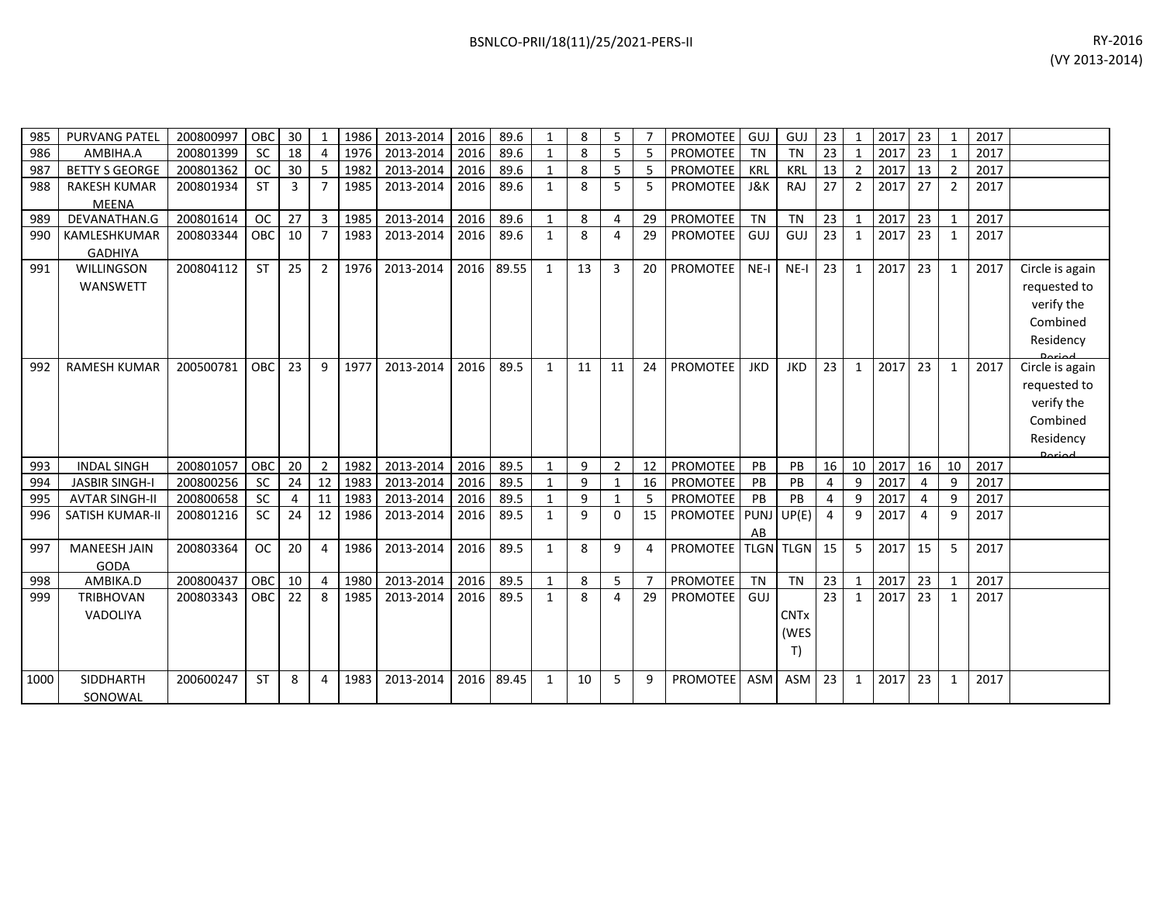| 985  | <b>PURVANG PATEL</b>   | 200800997 | OBC        | 30             |                | 1986 | 2013-2014 | 2016 | 89.6  | 1            | 8  | 5              |                | PROMOTEE        | GUJ         | GUJ         | 23             | -1             | 2017 | 23 |                | 2017 |                 |
|------|------------------------|-----------|------------|----------------|----------------|------|-----------|------|-------|--------------|----|----------------|----------------|-----------------|-------------|-------------|----------------|----------------|------|----|----------------|------|-----------------|
| 986  | AMBIHA.A               | 200801399 | <b>SC</b>  | 18             | $\Delta$       | 1976 | 2013-2014 | 2016 | 89.6  | $\mathbf{1}$ | 8  | 5              | 5              | <b>PROMOTEE</b> | <b>TN</b>   | <b>TN</b>   | 23             |                | 2017 | 23 |                | 2017 |                 |
| 987  | <b>BETTY S GEORGE</b>  | 200801362 | <b>OC</b>  | 30             | 5              | 1982 | 2013-2014 | 2016 | 89.6  | $\mathbf{1}$ | 8  | 5              | 5              | PROMOTEE        | KRL         | KRL         | 13             | $\overline{2}$ | 2017 | 13 | $\overline{2}$ | 2017 |                 |
| 988  | <b>RAKESH KUMAR</b>    | 200801934 | <b>ST</b>  | $\overline{3}$ | $\overline{7}$ | 1985 | 2013-2014 | 2016 | 89.6  | $\mathbf{1}$ | 8  | 5              | 5              | PROMOTEE        | J&K         | <b>RAJ</b>  | 27             | $\overline{2}$ | 2017 | 27 | 2              | 2017 |                 |
|      | <b>MEENA</b>           |           |            |                |                |      |           |      |       |              |    |                |                |                 |             |             |                |                |      |    |                |      |                 |
| 989  | DEVANATHAN.G           | 200801614 | <b>OC</b>  | 27             | 3              | 1985 | 2013-2014 | 2016 | 89.6  | $\mathbf{1}$ | 8  | 4              | 29             | PROMOTEE        | <b>TN</b>   | TN          | 23             | $\mathbf{1}$   | 2017 | 23 | $\mathbf{1}$   | 2017 |                 |
| 990  | KAMLESHKUMAR           | 200803344 | OBC        | 10             |                | 1983 | 2013-2014 | 2016 | 89.6  | $\mathbf{1}$ | 8  | 4              | 29             | PROMOTEE        | GUJ         | GUJ         | 23             | 1              | 2017 | 23 | 1              | 2017 |                 |
|      | <b>GADHIYA</b>         |           |            |                |                |      |           |      |       |              |    |                |                |                 |             |             |                |                |      |    |                |      |                 |
| 991  | <b>WILLINGSON</b>      | 200804112 | <b>ST</b>  | 25             | $\overline{2}$ | 1976 | 2013-2014 | 2016 | 89.55 | $\mathbf{1}$ | 13 | $\overline{3}$ | 20             | <b>PROMOTEE</b> | $NE-I$      | $NE-I$      | 23             | 1              | 2017 | 23 | 1              | 2017 | Circle is again |
|      | WANSWETT               |           |            |                |                |      |           |      |       |              |    |                |                |                 |             |             |                |                |      |    |                |      | requested to    |
|      |                        |           |            |                |                |      |           |      |       |              |    |                |                |                 |             |             |                |                |      |    |                |      | verify the      |
|      |                        |           |            |                |                |      |           |      |       |              |    |                |                |                 |             |             |                |                |      |    |                |      | Combined        |
|      |                        |           |            |                |                |      |           |      |       |              |    |                |                |                 |             |             |                |                |      |    |                |      | Residency       |
|      |                        |           |            |                |                |      |           |      |       |              |    |                |                |                 |             |             |                |                |      |    |                |      |                 |
| 992  | <b>RAMESH KUMAR</b>    | 200500781 | OBC        | 23             | 9              | 1977 | 2013-2014 | 2016 | 89.5  | $\mathbf{1}$ | 11 | 11             | 24             | <b>PROMOTEE</b> | <b>JKD</b>  | <b>JKD</b>  | 23             | 1              | 2017 | 23 | 1              | 2017 | Circle is again |
|      |                        |           |            |                |                |      |           |      |       |              |    |                |                |                 |             |             |                |                |      |    |                |      | requested to    |
|      |                        |           |            |                |                |      |           |      |       |              |    |                |                |                 |             |             |                |                |      |    |                |      | verify the      |
|      |                        |           |            |                |                |      |           |      |       |              |    |                |                |                 |             |             |                |                |      |    |                |      | Combined        |
|      |                        |           |            |                |                |      |           |      |       |              |    |                |                |                 |             |             |                |                |      |    |                |      | Residency       |
| 993  | <b>INDAL SINGH</b>     | 200801057 | OBC        | 20             | $\overline{2}$ | 1982 | 2013-2014 | 2016 | 89.5  | $\mathbf{1}$ | 9  | $\overline{2}$ | 12             | PROMOTEE        | PB          | PB          | 16             | 10             | 2017 | 16 | 10             | 2017 | Doriad          |
| 994  | <b>JASBIR SINGH-I</b>  | 200800256 | <b>SC</b>  | 24             | 12             | 1983 | 2013-2014 | 2016 | 89.5  | $\mathbf{1}$ | 9  | $\mathbf{1}$   | 16             | PROMOTEE        | PB          | PB          | 4              | 9              | 2017 | 4  | 9              | 2017 |                 |
| 995  | <b>AVTAR SINGH-II</b>  | 200800658 | <b>SC</b>  | 4              | 11             | 1983 | 2013-2014 | 2016 | 89.5  | 1            | 9  | 1              | 5              | <b>PROMOTEE</b> | PB          | PB          | 4              | 9              | 2017 | 4  | 9              | 2017 |                 |
| 996  | <b>SATISH KUMAR-II</b> | 200801216 | <b>SC</b>  | 24             | 12             | 1986 | 2013-2014 | 2016 | 89.5  | $\mathbf{1}$ | 9  | 0              | 15             | <b>PROMOTEE</b> | <b>PUNJ</b> | UP(E)       | $\overline{4}$ | 9              | 2017 | 4  | 9              | 2017 |                 |
|      |                        |           |            |                |                |      |           |      |       |              |    |                |                |                 | AB          |             |                |                |      |    |                |      |                 |
| 997  | <b>MANEESH JAIN</b>    | 200803364 | <b>OC</b>  | 20             | 4              | 1986 | 2013-2014 | 2016 | 89.5  | $\mathbf{1}$ | 8  | 9              | 4              | PROMOTEE        | <b>TLGN</b> | <b>TLGN</b> | 15             | 5              | 2017 | 15 | 5              | 2017 |                 |
|      | <b>GODA</b>            |           |            |                |                |      |           |      |       |              |    |                |                |                 |             |             |                |                |      |    |                |      |                 |
| 998  | AMBIKA.D               | 200800437 | <b>OBC</b> | 10             | 4              | 1980 | 2013-2014 | 2016 | 89.5  | $\mathbf{1}$ | 8  | 5              | $\overline{7}$ | PROMOTEE        | <b>TN</b>   | TN          | 23             | $\mathbf{1}$   | 2017 | 23 | 1              | 2017 |                 |
| 999  | <b>TRIBHOVAN</b>       | 200803343 | OBC I      | 22             | 8              | 1985 | 2013-2014 | 2016 | 89.5  | $\mathbf{1}$ | 8  | 4              | 29             | <b>PROMOTEE</b> | GUJ         |             | 23             | 1              | 2017 | 23 | 1              | 2017 |                 |
|      | VADOLIYA               |           |            |                |                |      |           |      |       |              |    |                |                |                 |             | <b>CNTx</b> |                |                |      |    |                |      |                 |
|      |                        |           |            |                |                |      |           |      |       |              |    |                |                |                 |             | (WES        |                |                |      |    |                |      |                 |
|      |                        |           |            |                |                |      |           |      |       |              |    |                |                |                 |             | T)          |                |                |      |    |                |      |                 |
|      |                        |           |            |                |                |      |           |      |       |              |    |                |                |                 |             |             |                |                |      |    |                |      |                 |
| 1000 | SIDDHARTH              | 200600247 | <b>ST</b>  | 8              | 4              | 1983 | 2013-2014 | 2016 | 89.45 | 1            | 10 | 5              | 9              | <b>PROMOTEE</b> | ASM         | ASM         | 23             | 1              | 2017 | 23 | 1              | 2017 |                 |
|      | SONOWAL                |           |            |                |                |      |           |      |       |              |    |                |                |                 |             |             |                |                |      |    |                |      |                 |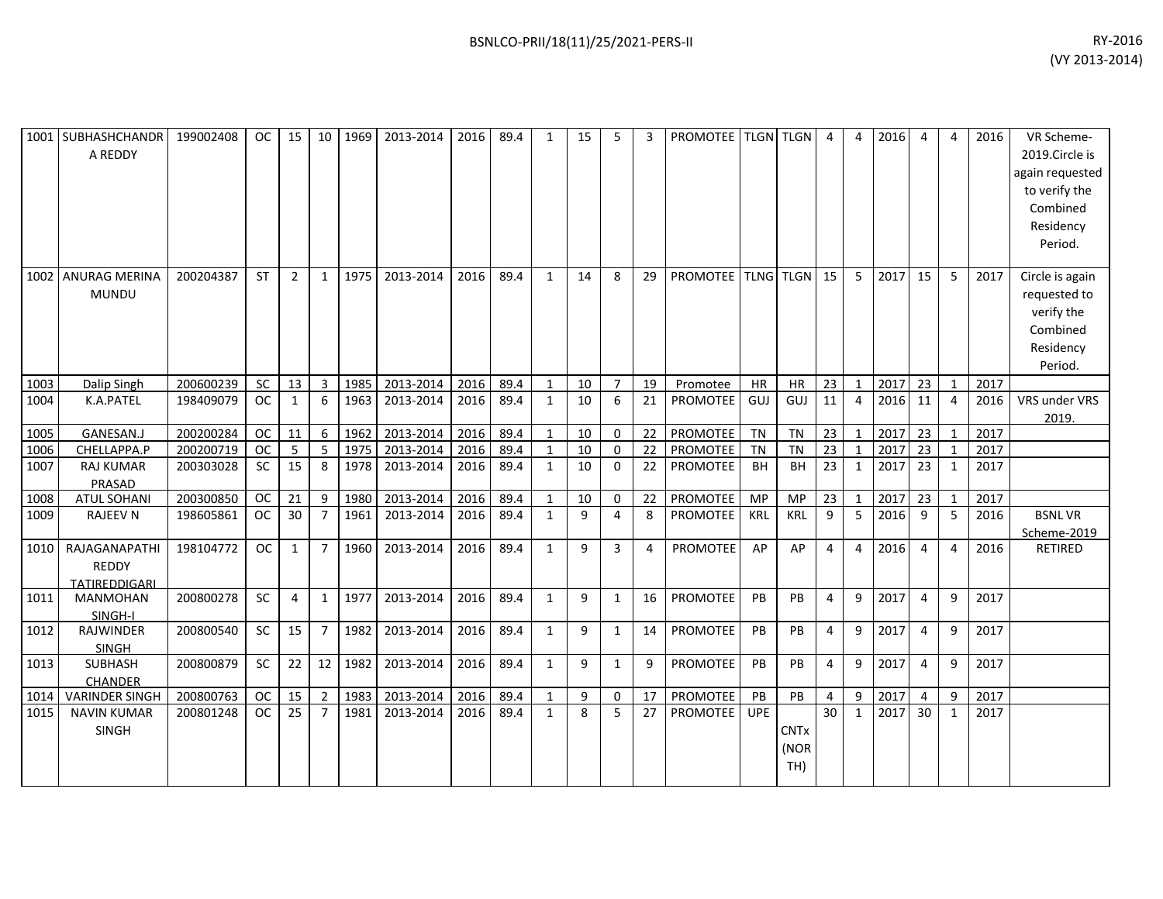| 1001 | <b>SUBHASHCHANDR</b><br>A REDDY                | 199002408 | <b>OC</b> | 15           | 10             | 1969 | 2013-2014 | 2016 | 89.4 | 1            | 15 | 5              | 3  | <b>PROMOTEE   TLGN   TLGN</b> |            |                            | $\overline{a}$ | $\overline{4}$ | 2016 | $\overline{4}$ | 4            | 2016 | VR Scheme-<br>2019.Circle is<br>again requested<br>to verify the<br>Combined<br>Residency<br>Period. |
|------|------------------------------------------------|-----------|-----------|--------------|----------------|------|-----------|------|------|--------------|----|----------------|----|-------------------------------|------------|----------------------------|----------------|----------------|------|----------------|--------------|------|------------------------------------------------------------------------------------------------------|
| 1002 | <b>ANURAG MERINA</b><br><b>MUNDU</b>           | 200204387 | <b>ST</b> | 2            | 1              | 1975 | 2013-2014 | 2016 | 89.4 | $\mathbf{1}$ | 14 | 8              | 29 | PROMOTEE   TLNG   TLGN        |            |                            | 15             | 5              | 2017 | 15             | 5            | 2017 | Circle is again<br>requested to<br>verify the<br>Combined<br>Residency<br>Period.                    |
| 1003 | Dalip Singh                                    | 200600239 | SC        | 13           | $\overline{3}$ | 1985 | 2013-2014 | 2016 | 89.4 | $\mathbf{1}$ | 10 | $\overline{7}$ | 19 | Promotee                      | HR         | <b>HR</b>                  | 23             | $\mathbf{1}$   | 2017 | 23             | $\mathbf{1}$ | 2017 |                                                                                                      |
| 1004 | K.A.PATEL                                      | 198409079 | <b>OC</b> | 1            | 6              | 1963 | 2013-2014 | 2016 | 89.4 | $\mathbf{1}$ | 10 | 6              | 21 | <b>PROMOTEE</b>               | GUJ        | GUJ                        | 11             | $\overline{4}$ | 2016 | 11             | 4            | 2016 | VRS under VRS<br>2019.                                                                               |
| 1005 | GANESAN.J                                      | 200200284 | <b>OC</b> | 11           | 6              | 1962 | 2013-2014 | 2016 | 89.4 | $\mathbf{1}$ | 10 | $\mathbf 0$    | 22 | PROMOTEE                      | TN         | <b>TN</b>                  | 23             | $\mathbf{1}$   | 2017 | 23             | 1            | 2017 |                                                                                                      |
| 1006 | CHELLAPPA.P                                    | 200200719 | <b>OC</b> | 5            | 5              | 1975 | 2013-2014 | 2016 | 89.4 | $\mathbf{1}$ | 10 | 0              | 22 | PROMOTEE                      | <b>TN</b>  | <b>TN</b>                  | 23             | 1              | 2017 | 23             | 1            | 2017 |                                                                                                      |
| 1007 | <b>RAJ KUMAR</b><br>PRASAD                     | 200303028 | <b>SC</b> | 15           | 8              | 1978 | 2013-2014 | 2016 | 89.4 | $\mathbf{1}$ | 10 | $\Omega$       | 22 | PROMOTEE                      | <b>BH</b>  | <b>BH</b>                  | 23             | 1              | 2017 | 23             | 1            | 2017 |                                                                                                      |
| 1008 | <b>ATUL SOHANI</b>                             | 200300850 | <b>OC</b> | 21           | 9              | 1980 | 2013-2014 | 2016 | 89.4 | $\mathbf{1}$ | 10 | $\mathbf 0$    | 22 | PROMOTEE                      | MP         | <b>MP</b>                  | 23             | $\mathbf{1}$   | 2017 | 23             | 1            | 2017 |                                                                                                      |
| 1009 | <b>RAJEEV N</b>                                | 198605861 | <b>OC</b> | 30           | $\overline{7}$ | 1961 | 2013-2014 | 2016 | 89.4 | $\mathbf{1}$ | 9  | 4              | 8  | PROMOTEE                      | <b>KRL</b> | KRL                        | 9              | 5              | 2016 | 9              | 5            | 2016 | <b>BSNLVR</b><br>Scheme-2019                                                                         |
| 1010 | RAJAGANAPATHI<br><b>REDDY</b><br>TATIREDDIGARI | 198104772 | <b>OC</b> | $\mathbf{1}$ | $\overline{7}$ | 1960 | 2013-2014 | 2016 | 89.4 | $\mathbf{1}$ | 9  | 3              | 4  | <b>PROMOTEE</b>               | AP         | AP                         | $\overline{4}$ | $\overline{4}$ | 2016 | $\overline{4}$ | 4            | 2016 | RETIRED                                                                                              |
| 1011 | <b>MANMOHAN</b><br>SINGH-I                     | 200800278 | <b>SC</b> | 4            | 1              | 1977 | 2013-2014 | 2016 | 89.4 | $\mathbf{1}$ | 9  | $\mathbf{1}$   | 16 | <b>PROMOTEE</b>               | PB         | PB                         | $\overline{4}$ | 9              | 2017 | $\overline{4}$ | 9            | 2017 |                                                                                                      |
| 1012 | <b>RAJWINDER</b><br><b>SINGH</b>               | 200800540 | <b>SC</b> | 15           | $\overline{7}$ | 1982 | 2013-2014 | 2016 | 89.4 | $\mathbf{1}$ | 9  | 1              | 14 | PROMOTEE                      | PB         | <b>PB</b>                  | $\overline{4}$ | 9              | 2017 | $\overline{4}$ | 9            | 2017 |                                                                                                      |
| 1013 | SUBHASH<br><b>CHANDER</b>                      | 200800879 | <b>SC</b> | 22           | 12             | 1982 | 2013-2014 | 2016 | 89.4 | $\mathbf{1}$ | 9  | $\mathbf{1}$   | 9  | <b>PROMOTEE</b>               | PB         | <b>PB</b>                  | $\overline{4}$ | 9              | 2017 | $\overline{4}$ | 9            | 2017 |                                                                                                      |
| 1014 | <b>VARINDER SINGH</b>                          | 200800763 | <b>OC</b> | 15           | $\overline{2}$ | 1983 | 2013-2014 | 2016 | 89.4 | 1            | 9  | $\mathbf 0$    | 17 | PROMOTEE                      | PB         | PB                         | 4              | 9              | 2017 | $\overline{4}$ | 9            | 2017 |                                                                                                      |
| 1015 | <b>NAVIN KUMAR</b><br><b>SINGH</b>             | 200801248 | <b>OC</b> | 25           | $\overline{7}$ | 1981 | 2013-2014 | 2016 | 89.4 | $\mathbf{1}$ | 8  | 5              | 27 | <b>PROMOTEE</b>               | <b>UPE</b> | <b>CNTx</b><br>(NOR<br>TH) | 30             | 1              | 2017 | 30             | 1            | 2017 |                                                                                                      |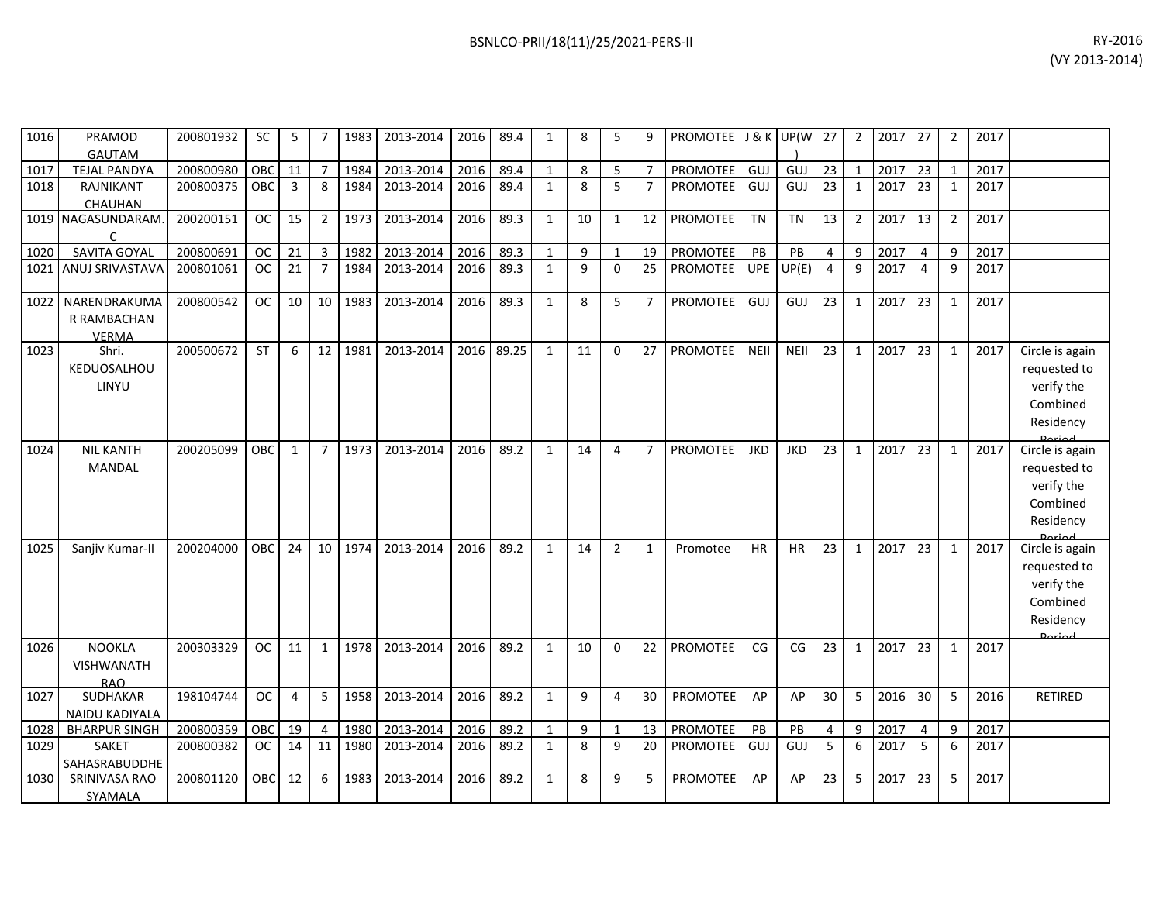| 1016 | PRAMOD<br><b>GAUTAM</b>                          | 200801932 | SC            | 5              |                | 1983 | 2013-2014 | 2016 | 89.4  | 1            | 8  |                |                | PROMOTEE J & K UP(W 27 |             |             |                | 2              | 2017 | 27             | 2              | 2017 |                                                                                   |
|------|--------------------------------------------------|-----------|---------------|----------------|----------------|------|-----------|------|-------|--------------|----|----------------|----------------|------------------------|-------------|-------------|----------------|----------------|------|----------------|----------------|------|-----------------------------------------------------------------------------------|
| 1017 | <b>TEJAL PANDYA</b>                              | 200800980 | OBC           | 11             | $\overline{7}$ | 1984 | 2013-2014 | 2016 | 89.4  | $\mathbf{1}$ | 8  | 5              | $\overline{7}$ | PROMOTEE               | GUJ         | GUJ         | 23             | $\mathbf{1}$   | 2017 | 23             | $\mathbf{1}$   | 2017 |                                                                                   |
| 1018 | RAJNIKANT<br>CHAUHAN                             | 200800375 | OBC           | 3              | 8              | 1984 | 2013-2014 | 2016 | 89.4  | $\mathbf{1}$ | 8  | 5              | $\overline{7}$ | <b>PROMOTEE</b>        | GUJ         | GUJ         | 23             | 1              | 2017 | 23             | 1              | 2017 |                                                                                   |
|      | 1019 NAGASUNDARAM.<br>$\mathsf{C}$               | 200200151 | <b>OC</b>     | 15             | $\overline{2}$ | 1973 | 2013-2014 | 2016 | 89.3  | $\mathbf{1}$ | 10 | $\mathbf{1}$   | 12             | PROMOTEE               | <b>TN</b>   | <b>TN</b>   | 13             | $\overline{2}$ | 2017 | 13             | $\overline{2}$ | 2017 |                                                                                   |
| 1020 | SAVITA GOYAL                                     | 200800691 | <b>OC</b>     | 21             | $\overline{3}$ | 1982 | 2013-2014 | 2016 | 89.3  | $\mathbf{1}$ | 9  | $\mathbf{1}$   | 19             | PROMOTEE               | PB          | PB          | $\overline{4}$ | 9              | 2017 | $\overline{4}$ | 9              | 2017 |                                                                                   |
| 1021 | ANUJ SRIVASTAVA                                  | 200801061 | <b>OC</b>     | 21             | $\overline{7}$ | 1984 | 2013-2014 | 2016 | 89.3  | $\mathbf{1}$ | 9  | $\Omega$       | 25             | <b>PROMOTEE</b>        | <b>UPE</b>  | UP(E)       | $\overline{4}$ | 9              | 2017 | $\overline{a}$ | $\mathsf{q}$   | 2017 |                                                                                   |
| 1022 | NARENDRAKUMA<br>R RAMBACHAN<br><b>VERMA</b>      | 200800542 | <b>OC</b>     | 10             | 10             | 1983 | 2013-2014 | 2016 | 89.3  | $\mathbf{1}$ | 8  | 5              | $\overline{7}$ | <b>PROMOTEE</b>        | GUJ         | GUJ         | 23             | $\mathbf{1}$   | 2017 | 23             | $\mathbf{1}$   | 2017 |                                                                                   |
| 1023 | Shri.<br>KEDUOSALHOU<br>LINYU                    | 200500672 | <b>ST</b>     | 6              | 12             | 1981 | 2013-2014 | 2016 | 89.25 | $\mathbf{1}$ | 11 | $\mathbf{0}$   | 27             | <b>PROMOTEE</b>        | <b>NEII</b> | <b>NEII</b> | 23             | $\mathbf{1}$   | 2017 | 23             | 1              | 2017 | Circle is again<br>requested to<br>verify the<br>Combined<br>Residency<br>لمهنعها |
| 1024 | <b>NIL KANTH</b><br>MANDAL                       | 200205099 | OBC           | 1              | $\overline{7}$ | 1973 | 2013-2014 | 2016 | 89.2  | $\mathbf{1}$ | 14 | 4              | $\overline{7}$ | <b>PROMOTEE</b>        | <b>JKD</b>  | <b>JKD</b>  | 23             | $\mathbf{1}$   | 2017 | 23             | 1              | 2017 | Circle is again<br>requested to<br>verify the<br>Combined<br>Residency            |
| 1025 | Sanjiv Kumar-II                                  | 200204000 | <b>OBC</b>    | 24             | 10             | 1974 | 2013-2014 | 2016 | 89.2  | $\mathbf{1}$ | 14 | $\overline{2}$ | $\mathbf{1}$   | Promotee               | <b>HR</b>   | <b>HR</b>   | 23             | $\mathbf{1}$   | 2017 | 23             | 1              | 2017 | Circle is again<br>requested to<br>verify the<br>Combined<br>Residency<br>لممنعمه |
| 1026 | <b>NOOKLA</b><br><b>VISHWANATH</b><br><b>RAO</b> | 200303329 | <b>OC</b>     | 11             | $\mathbf{1}$   | 1978 | 2013-2014 | 2016 | 89.2  | 1            | 10 | $\mathbf{0}$   | 22             | <b>PROMOTEE</b>        | CG          | CG          | 23             | $\mathbf{1}$   | 2017 | 23             | 1              | 2017 |                                                                                   |
| 1027 | SUDHAKAR<br>NAIDU KADIYALA                       | 198104744 | <b>OC</b>     | $\overline{4}$ | 5              | 1958 | 2013-2014 | 2016 | 89.2  | $\mathbf{1}$ | 9  | 4              | 30             | PROMOTEE               | AP          | AP          | 30             | 5              | 2016 | 30             | 5              | 2016 | <b>RETIRED</b>                                                                    |
| 1028 | <b>BHARPUR SINGH</b>                             | 200800359 | OBC           | 19             | $\overline{4}$ | 1980 | 2013-2014 | 2016 | 89.2  | $\mathbf{1}$ | 9  | $\mathbf{1}$   | 13             | PROMOTEE               | PB          | PB          | 4              | 9              | 2017 | $\overline{4}$ | 9              | 2017 |                                                                                   |
| 1029 | SAKET<br>SAHASRABUDDHE                           | 200800382 | <sub>OC</sub> | 14             | 11             | 1980 | 2013-2014 | 2016 | 89.2  | $\mathbf{1}$ | 8  | 9              | 20             | <b>PROMOTEE</b>        | GUJ         | GUJ         | 5              | 6              | 2017 | $5^{\circ}$    | 6              | 2017 |                                                                                   |
| 1030 | SRINIVASA RAO<br>SYAMALA                         | 200801120 | OBC           | 12             | 6              | 1983 | 2013-2014 | 2016 | 89.2  | $\mathbf{1}$ | 8  | 9              | 5              | PROMOTEE               | AP          | AP          | 23             | 5              | 2017 | 23             | 5              | 2017 |                                                                                   |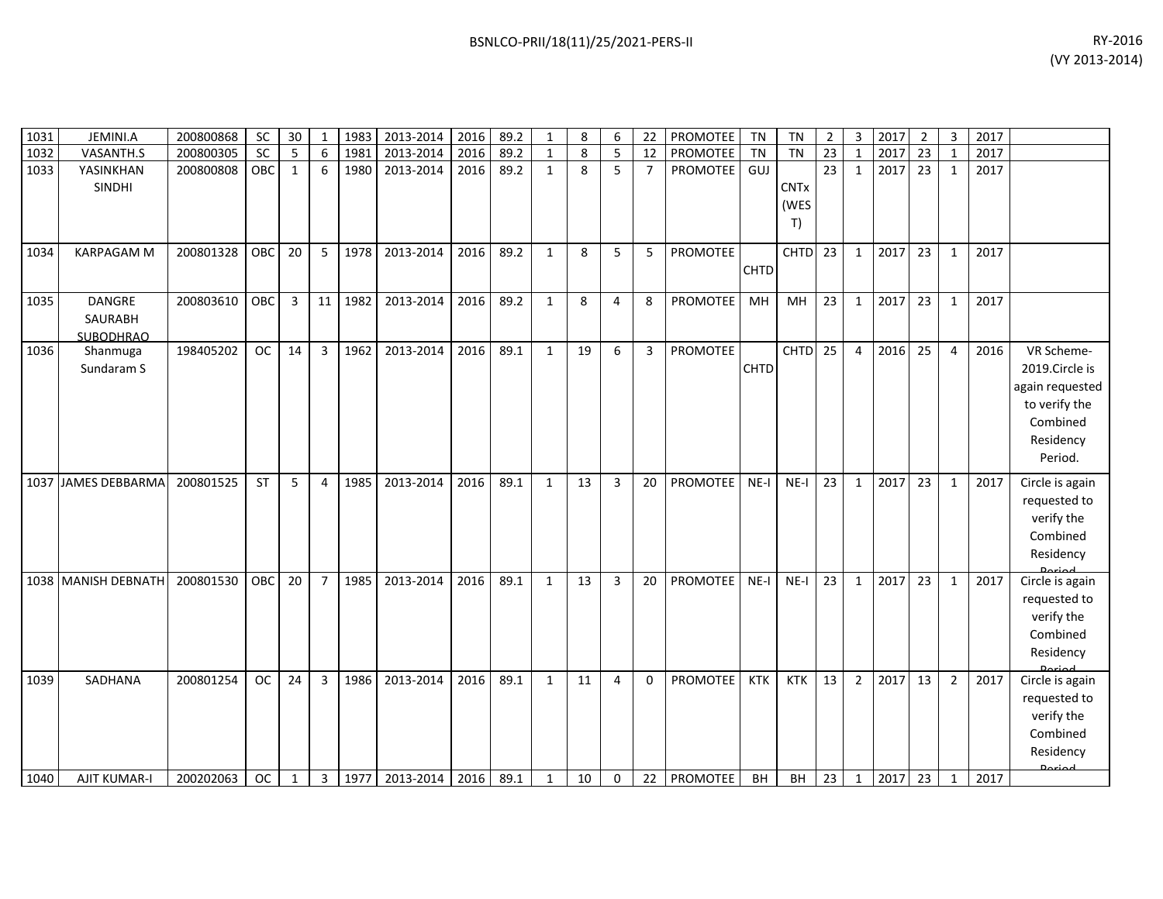| BSNLCO-PRII/18(11)/25/2021-PERS-II | RY-2016        |
|------------------------------------|----------------|
|                                    | (VY 2013-2014) |
|                                    |                |
|                                    |                |

| 1031 | JEMINI.A                              | 200800868 | SC        | 30           | $\mathbf{1}$   | 1983    | 2013-2014 | 2016 | 89.2 | $\mathbf{1}$ | 8  | 6              | 22             | PROMOTEE        | <b>TN</b>   | TN                        | $\overline{2}$  | $\mathbf{3}$   | 2017 | $\overline{2}$  | $\overline{3}$          | 2017 |                                                                                                      |
|------|---------------------------------------|-----------|-----------|--------------|----------------|---------|-----------|------|------|--------------|----|----------------|----------------|-----------------|-------------|---------------------------|-----------------|----------------|------|-----------------|-------------------------|------|------------------------------------------------------------------------------------------------------|
| 1032 | VASANTH.S                             | 200800305 | SC        | 5            | 6              | 1981    | 2013-2014 | 2016 | 89.2 | $\mathbf{1}$ | 8  | 5              | 12             | PROMOTEE        | <b>TN</b>   | <b>TN</b>                 | $\overline{23}$ | $\mathbf{1}$   | 2017 | $\overline{23}$ | $\overline{\mathbf{1}}$ | 2017 |                                                                                                      |
| 1033 | YASINKHAN<br>SINDHI                   | 200800808 | OBC       | $\mathbf{1}$ | 6              | 1980    | 2013-2014 | 2016 | 89.2 | $\mathbf{1}$ | 8  | 5              | $\overline{7}$ | PROMOTEE        | GUJ         | <b>CNTx</b><br>(WES<br>T) | $\overline{23}$ | $\mathbf{1}$   | 2017 | 23              | $\mathbf{1}$            | 2017 |                                                                                                      |
| 1034 | <b>KARPAGAM M</b>                     | 200801328 | OBC       | 20           | 5              | 1978    | 2013-2014 | 2016 | 89.2 | $\mathbf{1}$ | 8  | 5              | 5              | PROMOTEE        | CHTD        | CHTD <sub>23</sub>        |                 | $\mathbf{1}$   | 2017 | 23              | 1                       | 2017 |                                                                                                      |
| 1035 | DANGRE<br>SAURABH<br><b>SUBODHRAO</b> | 200803610 | OBC       | 3            |                | 11 1982 | 2013-2014 | 2016 | 89.2 | $\mathbf{1}$ | 8  | $\overline{4}$ | 8              | PROMOTEE        | MH          | MH                        | 23              | $\mathbf{1}$   | 2017 | 23              | $\mathbf{1}$            | 2017 |                                                                                                      |
| 1036 | Shanmuga<br>Sundaram S                | 198405202 | <b>OC</b> | 14           | 3              | 1962    | 2013-2014 | 2016 | 89.1 | $\mathbf{1}$ | 19 | 6              | 3              | PROMOTEE        | <b>CHTD</b> | <b>CHTD</b>               | 25              | $\overline{4}$ | 2016 | 25              | $\overline{a}$          | 2016 | VR Scheme-<br>2019.Circle is<br>again requested<br>to verify the<br>Combined<br>Residency<br>Period. |
| 1037 | <b>JAMES DEBBARMA</b>                 | 200801525 | <b>ST</b> | 5            | $\overline{4}$ | 1985    | 2013-2014 | 2016 | 89.1 | $\mathbf{1}$ | 13 | 3              | 20             | PROMOTEE        | $NE-I$      | $NE-I$                    | 23              | $\mathbf{1}$   | 2017 | 23              | $\mathbf{1}$            | 2017 | Circle is again<br>requested to<br>verify the<br>Combined<br>Residency<br><b>Dorigal</b>             |
|      | 1038 MANISH DEBNATH                   | 200801530 | OBC       | 20           | $\overline{7}$ | 1985    | 2013-2014 | 2016 | 89.1 | $\mathbf{1}$ | 13 | 3              | 20             | <b>PROMOTEE</b> | $NE-I$      | $NE-I$                    | 23              | $\mathbf{1}$   | 2017 | 23              | 1                       | 2017 | Circle is again<br>requested to<br>verify the<br>Combined<br>Residency                               |
| 1039 | SADHANA                               | 200801254 | <b>OC</b> | 24           | 3              | 1986    | 2013-2014 | 2016 | 89.1 | $\mathbf{1}$ | 11 | 4              | $\Omega$       | PROMOTEE        | <b>KTK</b>  | <b>KTK</b>                | 13              | $\overline{2}$ | 2017 | 13              | 2                       | 2017 | Circle is again<br>requested to<br>verify the<br>Combined<br>Residency<br>اممنعم                     |
| 1040 | <b>AJIT KUMAR-I</b>                   | 200202063 | <b>OC</b> |              | 3              | 1977    | 2013-2014 | 2016 | 89.1 | 1            | 10 | 0              | 22             | PROMOTEE        | BH          | BH                        | 23              | 1              | 2017 | 23              | 1                       | 2017 |                                                                                                      |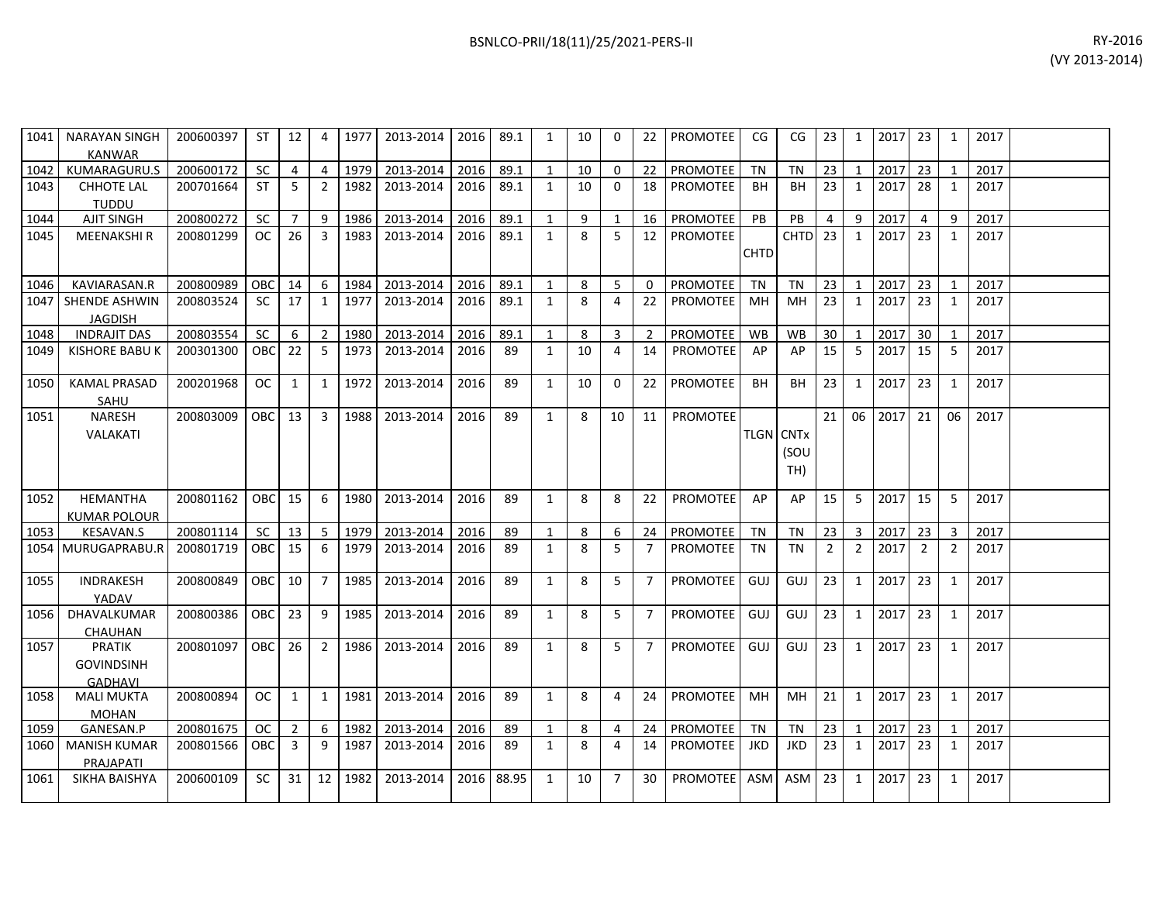| 1041 | NARAYAN SINGH<br><b>KANWAR</b>                | 200600397 | -ST               | 12             | 4              | 1977 | 2013-2014 | 2016 | 89.1  | 1            | 10 | $\Omega$       | 22             | PROMOTEE        | CG.         | CG                                          | 23             | 1                       | 2017    | 23             | 1              | 2017 |  |
|------|-----------------------------------------------|-----------|-------------------|----------------|----------------|------|-----------|------|-------|--------------|----|----------------|----------------|-----------------|-------------|---------------------------------------------|----------------|-------------------------|---------|----------------|----------------|------|--|
| 1042 | KUMARAGURU.S                                  | 200600172 | <b>SC</b>         | $\overline{4}$ | $\overline{4}$ | 1979 | 2013-2014 | 2016 | 89.1  | 1            | 10 | $\mathbf 0$    | 22             | PROMOTEE        | <b>TN</b>   | <b>TN</b>                                   | 23             | $\mathbf{1}$            | 2017    | 23             | $\overline{1}$ | 2017 |  |
| 1043 | <b>CHHOTE LAL</b><br><b>TUDDU</b>             | 200701664 | <b>ST</b>         | 5              | 2              | 1982 | 2013-2014 | 2016 | 89.1  | $\mathbf{1}$ | 10 | $\Omega$       | 18             | <b>PROMOTEE</b> | <b>BH</b>   | <b>BH</b>                                   | 23             | 1                       | 2017    | 28             | 1              | 2017 |  |
| 1044 | <b>AJIT SINGH</b>                             | 200800272 | <b>SC</b>         | $\overline{7}$ | 9              | 1986 | 2013-2014 | 2016 | 89.1  | 1            | 9  | -1             | 16             | PROMOTEE        | <b>PB</b>   | PB                                          | 4              | 9                       | 2017    | $\overline{4}$ | 9              | 2017 |  |
| 1045 | <b>MEENAKSHIR</b>                             | 200801299 | <sub>OC</sub>     | 26             | 3              | 1983 | 2013-2014 | 2016 | 89.1  | $\mathbf{1}$ | 8  | 5              | 12             | PROMOTEE        | <b>CHTD</b> | <b>CHTD</b>                                 | 23             | 1                       | 2017    | 23             | 1              | 2017 |  |
|      |                                               |           |                   |                |                |      |           |      |       |              |    |                |                |                 |             |                                             |                |                         |         |                |                |      |  |
| 1046 | KAVIARASAN.R                                  | 200800989 | <b>OBC</b>        | 14             | 6              | 1984 | 2013-2014 | 2016 | 89.1  | $\mathbf{1}$ | 8  | 5              | $\Omega$       | PROMOTEE        | <b>TN</b>   | <b>TN</b>                                   | 23             | 1                       | 2017    | 23             | 1              | 2017 |  |
| 1047 | <b>SHENDE ASHWIN</b><br><b>JAGDISH</b>        | 200803524 | <b>SC</b>         | 17             | 1              | 1977 | 2013-2014 | 2016 | 89.1  | 1            | 8  | 4              | 22             | <b>PROMOTEE</b> | MН          | <b>MH</b>                                   | 23             | 1                       | 2017    | 23             | 1              | 2017 |  |
| 1048 | <b>INDRAJIT DAS</b>                           | 200803554 | <b>SC</b>         | 6              | 2              | 1980 | 2013-2014 | 2016 | 89.1  | $\mathbf{1}$ | 8  | 3              | 2              | PROMOTEE        | <b>WB</b>   | <b>WB</b>                                   | 30             | $\overline{1}$          | 2017    | 30             |                | 2017 |  |
| 1049 | KISHORE BABU K                                | 200301300 | <b>OBC</b>        | 22             | -5             | 1973 | 2013-2014 | 2016 | 89    | 1            | 10 | 4              | 14             | <b>PROMOTEE</b> | AP          | AP                                          | 15             | 5                       | 2017    | 15             | 5              | 2017 |  |
| 1050 | <b>KAMAL PRASAD</b><br>SAHU                   | 200201968 | OC                | 1              | 1              | 1972 | 2013-2014 | 2016 | 89    | 1            | 10 | $\Omega$       | 22             | <b>PROMOTEE</b> | <b>BH</b>   | <b>BH</b>                                   | 23             | $\mathbf{1}$            | 2017    | 23             | 1              | 2017 |  |
| 1051 | <b>NARESH</b><br>VALAKATI                     | 200803009 | OBC I             | 13             | 3              | 1988 | 2013-2014 | 2016 | 89    | 1            | 8  | 10             | 11             | <b>PROMOTEE</b> |             | <b>TLGN</b> CNT <sub>x</sub><br>(SOU<br>TH) | 21             | 06                      | 2017    | 21             | 06             | 2017 |  |
|      |                                               |           |                   |                |                |      |           |      |       |              |    |                |                |                 |             |                                             |                |                         |         |                |                |      |  |
| 1052 | HEMANTHA<br><b>KUMAR POLOUR</b>               | 200801162 | OBC <sub>15</sub> |                | 6              | 1980 | 2013-2014 | 2016 | 89    | 1            | 8  | 8              | 22             | PROMOTEE        | AP          | AP                                          | 15             | 5                       | 2017    | 15             | 5              | 2017 |  |
| 1053 | <b>KESAVAN.S</b>                              | 200801114 | <b>SC</b>         | 13             | $\vert$ 5      | 1979 | 2013-2014 | 2016 | 89    | 1            | 8  | 6              | 24             | PROMOTEE        | <b>TN</b>   | <b>TN</b>                                   | 23             | $\overline{\mathbf{3}}$ | 2017 23 |                | $\overline{3}$ | 2017 |  |
|      | 1054 MURUGAPRABU.R                            | 200801719 | <b>OBC</b>        | 15             | -6             | 1979 | 2013-2014 | 2016 | 89    | 1            | 8  | 5              | $\overline{7}$ | <b>PROMOTEE</b> | TN          | <b>TN</b>                                   | $\overline{2}$ | $\overline{2}$          | 2017    | $\overline{2}$ | $\overline{2}$ | 2017 |  |
| 1055 | INDRAKESH<br>YADAV                            | 200800849 | OBC I             | 10             | $\overline{7}$ | 1985 | 2013-2014 | 2016 | 89    | $\mathbf{1}$ | 8  | 5              | $\overline{7}$ | PROMOTEE        | GUJ         | GUJ                                         | 23             | $\mathbf{1}$            | 2017    | 23             | $\mathbf{1}$   | 2017 |  |
| 1056 | DHAVALKUMAR<br>CHAUHAN                        | 200800386 | OBC I             | 23             | 9              | 1985 | 2013-2014 | 2016 | 89    | 1            | 8  | 5              | $\overline{7}$ | PROMOTEE        | GUJ         | GUJ                                         | 23             | 1                       | 2017    | 23             | $\mathbf{1}$   | 2017 |  |
| 1057 | PRATIK<br><b>GOVINDSINH</b><br><b>GADHAVL</b> | 200801097 | OBC               | 26             | $\overline{2}$ | 1986 | 2013-2014 | 2016 | 89    | $\mathbf{1}$ | 8  | 5              | $\overline{7}$ | PROMOTEE        | GUJ         | GUJ                                         | 23             | 1                       | 2017    | 23             | 1              | 2017 |  |
| 1058 | <b>MALI MUKTA</b><br><b>MOHAN</b>             | 200800894 | OC.               | 1              | $\overline{1}$ | 1981 | 2013-2014 | 2016 | 89    | $\mathbf{1}$ | 8  | 4              | 24             | PROMOTEE        | MH          | <b>MH</b>                                   | 21             | $\mathbf{1}$            | 2017    | 23             | 1              | 2017 |  |
| 1059 | GANESAN.P                                     | 200801675 | OC.               | $\overline{2}$ | 6              | 1982 | 2013-2014 | 2016 | 89    | 1            | 8  | 4              | 24             | PROMOTEE        | <b>TN</b>   | <b>TN</b>                                   | 23             | 1                       | 2017    | 23             | 1              | 2017 |  |
| 1060 | <b>MANISH KUMAR</b><br>PRAJAPATI              | 200801566 | OBC.              | 3              | 9              | 1987 | 2013-2014 | 2016 | 89    | 1            | 8  | 4              | 14             | PROMOTEE        | JKD.        | <b>JKD</b>                                  | 23             | 1                       | 2017    | 23             | 1              | 2017 |  |
| 1061 | SIKHA BAISHYA                                 | 200600109 | SC.               | 31             | 12             | 1982 | 2013-2014 | 2016 | 88.95 | 1            | 10 | $\overline{7}$ | 30             | <b>PROMOTEE</b> | <b>ASM</b>  | <b>ASM</b>                                  | 23             | $\mathbf{1}$            | 2017    | 23             | 1              | 2017 |  |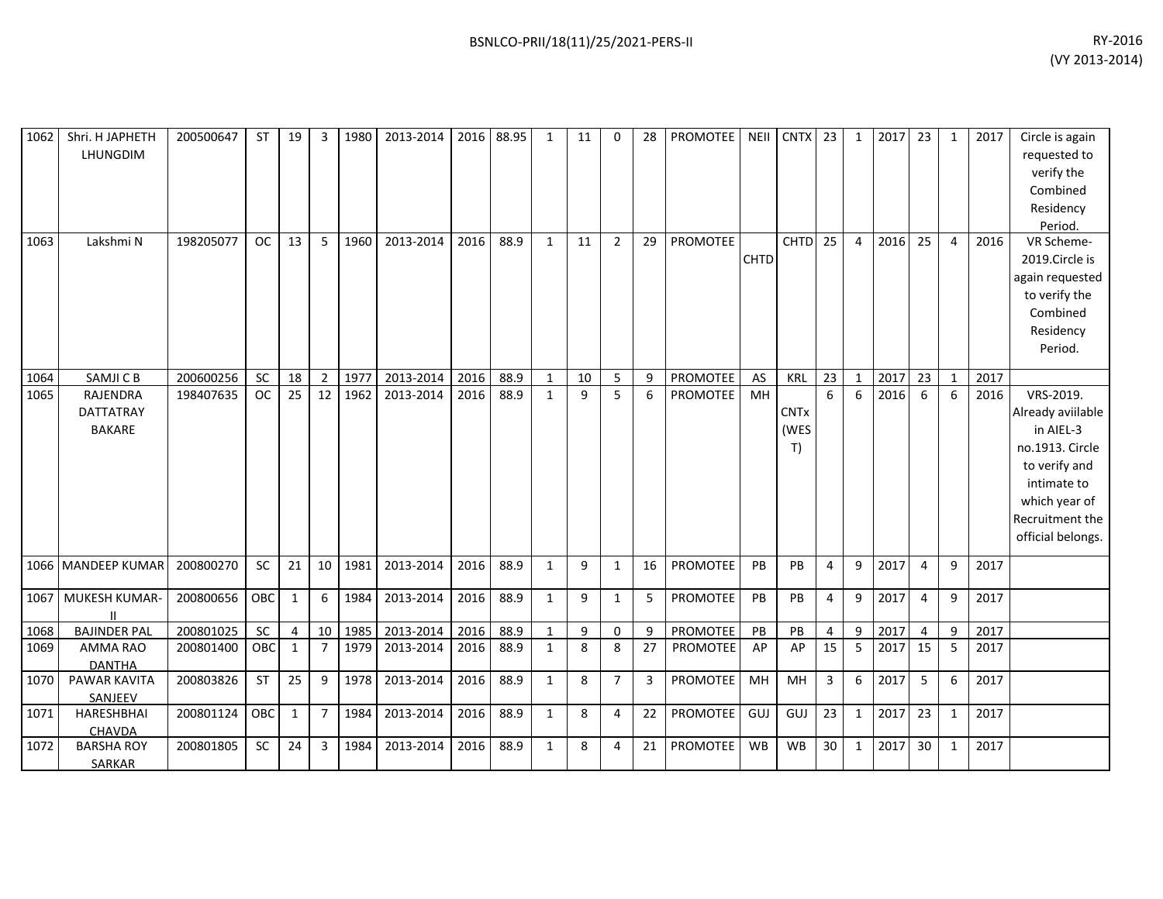| RY-2016        |
|----------------|
| (VY 2013-2014) |

| 1062 | Shri. H JAPHETH<br>LHUNGDIM                   | 200500647 | ST        | 19             | $\overline{3}$ | 1980 | 2013-2014 | 2016 | 88.95 | $\mathbf{1}$ | 11 | $\Omega$       | 28 | PROMOTEE        | <b>NEII</b> | <b>CNTX</b>               | 23              | $\mathbf{1}$     | 2017 | 23              | $\mathbf{1}$ | 2017 | Circle is again<br>requested to<br>verify the<br>Combined<br>Residency<br>Period.                                                                       |
|------|-----------------------------------------------|-----------|-----------|----------------|----------------|------|-----------|------|-------|--------------|----|----------------|----|-----------------|-------------|---------------------------|-----------------|------------------|------|-----------------|--------------|------|---------------------------------------------------------------------------------------------------------------------------------------------------------|
| 1063 | Lakshmi N                                     | 198205077 | <b>OC</b> | 13             | 5              | 1960 | 2013-2014 | 2016 | 88.9  | $\mathbf{1}$ | 11 | $\overline{2}$ | 29 | <b>PROMOTEE</b> | <b>CHTD</b> | <b>CHTD</b>               | $\overline{25}$ | $\overline{4}$   | 2016 | 25              | 4            | 2016 | VR Scheme-<br>2019.Circle is<br>again requested<br>to verify the<br>Combined<br>Residency<br>Period.                                                    |
| 1064 | SAMJI C B                                     | 200600256 | SC        | 18             | $\overline{2}$ | 1977 | 2013-2014 | 2016 | 88.9  | $\mathbf{1}$ | 10 | 5              | 9  | PROMOTEE        | AS          | <b>KRL</b>                | 23              | $\mathbf{1}$     | 2017 | 23              | 1            | 2017 |                                                                                                                                                         |
| 1065 | RAJENDRA<br><b>DATTATRAY</b><br><b>BAKARE</b> | 198407635 | <b>OC</b> | 25             | 12             | 1962 | 2013-2014 | 2016 | 88.9  | $\mathbf{1}$ | 9  | 5              | 6  | PROMOTEE        | MH          | <b>CNTx</b><br>(WES<br>T) | 6               | 6                | 2016 | 6               | 6            | 2016 | VRS-2019.<br>Already aviilable<br>in AIEL-3<br>no.1913. Circle<br>to verify and<br>intimate to<br>which year of<br>Recruitment the<br>official belongs. |
|      | 1066 MANDEEP KUMAR                            | 200800270 | <b>SC</b> | 21             | 10             | 1981 | 2013-2014 | 2016 | 88.9  | $\mathbf{1}$ | 9  | $\mathbf{1}$   | 16 | PROMOTEE        | PB          | PB                        | $\overline{4}$  | 9                | 2017 | $\overline{4}$  | 9            | 2017 |                                                                                                                                                         |
| 1067 | MUKESH KUMAR-                                 | 200800656 | OBC       | $\mathbf{1}$   | 6              | 1984 | 2013-2014 | 2016 | 88.9  | $\mathbf{1}$ | 9  | $\mathbf{1}$   | 5  | PROMOTEE        | PB          | PB                        | $\overline{4}$  | 9                | 2017 | $\overline{4}$  | 9            | 2017 |                                                                                                                                                         |
| 1068 | <b>BAJINDER PAL</b>                           | 200801025 | SC        | $\overline{4}$ | 10             | 1985 | 2013-2014 | 2016 | 88.9  | $\mathbf{1}$ | 9  | 0              | 9  | PROMOTEE        | PB          | PB                        | 4               | $\boldsymbol{9}$ | 2017 | $\overline{4}$  | 9            | 2017 |                                                                                                                                                         |
| 1069 | <b>AMMA RAO</b><br><b>DANTHA</b>              | 200801400 | OBC       | $\mathbf{1}$   | $\overline{7}$ | 1979 | 2013-2014 | 2016 | 88.9  | $\mathbf{1}$ | 8  | 8              | 27 | PROMOTEE        | AP          | AP                        | 15              | 5                | 2017 | 15              | 5            | 2017 |                                                                                                                                                         |
| 1070 | <b>PAWAR KAVITA</b><br>SANJEEV                | 200803826 | ST        | 25             | 9              | 1978 | 2013-2014 | 2016 | 88.9  | $\mathbf{1}$ | 8  | $\overline{7}$ | 3  | PROMOTEE        | MH          | MH                        | $\mathsf{3}$    | $\boldsymbol{6}$ | 2017 | 5               | 6            | 2017 |                                                                                                                                                         |
| 1071 | HARESHBHAI<br>CHAVDA                          | 200801124 | OBC       | 1              | $\overline{7}$ | 1984 | 2013-2014 | 2016 | 88.9  | $\mathbf{1}$ | 8  | 4              | 22 | PROMOTEE        | GUJ         | GUJ                       | 23              | $\mathbf{1}$     | 2017 | 23              | 1            | 2017 |                                                                                                                                                         |
| 1072 | <b>BARSHA ROY</b><br>SARKAR                   | 200801805 | SC        | 24             | 3              | 1984 | 2013-2014 | 2016 | 88.9  | $\mathbf{1}$ | 8  | 4              | 21 | PROMOTEE        | <b>WB</b>   | <b>WB</b>                 | 30              | $\mathbf{1}$     | 2017 | 30 <sup>°</sup> | 1            | 2017 |                                                                                                                                                         |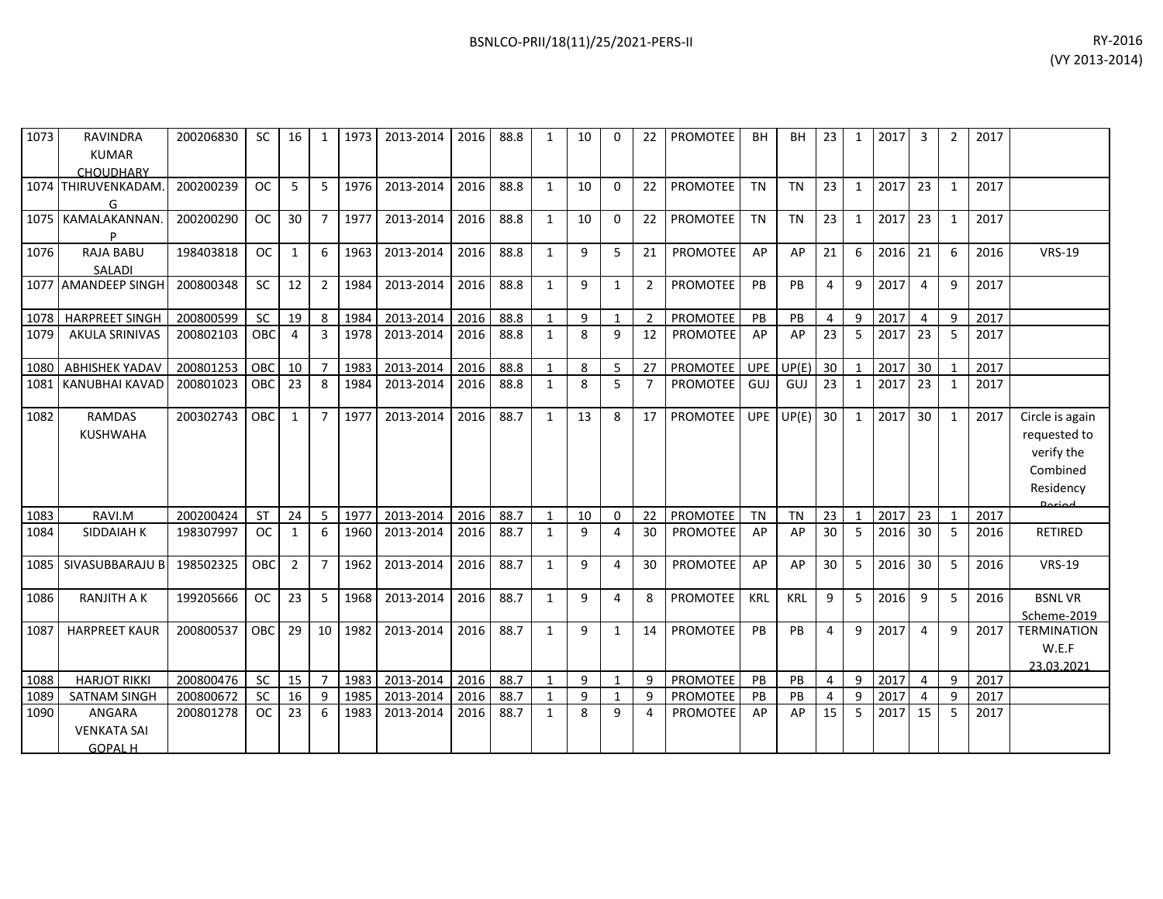| 1073 | <b>RAVINDRA</b><br><b>KUMAR</b><br><b>CHOUDHARY</b> | 200206830 | SC.        | 16             | 1               | 1973 | 2013-2014 |      | 2016 88.8 | 1            | 10 | $\Omega$       | $22 \overline{ }$ | <b>PROMOTEE</b> | BH         | BН         | 23 <sub>1</sub> | 1            | $\begin{array}{c} \text{12017} \\ \text{2017} \end{array}$ | 3               | 2 | 2017 |                                                                                   |
|------|-----------------------------------------------------|-----------|------------|----------------|-----------------|------|-----------|------|-----------|--------------|----|----------------|-------------------|-----------------|------------|------------|-----------------|--------------|------------------------------------------------------------|-----------------|---|------|-----------------------------------------------------------------------------------|
|      | 1074 THIRUVENKADAM.<br>G                            | 200200239 | <b>OC</b>  | 5              | 5               | 1976 | 2013-2014 | 2016 | 88.8      | 1            | 10 | $\Omega$       | 22                | <b>PROMOTEE</b> | <b>TN</b>  | <b>TN</b>  | 23              | $\mathbf{1}$ | 2017                                                       | 23              | 1 | 2017 |                                                                                   |
|      | 1075   KAMALAKANNAN<br>D                            | 200200290 | <b>OC</b>  | 30             | $\overline{7}$  | 1977 | 2013-2014 | 2016 | 88.8      | 1            | 10 | $\mathbf{0}$   | 22                | PROMOTEE        | <b>TN</b>  | <b>TN</b>  | 23              | $\mathbf{1}$ | 2017                                                       | 23              | 1 | 2017 |                                                                                   |
| 1076 | <b>RAJA BABU</b><br><b>SALADI</b>                   | 198403818 | <b>OC</b>  | $\mathbf{1}$   | 6               | 1963 | 2013-2014 | 2016 | 88.8      | 1            | 9  | 5              | 21                | <b>PROMOTEE</b> | AP         | AP         | 21              | 6            | 2016                                                       | 21              | 6 | 2016 | <b>VRS-19</b>                                                                     |
|      | 1077 AMANDEEP SINGH                                 | 200800348 | <b>SC</b>  | 12             | $\overline{2}$  | 1984 | 2013-2014 | 2016 | 88.8      | $\mathbf{1}$ | 9  | $\mathbf{1}$   | $\overline{2}$    | <b>PROMOTEE</b> | PB         | PB         | $\overline{4}$  | 9            | 2017                                                       | 4               | 9 | 2017 |                                                                                   |
| 1078 | <b>HARPREET SINGH</b>                               | 200800599 | <b>SC</b>  | 19             | 8               | 1984 | 2013-2014 | 2016 | 88.8      |              | 9  | $\mathbf{1}$   | $\overline{2}$    | <b>PROMOTEE</b> | PB         | PB         | $\overline{4}$  | 9            | 2017                                                       | 4               | 9 | 2017 |                                                                                   |
| 1079 | <b>AKULA SRINIVAS</b>                               | 200802103 | OBC        | $\overline{4}$ | $\overline{3}$  | 1978 | 2013-2014 | 2016 | 88.8      | $\mathbf{1}$ | 8  | 9              | 12                | <b>PROMOTEE</b> | AP         | AP         | 23              | 5            | 2017                                                       | 23              | 5 | 2017 |                                                                                   |
| 1080 | <b>ABHISHEK YADAV</b>                               | 200801253 | <b>OBC</b> | 10             | $\overline{7}$  | 1983 | 2013-2014 | 2016 | 88.8      | $\mathbf{1}$ | 8  | 5              | 27                | <b>PROMOTEE</b> | <b>UPE</b> | UP(E)      | 30 <sup>°</sup> | $\mathbf{1}$ | 2017                                                       | 30              |   | 2017 |                                                                                   |
| 1081 | <b>KANUBHAI KAVAD</b>                               | 200801023 | OBC        | 23             | 8               | 1984 | 2013-2014 | 2016 | 88.8      | $\mathbf{1}$ | 8  | 5              | $\overline{7}$    | <b>PROMOTEE</b> | GUJ        | GUJ        | 23              | $\mathbf{1}$ | 2017                                                       | 23              | 1 | 2017 |                                                                                   |
| 1082 | <b>RAMDAS</b><br><b>KUSHWAHA</b>                    | 200302743 | <b>OBC</b> | 1              | $\overline{7}$  | 1977 | 2013-2014 | 2016 | 88.7      | $\mathbf{1}$ | 13 | $\mathbf{8}$   | 17                | <b>PROMOTEE</b> | <b>UPE</b> | UP(E)      | 30              | $\mathbf{1}$ | 2017                                                       | 30 <sup>°</sup> | 1 | 2017 | Circle is again<br>requested to<br>verify the<br>Combined<br>Residency<br>لممنعمه |
| 1083 | RAVI.M                                              | 200200424 | ST         | 24             | 5               | 1977 | 2013-2014 | 2016 | 88.7      | 1            | 10 | 0              | 22                | PROMOTEE        | <b>TN</b>  | <b>TN</b>  | 23              | $\mathbf{1}$ | 2017                                                       | 23              | 1 | 2017 |                                                                                   |
| 1084 | SIDDAIAH K                                          | 198307997 | <b>OC</b>  | 1              | 6               | 1960 | 2013-2014 | 2016 | 88.7      | 1            | 9  | $\overline{4}$ | 30                | PROMOTEE        | AP         | AP         | 30              | -5           | 2016                                                       | 30 <sup>°</sup> | 5 | 2016 | RETIRED                                                                           |
| 1085 | SIVASUBBARAJU B                                     | 198502325 | <b>OBC</b> | 2              | $\overline{7}$  | 1962 | 2013-2014 | 2016 | 88.7      | $\mathbf{1}$ | 9  | 4              | 30                | PROMOTEE        | AP         | AP         | 30              | 5            | 2016                                                       | 30              | 5 | 2016 | <b>VRS-19</b>                                                                     |
| 1086 | <b>RANJITH A K</b>                                  | 199205666 | <b>OC</b>  | 23             | 5               | 1968 | 2013-2014 | 2016 | 88.7      | 1            | 9  | 4              | 8                 | <b>PROMOTEE</b> | <b>KRL</b> | <b>KRL</b> | 9               | 5            | 2016                                                       | 9               | 5 | 2016 | <b>BSNLVR</b><br>Scheme-2019                                                      |
| 1087 | <b>HARPREET KAUR</b>                                | 200800537 | <b>OBC</b> | 29             | 10 <sup>1</sup> | 1982 | 2013-2014 | 2016 | 88.7      | $\mathbf{1}$ | 9  | $\mathbf{1}$   | 14                | PROMOTEE        | PB         | PB         | 4               | 9            | 2017                                                       | 4               | 9 | 2017 | <b>TERMINATION</b><br>W.E.F<br>23.03.2021                                         |
| 1088 | <b>HARJOT RIKKI</b>                                 | 200800476 | <b>SC</b>  | 15             | $\overline{7}$  | 1983 | 2013-2014 | 2016 | 88.7      | 1            | 9  | $\mathbf{1}$   | 9                 | PROMOTEE        | PB         | <b>PB</b>  | 4               | 9            | 2017                                                       | 4               | 9 | 2017 |                                                                                   |
| 1089 | <b>SATNAM SINGH</b>                                 | 200800672 | <b>SC</b>  | 16             | 9               | 1985 | 2013-2014 | 2016 | 88.7      |              | 9  | $\mathbf{1}$   | 9                 | <b>PROMOTEE</b> | <b>PB</b>  | <b>PB</b>  | 4               | 9            | 2017                                                       | 4               | 9 | 2017 |                                                                                   |
| 1090 | ANGARA<br><b>VENKATA SAI</b><br><b>GOPAL H</b>      | 200801278 | <b>OC</b>  | 23             | 6               | 1983 | 2013-2014 | 2016 | 88.7      | 1            | 8  | 9              | Δ                 | <b>PROMOTEE</b> | AP         | AP         | 15              | 5            | 2017                                                       | 15              | 5 | 2017 |                                                                                   |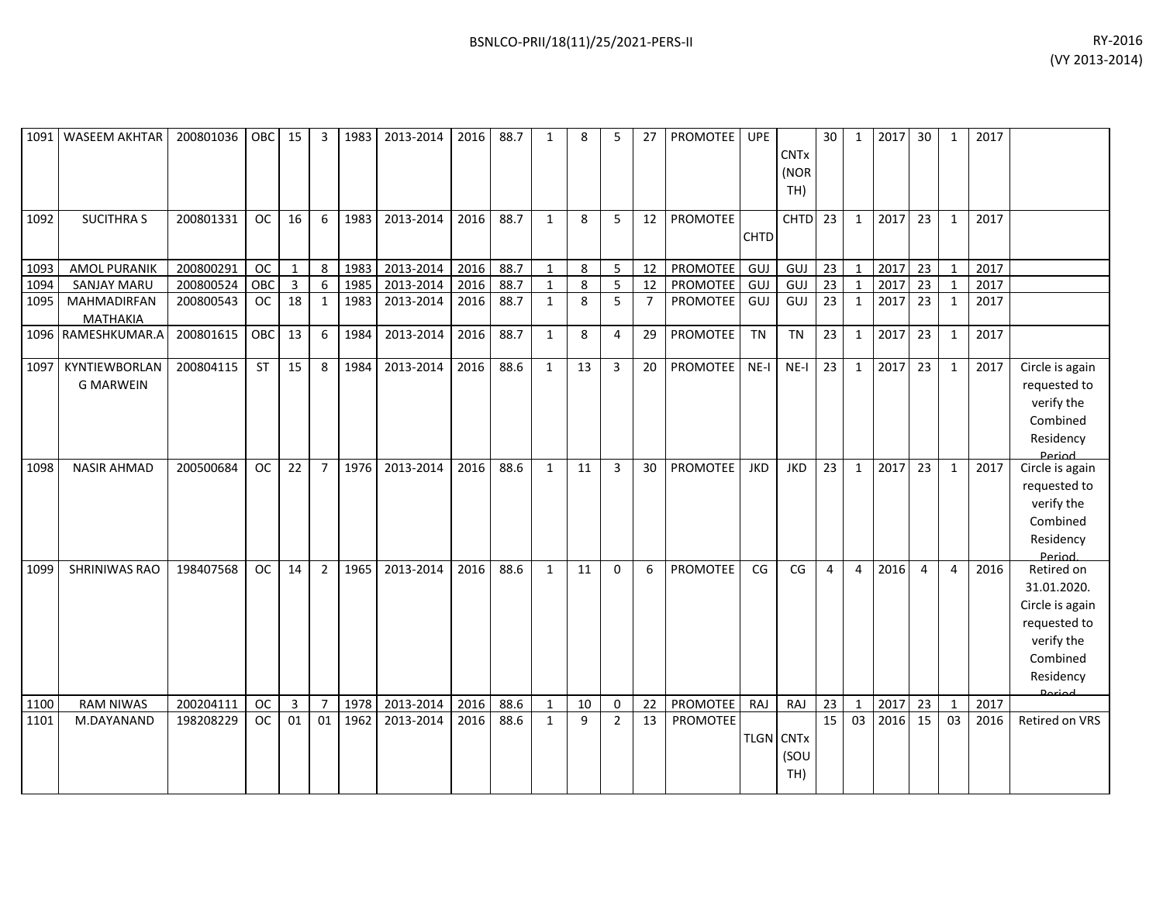| 1091 | <b>WASEEM AKHTAR</b>              | 200801036 | OBC       | 15           | 3                | 1983 | 2013-2014 | 2016 | 88.7 | $\mathbf{1}$ | 8  | 5              | 27             | PROMOTEE        | <b>UPE</b>       | <b>CNTx</b><br>(NOR<br>TH) | 30              | $\mathbf{1}$   | 2017 | 30             | 1            | 2017 |                                                                                                                      |
|------|-----------------------------------|-----------|-----------|--------------|------------------|------|-----------|------|------|--------------|----|----------------|----------------|-----------------|------------------|----------------------------|-----------------|----------------|------|----------------|--------------|------|----------------------------------------------------------------------------------------------------------------------|
| 1092 | <b>SUCITHRA S</b>                 | 200801331 | <b>OC</b> | 16           | 6                | 1983 | 2013-2014 | 2016 | 88.7 | $\mathbf{1}$ | 8  | 5              | 12             | <b>PROMOTEE</b> | <b>CHTD</b>      | <b>CHTD</b>                | 23              | $\mathbf{1}$   | 2017 | 23             | $\mathbf{1}$ | 2017 |                                                                                                                      |
| 1093 | <b>AMOL PURANIK</b>               | 200800291 | <b>OC</b> | $\mathbf{1}$ | 8                | 1983 | 2013-2014 | 2016 | 88.7 | $\mathbf{1}$ | 8  | 5              | 12             | PROMOTEE        | GUJ              | GUJ                        | 23              | $\mathbf{1}$   | 2017 | 23             | $\mathbf 1$  | 2017 |                                                                                                                      |
| 1094 | <b>SANJAY MARU</b>                | 200800524 | OBC       | 3            | $\boldsymbol{6}$ | 1985 | 2013-2014 | 2016 | 88.7 | $\mathbf{1}$ | 8  | 5              | 12             | PROMOTEE        | GUJ              | GUJ                        | 23              | $\mathbf{1}$   | 2017 | 23             | $\mathbf{1}$ | 2017 |                                                                                                                      |
| 1095 | MAHMADIRFAN<br><b>MATHAKIA</b>    | 200800543 | <b>OC</b> | 18           | 1                | 1983 | 2013-2014 | 2016 | 88.7 | $\mathbf{1}$ | 8  | 5              | $\overline{7}$ | PROMOTEE        | GUJ              | GUJ                        | 23              | $\mathbf{1}$   | 2017 | 23             | 1            | 2017 |                                                                                                                      |
| 1096 | RAMESHKUMAR.A                     | 200801615 | OBC       | 13           | 6                | 1984 | 2013-2014 | 2016 | 88.7 | $\mathbf{1}$ | 8  | 4              | 29             | PROMOTEE        | <b>TN</b>        | <b>TN</b>                  | 23              | $\mathbf{1}$   | 2017 | 23             | 1            | 2017 |                                                                                                                      |
| 1097 | KYNTIEWBORLAN<br><b>G MARWEIN</b> | 200804115 | <b>ST</b> | 15           | 8                | 1984 | 2013-2014 | 2016 | 88.6 | $\mathbf{1}$ | 13 | 3              | 20             | PROMOTEE        | $NE-I$           | $NE-I$                     | 23              | $\mathbf{1}$   | 2017 | 23             | 1            | 2017 | Circle is again<br>requested to<br>verify the<br>Combined<br>Residency<br>Period                                     |
| 1098 | <b>NASIR AHMAD</b>                | 200500684 | <b>OC</b> | 22           | $\overline{7}$   | 1976 | 2013-2014 | 2016 | 88.6 | $\mathbf{1}$ | 11 | 3              | 30             | <b>PROMOTEE</b> | <b>JKD</b>       | <b>JKD</b>                 | 23              | $\mathbf{1}$   | 2017 | 23             | $\mathbf{1}$ | 2017 | Circle is again<br>requested to<br>verify the<br>Combined<br>Residency<br>Period                                     |
| 1099 | SHRINIWAS RAO                     | 198407568 | <b>OC</b> | 14           | $\overline{2}$   | 1965 | 2013-2014 | 2016 | 88.6 | $\mathbf{1}$ | 11 | $\Omega$       | 6              | PROMOTEE        | CG               | CG                         | $\overline{4}$  | $\overline{4}$ | 2016 | $\overline{4}$ | 4            | 2016 | Retired on<br>31.01.2020.<br>Circle is again<br>requested to<br>verify the<br>Combined<br>Residency<br><b>Doriad</b> |
| 1100 | <b>RAM NIWAS</b>                  | 200204111 | <b>OC</b> | 3            | $\overline{7}$   | 1978 | 2013-2014 | 2016 | 88.6 | $\mathbf{1}$ | 10 | $\mathbf 0$    | 22             | PROMOTEE        | RAJ              | RAJ                        | $\overline{23}$ | $\mathbf{1}$   | 2017 | 23             | $\mathbf{1}$ | 2017 |                                                                                                                      |
| 1101 | M.DAYANAND                        | 198208229 | <b>OC</b> | 01           | 01               | 1962 | 2013-2014 | 2016 | 88.6 | $\mathbf{1}$ | 9  | $\overline{2}$ | 13             | <b>PROMOTEE</b> | <b>TLGN CNTx</b> | (SOU<br>TH)                | 15              | 03             | 2016 | 15             | 03           | 2016 | Retired on VRS                                                                                                       |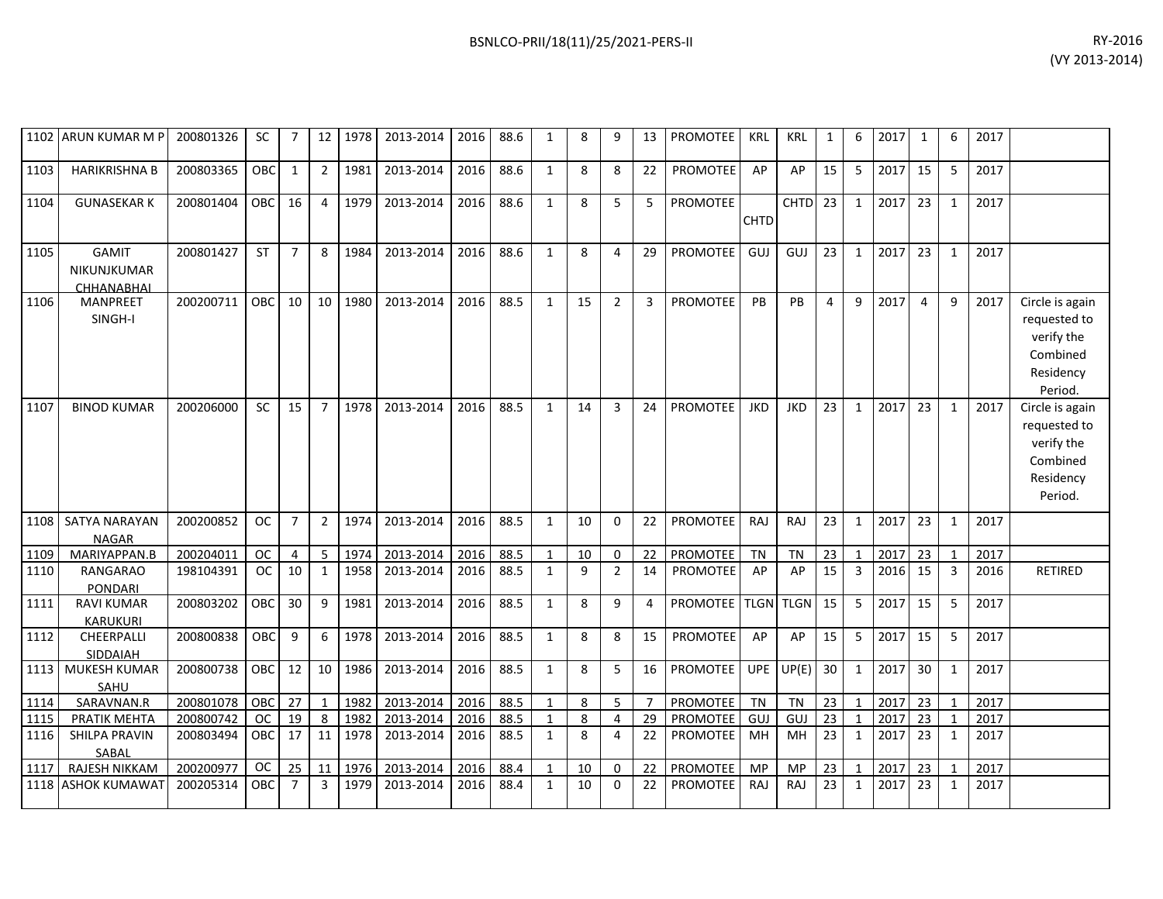| 1102   | ARUN KUMAR M P                            | 200801326 | <b>SC</b>  | 7              | 12             | 1978 | 2013-2014 | 2016 | 88.6 | 1            | 8  | 9              | 13       | <b>PROMOTEE</b> | <b>KRL</b>  | <b>KRL</b>  | 1               | 6              | 2017 | 1              | 6              | 2017 |                                                                                   |
|--------|-------------------------------------------|-----------|------------|----------------|----------------|------|-----------|------|------|--------------|----|----------------|----------|-----------------|-------------|-------------|-----------------|----------------|------|----------------|----------------|------|-----------------------------------------------------------------------------------|
| 1103   | <b>HARIKRISHNA B</b>                      | 200803365 | OBC        | 1              | $\overline{2}$ | 1981 | 2013-2014 | 2016 | 88.6 | 1            | 8  | 8              | 22       | <b>PROMOTEE</b> | AP          | AP          | 15              | 5              | 2017 | 15             | 5              | 2017 |                                                                                   |
| 1104   | <b>GUNASEKAR K</b>                        | 200801404 | OBC        | 16             | $\overline{4}$ | 1979 | 2013-2014 | 2016 | 88.6 | $\mathbf{1}$ | 8  | 5              | 5        | <b>PROMOTEE</b> | <b>CHTD</b> | <b>CHTD</b> | 23              | $\mathbf{1}$   | 2017 | 23             | $\mathbf{1}$   | 2017 |                                                                                   |
| 1105   | <b>GAMIT</b><br>NIKUNJKUMAR<br>CHHANABHAI | 200801427 | <b>ST</b>  | $\overline{7}$ | 8              | 1984 | 2013-2014 | 2016 | 88.6 | $\mathbf{1}$ | 8  | $\overline{4}$ | 29       | <b>PROMOTEE</b> | GUJ         | GUJ         | 23              | $\mathbf{1}$   | 2017 | 23             | $\mathbf{1}$   | 2017 |                                                                                   |
| 1106   | <b>MANPREET</b><br>SINGH-I                | 200200711 | <b>OBC</b> | 10             | 10             | 1980 | 2013-2014 | 2016 | 88.5 | $\mathbf{1}$ | 15 | $\overline{2}$ | 3        | <b>PROMOTEE</b> | PB          | PB          | $\overline{4}$  | 9              | 2017 | $\overline{4}$ | 9              | 2017 | Circle is again<br>requested to<br>verify the<br>Combined<br>Residency<br>Period. |
| 1107   | <b>BINOD KUMAR</b>                        | 200206000 | SC         | 15             | $\overline{7}$ | 1978 | 2013-2014 | 2016 | 88.5 | $\mathbf{1}$ | 14 | $\overline{3}$ | 24       | <b>PROMOTEE</b> | <b>JKD</b>  | <b>JKD</b>  | 23              | $\mathbf{1}$   | 2017 | 23             | $\mathbf{1}$   | 2017 | Circle is again<br>requested to<br>verify the<br>Combined<br>Residency<br>Period. |
| 1108   | <b>SATYA NARAYAN</b><br><b>NAGAR</b>      | 200200852 | <b>OC</b>  | $\overline{7}$ | $\overline{2}$ | 1974 | 2013-2014 | 2016 | 88.5 | $\mathbf{1}$ | 10 | $\Omega$       | 22       | <b>PROMOTEE</b> | RAJ         | RAJ         | 23              | $\mathbf{1}$   | 2017 | 23             | $\mathbf{1}$   | 2017 |                                                                                   |
| 1109   | MARIYAPPAN.B                              | 200204011 | <b>OC</b>  | $\overline{4}$ | 5              | 1974 | 2013-2014 | 2016 | 88.5 |              | 10 | $\mathbf 0$    | 22       | PROMOTEE        | <b>TN</b>   | <b>TN</b>   | 23              | $\mathbf{1}$   | 2017 | 23             | $\mathbf{1}$   | 2017 |                                                                                   |
| 1110   | RANGARAO<br><b>PONDARI</b>                | 198104391 | <b>OC</b>  | 10             | 1              | 1958 | 2013-2014 | 2016 | 88.5 | $\mathbf{1}$ | 9  | $\overline{2}$ | 14       | <b>PROMOTEE</b> | AP          | AP          | 15              | 3              | 2016 | 15             | 3              | 2016 | <b>RETIRED</b>                                                                    |
| 1111   | <b>RAVI KUMAR</b><br><b>KARUKURI</b>      | 200803202 | OBC        | 30             | 9              | 1981 | 2013-2014 | 2016 | 88.5 | $\mathbf{1}$ | 8  | 9              | $\Delta$ | PROMOTEE TLGN   |             | <b>TLGN</b> | 15              | 5              | 2017 | 15             | 5              | 2017 |                                                                                   |
| 1112   | CHEERPALLI<br>SIDDAIAH                    | 200800838 | <b>OBC</b> | 9              | 6              | 1978 | 2013-2014 | 2016 | 88.5 | $\mathbf{1}$ | 8  | 8              | 15       | <b>PROMOTEE</b> | AP          | AP          | 15              | 5              | 2017 | 15             | 5              | 2017 |                                                                                   |
| 1113   | <b>MUKESH KUMAR</b><br>SAHU               | 200800738 | <b>OBC</b> | 12             | 10             | 1986 | 2013-2014 | 2016 | 88.5 | $\mathbf{1}$ | 8  | 5              | 16       | <b>PROMOTEE</b> | <b>UPE</b>  | UP(E)       | 30 <sup>1</sup> | 1              | 2017 | 30             | $\mathbf{1}$   | 2017 |                                                                                   |
| 1114   | SARAVNAN.R                                | 200801078 | OBC        | 27             | $\mathbf{1}$   | 1982 | 2013-2014 | 2016 | 88.5 |              | 8  | 5              | 7        | <b>PROMOTEE</b> | TN          | <b>TN</b>   | 23              | 1              | 2017 | 23             | $\mathbf{1}$   | 2017 |                                                                                   |
| 1115 L | PRATIK MEHTA                              | 200800742 | OC.        | 19             | 8              | 1982 | 2013-2014 | 2016 | 88.5 | 1            | 8  | 4              | 29       | <b>PROMOTEE</b> | GUJ         | GUJ         | 23              | $\overline{1}$ | 2017 | 23             | $\overline{1}$ | 2017 |                                                                                   |

200803494 | OBC | 17 | 11 | 1978 | 2013-2014 | 2016 | 88.5 | 1 | 8 | 4 | 22 | PROMOTEE | MH | MH | 23 | 1 |2017 | 23 | 1 | 2017

1115| PRATIK MEHTA | 200800742 | OC | 19 | 8 | 1982| 2013-2014 | 2016| 88.5 | 1 | 8 | 4 | 29 | PROMOTEE | GUJ | GUJ | 23 | 1 | 2017| 23 | 1 | 2017

1117 RAJESH NIKKAM 200200977 OC 25 11 1976 2013-2014 2016 88.4 1 10 0 22 PROMOTEE MP MP 23 1 2017 23 1 2017 1118 ASHOK KUMAWAT 200205314 OBC 7 3 1979 2013-2014 2016 88.4 1 10 0 22 PROMOTEE RAJ RAJ 23 1 2017 23 1 2017

1116 SHILPA PRAVIN

SABAL<br>RAJESH NIKKAM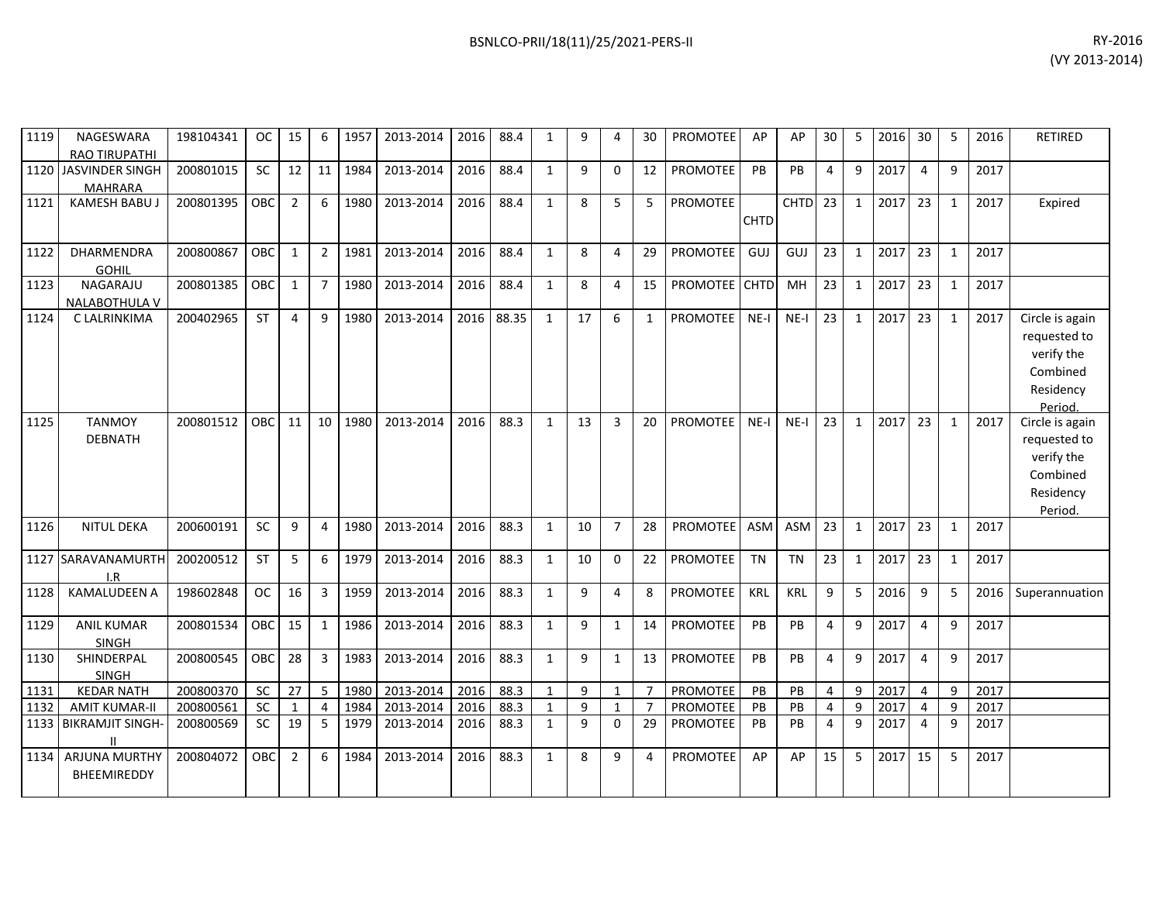| 1119 | NAGESWARA<br><b>RAO TIRUPATHI</b>        | 198104341 | OC.        | 15             | 6              | 1957 | 2013-2014 | 2016 | 88.4  | 1            | 9  | 4              | 30             | <b>PROMOTEE</b> | AP          | AP          | 30             | 5            | 2016 | 30             | 5            | 2016 | <b>RETIRED</b>                                                                    |
|------|------------------------------------------|-----------|------------|----------------|----------------|------|-----------|------|-------|--------------|----|----------------|----------------|-----------------|-------------|-------------|----------------|--------------|------|----------------|--------------|------|-----------------------------------------------------------------------------------|
| 1120 | JASVINDER SINGH<br><b>MAHRARA</b>        | 200801015 | SC         | 12             | 11             | 1984 | 2013-2014 | 2016 | 88.4  | $\mathbf{1}$ | 9  | $\Omega$       | 12             | <b>PROMOTEE</b> | PB          | PB          | $\overline{4}$ | 9            | 2017 | $\overline{a}$ | 9            | 2017 |                                                                                   |
| 1121 | KAMESH BABU.                             | 200801395 | <b>OBC</b> | $\overline{2}$ | 6              | 1980 | 2013-2014 | 2016 | 88.4  | $\mathbf{1}$ | 8  | 5              | 5              | PROMOTEE        | <b>CHTD</b> | <b>CHTD</b> | 23             | $\mathbf{1}$ | 2017 | 23             | $\mathbf{1}$ | 2017 | Expired                                                                           |
| 1122 | <b>DHARMENDRA</b><br><b>GOHIL</b>        | 200800867 | OBC        | $\mathbf{1}$   | $\overline{2}$ | 1981 | 2013-2014 | 2016 | 88.4  | $\mathbf{1}$ | 8  | 4              | 29             | <b>PROMOTEE</b> | GUJ         | GUJ         | 23             | $\mathbf{1}$ | 2017 | 23             | $\mathbf{1}$ | 2017 |                                                                                   |
| 1123 | NAGARAJU<br><b>NALABOTHULA V</b>         | 200801385 | OBC        | 1              | $\overline{7}$ | 1980 | 2013-2014 | 2016 | 88.4  | $\mathbf{1}$ | 8  | 4              | 15             | PROMOTEE CHTD   |             | MH          | 23             | $\mathbf{1}$ | 2017 | 23             | $\mathbf{1}$ | 2017 |                                                                                   |
| 1124 | C LALRINKIMA                             | 200402965 | <b>ST</b>  | 4              | $\mathsf{q}$   | 1980 | 2013-2014 | 2016 | 88.35 | $\mathbf{1}$ | 17 | 6              | $\mathbf{1}$   | PROMOTEE        | $NE-I$      | $NE-I$      | 23             | $\mathbf{1}$ | 2017 | 23             | $\mathbf{1}$ | 2017 | Circle is again<br>requested to<br>verify the<br>Combined<br>Residency<br>Period. |
| 1125 | <b>TANMOY</b><br><b>DEBNATH</b>          | 200801512 | OBC        | 11             | 10             | 1980 | 2013-2014 | 2016 | 88.3  | 1            | 13 | 3              | 20             | PROMOTEE        | $NE-I$      | $NE-I$      | 23             | $\mathbf{1}$ | 2017 | 23             | $\mathbf{1}$ | 2017 | Circle is again<br>requested to<br>verify the<br>Combined<br>Residency<br>Period. |
| 1126 | <b>NITUL DEKA</b>                        | 200600191 | SC         | 9              | 4              | 1980 | 2013-2014 | 2016 | 88.3  | $\mathbf{1}$ | 10 | $\overline{7}$ | 28             | PROMOTEE        | ASM         | ASM         | 23             | $\mathbf{1}$ | 2017 | 23             | $\mathbf{1}$ | 2017 |                                                                                   |
|      | 1127 SARAVANAMURTH<br>I.R                | 200200512 | <b>ST</b>  | 5              | 6              | 1979 | 2013-2014 | 2016 | 88.3  | $\mathbf{1}$ | 10 | $\Omega$       | 22             | PROMOTEE        | <b>TN</b>   | <b>TN</b>   | 23             | $\mathbf{1}$ | 2017 | 23             | 1            | 2017 |                                                                                   |
| 1128 | <b>KAMALUDEEN A</b>                      | 198602848 | OC         | 16             | 3              | 1959 | 2013-2014 | 2016 | 88.3  | $\mathbf{1}$ | 9  | 4              | 8              | PROMOTEE        | KRL         | KRL         | 9              | 5            | 2016 | 9              | 5            | 2016 | Superannuation                                                                    |
| 1129 | <b>ANIL KUMAR</b><br><b>SINGH</b>        | 200801534 | OBC        | 15             | $\mathbf{1}$   | 1986 | 2013-2014 | 2016 | 88.3  | $\mathbf{1}$ | 9  | $\mathbf{1}$   | 14             | PROMOTEE        | PB          | PB          | $\overline{4}$ | 9            | 2017 | 4              | 9            | 2017 |                                                                                   |
| 1130 | SHINDERPAL<br>SINGH                      | 200800545 | <b>OBC</b> | 28             | $\overline{3}$ | 1983 | 2013-2014 | 2016 | 88.3  | $\mathbf{1}$ | 9  | $\mathbf{1}$   | 13             | <b>PROMOTEE</b> | PB          | PB          | $\overline{4}$ | 9            | 2017 | $\overline{4}$ | 9            | 2017 |                                                                                   |
| 1131 | <b>KEDAR NATH</b>                        | 200800370 | <b>SC</b>  | 27             | 5              | 1980 | 2013-2014 | 2016 | 88.3  | $\mathbf{1}$ | 9  | $\mathbf{1}$   | $\overline{7}$ | <b>PROMOTEE</b> | PB          | PB          | $\overline{4}$ | 9            | 2017 | 4              | 9            | 2017 |                                                                                   |
| 1132 | <b>AMIT KUMAR-II</b>                     | 200800561 | <b>SC</b>  | $\mathbf{1}$   | 4              | 1984 | 2013-2014 | 2016 | 88.3  | $\mathbf{1}$ | 9  | $\mathbf{1}$   | $\overline{7}$ | <b>PROMOTEE</b> | PB          | PB          | 4              | 9            | 2017 | $\overline{4}$ | 9            | 2017 |                                                                                   |
|      | 1133 BIKRAMJIT SINGH-                    | 200800569 | SC         | 19             | 5              | 1979 | 2013-2014 | 2016 | 88.3  | $\mathbf{1}$ | 9  | $\mathbf 0$    | 29             | PROMOTEE        | PB          | PB          | $\overline{4}$ | 9            | 2017 | $\overline{4}$ | 9            | 2017 |                                                                                   |
|      | 1134 ARJUNA MURTHY<br><b>BHEEMIREDDY</b> | 200804072 | OBC        | $\overline{2}$ | 6              | 1984 | 2013-2014 | 2016 | 88.3  | $\mathbf{1}$ | 8  | 9              | 4              | <b>PROMOTEE</b> | AP          | AP          | 15             | 5            | 2017 | 15             | 5            | 2017 |                                                                                   |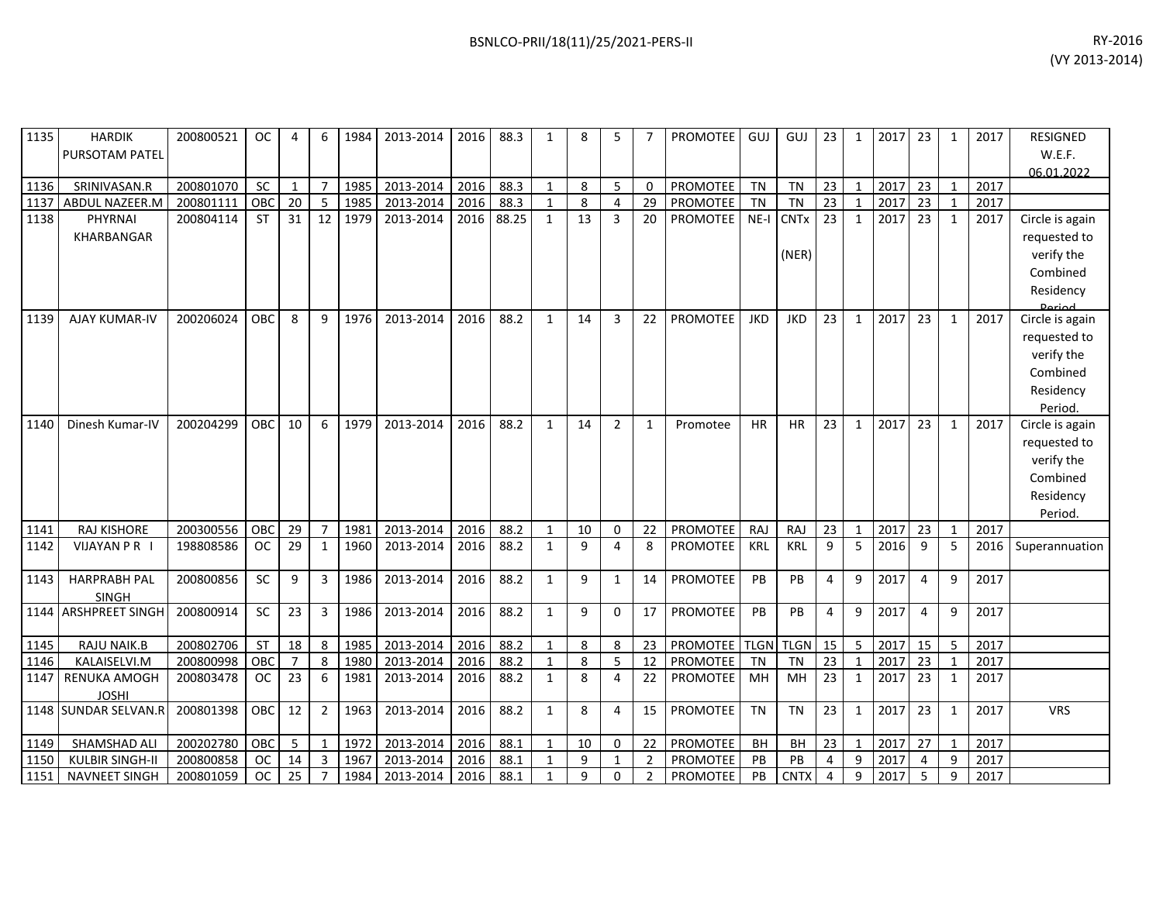| 1135 | <b>HARDIK</b>          | 200800521 | <b>OC</b>  | 4              | 6              | 1984 | 2013-2014 | 2016 | 88.3  | 1            | 8  | 5              |                | PROMOTEE GUJ           |            | GUJ         | 23 <sub>1</sub> | 1            | 2017 | 23 | 1            | 2017 | <b>RESIGNED</b> |
|------|------------------------|-----------|------------|----------------|----------------|------|-----------|------|-------|--------------|----|----------------|----------------|------------------------|------------|-------------|-----------------|--------------|------|----|--------------|------|-----------------|
|      | <b>PURSOTAM PATEL</b>  |           |            |                |                |      |           |      |       |              |    |                |                |                        |            |             |                 |              |      |    |              |      | W.E.F.          |
| 1136 | SRINIVASAN.R           | 200801070 | <b>SC</b>  | $\mathbf{1}$   | $\overline{7}$ | 1985 | 2013-2014 | 2016 | 88.3  | 1            | 8  | 5              | $\Omega$       | PROMOTEE               | <b>TN</b>  | <b>TN</b>   | 23              | 1            | 2017 | 23 | 1            | 2017 | 06.01.2022      |
| 1137 | ABDUL NAZEER.M         | 200801111 | OBC        | 20             | 5              | 1985 | 2013-2014 | 2016 | 88.3  | $\mathbf{1}$ | 8  | $\overline{4}$ | 29             | PROMOTEE               | <b>TN</b>  | <b>TN</b>   | 23              | $\mathbf{1}$ | 2017 | 23 |              | 2017 |                 |
| 1138 | PHYRNAI                | 200804114 | <b>ST</b>  | 31             | 12             | 1979 | 2013-2014 | 2016 | 88.25 | 1            | 13 | 3              | 20             | PROMOTEE               | NE-I       | <b>CNTx</b> | 23              | $\mathbf{1}$ | 2017 | 23 | $\mathbf{1}$ | 2017 | Circle is again |
|      | <b>KHARBANGAR</b>      |           |            |                |                |      |           |      |       |              |    |                |                |                        |            |             |                 |              |      |    |              |      | requested to    |
|      |                        |           |            |                |                |      |           |      |       |              |    |                |                |                        |            | (NER)       |                 |              |      |    |              |      | verify the      |
|      |                        |           |            |                |                |      |           |      |       |              |    |                |                |                        |            |             |                 |              |      |    |              |      | Combined        |
|      |                        |           |            |                |                |      |           |      |       |              |    |                |                |                        |            |             |                 |              |      |    |              |      | Residency       |
|      |                        |           |            |                |                |      |           |      |       |              |    |                |                |                        |            |             |                 |              |      |    |              |      | <b>Dariod</b>   |
| 1139 | <b>AJAY KUMAR-IV</b>   | 200206024 | <b>OBC</b> | 8              | 9              | 1976 | 2013-2014 | 2016 | 88.2  | 1            | 14 | 3              | 22             | <b>PROMOTEE</b>        | <b>JKD</b> | <b>JKD</b>  | 23              | $\mathbf{1}$ | 2017 | 23 | $\mathbf{1}$ | 2017 | Circle is again |
|      |                        |           |            |                |                |      |           |      |       |              |    |                |                |                        |            |             |                 |              |      |    |              |      | requested to    |
|      |                        |           |            |                |                |      |           |      |       |              |    |                |                |                        |            |             |                 |              |      |    |              |      | verify the      |
|      |                        |           |            |                |                |      |           |      |       |              |    |                |                |                        |            |             |                 |              |      |    |              |      | Combined        |
|      |                        |           |            |                |                |      |           |      |       |              |    |                |                |                        |            |             |                 |              |      |    |              |      | Residency       |
|      |                        |           |            |                |                |      |           |      |       |              |    |                |                |                        |            |             |                 |              |      |    |              |      | Period.         |
| 1140 | Dinesh Kumar-IV        | 200204299 | OBC        | 10             | 6              | 1979 | 2013-2014 | 2016 | 88.2  | 1            | 14 | $\overline{2}$ | $\mathbf{1}$   | Promotee               | <b>HR</b>  | <b>HR</b>   | 23              | $\mathbf{1}$ | 2017 | 23 | 1            | 2017 | Circle is again |
|      |                        |           |            |                |                |      |           |      |       |              |    |                |                |                        |            |             |                 |              |      |    |              |      | requested to    |
|      |                        |           |            |                |                |      |           |      |       |              |    |                |                |                        |            |             |                 |              |      |    |              |      | verify the      |
|      |                        |           |            |                |                |      |           |      |       |              |    |                |                |                        |            |             |                 |              |      |    |              |      | Combined        |
|      |                        |           |            |                |                |      |           |      |       |              |    |                |                |                        |            |             |                 |              |      |    |              |      | Residency       |
|      |                        |           |            |                |                |      |           |      |       |              |    |                |                |                        |            |             |                 |              |      |    |              |      | Period.         |
| 1141 | RAJ KISHORE            | 200300556 | OBC        | 29             | $\overline{7}$ | 1981 | 2013-2014 | 2016 | 88.2  | 1            | 10 | 0              | 22             | PROMOTEE               | <b>RAJ</b> | RAJ         | 23              | $\mathbf{1}$ | 2017 | 23 | 1            | 2017 |                 |
| 1142 | <b>VIJAYAN P R</b> I   | 198808586 | <b>OC</b>  | 29             | 1              | 1960 | 2013-2014 | 2016 | 88.2  | 1            | 9  | $\overline{4}$ | 8              | <b>PROMOTEE</b>        | KRL        | <b>KRL</b>  | 9               | 5            | 2016 | 9  | 5            | 2016 | Superannuation  |
| 1143 | <b>HARPRABH PAL</b>    | 200800856 | <b>SC</b>  | 9              | 3              | 1986 | 2013-2014 | 2016 | 88.2  | $\mathbf{1}$ | 9  | $\mathbf{1}$   | 14             | PROMOTEE               | PB         | <b>PB</b>   | 4               | 9            | 2017 | 4  | 9            | 2017 |                 |
|      | <b>SINGH</b>           |           |            |                |                |      |           |      |       |              |    |                |                |                        |            |             |                 |              |      |    |              |      |                 |
|      | 1144 ARSHPREET SINGH   | 200800914 | <b>SC</b>  | 23             | $\overline{3}$ | 1986 | 2013-2014 | 2016 | 88.2  | 1            | 9  | $\Omega$       | 17             | PROMOTEE               | PB         | <b>PB</b>   | 4               | 9            | 2017 | 4  | 9            | 2017 |                 |
|      |                        |           |            |                |                |      |           |      |       |              |    |                |                |                        |            |             |                 |              |      |    |              |      |                 |
| 1145 | RAJU NAIK.B            | 200802706 | <b>ST</b>  | 18             | 8              | 1985 | 2013-2014 | 2016 | 88.2  | 1            | 8  | 8              | 23             | PROMOTEE   TLGN   TLGN |            |             | 15              | 5            | 2017 | 15 | 5            | 2017 |                 |
| 1146 | KALAISELVI.M           | 200800998 | OBC        | $\overline{7}$ | 8              | 1980 | 2013-2014 | 2016 | 88.2  | 1            | 8  | 5              | 12             | <b>PROMOTEE</b>        | <b>TN</b>  | <b>TN</b>   | 23              | 1            | 2017 | 23 | 1            | 2017 |                 |
|      | 1147 RENUKA AMOGH      | 200803478 | <b>OC</b>  | 23             | 6              | 1981 | 2013-2014 | 2016 | 88.2  | 1            | 8  | 4              | 22             | PROMOTEE               | MH         | MH          | 23              | 1            | 2017 | 23 | 1            | 2017 |                 |
|      | <b>JOSHI</b>           |           |            |                |                |      |           |      |       |              |    |                |                |                        |            |             |                 |              |      |    |              |      |                 |
|      | 1148 SUNDAR SELVAN.R   | 200801398 | OBC        | 12             | $\overline{2}$ | 1963 | 2013-2014 | 2016 | 88.2  | 1            | 8  | 4              | 15             | PROMOTEE               | <b>TN</b>  | <b>TN</b>   | 23              | $\mathbf{1}$ | 2017 | 23 | $\mathbf{1}$ | 2017 | <b>VRS</b>      |
| 1149 | SHAMSHAD ALI           | 200202780 | OBC        | 5              | 1              | 1972 | 2013-2014 | 2016 | 88.1  | 1            | 10 | $\mathbf 0$    | 22             | PROMOTEE               | <b>BH</b>  | <b>BH</b>   | 23              | $\mathbf{1}$ | 2017 | 27 | $\mathbf{1}$ | 2017 |                 |
| 1150 | <b>KULBIR SINGH-II</b> | 200800858 | <b>OC</b>  | 14             | 3              | 1967 | 2013-2014 | 2016 | 88.1  | 1            | 9  | 1              | $\overline{2}$ | PROMOTEE               | PB         | PB          | 4               | 9            | 2017 | 4  | 9            | 2017 |                 |
| 1151 | NAVNEET SINGH          | 200801059 | <b>OC</b>  | 25             | $\overline{7}$ | 1984 | 2013-2014 | 2016 | 88.1  | $\mathbf{1}$ | 9  | $\Omega$       | $\overline{2}$ | <b>PROMOTEE</b>        | PB         | <b>CNTX</b> | $\overline{4}$  | 9            | 2017 | 5  | 9            | 2017 |                 |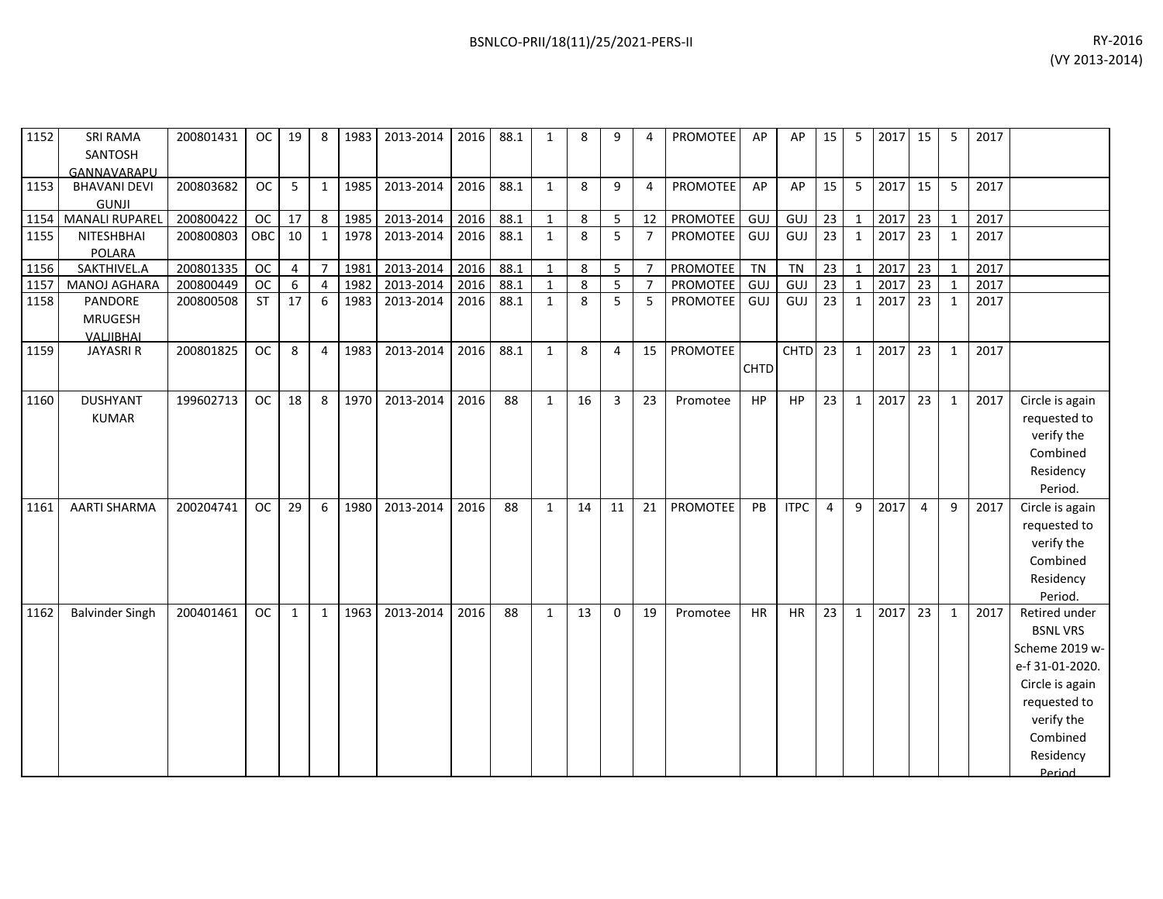| 1152 | <b>SRI RAMA</b>       | 200801431 | OC I       | 19 | 8  | 1983 | 2013-2014      | 2016   | 88.1 | 8 |   |    | <b>PROMOTEE</b> | AP        | AP. | 15 | 5 | 2017 | 15 | 2017 |  |
|------|-----------------------|-----------|------------|----|----|------|----------------|--------|------|---|---|----|-----------------|-----------|-----|----|---|------|----|------|--|
|      | SANTOSH               |           |            |    |    |      |                |        |      |   |   |    |                 |           |     |    |   |      |    |      |  |
|      | GANNAVARAPU           |           |            |    |    |      |                |        |      |   |   |    |                 |           |     |    |   |      |    |      |  |
| 1153 | BHAVANI DEVI          | 200803682 | OC .       |    |    | 1985 | 2013-2014      | 2016   | 88.1 | 8 | q | 4  | <b>PROMOTEE</b> | AP        | AP  | 15 | 5 | 2017 | 15 | 2017 |  |
|      | GUNJI                 |           |            |    |    |      |                |        |      |   |   |    |                 |           |     |    |   |      |    |      |  |
|      | 1154   MANALI RUPAREL | 200800422 | OC         | 17 | 8  | 1985 | 2013-2014      | 2016   | 88.1 | 8 |   | 12 | <b>PROMOTEE</b> | GUJ       | GUJ | 23 |   | 2017 | 23 | 2017 |  |
| 1155 | NITESHBHAI            | 200800803 | <b>OBC</b> | 10 |    | 1978 | 2013-2014      | 2016   | 88.1 | 8 |   |    | PROMOTEE        | GUJ       | GUJ | 23 |   | 2017 | 23 | 2017 |  |
|      | POLARA                |           |            |    |    |      |                |        |      |   |   |    |                 |           |     |    |   |      |    |      |  |
| 1156 | SAKTHIVEL.A           | 200801335 | OC .       | 4  |    | 1981 | 2013-2014      | 2016   | 88.1 | 8 |   |    | <b>PROMOTEE</b> | <b>TN</b> | TN  | 23 |   | 2017 | 23 | 2017 |  |
| 1157 | MANOJ AGHARA          | 200800449 | OC .       | 6  |    | 1982 | 2013-2014      | 2016   | 88.1 | 8 |   |    | <b>PROMOTEE</b> | GUJ       | GUJ | 23 |   | 2017 | 23 | 2017 |  |
| 1158 | PANDORE               | 200800508 | <b>ST</b>  | 17 | 6. |      | 1983 2013-2014 | 2016 l | 88.1 | 8 |   |    | PROMOTEE GUJ    |           | GUJ | 23 |   | 2017 | 23 | 2017 |  |

200800508 | ST | 17 | 6 | 1983 | 2013-2014 | 2016 | 88.1 | 1 | 8 | 5 | 5 | PROMOTEE | GUJ | GUJ | 23 | 1 |2017 | 23 | 1 | 2017

1161 AARTI SHARMA 200204741 OC 29 6 1980 2013-2014 2016 88 1 14 11 21 PROMOTEE PB ITPC 4 9 2017 4 9 2017 Circle is again

1162 | Balvinder Singh | 200401461 | OC | 1 | 1 | 1963 | 2013-2014 | 2016 | 88 | 1 | 13 | 0 | 19 | Promotee | HR | HR | 23 | 1 | 2017 | 23 | 1 | 2017 | Retired under

199602713 | OC | 18 | 8 | 1970 | 2013-2014 | 2016 | 88 | 1 | 16 | 3 | 23 | Promotee | HP | HP | 23 | 1 | 2017 | 23 | 1 | 2017 | Circle is again

CHTD

CHTD 23 1 2017 23 1 2017

1159 | JAYASRI R | 200801825 | OC | 8 | 4 | 1983 | 2013-2014 | 2016 | 88.1 | 1 | 8 | 4 | 15 | PROMOTEE

1160 DUSHYANT

PANDORE MRUGESH VALJIBHAI

KUMAR

requested to verify the Combined Residency Period.

requested to verify the Combined Residency Period.

BSNL VRS Scheme 2019 we-f 31-01-2020. Circle is again requested to verify the Combined Residency Period.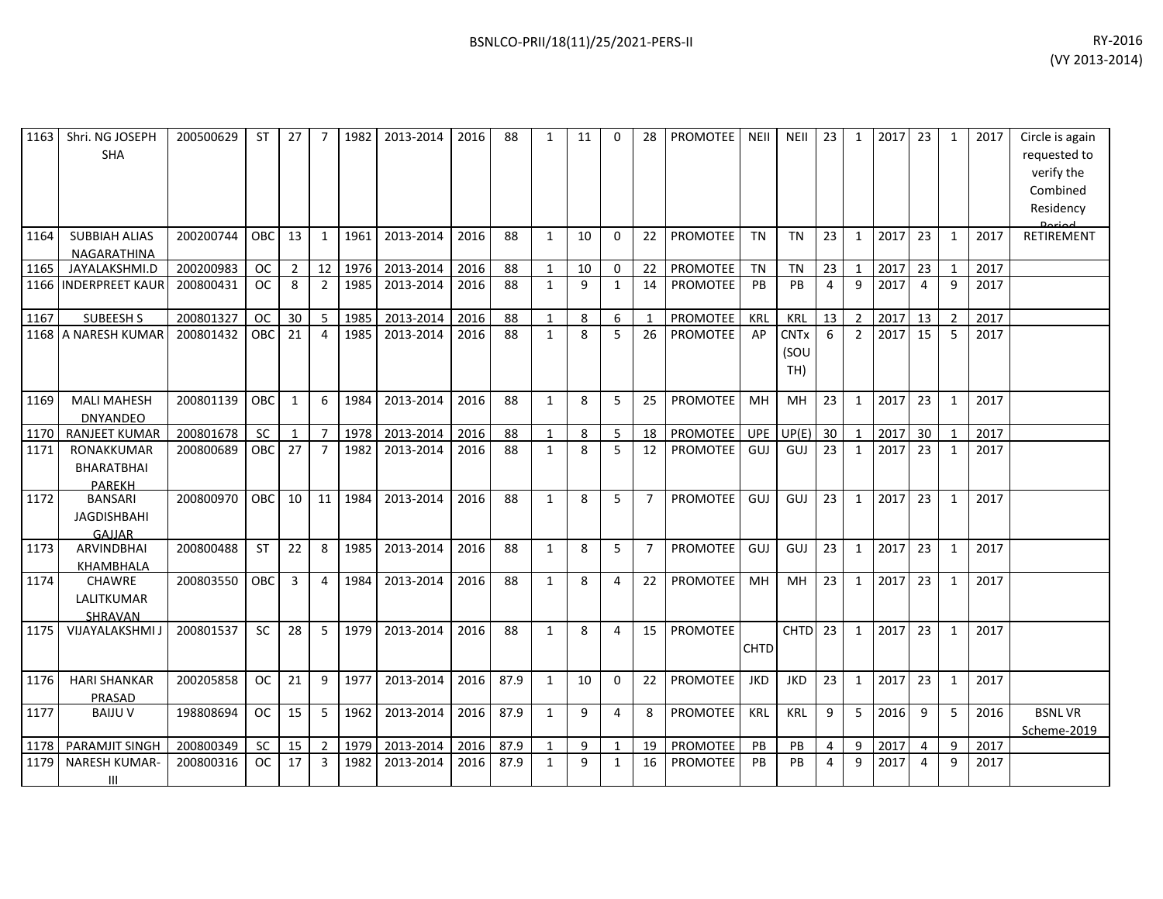| 1163 | Shri. NG JOSEPH<br><b>SHA</b>                    | 200500629 | <b>ST</b>     | 27             | 7              | 1982 | 2013-2014 | 2016 | 88   | $\mathbf{1}$ | 11           | $\Omega$       | 28             | PROMOTEE        | <b>NEII</b> | <b>NEII</b>                | 23             | $\mathbf{1}$   | 2017 | 23              | 1              | 2017 | Circle is again<br>requested to<br>verify the<br>Combined<br>Residency |
|------|--------------------------------------------------|-----------|---------------|----------------|----------------|------|-----------|------|------|--------------|--------------|----------------|----------------|-----------------|-------------|----------------------------|----------------|----------------|------|-----------------|----------------|------|------------------------------------------------------------------------|
| 1164 | <b>SUBBIAH ALIAS</b><br>NAGARATHINA              | 200200744 | OBC.          | 13             | $\mathbf{1}$   | 1961 | 2013-2014 | 2016 | 88   | $\mathbf{1}$ | 10           | $\Omega$       | 22             | <b>PROMOTEE</b> | <b>TN</b>   | <b>TN</b>                  | 23             | 1              | 2017 | 23              | $\mathbf{1}$   | 2017 | <b>RETIREMENT</b>                                                      |
| 1165 | JAYALAKSHMI.D                                    | 200200983 | <b>OC</b>     | $\overline{2}$ | 12             | 1976 | 2013-2014 | 2016 | 88   | $\mathbf{1}$ | 10           | $\mathbf 0$    | 22             | PROMOTEE        | <b>TN</b>   | TN                         | 23             | $\mathbf{1}$   | 2017 | 23              | 1              | 2017 |                                                                        |
| 1166 | <b>INDERPREET KAUR</b>                           | 200800431 | <sub>OC</sub> | 8              | $\overline{2}$ | 1985 | 2013-2014 | 2016 | 88   | $\mathbf{1}$ | 9            | $\mathbf{1}$   | 14             | PROMOTEE        | PB          | <b>PB</b>                  | $\overline{4}$ | 9              | 2017 | $\overline{4}$  | 9              | 2017 |                                                                        |
| 1167 | <b>SUBEESH S</b>                                 | 200801327 | <b>OC</b>     | 30             | 5              | 1985 | 2013-2014 | 2016 | 88   | $\mathbf{1}$ | 8            | 6              | $\mathbf{1}$   | PROMOTEE        | KRL         | <b>KRL</b>                 | 13             | $\overline{2}$ | 2017 | 13              | $\overline{2}$ | 2017 |                                                                        |
|      | 1168 A NARESH KUMAR                              | 200801432 | OBC           | 21             | $\overline{4}$ | 1985 | 2013-2014 | 2016 | 88   | $\mathbf{1}$ | 8            | 5              | 26             | <b>PROMOTEE</b> | AP          | <b>CNTx</b><br>(SOU<br>TH) | 6              | $\overline{2}$ | 2017 | 15              | 5              | 2017 |                                                                        |
| 1169 | <b>MALI MAHESH</b><br><b>DNYANDEO</b>            | 200801139 | OBC           | 1              | 6              | 1984 | 2013-2014 | 2016 | 88   | $\mathbf{1}$ | 8            | 5              | 25             | PROMOTEE        | MH          | MH                         | 23             | 1              | 2017 | 23              | $\mathbf{1}$   | 2017 |                                                                        |
| 1170 | <b>RANJEET KUMAR</b>                             | 200801678 | <b>SC</b>     | $\mathbf{1}$   | $\overline{7}$ | 1978 | 2013-2014 | 2016 | 88   | $\mathbf{1}$ | 8            | 5 <sup>1</sup> | 18             | <b>PROMOTEE</b> | <b>UPE</b>  | UP(E)                      | 30             | $\mathbf{1}$   | 2017 | 30 <sup>°</sup> | $\mathbf{1}$   | 2017 |                                                                        |
| 1171 | <b>RONAKKUMAR</b><br>BHARATBHAI<br><b>PARFKH</b> | 200800689 | OBC.          | 27             | $\overline{7}$ | 1982 | 2013-2014 | 2016 | 88   | $\mathbf{1}$ | 8            | 5              | 12             | <b>PROMOTEE</b> | GUJ         | GUJ                        | 23             | 1              | 2017 | 23              | $\mathbf{1}$   | 2017 |                                                                        |
| 1172 | <b>BANSARI</b><br><b>JAGDISHBAHI</b><br>GAIIAR   | 200800970 | OBC           | 10             | 11             | 1984 | 2013-2014 | 2016 | 88   | $\mathbf{1}$ | 8            | 5              | $\overline{7}$ | <b>PROMOTEE</b> | GUJ         | GUJ                        | 23             | 1              | 2017 | 23              | $\mathbf{1}$   | 2017 |                                                                        |
| 1173 | <b>ARVINDBHAI</b><br>KHAMBHALA                   | 200800488 | <b>ST</b>     | 22             | 8              | 1985 | 2013-2014 | 2016 | 88   | $\mathbf{1}$ | 8            | 5              | $\overline{7}$ | <b>PROMOTEE</b> | GUJ         | GUJ                        | 23             | 1              | 2017 | 23              | $\mathbf{1}$   | 2017 |                                                                        |
| 1174 | <b>CHAWRE</b><br>LALITKUMAR<br><b>SHRAVAN</b>    | 200803550 | <b>OBC</b>    | 3              | 4              | 1984 | 2013-2014 | 2016 | 88   | $\mathbf{1}$ | 8            | 4              | 22             | <b>PROMOTEE</b> | MH          | MH                         | 23             | $\mathbf{1}$   | 2017 | 23              | $\mathbf{1}$   | 2017 |                                                                        |
| 1175 | VIJAYALAKSHMI J                                  | 200801537 | <b>SC</b>     | 28             | 5              | 1979 | 2013-2014 | 2016 | 88   | $\mathbf{1}$ | 8            | 4              | 15             | <b>PROMOTEE</b> | <b>CHTD</b> | CHTD <sub>23</sub>         |                | 1              | 2017 | 23              | $\mathbf{1}$   | 2017 |                                                                        |
| 1176 | <b>HARI SHANKAR</b><br><b>PRASAD</b>             | 200205858 | <b>OC</b>     | 21             | 9              | 1977 | 2013-2014 | 2016 | 87.9 | $\mathbf{1}$ | 10           | $\Omega$       | 22             | <b>PROMOTEE</b> | <b>JKD</b>  | <b>JKD</b>                 | 23             | 1              | 2017 | 23              | $\mathbf{1}$   | 2017 |                                                                        |
| 1177 | <b>BAIJU V</b>                                   | 198808694 | <b>OC</b>     | 15             | 5              | 1962 | 2013-2014 | 2016 | 87.9 | $\mathbf{1}$ | 9            | $\overline{4}$ | 8              | PROMOTEE        | <b>KRL</b>  | <b>KRL</b>                 | 9              | 5              | 2016 | 9               | 5              | 2016 | <b>BSNLVR</b><br>Scheme-2019                                           |
| 1178 | PARAMJIT SINGH                                   | 200800349 | <b>SC</b>     | 15             | $\overline{2}$ | 1979 | 2013-2014 | 2016 | 87.9 | $\mathbf{1}$ | 9            | $\mathbf{1}$   | 19             | PROMOTEE        | PB          | PB                         | 4              | 9              | 2017 | $\overline{4}$  | 9              | 2017 |                                                                        |
| 1179 | <b>NARESH KUMAR-</b><br>III                      | 200800316 | <b>OC</b>     | 17             | 3              | 1982 | 2013-2014 | 2016 | 87.9 | $\mathbf{1}$ | $\mathbf{q}$ | $\mathbf{1}$   | 16             | <b>PROMOTEE</b> | PB          | PB                         | 4              | q              | 2017 | 4               | 9              | 2017 |                                                                        |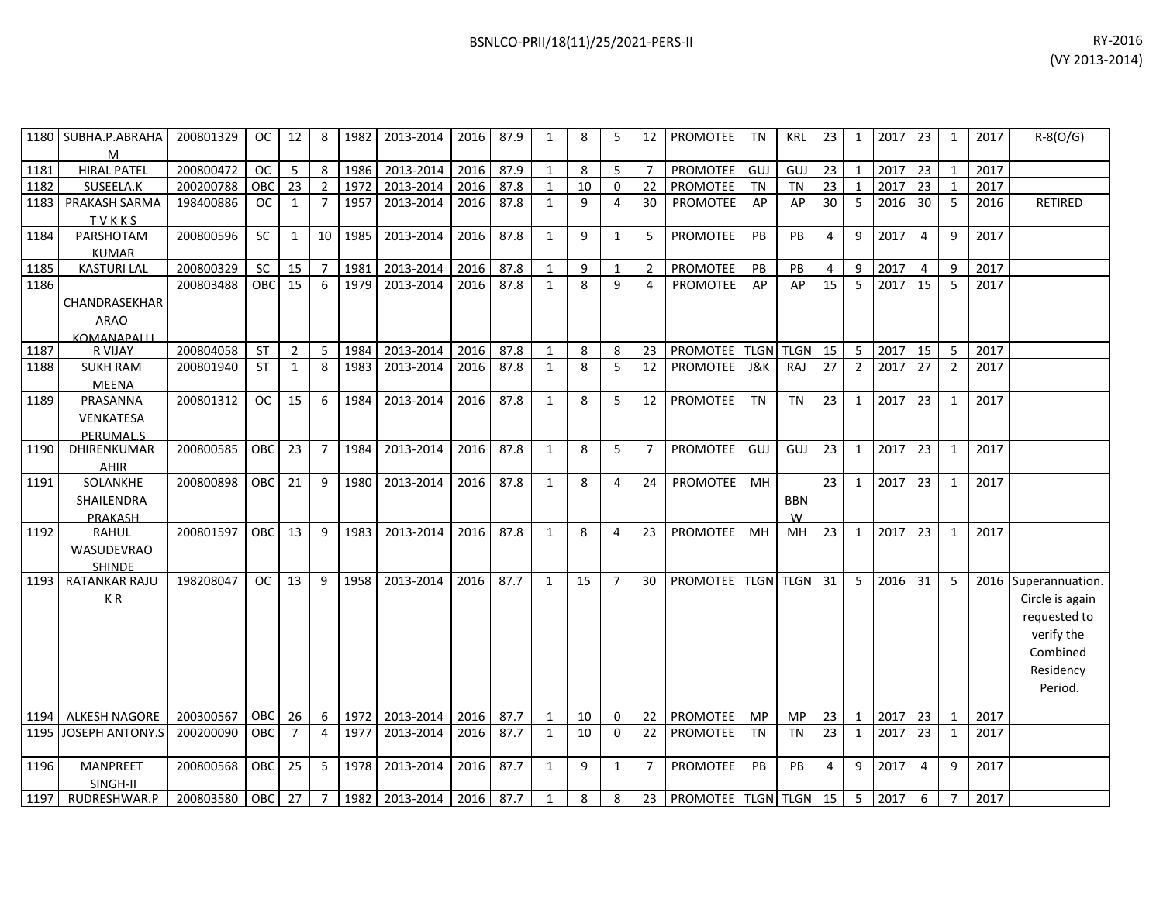|      | 1180 SUBHA.P.ABRAHA<br>м | 200801329 | OC.        | 12             | 8              | 1982 | 2013-2014 | 2016 | 87.9 | 1            | 8  | 5              | 12             | <b>PROMOTEE</b>        | TN          | <b>KRL</b>  | 23             | 1              | 2017 | 23 | 1              | 2017 | $R-S(O/G)$           |
|------|--------------------------|-----------|------------|----------------|----------------|------|-----------|------|------|--------------|----|----------------|----------------|------------------------|-------------|-------------|----------------|----------------|------|----|----------------|------|----------------------|
| 1181 | <b>HIRAL PATEL</b>       | 200800472 | <b>OC</b>  | 5              | 8              | 1986 | 2013-2014 | 2016 | 87.9 | $\mathbf{1}$ | 8  | 5              | $\overline{7}$ | PROMOTEE               | GUJ         | GUJ         | 23             | $\mathbf{1}$   | 2017 | 23 | $\mathbf{1}$   | 2017 |                      |
| 1182 | SUSEELA.K                | 200200788 | OBC        | 23             | $\overline{2}$ | 1972 | 2013-2014 | 2016 | 87.8 | $\mathbf{1}$ | 10 | $\mathbf 0$    | 22             | <b>PROMOTEE</b>        | <b>TN</b>   | <b>TN</b>   | 23             | $\mathbf{1}$   | 2017 | 23 | $\mathbf{1}$   | 2017 |                      |
| 1183 | PRAKASH SARMA            | 198400886 | <b>OC</b>  | 1              | $\overline{7}$ | 1957 | 2013-2014 | 2016 | 87.8 | $\mathbf{1}$ | 9  | 4              | 30             | PROMOTEE               | AP          | AP          | 30             | 5              | 2016 | 30 | -5             | 2016 | <b>RETIRED</b>       |
|      | TVKKS                    |           |            |                |                |      |           |      |      |              |    |                |                |                        |             |             |                |                |      |    |                |      |                      |
| 1184 | PARSHOTAM                | 200800596 | <b>SC</b>  | 1              | 10             | 1985 | 2013-2014 | 2016 | 87.8 | $\mathbf{1}$ | 9  | $\mathbf{1}$   | 5              | <b>PROMOTEE</b>        | PB          | PB          | $\overline{4}$ | 9              | 2017 | 4  | $\mathsf{q}$   | 2017 |                      |
|      | <b>KUMAR</b>             |           |            |                |                |      |           |      |      |              |    |                |                |                        |             |             |                |                |      |    |                |      |                      |
| 1185 | <b>KASTURI LAL</b>       | 200800329 | SC         | 15             | $\overline{7}$ | 1981 | 2013-2014 | 2016 | 87.8 | $\mathbf{1}$ | 9  | 1              | 2              | PROMOTEE               | PB          | PB          | 4              | 9              | 2017 | 4  | q              | 2017 |                      |
| 1186 |                          | 200803488 | OBC        | 15             | 6              | 1979 | 2013-2014 | 2016 | 87.8 | $\mathbf{1}$ | 8  | 9              | $\overline{4}$ | <b>PROMOTEE</b>        | AP          | AP          | 15             | 5              | 2017 | 15 | 5              | 2017 |                      |
|      | CHANDRASEKHAR            |           |            |                |                |      |           |      |      |              |    |                |                |                        |             |             |                |                |      |    |                |      |                      |
|      | <b>ARAO</b>              |           |            |                |                |      |           |      |      |              |    |                |                |                        |             |             |                |                |      |    |                |      |                      |
|      | <b>KOMANAPALLI</b>       |           |            |                |                |      |           |      |      |              |    |                |                |                        |             |             |                |                |      |    |                |      |                      |
| 1187 | R VIJAY                  | 200804058 | ST         | $\overline{2}$ | 5              | 1984 | 2013-2014 | 2016 | 87.8 | $\mathbf{1}$ | 8  | 8              | 23             | PROMOTEE               | <b>TLGN</b> | <b>TLGN</b> | 15             | 5              | 2017 | 15 | 5              | 2017 |                      |
| 1188 | <b>SUKH RAM</b>          | 200801940 | <b>ST</b>  | 1              | 8              | 1983 | 2013-2014 | 2016 | 87.8 | $\mathbf{1}$ | 8  | 5              | 12             | <b>PROMOTEE</b>        | J&K         | RAJ         | 27             | $\overline{2}$ | 2017 | 27 | $\overline{2}$ | 2017 |                      |
|      | <b>MEENA</b>             |           |            |                |                |      |           |      |      |              |    |                |                |                        |             |             |                |                |      |    |                |      |                      |
| 1189 | PRASANNA                 | 200801312 | <b>OC</b>  | 15             | 6              | 1984 | 2013-2014 | 2016 | 87.8 | $\mathbf{1}$ | 8  | 5              | 12             | PROMOTEE               | <b>TN</b>   | <b>TN</b>   | 23             | $\mathbf{1}$   | 2017 | 23 | 1              | 2017 |                      |
|      | VENKATESA                |           |            |                |                |      |           |      |      |              |    |                |                |                        |             |             |                |                |      |    |                |      |                      |
|      | <b>PERUMALS</b>          |           |            |                |                |      |           |      |      |              |    |                |                |                        |             |             |                |                |      |    |                |      |                      |
| 1190 | DHIRENKUMAR              | 200800585 | OBC        | 23             | $\overline{7}$ | 1984 | 2013-2014 | 2016 | 87.8 | $\mathbf{1}$ | 8  | 5              | $\overline{7}$ | PROMOTEE               | GUJ         | GUJ         | 23             | $\mathbf{1}$   | 2017 | 23 | $\mathbf{1}$   | 2017 |                      |
|      | AHIR                     |           |            |                |                |      |           |      |      |              |    |                |                |                        |             |             |                |                |      |    |                |      |                      |
| 1191 | SOLANKHE                 | 200800898 | OBC        | 21             | 9              | 1980 | 2013-2014 | 2016 | 87.8 | $\mathbf{1}$ | 8  | 4              | 24             | PROMOTEE               | MH          |             | 23             | $\mathbf{1}$   | 2017 | 23 | 1              | 2017 |                      |
|      | SHAILENDRA               |           |            |                |                |      |           |      |      |              |    |                |                |                        |             | <b>BBN</b>  |                |                |      |    |                |      |                      |
|      | PRAKASH                  |           |            |                |                |      |           |      |      |              |    |                |                |                        |             | W           |                |                |      |    |                |      |                      |
| 1192 | <b>RAHUL</b>             | 200801597 | <b>OBC</b> | 13             | 9              | 1983 | 2013-2014 | 2016 | 87.8 | $\mathbf{1}$ | 8  | 4              | 23             | <b>PROMOTEE</b>        | MH          | MН          | 23             | $\mathbf{1}$   | 2017 | 23 | $\mathbf{1}$   | 2017 |                      |
|      | WASUDEVRAO               |           |            |                |                |      |           |      |      |              |    |                |                |                        |             |             |                |                |      |    |                |      |                      |
|      | <b>SHINDE</b>            |           |            |                |                |      |           |      |      |              |    |                |                |                        |             |             |                |                |      |    |                |      |                      |
| 1193 | RATANKAR RAJU            | 198208047 | <b>OC</b>  | 13             | 9              | 1958 | 2013-2014 | 2016 | 87.7 | $\mathbf{1}$ | 15 | $\overline{7}$ | 30             | PROMOTEE   TLGN   TLGN |             |             | 31             | 5              | 2016 | 31 | -5             |      | 2016 Superannuation. |
|      | KR                       |           |            |                |                |      |           |      |      |              |    |                |                |                        |             |             |                |                |      |    |                |      | Circle is again      |
|      |                          |           |            |                |                |      |           |      |      |              |    |                |                |                        |             |             |                |                |      |    |                |      | requested to         |
|      |                          |           |            |                |                |      |           |      |      |              |    |                |                |                        |             |             |                |                |      |    |                |      | verify the           |
|      |                          |           |            |                |                |      |           |      |      |              |    |                |                |                        |             |             |                |                |      |    |                |      | Combined             |
|      |                          |           |            |                |                |      |           |      |      |              |    |                |                |                        |             |             |                |                |      |    |                |      | Residency            |
|      |                          |           |            |                |                |      |           |      |      |              |    |                |                |                        |             |             |                |                |      |    |                |      | Period.              |
|      |                          |           |            |                |                |      |           |      |      |              |    |                |                |                        |             |             |                |                |      |    |                |      |                      |
| 1194 | <b>ALKESH NAGORE</b>     | 200300567 | OBC        | 26             | 6              | 1972 | 2013-2014 | 2016 | 87.7 | $\mathbf{1}$ | 10 | $\mathbf 0$    | 22             | PROMOTEE               | MP          | <b>MP</b>   | 23             | $\mathbf{1}$   | 2017 | 23 | $\mathbf{1}$   | 2017 |                      |
| 1195 | <b>JOSEPH ANTONY.S</b>   | 200200090 | <b>OBC</b> | $\overline{7}$ | 4              | 1977 | 2013-2014 | 2016 | 87.7 | $\mathbf{1}$ | 10 | $\Omega$       | 22             | <b>PROMOTEE</b>        | <b>TN</b>   | <b>TN</b>   | 23             | $\mathbf{1}$   | 2017 | 23 | $\mathbf{1}$   | 2017 |                      |
| 1196 | MANPREET                 | 200800568 | OBC        | 25             | 5              | 1978 | 2013-2014 | 2016 | 87.7 | $\mathbf{1}$ | 9  | $\mathbf{1}$   | $\overline{7}$ | PROMOTEE               | PB          | PB          | $\overline{4}$ | 9              | 2017 | 4  | $\mathsf{q}$   | 2017 |                      |
|      | SINGH-II                 |           |            |                |                |      |           |      |      |              |    |                |                |                        |             |             |                |                |      |    |                |      |                      |
| 1197 | RUDRESHWAR.P             | 200803580 | <b>OBC</b> | 27             | $\overline{7}$ | 1982 | 2013-2014 | 2016 | 87.7 | $\mathbf{1}$ | 8  | 8              | 23             | PROMOTEE TLGN TLGN 15  |             |             |                | 5              | 2017 | 6  | $\overline{7}$ | 2017 |                      |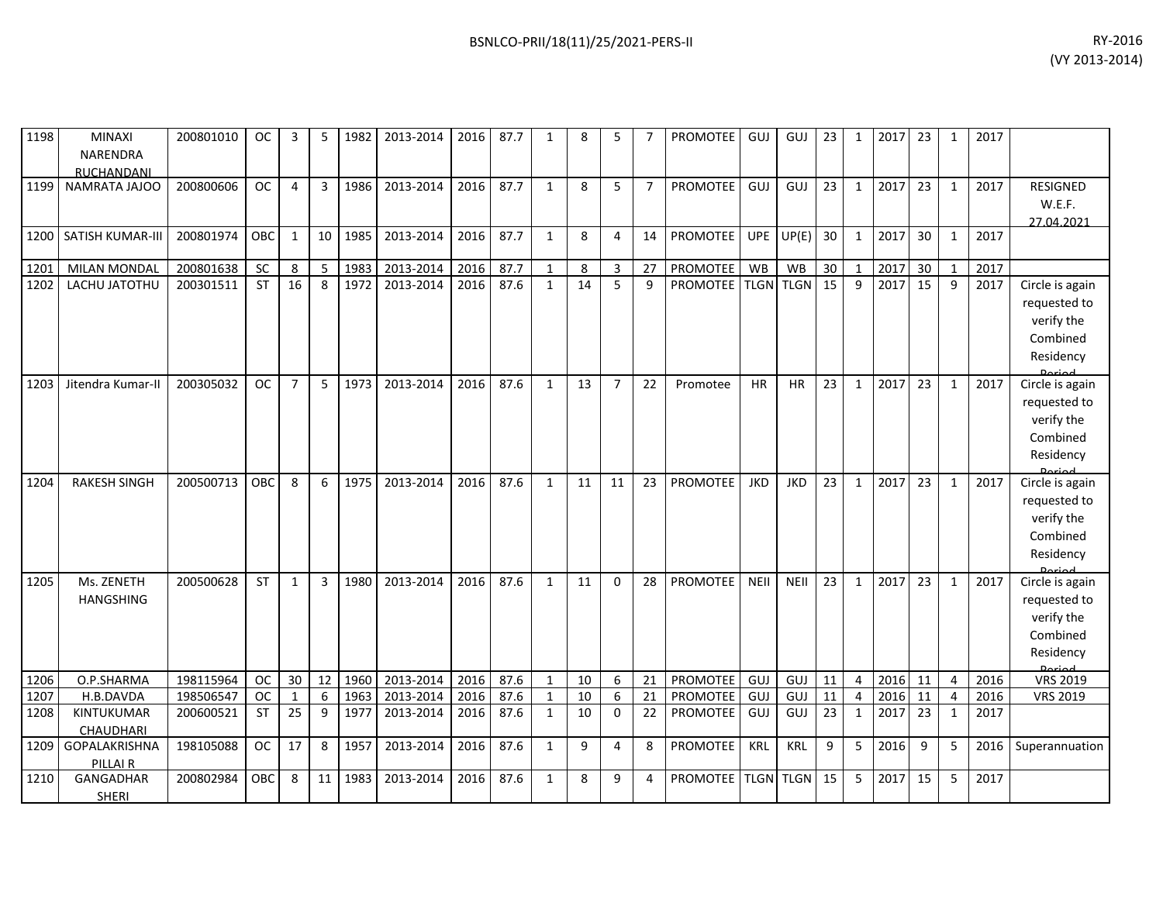| 1198 | MINAXI                  | 200801010 | <b>OC</b>  | 3              | 5  | 1982 | 2013-2014 | 2016 | 87.7 | $\mathbf{1}$ | 8            | 5              | 7              | PROMOTEE        | GUJ         | GUJ         | 23 | 1              | 2017 | 23 | 1              | 2017 |                            |
|------|-------------------------|-----------|------------|----------------|----|------|-----------|------|------|--------------|--------------|----------------|----------------|-----------------|-------------|-------------|----|----------------|------|----|----------------|------|----------------------------|
|      | NARENDRA                |           |            |                |    |      |           |      |      |              |              |                |                |                 |             |             |    |                |      |    |                |      |                            |
|      | RUCHANDANI              |           |            |                |    |      |           |      |      |              |              |                |                |                 |             |             |    |                |      |    |                |      |                            |
| 1199 | NAMRATA JAJOO           | 200800606 | <b>OC</b>  | 4              | 3  | 1986 | 2013-2014 | 2016 | 87.7 | $\mathbf{1}$ | $\mathbf{8}$ | 5              | $\overline{7}$ | PROMOTEE        | GUJ         | GUJ         | 23 | $\mathbf{1}$   | 2017 | 23 | $\mathbf{1}$   | 2017 | <b>RESIGNED</b>            |
|      |                         |           |            |                |    |      |           |      |      |              |              |                |                |                 |             |             |    |                |      |    |                |      | W.E.F.                     |
|      |                         |           |            |                |    |      |           |      |      |              |              |                |                |                 |             |             |    |                |      |    |                |      | 27.04.2021                 |
| 1200 | <b>SATISH KUMAR-III</b> | 200801974 | OBC        | $\mathbf{1}$   | 10 | 1985 | 2013-2014 | 2016 | 87.7 | $\mathbf{1}$ | 8            | 4              | 14             | <b>PROMOTEE</b> | <b>UPE</b>  | UP(E)       | 30 | $\mathbf{1}$   | 2017 | 30 | $\mathbf{1}$   | 2017 |                            |
|      |                         |           |            |                |    |      |           |      |      |              |              |                |                |                 |             |             |    |                |      |    |                |      |                            |
| 1201 | <b>MILAN MONDAL</b>     | 200801638 | SC         | 8              | -5 | 1983 | 2013-2014 | 2016 | 87.7 | $\mathbf{1}$ | 8            | 3              | 27             | PROMOTEE        | WB          | <b>WB</b>   | 30 | $\mathbf{1}$   | 2017 | 30 | $\mathbf{1}$   | 2017 |                            |
| 1202 | LACHU JATOTHU           | 200301511 | <b>ST</b>  | 16             | 8  | 1972 | 2013-2014 | 2016 | 87.6 | $\mathbf{1}$ | 14           | 5              | 9              | <b>PROMOTEE</b> | <b>TLGN</b> | <b>TLGN</b> | 15 | 9              | 2017 | 15 | 9              | 2017 | Circle is again            |
|      |                         |           |            |                |    |      |           |      |      |              |              |                |                |                 |             |             |    |                |      |    |                |      | requested to               |
|      |                         |           |            |                |    |      |           |      |      |              |              |                |                |                 |             |             |    |                |      |    |                |      | verify the                 |
|      |                         |           |            |                |    |      |           |      |      |              |              |                |                |                 |             |             |    |                |      |    |                |      | Combined                   |
|      |                         |           |            |                |    |      |           |      |      |              |              |                |                |                 |             |             |    |                |      |    |                |      | Residency                  |
|      |                         |           |            |                |    |      |           |      |      |              |              |                |                |                 |             |             |    |                |      |    |                |      |                            |
| 1203 | Jitendra Kumar-II       | 200305032 | <b>OC</b>  | $\overline{7}$ | 5  | 1973 | 2013-2014 | 2016 | 87.6 | $\mathbf{1}$ | 13           | $\overline{7}$ | 22             | Promotee        | <b>HR</b>   | <b>HR</b>   | 23 | 1              | 2017 | 23 | $\mathbf{1}$   | 2017 | Circle is again            |
|      |                         |           |            |                |    |      |           |      |      |              |              |                |                |                 |             |             |    |                |      |    |                |      | requested to               |
|      |                         |           |            |                |    |      |           |      |      |              |              |                |                |                 |             |             |    |                |      |    |                |      | verify the                 |
|      |                         |           |            |                |    |      |           |      |      |              |              |                |                |                 |             |             |    |                |      |    |                |      | Combined                   |
|      |                         |           |            |                |    |      |           |      |      |              |              |                |                |                 |             |             |    |                |      |    |                |      | Residency                  |
| 1204 | <b>RAKESH SINGH</b>     | 200500713 | OBC        | 8              | 6  | 1975 | 2013-2014 | 2016 | 87.6 | $\mathbf{1}$ | 11           | 11             | 23             | <b>PROMOTEE</b> | <b>JKD</b>  | <b>JKD</b>  | 23 | $\mathbf{1}$   | 2017 | 23 | $\mathbf{1}$   | 2017 | لممنعمه<br>Circle is again |
|      |                         |           |            |                |    |      |           |      |      |              |              |                |                |                 |             |             |    |                |      |    |                |      |                            |
|      |                         |           |            |                |    |      |           |      |      |              |              |                |                |                 |             |             |    |                |      |    |                |      | requested to               |
|      |                         |           |            |                |    |      |           |      |      |              |              |                |                |                 |             |             |    |                |      |    |                |      | verify the                 |
|      |                         |           |            |                |    |      |           |      |      |              |              |                |                |                 |             |             |    |                |      |    |                |      | Combined                   |
|      |                         |           |            |                |    |      |           |      |      |              |              |                |                |                 |             |             |    |                |      |    |                |      | Residency<br>Dorio d       |
| 1205 | Ms. ZENETH              | 200500628 | <b>ST</b>  | $\mathbf{1}$   | 3  | 1980 | 2013-2014 | 2016 | 87.6 | $\mathbf{1}$ | 11           | $\Omega$       | 28             | <b>PROMOTEE</b> | <b>NEII</b> | NEII        | 23 | $\mathbf{1}$   | 2017 | 23 | $\mathbf{1}$   | 2017 | Circle is again            |
|      | <b>HANGSHING</b>        |           |            |                |    |      |           |      |      |              |              |                |                |                 |             |             |    |                |      |    |                |      | requested to               |
|      |                         |           |            |                |    |      |           |      |      |              |              |                |                |                 |             |             |    |                |      |    |                |      | verify the                 |
|      |                         |           |            |                |    |      |           |      |      |              |              |                |                |                 |             |             |    |                |      |    |                |      | Combined                   |
|      |                         |           |            |                |    |      |           |      |      |              |              |                |                |                 |             |             |    |                |      |    |                |      | Residency                  |
|      |                         |           |            |                |    |      |           |      |      |              |              |                |                |                 |             |             |    |                |      |    |                |      | لممنعمه                    |
| 1206 | O.P.SHARMA              | 198115964 | <b>OC</b>  | 30             | 12 | 1960 | 2013-2014 | 2016 | 87.6 | $\mathbf{1}$ | 10           | 6              | 21             | PROMOTEE        | <b>GUJ</b>  | GUJ         | 11 | $\overline{4}$ | 2016 | 11 | $\overline{4}$ | 2016 | <b>VRS 2019</b>            |
| 1207 | H.B.DAVDA               | 198506547 | <b>OC</b>  | $\mathbf{1}$   | 6  | 1963 | 2013-2014 | 2016 | 87.6 | $\mathbf{1}$ | 10           | 6              | 21             | PROMOTEE        | GUJ         | GUJ         | 11 | $\overline{4}$ | 2016 | 11 | 4              | 2016 | <b>VRS 2019</b>            |
| 1208 | KINTUKUMAR              | 200600521 | ST         | 25             | 9  | 1977 | 2013-2014 | 2016 | 87.6 | $\mathbf{1}$ | 10           | $\mathbf 0$    | 22             | PROMOTEE        | GUJ         | GUJ         | 23 | $\mathbf{1}$   | 2017 | 23 | $\mathbf{1}$   | 2017 |                            |
|      | CHAUDHARI               |           |            |                |    |      |           |      |      |              |              |                |                |                 |             |             |    |                |      |    |                |      |                            |
| 1209 | GOPALAKRISHNA           | 198105088 | <b>OC</b>  | 17             | 8  | 1957 | 2013-2014 | 2016 | 87.6 | $\mathbf{1}$ | 9            | $\overline{4}$ | 8              | <b>PROMOTEE</b> | KRL         | <b>KRL</b>  | 9  | 5              | 2016 | 9  | 5              | 2016 | Superannuation             |
|      | PILLAI R                |           |            |                |    |      |           |      |      |              |              |                |                |                 |             |             |    |                |      |    |                |      |                            |
| 1210 | GANGADHAR               | 200802984 | <b>OBC</b> | 8              | 11 | 1983 | 2013-2014 | 2016 | 87.6 | $\mathbf{1}$ | 8            | 9              | 4              | <b>PROMOTEE</b> | <b>TLGN</b> | <b>TLGN</b> | 15 | 5              | 2017 | 15 | 5              | 2017 |                            |
|      | <b>SHERI</b>            |           |            |                |    |      |           |      |      |              |              |                |                |                 |             |             |    |                |      |    |                |      |                            |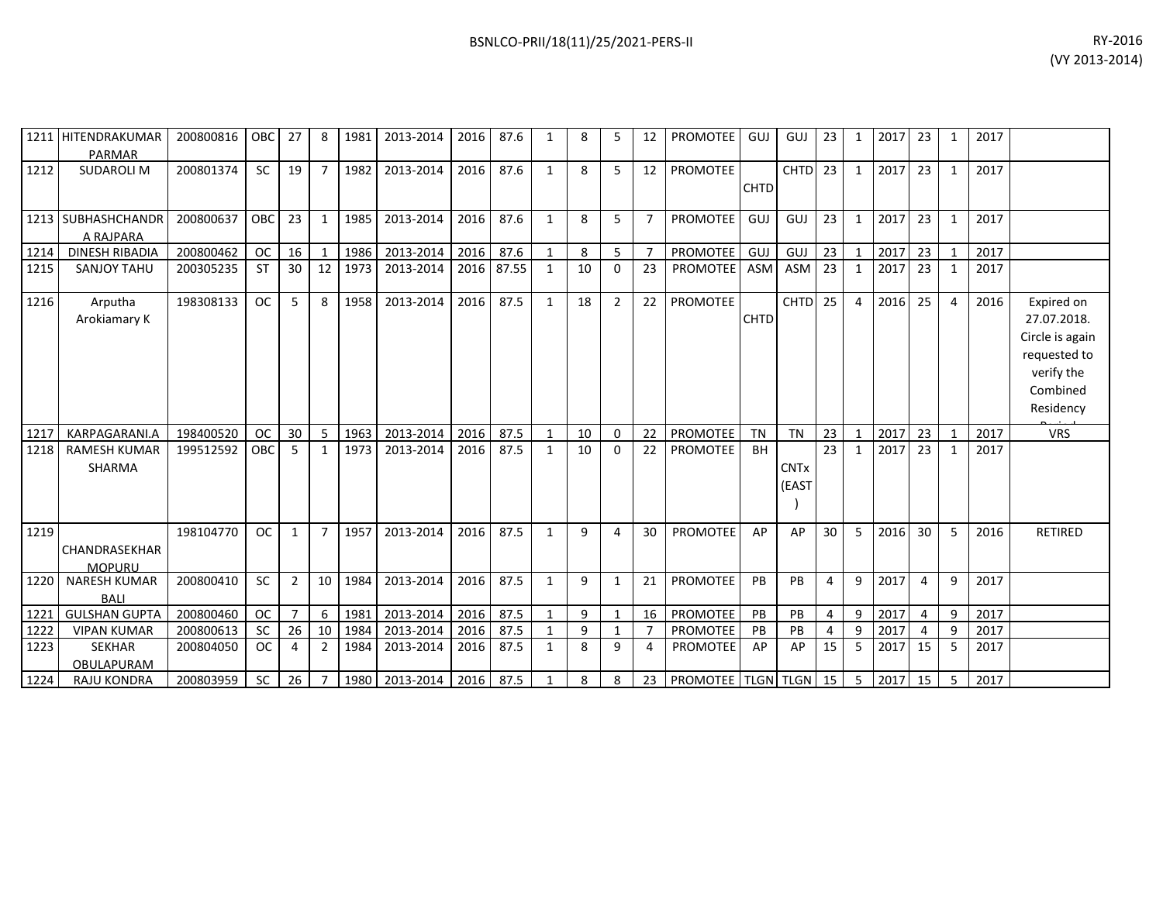|      | 1211 HITENDRAKUMAR<br><b>PARMAR</b> | 200800816 | OBC       | 27 | 8              | 1981 | 2013-2014 | 2016 | 87.6  | 1            | 8            |                | 12             | <b>PROMOTEE</b>    | GUJ         | GUJ                             | 23             | $\mathbf{1}$ | 2017 | 23             | 1 | 2017 |                                                                                                     |
|------|-------------------------------------|-----------|-----------|----|----------------|------|-----------|------|-------|--------------|--------------|----------------|----------------|--------------------|-------------|---------------------------------|----------------|--------------|------|----------------|---|------|-----------------------------------------------------------------------------------------------------|
| 1212 | <b>SUDAROLI M</b>                   | 200801374 | <b>SC</b> | 19 | $\overline{7}$ | 1982 | 2013-2014 | 2016 | 87.6  | $\mathbf{1}$ | 8            | 5              | 12             | PROMOTEE           | <b>CHTD</b> | <b>CHTD</b>                     | 23             | $\mathbf{1}$ | 2017 | 23             | 1 | 2017 |                                                                                                     |
| 1213 | <b>SUBHASHCHANDR</b><br>A RAJPARA   | 200800637 | OBC       | 23 | $\mathbf{1}$   | 1985 | 2013-2014 | 2016 | 87.6  | $\mathbf{1}$ | 8            | 5              | $\overline{7}$ | <b>PROMOTEE</b>    | GUJ         | GUJ                             | 23             | $\mathbf{1}$ | 2017 | 23             | 1 | 2017 |                                                                                                     |
| 1214 | <b>DINESH RIBADIA</b>               | 200800462 | <b>OC</b> | 16 |                | 1986 | 2013-2014 | 2016 | 87.6  | $\mathbf{1}$ | 8            | 5              | 7              | <b>PROMOTEE</b>    | GUJ         | GUJ                             | 23             | $\mathbf{1}$ | 2017 | 23             |   | 2017 |                                                                                                     |
| 1215 | <b>SANJOY TAHU</b>                  | 200305235 | <b>ST</b> | 30 | 12             | 1973 | 2013-2014 | 2016 | 87.55 | $\mathbf{1}$ | 10           | $\Omega$       | 23             | <b>PROMOTEE</b>    | ASM         | ASM                             | 23             | $\mathbf{1}$ | 2017 | 23             |   | 2017 |                                                                                                     |
| 1216 | Arputha<br>Arokiamary K             | 198308133 | <b>OC</b> | 5  | 8              | 1958 | 2013-2014 | 2016 | 87.5  | $\mathbf{1}$ | 18           | $\overline{2}$ | 22             | <b>PROMOTEE</b>    | <b>CHTD</b> | <b>CHTD</b>                     | 25             | 4            | 2016 | 25             | 4 | 2016 | Expired on<br>27.07.2018.<br>Circle is again<br>requested to<br>verify the<br>Combined<br>Residency |
| 1217 | KARPAGARANI.A                       | 198400520 | <b>OC</b> | 30 | 5              | 1963 | 2013-2014 | 2016 | 87.5  | $\mathbf{1}$ | 10           | $\mathbf{0}$   | 22             | PROMOTEE           | <b>TN</b>   | <b>TN</b>                       | 23             | $\mathbf{1}$ | 2017 | 23             |   | 2017 | <b>VRS</b>                                                                                          |
| 1218 | <b>RAMESH KUMAR</b><br>SHARMA       | 199512592 | OBC       | 5  | 1              | 1973 | 2013-2014 | 2016 | 87.5  | 1            | 10           | 0              | 22             | <b>PROMOTEE</b>    | <b>BH</b>   | <b>CNT<sub>x</sub></b><br>(EAST | 23             | 1            | 2017 | 23             |   | 2017 |                                                                                                     |
| 1219 | CHANDRASEKHAR<br><b>MOPURU</b>      | 198104770 | <b>OC</b> | 1  |                | 1957 | 2013-2014 | 2016 | 87.5  | $\mathbf{1}$ | 9            | 4              | 30             | <b>PROMOTEE</b>    | AP          | AP                              | 30             | 5            | 2016 | 30             | 5 | 2016 | <b>RETIRED</b>                                                                                      |
| 1220 | <b>NARESH KUMAR</b><br><b>BALI</b>  | 200800410 | <b>SC</b> | 2  | 10             | 1984 | 2013-2014 | 2016 | 87.5  | $\mathbf{1}$ | $\mathsf{q}$ | 1              | 21             | <b>PROMOTEE</b>    | PB          | PB                              | $\overline{4}$ | 9            | 2017 | 4              | 9 | 2017 |                                                                                                     |
| 1221 | <b>GULSHAN GUPTA</b>                | 200800460 | <b>OC</b> |    | 6              | 1981 | 2013-2014 | 2016 | 87.5  | $\mathbf{1}$ | 9            | $\mathbf{1}$   | 16             | PROMOTEE           | PB          | PB                              | $\overline{4}$ | 9            | 2017 | $\overline{4}$ | 9 | 2017 |                                                                                                     |
| 1222 | <b>VIPAN KUMAR</b>                  | 200800613 | <b>SC</b> | 26 | 10             | 1984 | 2013-2014 | 2016 | 87.5  | $\mathbf{1}$ | 9            | $\mathbf 1$    |                | <b>PROMOTEE</b>    | PB          | PB                              | $\overline{4}$ | 9            | 2017 | 4              | 9 | 2017 |                                                                                                     |
| 1223 | <b>SEKHAR</b><br>OBULAPURAM         | 200804050 | <b>OC</b> | 4  | $\overline{2}$ | 1984 | 2013-2014 | 2016 | 87.5  | $\mathbf{1}$ | 8            | 9              | 4              | <b>PROMOTEE</b>    | AP          | AP                              | 15             | 5            | 2017 | 15             | 5 | 2017 |                                                                                                     |
| 1224 | <b>RAJU KONDRA</b>                  | 200803959 | <b>SC</b> | 26 |                | 1980 | 2013-2014 | 2016 | 87.5  |              | 8            | 8              | 23             | PROMOTEE TLGN TLGN |             |                                 | 15             | -5           | 2017 | 15             | 5 | 2017 |                                                                                                     |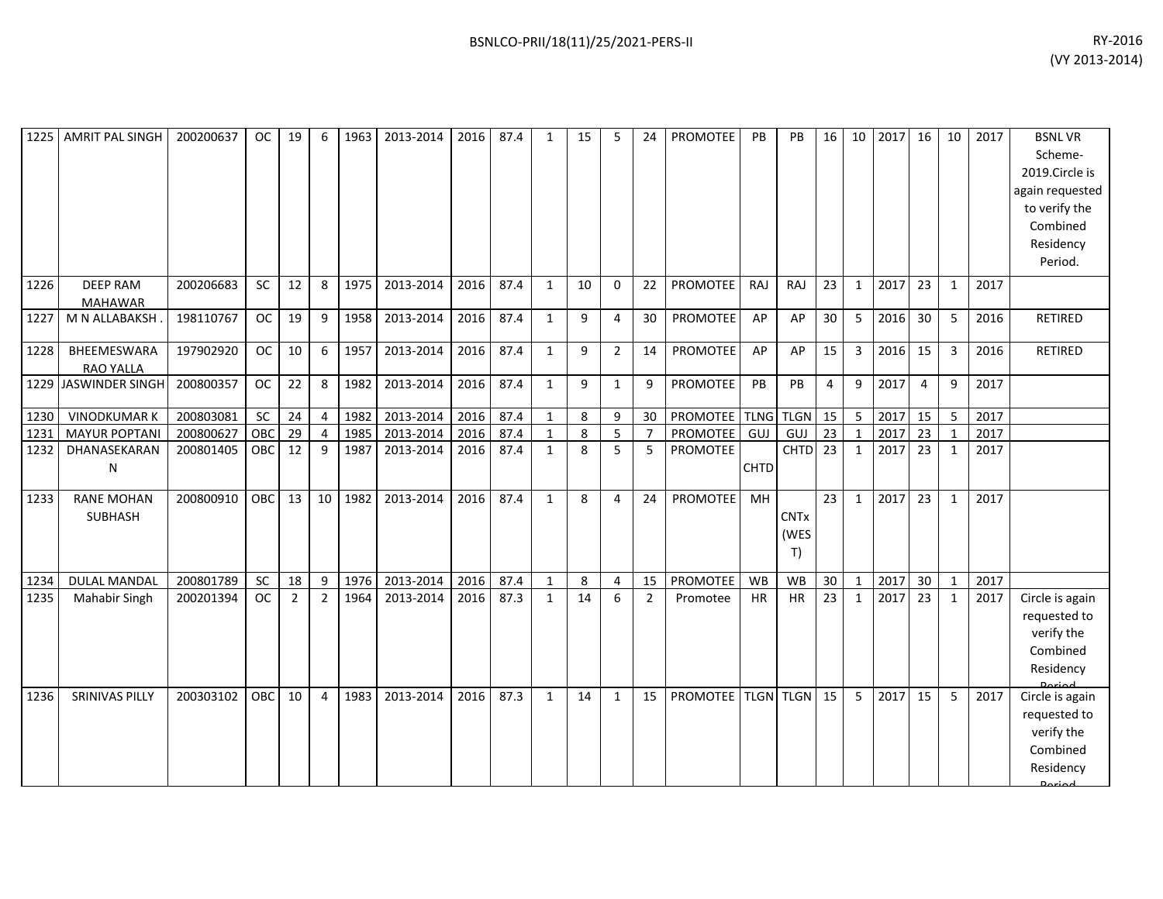| 1225 | <b>AMRIT PAL SINGH</b>              | 200200637 | <b>OC</b> | 19              | 6               | 1963 | 2013-2014 | 2016 | 87.4 | 1            | 15 | 5                | 24             | PROMOTEE        | PB          | PB                        | 16              | 10           | 2017 | 16             | 10           | 2017 | <b>BSNLVR</b><br>Scheme-<br>2019.Circle is<br>again requested<br>to verify the<br>Combined<br>Residency<br>Period. |
|------|-------------------------------------|-----------|-----------|-----------------|-----------------|------|-----------|------|------|--------------|----|------------------|----------------|-----------------|-------------|---------------------------|-----------------|--------------|------|----------------|--------------|------|--------------------------------------------------------------------------------------------------------------------|
| 1226 | <b>DEEP RAM</b><br><b>MAHAWAR</b>   | 200206683 | <b>SC</b> | 12              | 8               | 1975 | 2013-2014 | 2016 | 87.4 | $\mathbf{1}$ | 10 | $\Omega$         | 22             | <b>PROMOTEE</b> | RAJ         | <b>RAJ</b>                | 23              | $\mathbf{1}$ | 2017 | 23             | $\mathbf{1}$ | 2017 |                                                                                                                    |
| 1227 | M N ALLABAKSH                       | 198110767 | <b>OC</b> | 19              | 9               | 1958 | 2013-2014 | 2016 | 87.4 | $\mathbf{1}$ | 9  | $\overline{4}$   | 30             | PROMOTEE        | AP          | AP                        | 30              | 5            | 2016 | 30             | 5            | 2016 | <b>RETIRED</b>                                                                                                     |
| 1228 | BHEEMESWARA<br><b>RAO YALLA</b>     | 197902920 | <b>OC</b> | 10 <sup>°</sup> | 6               | 1957 | 2013-2014 | 2016 | 87.4 | $\mathbf{1}$ | 9  | $\overline{2}$   | 14             | <b>PROMOTEE</b> | AP          | AP                        | 15              | 3            | 2016 | 15             | 3            | 2016 | <b>RETIRED</b>                                                                                                     |
|      | 1229 JASWINDER SINGH                | 200800357 | OC        | 22              | 8               | 1982 | 2013-2014 | 2016 | 87.4 | $\mathbf{1}$ | 9  | $\mathbf{1}$     | 9              | PROMOTEE        | PB          | PB                        | $\overline{4}$  | 9            | 2017 | $\overline{4}$ | 9            | 2017 |                                                                                                                    |
| 1230 | <b>VINODKUMAR K</b>                 | 200803081 | SC        | 24              | $\overline{4}$  | 1982 | 2013-2014 | 2016 | 87.4 | $\mathbf{1}$ | 8  | $\boldsymbol{9}$ | 30             | PROMOTEE TLNG   |             | <b>TLGN</b>               | 15              | $\mathsf S$  | 2017 | 15             | 5            | 2017 |                                                                                                                    |
| 1231 | <b>MAYUR POPTANI</b>                | 200800627 | OBC       | 29              | 4               | 1985 | 2013-2014 | 2016 | 87.4 | $\mathbf{1}$ | 8  | 5                | $\overline{7}$ | PROMOTEE        | GUJ         | GUJ                       | $\overline{23}$ |              | 2017 | 23             |              | 2017 |                                                                                                                    |
| 1232 | DHANASEKARAN<br>N                   | 200801405 | OBC       | 12              | 9               | 1987 | 2013-2014 | 2016 | 87.4 | $\mathbf{1}$ | 8  | 5                | 5              | <b>PROMOTEE</b> | <b>CHTD</b> | CHTD <sub>23</sub>        |                 | $\mathbf{1}$ | 2017 | 23             | $\mathbf{1}$ | 2017 |                                                                                                                    |
| 1233 | <b>RANE MOHAN</b><br><b>SUBHASH</b> | 200800910 | OBC       | 13 <sup>1</sup> | 10 <sup>1</sup> | 1982 | 2013-2014 | 2016 | 87.4 | $\mathbf{1}$ | 8  | 4                | 24             | <b>PROMOTEE</b> | MH          | <b>CNTx</b><br>(WES<br>T) | 23              | $\mathbf{1}$ | 2017 | 23             | $\mathbf{1}$ | 2017 |                                                                                                                    |
| 1234 | DULAL MANDAL                        | 200801789 | <b>SC</b> | 18              | 9               | 1976 | 2013-2014 | 2016 | 87.4 | $\mathbf{1}$ | 8  | 4                | 15             | <b>PROMOTEE</b> | WB          | WB                        | 30              | 1            | 2017 | 30             | $\mathbf{1}$ | 2017 |                                                                                                                    |
| 1235 | <b>Mahabir Singh</b>                | 200201394 | OC        | $\overline{2}$  | $\overline{2}$  | 1964 | 2013-2014 | 2016 | 87.3 | $\mathbf{1}$ | 14 | 6                | $\overline{2}$ | Promotee        | HR          | <b>HR</b>                 | 23              | $\mathbf{1}$ | 2017 | 23             | $\mathbf{1}$ | 2017 | Circle is again<br>requested to<br>verify the<br>Combined<br>Residency<br><b>Doriad</b>                            |
| 1236 | <b>SRINIVAS PILLY</b>               | 200303102 | OBC       | 10              | 4               | 1983 | 2013-2014 | 2016 | 87.3 | $\mathbf{1}$ | 14 | 1                | 15             | PROMOTEE        |             | <b>TLGN</b> TLGN          | 15              | 5            | 2017 | 15             | 5            | 2017 | Circle is again<br>requested to<br>verify the<br>Combined<br>Residency<br>لممنعمه                                  |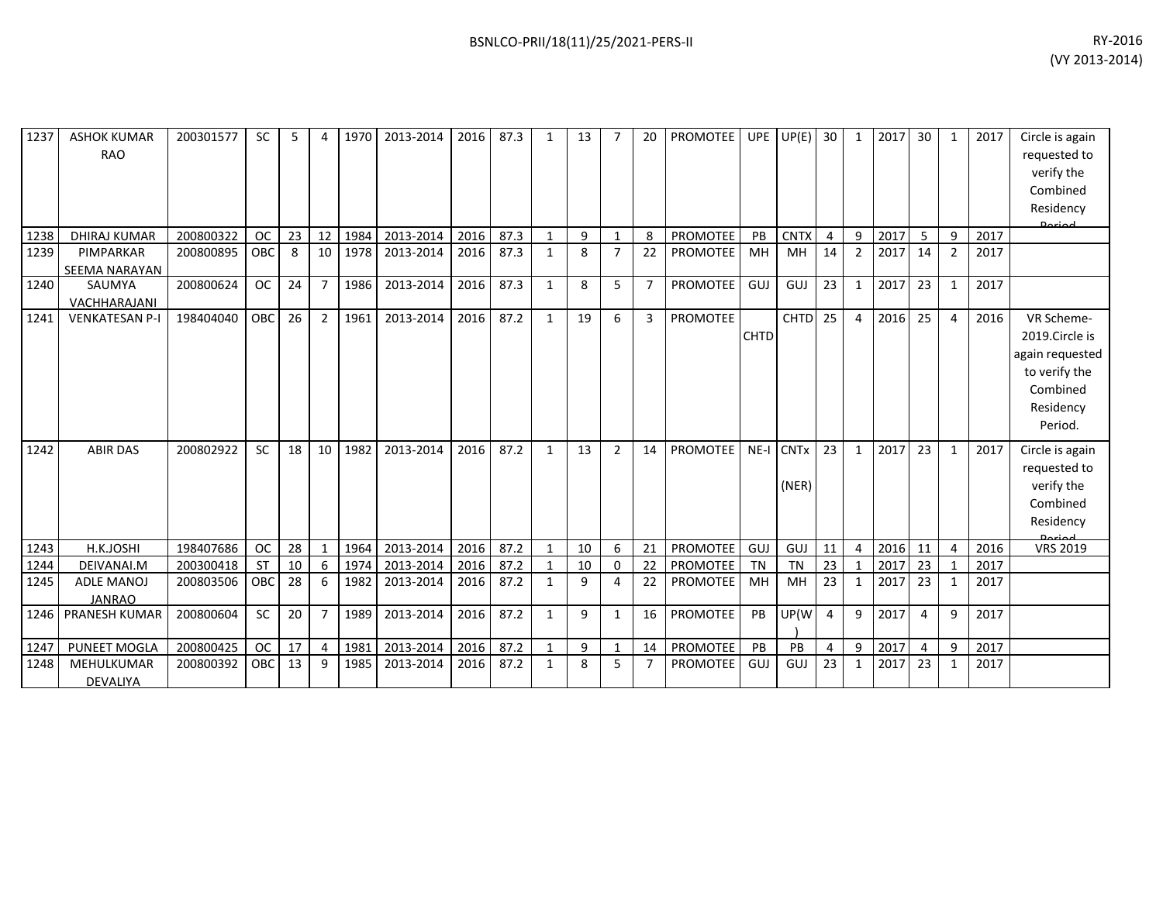| 1237 | <b>ASHOK KUMAR</b><br><b>RAO</b>   | 200301577 | <b>SC</b>  | 5               |                | 1970 | 2013-2014 | 2016 | 87.3 | 1            | 13 |                | 20             | PROMOTEE        | UPE         | UP(E)                          | 30             | 1              | 2017 | 30             | 1              | 2017 | Circle is again<br>requested to<br>verify the<br>Combined<br>Residency<br>Doriad                     |
|------|------------------------------------|-----------|------------|-----------------|----------------|------|-----------|------|------|--------------|----|----------------|----------------|-----------------|-------------|--------------------------------|----------------|----------------|------|----------------|----------------|------|------------------------------------------------------------------------------------------------------|
| 1238 | <b>DHIRAJ KUMAR</b>                | 200800322 | <b>OC</b>  | 23              | 12             | 1984 | 2013-2014 | 2016 | 87.3 | 1            | 9  | 1              | 8              | <b>PROMOTEE</b> | PB          | <b>CNTX</b>                    | $\overline{4}$ | 9              | 2017 | -5             | 9              | 2017 |                                                                                                      |
| 1239 | PIMPARKAR<br><b>SEEMA NARAYAN</b>  | 200800895 | OBC        | 8               | 10             | 1978 | 2013-2014 | 2016 | 87.3 | $\mathbf{1}$ | 8  | $\overline{7}$ | 22             | PROMOTEE        | MH          | MH                             | 14             | $\overline{2}$ | 2017 | 14             | $\overline{2}$ | 2017 |                                                                                                      |
| 1240 | SAUMYA<br>VACHHARAJANI             | 200800624 | <b>OC</b>  | 24              |                | 1986 | 2013-2014 | 2016 | 87.3 | $\mathbf{1}$ | 8  | 5              | $\overline{7}$ | PROMOTEE        | GUJ         | GUJ                            | 23             | 1              | 2017 | 23             | $\mathbf{1}$   | 2017 |                                                                                                      |
| 1241 | <b>VENKATESAN P-I</b>              | 198404040 | OBC        | 26              | $\overline{2}$ | 1961 | 2013-2014 | 2016 | 87.2 | $\mathbf{1}$ | 19 | 6              | $\overline{3}$ | <b>PROMOTEE</b> | <b>CHTD</b> | <b>CHTD</b>                    | 25             | 4              | 2016 | 25             | 4              | 2016 | VR Scheme-<br>2019.Circle is<br>again requested<br>to verify the<br>Combined<br>Residency<br>Period. |
| 1242 | <b>ABIR DAS</b>                    | 200802922 | <b>SC</b>  | 18              | 10             | 1982 | 2013-2014 | 2016 | 87.2 | $\mathbf{1}$ | 13 | 2              | 14             | <b>PROMOTEE</b> |             | NE-I CNT <sub>x</sub><br>(NER) | 23             | $\mathbf{1}$   | 2017 | 23             | $\mathbf{1}$   | 2017 | Circle is again<br>requested to<br>verify the<br>Combined<br>Residency<br><b>Doriad</b>              |
| 1243 | H.K.JOSHI                          | 198407686 | <b>OC</b>  | 28              |                | 1964 | 2013-2014 | 2016 | 87.2 | $\mathbf{1}$ | 10 | 6              | 21             | PROMOTEE        | <b>GUJ</b>  | GUJ                            | 11             | $\overline{4}$ | 2016 | 11             | 4              | 2016 | <b>VRS 2019</b>                                                                                      |
| 1244 | DEIVANAI.M                         | 200300418 | <b>ST</b>  | 10              | 6              | 1974 | 2013-2014 | 2016 | 87.2 | $\mathbf{1}$ | 10 | 0              | 22             | PROMOTEE        | TN          | <b>TN</b>                      | 23             | $\mathbf{1}$   | 2017 | 23             |                | 2017 |                                                                                                      |
| 1245 | <b>ADLE MANOJ</b><br><b>JANRAO</b> | 200803506 | <b>OBC</b> | 28              | 6              | 1982 | 2013-2014 | 2016 | 87.2 | 1            | 9  | 4              | 22             | PROMOTEE        | MH          | MH                             | 23             | 1              | 2017 | 23             | 1              | 2017 |                                                                                                      |
| 1246 | <b>PRANESH KUMAR</b>               | 200800604 | SC         | 20              | 7              | 1989 | 2013-2014 | 2016 | 87.2 | $\mathbf{1}$ | 9  | 1              | 16             | PROMOTEE        | PB          | UP(W                           | $\overline{4}$ | 9              | 2017 | $\overline{4}$ | 9              | 2017 |                                                                                                      |
| 1247 | PUNEET MOGLA                       | 200800425 | <b>OC</b>  | 17              | 4              | 1981 | 2013-2014 | 2016 | 87.2 | $\mathbf{1}$ | 9  | 1              | 14             | PROMOTEE        | PB          | <b>PB</b>                      | 4              | 9              | 2017 | 4              | 9              | 2017 |                                                                                                      |
| 1248 | MEHULKUMAR<br><b>DEVALIYA</b>      | 200800392 | OBC        | 13 <sup>7</sup> | 9              | 1985 | 2013-2014 | 2016 | 87.2 | 1            | 8  | 5              | 7              | PROMOTEE        | GUJ         | <b>GUJ</b>                     | 23             | $\mathbf{1}$   | 2017 | 23             |                | 2017 |                                                                                                      |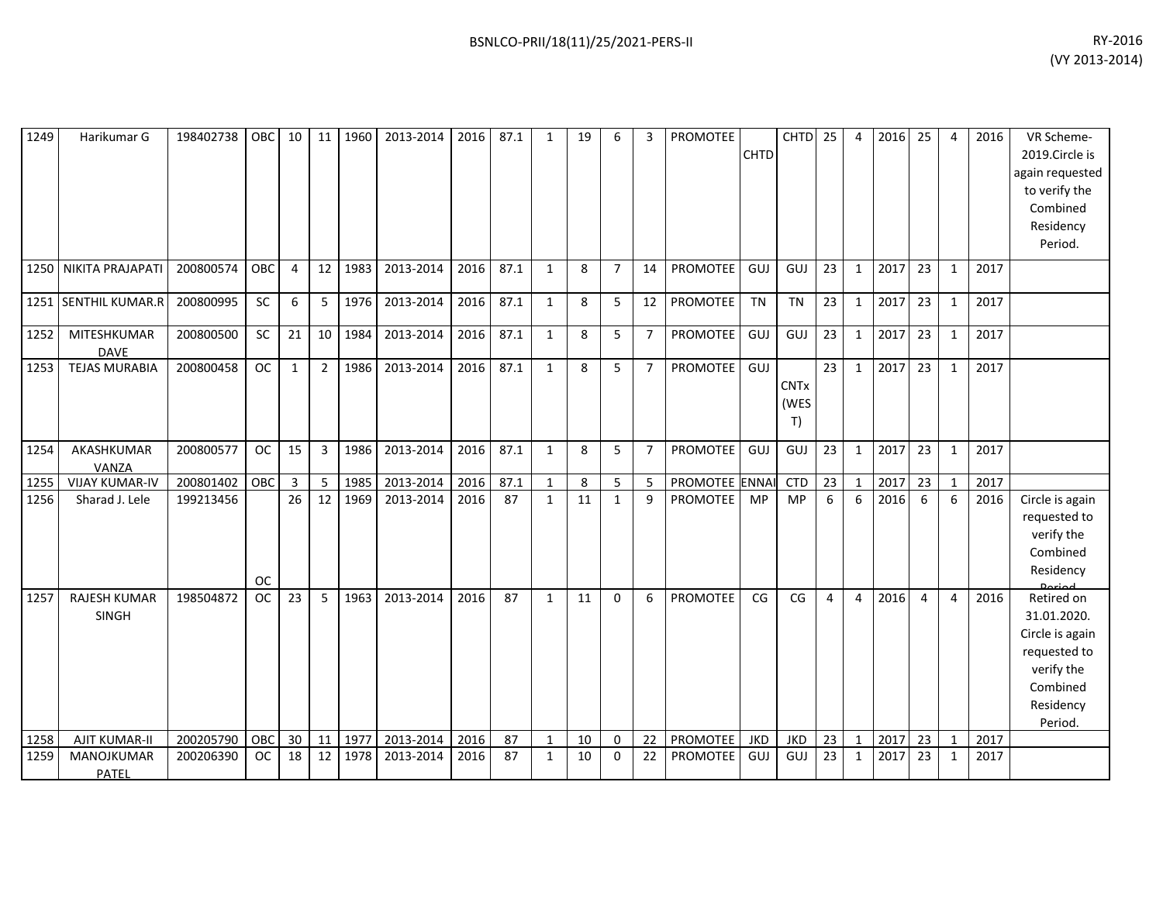| 1249 | Harikumar G                  | 198402738 | OBC       | 10             | 11             | 1960 | 2013-2014 | 2016 | 87.1 | $\mathbf{1}$ | 19 | 6              | 3              | PROMOTEE        | <b>CHTD</b> | <b>CHTD</b>               | 25              | $\overline{4}$ | 2016 | 25 | 4            | 2016 | VR Scheme-<br>2019.Circle is<br>again requested<br>to verify the<br>Combined<br>Residency<br>Period.           |
|------|------------------------------|-----------|-----------|----------------|----------------|------|-----------|------|------|--------------|----|----------------|----------------|-----------------|-------------|---------------------------|-----------------|----------------|------|----|--------------|------|----------------------------------------------------------------------------------------------------------------|
| 1250 | NIKITA PRAJAPATI             | 200800574 | OBC       | $\overline{4}$ | 12             | 1983 | 2013-2014 | 2016 | 87.1 | $\mathbf{1}$ | 8  | $\overline{7}$ | 14             | <b>PROMOTEE</b> | GUJ         | GUJ                       | 23              | $\mathbf{1}$   | 2017 | 23 | $\mathbf{1}$ | 2017 |                                                                                                                |
|      | 1251 SENTHIL KUMAR.R         | 200800995 | <b>SC</b> | 6              | 5              | 1976 | 2013-2014 | 2016 | 87.1 | $\mathbf{1}$ | 8  | 5              | 12             | PROMOTEE        | <b>TN</b>   | <b>TN</b>                 | 23              | $\mathbf{1}$   | 2017 | 23 | 1            | 2017 |                                                                                                                |
| 1252 | MITESHKUMAR<br><b>DAVE</b>   | 200800500 | <b>SC</b> | 21             | 10             | 1984 | 2013-2014 | 2016 | 87.1 | $\mathbf{1}$ | 8  | 5              | $\overline{7}$ | PROMOTEE        | GUJ         | GUJ                       | 23              | $\mathbf{1}$   | 2017 | 23 | 1            | 2017 |                                                                                                                |
| 1253 | <b>TEJAS MURABIA</b>         | 200800458 | OC        | 1              | $\overline{2}$ | 1986 | 2013-2014 | 2016 | 87.1 | $\mathbf{1}$ | 8  | 5              | $\overline{7}$ | <b>PROMOTEE</b> | GUJ         | <b>CNTx</b><br>(WES<br>T) | 23              | $\mathbf{1}$   | 2017 | 23 | 1            | 2017 |                                                                                                                |
| 1254 | AKASHKUMAR<br>VANZA          | 200800577 | <b>OC</b> | 15             | $\overline{3}$ | 1986 | 2013-2014 | 2016 | 87.1 | 1            | 8  | 5              | $\overline{7}$ | PROMOTEE        | GUJ         | GUJ                       | 23              | $\mathbf{1}$   | 2017 | 23 | 1            | 2017 |                                                                                                                |
| 1255 | <b>VIJAY KUMAR-IV</b>        | 200801402 | OBC       | $\overline{3}$ | 5              | 1985 | 2013-2014 | 2016 | 87.1 | $\mathbf{1}$ | 8  | 5              | 5              | PROMOTEE ENNAI  |             | CTD                       | $\overline{23}$ | $\mathbf{1}$   | 2017 | 23 | 1            | 2017 |                                                                                                                |
| 1256 | Sharad J. Lele               | 199213456 | <b>OC</b> | 26             | 12             | 1969 | 2013-2014 | 2016 | 87   | $\mathbf{1}$ | 11 | $\mathbf{1}$   | 9              | <b>PROMOTEE</b> | <b>MP</b>   | <b>MP</b>                 | 6               | 6              | 2016 | 6  | 6            | 2016 | Circle is again<br>requested to<br>verify the<br>Combined<br>Residency                                         |
| 1257 | <b>RAJESH KUMAR</b><br>SINGH | 198504872 | <b>OC</b> | 23             | 5              | 1963 | 2013-2014 | 2016 | 87   | $\mathbf{1}$ | 11 | $\Omega$       | 6              | PROMOTEE        | CG          | CG                        | $\overline{4}$  | $\overline{4}$ | 2016 | 4  | 4            | 2016 | Retired on<br>31.01.2020.<br>Circle is again<br>requested to<br>verify the<br>Combined<br>Residency<br>Period. |
| 1258 | <b>AJIT KUMAR-II</b>         | 200205790 | OBC       | 30             | 11             | 1977 | 2013-2014 | 2016 | 87   | $\mathbf{1}$ | 10 | $\Omega$       | 22             | PROMOTEE        | <b>JKD</b>  | <b>JKD</b>                | 23              | $\mathbf{1}$   | 2017 | 23 | $\mathbf{1}$ | 2017 |                                                                                                                |
| 1259 | MANOJKUMAR<br>PATEL          | 200206390 | <b>OC</b> | 18             | 12             | 1978 | 2013-2014 | 2016 | 87   | $\mathbf{1}$ | 10 | 0              | 22             | PROMOTEE        | GUJ         | GUJ                       | 23              | $\mathbf{1}$   | 2017 | 23 | $\mathbf{1}$ | 2017 |                                                                                                                |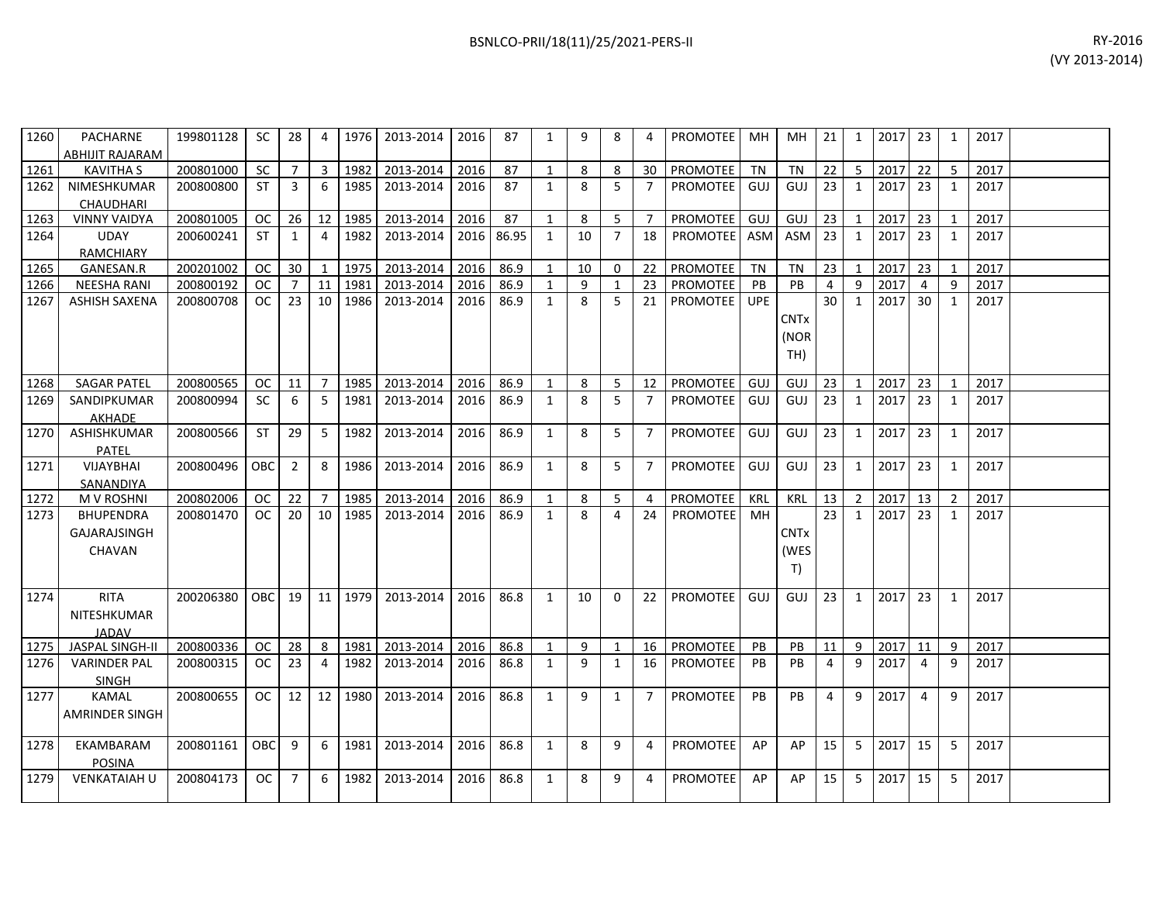| 1260 | PACHARNE                                          | 199801128 | SC            | 28             | 4              | 1976      | 2013-2014 | 2016 | 87    | 1            | 9  | 8              | 4              | PROMOTEE   MH   |            | MH                                   | 21             | 1              | 2017 23 |    | 1 | 2017 |  |
|------|---------------------------------------------------|-----------|---------------|----------------|----------------|-----------|-----------|------|-------|--------------|----|----------------|----------------|-----------------|------------|--------------------------------------|----------------|----------------|---------|----|---|------|--|
|      | ABHIJIT RAJARAM                                   |           |               |                |                |           |           |      |       |              |    |                |                |                 |            |                                      |                |                |         |    |   |      |  |
| 1261 | <b>KAVITHA S</b>                                  | 200801000 | <b>SC</b>     | $\overline{7}$ | $\overline{3}$ | 1982      | 2013-2014 | 2016 | 87    | $\mathbf{1}$ | 8  | 8              | 30             | PROMOTEE TN     |            | <b>TN</b>                            | 22             | 5              | 2017    | 22 | 5 | 2017 |  |
| 1262 | NIMESHKUMAR<br><b>CHAUDHARI</b>                   | 200800800 | <b>ST</b>     | 3              | 6              | 1985      | 2013-2014 | 2016 | 87    | 1            | 8  | 5              | 7              | <b>PROMOTEE</b> | GUJ        | GUJ                                  | 23             | 1              | 2017    | 23 | 1 | 2017 |  |
| 1263 | <b>VINNY VAIDYA</b>                               | 200801005 | <b>OC</b>     | 26             | 12             | 1985      | 2013-2014 | 2016 | 87    | $\mathbf{1}$ | 8  | 5              | $\overline{7}$ | PROMOTEE        | GUJ        | GUJ                                  | 23             | $\mathbf{1}$   | 2017    | 23 | 1 | 2017 |  |
| 1264 | <b>UDAY</b><br><b>RAMCHIARY</b>                   | 200600241 | <b>ST</b>     | $\mathbf{1}$   | 4              | 1982      | 2013-2014 | 2016 | 86.95 | 1            | 10 | $\overline{7}$ | 18             | PROMOTEE ASM    |            | <b>ASM</b>                           | 23             | $\mathbf{1}$   | 2017    | 23 | 1 | 2017 |  |
| 1265 | GANESAN.R                                         | 200201002 | <b>OC</b>     | 30             | $\mathbf{1}$   | 1975      | 2013-2014 | 2016 | 86.9  | 1            | 10 | 0              | 22             | <b>PROMOTEE</b> | TN         | <b>TN</b>                            | 23             | $\mathbf{1}$   | 2017    | 23 | 1 | 2017 |  |
| 1266 | <b>NEESHA RANI</b>                                | 200800192 | <b>OC</b>     | $\overline{7}$ | 11             | 1981      | 2013-2014 | 2016 | 86.9  | $\mathbf{1}$ | 9  | 1              | 23             | <b>PROMOTEE</b> | PB         | PB                                   | 4              | 9              | 2017    | 4  | 9 | 2017 |  |
| 1267 | <b>ASHISH SAXENA</b>                              | 200800708 | 0C            | 23             | 10             | 1986      | 2013-2014 | 2016 | 86.9  | 1            | 8  | 5              | 21             | PROMOTEE        | <b>UPE</b> | <b>CNTx</b><br>(NOR<br>TH)           | 30             | 1              | 2017    | 30 | 1 | 2017 |  |
| 1268 | <b>SAGAR PATEL</b>                                | 200800565 | OC.           | 11             | $\overline{7}$ | 1985      | 2013-2014 | 2016 | 86.9  | $\mathbf{1}$ | 8  | 5              | 12             | PROMOTEE        | GUJ        | GUJ                                  | 23             | $\mathbf{1}$   | 2017    | 23 | 1 | 2017 |  |
| 1269 | SANDIPKUMAR<br><b>AKHADE</b>                      | 200800994 | SC            | 6              | 5              | 1981      | 2013-2014 | 2016 | 86.9  | 1            | 8  | 5              | $\overline{7}$ | <b>PROMOTEE</b> | GUJ        | GUJ                                  | 23             | 1              | 2017    | 23 | 1 | 2017 |  |
| 1270 | ASHISHKUMAR<br><b>PATEL</b>                       | 200800566 | <b>ST</b>     | 29             | 5              | 1982      | 2013-2014 | 2016 | 86.9  | $\mathbf{1}$ | 8  | 5              | $\overline{7}$ | PROMOTEE        | GUJ        | GUJ                                  | 23             | 1              | 2017    | 23 | 1 | 2017 |  |
| 1271 | <b>VIJAYBHAI</b><br>SANANDIYA                     | 200800496 | OBC           | 2              | 8              | 1986      | 2013-2014 | 2016 | 86.9  | $\mathbf{1}$ | 8  | 5              | $\overline{7}$ | <b>PROMOTEE</b> | GUJ        | GUJ                                  | 23             | 1              | 2017    | 23 | 1 | 2017 |  |
| 1272 | M V ROSHNI                                        | 200802006 | OC.           | 22             | $\overline{7}$ | 1985      | 2013-2014 | 2016 | 86.9  | $\mathbf{1}$ | 8  | 5              | 4              | PROMOTEE        | KRL        | KRL                                  | 13             | $\overline{2}$ | 2017    | 13 | 2 | 2017 |  |
| 1273 | <b>BHUPENDRA</b><br><b>GAJARAJSINGH</b><br>CHAVAN | 200801470 | <sub>OC</sub> | 20             | 10             | 1985      | 2013-2014 | 2016 | 86.9  | 1            | 8  | 4              | 24             | <b>PROMOTEE</b> | MH         | <b>CNT<sub>x</sub></b><br>(WES<br>T) | 23             | $\mathbf{1}$   | 2017    | 23 | 1 | 2017 |  |
| 1274 | <b>RITA</b><br>NITESHKUMAR<br><b>JADAV</b>        | 200206380 | OBC I         | 19             |                | 11   1979 | 2013-2014 | 2016 | 86.8  | $\mathbf{1}$ | 10 | $\Omega$       | 22             | <b>PROMOTEE</b> | GUJ        | GUJ                                  | 23             | $\mathbf{1}$   | 2017    | 23 | 1 | 2017 |  |
| 1275 | JASPAL SINGH-II                                   | 200800336 | <b>OC</b>     | 28             | 8              | 1981      | 2013-2014 | 2016 | 86.8  | $\mathbf{1}$ | 9  | 1              | 16             | PROMOTEE        | PB         | PB                                   | 11             | 9              | 2017    | 11 | 9 | 2017 |  |
| 1276 | <b>VARINDER PAL</b><br><b>SINGH</b>               | 200800315 | <sub>OC</sub> | 23             | 4              | 1982      | 2013-2014 | 2016 | 86.8  | 1            | 9  | 1              | 16             | <b>PROMOTEE</b> | <b>PB</b>  | <b>PB</b>                            | $\overline{a}$ | 9              | 2017    | 4  | 9 | 2017 |  |
| 1277 | <b>KAMAL</b><br>AMRINDER SINGH                    | 200800655 | <b>OC</b>     | 12             | 12             | 1980      | 2013-2014 | 2016 | 86.8  | $\mathbf{1}$ | 9  | 1              | $\overline{7}$ | <b>PROMOTEE</b> | <b>PB</b>  | PB                                   | $\overline{4}$ | 9              | 2017    | 4  | 9 | 2017 |  |
| 1278 | EKAMBARAM<br><b>POSINA</b>                        | 200801161 | <b>OBC</b>    | 9              | 6              | 1981      | 2013-2014 | 2016 | 86.8  | $\mathbf{1}$ | 8  | 9              | 4              | PROMOTEE        | AP         | AP                                   | 15             | 5              | 2017    | 15 | 5 | 2017 |  |
| 1279 | <b>VENKATAIAH U</b>                               | 200804173 | OC            | 7              | 6              | 1982      | 2013-2014 | 2016 | 86.8  | $\mathbf{1}$ | 8  | 9              | 4              | <b>PROMOTEE</b> | AP         | AP                                   | 15             | 5              | 2017    | 15 | 5 | 2017 |  |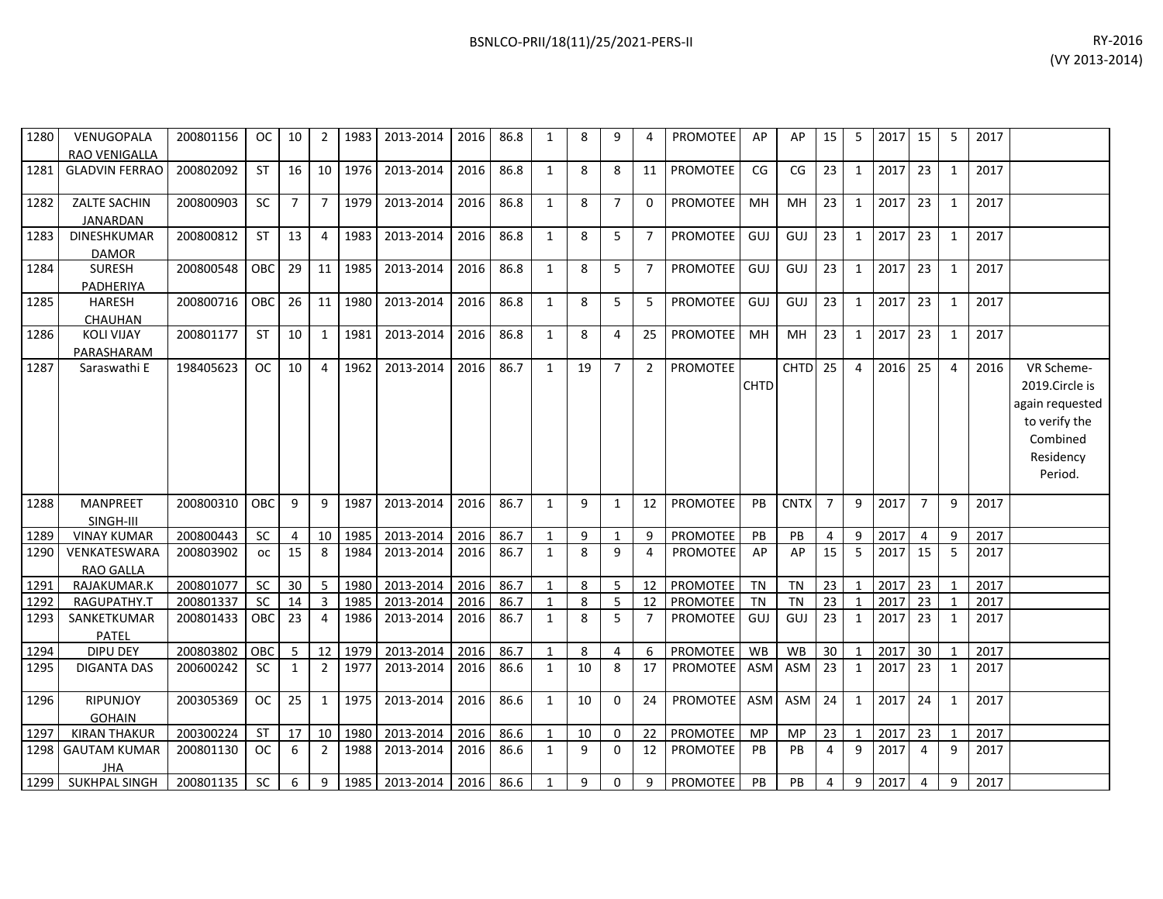| 1280 | VENUGOPALA<br>RAO VENIGALLA            | 200801156 | OC.        | 10             | -2             | 1983 | 2013-2014           | 2016 | 86.8 | 1            | 8  | 9              | 4              | <b>PROMOTEE</b> | AP          | AP          | 15             | 5              | 2017 | 15              | 5              | 2017 |                                                                                                      |
|------|----------------------------------------|-----------|------------|----------------|----------------|------|---------------------|------|------|--------------|----|----------------|----------------|-----------------|-------------|-------------|----------------|----------------|------|-----------------|----------------|------|------------------------------------------------------------------------------------------------------|
| 1281 | <b>GLADVIN FERRAO</b>                  | 200802092 | <b>ST</b>  | 16             | 10             | 1976 | 2013-2014           | 2016 | 86.8 | $\mathbf{1}$ | 8  | 8              | 11             | <b>PROMOTEE</b> | CG          | CG          | 23             | $\mathbf{1}$   | 2017 | 23              | 1              | 2017 |                                                                                                      |
| 1282 | <b>ZALTE SACHIN</b><br><b>JANARDAN</b> | 200800903 | <b>SC</b>  | $\overline{7}$ | $\overline{7}$ | 1979 | 2013-2014           | 2016 | 86.8 | $\mathbf{1}$ | 8  | $\overline{7}$ | 0              | PROMOTEE        | MH          | MH          | 23             | $\mathbf{1}$   | 2017 | 23              | 1              | 2017 |                                                                                                      |
| 1283 | <b>DINESHKUMAR</b><br><b>DAMOR</b>     | 200800812 | <b>ST</b>  | 13             | $\overline{4}$ | 1983 | 2013-2014           | 2016 | 86.8 | $\mathbf{1}$ | 8  | 5              | $\overline{7}$ | PROMOTEE        | GUJ         | GUJ         | 23             | $\mathbf{1}$   | 2017 | 23              | 1              | 2017 |                                                                                                      |
| 1284 | <b>SURESH</b><br>PADHERIYA             | 200800548 | OBC        | 29             | 11             | 1985 | 2013-2014           | 2016 | 86.8 | $\mathbf{1}$ | 8  | 5              | $\overline{7}$ | PROMOTEE        | GUJ         | GUJ         | 23             | $\mathbf{1}$   | 2017 | 23              | $\mathbf{1}$   | 2017 |                                                                                                      |
| 1285 | <b>HARESH</b><br>CHAUHAN               | 200800716 | <b>OBC</b> | 26             | 11             | 1980 | 2013-2014           | 2016 | 86.8 | $\mathbf{1}$ | 8  | 5              | 5              | <b>PROMOTEE</b> | GUJ         | GUJ         | 23             | $\mathbf{1}$   | 2017 | 23              | 1              | 2017 |                                                                                                      |
| 1286 | <b>KOLI VIJAY</b><br>PARASHARAM        | 200801177 | <b>ST</b>  | 10             | 1              | 1981 | 2013-2014           | 2016 | 86.8 | $\mathbf{1}$ | 8  | 4              | 25             | PROMOTEE        | MН          | MH          | 23             | $\mathbf{1}$   | 2017 | 23              | 1              | 2017 |                                                                                                      |
| 1287 | Saraswathi E                           | 198405623 | <b>OC</b>  | 10             | $\overline{4}$ | 1962 | 2013-2014           | 2016 | 86.7 | $\mathbf{1}$ | 19 | $\overline{7}$ | $\overline{2}$ | <b>PROMOTEE</b> | <b>CHTD</b> | <b>CHTD</b> | 25             | $\overline{4}$ | 2016 | 25              | $\overline{4}$ | 2016 | VR Scheme-<br>2019.Circle is<br>again requested<br>to verify the<br>Combined<br>Residency<br>Period. |
| 1288 | <b>MANPREET</b><br>SINGH-III           | 200800310 | OBC.       | 9              | 9              | 1987 | 2013-2014           | 2016 | 86.7 | $\mathbf{1}$ | 9  | 1              | 12             | PROMOTEE        | PB          | <b>CNTX</b> | $\overline{7}$ | 9              | 2017 | $\overline{7}$  | 9              | 2017 |                                                                                                      |
| 1289 | <b>VINAY KUMAR</b>                     | 200800443 | SC         | $\overline{4}$ | 10             | 1985 | 2013-2014           | 2016 | 86.7 | $\mathbf{1}$ | 9  | $\mathbf{1}$   | 9              | PROMOTEE        | PB          | PB          | $\overline{4}$ | 9              | 2017 | $\overline{4}$  | 9              | 2017 |                                                                                                      |
| 1290 | VENKATESWARA<br><b>RAO GALLA</b>       | 200803902 | <b>OC</b>  | 15             | 8              | 1984 | 2013-2014           | 2016 | 86.7 | $\mathbf{1}$ | 8  | 9              | 4              | <b>PROMOTEE</b> | AP          | AP          | 15             | 5              | 2017 | 15              | 5              | 2017 |                                                                                                      |
| 1291 | RAJAKUMAR.K                            | 200801077 | <b>SC</b>  | 30             | 5              | 1980 | 2013-2014           | 2016 | 86.7 | $\mathbf{1}$ | 8  | 5              | 12             | PROMOTEE        | <b>TN</b>   | <b>TN</b>   | 23             | $\mathbf{1}$   | 2017 | 23              | $\mathbf{1}$   | 2017 |                                                                                                      |
| 1292 | RAGUPATHY.T                            | 200801337 | <b>SC</b>  | 14             | 3              | 1985 | 2013-2014           | 2016 | 86.7 | $\mathbf{1}$ | 8  | 5              | 12             | <b>PROMOTEE</b> | <b>TN</b>   | <b>TN</b>   | 23             | $\mathbf{1}$   | 2017 | 23              |                | 2017 |                                                                                                      |
| 1293 | SANKETKUMAR<br><b>PATEL</b>            | 200801433 | OBC.       | 23             | $\overline{4}$ | 1986 | 2013-2014           | 2016 | 86.7 | $\mathbf{1}$ | 8  | 5              | $\overline{7}$ | PROMOTEE        | GUJ         | GUJ         | 23             | 1              | 2017 | 23              | 1              | 2017 |                                                                                                      |
| 1294 | DIPU DEY                               | 200803802 | OBC        | 5              | 12             | 1979 | 2013-2014           | 2016 | 86.7 | $\mathbf{1}$ | 8  | 4              | 6              | PROMOTEE        | WB          | WB          | 30             | $\mathbf{1}$   | 2017 | 30 <sup>°</sup> | $\mathbf{1}$   | 2017 |                                                                                                      |
| 1295 | <b>DIGANTA DAS</b>                     | 200600242 | SC.        | 1              | $\overline{2}$ | 1977 | 2013-2014           | 2016 | 86.6 | $\mathbf{1}$ | 10 | 8              | 17             | PROMOTEE        | ASM         | ASM         | 23             | $\mathbf{1}$   | 2017 | 23              | 1              | 2017 |                                                                                                      |
| 1296 | <b>RIPUNJOY</b><br><b>GOHAIN</b>       | 200305369 | <b>OC</b>  | 25             | 1              | 1975 | 2013-2014           | 2016 | 86.6 | $\mathbf{1}$ | 10 | 0              | 24             | <b>PROMOTEE</b> | ASM         | <b>ASM</b>  | 24             | $\mathbf{1}$   | 2017 | 24              | 1              | 2017 |                                                                                                      |
| 1297 | <b>KIRAN THAKUR</b>                    | 200300224 | ST         | 17             | 10             | 1980 | 2013-2014           | 2016 | 86.6 | $\mathbf{1}$ | 10 | 0              | 22             | PROMOTEE        | MP          | MP          | 23             | $\mathbf{1}$   | 2017 | 23              | 1              | 2017 |                                                                                                      |
| 1298 | <b>GAUTAM KUMAR</b><br><b>JHA</b>      | 200801130 | OC.        | -6             | 2              | 1988 | 2013-2014           | 2016 | 86.6 | $\mathbf{1}$ | 9  | 0              | 12             | PROMOTEE        | <b>PB</b>   | <b>PB</b>   | 4              | 9              | 2017 | $\overline{4}$  | 9              | 2017 |                                                                                                      |
|      | 1299 SUKHPAL SINGH                     | 200801135 | <b>SC</b>  | 6              | 9              |      | 1985 2013-2014 2016 |      | 86.6 | $\mathbf{1}$ | 9  | $\Omega$       | 9              | PROMOTEE        | PB          | PB          | $\overline{4}$ | 9              | 2017 | $\overline{4}$  | 9              | 2017 |                                                                                                      |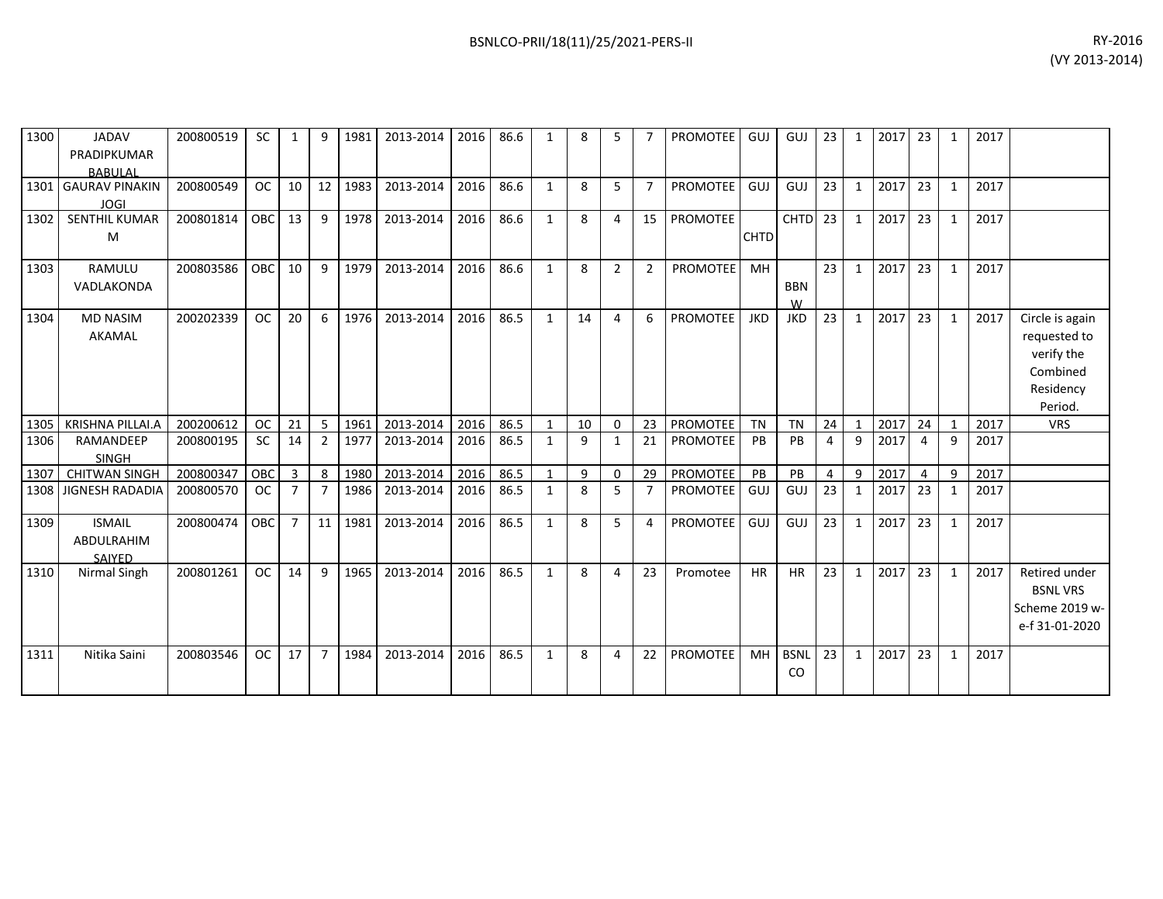| 1300 | <b>JADAV</b><br>PRADIPKUMAR                  | 200800519 | <b>SC</b> | 1              | 9               | 1981 | 2013-2014 | 2016 | 86.6 |              | 8            | 5              |                | <b>PROMOTEE</b> | GUJ         | GUJ                          | 23 | 1              | 2017 | 23             | 1            | 2017 |                                                                                   |
|------|----------------------------------------------|-----------|-----------|----------------|-----------------|------|-----------|------|------|--------------|--------------|----------------|----------------|-----------------|-------------|------------------------------|----|----------------|------|----------------|--------------|------|-----------------------------------------------------------------------------------|
|      | <b>BABULAL</b>                               |           |           |                |                 |      |           |      |      |              |              |                |                |                 |             |                              |    |                |      |                |              |      |                                                                                   |
| 1301 | <b>GAURAV PINAKIN</b><br><b>JOGI</b>         | 200800549 | <b>OC</b> | 10             | 12 <sup>1</sup> | 1983 | 2013-2014 | 2016 | 86.6 | 1            | 8            | 5              | $\overline{7}$ | PROMOTEE        | GUJ         | GUJ                          | 23 | $\mathbf{1}$   | 2017 | 23             | $\mathbf{1}$ | 2017 |                                                                                   |
| 1302 | <b>SENTHIL KUMAR</b><br>M                    | 200801814 | OBC       | 13             | 9               | 1978 | 2013-2014 | 2016 | 86.6 | $\mathbf{1}$ | 8            | $\overline{4}$ | 15             | PROMOTEE        | <b>CHTD</b> | CHTD <sub>23</sub>           |    | $\mathbf{1}$   | 2017 | 23             | $\mathbf{1}$ | 2017 |                                                                                   |
| 1303 | RAMULU<br>VADLAKONDA                         | 200803586 | OBC       | 10             | 9               | 1979 | 2013-2014 | 2016 | 86.6 | $\mathbf{1}$ | 8            | $\overline{2}$ | $\overline{2}$ | <b>PROMOTEE</b> | <b>MH</b>   | <b>BBN</b><br>W              | 23 | $\mathbf{1}$   | 2017 | 23             | $\mathbf{1}$ | 2017 |                                                                                   |
| 1304 | <b>MD NASIM</b><br>AKAMAL                    | 200202339 | <b>OC</b> | 20             | 6               | 1976 | 2013-2014 | 2016 | 86.5 | $\mathbf{1}$ | 14           | $\overline{4}$ | 6              | <b>PROMOTEE</b> | <b>JKD</b>  | <b>JKD</b>                   | 23 | $\mathbf{1}$   | 2017 | 23             | $\mathbf{1}$ | 2017 | Circle is again<br>requested to<br>verify the<br>Combined<br>Residency<br>Period. |
| 1305 | KRISHNA PILLAI.A                             | 200200612 | <b>OC</b> | 21             | -5              | 1961 | 2013-2014 | 2016 | 86.5 | 1            | 10           | $\Omega$       | 23             | <b>PROMOTEE</b> | <b>TN</b>   | <b>TN</b>                    | 24 | $\overline{1}$ | 2017 | 24             | $\mathbf{1}$ | 2017 | <b>VRS</b>                                                                        |
| 1306 | RAMANDEEP<br><b>SINGH</b>                    | 200800195 | <b>SC</b> | 14             | $\overline{2}$  | 1977 | 2013-2014 | 2016 | 86.5 | $\mathbf{1}$ | 9            | 1              | 21             | <b>PROMOTEE</b> | PB          | PB                           | 4  | 9              | 2017 | $\overline{a}$ | 9            | 2017 |                                                                                   |
| 1307 | <b>CHITWAN SINGH</b>                         | 200800347 | OBC       | 3              | 8               | 1980 | 2013-2014 | 2016 | 86.5 | 1            | 9            | $\mathbf 0$    | 29             | PROMOTEE        | PB          | PB                           | 4  | 9              | 2017 | 4              | 9            | 2017 |                                                                                   |
| 1308 | <b>JIGNESH RADADIA</b>                       | 200800570 | <b>OC</b> | $\overline{7}$ | $\overline{7}$  | 1986 | 2013-2014 | 2016 | 86.5 | $\mathbf{1}$ | 8            | 5              | $\overline{7}$ | <b>PROMOTEE</b> | GUJ         | GUJ                          | 23 | $\mathbf{1}$   | 2017 | 23             | $\mathbf{1}$ | 2017 |                                                                                   |
| 1309 | <b>ISMAIL</b><br>ABDULRAHIM<br><b>SAIYED</b> | 200800474 | OBC       | $\overline{7}$ | 11              | 1981 | 2013-2014 | 2016 | 86.5 | $\mathbf{1}$ | $\mathbf{8}$ | 5              | 4              | <b>PROMOTEE</b> | GUJ         | GUJ                          | 23 | $\mathbf{1}$   | 2017 | 23             | $\mathbf{1}$ | 2017 |                                                                                   |
| 1310 | Nirmal Singh                                 | 200801261 | <b>OC</b> | 14             | 9               | 1965 | 2013-2014 | 2016 | 86.5 | $\mathbf{1}$ | 8            | 4              | 23             | Promotee        | <b>HR</b>   | <b>HR</b>                    | 23 | $\mathbf{1}$   | 2017 | 23             | $\mathbf{1}$ | 2017 | Retired under<br><b>BSNL VRS</b><br>Scheme 2019 w-<br>e-f 31-01-2020              |
| 1311 | Nitika Saini                                 | 200803546 | <b>OC</b> | 17             | $\overline{7}$  | 1984 | 2013-2014 | 2016 | 86.5 | $\mathbf{1}$ | 8            | 4              | 22             | <b>PROMOTEE</b> | <b>MH</b>   | <b>BSNL</b><br><sub>CO</sub> | 23 | $\mathbf{1}$   | 2017 | 23             | $\mathbf{1}$ | 2017 |                                                                                   |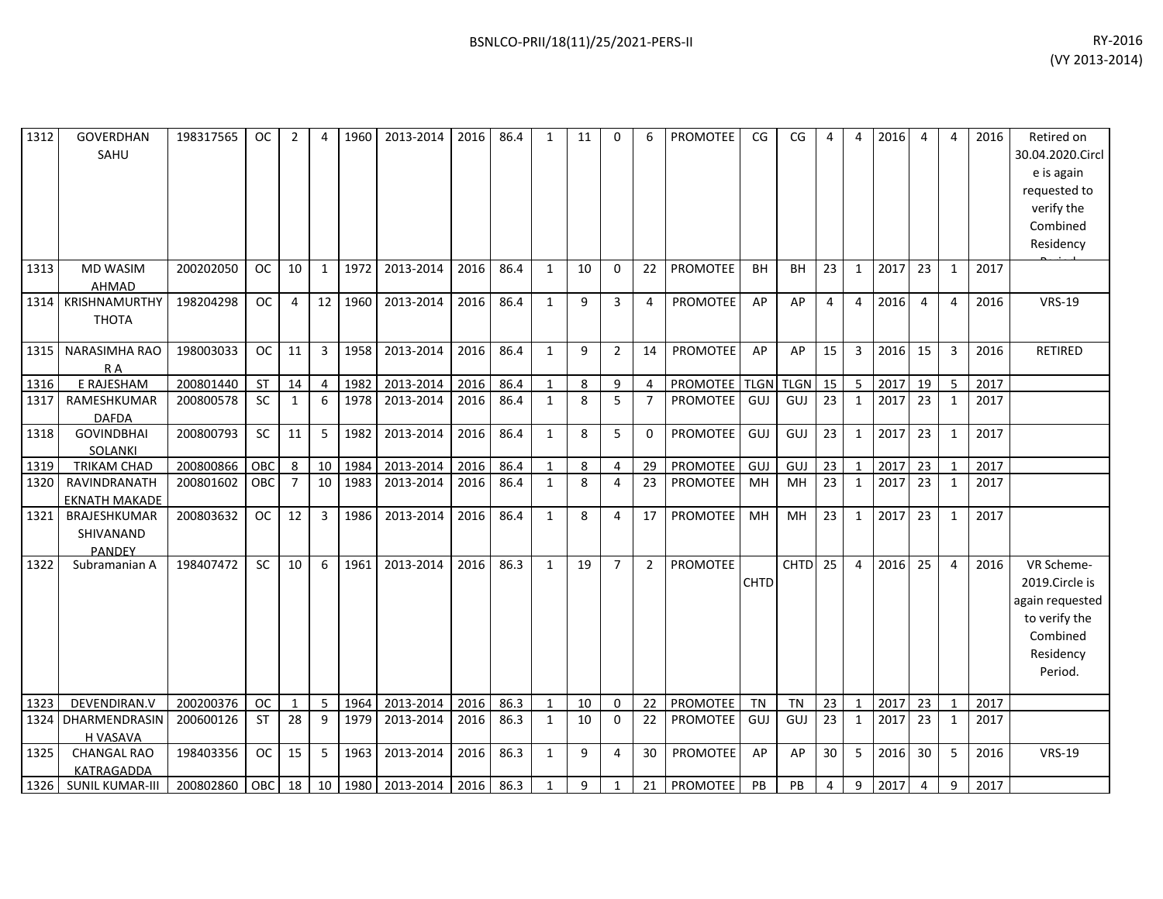| 1312 | GOVERDHAN<br>SAHU                          | 198317565 | <b>OC</b> | $\overline{2}$ |                 | 1960 | 2013-2014 | 2016 | 86.4 | 1            | 11 | $\Omega$       | 6              | PROMOTEE           | CG        | CG          | 4               | $\overline{4}$ | 2016 | 4              | 4              | 2016 | Retired on<br>30.04.2020.Circl<br>e is again<br>requested to<br>verify the<br>Combined<br>Residency  |
|------|--------------------------------------------|-----------|-----------|----------------|-----------------|------|-----------|------|------|--------------|----|----------------|----------------|--------------------|-----------|-------------|-----------------|----------------|------|----------------|----------------|------|------------------------------------------------------------------------------------------------------|
| 1313 | <b>MD WASIM</b><br><b>AHMAD</b>            | 200202050 | <b>OC</b> | 10             | $\mathbf{1}$    | 1972 | 2013-2014 | 2016 | 86.4 | $\mathbf{1}$ | 10 | $\Omega$       | 22             | PROMOTEE           | <b>BH</b> | <b>BH</b>   | 23              | $\mathbf{1}$   | 2017 | 23             | 1              | 2017 |                                                                                                      |
| 1314 | KRISHNAMURTHY<br><b>THOTA</b>              | 198204298 | <b>OC</b> | 4              | 12              | 1960 | 2013-2014 | 2016 | 86.4 | $\mathbf{1}$ | 9  | 3              | 4              | <b>PROMOTEE</b>    | AP        | AP          | $\overline{4}$  | $\overline{4}$ | 2016 | 4              | 4              | 2016 | <b>VRS-19</b>                                                                                        |
| 1315 | NARASIMHA RAO<br>R A                       | 198003033 | OC.       | 11             | $\overline{3}$  | 1958 | 2013-2014 | 2016 | 86.4 | $\mathbf{1}$ | 9  | 2              | 14             | PROMOTEE           | AP        | AP          | 15              | 3              | 2016 | 15             | 3              | 2016 | <b>RETIRED</b>                                                                                       |
| 1316 | E RAJESHAM                                 | 200801440 | ST        | 14             | $\overline{4}$  | 1982 | 2013-2014 | 2016 | 86.4 | $\mathbf{1}$ | 8  | 9              | $\overline{4}$ | PROMOTEE TLGN TLGN |           |             | 15              | 5              | 2017 | 19             | 5 <sup>1</sup> | 2017 |                                                                                                      |
| 1317 | RAMESHKUMAR<br><b>DAFDA</b>                | 200800578 | <b>SC</b> | 1              | 6               | 1978 | 2013-2014 | 2016 | 86.4 | $\mathbf{1}$ | 8  | 5              | $\overline{7}$ | <b>PROMOTEE</b>    | GUJ       | GUJ         | 23              | $\mathbf{1}$   | 2017 | 23             | 1              | 2017 |                                                                                                      |
| 1318 | <b>GOVINDBHAI</b><br><b>SOLANKI</b>        | 200800793 | <b>SC</b> | 11             | 5               | 1982 | 2013-2014 | 2016 | 86.4 | $\mathbf{1}$ | 8  | 5              | $\Omega$       | <b>PROMOTEE</b>    | GUJ       | GUJ         | 23              | $\mathbf{1}$   | 2017 | 23             | 1              | 2017 |                                                                                                      |
| 1319 | <b>TRIKAM CHAD</b>                         | 200800866 | OBC       | 8              | 10              | 1984 | 2013-2014 | 2016 | 86.4 | $\mathbf{1}$ | 8  | 4              | 29             | PROMOTEE           | GUJ       | GUJ         | $\overline{23}$ | $\mathbf{1}$   | 2017 | 23             | $\mathbf{1}$   | 2017 |                                                                                                      |
| 1320 | RAVINDRANATH<br><b>EKNATH MAKADE</b>       | 200801602 | OBC       | $\overline{7}$ | 10              | 1983 | 2013-2014 | 2016 | 86.4 | $\mathbf{1}$ | 8  | 4              | 23             | <b>PROMOTEE</b>    | MH.       | <b>MH</b>   | 23              | $\mathbf{1}$   | 2017 | 23             | $\mathbf{1}$   | 2017 |                                                                                                      |
| 1321 | BRAJESHKUMAR<br>SHIVANAND<br><b>PANDEY</b> | 200803632 | <b>OC</b> | 12             | 3               | 1986 | 2013-2014 | 2016 | 86.4 | $\mathbf{1}$ | 8  | 4              | 17             | PROMOTEE           | MH        | MH          | 23              | $\mathbf{1}$   | 2017 | 23             | 1              | 2017 |                                                                                                      |
| 1322 | Subramanian A                              | 198407472 | <b>SC</b> | 10             | $6\overline{6}$ | 1961 | 2013-2014 | 2016 | 86.3 | $\mathbf{1}$ | 19 | $\overline{7}$ | $\overline{2}$ | <b>PROMOTEE</b>    | CHTD      | <b>CHTD</b> | 25              | $\overline{4}$ | 2016 | 25             | $\overline{4}$ | 2016 | VR Scheme-<br>2019.Circle is<br>again requested<br>to verify the<br>Combined<br>Residency<br>Period. |
| 1323 | DEVENDIRAN.V                               | 200200376 | <b>OC</b> | 1              | 5               | 1964 | 2013-2014 | 2016 | 86.3 | $\mathbf{1}$ | 10 | $\mathbf 0$    | 22             | PROMOTEE           | <b>TN</b> | <b>TN</b>   | 23              | $\mathbf{1}$   | 2017 | 23             | $\mathbf{1}$   | 2017 |                                                                                                      |
| 1324 | DHARMENDRASIN<br>H VASAVA                  | 200600126 | <b>ST</b> | 28             | 9               | 1979 | 2013-2014 | 2016 | 86.3 | $\mathbf{1}$ | 10 | $\Omega$       | 22             | <b>PROMOTEE</b>    | GUJ       | <b>GUJ</b>  | 23              | $\mathbf{1}$   | 2017 | 23             | $\mathbf{1}$   | 2017 |                                                                                                      |
| 1325 | <b>CHANGAL RAO</b><br>KATRAGADDA           | 198403356 | <b>OC</b> | 15             | 5               | 1963 | 2013-2014 | 2016 | 86.3 | $\mathbf{1}$ | 9  | 4              | 30             | PROMOTEE           | AP        | AP          | 30              | 5              | 2016 | 30             | 5              | 2016 | <b>VRS-19</b>                                                                                        |
|      | 1326   SUNIL KUMAR-III                     | 200802860 | OBC       | 18             | 10 <sup>1</sup> | 1980 | 2013-2014 | 2016 | 86.3 | $\mathbf{1}$ | 9  | $\mathbf{1}$   | 21             | <b>PROMOTEE</b>    | PB        | PB          | $\overline{4}$  | 9              | 2017 | $\overline{4}$ | 9              | 2017 |                                                                                                      |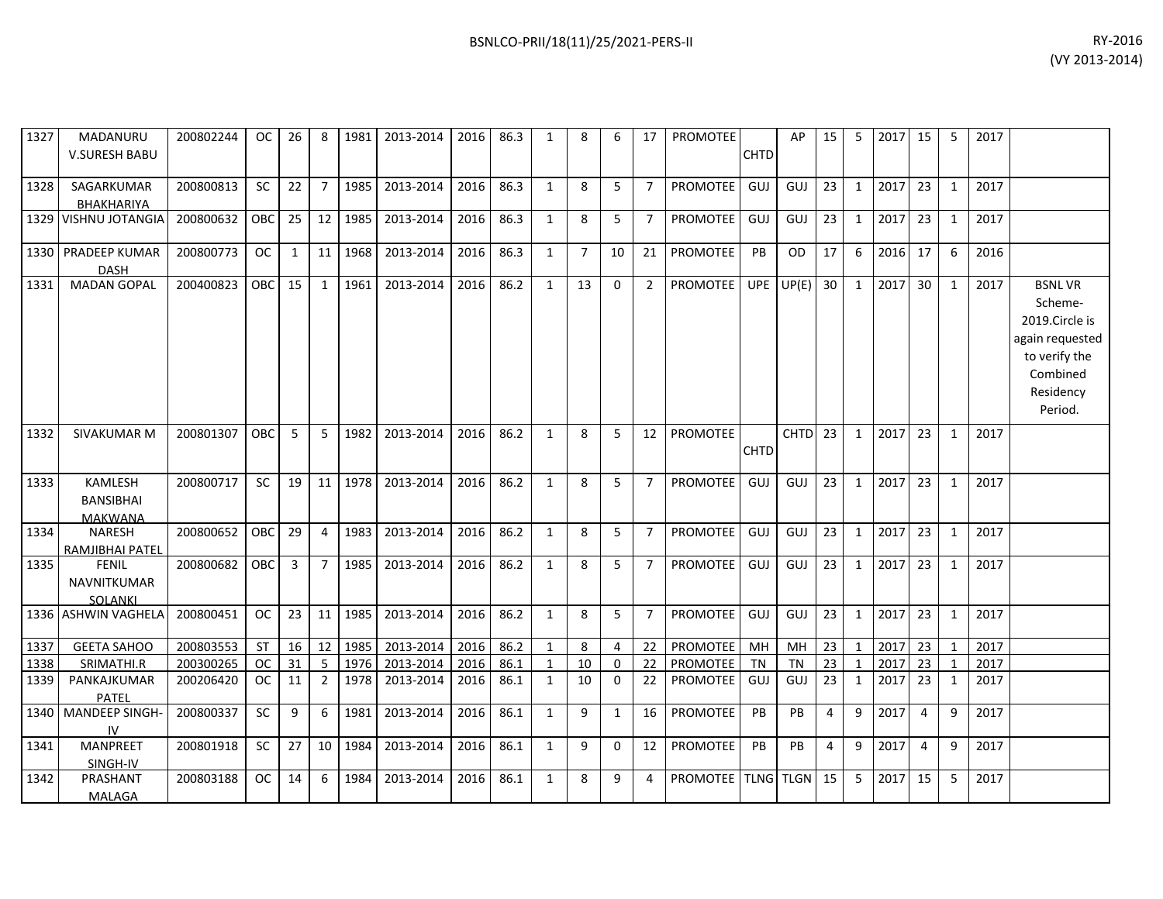| 1327 | MADANURU<br><b>V.SURESH BABU</b>                     | 200802244 | OC.        | 26           | 8              | 1981    | 2013-2014 | 2016 | 86.3 | 1            | 8              | 6            | 17              | <b>PROMOTEE</b> | <b>CHTD</b> | AP                 | 15 | 5            | 2017 | 15              | 5            | 2017 |                                                                                                                    |
|------|------------------------------------------------------|-----------|------------|--------------|----------------|---------|-----------|------|------|--------------|----------------|--------------|-----------------|-----------------|-------------|--------------------|----|--------------|------|-----------------|--------------|------|--------------------------------------------------------------------------------------------------------------------|
| 1328 | SAGARKUMAR<br>BHAKHARIYA                             | 200800813 | SC         | 22           | $\overline{7}$ | 1985    | 2013-2014 | 2016 | 86.3 | $\mathbf{1}$ | 8              | 5            | $\overline{7}$  | <b>PROMOTEE</b> | GUJ         | GUJ                | 23 | $\mathbf{1}$ | 2017 | 23              | 1            | 2017 |                                                                                                                    |
|      | 1329 VISHNU JOTANGIA                                 | 200800632 | <b>OBC</b> | 25           | 12             | 1985    | 2013-2014 | 2016 | 86.3 | $\mathbf{1}$ | 8              | 5            | $7^{\circ}$     | <b>PROMOTEE</b> | GUJ         | GUJ                | 23 | $\mathbf{1}$ | 2017 | 23              | 1            | 2017 |                                                                                                                    |
|      | 1330 PRADEEP KUMAR<br><b>DASH</b>                    | 200800773 | <b>OC</b>  | $\mathbf{1}$ | 11             | 1968    | 2013-2014 | 2016 | 86.3 | $\mathbf{1}$ | $\overline{7}$ | 10           | 21              | PROMOTEE        | PB          | <b>OD</b>          | 17 | 6            | 2016 | 17              | 6            | 2016 |                                                                                                                    |
| 1331 | <b>MADAN GOPAL</b>                                   | 200400823 | <b>OBC</b> | 15           | 1              | 1961    | 2013-2014 | 2016 | 86.2 | $\mathbf{1}$ | 13             | $\Omega$     | $\overline{2}$  | PROMOTEE        | <b>UPE</b>  | UP(E)              | 30 | 1            | 2017 | 30 <sup>°</sup> | 1            | 2017 | <b>BSNLVR</b><br>Scheme-<br>2019.Circle is<br>again requested<br>to verify the<br>Combined<br>Residency<br>Period. |
| 1332 | <b>SIVAKUMAR M</b>                                   | 200801307 | OBC        | 5            | 5              | 1982    | 2013-2014 | 2016 | 86.2 | $\mathbf{1}$ | 8              | 5            | 12              | <b>PROMOTEE</b> | <b>CHTD</b> | CHTD <sub>23</sub> |    | 1            | 2017 | 23              | 1            | 2017 |                                                                                                                    |
| 1333 | <b>KAMLESH</b><br><b>BANSIBHAI</b><br><b>MAKWANA</b> | 200800717 | <b>SC</b>  | 19           |                | 11 1978 | 2013-2014 | 2016 | 86.2 | $\mathbf{1}$ | 8              | 5            | $7^{\circ}$     | PROMOTEE        | GUJ         | GUJ                | 23 | 1            | 2017 | 23              | 1            | 2017 |                                                                                                                    |
| 1334 | <b>NARESH</b><br>RAMJIBHAI PATEL                     | 200800652 | OBC        | 29           | $\overline{4}$ | 1983    | 2013-2014 | 2016 | 86.2 | $\mathbf{1}$ | 8              | 5            | $7^{\circ}$     | <b>PROMOTEE</b> | GUJ         | GUJ                | 23 | $\mathbf{1}$ | 2017 | 23              | 1            | 2017 |                                                                                                                    |
| 1335 | <b>FENIL</b><br><b>NAVNITKUMAR</b><br>SOLANKI        | 200800682 | <b>OBC</b> | 3            | $\overline{7}$ | 1985    | 2013-2014 | 2016 | 86.2 | $\mathbf{1}$ | 8              | 5            | $\overline{7}$  | <b>PROMOTEE</b> | GUJ         | GUJ                | 23 | 1            | 2017 | 23              | 1            | 2017 |                                                                                                                    |
|      | 1336 ASHWIN VAGHELA                                  | 200800451 | OC         | 23           | 11             | 1985    | 2013-2014 | 2016 | 86.2 | $\mathbf{1}$ | 8              | 5            | $\overline{7}$  | <b>PROMOTEE</b> | GUJ         | GUJ                | 23 | $\mathbf{1}$ | 2017 | 23              | 1            | 2017 |                                                                                                                    |
| 1337 | <b>GEETA SAHOO</b>                                   | 200803553 | <b>ST</b>  | 16           | 12             | 1985    | 2013-2014 | 2016 | 86.2 | $\mathbf{1}$ | 8              | 4            | 22              | PROMOTEE        | MH          | MH                 | 23 | 1            | 2017 | 23              | $\mathbf{1}$ | 2017 |                                                                                                                    |
| 1338 | SRIMATHI.R                                           | 200300265 | <b>OC</b>  | 31           | 5              | 1976    | 2013-2014 | 2016 | 86.1 | $\mathbf{1}$ | 10             | $\Omega$     | 22              | <b>PROMOTEE</b> | <b>TN</b>   | <b>TN</b>          | 23 | 1            | 2017 | 23              | $\mathbf{1}$ | 2017 |                                                                                                                    |
| 1339 | PANKAJKUMAR<br>PATEL                                 | 200206420 | <b>OC</b>  | 11           | $\overline{2}$ | 1978    | 2013-2014 | 2016 | 86.1 | $\mathbf{1}$ | 10             | $\Omega$     | 22              | <b>PROMOTEE</b> | GUJ         | GUJ                | 23 | 1            | 2017 | 23              | 1            | 2017 |                                                                                                                    |
|      | 1340   MANDEEP SINGH-<br>IV                          | 200800337 | <b>SC</b>  | 9            | 6              | 1981    | 2013-2014 | 2016 | 86.1 | $\mathbf{1}$ | 9              | $\mathbf{1}$ | 16              | <b>PROMOTEE</b> | PB          | <b>PB</b>          | 4  | 9            | 2017 | $\overline{a}$  | 9            | 2017 |                                                                                                                    |
| 1341 | <b>MANPREET</b><br>SINGH-IV                          | 200801918 | <b>SC</b>  | 27           | 10             | 1984    | 2013-2014 | 2016 | 86.1 | $\mathbf{1}$ | 9              | 0            | 12 <sup>2</sup> | <b>PROMOTEE</b> | PB          | <b>PB</b>          | 4  | 9            | 2017 | 4               | 9            | 2017 |                                                                                                                    |
| 1342 | PRASHANT<br>MALAGA                                   | 200803188 | OC.        | 14           | 6              | 1984    | 2013-2014 | 2016 | 86.1 | $\mathbf{1}$ | 8              | 9            | 4               | PROMOTEE        |             | <b>TLNG TLGN</b>   | 15 | 5            | 2017 | 15              | 5            | 2017 |                                                                                                                    |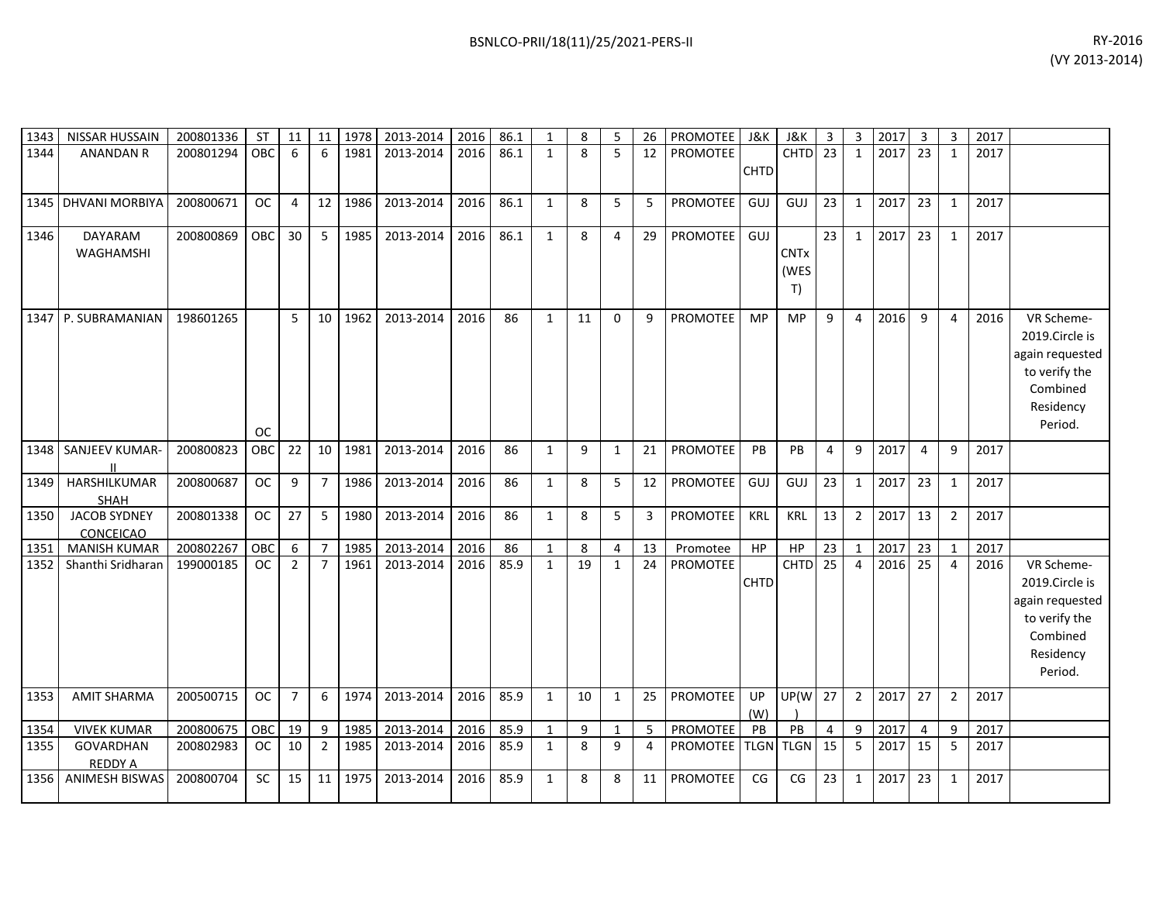| 1343 | NISSAR HUSSAIN                          | 200801336 | <b>ST</b>  | 11             | 11               | 1978 | 2013-2014 | 2016 | 86.1 | $\mathbf{1}$ | 8  | 5            | 26 | <b>PROMOTEE</b>        | J&K         | J&K         | $\overline{3}$ | 3              | 2017 | 3  | 3              | 2017 |                 |
|------|-----------------------------------------|-----------|------------|----------------|------------------|------|-----------|------|------|--------------|----|--------------|----|------------------------|-------------|-------------|----------------|----------------|------|----|----------------|------|-----------------|
| 1344 | <b>ANANDAN R</b>                        | 200801294 | <b>OBC</b> | 6              | $6 \overline{6}$ | 1981 | 2013-2014 | 2016 | 86.1 | $\mathbf{1}$ | 8  | 5            | 12 | PROMOTEE               |             | <b>CHTD</b> | 23             | 1              | 2017 | 23 | 1              | 2017 |                 |
|      |                                         |           |            |                |                  |      |           |      |      |              |    |              |    |                        | <b>CHTD</b> |             |                |                |      |    |                |      |                 |
|      |                                         |           |            |                |                  |      |           |      |      |              |    |              |    |                        |             |             |                |                |      |    |                |      |                 |
| 1345 | <b>DHVANI MORBIYA</b>                   | 200800671 | <b>OC</b>  | $\overline{4}$ | 12               | 1986 | 2013-2014 | 2016 | 86.1 | $\mathbf{1}$ | 8  | 5            | 5  | <b>PROMOTEE</b>        | GUJ         | GUJ         | 23             | $\mathbf{1}$   | 2017 | 23 | 1              | 2017 |                 |
| 1346 | DAYARAM                                 | 200800869 | OBC        | 30             | 5                | 1985 | 2013-2014 | 2016 | 86.1 | $\mathbf{1}$ | 8  | 4            | 29 | PROMOTEE               | GUJ         |             | 23             | $\mathbf{1}$   | 2017 | 23 | 1              | 2017 |                 |
|      | WAGHAMSHI                               |           |            |                |                  |      |           |      |      |              |    |              |    |                        |             | <b>CNTx</b> |                |                |      |    |                |      |                 |
|      |                                         |           |            |                |                  |      |           |      |      |              |    |              |    |                        |             | (WES        |                |                |      |    |                |      |                 |
|      |                                         |           |            |                |                  |      |           |      |      |              |    |              |    |                        |             | T)          |                |                |      |    |                |      |                 |
| 1347 | P. SUBRAMANIAN                          | 198601265 |            | 5              | 10               | 1962 | 2013-2014 | 2016 | 86   | $\mathbf{1}$ | 11 | $\Omega$     | 9  | PROMOTEE               | <b>MP</b>   | <b>MP</b>   | 9              | $\overline{4}$ | 2016 | 9  | $\overline{4}$ | 2016 | VR Scheme-      |
|      |                                         |           |            |                |                  |      |           |      |      |              |    |              |    |                        |             |             |                |                |      |    |                |      | 2019.Circle is  |
|      |                                         |           |            |                |                  |      |           |      |      |              |    |              |    |                        |             |             |                |                |      |    |                |      | again requested |
|      |                                         |           |            |                |                  |      |           |      |      |              |    |              |    |                        |             |             |                |                |      |    |                |      | to verify the   |
|      |                                         |           |            |                |                  |      |           |      |      |              |    |              |    |                        |             |             |                |                |      |    |                |      | Combined        |
|      |                                         |           |            |                |                  |      |           |      |      |              |    |              |    |                        |             |             |                |                |      |    |                |      | Residency       |
|      |                                         |           | <b>OC</b>  |                |                  |      |           |      |      |              |    |              |    |                        |             |             |                |                |      |    |                |      | Period.         |
| 1348 | SANJEEV KUMAR-                          | 200800823 | OBC        | 22             | 10               | 1981 | 2013-2014 | 2016 | 86   | $\mathbf{1}$ | 9  | $\mathbf{1}$ | 21 | <b>PROMOTEE</b>        | PB          | <b>PB</b>   | 4              | 9              | 2017 | 4  | 9              | 2017 |                 |
|      |                                         |           |            |                |                  |      |           |      |      |              |    |              |    |                        |             |             |                |                |      |    |                |      |                 |
| 1349 | HARSHILKUMAR                            | 200800687 | <b>OC</b>  | 9              | $\overline{7}$   | 1986 | 2013-2014 | 2016 | 86   | $\mathbf{1}$ | 8  | 5            | 12 | <b>PROMOTEE</b>        | GUJ         | GUJ         | 23             | $\mathbf{1}$   | 2017 | 23 | 1              | 2017 |                 |
|      | <b>SHAH</b>                             |           |            |                |                  |      |           |      |      |              |    |              |    |                        |             |             |                |                |      |    |                |      |                 |
| 1350 | <b>JACOB SYDNEY</b><br><b>CONCEICAO</b> | 200801338 | <b>OC</b>  | 27             | 5                | 1980 | 2013-2014 | 2016 | 86   | $\mathbf{1}$ | 8  | 5            | 3  | PROMOTEE               | <b>KRL</b>  | <b>KRL</b>  | 13             | $\overline{2}$ | 2017 | 13 | $\overline{2}$ | 2017 |                 |
| 1351 | <b>MANISH KUMAR</b>                     | 200802267 | OBC        | 6              | $\overline{7}$   | 1985 | 2013-2014 | 2016 | 86   | $\mathbf{1}$ | 8  | 4            | 13 | Promotee               | HP          | HP          | 23             | $\mathbf 1$    | 2017 | 23 | $\mathbf{1}$   | 2017 |                 |
| 1352 | Shanthi Sridharan                       | 199000185 | <b>OC</b>  | $\overline{2}$ | $\overline{7}$   | 1961 | 2013-2014 | 2016 | 85.9 | $\mathbf{1}$ | 19 | 1            | 24 | <b>PROMOTEE</b>        |             | CHTD        | 25             | $\overline{4}$ | 2016 | 25 | 4              | 2016 | VR Scheme-      |
|      |                                         |           |            |                |                  |      |           |      |      |              |    |              |    |                        | <b>CHTD</b> |             |                |                |      |    |                |      | 2019.Circle is  |
|      |                                         |           |            |                |                  |      |           |      |      |              |    |              |    |                        |             |             |                |                |      |    |                |      | again requested |
|      |                                         |           |            |                |                  |      |           |      |      |              |    |              |    |                        |             |             |                |                |      |    |                |      | to verify the   |
|      |                                         |           |            |                |                  |      |           |      |      |              |    |              |    |                        |             |             |                |                |      |    |                |      | Combined        |
|      |                                         |           |            |                |                  |      |           |      |      |              |    |              |    |                        |             |             |                |                |      |    |                |      | Residency       |
|      |                                         |           |            |                |                  |      |           |      |      |              |    |              |    |                        |             |             |                |                |      |    |                |      | Period.         |
| 1353 | <b>AMIT SHARMA</b>                      | 200500715 | <b>OC</b>  | $\overline{7}$ | 6                | 1974 | 2013-2014 | 2016 | 85.9 | $\mathbf{1}$ | 10 | $\mathbf{1}$ | 25 | PROMOTEE               | UP          | UP(W        | 27             | $\overline{2}$ | 2017 | 27 | $\overline{2}$ | 2017 |                 |
|      |                                         |           |            |                |                  |      |           |      |      |              |    |              |    |                        | (W)         |             |                |                |      |    |                |      |                 |
| 1354 | <b>VIVEK KUMAR</b>                      | 200800675 | OBC        | 19             | 9                | 1985 | 2013-2014 | 2016 | 85.9 | $\mathbf{1}$ | 9  | $\mathbf{1}$ | 5  | PROMOTEE               | PB          | PB          | $\overline{4}$ | 9              | 2017 | 4  | 9              | 2017 |                 |
| 1355 | GOVARDHAN<br><b>REDDY A</b>             | 200802983 | OC.        | 10             | $\overline{2}$   | 1985 | 2013-2014 | 2016 | 85.9 | $\mathbf{1}$ | 8  | 9            | 4  | PROMOTEE   TLGN   TLGN |             |             | 15             | 5              | 2017 | 15 | 5              | 2017 |                 |
| 1356 | <b>ANIMESH BISWAS</b>                   | 200800704 | <b>SC</b>  | 15             | 11               | 1975 | 2013-2014 | 2016 | 85.9 | $\mathbf{1}$ | 8  | 8            | 11 | PROMOTEE               | CG          | CG          | 23             | $\mathbf{1}$   | 2017 | 23 | 1              | 2017 |                 |
|      |                                         |           |            |                |                  |      |           |      |      |              |    |              |    |                        |             |             |                |                |      |    |                |      |                 |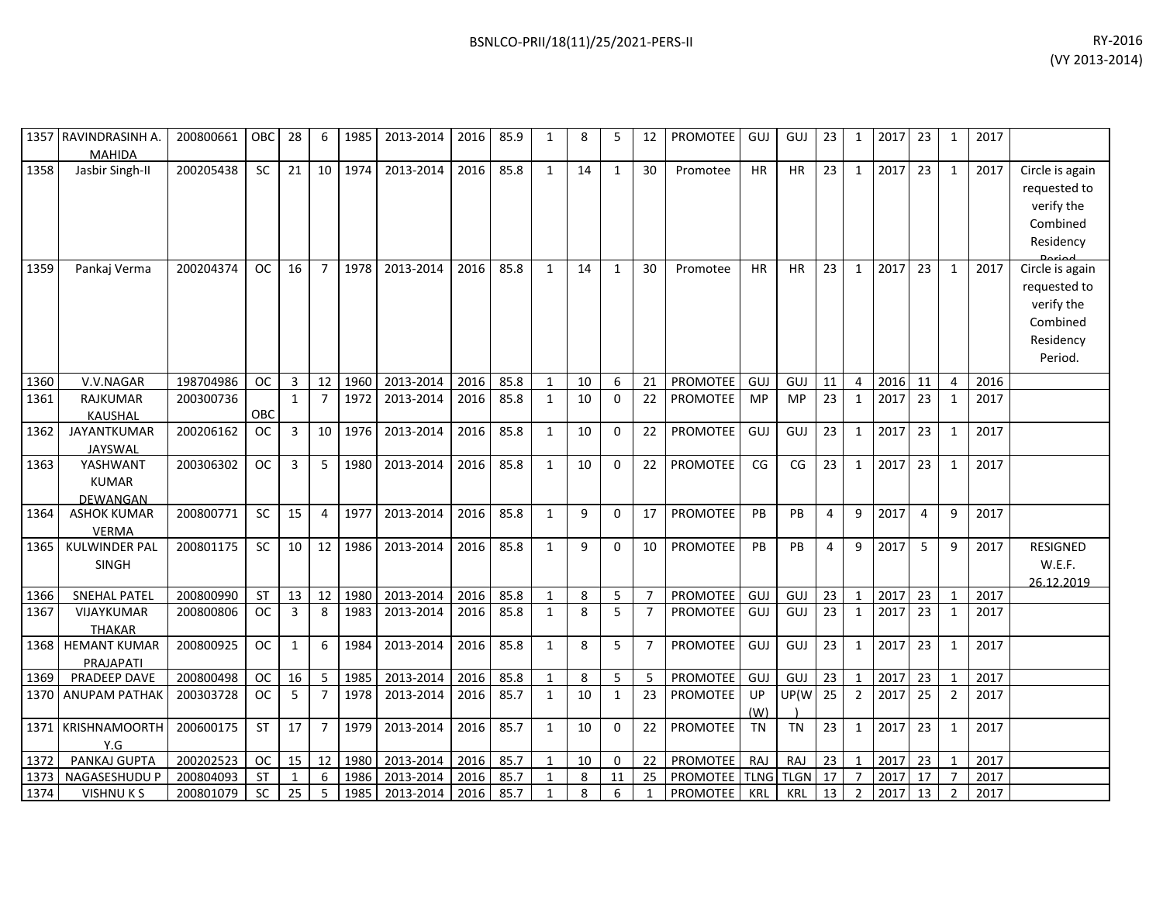|      | 1357 RAVINDRASINH A.<br><b>MAHIDA</b> | 200800661 | OBC       | 28           | 6              | 1985 | 2013-2014 | 2016 | 85.9 | $\mathbf{1}$ | 8  | 5              | 12             | <b>PROMOTEE</b>           | GUJ        | GUJ       | 23             | 1              | 2017 | 23             | 1              | 2017 |                                                                                   |
|------|---------------------------------------|-----------|-----------|--------------|----------------|------|-----------|------|------|--------------|----|----------------|----------------|---------------------------|------------|-----------|----------------|----------------|------|----------------|----------------|------|-----------------------------------------------------------------------------------|
| 1358 | Jasbir Singh-II                       | 200205438 | SC        | 21           | 10             | 1974 | 2013-2014 | 2016 | 85.8 | $\mathbf{1}$ | 14 | $\mathbf{1}$   | 30             | Promotee                  | <b>HR</b>  | HR        | 23             | $\mathbf{1}$   | 2017 | 23             | $\mathbf{1}$   | 2017 | Circle is again<br>requested to<br>verify the<br>Combined<br>Residency            |
| 1359 | Pankaj Verma                          | 200204374 | <b>OC</b> | 16           | $\overline{7}$ | 1978 | 2013-2014 | 2016 | 85.8 | $\mathbf{1}$ | 14 | $\mathbf{1}$   | 30             | Promotee                  | <b>HR</b>  | <b>HR</b> | 23             | $\mathbf{1}$   | 2017 | 23             | $\mathbf{1}$   | 2017 | Circle is again<br>requested to<br>verify the<br>Combined<br>Residency<br>Period. |
| 1360 | V.V.NAGAR                             | 198704986 | <b>OC</b> | 3            | 12             | 1960 | 2013-2014 | 2016 | 85.8 | 1            | 10 | 6              | 21             | <b>PROMOTEE</b>           | <b>GUJ</b> | GUJ       | 11             | 4              | 2016 | 11             | 4              | 2016 |                                                                                   |
| 1361 | RAJKUMAR<br>KAUSHAL                   | 200300736 | OBC       | $\mathbf{1}$ | $\overline{7}$ | 1972 | 2013-2014 | 2016 | 85.8 | 1            | 10 | $\mathbf 0$    | 22             | PROMOTEE                  | <b>MP</b>  | <b>MP</b> | 23             | 1              | 2017 | 23             | 1              | 2017 |                                                                                   |
| 1362 | JAYANTKUMAR<br><b>JAYSWAL</b>         | 200206162 | <b>OC</b> | 3            | 10             | 1976 | 2013-2014 | 2016 | 85.8 | $\mathbf{1}$ | 10 | $\mathbf 0$    | 22             | PROMOTEE                  | GUJ        | GUJ       | 23             | $\mathbf{1}$   | 2017 | 23             | 1              | 2017 |                                                                                   |
| 1363 | YASHWANT<br><b>KUMAR</b><br>DEWANGAN  | 200306302 | <b>OC</b> | 3            | 5              | 1980 | 2013-2014 | 2016 | 85.8 | $\mathbf{1}$ | 10 | $\Omega$       | 22             | <b>PROMOTEE</b>           | CG         | CG        | 23             | $\mathbf{1}$   | 2017 | 23             | $\mathbf{1}$   | 2017 |                                                                                   |
| 1364 | <b>ASHOK KUMAR</b><br><b>VERMA</b>    | 200800771 | SC        | 15           | 4              | 1977 | 2013-2014 | 2016 | 85.8 | $\mathbf{1}$ | 9  | $\mathbf 0$    | 17             | PROMOTEE                  | PB         | PB        | $\overline{4}$ | 9              | 2017 | $\overline{4}$ | 9              | 2017 |                                                                                   |
| 1365 | <b>KULWINDER PAL</b><br><b>SINGH</b>  | 200801175 | <b>SC</b> | 10           | 12             | 1986 | 2013-2014 | 2016 | 85.8 | $\mathbf{1}$ | 9  | 0              | 10             | <b>PROMOTEE</b>           | PB         | PB        | 4              | 9              | 2017 | 5              | 9              | 2017 | <b>RESIGNED</b><br>W.E.F.<br>26.12.2019                                           |
| 1366 | <b>SNEHAL PATEL</b>                   | 200800990 | ST        | 13           | 12             | 1980 | 2013-2014 | 2016 | 85.8 | $\mathbf{1}$ | 8  | 5              |                | <b>PROMOTEE</b>           | GUJ        | GUJ       | 23             | $\mathbf{1}$   | 2017 | 23             | $\mathbf{1}$   | 2017 |                                                                                   |
| 1367 | <b>VIJAYKUMAR</b><br><b>THAKAR</b>    | 200800806 | <b>OC</b> | 3            | 8              | 1983 | 2013-2014 | 2016 | 85.8 | $\mathbf{1}$ | 8  | $\overline{5}$ | $\overline{7}$ | <b>PROMOTEE</b>           | GUJ        | GUJ       | 23             | 1              | 2017 | 23             | 1              | 2017 |                                                                                   |
| 1368 | <b>HEMANT KUMAR</b><br>PRAJAPATI      | 200800925 | <b>OC</b> | $\mathbf{1}$ | 6              | 1984 | 2013-2014 | 2016 | 85.8 | $\mathbf{1}$ | 8  | 5              | $\overline{7}$ | PROMOTEE                  | GUJ        | GUJ       | 23             | $\mathbf{1}$   | 2017 | 23             | $\mathbf{1}$   | 2017 |                                                                                   |
| 1369 | PRADEEP DAVE                          | 200800498 | <b>OC</b> | 16           | 5              | 1985 | 2013-2014 | 2016 | 85.8 | $\mathbf{1}$ | 8  | 5              | 5              | <b>PROMOTEE</b>           | GUJ        | GUJ       | 23             | $\mathbf{1}$   | 2017 | 23             | $\mathbf{1}$   | 2017 |                                                                                   |
|      | 1370 ANUPAM PATHAK                    | 200303728 | <b>OC</b> | 5            | $\overline{7}$ | 1978 | 2013-2014 | 2016 | 85.7 | 1            | 10 | $\mathbf{1}$   | 23             | <b>PROMOTEE</b>           | UP<br>(W)  | UP(W      | 25             | $\overline{2}$ | 2017 | 25             | 2              | 2017 |                                                                                   |
| 1371 | KRISHNAMOORTH<br>Y.G                  | 200600175 | ST        | 17           | $\overline{7}$ | 1979 | 2013-2014 | 2016 | 85.7 | $\mathbf{1}$ | 10 | $\Omega$       | 22             | <b>PROMOTEE</b>           | <b>TN</b>  | <b>TN</b> | 23             | $\mathbf{1}$   | 2017 | 23             | $\mathbf{1}$   | 2017 |                                                                                   |
| 1372 | PANKAJ GUPTA                          | 200202523 | <b>OC</b> | 15           | 12             | 1980 | 2013-2014 | 2016 | 85.7 | $\mathbf{1}$ | 10 | $\mathbf 0$    | 22             | <b>PROMOTEE</b>           | RAJ        | RAJ       | 23             | $\mathbf{1}$   | 2017 | 23             | 1              | 2017 |                                                                                   |
| 1373 | NAGASESHUDU P                         | 200804093 | <b>ST</b> | 1            | 6              | 1986 | 2013-2014 | 2016 | 85.7 | $\mathbf{1}$ | 8  | 11             | 25             | <b>PROMOTEE</b> TLNG TLGN |            |           | 17             | $\overline{7}$ | 2017 | 17             |                | 2017 |                                                                                   |
| 1374 | VISHNU K S                            | 200801079 | <b>SC</b> | 25           | 5              | 1985 | 2013-2014 | 2016 | 85.7 | $\mathbf{1}$ | 8  | 6              | 1              | <b>PROMOTEE</b>           | KRL        | KRL       | 13             | $\overline{2}$ | 2017 | 13             | $\overline{2}$ | 2017 |                                                                                   |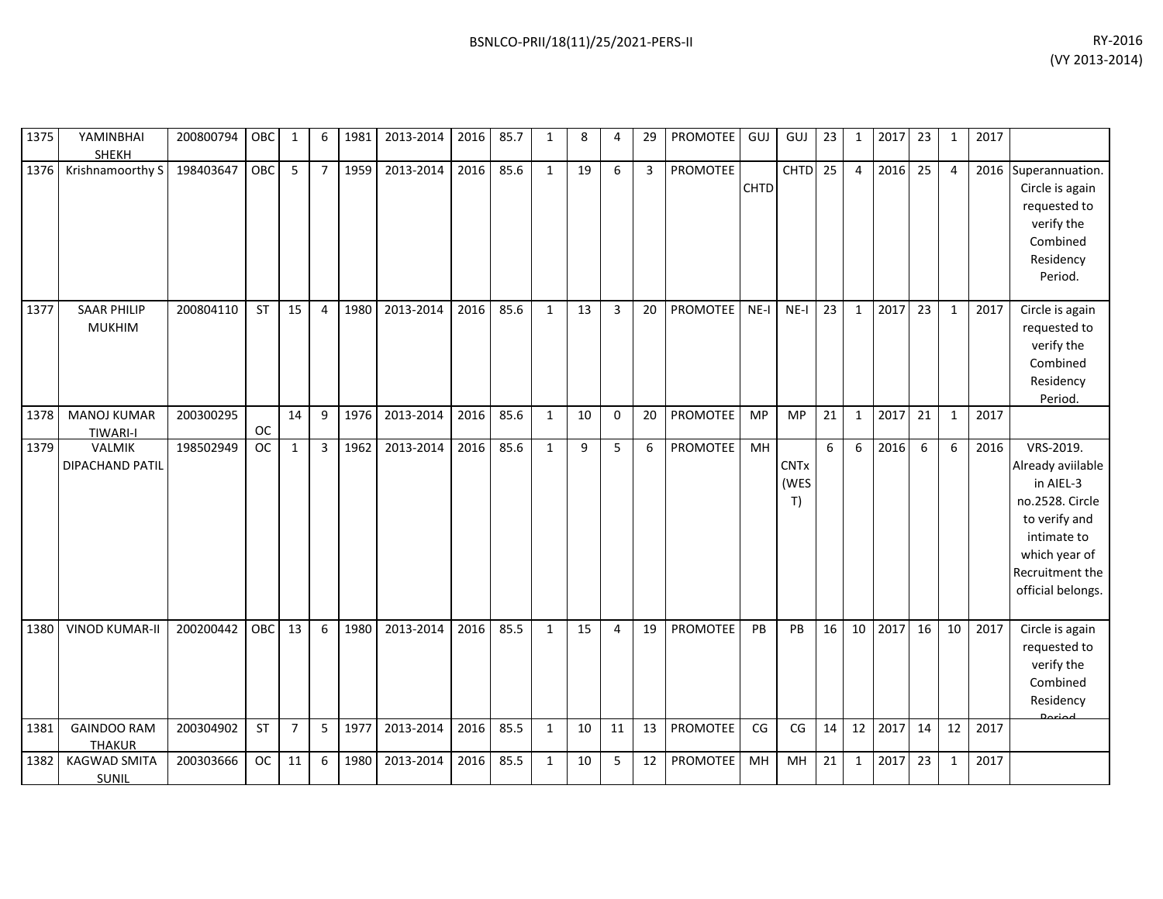| 1375         | YAMINBHAI<br><b>SHEKH</b>                                 | 200800794              | OBC       | $\mathbf{1}$   | 6              | 1981         | 2013-2014              | 2016         | 85.7         | $\mathbf{1}$                 | 8        | 4                | 29       | PROMOTEE             | GUJ                 | GUJ                       | 23       | $\mathbf{1}$                 | 2017         | 23       | 1                            | 2017         |                                                                                                                                                         |
|--------------|-----------------------------------------------------------|------------------------|-----------|----------------|----------------|--------------|------------------------|--------------|--------------|------------------------------|----------|------------------|----------|----------------------|---------------------|---------------------------|----------|------------------------------|--------------|----------|------------------------------|--------------|---------------------------------------------------------------------------------------------------------------------------------------------------------|
| 1376         | Krishnamoorthy S                                          | 198403647              | OBC       | 5              | $\overline{7}$ | 1959         | 2013-2014              | 2016         | 85.6         | $\mathbf{1}$                 | 19       | 6                | 3        | PROMOTEE             | <b>CHTD</b>         | <b>CHTD</b>               | 25       | $\overline{4}$               | 2016         | 25       | 4                            |              | 2016 Superannuation.<br>Circle is again<br>requested to<br>verify the<br>Combined<br>Residency<br>Period.                                               |
| 1377<br>1378 | <b>SAAR PHILIP</b><br><b>MUKHIM</b><br><b>MANOJ KUMAR</b> | 200804110<br>200300295 | <b>ST</b> | 15<br>14       | 4<br>9         | 1980<br>1976 | 2013-2014<br>2013-2014 | 2016<br>2016 | 85.6<br>85.6 | $\mathbf{1}$<br>$\mathbf{1}$ | 13<br>10 | 3<br>$\mathbf 0$ | 20<br>20 | PROMOTEE<br>PROMOTEE | $NE-I$<br><b>MP</b> | $NE-I$<br>MP              | 23<br>21 | $\mathbf{1}$<br>$\mathbf{1}$ | 2017<br>2017 | 23<br>21 | $\mathbf{1}$<br>$\mathbf{1}$ | 2017<br>2017 | Circle is again<br>requested to<br>verify the<br>Combined<br>Residency<br>Period.                                                                       |
|              | <b>TIWARI-I</b>                                           |                        | <b>OC</b> |                |                |              |                        |              |              |                              |          |                  |          |                      |                     |                           |          |                              |              |          |                              |              |                                                                                                                                                         |
| 1379         | VALMIK<br>DIPACHAND PATIL                                 | 198502949              | <b>OC</b> | $\mathbf{1}$   | $\mathbf{3}$   | 1962         | 2013-2014              | 2016         | 85.6         | $\mathbf{1}$                 | 9        | 5                | 6        | PROMOTEE             | MH                  | <b>CNTx</b><br>(WES<br>T) | 6        | 6                            | 2016         | 6        | 6                            | 2016         | VRS-2019.<br>Already aviilable<br>in AIEL-3<br>no.2528. Circle<br>to verify and<br>intimate to<br>which year of<br>Recruitment the<br>official belongs. |
| 1380         | <b>VINOD KUMAR-II</b>                                     | 200200442              | OBC       | 13             | 6              | 1980         | 2013-2014              | 2016         | 85.5         | $\mathbf{1}$                 | 15       | $\overline{4}$   | 19       | <b>PROMOTEE</b>      | PB                  | PB                        | 16       | 10 <sup>1</sup>              | 2017         | 16       | 10                           | 2017         | Circle is again<br>requested to<br>verify the<br>Combined<br>Residency<br><b>Doriad</b>                                                                 |
| 1381         | <b>GAINDOO RAM</b><br><b>THAKUR</b>                       | 200304902              | <b>ST</b> | $\overline{7}$ | 5              | 1977         | 2013-2014              | 2016         | 85.5         | $\mathbf{1}$                 | 10       | 11               | 13       | PROMOTEE             | CG                  | CG                        | 14       | 12                           | 2017         | 14       | 12                           | 2017         |                                                                                                                                                         |
| 1382         | <b>KAGWAD SMITA</b><br>SUNIL                              | 200303666              | <b>OC</b> | 11             | 6              | 1980         | 2013-2014              | 2016         | 85.5         | $\mathbf{1}$                 | 10       | 5                | 12       | <b>PROMOTEE</b>      | MH                  | MH                        | 21       | $\mathbf{1}$                 | 2017         | 23       | $\mathbf{1}$                 | 2017         |                                                                                                                                                         |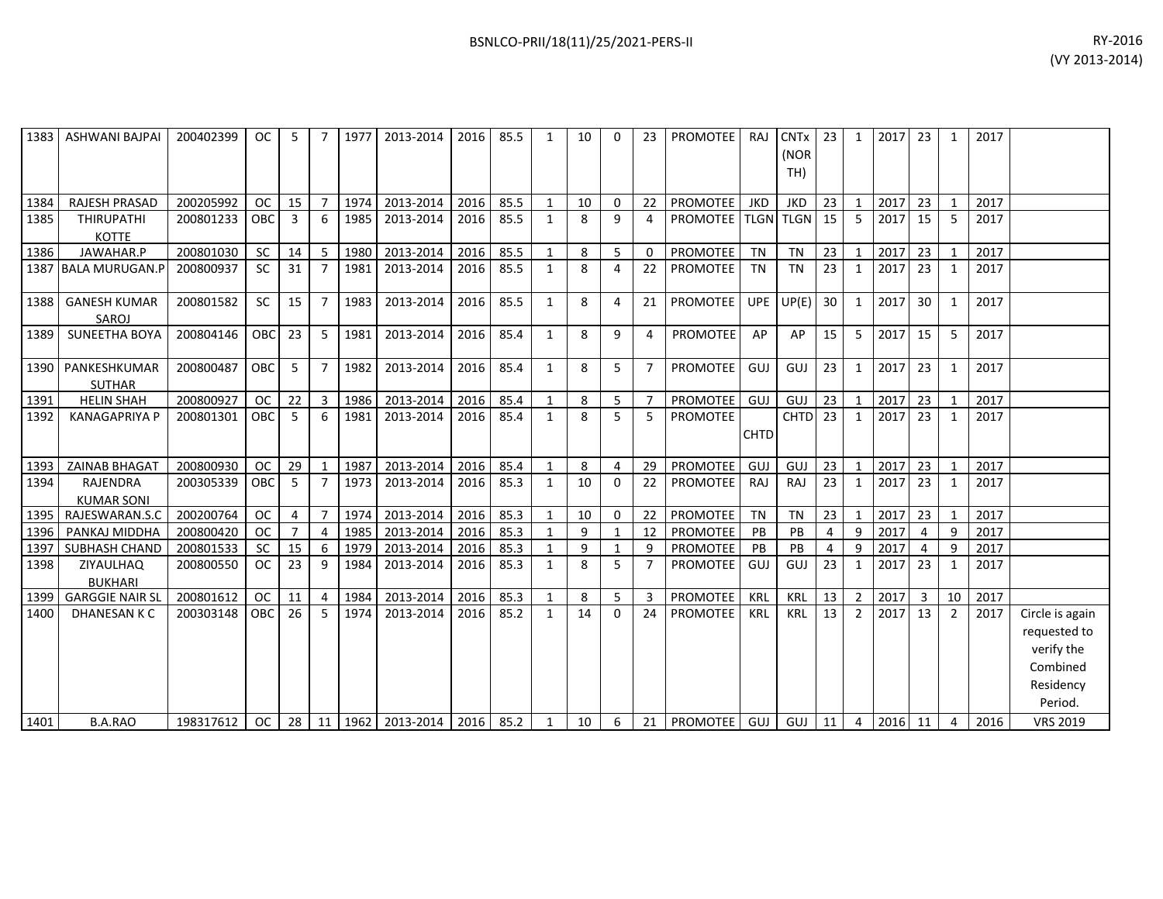|      | 1383   ASHWANI BAJPAI              | 200402399 | $OC$            | - 5 I          |                | 7   1977 | 2013-2014            |      | 2016 85.5 | 1            | 10              | $\Omega$       |                         | 23   PROMOTEE   RAJ    |             | $CNTx$ 23<br>(NOR<br>TH) |                |                | 1 2017 23 |                 | 1              | 2017 |                                                                                   |
|------|------------------------------------|-----------|-----------------|----------------|----------------|----------|----------------------|------|-----------|--------------|-----------------|----------------|-------------------------|------------------------|-------------|--------------------------|----------------|----------------|-----------|-----------------|----------------|------|-----------------------------------------------------------------------------------|
| 1384 | RAJESH PRASAD                      | 200205992 | <b>OC</b>       | 15             | $\overline{7}$ | 1974     | 2013-2014            | 2016 | 85.5      | $\mathbf{1}$ | 10              | $\overline{0}$ | 22                      | <b>PROMOTEE</b>        | <b>JKD</b>  | JKD                      | 23             | 1              | 2017 23   |                 | $\mathbf{1}$   | 2017 |                                                                                   |
| 1385 | <b>THIRUPATHI</b><br><b>KOTTE</b>  | 200801233 | <b>OBC</b>      | 3              | 6              | 1985     | 2013-2014            | 2016 | 85.5      | 1            | 8               | q              | $\overline{\mathbf{A}}$ | PROMOTEE   TLGN   TLGN |             |                          | 15             | 5              | 2017 15   |                 | .5             | 2017 |                                                                                   |
| 1386 | JAWAHAR.P                          | 200801030 | SC              | 14             | 5              | 1980     | 2013-2014            | 2016 | 85.5      |              | 8               | 5              | $\Omega$                | PROMOTEE               | <b>TN</b>   | <b>TN</b>                | 23             | $\mathbf{1}$   | 2017      | 23              |                | 2017 |                                                                                   |
|      | 1387 BALA MURUGAN.P                | 200800937 | <b>SC</b>       | 31             | 7              | 1981     | 2013-2014            | 2016 | 85.5      | 1            | 8               | 4              | 22                      | PROMOTEE               | TN          | <b>TN</b>                | 23             | $\mathbf{1}$   | 2017      | 23              |                | 2017 |                                                                                   |
| 1388 | <b>GANESH KUMAR</b><br>SAROJ       | 200801582 | <b>SC</b>       | 15             | $\overline{7}$ | 1983     | 2013-2014            | 2016 | 85.5      | 1            | 8               | 4              | 21                      | PROMOTEE               |             | $UPE$ $UP(E)$            | 30             | 1              | 2017      | 30 <sup>1</sup> |                | 2017 |                                                                                   |
| 1389 | SUNEETHA BOYA                      | 200804146 | <b>OBC</b>      | 23             | 5              | 1981     | 2013-2014            | 2016 | 85.4      | $\mathbf{1}$ | 8               | 9              | 4                       | <b>PROMOTEE</b>        | AP          | AP                       | 15             | 5              | 2017      | 15 <sup>1</sup> | 5              | 2017 |                                                                                   |
|      | 1390 PANKESHKUMAR<br><b>SUTHAR</b> | 200800487 | <b>OBC</b>      | 5              | $\overline{7}$ | 1982     | 2013-2014            | 2016 | 85.4      | $\mathbf{1}$ | 8               | 5              |                         | PROMOTEE               | GUJ         | GUJ                      | 23             | $\mathbf{1}$   | 2017      | 23 <sup>1</sup> | 1              | 2017 |                                                                                   |
| 1391 | <b>HELIN SHAH</b>                  | 200800927 | <b>OC</b>       | 22             | $\overline{3}$ | 1986     | 2013-2014            | 2016 | 85.4      |              | 8               | 5              |                         | PROMOTEE               | GUJ         | GUJ                      | 23             | 1              | 2017      | 23              |                | 2017 |                                                                                   |
| 1392 | <b>KANAGAPRIYA P</b>               | 200801301 | <b>OBC</b>      | 5              | 6              | 1981     | 2013-2014            | 2016 | 85.4      | $\mathbf{1}$ | 8               | 5              | .5                      | <b>PROMOTEE</b>        | <b>CHTD</b> | $CHTD$ 23                |                | $\mathbf{1}$   | 2017      | 23 <sup>1</sup> | $\overline{1}$ | 2017 |                                                                                   |
|      | 1393 ZAINAB BHAGAT                 | 200800930 | <b>OC</b>       | 29             | 1              | 1987     | 2013-2014            | 2016 | 85.4      |              | 8               | $\overline{4}$ | 29                      | <b>PROMOTEE</b>        | GUJ         | GUJ                      | 23             | 1              | 2017 23   |                 |                | 2017 |                                                                                   |
| 1394 | RAJENDRA<br><b>KUMAR SONI</b>      | 200305339 | <b>OBC</b>      | -5             | $\overline{7}$ | 1973     | 2013-2014            | 2016 | 85.3      | $\mathbf{1}$ | 10              | $\Omega$       | 22                      | PROMOTEE               | RAJ         | RAJ                      | 23             | $\mathbf{1}$   | 2017 23   |                 | 1              | 2017 |                                                                                   |
|      | 1395   RAJESWARAN.S.C              | 200200764 | <b>OC</b>       | $\overline{4}$ | $\overline{7}$ | 1974     | 2013-2014            | 2016 | 85.3      |              | 10              | 0              | 22                      | PROMOTEE               | <b>TN</b>   | <b>TN</b>                | 23             | $\mathbf{1}$   | 2017      | 23              |                | 2017 |                                                                                   |
| 1396 | PANKAJ MIDDHA                      | 200800420 | <b>OC</b>       | $\overline{7}$ | 4              | 1985     | 2013-2014            | 2016 | 85.3      | 1            | 9               |                | 12                      | PROMOTEE               | PB          | PB                       | $\overline{4}$ | 9              | 2017      | $\overline{4}$  | q              | 2017 |                                                                                   |
| 1397 | SUBHASH CHAND                      | 200801533 | SC              | 15             | 6              | 1979     | 2013-2014            | 2016 | 85.3      |              | 9               |                | q                       | PROMOTEE               | PB          | PB                       | 4              | 9              | 2017      | 4               | 9              | 2017 |                                                                                   |
| 1398 | ZIYAULHAQ<br><b>BUKHARI</b>        | 200800550 | <b>OC</b>       | 23             | 9              | 1984     | 2013-2014            | 2016 | 85.3      | 1            | 8               | 5              |                         | PROMOTEE               | GUJ         | GUJ                      | 23             | $\mathbf{1}$   | 2017      | 23              |                | 2017 |                                                                                   |
| 1399 | <b>GARGGIE NAIR SL</b>             | 200801612 | <b>OC</b>       | 11             | 4              | 1984     | 2013-2014            | 2016 | 85.3      | 1            | 8               | 5              | 3                       | PROMOTEE               | KRL         | KRL                      | 13             | 2              | 2017      | $\overline{3}$  | 10             | 2017 |                                                                                   |
| 1400 | DHANESAN K C                       | 200303148 | <b>OBC</b>      | 26             | 5              | 1974     | 2013-2014            | 2016 | 85.2      | $\mathbf{1}$ | 14              | $\Omega$       | 24                      | <b>PROMOTEE</b>        | KRL         | <b>KRL</b>               | 13             | $\overline{2}$ | 2017 13   |                 | $\overline{2}$ | 2017 | Circle is again<br>requested to<br>verify the<br>Combined<br>Residency<br>Period. |
| 1401 | <b>B.A.RAO</b>                     | 198317612 | oc <sub>1</sub> |                |                |          | 28 11 1962 2013-2014 | 2016 | 85.2      |              | 10 <sup>1</sup> | - 6            |                         | 21   PROMOTEE          | GUJ I       | $GUI$ 11                 |                | $\overline{4}$ | $2016$ 11 |                 | $\overline{4}$ | 2016 | <b>VRS 2019</b>                                                                   |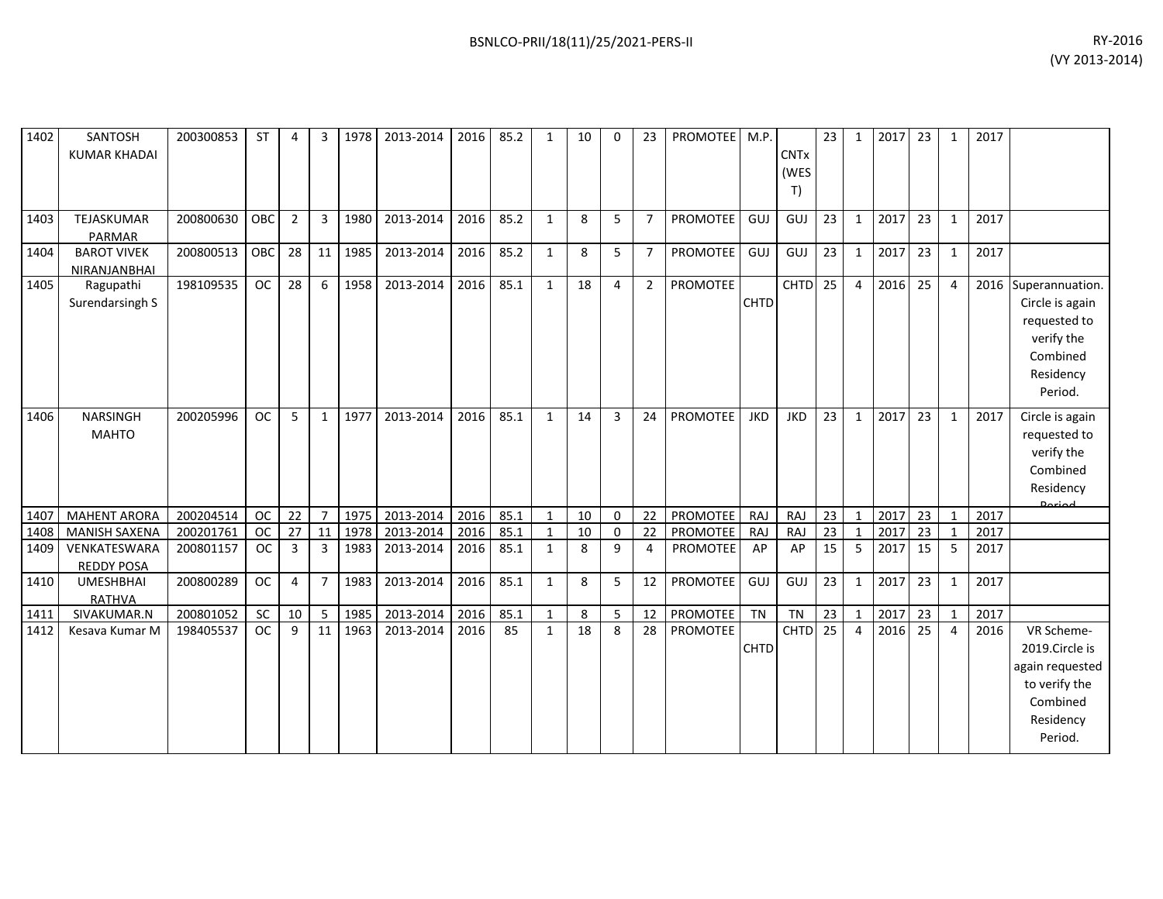| 1402 | SANTOSH<br><b>KUMAR KHADAI</b>     | 200300853 | ST        | 4              | 3              | 1978 | 2013-2014 | 2016 | 85.2 | 1            | 10 | $\Omega$ | 23             | PROMOTEE   M.P. |             | <b>CNTx</b><br>(WES<br>T) | 23              | 1              | 2017 | 23 <sup>1</sup> | 1            | 2017 |                                                                                                      |
|------|------------------------------------|-----------|-----------|----------------|----------------|------|-----------|------|------|--------------|----|----------|----------------|-----------------|-------------|---------------------------|-----------------|----------------|------|-----------------|--------------|------|------------------------------------------------------------------------------------------------------|
| 1403 | TEJASKUMAR<br>PARMAR               | 200800630 | OBC       | $\overline{2}$ | $\mathbf{3}$   | 1980 | 2013-2014 | 2016 | 85.2 | $\mathbf{1}$ | 8  | 5        | $\overline{7}$ | PROMOTEE        | <b>GUJ</b>  | GUJ                       | 23              | $\mathbf{1}$   | 2017 | 23              | $\mathbf{1}$ | 2017 |                                                                                                      |
| 1404 | <b>BAROT VIVEK</b><br>NIRANJANBHAI | 200800513 | OBC       | 28             | 11             | 1985 | 2013-2014 | 2016 | 85.2 | $\mathbf{1}$ | 8  | 5        | $\overline{7}$ | PROMOTEE        | <b>GUJ</b>  | GUJ                       | 23              | $\mathbf{1}$   | 2017 | 23              | $\mathbf{1}$ | 2017 |                                                                                                      |
| 1405 | Ragupathi<br>Surendarsingh S       | 198109535 | <b>OC</b> | 28             | 6              | 1958 | 2013-2014 | 2016 | 85.1 | $\mathbf{1}$ | 18 | 4        | $\overline{2}$ | PROMOTEE        | <b>CHTD</b> | <b>CHTD</b>               | $\overline{25}$ | $\overline{4}$ | 2016 | 25              | 4            | 2016 | Superannuation.<br>Circle is again<br>requested to<br>verify the<br>Combined<br>Residency<br>Period. |
| 1406 | <b>NARSINGH</b><br><b>MAHTO</b>    | 200205996 | <b>OC</b> | 5              | $\mathbf{1}$   | 1977 | 2013-2014 | 2016 | 85.1 | 1            | 14 | 3        | 24             | PROMOTEE        | <b>JKD</b>  | <b>JKD</b>                | 23              | $\mathbf{1}$   | 2017 | 23              | $\mathbf{1}$ | 2017 | Circle is again<br>requested to<br>verify the<br>Combined<br>Residency<br><b>Dariad</b>              |
| 1407 | <b>MAHENT ARORA</b>                | 200204514 | <b>OC</b> | 22             | $\overline{7}$ | 1975 | 2013-2014 | 2016 | 85.1 | 1            | 10 | 0        | 22             | PROMOTEE        | <b>RAJ</b>  | RAJ                       | 23              | $\mathbf{1}$   | 2017 | 23              |              | 2017 |                                                                                                      |
| 1408 | <b>MANISH SAXENA</b>               | 200201761 | <b>OC</b> | 27             | 11             | 1978 | 2013-2014 | 2016 | 85.1 | 1            | 10 | 0        | 22             | PROMOTEE        | <b>RAJ</b>  | RAJ                       | $\overline{23}$ | $\mathbf{1}$   | 2017 | 23              | $\mathbf{1}$ | 2017 |                                                                                                      |
| 1409 | VENKATESWARA<br><b>REDDY POSA</b>  | 200801157 | <b>OC</b> | 3              | 3              | 1983 | 2013-2014 | 2016 | 85.1 | $\mathbf{1}$ | 8  | 9        | 4              | PROMOTEE        | AP          | AP                        | 15              | 5              | 2017 | 15 <sup>1</sup> | 5            | 2017 |                                                                                                      |
| 1410 | <b>UMESHBHAI</b><br>RATHVA         | 200800289 | <b>OC</b> | $\overline{4}$ | $\overline{7}$ | 1983 | 2013-2014 | 2016 | 85.1 | $\mathbf{1}$ | 8  | 5        | 12             | PROMOTEE        | GUJ         | GUJ                       | 23              | $\mathbf{1}$   | 2017 | 23              | $\mathbf{1}$ | 2017 |                                                                                                      |
| 1411 | SIVAKUMAR.N                        | 200801052 | SC        | 10             | 5              | 1985 | 2013-2014 | 2016 | 85.1 | 1            | 8  | 5        | 12             | PROMOTEE        | <b>TN</b>   | <b>TN</b>                 | 23              | $\mathbf{1}$   | 2017 | 23              | 1            | 2017 |                                                                                                      |
| 1412 | Kesava Kumar M                     | 198405537 | <b>OC</b> | 9              | 11             | 1963 | 2013-2014 | 2016 | 85   | $\mathbf{1}$ | 18 | 8        | 28             | <b>PROMOTEE</b> | <b>CHTD</b> | CHTD                      | $\overline{25}$ | $\overline{4}$ | 2016 | 25              | 4            | 2016 | VR Scheme-<br>2019.Circle is<br>again requested<br>to verify the<br>Combined<br>Residency<br>Period. |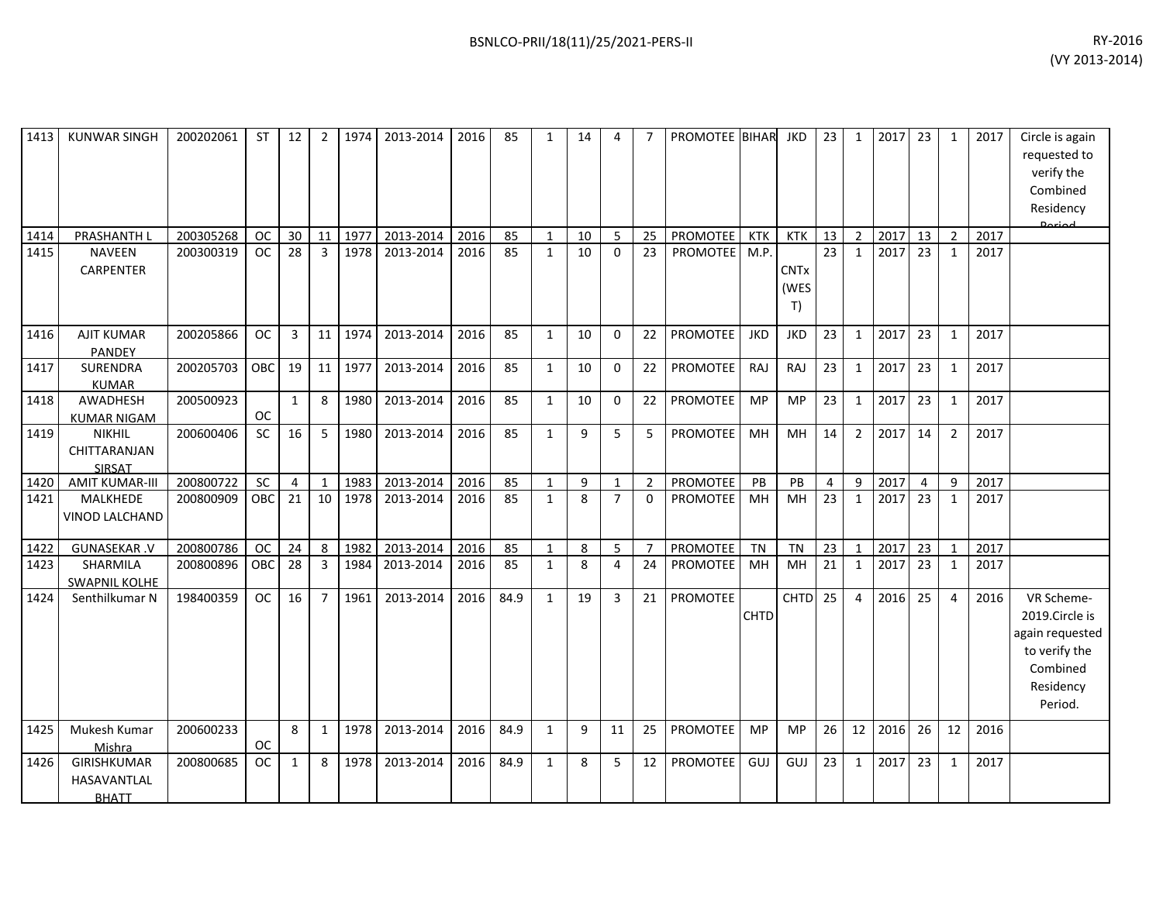| 1413 | <b>KUNWAR SINGH</b>                               | 200202061 | <b>ST</b> | 12             | 2              | 1974 | 2013-2014 | 2016 | 85   | 1            | 14 | 4              |                | PROMOTEE BIHAR  |             | JKD                       | 23              | 1              | 2017 | 23             | $\mathbf{1}$   | 2017 | Circle is again<br>requested to<br>verify the<br>Combined<br>Residency<br>لممتعمه                    |
|------|---------------------------------------------------|-----------|-----------|----------------|----------------|------|-----------|------|------|--------------|----|----------------|----------------|-----------------|-------------|---------------------------|-----------------|----------------|------|----------------|----------------|------|------------------------------------------------------------------------------------------------------|
| 1414 | PRASHANTH L                                       | 200305268 | <b>OC</b> | 30             | 11             | 1977 | 2013-2014 | 2016 | 85   | $\mathbf{1}$ | 10 | $\overline{5}$ | 25             | <b>PROMOTEE</b> | KTK         | <b>KTK</b>                | 13              | $\overline{2}$ | 2017 | 13             | $\overline{2}$ | 2017 |                                                                                                      |
| 1415 | <b>NAVEEN</b><br>CARPENTER                        | 200300319 | <b>OC</b> | 28             | 3              | 1978 | 2013-2014 | 2016 | 85   | $\mathbf{1}$ | 10 | $\mathbf{0}$   | 23             | <b>PROMOTEE</b> | M.P.        | <b>CNTx</b><br>(WES<br>T) | $\overline{23}$ | $\mathbf{1}$   | 2017 | 23             | $\mathbf{1}$   | 2017 |                                                                                                      |
| 1416 | <b>AJIT KUMAR</b><br><b>PANDEY</b>                | 200205866 | <b>OC</b> | 3              | 11             | 1974 | 2013-2014 | 2016 | 85   | 1            | 10 | $\Omega$       | 22             | PROMOTEE        | <b>JKD</b>  | <b>JKD</b>                | 23              | 1              | 2017 | 23             | $\mathbf{1}$   | 2017 |                                                                                                      |
| 1417 | <b>SURENDRA</b><br><b>KUMAR</b>                   | 200205703 | OBC       | 19             | 11             | 1977 | 2013-2014 | 2016 | 85   | $\mathbf{1}$ | 10 | $\Omega$       | 22             | <b>PROMOTEE</b> | RAJ         | <b>RAJ</b>                | 23              | 1              | 2017 | 23             | $\mathbf{1}$   | 2017 |                                                                                                      |
| 1418 | AWADHESH<br><b>KUMAR NIGAM</b>                    | 200500923 | <b>OC</b> | $\mathbf{1}$   | 8              | 1980 | 2013-2014 | 2016 | 85   | 1            | 10 | $\Omega$       | 22             | PROMOTEE        | <b>MP</b>   | <b>MP</b>                 | 23              | $\mathbf{1}$   | 2017 | 23             | $\mathbf{1}$   | 2017 |                                                                                                      |
| 1419 | <b>NIKHIL</b><br>CHITTARANJAN<br>SIRSAT           | 200600406 | SC        | 16             | 5              | 1980 | 2013-2014 | 2016 | 85   | $\mathbf{1}$ | 9  | 5              | 5              | PROMOTEE        | MH          | MH                        | 14              | $\overline{2}$ | 2017 | 14             | $\overline{2}$ | 2017 |                                                                                                      |
| 1420 | <b>AMIT KUMAR-III</b>                             | 200800722 | <b>SC</b> | $\overline{4}$ | $\mathbf{1}$   | 1983 | 2013-2014 | 2016 | 85   | $\mathbf{1}$ | 9  | $\mathbf{1}$   | $\overline{2}$ | PROMOTEE        | PB          | PB                        | $\overline{4}$  | 9              | 2017 | $\overline{4}$ | 9              | 2017 |                                                                                                      |
| 1421 | MALKHEDE<br>VINOD LALCHAND                        | 200800909 | OBC       | 21             | 10             | 1978 | 2013-2014 | 2016 | 85   | $\mathbf{1}$ | 8  | $\overline{7}$ | $\Omega$       | PROMOTEE        | MH          | MH                        | 23              | 1              | 2017 | 23             | $\mathbf{1}$   | 2017 |                                                                                                      |
| 1422 | <b>GUNASEKAR.V</b>                                | 200800786 | <b>OC</b> | 24             | 8              | 1982 | 2013-2014 | 2016 | 85   | $\mathbf{1}$ | 8  | 5              | $\overline{7}$ | PROMOTEE        | <b>TN</b>   | <b>TN</b>                 | 23              | $\mathbf{1}$   | 2017 | 23             | $\mathbf{1}$   | 2017 |                                                                                                      |
| 1423 | SHARMILA<br><b>SWAPNIL KOLHE</b>                  | 200800896 | OBC       | 28             | 3              | 1984 | 2013-2014 | 2016 | 85   | $\mathbf{1}$ | 8  | 4              | 24             | <b>PROMOTEE</b> | MH          | <b>MH</b>                 | 21              | $\mathbf{1}$   | 2017 | 23             | $\mathbf{1}$   | 2017 |                                                                                                      |
| 1424 | Senthilkumar N                                    | 198400359 | <b>OC</b> | 16             | $\overline{7}$ | 1961 | 2013-2014 | 2016 | 84.9 | $\mathbf{1}$ | 19 | 3              | 21             | PROMOTEE        | <b>CHTD</b> | <b>CHTD</b>               | 25              | $\overline{4}$ | 2016 | 25             | $\overline{4}$ | 2016 | VR Scheme-<br>2019.Circle is<br>again requested<br>to verify the<br>Combined<br>Residency<br>Period. |
| 1425 | Mukesh Kumar<br>Mishra                            | 200600233 | <b>OC</b> | 8              | $\mathbf{1}$   | 1978 | 2013-2014 | 2016 | 84.9 | $\mathbf{1}$ | 9  | 11             | 25             | <b>PROMOTEE</b> | MP          | <b>MP</b>                 | 26              | 12             | 2016 | 26             | 12             | 2016 |                                                                                                      |
| 1426 | <b>GIRISHKUMAR</b><br>HASAVANTLAL<br><b>BHATT</b> | 200800685 | <b>OC</b> | 1              | 8              | 1978 | 2013-2014 | 2016 | 84.9 | $\mathbf{1}$ | 8  | 5              | 12             | <b>PROMOTEE</b> | GUJ         | GUJ                       | 23              | 1              | 2017 | 23             | 1              | 2017 |                                                                                                      |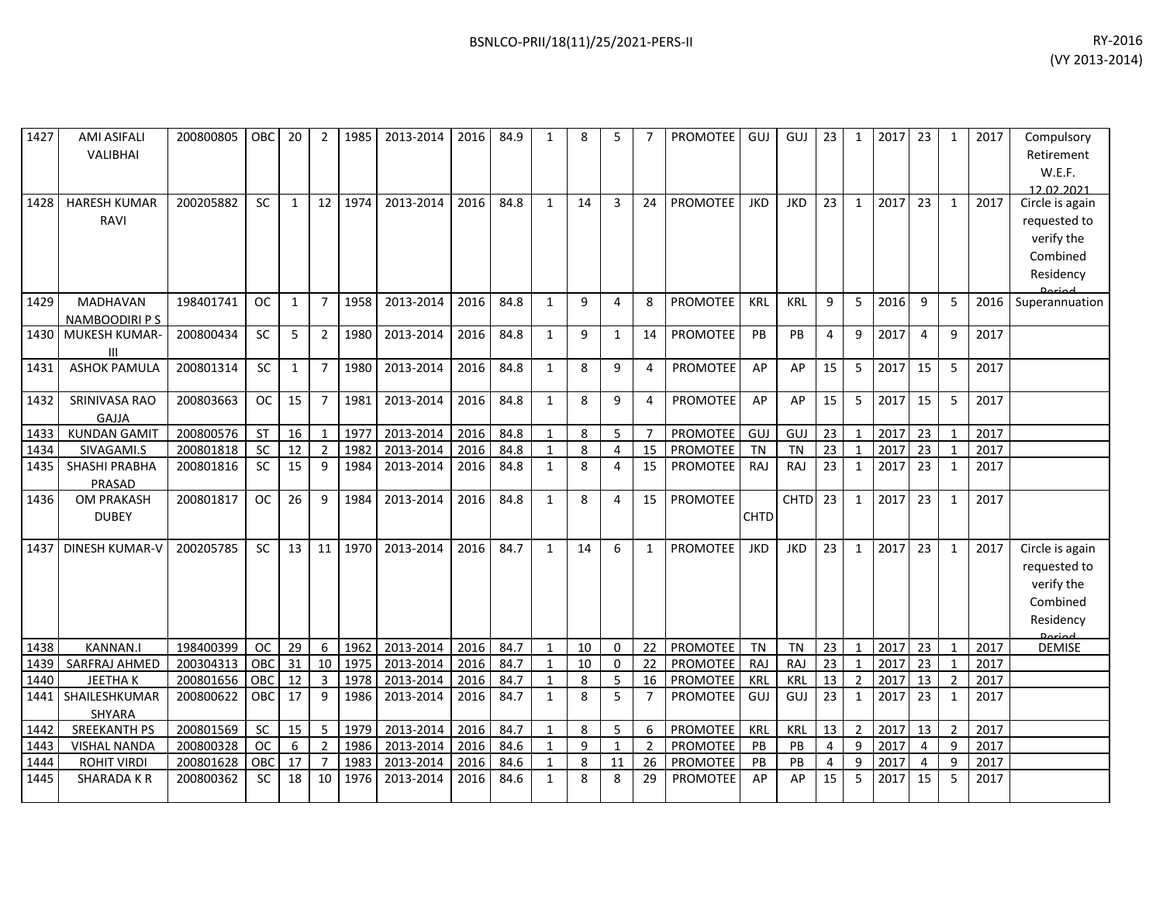| 1427 | <b>AMI ASIFALI</b><br><b>VALIBHAI</b>   | 200800805 | OBC           | 20           | 2              | 1985    | 2013-2014 | 2016 | 84.9 | 1            | 8  | 5              | $\overline{7}$ | <b>PROMOTEE</b> | GUJ         | GUJ         | 23             | $\mathbf{1}$   | 2017 | 23             | 1              | 2017 | Compulsory<br>Retirement<br>W.E.F.<br>12 02 2021                                        |
|------|-----------------------------------------|-----------|---------------|--------------|----------------|---------|-----------|------|------|--------------|----|----------------|----------------|-----------------|-------------|-------------|----------------|----------------|------|----------------|----------------|------|-----------------------------------------------------------------------------------------|
| 1428 | <b>HARESH KUMAR</b><br>RAVI             | 200205882 | <b>SC</b>     | 1            | 12             | 1974    | 2013-2014 | 2016 | 84.8 | $\mathbf{1}$ | 14 | 3              | 24             | <b>PROMOTEE</b> | <b>JKD</b>  | <b>JKD</b>  | 23             | $\mathbf{1}$   | 2017 | 23             | $\mathbf{1}$   | 2017 | Circle is again<br>requested to<br>verify the<br>Combined<br>Residency                  |
| 1429 | <b>MADHAVAN</b><br><b>NAMBOODIRI PS</b> | 198401741 | <b>OC</b>     | $\mathbf{1}$ | $\overline{7}$ | 1958    | 2013-2014 | 2016 | 84.8 | $\mathbf{1}$ | 9  | 4              | 8              | <b>PROMOTEE</b> | <b>KRL</b>  | <b>KRL</b>  | 9              | 5              | 2016 | 9              | 5              | 2016 | Superannuation                                                                          |
| 1430 | MUKESH KUMAR-<br>Ш                      | 200800434 | <b>SC</b>     | 5            | $\overline{2}$ | 1980    | 2013-2014 | 2016 | 84.8 | $\mathbf{1}$ | 9  | 1              | 14             | <b>PROMOTEE</b> | <b>PB</b>   | PB          | 4              | 9              | 2017 | 4              | 9              | 2017 |                                                                                         |
| 1431 | <b>ASHOK PAMULA</b>                     | 200801314 | <b>SC</b>     | $\mathbf{1}$ | $\overline{7}$ | 1980    | 2013-2014 | 2016 | 84.8 | $\mathbf{1}$ | 8  | 9              | 4              | <b>PROMOTEE</b> | AP          | AP          | 15             | 5              | 2017 | 15             | 5              | 2017 |                                                                                         |
| 1432 | SRINIVASA RAO<br>GAJJA                  | 200803663 | <b>OC</b>     | 15           | $\overline{7}$ | 1981    | 2013-2014 | 2016 | 84.8 | $\mathbf{1}$ | 8  | 9              | 4              | PROMOTEE        | AP          | AP          | 15             | 5              | 2017 | 15             | 5              | 2017 |                                                                                         |
| 1433 | <b>KUNDAN GAMIT</b>                     | 200800576 | <b>ST</b>     | 16           | $\mathbf{1}$   | 1977    | 2013-2014 | 2016 | 84.8 | $\mathbf{1}$ | 8  | 5              | $\overline{7}$ | PROMOTEE        | <b>GUJ</b>  | GUJ         | 23             | $\mathbf{1}$   | 2017 | 23             | $\mathbf{1}$   | 2017 |                                                                                         |
| 1434 | SIVAGAMI.S                              | 200801818 | <b>SC</b>     | 12           | $\overline{2}$ | 1982    | 2013-2014 | 2016 | 84.8 | $\mathbf{1}$ | 8  | $\overline{4}$ | 15             | <b>PROMOTEE</b> | <b>TN</b>   | <b>TN</b>   | 23             | $\mathbf{1}$   | 2017 | 23             | $\mathbf{1}$   | 2017 |                                                                                         |
| 1435 | <b>SHASHI PRABHA</b><br>PRASAD          | 200801816 | <b>SC</b>     | 15           | 9              | 1984    | 2013-2014 | 2016 | 84.8 | $\mathbf{1}$ | 8  | $\overline{4}$ | 15             | <b>PROMOTEE</b> | RAJ         | RAJ         | 23             | $\mathbf{1}$   | 2017 | 23             | $\mathbf{1}$   | 2017 |                                                                                         |
| 1436 | OM PRAKASH<br><b>DUBEY</b>              | 200801817 | <sub>OC</sub> | 26           | 9              | 1984    | 2013-2014 | 2016 | 84.8 | $\mathbf{1}$ | 8  | 4              | 15             | PROMOTEE        | <b>CHTD</b> | <b>CHTD</b> | 23             | 1              | 2017 | 23             | 1              | 2017 |                                                                                         |
| 1437 | <b>DINESH KUMAR-V</b>                   | 200205785 | <b>SC</b>     | 13           | 11             | 1970    | 2013-2014 | 2016 | 84.7 | $\mathbf{1}$ | 14 | 6              | $\mathbf{1}$   | <b>PROMOTEE</b> | <b>JKD</b>  | <b>JKD</b>  | 23             | $\mathbf{1}$   | 2017 | 23             | $\mathbf{1}$   | 2017 | Circle is again<br>requested to<br>verify the<br>Combined<br>Residency<br><b>Doriad</b> |
| 1438 | <b>KANNAN.I</b>                         | 198400399 | <b>OC</b>     | 29           | 6              | 1962    | 2013-2014 | 2016 | 84.7 | $\mathbf{1}$ | 10 | $\Omega$       | 22             | <b>PROMOTEE</b> | <b>TN</b>   | <b>TN</b>   | 23             | $\mathbf{1}$   | 2017 | 23             | $\mathbf{1}$   | 2017 | <b>DEMISE</b>                                                                           |
| 1439 | SARFRAJ AHMED                           | 200304313 | OBC           | 31           |                | 10 1975 | 2013-2014 | 2016 | 84.7 | 1            | 10 | $\mathbf 0$    | 22             | <b>PROMOTEE</b> | RAJ         | <b>RAJ</b>  | 23             | 1              | 2017 | 23             | $\mathbf{1}$   | 2017 |                                                                                         |
| 1440 | <b>JEETHAK</b>                          | 200801656 | OBC           | 12           | 3              | 1978    | 2013-2014 | 2016 | 84.7 | $\mathbf{1}$ | 8  | 5              | 16             | PROMOTEE        | KRL         | KRL         | 13             | $\overline{2}$ | 2017 | 13             | $\overline{2}$ | 2017 |                                                                                         |
| 1441 | SHAILESHKUMAR<br>SHYARA                 | 200800622 | OBC           | 17           | 9              | 1986    | 2013-2014 | 2016 | 84.7 | $\mathbf{1}$ | 8  | 5              | $\overline{7}$ | <b>PROMOTEE</b> | GUJ         | GUJ         | 23             | $\mathbf{1}$   | 2017 | 23             | $\mathbf{1}$   | 2017 |                                                                                         |
| 1442 | <b>SREEKANTH PS</b>                     | 200801569 | <b>SC</b>     | 15           | 5              | 1979    | 2013-2014 | 2016 | 84.7 | $\mathbf{1}$ | 8  | 5              | 6              | <b>PROMOTEE</b> | KRL         | <b>KRL</b>  | 13             | $\overline{2}$ | 2017 | 13             | $\overline{2}$ | 2017 |                                                                                         |
| 1443 | <b>VISHAL NANDA</b>                     | 200800328 | <b>OC</b>     | 6            | 2              | 1986    | 2013-2014 | 2016 | 84.6 | $\mathbf{1}$ | 9  | $\mathbf{1}$   | $\overline{2}$ | <b>PROMOTEE</b> | PB          | PB          | $\overline{4}$ | 9              | 2017 | $\overline{4}$ | 9              | 2017 |                                                                                         |
| 1444 | <b>ROHIT VIRDI</b>                      | 200801628 | OBC           | 17           | 7              | 1983    | 2013-2014 | 2016 | 84.6 | $\mathbf{1}$ | 8  | 11             | 26             | <b>PROMOTEE</b> | PB          | PB          | 4              | 9              | 2017 | 4              | 9              | 2017 |                                                                                         |
| 1445 | <b>SHARADA K R</b>                      | 200800362 | <b>SC</b>     | 18           | 10             | 1976    | 2013-2014 | 2016 | 84.6 | $\mathbf{1}$ | 8  | 8              | 29             | <b>PROMOTEE</b> | AP          | AP          | 15             | 5              | 2017 | 15             | 5              | 2017 |                                                                                         |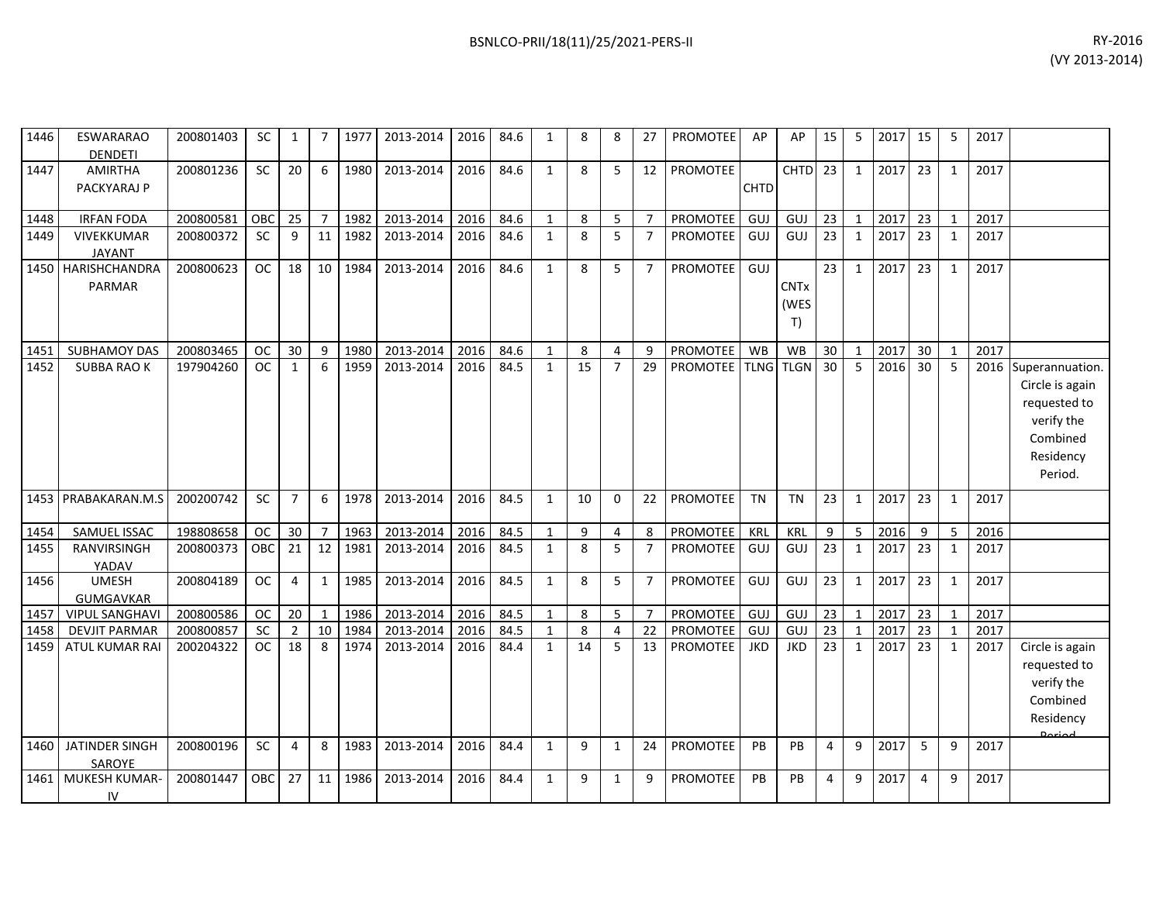1447 AMIRTHA

|      |                              |           |           |                 |    |         |                                |           |      | $\blacksquare$ |   |    |    |                       |             |                     |                 |                |         |            |   |      | (VY 2013-2014) |  |
|------|------------------------------|-----------|-----------|-----------------|----|---------|--------------------------------|-----------|------|----------------|---|----|----|-----------------------|-------------|---------------------|-----------------|----------------|---------|------------|---|------|----------------|--|
|      |                              |           |           |                 |    |         |                                |           |      |                |   |    |    |                       |             |                     |                 |                |         |            |   |      |                |  |
| 1446 | ESWARARAO<br>DENDETI         | 200801403 | SC.       |                 | 7  | 1977    | 2013-2014                      | 2016      | 84.6 |                | 8 | 8  | 27 | <b>PROMOTEE</b>       | AP          | AP                  | 15 I            | 5              | 2017 15 |            | 5 | 2017 |                |  |
| 1447 | AMIRTHA<br>PACKYARAJ P       | 200801236 | <b>SC</b> | 20              | -6 | 1980    | 2013-2014                      | 2016 84.6 |      |                | 8 | 5  | 12 | <b>PROMOTEE</b>       | <b>CHTD</b> | CHTD 23             |                 | $\overline{1}$ | 2017 23 |            |   | 2017 |                |  |
| 1448 | <b>IRFAN FODA</b>            | 200800581 | OBC       | 25              |    | 1982    | 2013-2014                      | 2016      | 84.6 |                | 8 | 5. |    | <b>PROMOTEE</b>       | GUJ         | GUJ                 | 23              |                | 2017 23 |            |   | 2017 |                |  |
| 1449 | VIVEKKUMAR<br>JAYANT         | 200800372 | <b>SC</b> | 9               | 11 | 1982    | 2013-2014                      | 2016      | 84.6 |                | 8 | 5. |    | <b>PROMOTEE</b>   GUJ |             | GUJ                 | -23 I           | 1              | 2017    | $\vert$ 23 |   | 2017 |                |  |
|      | 1450 HARISHCHANDRA<br>PARMAR | 200800623 | OC.       | 18              |    | 10 1984 | 2013-2014                      | 2016      | 84.6 |                | 8 | 5  |    | <b>PROMOTEE</b>       | GUJ         | <b>CNTx</b><br>(WES | 23              | 1              | 2017    | 23         |   | 2017 |                |  |
|      | 1451 SUBHAMOY DAS            | 200803465 | OC        | 30 <sup>1</sup> | 9  |         | 1980   2013-2014   2016   84.6 |           |      |                | 8 | 4  | 9  | <b>PROMOTEE</b> WB    |             | WB                  | 30 <sup>1</sup> | 1              | 2017 30 |            |   | 2017 |                |  |

| 1448         | <b>IRFAN FODA</b>                             | 200800581              | OBC             | 25                   |                    | 1982         | 2013-2014              | 2016         | 84.6         | $\mathbf{1}$                 | 8       | 5                   | $\overline{7}$       | <b>PROMOTEE</b>      | GUJ        | <b>GUJ</b>        | 23       |              | 2017         | 23             | $\mathbf{1}$      | 2017         |                 |
|--------------|-----------------------------------------------|------------------------|-----------------|----------------------|--------------------|--------------|------------------------|--------------|--------------|------------------------------|---------|---------------------|----------------------|----------------------|------------|-------------------|----------|--------------|--------------|----------------|-------------------|--------------|-----------------|
| 1449         | <b>VIVEKKUMAR</b>                             | 200800372              | <b>SC</b>       | 9                    | 11                 | 1982         | 2013-2014              | 2016         | 84.6         | $\mathbf{1}$                 | 8       | 5                   | $\overline{7}$       | <b>PROMOTEE</b>      | GUJ        | <b>GUJ</b>        | 23       | $\mathbf{1}$ | 2017         | 23             | $\mathbf{1}$      | 2017         |                 |
|              | <b>JAYANT</b>                                 |                        |                 |                      |                    |              |                        |              |              |                              |         |                     |                      |                      |            |                   |          |              |              |                |                   |              |                 |
|              | 1450 HARISHCHANDRA                            | 200800623              | <b>OC</b>       | 18                   | 10                 | 1984         | 2013-2014              | 2016         | 84.6         | $\mathbf{1}$                 | 8       | 5                   | 7                    | PROMOTEE             | GUJ        |                   | 23       |              | 2017         | 23             | $\mathbf{1}$      | 2017         |                 |
|              | <b>PARMAR</b>                                 |                        |                 |                      |                    |              |                        |              |              |                              |         |                     |                      |                      |            | <b>CNTx</b>       |          |              |              |                |                   |              |                 |
|              |                                               |                        |                 |                      |                    |              |                        |              |              |                              |         |                     |                      |                      |            | (WES              |          |              |              |                |                   |              |                 |
|              |                                               |                        |                 |                      |                    |              |                        |              |              |                              |         |                     |                      |                      |            | T)                |          |              |              |                |                   |              |                 |
| 1451         | <b>SUBHAMOY DAS</b>                           | 200803465              | <b>OC</b>       | 30                   | 9                  | 1980         | 2013-2014              | 2016         | 84.6         | 1                            | 8       | 4                   | 9                    | <b>PROMOTEE</b>      | <b>WB</b>  | <b>WB</b>         | 30       |              | 2017         | 30             | $\mathbf{1}$      | 2017         |                 |
| 1452         | <b>SUBBA RAO K</b>                            | 197904260              | <b>OC</b>       | $\mathbf{1}$         | 6                  | 1959         | 2013-2014              | 2016         | 84.5         | $\mathbf{1}$                 | 15      | $\overline{7}$      | 29                   | <b>PROMOTEE</b> TLNG |            | <b>TLGN</b>       | 30       | 5            | 2016         | 30             | 5                 | 2016         | Superannuation. |
|              |                                               |                        |                 |                      |                    |              |                        |              |              |                              |         |                     |                      |                      |            |                   |          |              |              |                |                   |              | Circle is again |
|              |                                               |                        |                 |                      |                    |              |                        |              |              |                              |         |                     |                      |                      |            |                   |          |              |              |                |                   |              | requested to    |
|              |                                               |                        |                 |                      |                    |              |                        |              |              |                              |         |                     |                      |                      |            |                   |          |              |              |                |                   |              | verify the      |
|              |                                               |                        |                 |                      |                    |              |                        |              |              |                              |         |                     |                      |                      |            |                   |          |              |              |                |                   |              | Combined        |
|              |                                               |                        |                 |                      |                    |              |                        |              |              |                              |         |                     |                      |                      |            |                   |          |              |              |                |                   |              | Residency       |
|              |                                               |                        |                 |                      |                    |              |                        |              |              |                              |         |                     |                      |                      |            |                   |          |              |              |                |                   |              | Period.         |
|              | 1453 PRABAKARAN.M.S                           | 200200742              | <b>SC</b>       | $\overline{7}$       | 6                  | 1978         | 2013-2014              | 2016         | 84.5         | $\mathbf{1}$                 | 10      | $\Omega$            | 22                   | <b>PROMOTEE</b>      | <b>TN</b>  | <b>TN</b>         | 23       | -1           | 2017         | 23             | $\mathbf{1}$      | 2017         |                 |
|              |                                               |                        |                 |                      |                    |              |                        |              |              |                              |         |                     |                      |                      |            |                   |          |              |              |                |                   |              |                 |
| 1454         | SAMUEL ISSAC                                  | 198808658              | <b>OC</b>       | 30                   | $\overline{7}$     | 1963         | 2013-2014              | 2016         | 84.5         | $\mathbf{1}$                 | 9       | $\overline{4}$      | 8                    | PROMOTEE             | KRL        | <b>KRL</b>        | 9        | 5            | 2016         | 9              | 5                 | 2016         |                 |
| 1455         | <b>RANVIRSINGH</b>                            | 200800373              | <b>OBC</b>      | 21                   | 12                 | 1981         | 2013-2014              | 2016         | 84.5         | $\mathbf{1}$                 | 8       | 5                   | $\overline{7}$       | <b>PROMOTEE</b>      | GUJ        | <b>GUJ</b>        | 23       | 1            | 2017         | 23             | $\mathbf{1}$      | 2017         |                 |
|              | YADAV                                         |                        |                 |                      |                    |              |                        |              |              |                              |         |                     |                      |                      |            |                   |          |              |              |                |                   |              |                 |
| 1456         | <b>UMESH</b>                                  | 200804189              | <b>OC</b>       | 4                    | $\mathbf{1}$       | 1985         | 2013-2014              | 2016         | 84.5         | $\mathbf{1}$                 | 8       | 5                   | $\overline{7}$       | <b>PROMOTEE</b>      | GUJ        | GUJ               | 23       | 1            | 2017         | 23             | $\mathbf{1}$      | 2017         |                 |
|              | <b>GUMGAVKAR</b>                              |                        |                 |                      |                    |              |                        |              |              |                              |         |                     |                      |                      |            |                   |          |              |              |                |                   |              |                 |
| 1457         | <b>VIPUL SANGHAVI</b>                         | 200800586              | <b>OC</b><br>SC | 20                   | $\mathbf{1}$<br>10 | 1986<br>1984 | 2013-2014              | 2016<br>2016 | 84.5<br>84.5 | $\mathbf{1}$                 | 8       | 5                   | $\overline{7}$<br>22 | PROMOTEE<br>PROMOTEE | GUJ<br>GUJ | <b>GUJ</b><br>GUJ | 23<br>23 |              | 2017<br>2017 | 23             | $\mathbf{1}$      | 2017<br>2017 |                 |
| 1458<br>1459 | <b>DEVJIT PARMAR</b><br><b>ATUL KUMAR RAI</b> | 200800857<br>200204322 | OC              | $\overline{2}$<br>18 | 8                  | 1974         | 2013-2014<br>2013-2014 | 2016         | 84.4         | $\mathbf{1}$<br>$\mathbf{1}$ | 8<br>14 | $\overline{4}$<br>5 | 13                   | <b>PROMOTEE</b>      | <b>JKD</b> | <b>JKD</b>        | 23       |              | 2017         | 23<br>23       | $\mathbf{1}$<br>1 | 2017         | Circle is again |
|              |                                               |                        |                 |                      |                    |              |                        |              |              |                              |         |                     |                      |                      |            |                   |          |              |              |                |                   |              | requested to    |
|              |                                               |                        |                 |                      |                    |              |                        |              |              |                              |         |                     |                      |                      |            |                   |          |              |              |                |                   |              | verify the      |
|              |                                               |                        |                 |                      |                    |              |                        |              |              |                              |         |                     |                      |                      |            |                   |          |              |              |                |                   |              | Combined        |
|              |                                               |                        |                 |                      |                    |              |                        |              |              |                              |         |                     |                      |                      |            |                   |          |              |              |                |                   |              |                 |
|              |                                               |                        |                 |                      |                    |              |                        |              |              |                              |         |                     |                      |                      |            |                   |          |              |              |                |                   |              | Residency       |
| 1460         | <b>JATINDER SINGH</b>                         | 200800196              | SC              | 4                    | 8                  | 1983         | 2013-2014              | 2016         | 84.4         | $\mathbf{1}$                 | 9       | $\mathbf{1}$        | 24                   | <b>PROMOTEE</b>      | PB         | PB                | 4        | 9            | 2017         | 5              | 9                 | 2017         |                 |
|              | SAROYE                                        |                        |                 |                      |                    |              |                        |              |              |                              |         |                     |                      |                      |            |                   |          |              |              |                |                   |              |                 |
| 1461         | MUKESH KUMAR-                                 | 200801447              | <b>OBC</b>      | 27                   | 11                 | 1986         | 2013-2014              | 2016         | 84.4         | $\mathbf{1}$                 | 9       | $\mathbf{1}$        | 9                    | PROMOTEE             | PB         | PB                | 4        | 9            | 2017         | $\overline{4}$ | 9                 | 2017         |                 |
|              | IV                                            |                        |                 |                      |                    |              |                        |              |              |                              |         |                     |                      |                      |            |                   |          |              |              |                |                   |              |                 |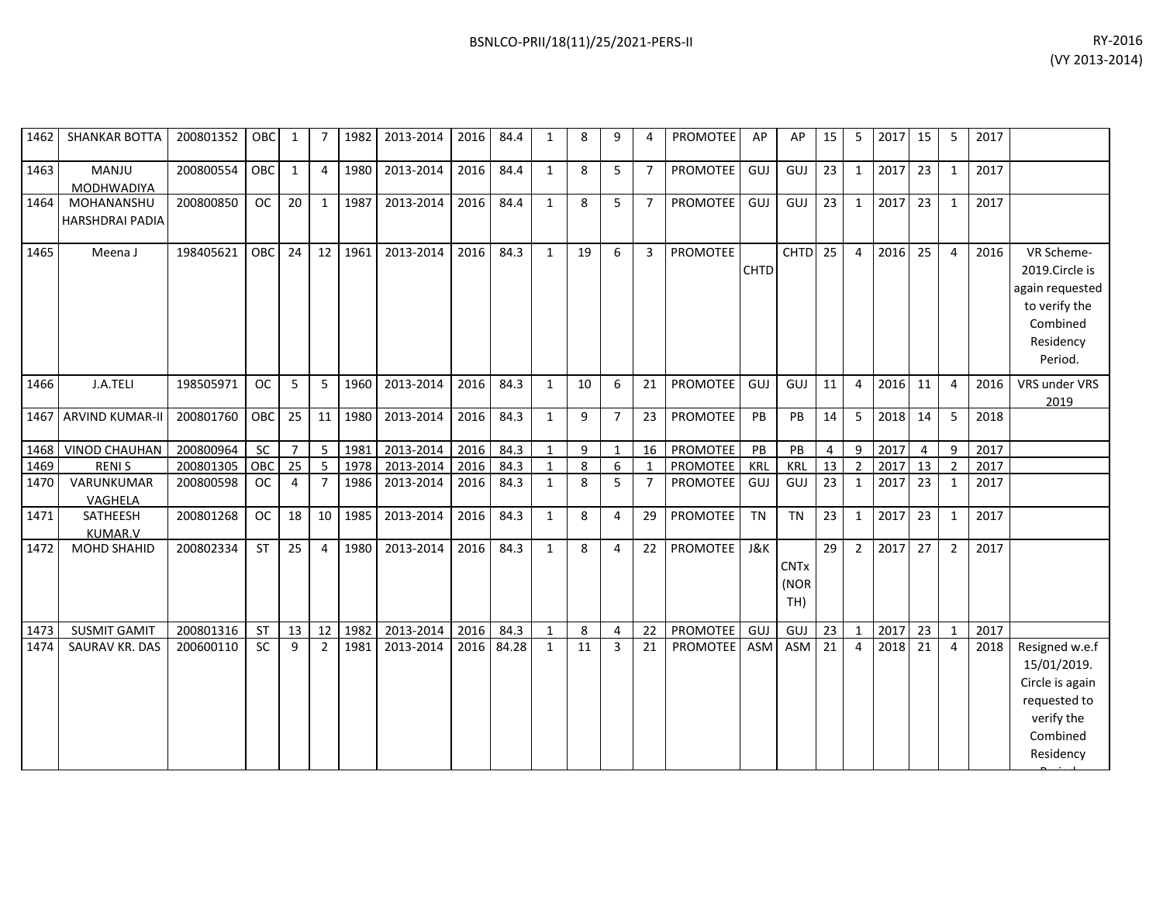| 1462 | <b>SHANKAR BOTTA</b>                 | 200801352 | OBC        | 1              | $\overline{7}$ | 1982 | 2013-2014 | 2016 | 84.4  | 1            | 8  | 9              | 4              | <b>PROMOTEE</b> | AP             | AP          | 15 | 5              | 2017 | 15             | 5              | 2017 |                       |
|------|--------------------------------------|-----------|------------|----------------|----------------|------|-----------|------|-------|--------------|----|----------------|----------------|-----------------|----------------|-------------|----|----------------|------|----------------|----------------|------|-----------------------|
| 1463 | MANJU<br><b>MODHWADIYA</b>           | 200800554 | OBC        | $\mathbf{1}$   | 4              | 1980 | 2013-2014 | 2016 | 84.4  | $\mathbf{1}$ | 8  | 5              | $\overline{7}$ | PROMOTEE        | GUJ            | GUJ         | 23 | $\mathbf{1}$   | 2017 | 23             | 1              | 2017 |                       |
| 1464 | MOHANANSHU                           | 200800850 | <b>OC</b>  | 20             | $\mathbf{1}$   | 1987 | 2013-2014 | 2016 | 84.4  | $\mathbf{1}$ | 8  | 5              | $\overline{7}$ | PROMOTEE        | GUJ            | GUJ         | 23 | $\mathbf{1}$   | 2017 | 23             | 1              | 2017 |                       |
|      | HARSHDRAI PADIA                      |           |            |                |                |      |           |      |       |              |    |                |                |                 |                |             |    |                |      |                |                |      |                       |
| 1465 | Meena J                              | 198405621 | <b>OBC</b> | 24             | 12             | 1961 | 2013-2014 | 2016 | 84.3  | 1            | 19 | 6              | $\overline{3}$ | <b>PROMOTEE</b> |                | <b>CHTD</b> | 25 | $\overline{4}$ | 2016 | 25             | $\overline{a}$ | 2016 | VR Scheme-            |
|      |                                      |           |            |                |                |      |           |      |       |              |    |                |                |                 | <b>CHTD</b>    |             |    |                |      |                |                |      | 2019.Circle is        |
|      |                                      |           |            |                |                |      |           |      |       |              |    |                |                |                 |                |             |    |                |      |                |                |      | again requested       |
|      |                                      |           |            |                |                |      |           |      |       |              |    |                |                |                 |                |             |    |                |      |                |                |      | to verify the         |
|      |                                      |           |            |                |                |      |           |      |       |              |    |                |                |                 |                |             |    |                |      |                |                |      | Combined              |
|      |                                      |           |            |                |                |      |           |      |       |              |    |                |                |                 |                |             |    |                |      |                |                |      | Residency             |
|      |                                      |           |            |                |                |      |           |      |       |              |    |                |                |                 |                |             |    |                |      |                |                |      | Period.               |
|      |                                      |           |            |                |                |      |           |      |       |              |    |                |                |                 |                |             |    |                |      |                |                |      |                       |
| 1466 | J.A.TELI                             | 198505971 | <b>OC</b>  | 5              | 5              | 1960 | 2013-2014 | 2016 | 84.3  | 1            | 10 | 6              | 21             | <b>PROMOTEE</b> | GUJ            | GUJ         | 11 | $\overline{4}$ | 2016 | 11             | $\overline{4}$ | 2016 | VRS under VRS<br>2019 |
| 1467 | <b>ARVIND KUMAR-II</b>               | 200801760 | OBC        | 25             | 11             | 1980 | 2013-2014 | 2016 | 84.3  | $\mathbf{1}$ | 9  | $\overline{7}$ | 23             | <b>PROMOTEE</b> | PB             | PB          | 14 | 5              | 2018 | 14             | 5              | 2018 |                       |
|      |                                      |           |            |                |                |      |           |      |       |              |    |                |                |                 |                |             |    |                |      |                |                |      |                       |
| 1468 | VINOD CHAUHAN                        | 200800964 | SC         | $\overline{7}$ | 5              | 1981 | 2013-2014 | 2016 | 84.3  | $\mathbf{1}$ | 9  | $\mathbf{1}$   | 16             | <b>PROMOTEE</b> | PB             | PB          | 4  | 9              | 2017 | $\overline{4}$ | 9              | 2017 |                       |
| 1469 | <b>RENIS</b>                         | 200801305 | OBC        | 25             | 5              | 1978 | 2013-2014 | 2016 | 84.3  | $\mathbf{1}$ | 8  | 6              | 1              | PROMOTEE        | <b>KRL</b>     | <b>KRL</b>  | 13 | $\overline{2}$ | 2017 | 13             | $\overline{2}$ | 2017 |                       |
| 1470 | VARUNKUMAR                           | 200800598 | <b>OC</b>  | $\overline{4}$ | $\overline{7}$ | 1986 | 2013-2014 | 2016 | 84.3  | $\mathbf{1}$ | 8  | 5              | $\overline{7}$ | PROMOTEE        | GUJ            | GUJ         | 23 | $\mathbf{1}$   | 2017 | 23             | 1              | 2017 |                       |
|      | VAGHELA                              |           | OC         |                |                |      |           |      |       |              |    |                |                |                 | <b>TN</b>      | <b>TN</b>   |    |                |      |                |                |      |                       |
| 1471 | SATHEESH                             | 200801268 |            | 18             | 10             | 1985 | 2013-2014 | 2016 | 84.3  | $\mathbf{1}$ | 8  | 4              | 29             | <b>PROMOTEE</b> |                |             | 23 | $\mathbf{1}$   | 2017 | 23             | $\mathbf{1}$   | 2017 |                       |
| 1472 | <b>KUMAR.V</b><br><b>MOHD SHAHID</b> | 200802334 | <b>ST</b>  | 25             | 4              | 1980 | 2013-2014 | 2016 | 84.3  | $\mathbf{1}$ | 8  | 4              | 22             | <b>PROMOTEE</b> | <b>J&amp;K</b> |             | 29 | $\overline{2}$ | 2017 | 27             | $\overline{2}$ | 2017 |                       |
|      |                                      |           |            |                |                |      |           |      |       |              |    |                |                |                 |                | <b>CNTx</b> |    |                |      |                |                |      |                       |
|      |                                      |           |            |                |                |      |           |      |       |              |    |                |                |                 |                |             |    |                |      |                |                |      |                       |
|      |                                      |           |            |                |                |      |           |      |       |              |    |                |                |                 |                | (NOR        |    |                |      |                |                |      |                       |
|      |                                      |           |            |                |                |      |           |      |       |              |    |                |                |                 |                | TH)         |    |                |      |                |                |      |                       |
| 1473 | <b>SUSMIT GAMIT</b>                  | 200801316 | <b>ST</b>  | 13             | 12             | 1982 | 2013-2014 | 2016 | 84.3  | $\mathbf{1}$ | 8  | 4              | 22             | PROMOTEE        | GUJ            | GUJ         | 23 | $\mathbf{1}$   | 2017 | 23             | 1              | 2017 |                       |
| 1474 | <b>SAURAV KR. DAS</b>                | 200600110 | <b>SC</b>  | 9              | 2              | 1981 | 2013-2014 | 2016 | 84.28 | $\mathbf{1}$ | 11 | $\overline{3}$ | 21             | <b>PROMOTEE</b> | <b>ASM</b>     | <b>ASM</b>  | 21 | $\overline{4}$ | 2018 | 21             | $\overline{4}$ | 2018 | Resigned w.e.f        |
|      |                                      |           |            |                |                |      |           |      |       |              |    |                |                |                 |                |             |    |                |      |                |                |      | 15/01/2019.           |
|      |                                      |           |            |                |                |      |           |      |       |              |    |                |                |                 |                |             |    |                |      |                |                |      | Circle is again       |
|      |                                      |           |            |                |                |      |           |      |       |              |    |                |                |                 |                |             |    |                |      |                |                |      | requested to          |
|      |                                      |           |            |                |                |      |           |      |       |              |    |                |                |                 |                |             |    |                |      |                |                |      | verify the            |
|      |                                      |           |            |                |                |      |           |      |       |              |    |                |                |                 |                |             |    |                |      |                |                |      |                       |
|      |                                      |           |            |                |                |      |           |      |       |              |    |                |                |                 |                |             |    |                |      |                |                |      | Combined              |
|      |                                      |           |            |                |                |      |           |      |       |              |    |                |                |                 |                |             |    |                |      |                |                |      | Residency             |
|      |                                      |           |            |                |                |      |           |      |       |              |    |                |                |                 |                |             |    |                |      |                |                |      |                       |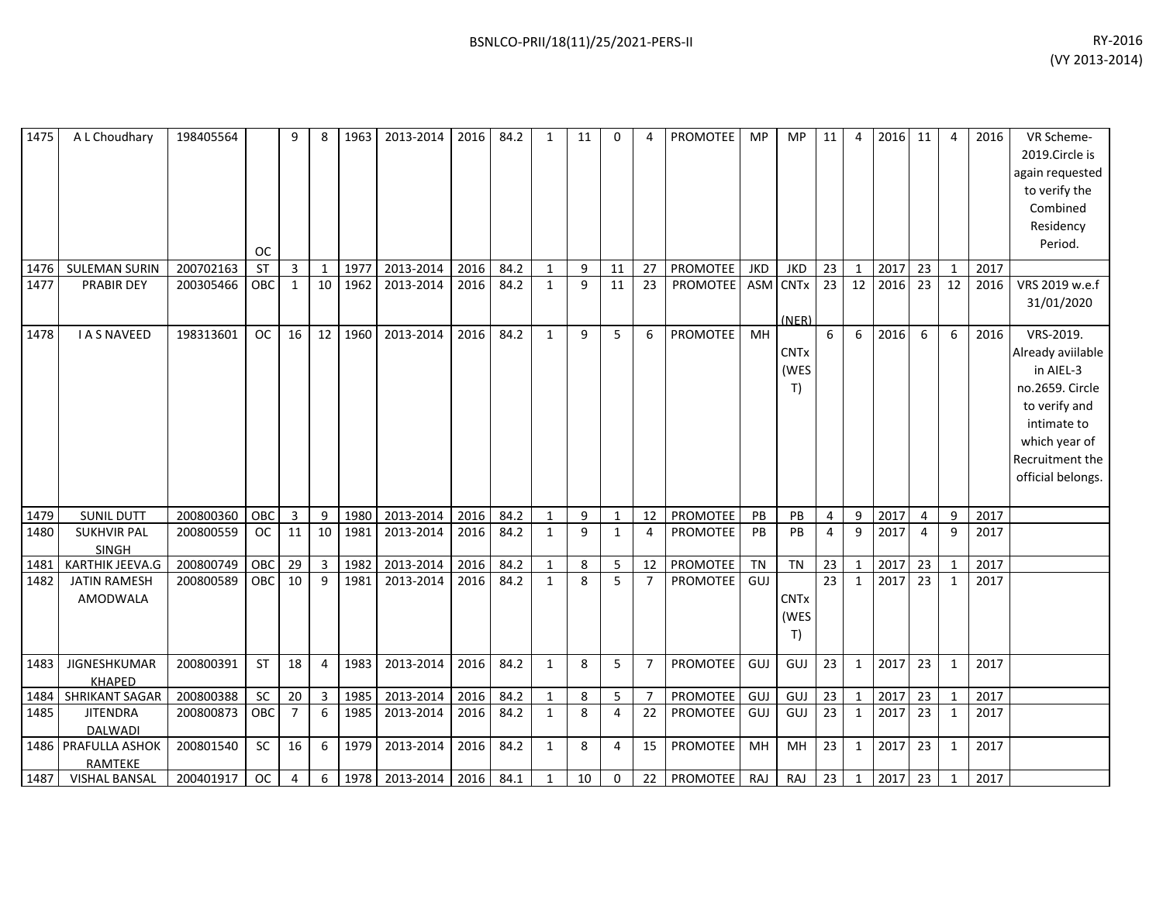| 1475         | A L Choudhary                                             | 198405564              | <b>OC</b>  | q              | 8                              | 1963         | 2013-2014              | 2016         | 84.2         | $\mathbf{1}$                 | 11           | 0              | 4                    | <b>PROMOTEE</b>             | MP               | <b>MP</b>                              | 11                    | $\overline{4}$ | 2016 11      |                       | 4                            | 2016         | VR Scheme-<br>2019.Circle is<br>again requested<br>to verify the<br>Combined<br>Residency<br>Period.                                                    |
|--------------|-----------------------------------------------------------|------------------------|------------|----------------|--------------------------------|--------------|------------------------|--------------|--------------|------------------------------|--------------|----------------|----------------------|-----------------------------|------------------|----------------------------------------|-----------------------|----------------|--------------|-----------------------|------------------------------|--------------|---------------------------------------------------------------------------------------------------------------------------------------------------------|
| 1476         | <b>SULEMAN SURIN</b>                                      | 200702163              | <b>ST</b>  | $\overline{3}$ | $\overline{1}$                 | 1977         | 2013-2014              | 2016         | 84.2         | $\mathbf{1}$                 | 9            | 11             | 27                   | <b>PROMOTEE</b>             | <b>JKD</b>       | <b>JKD</b>                             | 23                    | $\mathbf{1}$   | 2017         | 23                    | $\mathbf{1}$                 | 2017         |                                                                                                                                                         |
| 1477         | <b>PRABIR DEY</b>                                         | 200305466              | OBC        | 1              | 10                             | 1962         | 2013-2014              | 2016         | 84.2         | $\mathbf{1}$                 | $\mathbf{q}$ | 11             | 23                   | PROMOTEE ASM                |                  | <b>CNTx</b><br>(NER)                   | 23                    | 12             | 2016         | 23                    | 12                           | 2016         | VRS 2019 w.e.f<br>31/01/2020                                                                                                                            |
| 1478         | <b>I A S NAVEED</b>                                       | 198313601              | OC         | 16             | 12                             | 1960         | 2013-2014              | 2016         | 84.2         | $\mathbf{1}$                 | 9            | 5              | 6                    | PROMOTEE                    | MH               | <b>CNT<sub>x</sub></b><br>(WES<br>T)   | 6                     | 6              | 2016         | 6                     | 6                            | 2016         | VRS-2019.<br>Already aviilable<br>in AIEL-3<br>no.2659. Circle<br>to verify and<br>intimate to<br>which year of<br>Recruitment the<br>official belongs. |
| 1479         | <b>SUNIL DUTT</b>                                         | 200800360              | OBC        | 3              | 9                              | 1980         | 2013-2014              | 2016         | 84.2         | $\mathbf{1}$                 | 9            | $\mathbf{1}$   | 12                   | PROMOTEE                    | PB               | PB                                     | $\overline{4}$        | 9              | 2017         | $\overline{4}$        | 9                            | 2017         |                                                                                                                                                         |
| 1480         | <b>SUKHVIR PAL</b><br>SINGH                               | 200800559              | <b>OC</b>  | 11             | 10                             | 1981         | 2013-2014              | 2016         | 84.2         | $\mathbf{1}$                 | $\mathbf{q}$ | $\mathbf{1}$   | $\overline{4}$       | <b>PROMOTEE</b>             | PB               | PB                                     | $\overline{4}$        | $\mathbf{q}$   | 2017         | 4                     | 9                            | 2017         |                                                                                                                                                         |
| 1481<br>1482 | KARTHIK JEEVA.G<br><b>JATIN RAMESH</b><br><b>AMODWALA</b> | 200800749<br>200800589 | OBC<br>OBC | 29<br>10       | $\overline{3}$<br>$\mathbf{q}$ | 1982<br>1981 | 2013-2014<br>2013-2014 | 2016<br>2016 | 84.2<br>84.2 | $\mathbf{1}$<br>$\mathbf{1}$ | 8<br>8       | 5<br>5         | 12<br>$\overline{7}$ | PROMOTEE<br><b>PROMOTEE</b> | <b>TN</b><br>GUJ | <b>TN</b><br><b>CNTx</b><br>(WES<br>T) | 23<br>$\overline{23}$ | $\mathbf{1}$   | 2017<br>2017 | 23<br>$\overline{23}$ | $\mathbf{1}$<br>$\mathbf{1}$ | 2017<br>2017 |                                                                                                                                                         |
| 1483         | <b>JIGNESHKUMAR</b><br><b>KHAPED</b>                      | 200800391              | ST         | 18             | 4                              | 1983         | 2013-2014              | 2016         | 84.2         | $\mathbf{1}$                 | 8            | 5              | $\overline{7}$       | <b>PROMOTEE</b>             | GUJ              | GUJ                                    | 23                    | $\mathbf{1}$   | 2017         | 23                    | $\mathbf{1}$                 | 2017         |                                                                                                                                                         |
| 1484         | <b>SHRIKANT SAGAR</b>                                     | 200800388              | <b>SC</b>  | 20             | $\overline{3}$                 | 1985         | 2013-2014              | 2016         | 84.2         | $\mathbf{1}$                 | 8            | 5              | $\overline{7}$       | PROMOTEE                    | GUJ              | GUJ                                    | 23                    |                | 2017         | 23                    | $\mathbf{1}$                 | 2017         |                                                                                                                                                         |
| 1485         | <b>JITENDRA</b><br><b>DALWADI</b>                         | 200800873              | OBC        | $\overline{7}$ | 6                              | 1985         | 2013-2014              | 2016         | 84.2         | $\mathbf{1}$                 | 8            | $\overline{4}$ | 22                   | <b>PROMOTEE</b>             | GUJ              | GUJ                                    | 23                    | $\mathbf{1}$   | 2017         | 23                    | $\mathbf{1}$                 | 2017         |                                                                                                                                                         |
|              | 1486 PRAFULLA ASHOK<br>RAMTEKE                            | 200801540              | SC         | 16             | 6                              | 1979         | 2013-2014              | 2016         | 84.2         | $\mathbf{1}$                 | 8            | $\overline{4}$ | 15                   | <b>PROMOTEE</b>             | MH               | MH                                     | 23                    | $\mathbf{1}$   | 2017         | 23                    | 1                            | 2017         |                                                                                                                                                         |
| 1487         | <b>VISHAL BANSAL</b>                                      | 200401917              | <b>OC</b>  | 4              | 6                              | 1978         | 2013-2014              | 2016         | 84.1         | $\mathbf{1}$                 | 10           | $\mathbf 0$    | 22                   | <b>PROMOTEE</b>             | RAJ              | RAJ                                    | 23                    | $\mathbf{1}$   | 2017         | 23                    | $\mathbf{1}$                 | 2017         |                                                                                                                                                         |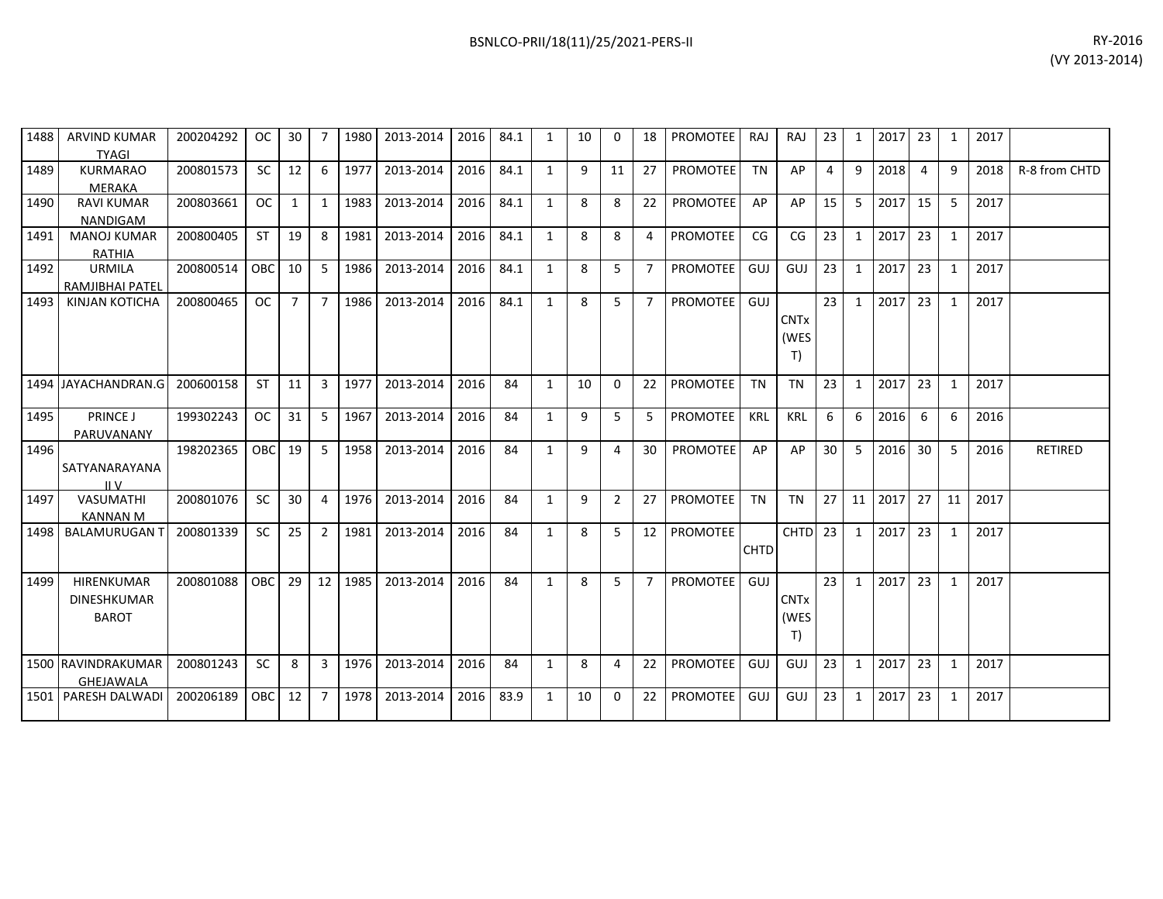| 1488 | ARVIND KUMAR<br><b>TYAGI</b>                     | 200204292 | OC I       | 30 I           | $\overline{7}$ | 1980 | 2013-2014 | 2016 | 84.1 | 1            | 10 | 0              | 18             | <b>PROMOTEE</b> | RAJ         | <b>RAJ</b>                | 23 <sub>1</sub> | 1  | 2017 23 |                | 1            | 2017 |                |
|------|--------------------------------------------------|-----------|------------|----------------|----------------|------|-----------|------|------|--------------|----|----------------|----------------|-----------------|-------------|---------------------------|-----------------|----|---------|----------------|--------------|------|----------------|
| 1489 | <b>KURMARAO</b><br>MERAKA                        | 200801573 | <b>SC</b>  | 12             | -6             | 1977 | 2013-2014 | 2016 | 84.1 | $\mathbf{1}$ | q  | 11             | 27             | <b>PROMOTEE</b> | <b>TN</b>   | AP                        | $\overline{4}$  | 9  | 2018    | $\overline{4}$ | 9            | 2018 | R-8 from CHTD  |
| 1490 | <b>RAVI KUMAR</b><br><b>NANDIGAM</b>             | 200803661 | OC.        | 1              | 1              | 1983 | 2013-2014 | 2016 | 84.1 | $\mathbf{1}$ | 8  | 8              | 22             | <b>PROMOTEE</b> | AP          | AP                        | 15              | 5  | 2017    | 15             | 5            | 2017 |                |
| 1491 | <b>MANOJ KUMAR</b><br><b>RATHIA</b>              | 200800405 | <b>ST</b>  | 19             | 8              | 1981 | 2013-2014 | 2016 | 84.1 | 1            | 8  | 8              | 4              | <b>PROMOTEE</b> | CG          | CG                        | 23              | 1  | 2017    | 23             | 1            | 2017 |                |
| 1492 | <b>URMILA</b><br>RAMJIBHAI PATEL                 | 200800514 | OBC        | 10             | 5              | 1986 | 2013-2014 | 2016 | 84.1 | $\mathbf{1}$ | 8  | 5              | $\overline{7}$ | <b>PROMOTEE</b> | GUJ         | GUJ                       | 23              | 1  | 2017    | 23             | 1            | 2017 |                |
| 1493 | <b>KINJAN KOTICHA</b>                            | 200800465 | <b>OC</b>  | $\overline{7}$ | $\overline{7}$ | 1986 | 2013-2014 | 2016 | 84.1 | $\mathbf{1}$ | 8  | $5^{\circ}$    | $\overline{7}$ | <b>PROMOTEE</b> | GUJ         | <b>CNTx</b><br>(WES<br>T) | 23              | 1  | 2017    | 23             | 1            | 2017 |                |
|      | 1494 JAYACHANDRAN.G                              | 200600158 | <b>ST</b>  | 11             | 3              | 1977 | 2013-2014 | 2016 | 84   | 1            | 10 | $\Omega$       | 22             | <b>PROMOTEE</b> | <b>TN</b>   | <b>TN</b>                 | 23              | 1  | 2017    | 23             | $\mathbf{1}$ | 2017 |                |
| 1495 | PRINCE J<br>PARUVANANY                           | 199302243 | OC         | 31             | 5              | 1967 | 2013-2014 | 2016 | 84   | 1            | 9  | 5              | 5              | <b>PROMOTEE</b> | KRL         | <b>KRL</b>                | 6               | 6  | 2016    | 6              | 6            | 2016 |                |
| 1496 | SATYANARAYANA<br>IIV                             | 198202365 | <b>OBC</b> | 19             | 5              | 1958 | 2013-2014 | 2016 | 84   | $\mathbf{1}$ | 9  | 4              | 30             | <b>PROMOTEE</b> | AP          | AP                        | 30              | 5  | 2016    | 30             | 5            | 2016 | <b>RETIRED</b> |
| 1497 | VASUMATHI<br><b>KANNAN M</b>                     | 200801076 | <b>SC</b>  | 30             | $\overline{a}$ | 1976 | 2013-2014 | 2016 | 84   | $\mathbf{1}$ | 9  | $\overline{2}$ | 27             | PROMOTEE        | <b>TN</b>   | <b>TN</b>                 | 27              | 11 | 2017    | 27             | 11           | 2017 |                |
| 1498 | <b>BALAMURUGAN T</b>                             | 200801339 | <b>SC</b>  | 25             | $\overline{2}$ | 1981 | 2013-2014 | 2016 | 84   | 1            | 8  | 5.             | 12             | <b>PROMOTEE</b> | <b>CHTD</b> | CHTD 23                   |                 | 1  | 2017    | 23             | 1            | 2017 |                |
| 1499 | HIRENKUMAR<br><b>DINESHKUMAR</b><br><b>BAROT</b> | 200801088 | <b>OBC</b> | 29             | 12             | 1985 | 2013-2014 | 2016 | 84   | $\mathbf{1}$ | 8  | 5              | $\overline{7}$ | <b>PROMOTEE</b> | GUJ         | <b>CNTx</b><br>(WES<br>T) | 23              | 1  | 2017    | 23             | $\mathbf{1}$ | 2017 |                |
|      | 1500 RAVINDRAKUMAR<br><b>GHEJAWALA</b>           | 200801243 | <b>SC</b>  | 8              | 3              | 1976 | 2013-2014 | 2016 | 84   | 1            | 8  | 4              | 22             | <b>PROMOTEE</b> | GUJ         | GUJ                       | 23              | 1  | 2017    | 23             | 1            | 2017 |                |
|      | 1501 PARESH DALWADI                              | 200206189 | <b>OBC</b> | 12             | $\overline{7}$ | 1978 | 2013-2014 | 2016 | 83.9 | 1            | 10 | $\Omega$       | 22             | <b>PROMOTEE</b> | GUJ         | GUJ                       | 23              | 1  | 2017    | 23             | 1            | 2017 |                |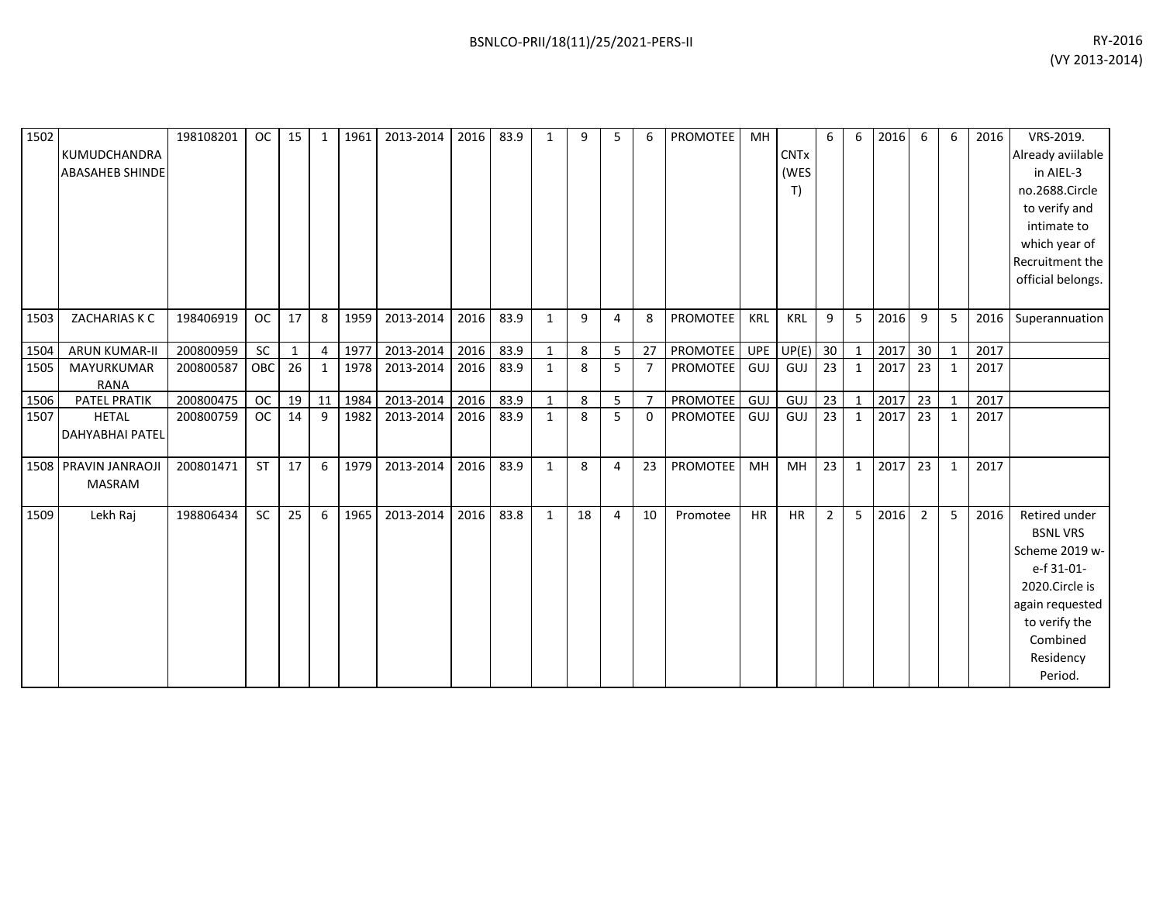| 1502 | KUMUDCHANDRA<br><b>ABASAHEB SHINDE</b> | 198108201 | <b>OC</b> | 15           | 1              | 1961 | 2013-2014 | 2016 | 83.9 | 1            | 9  | 5              | 6              | PROMOTEE        | МH         | <b>CNTx</b><br>(WES<br>T) | 6              | 6            | 2016 | 6              | 6            | 2016 | VRS-2019.<br>Already aviilable<br>in AIEL-3<br>no.2688.Circle<br>to verify and<br>intimate to<br>which year of<br>Recruitment the<br>official belongs.     |
|------|----------------------------------------|-----------|-----------|--------------|----------------|------|-----------|------|------|--------------|----|----------------|----------------|-----------------|------------|---------------------------|----------------|--------------|------|----------------|--------------|------|------------------------------------------------------------------------------------------------------------------------------------------------------------|
| 1503 | ZACHARIAS K C                          | 198406919 | <b>OC</b> | 17           | 8              | 1959 | 2013-2014 | 2016 | 83.9 | $\mathbf{1}$ | 9  | 4              | 8              | <b>PROMOTEE</b> | <b>KRL</b> | <b>KRL</b>                | 9              | 5            | 2016 | 9              | 5            |      | 2016 Superannuation                                                                                                                                        |
| 1504 | <b>ARUN KUMAR-II</b>                   | 200800959 | SC        | $\mathbf{1}$ | $\overline{4}$ | 1977 | 2013-2014 | 2016 | 83.9 | $\mathbf{1}$ | 8  | 5              | 27             | PROMOTEE        | UPE        | UP(E)                     | 30             | $\mathbf{1}$ | 2017 | 30             | $\mathbf{1}$ | 2017 |                                                                                                                                                            |
| 1505 | MAYURKUMAR<br><b>RANA</b>              | 200800587 | OBC       | 26           | $\mathbf{1}$   | 1978 | 2013-2014 | 2016 | 83.9 | 1            | 8  | 5              | $\overline{7}$ | PROMOTEE        | GUJ        | GUJ                       | 23             | 1            | 2017 | 23             | $\mathbf{1}$ | 2017 |                                                                                                                                                            |
| 1506 | <b>PATEL PRATIK</b>                    | 200800475 | <b>OC</b> | 19           | 11             | 1984 | 2013-2014 | 2016 | 83.9 | $\mathbf{1}$ | 8  | 5 <sub>1</sub> | $\overline{7}$ | <b>PROMOTEE</b> | GUJ        | GUJ                       | 23             | $\mathbf{1}$ | 2017 | 23             | 1            | 2017 |                                                                                                                                                            |
| 1507 | <b>HETAL</b><br><b>DAHYABHAI PATEL</b> | 200800759 | <b>OC</b> | 14           | 9              | 1982 | 2013-2014 | 2016 | 83.9 | $\mathbf{1}$ | 8  | 5              | $\mathbf{0}$   | PROMOTEE GUJ    |            | GUJ                       | 23             | 1            | 2017 | 23             | $\mathbf{1}$ | 2017 |                                                                                                                                                            |
| 1508 | PRAVIN JANRAOJI<br><b>MASRAM</b>       | 200801471 | ST        | 17           | 6              | 1979 | 2013-2014 | 2016 | 83.9 | $\mathbf{1}$ | 8  | 4              | 23             | PROMOTEE        | MH         | <b>MH</b>                 | 23             | $\mathbf{1}$ | 2017 | 23             | $\mathbf{1}$ | 2017 |                                                                                                                                                            |
| 1509 | Lekh Raj                               | 198806434 | SC        | 25           | 6              | 1965 | 2013-2014 | 2016 | 83.8 | $\mathbf{1}$ | 18 | $\overline{4}$ | 10             | Promotee        | <b>HR</b>  | <b>HR</b>                 | $\overline{2}$ | 5            | 2016 | $\overline{2}$ | 5            | 2016 | Retired under<br><b>BSNL VRS</b><br>Scheme 2019 w-<br>e-f 31-01-<br>2020.Circle is<br>again requested<br>to verify the<br>Combined<br>Residency<br>Period. |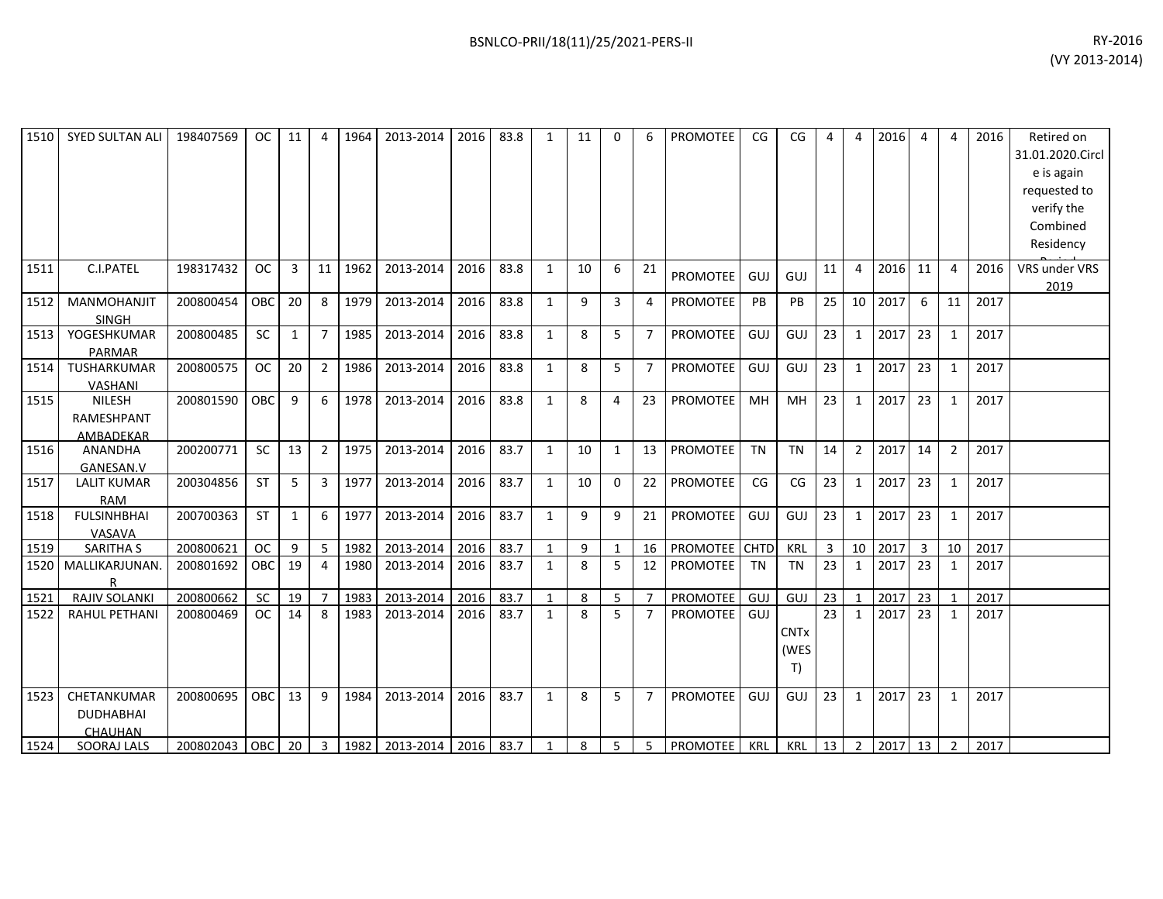| 1510 | <b>SYED SULTAN ALI</b>                          | 198407569 | <b>OC</b>  | 11           | 4              | 1964 | 2013-2014 | 2016 | 83.8 | $\mathbf{1}$ | 11 | 0              | 6              | PROMOTEE        | CG        | CG                        | 4              | 4              | 2016 | $\overline{4}$ | 4              | 2016 | Retired on<br>31.01.2020.Circl<br>e is again<br>requested to<br>verify the<br>Combined<br>Residency |
|------|-------------------------------------------------|-----------|------------|--------------|----------------|------|-----------|------|------|--------------|----|----------------|----------------|-----------------|-----------|---------------------------|----------------|----------------|------|----------------|----------------|------|-----------------------------------------------------------------------------------------------------|
| 1511 | C.I.PATEL                                       | 198317432 | <b>OC</b>  | 3            | 11             | 1962 | 2013-2014 | 2016 | 83.8 | $\mathbf{1}$ | 10 | 6              | 21             | <b>PROMOTEE</b> | GUJ       | GUJ                       | 11             | $\overline{4}$ | 2016 | 11             | 4              | 2016 | VRS under VRS<br>2019                                                                               |
| 1512 | <b>MANMOHANJIT</b><br><b>SINGH</b>              | 200800454 | OBC        | 20           | 8              | 1979 | 2013-2014 | 2016 | 83.8 | $\mathbf{1}$ | 9  | 3              | 4              | PROMOTEE        | PB        | PB                        | 25             | 10             | 2017 | 6              | 11             | 2017 |                                                                                                     |
| 1513 | YOGESHKUMAR<br><b>PARMAR</b>                    | 200800485 | SC         | 1            | $\overline{7}$ | 1985 | 2013-2014 | 2016 | 83.8 | $\mathbf{1}$ | 8  | 5 <sup>1</sup> | $\overline{7}$ | PROMOTEE        | GUJ       | GUJ                       | 23             | 1              | 2017 | 23             | 1              | 2017 |                                                                                                     |
| 1514 | TUSHARKUMAR<br>VASHANI                          | 200800575 | <b>OC</b>  | 20           | $2^{\circ}$    | 1986 | 2013-2014 | 2016 | 83.8 | $\mathbf{1}$ | 8  | 5              | $\overline{7}$ | <b>PROMOTEE</b> | GUJ       | GUJ                       | 23             | 1              | 2017 | 23             | $\mathbf{1}$   | 2017 |                                                                                                     |
| 1515 | <b>NILESH</b><br><b>RAMESHPANT</b><br>AMBADEKAR | 200801590 | <b>OBC</b> | 9            | 6              | 1978 | 2013-2014 | 2016 | 83.8 | $\mathbf{1}$ | 8  | $\overline{4}$ | 23             | <b>PROMOTEE</b> | MH        | MH                        | 23             | 1              | 2017 | 23             | $\mathbf{1}$   | 2017 |                                                                                                     |
| 1516 | <b>ANANDHA</b><br>GANESAN.V                     | 200200771 | SC         | 13           | $\overline{2}$ | 1975 | 2013-2014 | 2016 | 83.7 | $\mathbf{1}$ | 10 | $\mathbf{1}$   | 13             | <b>PROMOTEE</b> | <b>TN</b> | <b>TN</b>                 | 14             | $\overline{2}$ | 2017 | 14             | $\overline{2}$ | 2017 |                                                                                                     |
| 1517 | <b>LALIT KUMAR</b><br><b>RAM</b>                | 200304856 | <b>ST</b>  | 5            | 3 <sup>1</sup> | 1977 | 2013-2014 | 2016 | 83.7 | $\mathbf{1}$ | 10 | $\Omega$       | 22             | <b>PROMOTEE</b> | CG        | CG                        | 23             | 1              | 2017 | 23             | 1              | 2017 |                                                                                                     |
| 1518 | <b>FULSINHBHAI</b><br>VASAVA                    | 200700363 | <b>ST</b>  | $\mathbf{1}$ | 6              | 1977 | 2013-2014 | 2016 | 83.7 | $\mathbf{1}$ | 9  | 9              | 21             | <b>PROMOTEE</b> | GUJ       | GUJ                       | 23             | $\mathbf{1}$   | 2017 | 23             | $\mathbf{1}$   | 2017 |                                                                                                     |
| 1519 | <b>SARITHA S</b>                                | 200800621 | <b>OC</b>  | 9            | 5              | 1982 | 2013-2014 | 2016 | 83.7 | $\mathbf{1}$ | 9  | $\mathbf{1}$   | 16             | PROMOTEE CHTD   |           | <b>KRL</b>                | $\overline{3}$ | 10             | 2017 | $\mathbf{3}$   | 10             | 2017 |                                                                                                     |
| 1520 | MALLIKARJUNAN.<br>R                             | 200801692 | OBC        | 19           | 4              | 1980 | 2013-2014 | 2016 | 83.7 | $\mathbf{1}$ | 8  | 5 <sup>1</sup> | 12             | <b>PROMOTEE</b> | <b>TN</b> | <b>TN</b>                 | 23             | 1              | 2017 | 23             | $\mathbf{1}$   | 2017 |                                                                                                     |
| 1521 | <b>RAJIV SOLANKI</b>                            | 200800662 | <b>SC</b>  | 19           | $\overline{7}$ | 1983 | 2013-2014 | 2016 | 83.7 | $\mathbf{1}$ | 8  | 5 <sub>1</sub> | $\overline{7}$ | <b>PROMOTEE</b> | GUJ       | GUJ                       | 23             | $\mathbf{1}$   | 2017 | 23             | $\mathbf{1}$   | 2017 |                                                                                                     |
| 1522 | <b>RAHUL PETHANI</b>                            | 200800469 | OC         | 14           | 8              | 1983 | 2013-2014 | 2016 | 83.7 | $\mathbf{1}$ | 8  | 5              | $\overline{7}$ | <b>PROMOTEE</b> | GUJ       | <b>CNTx</b><br>(WES<br>T) | 23             | 1              | 2017 | 23             | 1              | 2017 |                                                                                                     |
| 1523 | CHETANKUMAR<br><b>DUDHABHAI</b><br>CHAUHAN      | 200800695 | <b>OBC</b> | 13           | 9              | 1984 | 2013-2014 | 2016 | 83.7 | $\mathbf{1}$ | 8  | 5              | $\overline{7}$ | PROMOTEE        | GUJ       | GUJ                       | 23             | 1              | 2017 | 23             | $\mathbf{1}$   | 2017 |                                                                                                     |
| 1524 | SOORAJ LALS                                     | 200802043 | OBC        | 20           | $\overline{3}$ | 1982 | 2013-2014 | 2016 | 83.7 | 1            | 8  | 5 <sup>1</sup> | $5^{\circ}$    | <b>PROMOTEE</b> | KRL       | <b>KRL</b>                | 13             | $\overline{2}$ | 2017 | 13             | $\overline{2}$ | 2017 |                                                                                                     |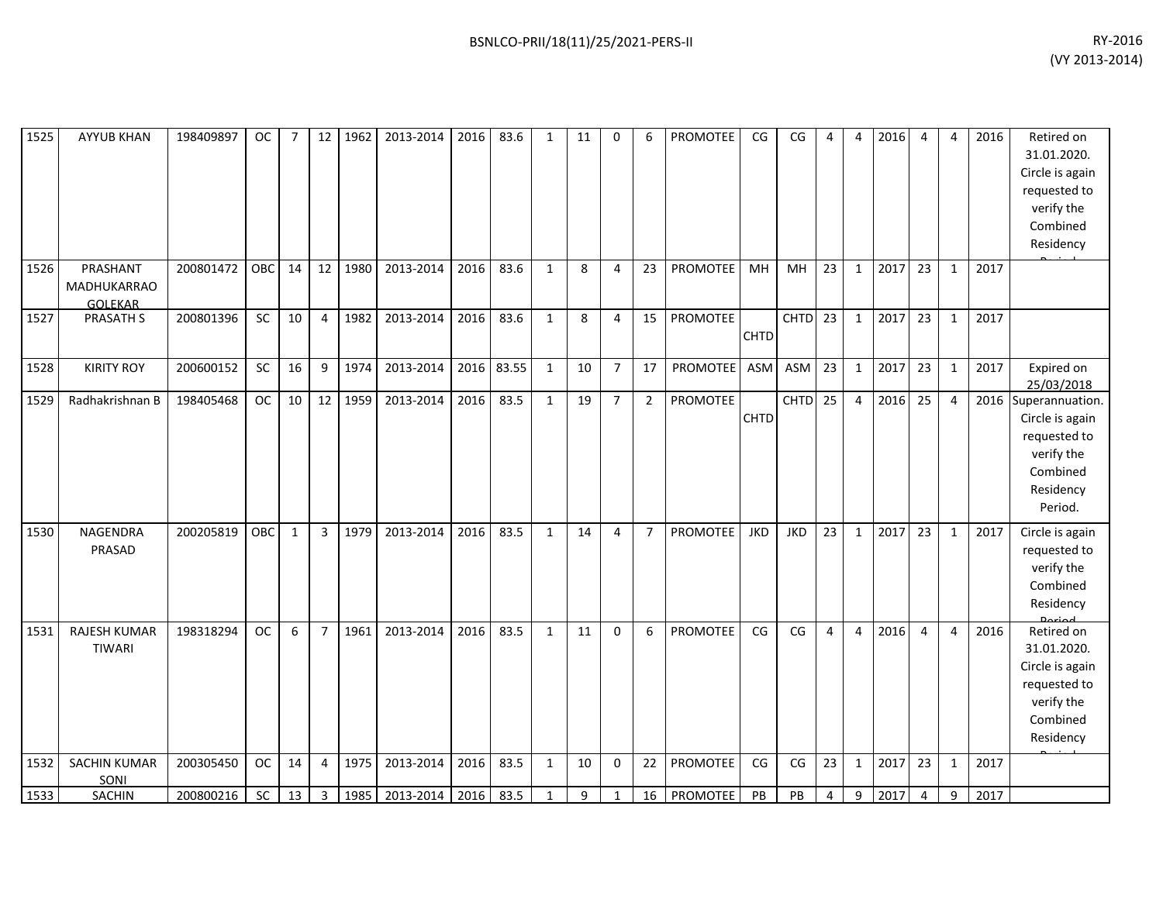| 1525 | <b>AYYUB KHAN</b>                         | 198409897 | <b>OC</b> | $\overline{7}$ | 12              | 1962 | 2013-2014 | 2016 | 83.6  | $\mathbf{1}$ | 11 | $\Omega$       | 6              | PROMOTEE        | CG          | CG                 | $\Delta$       | $\overline{4}$   | 2016 | 4              | 4            | 2016 | Retired on<br>31.01.2020.<br>Circle is again<br>requested to<br>verify the<br>Combined<br>Residency       |
|------|-------------------------------------------|-----------|-----------|----------------|-----------------|------|-----------|------|-------|--------------|----|----------------|----------------|-----------------|-------------|--------------------|----------------|------------------|------|----------------|--------------|------|-----------------------------------------------------------------------------------------------------------|
| 1526 | PRASHANT<br>MADHUKARRAO<br><b>GOLEKAR</b> | 200801472 | OBC       | 14             | 12 <sup>1</sup> | 1980 | 2013-2014 | 2016 | 83.6  | $\mathbf{1}$ | 8  | $\overline{4}$ | 23             | <b>PROMOTEE</b> | MH          | MH                 | 23             | $\mathbf{1}$     | 2017 | 23             | $\mathbf{1}$ | 2017 |                                                                                                           |
| 1527 | <b>PRASATH S</b>                          | 200801396 | SC        | 10             | $\overline{4}$  | 1982 | 2013-2014 | 2016 | 83.6  | $\mathbf{1}$ | 8  | $\overline{4}$ | 15             | <b>PROMOTEE</b> | <b>CHTD</b> | CHTD <sub>23</sub> |                | $\mathbf{1}$     | 2017 | 23             | $\mathbf{1}$ | 2017 |                                                                                                           |
| 1528 | <b>KIRITY ROY</b>                         | 200600152 | SC        | 16             | 9               | 1974 | 2013-2014 | 2016 | 83.55 | $\mathbf{1}$ | 10 | $\overline{7}$ | 17             | <b>PROMOTEE</b> | ASM         | <b>ASM</b>         | 23             | $\mathbf 1$      | 2017 | 23             | $\mathbf{1}$ | 2017 | Expired on<br>25/03/2018                                                                                  |
| 1529 | Radhakrishnan B                           | 198405468 | <b>OC</b> | 10             | 12 <sup>1</sup> | 1959 | 2013-2014 | 2016 | 83.5  | $\mathbf{1}$ | 19 | $\overline{7}$ | $\overline{2}$ | PROMOTEE        | <b>CHTD</b> | CHTD <sub>25</sub> |                | $\overline{4}$   | 2016 | 25             | 4            |      | 2016 Superannuation.<br>Circle is again<br>requested to<br>verify the<br>Combined<br>Residency<br>Period. |
| 1530 | <b>NAGENDRA</b><br>PRASAD                 | 200205819 | OBC       | $\mathbf{1}$   | $\overline{3}$  | 1979 | 2013-2014 | 2016 | 83.5  | $\mathbf{1}$ | 14 | $\overline{4}$ | $\overline{7}$ | <b>PROMOTEE</b> | <b>JKD</b>  | <b>JKD</b>         | 23             | $\mathbf{1}$     | 2017 | 23             | $\mathbf{1}$ | 2017 | Circle is again<br>requested to<br>verify the<br>Combined<br>Residency                                    |
| 1531 | RAJESH KUMAR<br><b>TIWARI</b>             | 198318294 | <b>OC</b> | 6              | $\overline{7}$  | 1961 | 2013-2014 | 2016 | 83.5  | $\mathbf{1}$ | 11 | $\mathbf 0$    | 6              | <b>PROMOTEE</b> | CG          | CG                 | $\overline{4}$ | $\overline{4}$   | 2016 | $\overline{4}$ | 4            | 2016 | Retired on<br>31.01.2020.<br>Circle is again<br>requested to<br>verify the<br>Combined<br>Residency       |
| 1532 | <b>SACHIN KUMAR</b><br>SONI               | 200305450 | <b>OC</b> | 14             | 4               | 1975 | 2013-2014 | 2016 | 83.5  | $\mathbf{1}$ | 10 | $\mathbf 0$    | 22             | PROMOTEE        | CG          | CG                 | 23             | $\mathbf{1}$     | 2017 | 23             | $\mathbf{1}$ | 2017 |                                                                                                           |
| 1533 | <b>SACHIN</b>                             | 200800216 | SC        | 13             | $\overline{3}$  | 1985 | 2013-2014 | 2016 | 83.5  | $\mathbf{1}$ | 9  | 1              | 16             | <b>PROMOTEE</b> | PB          | PB                 | 4              | $\boldsymbol{9}$ | 2017 | $\overline{4}$ | 9            | 2017 |                                                                                                           |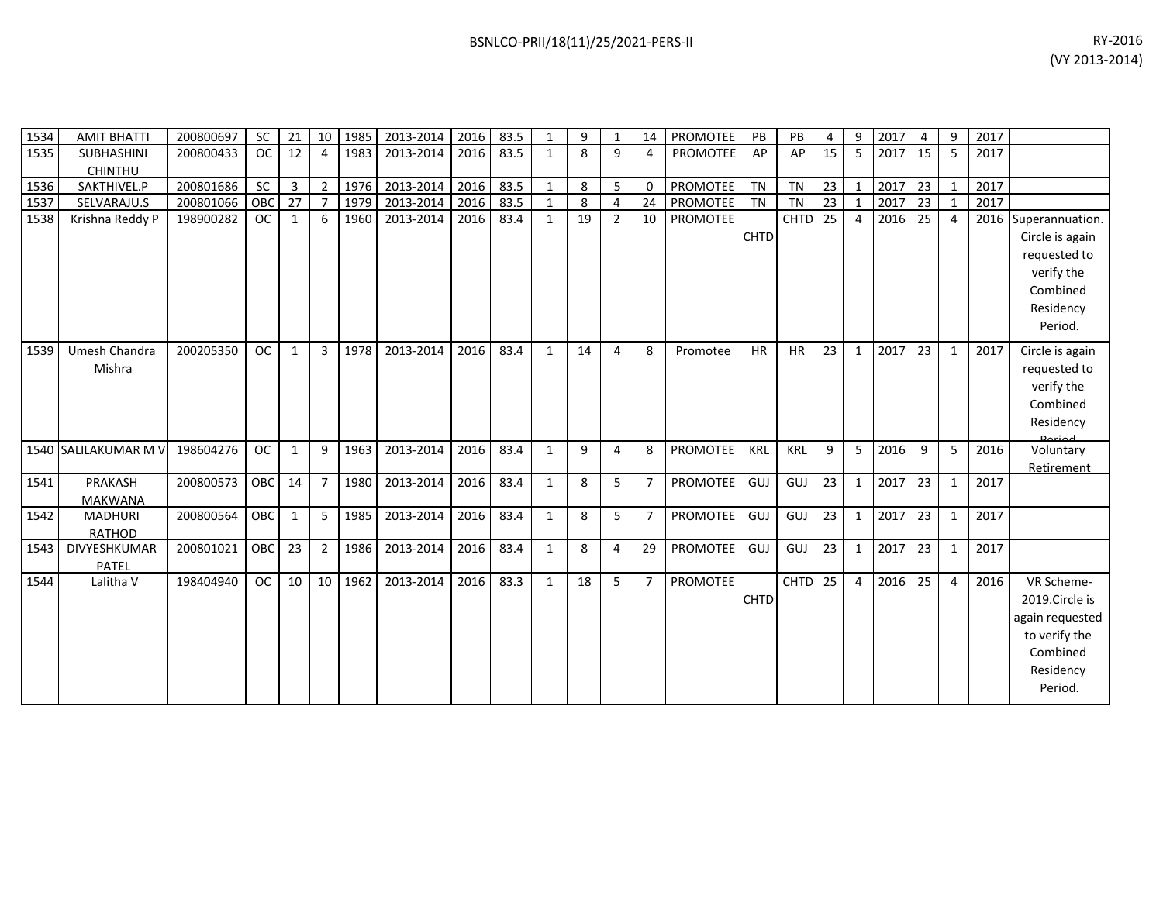| 1534 | <b>AMIT BHATTI</b>   | 200800697 | <b>SC</b>  | 21           |                | 10 1985 | 2013-2014 | 2016 | 83.5 | 1            | 9  | 1        | 14             | PROMOTEE        | PB          | <b>PB</b>          | 4  | 9              | 2017 | $\overline{4}$ | 9              | 2017 |                 |
|------|----------------------|-----------|------------|--------------|----------------|---------|-----------|------|------|--------------|----|----------|----------------|-----------------|-------------|--------------------|----|----------------|------|----------------|----------------|------|-----------------|
| 1535 | SUBHASHINI           | 200800433 | <b>OC</b>  | 12           | $\overline{a}$ | 1983    | 2013-2014 | 2016 | 83.5 | $\mathbf{1}$ | 8  | 9        | 4              | <b>PROMOTEE</b> | AP          | AP                 | 15 | 5              | 2017 | 15             | -5             | 2017 |                 |
|      | <b>CHINTHU</b>       |           |            |              |                |         |           |      |      |              |    |          |                |                 |             |                    |    |                |      |                |                |      |                 |
| 1536 | SAKTHIVEL.P          | 200801686 | <b>SC</b>  | 3            | $\overline{2}$ | 1976    | 2013-2014 | 2016 | 83.5 | $\mathbf{1}$ | 8  | 5        | 0              | PROMOTEE        | <b>TN</b>   | <b>TN</b>          | 23 | $\mathbf{1}$   | 2017 | 23             | 1              | 2017 |                 |
| 1537 | SELVARAJU.S          | 200801066 | OBC        | 27           |                | 1979    | 2013-2014 | 2016 | 83.5 | 1            | 8  | 4        | 24             | PROMOTEE        | TN          | <b>TN</b>          | 23 |                | 2017 | 23             |                | 2017 |                 |
| 1538 | Krishna Reddy P      | 198900282 | <b>OC</b>  | 1            | 6              | 1960    | 2013-2014 | 2016 | 83.4 | $\mathbf{1}$ | 19 | 2        | 10             | PROMOTEE        |             | <b>CHTD</b>        | 25 | $\overline{4}$ | 2016 | 25             | $\overline{4}$ | 2016 | Superannuation. |
|      |                      |           |            |              |                |         |           |      |      |              |    |          |                |                 | <b>CHTD</b> |                    |    |                |      |                |                |      | Circle is again |
|      |                      |           |            |              |                |         |           |      |      |              |    |          |                |                 |             |                    |    |                |      |                |                |      | requested to    |
|      |                      |           |            |              |                |         |           |      |      |              |    |          |                |                 |             |                    |    |                |      |                |                |      | verify the      |
|      |                      |           |            |              |                |         |           |      |      |              |    |          |                |                 |             |                    |    |                |      |                |                |      | Combined        |
|      |                      |           |            |              |                |         |           |      |      |              |    |          |                |                 |             |                    |    |                |      |                |                |      | Residency       |
|      |                      |           |            |              |                |         |           |      |      |              |    |          |                |                 |             |                    |    |                |      |                |                |      | Period.         |
|      |                      |           |            |              |                |         |           |      |      |              |    |          |                |                 |             |                    |    |                |      |                |                |      |                 |
| 1539 | Umesh Chandra        | 200205350 | <b>OC</b>  | $\mathbf{1}$ | $\overline{3}$ | 1978    | 2013-2014 | 2016 | 83.4 | $\mathbf{1}$ | 14 | 4        | 8              | Promotee        | <b>HR</b>   | <b>HR</b>          | 23 | $\mathbf{1}$   | 2017 | 23             | $\mathbf{1}$   | 2017 | Circle is again |
|      | Mishra               |           |            |              |                |         |           |      |      |              |    |          |                |                 |             |                    |    |                |      |                |                |      | requested to    |
|      |                      |           |            |              |                |         |           |      |      |              |    |          |                |                 |             |                    |    |                |      |                |                |      | verify the      |
|      |                      |           |            |              |                |         |           |      |      |              |    |          |                |                 |             |                    |    |                |      |                |                |      | Combined        |
|      |                      |           |            |              |                |         |           |      |      |              |    |          |                |                 |             |                    |    |                |      |                |                |      | Residency       |
|      | 1540 SALILAKUMAR M V | 198604276 | <b>OC</b>  | $\mathbf{1}$ | 9              | 1963    | 2013-2014 | 2016 | 83.4 | $\mathbf{1}$ | 9  | 4        | 8              | PROMOTEE        | <b>KRL</b>  | <b>KRL</b>         | 9  | 5              | 2016 | 9              | 5              | 2016 | Voluntary       |
|      |                      |           |            |              |                |         |           |      |      |              |    |          |                |                 |             |                    |    |                |      |                |                |      | Retirement      |
| 1541 | <b>PRAKASH</b>       | 200800573 | <b>OBC</b> | 14           | $\overline{7}$ | 1980    | 2013-2014 | 2016 | 83.4 | $\mathbf{1}$ | 8  | 5        | $\overline{7}$ | <b>PROMOTEE</b> | GUJ         | GUJ                | 23 | $\mathbf{1}$   | 2017 | 23             | 1              | 2017 |                 |
|      | <b>MAKWANA</b>       |           |            |              |                |         |           |      |      |              |    |          |                |                 |             |                    |    |                |      |                |                |      |                 |
| 1542 | <b>MADHURI</b>       | 200800564 | OBC        | $\mathbf{1}$ | 5              | 1985    | 2013-2014 | 2016 | 83.4 | $\mathbf{1}$ | 8  | 5        | $\overline{7}$ | PROMOTEE        | GUJ         | GUJ                | 23 | $\mathbf{1}$   | 2017 | 23             | 1              | 2017 |                 |
|      | <b>RATHOD</b>        |           |            |              |                |         |           |      |      |              |    |          |                |                 |             |                    |    |                |      |                |                |      |                 |
| 1543 | DIVYESHKUMAR         | 200801021 | OBC        | 23           | $\overline{2}$ | 1986    | 2013-2014 | 2016 | 83.4 | $\mathbf{1}$ | 8  | $\Delta$ | 29             | PROMOTEE        | GUJ         | GUJ                | 23 | $\mathbf{1}$   | 2017 | 23             | 1              | 2017 |                 |
|      | PATEL                |           |            |              |                |         |           |      |      |              |    |          |                |                 |             |                    |    |                |      |                |                |      |                 |
| 1544 | Lalitha V            | 198404940 | <b>OC</b>  | 10           | 10             | 1962    | 2013-2014 | 2016 | 83.3 | $\mathbf{1}$ | 18 | 5        | $\overline{7}$ | PROMOTEE        |             | CHTD <sub>25</sub> |    | $\overline{4}$ | 2016 | 25             | 4              | 2016 | VR Scheme-      |
|      |                      |           |            |              |                |         |           |      |      |              |    |          |                |                 | <b>CHTD</b> |                    |    |                |      |                |                |      | 2019.Circle is  |
|      |                      |           |            |              |                |         |           |      |      |              |    |          |                |                 |             |                    |    |                |      |                |                |      | again requested |
|      |                      |           |            |              |                |         |           |      |      |              |    |          |                |                 |             |                    |    |                |      |                |                |      | to verify the   |
|      |                      |           |            |              |                |         |           |      |      |              |    |          |                |                 |             |                    |    |                |      |                |                |      | Combined        |
|      |                      |           |            |              |                |         |           |      |      |              |    |          |                |                 |             |                    |    |                |      |                |                |      | Residency       |
|      |                      |           |            |              |                |         |           |      |      |              |    |          |                |                 |             |                    |    |                |      |                |                |      | Period.         |
|      |                      |           |            |              |                |         |           |      |      |              |    |          |                |                 |             |                    |    |                |      |                |                |      |                 |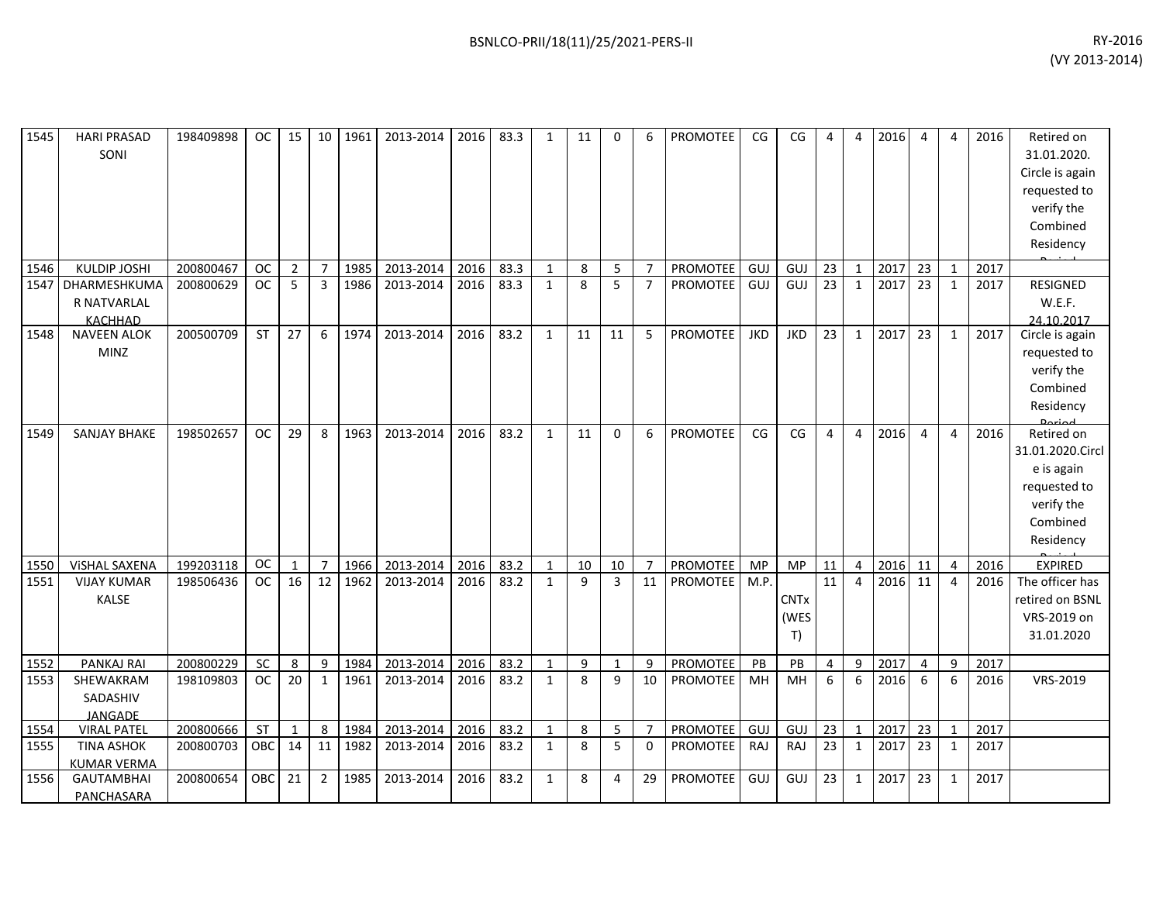| 1545 | <b>HARI PRASAD</b><br>SONI                    | 198409898 | OC.       | 15             | 10             | 1961 | 2013-2014 | 2016 | 83.3 | 1            | 11 | 0              | 6               | PROMOTEE        | CG         | CG                        | 4               | 4              | 2016 | 4                | 4              | 2016 | Retired on<br>31.01.2020.<br>Circle is again<br>requested to<br>verify the<br>Combined<br>Residency |
|------|-----------------------------------------------|-----------|-----------|----------------|----------------|------|-----------|------|------|--------------|----|----------------|-----------------|-----------------|------------|---------------------------|-----------------|----------------|------|------------------|----------------|------|-----------------------------------------------------------------------------------------------------|
| 1546 | <b>KULDIP JOSHI</b>                           | 200800467 | OC        | $\overline{2}$ | $\overline{7}$ | 1985 | 2013-2014 | 2016 | 83.3 | $\mathbf{1}$ | 8  | 5              | $\overline{7}$  | PROMOTEE        | GUJ        | GUJ                       | 23              | $\mathbf{1}$   | 2017 | 23               | $\mathbf{1}$   | 2017 |                                                                                                     |
| 1547 | DHARMESHKUMA<br>R NATVARLAL<br><b>KACHHAD</b> | 200800629 | <b>OC</b> | 5              | 3              | 1986 | 2013-2014 | 2016 | 83.3 | $\mathbf{1}$ | 8  | 5              | $\overline{7}$  | <b>PROMOTEE</b> | GUJ        | GUJ                       | 23              | $\mathbf{1}$   | 2017 | 23               | $\mathbf{1}$   | 2017 | RESIGNED<br>W.E.F.<br>24.10.2017                                                                    |
| 1548 | <b>NAVEEN ALOK</b><br><b>MINZ</b>             | 200500709 | <b>ST</b> | 27             | 6              | 1974 | 2013-2014 | 2016 | 83.2 | $\mathbf{1}$ | 11 | 11             | 5               | <b>PROMOTEE</b> | <b>JKD</b> | <b>JKD</b>                | 23              | $\mathbf{1}$   | 2017 | 23               | $\mathbf{1}$   | 2017 | Circle is again<br>requested to<br>verify the<br>Combined<br>Residency                              |
| 1549 | <b>SANJAY BHAKE</b>                           | 198502657 | <b>OC</b> | 29             | 8              | 1963 | 2013-2014 | 2016 | 83.2 | $\mathbf{1}$ | 11 | $\mathbf{0}$   | 6               | <b>PROMOTEE</b> | CG         | CG                        | $\overline{4}$  | $\overline{4}$ | 2016 | $\overline{4}$   | $\overline{4}$ | 2016 | Retired on<br>31.01.2020.Circl<br>e is again<br>requested to<br>verify the<br>Combined<br>Residency |
| 1550 | VISHAL SAXENA                                 | 199203118 | <b>OC</b> | 1              | $\overline{7}$ | 1966 | 2013-2014 | 2016 | 83.2 | $\mathbf{1}$ | 10 | 10             | $\overline{7}$  | PROMOTEE        | <b>MP</b>  | <b>MP</b>                 | 11              | $\overline{4}$ | 2016 | 11               | $\overline{4}$ | 2016 | <b>EXPIRED</b>                                                                                      |
| 1551 | <b>VIJAY KUMAR</b><br>KALSE                   | 198506436 | <b>OC</b> | 16             | 12             | 1962 | 2013-2014 | 2016 | 83.2 | 1            | 9  | $\overline{3}$ | $\overline{11}$ | PROMOTEE        | M.P.       | <b>CNTx</b><br>(WES<br>T) | $\overline{11}$ | $\overline{4}$ | 2016 | 11               | $\overline{4}$ | 2016 | The officer has<br>retired on BSNL<br>VRS-2019 on<br>31.01.2020                                     |
| 1552 | PANKAJ RAI                                    | 200800229 | SC        | 8              | 9              | 1984 | 2013-2014 | 2016 | 83.2 | $\mathbf{1}$ | 9  | $\mathbf{1}$   | 9               | PROMOTEE        | PB         | PB                        | $\overline{4}$  | 9              | 2017 | $\overline{4}$   | 9              | 2017 |                                                                                                     |
| 1553 | SHEWAKRAM<br>SADASHIV<br>JANGADE              | 198109803 | <b>OC</b> | 20             | 1              | 1961 | 2013-2014 | 2016 | 83.2 | 1            | 8  | 9              | 10              | PROMOTEE        | MH         | <b>MH</b>                 | 6               | 6              | 2016 | $6 \overline{6}$ | 6              | 2016 | VRS-2019                                                                                            |
| 1554 | <b>VIRAL PATEL</b>                            | 200800666 | ST        | 1              | 8              | 1984 | 2013-2014 | 2016 | 83.2 | $\mathbf{1}$ | 8  | 5              | $\overline{7}$  | PROMOTEE        | GUJ        | GUJ                       | 23              | $\mathbf{1}$   | 2017 | 23               | $\mathbf{1}$   | 2017 |                                                                                                     |
| 1555 | <b>TINA ASHOK</b><br><b>KUMAR VERMA</b>       | 200800703 | OBC       | 14             | 11             | 1982 | 2013-2014 | 2016 | 83.2 | 1            | 8  | 5              | $\mathbf 0$     | PROMOTEE        | RAJ        | RAJ                       | 23              | 1              | 2017 | 23               | 1              | 2017 |                                                                                                     |
| 1556 | <b>GAUTAMBHAI</b><br>PANCHASARA               | 200800654 | OBC       | 21             | $\overline{2}$ | 1985 | 2013-2014 | 2016 | 83.2 | $\mathbf{1}$ | 8  | 4              | 29              | <b>PROMOTEE</b> | GUJ        | GUJ                       | 23              | $\mathbf{1}$   | 2017 | 23               | $\mathbf{1}$   | 2017 |                                                                                                     |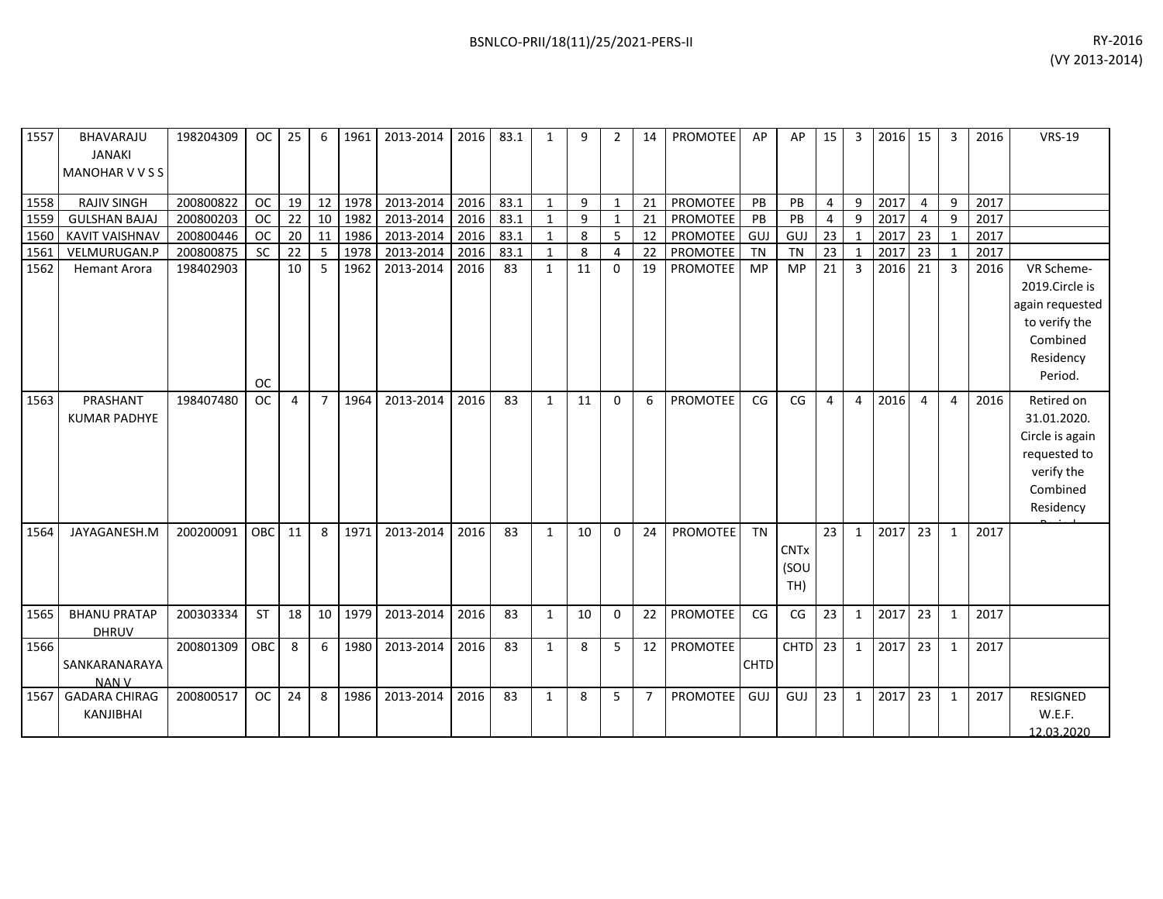| 1557 | BHAVARAJU<br><b>JANAKI</b><br><b>MANOHARVVSS</b> | 198204309 | OC.        | 25             | 6              | 1961 | 2013-2014 | 2016 | 83.1 | 1            | q            | 2            | 14             | <b>PROMOTEE</b> | AP          | AP                         | 15                    | 3              | 2016 | 15             | 3              | 2016 | <b>VRS-19</b>                                                                                       |
|------|--------------------------------------------------|-----------|------------|----------------|----------------|------|-----------|------|------|--------------|--------------|--------------|----------------|-----------------|-------------|----------------------------|-----------------------|----------------|------|----------------|----------------|------|-----------------------------------------------------------------------------------------------------|
| 1558 | <b>RAJIV SINGH</b>                               | 200800822 | <b>OC</b>  | 19             | 12             | 1978 | 2013-2014 | 2016 | 83.1 | 1            | 9            | $\mathbf{1}$ | 21             | PROMOTEE        | PB          | PB                         | 4                     | 9              | 2017 | $\overline{4}$ | 9              | 2017 |                                                                                                     |
| 1559 | <b>GULSHAN BAJAJ</b>                             | 200800203 | <b>OC</b>  | 22             | 10             | 1982 | 2013-2014 | 2016 | 83.1 | $\mathbf{1}$ | $\mathbf{q}$ |              | 21             | PROMOTEE        | PB          | PB                         | 4                     | $\mathbf{q}$   | 2017 | 4              | 9              | 2017 |                                                                                                     |
| 1560 | <b>KAVIT VAISHNAV</b>                            | 200800446 | <b>OC</b>  | 20             | 11             | 1986 | 2013-2014 | 2016 | 83.1 | $\mathbf{1}$ | 8            | 5            | 12             | PROMOTEE        | GUJ         | GUJ                        | 23                    |                | 2017 | 23             | $\mathbf{1}$   | 2017 |                                                                                                     |
| 1561 | VELMURUGAN.P                                     | 200800875 | <b>SC</b>  | 22             | -5             | 1978 | 2013-2014 | 2016 | 83.1 | $\mathbf{1}$ | 8            | 4            | 22             | PROMOTEE        | TN          | <b>TN</b>                  | 23                    | $\mathbf{1}$   | 2017 | 23             | $\mathbf{1}$   | 2017 |                                                                                                     |
| 1562 | <b>Hemant Arora</b>                              | 198402903 |            | 10             | 5              | 1962 | 2013-2014 | 2016 | 83   | $\mathbf{1}$ | 11           | $\Omega$     | 19             | PROMOTEE        | <b>MP</b>   | MP                         | 21                    | 3              | 2016 | 21             | 3              | 2016 | VR Scheme-<br>2019.Circle is<br>again requested                                                     |
|      |                                                  |           | <b>OC</b>  |                |                |      |           |      |      |              |              |              |                |                 |             |                            |                       |                |      |                |                |      | to verify the<br>Combined<br>Residency<br>Period.                                                   |
| 1563 | PRASHANT<br><b>KUMAR PADHYE</b>                  | 198407480 | <b>OC</b>  | $\overline{4}$ | $\overline{7}$ | 1964 | 2013-2014 | 2016 | 83   | $\mathbf{1}$ | 11           | $\Omega$     | 6              | <b>PROMOTEE</b> | CG          | CG                         | $\boldsymbol{\Delta}$ | $\overline{4}$ | 2016 | $\overline{4}$ | $\overline{4}$ | 2016 | Retired on<br>31.01.2020.<br>Circle is again<br>requested to<br>verify the<br>Combined<br>Residency |
| 1564 | JAYAGANESH.M                                     | 200200091 | <b>OBC</b> | 11             | 8              | 1971 | 2013-2014 | 2016 | 83   | 1            | 10           | $\Omega$     | 24             | PROMOTEE        | <b>TN</b>   | <b>CNTx</b><br>(SOU<br>TH) | 23                    | $\mathbf{1}$   | 2017 | 23             | $\mathbf{1}$   | 2017 |                                                                                                     |
| 1565 | <b>BHANU PRATAP</b><br><b>DHRUV</b>              | 200303334 | <b>ST</b>  | 18             | 10             | 1979 | 2013-2014 | 2016 | 83   | $\mathbf{1}$ | 10           | $\Omega$     | 22             | <b>PROMOTEE</b> | CG          | CG                         | 23                    | 1              | 2017 | 23             | $\mathbf{1}$   | 2017 |                                                                                                     |
| 1566 | SANKARANARAYA<br><b>NANV</b>                     | 200801309 | OBC        | 8              | 6              | 1980 | 2013-2014 | 2016 | 83   | $\mathbf{1}$ | 8            | 5            | 12             | PROMOTEE        | <b>CHTD</b> | $CHTD$ 23                  |                       | $\mathbf{1}$   | 2017 | 23             | $\mathbf{1}$   | 2017 |                                                                                                     |
| 1567 | <b>GADARA CHIRAG</b><br>KANJIBHAI                | 200800517 | <b>OC</b>  | 24             | 8              | 1986 | 2013-2014 | 2016 | 83   | 1            | 8            | 5            | $\overline{7}$ | PROMOTEE        | GUJ         | GUJ                        | 23                    | 1              | 2017 | 23             | $\mathbf{1}$   | 2017 | <b>RESIGNED</b><br>W.E.F.                                                                           |

12.03.2020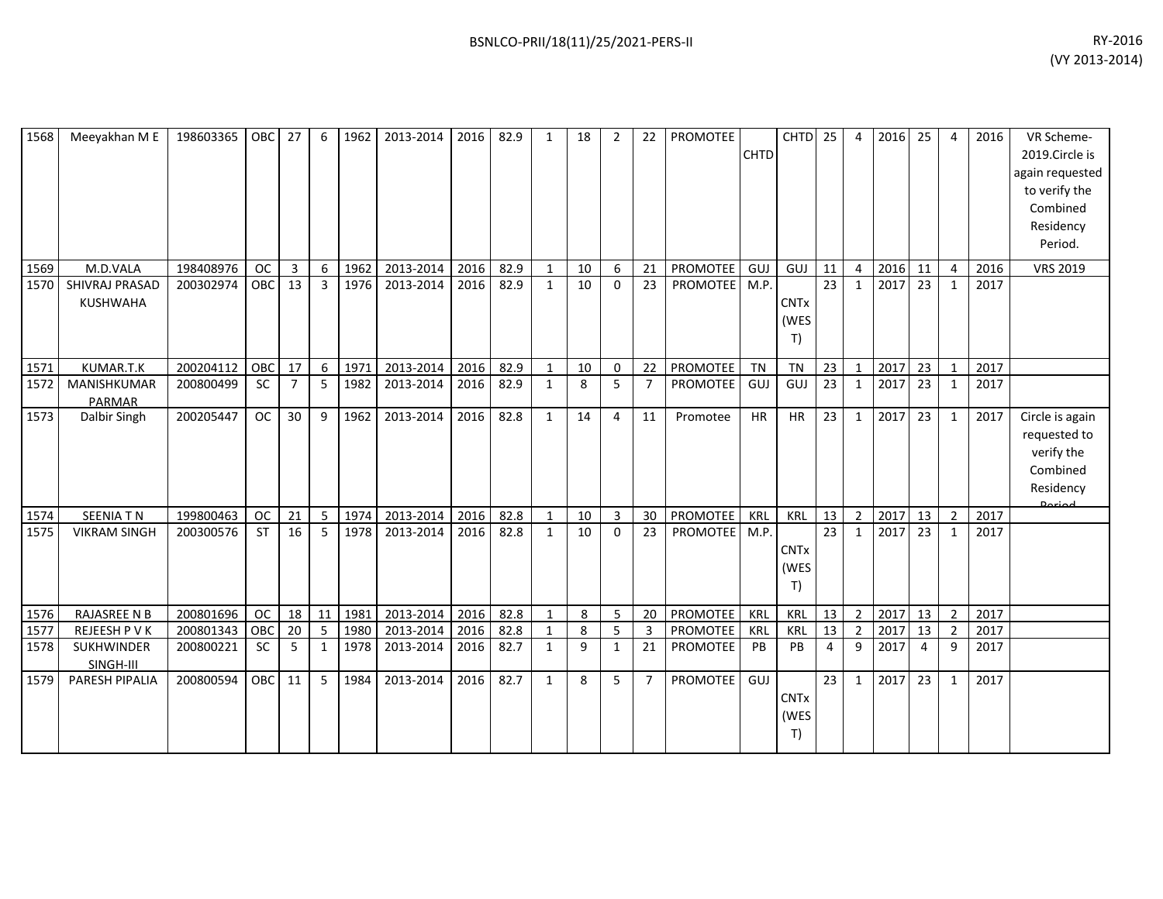| 1568 | Meeyakhan M E                     | 198603365 | OBC              | 27             | 6              | 1962 | 2013-2014 | 2016 | 82.9 | 1            | 18 | $\overline{2}$ | 22             | PROMOTEE        | <b>CHTD</b> | CHTD <sub>25</sub>        |                 | 4              | 2016 | 25             | 4              | 2016 | VR Scheme-<br>2019.Circle is<br>again requested<br>to verify the<br>Combined<br>Residency<br>Period. |
|------|-----------------------------------|-----------|------------------|----------------|----------------|------|-----------|------|------|--------------|----|----------------|----------------|-----------------|-------------|---------------------------|-----------------|----------------|------|----------------|----------------|------|------------------------------------------------------------------------------------------------------|
| 1569 | M.D.VALA                          | 198408976 | <b>OC</b>        | 3              | 6              | 1962 | 2013-2014 | 2016 | 82.9 | $\mathbf{1}$ | 10 | 6              | 21             | PROMOTEE        | GUJ         | GUJ                       | 11              | $\overline{4}$ | 2016 | 11             | $\overline{4}$ | 2016 | <b>VRS 2019</b>                                                                                      |
| 1570 | SHIVRAJ PRASAD<br><b>KUSHWAHA</b> | 200302974 | OBC <sub>1</sub> | 13             | $\overline{3}$ | 1976 | 2013-2014 | 2016 | 82.9 | 1            | 10 | $\Omega$       | 23             | <b>PROMOTEE</b> | M.P.        | <b>CNTx</b><br>(WES<br>T) | $\overline{23}$ | $\mathbf{1}$   | 2017 | 23             | 1              | 2017 |                                                                                                      |
| 1571 | KUMAR.T.K                         | 200204112 | OBC              | 17             | 6              | 1971 | 2013-2014 | 2016 | 82.9 | $\mathbf{1}$ | 10 | $\mathbf 0$    | 22             | PROMOTEE        | TN          | <b>TN</b>                 | 23              | $\mathbf{1}$   | 2017 | 23             | 1              | 2017 |                                                                                                      |
| 1572 | MANISHKUMAR<br><b>PARMAR</b>      | 200800499 | <b>SC</b>        | $\overline{7}$ | -5             | 1982 | 2013-2014 | 2016 | 82.9 | $\mathbf{1}$ | 8  | 5              | $\overline{7}$ | PROMOTEE        | GUJ         | GUJ                       | 23              | 1              | 2017 | 23             | 1              | 2017 |                                                                                                      |
| 1573 | Dalbir Singh                      | 200205447 | <b>OC</b>        | 30             | 9              | 1962 | 2013-2014 | 2016 | 82.8 | $\mathbf{1}$ | 14 | 4              | 11             | Promotee        | <b>HR</b>   | <b>HR</b>                 | 23              | 1              | 2017 | 23             | 1              | 2017 | Circle is again<br>requested to<br>verify the<br>Combined<br>Residency<br>لهمنعه0                    |
| 1574 | <b>SEENIATN</b>                   | 199800463 | <b>OC</b>        | 21             | 5              | 1974 | 2013-2014 | 2016 | 82.8 | $\mathbf{1}$ | 10 | $\mathbf{3}$   | 30             | <b>PROMOTEE</b> | KRL         | <b>KRL</b>                | 13              | $\overline{2}$ | 2017 | 13             | $\overline{2}$ | 2017 |                                                                                                      |
| 1575 | <b>VIKRAM SINGH</b>               | 200300576 | <b>ST</b>        | 16             | 5              | 1978 | 2013-2014 | 2016 | 82.8 | 1            | 10 | $\Omega$       | 23             | <b>PROMOTEE</b> | M.P.        | <b>CNTx</b><br>(WES<br>T) | 23              | $\mathbf{1}$   | 2017 | 23             | 1              | 2017 |                                                                                                      |
| 1576 | <b>RAJASREE N B</b>               | 200801696 | <b>OC</b>        | 18             | 11             | 1981 | 2013-2014 | 2016 | 82.8 | $\mathbf{1}$ | 8  | 5              | 20             | PROMOTEE        | KRL         | <b>KRL</b>                | 13              | $\overline{2}$ | 2017 | 13             | $\overline{2}$ | 2017 |                                                                                                      |
| 1577 | REJEESH P V K                     | 200801343 | OBC              | 20             | 5              | 1980 | 2013-2014 | 2016 | 82.8 | $\mathbf{1}$ | 8  | 5              | 3              | PROMOTEE        | <b>KRL</b>  | <b>KRL</b>                | 13              | $\overline{2}$ | 2017 | 13             | $\overline{2}$ | 2017 |                                                                                                      |
| 1578 | SUKHWINDER<br>SINGH-III           | 200800221 | <b>SC</b>        | 5              | 1              | 1978 | 2013-2014 | 2016 | 82.7 | $\mathbf{1}$ | 9  | $\mathbf{1}$   | 21             | PROMOTEE        | PB          | PB                        | 4               | 9              | 2017 | $\overline{a}$ | 9              | 2017 |                                                                                                      |
| 1579 | PARESH PIPALIA                    | 200800594 | OBC              | 11             | 5              | 1984 | 2013-2014 | 2016 | 82.7 | $\mathbf{1}$ | 8  | 5              | $\overline{7}$ | PROMOTEE        | GUJ         | <b>CNTx</b><br>(WES<br>T) | $\overline{23}$ | $\mathbf{1}$   | 2017 | 23             | $\mathbf{1}$   | 2017 |                                                                                                      |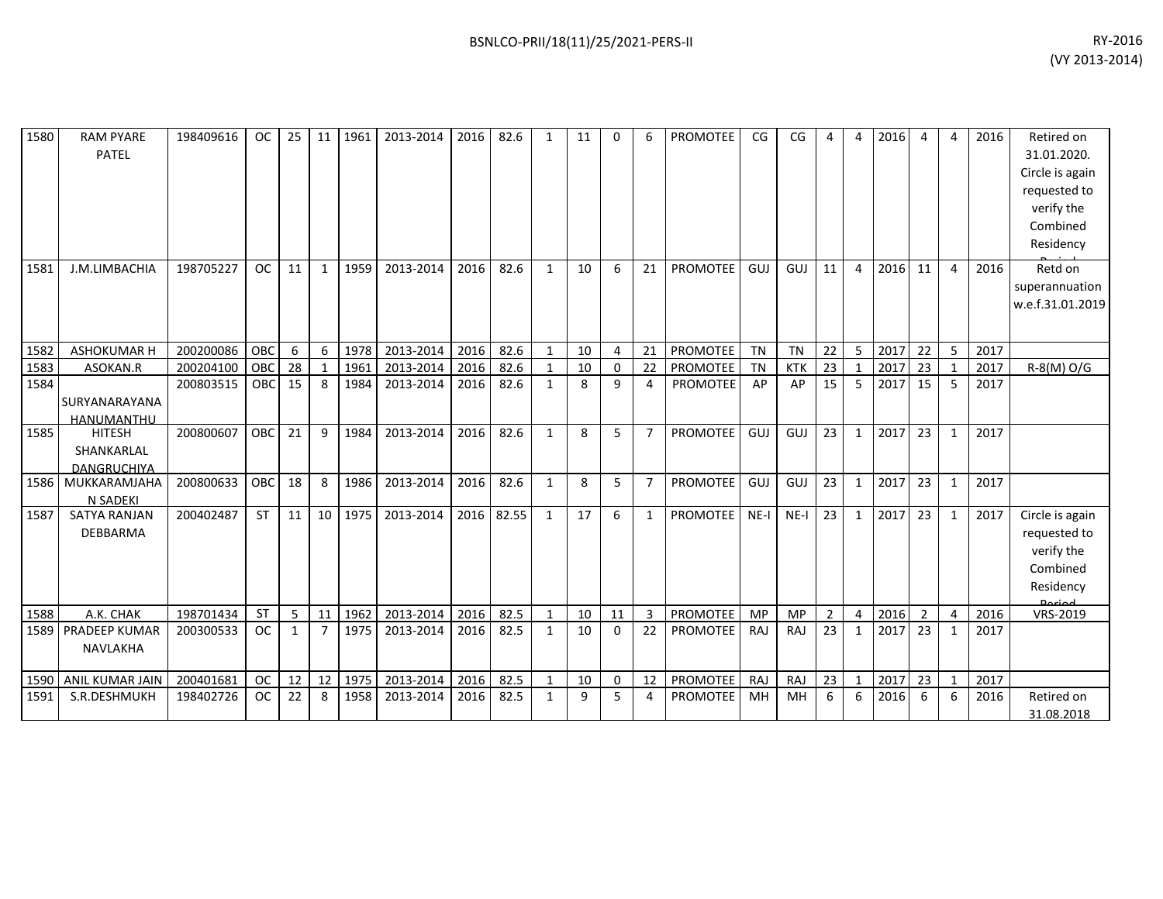| 1580 | <b>RAM PYARE</b><br>PATEL                         | 198409616 | <b>OC</b> | 25           | 11 <sup>1</sup> | 1961    | 2013-2014 | 2016 | 82.6       | 1            | 11 | $\Omega$     | 6              | <b>PROMOTEE</b> | CG        | CG         | 4              | 4              | 2016 | $\overline{a}$ | 4              | 2016 | Retired on<br>31.01.2020.<br>Circle is again<br>requested to<br>verify the<br>Combined<br>Residency |
|------|---------------------------------------------------|-----------|-----------|--------------|-----------------|---------|-----------|------|------------|--------------|----|--------------|----------------|-----------------|-----------|------------|----------------|----------------|------|----------------|----------------|------|-----------------------------------------------------------------------------------------------------|
| 1581 | J.M.LIMBACHIA                                     | 198705227 | <b>OC</b> | 11           | $\mathbf{1}$    | 1959    | 2013-2014 | 2016 | 82.6       | $\mathbf{1}$ | 10 | 6            | 21             | <b>PROMOTEE</b> | GUJ       | GUJ        | 11             | $\overline{4}$ | 2016 | 11             | $\overline{4}$ | 2016 | Retd on<br>superannuation<br>w.e.f.31.01.2019                                                       |
| 1582 | ASHOKUMAR H                                       | 200200086 | OBC       | 6            | 6               | 1978    | 2013-2014 | 2016 | 82.6       | $\mathbf{1}$ | 10 | 4            | 21             | PROMOTEE        | TN        | <b>TN</b>  | 22             | 5              | 2017 | 22             | 5              | 2017 |                                                                                                     |
| 1583 | ASOKAN.R                                          | 200204100 | OBC       | 28           | $\mathbf{1}$    | 1961    | 2013-2014 | 2016 | 82.6       | $\mathbf{1}$ | 10 | $\mathbf{0}$ | 22             | PROMOTEE        | <b>TN</b> | <b>KTK</b> | 23             | $\overline{1}$ | 2017 | 23             | $\mathbf{1}$   | 2017 | R-8(M) O/G                                                                                          |
| 1584 | SURYANARAYANA<br>HANUMANTHU                       | 200803515 | OBC       | 15           | 8               | 1984    | 2013-2014 | 2016 | 82.6       | $\mathbf{1}$ | 8  | 9            | 4              | <b>PROMOTEE</b> | AP        | AP         | 15             | 5              | 2017 | 15             | 5              | 2017 |                                                                                                     |
| 1585 | <b>HITESH</b><br>SHANKARLAL<br><b>DANGRUCHIYA</b> | 200800607 | OBC       | 21           | 9               | 1984    | 2013-2014 | 2016 | 82.6       | $\mathbf{1}$ | 8  | 5            | $\overline{7}$ | PROMOTEE        | GUJ       | GUJ        | 23             | $\mathbf{1}$   | 2017 | 23             | $\mathbf{1}$   | 2017 |                                                                                                     |
| 1586 | MUKKARAMJAHA<br>N SADEKI                          | 200800633 | OBC       | 18           | 8               | 1986    | 2013-2014 | 2016 | 82.6       | $\mathbf{1}$ | 8  | 5            | $\overline{7}$ | PROMOTEE        | GUJ       | GUJ        | 23             | $\mathbf{1}$   | 2017 | 23             | 1              | 2017 |                                                                                                     |
| 1587 | <b>SATYA RANJAN</b><br>DEBBARMA                   | 200402487 | <b>ST</b> | 11           |                 | 10 1975 | 2013-2014 |      | 2016 82.55 | $\mathbf{1}$ | 17 | 6            | $\mathbf{1}$   | <b>PROMOTEE</b> | $NE-I$    | $NE-I$     | 23             | 1              | 2017 | 23             | 1              | 2017 | Circle is again<br>requested to<br>verify the<br>Combined<br>Residency                              |
| 1588 | A.K. CHAK                                         | 198701434 | <b>ST</b> | -5           | 11              | 1962    | 2013-2014 | 2016 | 82.5       | 1            | 10 | 11           | 3              | <b>PROMOTEE</b> | <b>MP</b> | <b>MP</b>  | $\overline{2}$ | $\overline{4}$ | 2016 | $\overline{2}$ | $\overline{4}$ | 2016 | VRS-2019                                                                                            |
| 1589 | <b>PRADEEP KUMAR</b><br>NAVLAKHA                  | 200300533 | <b>OC</b> | $\mathbf{1}$ | $\overline{7}$  | 1975    | 2013-2014 | 2016 | 82.5       | $\mathbf{1}$ | 10 | $\Omega$     | 22             | <b>PROMOTEE</b> | RAJ       | RAJ        | 23             | $\mathbf{1}$   | 2017 | 23             | 1              | 2017 |                                                                                                     |
| 1590 | ANIL KUMAR JAIN                                   | 200401681 | <b>OC</b> | 12           | 12              | 1975    | 2013-2014 | 2016 | 82.5       | $\mathbf{1}$ | 10 | 0            | 12             | PROMOTEE        | RAJ       | RAJ        | 23             | $\mathbf{1}$   | 2017 | 23             | $\mathbf{1}$   | 2017 |                                                                                                     |
| 1591 | S.R.DESHMUKH                                      | 198402726 | <b>OC</b> | 22           | 8               | 1958    | 2013-2014 | 2016 | 82.5       | $\mathbf{1}$ | 9  | 5            | 4              | <b>PROMOTEE</b> | MH        | MH         | 6              | 6              | 2016 | 6              | 6              | 2016 | Retired on<br>31.08.2018                                                                            |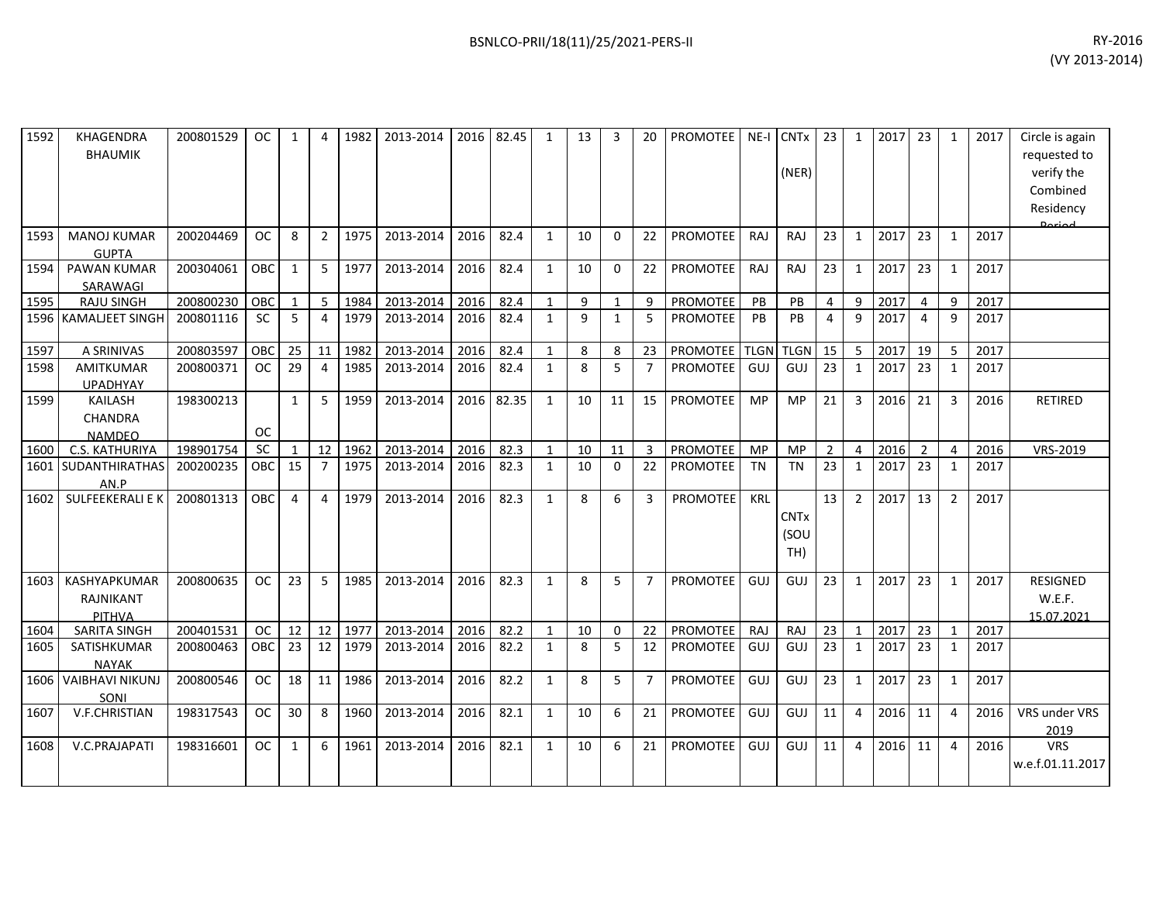| 1592 | KHAGENDRA<br><b>BHAUMIK</b>                | 200801529 | <b>OC</b>  | 1            | $\boldsymbol{\Delta}$ | 1982 | 2013-2014 | 2016 | 82.45 | 1            | 13           | 3            | 20             | <b>PROMOTEE</b> |             | NE-I CNTx<br>(NER)         | 23             | 1              | 2017 | 23             | 1              | 2017 | Circle is again<br>requested to<br>verify the<br>Combined<br>Residency<br>لممنعمه |
|------|--------------------------------------------|-----------|------------|--------------|-----------------------|------|-----------|------|-------|--------------|--------------|--------------|----------------|-----------------|-------------|----------------------------|----------------|----------------|------|----------------|----------------|------|-----------------------------------------------------------------------------------|
| 1593 | <b>MANOJ KUMAR</b><br><b>GUPTA</b>         | 200204469 | <b>OC</b>  | 8            | $\overline{2}$        | 1975 | 2013-2014 | 2016 | 82.4  | $\mathbf{1}$ | 10           | $\Omega$     | 22             | <b>PROMOTEE</b> | RAJ         | RAJ                        | 23             | $\mathbf{1}$   | 2017 | 23             | 1              | 2017 |                                                                                   |
| 1594 | <b>PAWAN KUMAR</b><br>SARAWAGI             | 200304061 | OBC        | 1            | 5                     | 1977 | 2013-2014 | 2016 | 82.4  | $\mathbf{1}$ | 10           | $\Omega$     | 22             | <b>PROMOTEE</b> | RAJ         | <b>RAJ</b>                 | 23             | $\mathbf 1$    | 2017 | 23             | 1              | 2017 |                                                                                   |
| 1595 | <b>RAJU SINGH</b>                          | 200800230 | OBC        | 1            | 5                     | 1984 | 2013-2014 | 2016 | 82.4  | $\mathbf{1}$ | 9            | $\mathbf 1$  | 9              | <b>PROMOTEE</b> | PB          | <b>PB</b>                  | $\overline{4}$ | 9              | 2017 | $\overline{4}$ | 9              | 2017 |                                                                                   |
|      | 1596 KAMALJEET SINGH                       | 200801116 | <b>SC</b>  | 5            | $\overline{4}$        | 1979 | 2013-2014 | 2016 | 82.4  | $\mathbf{1}$ | $\mathbf{q}$ | $\mathbf{1}$ | 5              | PROMOTEE        | PB          | <b>PB</b>                  | $\overline{4}$ | 9              | 2017 | $\overline{4}$ | 9              | 2017 |                                                                                   |
| 1597 | A SRINIVAS                                 | 200803597 | OBC        | 25           | 11                    | 1982 | 2013-2014 | 2016 | 82.4  | $\mathbf{1}$ | 8            | 8            | 23             | <b>PROMOTEE</b> | <b>TLGN</b> | <b>TLGN</b>                | 15             | 5              | 2017 | 19             | 5              | 2017 |                                                                                   |
| 1598 | <b>AMITKUMAR</b><br><b>UPADHYAY</b>        | 200800371 | <b>OC</b>  | 29           | $\overline{4}$        | 1985 | 2013-2014 | 2016 | 82.4  | $\mathbf{1}$ | 8            | 5            | $\overline{7}$ | PROMOTEE        | GUJ         | GUJ                        | 23             | $\mathbf{1}$   | 2017 | 23             | $\mathbf{1}$   | 2017 |                                                                                   |
| 1599 | <b>KAILASH</b><br>CHANDRA<br><b>NAMDEO</b> | 198300213 | <b>OC</b>  | $\mathbf{1}$ | 5                     | 1959 | 2013-2014 | 2016 | 82.35 | $\mathbf{1}$ | 10           | 11           | 15             | <b>PROMOTEE</b> | <b>MP</b>   | <b>MP</b>                  | 21             | 3              | 2016 | 21             | 3              | 2016 | <b>RETIRED</b>                                                                    |
| 1600 | C.S. KATHURIYA                             | 198901754 | <b>SC</b>  | $\mathbf{1}$ | 12                    | 1962 | 2013-2014 | 2016 | 82.3  | $\mathbf{1}$ | 10           | 11           | 3              | PROMOTEE        | <b>MP</b>   | <b>MP</b>                  | $\overline{2}$ | $\overline{4}$ | 2016 | $\overline{2}$ | 4              | 2016 | VRS-2019                                                                          |
| 1601 | <b>SUDANTHIRATHAS</b><br>AN.P              | 200200235 | OBC        | 15           | $\overline{7}$        | 1975 | 2013-2014 | 2016 | 82.3  | $\mathbf{1}$ | 10           | $\mathbf{0}$ | 22             | <b>PROMOTEE</b> | <b>TN</b>   | <b>TN</b>                  | 23             | $\mathbf{1}$   | 2017 | 23             | 1              | 2017 |                                                                                   |
| 1602 | <b>SULFEEKERALI E K</b>                    | 200801313 | OBC        | 4            | 4                     | 1979 | 2013-2014 | 2016 | 82.3  | $\mathbf{1}$ | 8            | 6            | 3              | <b>PROMOTEE</b> | <b>KRL</b>  | <b>CNTx</b><br>(SOU<br>TH) | 13             | $\overline{2}$ | 2017 | 13             | $\overline{2}$ | 2017 |                                                                                   |
| 1603 | KASHYAPKUMAR<br>RAJNIKANT<br>PITHVA        | 200800635 | <b>OC</b>  | 23           | 5                     | 1985 | 2013-2014 | 2016 | 82.3  | $\mathbf{1}$ | 8            | 5            | $\overline{7}$ | <b>PROMOTEE</b> | GUJ         | GUJ                        | 23             | 1              | 2017 | 23             | 1              | 2017 | <b>RESIGNED</b><br>W.E.F.<br>15.07.2021                                           |
| 1604 | <b>SARITA SINGH</b>                        | 200401531 | <b>OC</b>  | 12           | 12                    | 1977 | 2013-2014 | 2016 | 82.2  | $\mathbf{1}$ | 10           | $\Omega$     | 22             | <b>PROMOTEE</b> | RAJ         | <b>RAJ</b>                 | 23             | $\mathbf{1}$   | 2017 | 23             | $\mathbf 1$    | 2017 |                                                                                   |
| 1605 | SATISHKUMAR<br><b>NAYAK</b>                | 200800463 | <b>OBC</b> | 23           | 12                    | 1979 | 2013-2014 | 2016 | 82.2  | $\mathbf{1}$ | 8            | 5            | 12             | PROMOTEE        | GUJ         | GUJ                        | 23             | 1              | 2017 | 23             | 1              | 2017 |                                                                                   |
| 1606 | <b>VAIBHAVI NIKUNJ</b><br>SONI             | 200800546 | <b>OC</b>  | 18           | 11                    | 1986 | 2013-2014 | 2016 | 82.2  | $\mathbf{1}$ | 8            | 5            | $\overline{7}$ | <b>PROMOTEE</b> | GUJ         | GUJ                        | 23             | 1              | 2017 | 23             | 1              | 2017 |                                                                                   |
| 1607 | V.F.CHRISTIAN                              | 198317543 | <b>OC</b>  | 30           | 8                     | 1960 | 2013-2014 | 2016 | 82.1  | $\mathbf{1}$ | 10           | 6            | 21             | <b>PROMOTEE</b> | GUJ         | GUJ                        | 11             | $\overline{4}$ | 2016 | 11             | 4              | 2016 | VRS under VRS<br>2019                                                             |
| 1608 | V.C.PRAJAPATI                              | 198316601 | 0C         | 1            | 6                     | 1961 | 2013-2014 | 2016 | 82.1  | $\mathbf{1}$ | 10           | 6            | 21             | <b>PROMOTEE</b> | GUJ         | GUJ                        | 11             | $\overline{4}$ | 2016 | 11             | 4              | 2016 | <b>VRS</b><br>w.e.f.01.11.2017                                                    |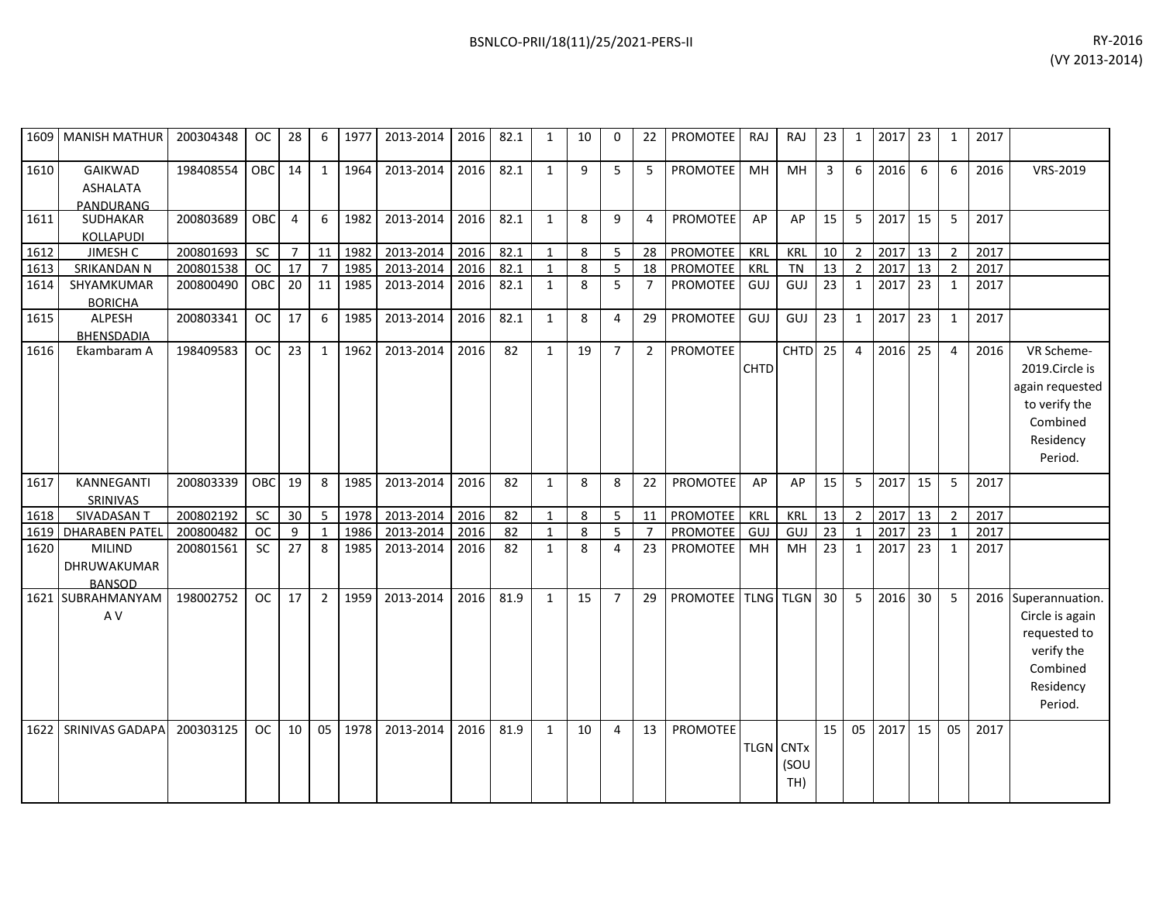| BSNLCO-PRII/18(11)/25/2021-PERS-II | RY-2016 |
|------------------------------------|---------|
|                                    |         |

|      | 1609   MANISH MATHUR                          | 200304348 | OC.       | 28             | 6              | 1977 | 2013-2014 | 2016 | 82.1 | 1            | 10 | 0              | 22             | <b>PROMOTEE</b>    | RAJ              | RAJ         | 23              | 1              | 2017    | 23         | 1              | 2017 |                                                                                                           |
|------|-----------------------------------------------|-----------|-----------|----------------|----------------|------|-----------|------|------|--------------|----|----------------|----------------|--------------------|------------------|-------------|-----------------|----------------|---------|------------|----------------|------|-----------------------------------------------------------------------------------------------------------|
| 1610 | GAIKWAD<br>ASHALATA<br>PANDURANG              | 198408554 | OBC       | 14             | 1              | 1964 | 2013-2014 | 2016 | 82.1 | $\mathbf{1}$ | 9  | 5              | 5              | PROMOTEE           | MH               | MH          | $\overline{3}$  | 6              | 2016    | 6          | 6              | 2016 | VRS-2019                                                                                                  |
| 1611 | SUDHAKAR<br>KOLLAPUDI                         | 200803689 | OBC       | $\overline{4}$ | 6              | 1982 | 2013-2014 | 2016 | 82.1 | $\mathbf{1}$ | 8  | 9              | 4              | <b>PROMOTEE</b>    | AP               | AP          | 15              | 5              | 2017    | 15         | 5              | 2017 |                                                                                                           |
| 1612 | JIMESH C                                      | 200801693 | SC        | $\overline{7}$ | 11             | 1982 | 2013-2014 | 2016 | 82.1 | $\mathbf{1}$ | 8  | 5              |                | 28 PROMOTEE        | KRL              | KRL         | 10              | $2^{\circ}$    | 2017    | $\vert$ 13 | $\overline{2}$ | 2017 |                                                                                                           |
| 1613 | SRIKANDAN N                                   | 200801538 | <b>OC</b> | 17             | $\overline{7}$ | 1985 | 2013-2014 | 2016 | 82.1 | $\mathbf{1}$ | 8  | 5              | 18             | PROMOTEE           | KRL              | <b>TN</b>   | 13              | $\overline{2}$ | 2017    | 13         | $\mathcal{P}$  | 2017 |                                                                                                           |
| 1614 | SHYAMKUMAR<br><b>BORICHA</b>                  | 200800490 | OBC       | 20             | 11             | 1985 | 2013-2014 | 2016 | 82.1 | $\mathbf{1}$ | 8  | 5              | $\overline{7}$ | <b>PROMOTEE</b>    | GUJ              | GUJ         | 23              | $\mathbf{1}$   | 2017    | 23         | $\mathbf{1}$   | 2017 |                                                                                                           |
| 1615 | ALPESH<br>BHENSDADIA                          | 200803341 | <b>OC</b> | 17             | 6              | 1985 | 2013-2014 | 2016 | 82.1 | $\mathbf{1}$ | 8  | 4              | 29             | <b>PROMOTEE</b>    | GUJ              | GUJ         | 23              | $\mathbf{1}$   | 2017    | 23         | 1              | 2017 |                                                                                                           |
| 1616 | Ekambaram A                                   | 198409583 | OC        | 23             | $\mathbf{1}$   | 1962 | 2013-2014 | 2016 | 82   | $\mathbf{1}$ | 19 | $\overline{7}$ | $\overline{2}$ | <b>PROMOTEE</b>    | CHTD             | <b>CHTD</b> | $\overline{25}$ | $\overline{4}$ | 2016    | 25         | 4              | 2016 | VR Scheme-<br>2019.Circle is<br>again requested<br>to verify the<br>Combined<br>Residency<br>Period.      |
| 1617 | KANNEGANTI<br>SRINIVAS                        | 200803339 | OBC       | 19             | 8              | 1985 | 2013-2014 | 2016 | 82   | $\mathbf{1}$ | 8  | 8              | 22             | <b>PROMOTEE</b>    | AP               | AP          | 15              | 5              | 2017    | 15         | 5              | 2017 |                                                                                                           |
| 1618 | SIVADASAN T                                   | 200802192 | SC        | 30             | 5              | 1978 | 2013-2014 | 2016 | 82   | $\mathbf{1}$ | 8  | 5              | 11             | PROMOTEE           | <b>KRL</b>       | KRL         | 13              | $\overline{2}$ | 2017 13 |            | $\overline{2}$ | 2017 |                                                                                                           |
| 1619 | <b>DHARABEN PATEI</b>                         | 200800482 | <b>OC</b> | 9              | -1             | 1986 | 2013-2014 | 2016 | 82   | $\mathbf{1}$ | 8  | 5              | 7              | PROMOTEE           | GUJ              | GUJ         | 23              | $\mathbf{1}$   | 2017    | 23         | -1             | 2017 |                                                                                                           |
| 1620 | <b>MILIND</b><br>DHRUWAKUMAR<br><b>BANSOD</b> | 200801561 | <b>SC</b> | 27             | 8              | 1985 | 2013-2014 | 2016 | 82   | $\mathbf{1}$ | 8  | 4              | 23             | PROMOTEE           | MH               | MH          | 23              | $\mathbf{1}$   | 2017    | 23         | $\mathbf{1}$   | 2017 |                                                                                                           |
|      | 1621 SUBRAHMANYAM<br>A V                      | 198002752 | <b>OC</b> | 17             | $\overline{2}$ | 1959 | 2013-2014 | 2016 | 81.9 | $\mathbf{1}$ | 15 | $\overline{7}$ | 29             | PROMOTEE TLNG TLGN |                  |             | 30              | 5              | 2016    | 30         | 5              |      | 2016 Superannuation.<br>Circle is again<br>requested to<br>verify the<br>Combined<br>Residency<br>Period. |
| 1622 | SRINIVAS GADAPA                               | 200303125 | <b>OC</b> | 10             | 05             | 1978 | 2013-2014 | 2016 | 81.9 | $\mathbf{1}$ | 10 | $\overline{4}$ | 13             | <b>PROMOTEE</b>    | <b>TLGN CNTx</b> | (SOU<br>TH) | 15              | 05             | 2017    | 15         | 05             | 2017 |                                                                                                           |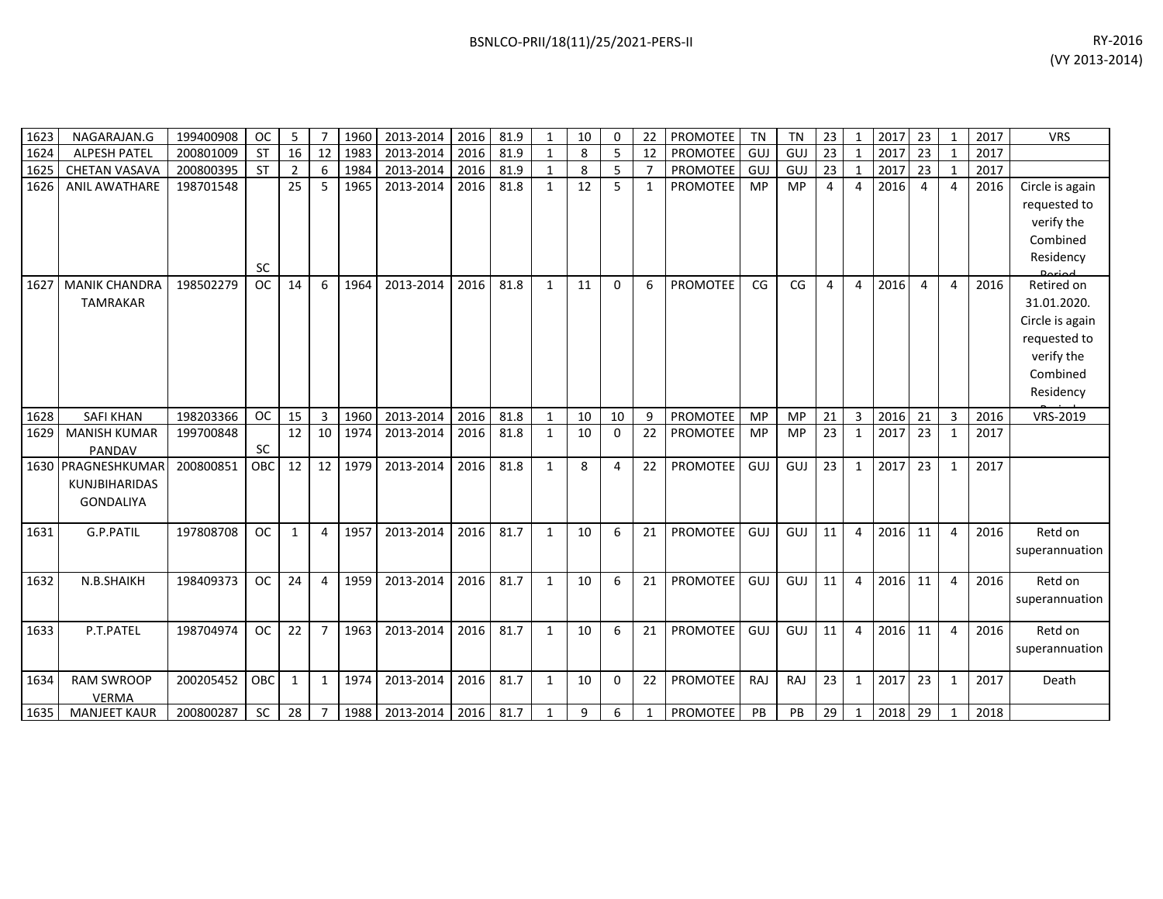| BSNLCO-PRII/18(11)/25/2021-PERS-II | RY-2016                                                                                                                                                                                                                                                                                                                                                                                                                                                                                                                                                                                              |
|------------------------------------|------------------------------------------------------------------------------------------------------------------------------------------------------------------------------------------------------------------------------------------------------------------------------------------------------------------------------------------------------------------------------------------------------------------------------------------------------------------------------------------------------------------------------------------------------------------------------------------------------|
|                                    | $\left\langle$ $\left\langle \right\rangle$ $\left\langle \right\rangle$ $\left\langle \right\rangle$ $\left\langle \right\rangle$ $\left\langle \right\rangle$ $\left\langle \right\rangle$ $\left\langle \right\rangle$ $\left\langle \right\rangle$ $\left\langle \right\rangle$ $\left\langle \right\rangle$ $\left\langle \right\rangle$ $\left\langle \right\rangle$ $\left\langle \right\rangle$ $\left\langle \right\rangle$ $\left\langle \right\rangle$ $\left\langle \right\rangle$ $\left\langle \right\rangle$ $\left\langle \right\rangle$ $\left\langle \right\rangle$ $\left\langle$ |

| 1623 | NAGARAJAN.G                                                    | 199400908 | <b>OC</b> | 5              | 7                       | 1960 | 2013-2014 | 2016 | 81.9 | 1            | 10 | 0        | 22             | PROMOTEE        | TN         | <b>TN</b> | 23             | $\mathbf{1}$   | 2017 23 |    | 1              | 2017 | <b>VRS</b>                                                                                          |
|------|----------------------------------------------------------------|-----------|-----------|----------------|-------------------------|------|-----------|------|------|--------------|----|----------|----------------|-----------------|------------|-----------|----------------|----------------|---------|----|----------------|------|-----------------------------------------------------------------------------------------------------|
| 1624 | <b>ALPESH PATEL</b>                                            | 200801009 | <b>ST</b> | 16             | 12                      | 1983 | 2013-2014 | 2016 | 81.9 | $\mathbf{1}$ | 8  | 5        | 12             | <b>PROMOTEE</b> | GUJ        | GUJ       | 23             | $\mathbf{1}$   | 2017    | 23 | $\overline{1}$ | 2017 |                                                                                                     |
| 1625 | <b>CHETAN VASAVA</b>                                           | 200800395 | <b>ST</b> | $\overline{2}$ | 6                       | 1984 | 2013-2014 | 2016 | 81.9 | 1            | 8  | 5        | $\overline{7}$ | <b>PROMOTEE</b> | <b>GUJ</b> | GUJ       | 23             | $\mathbf{1}$   | 2017    | 23 | $\overline{1}$ | 2017 |                                                                                                     |
| 1626 | <b>ANIL AWATHARE</b>                                           | 198701548 | <b>SC</b> | 25             | -5                      | 1965 | 2013-2014 | 2016 | 81.8 | $\mathbf{1}$ | 12 | 5        | $\mathbf{1}$   | <b>PROMOTEE</b> | <b>MP</b>  | MP        | 4              | $\overline{4}$ | 2016    | 4  | 4              | 2016 | Circle is again<br>requested to<br>verify the<br>Combined<br>Residency<br>Doriad                    |
| 1627 | <b>MANIK CHANDRA</b><br><b>TAMRAKAR</b>                        | 198502279 | <b>OC</b> | 14             | 6                       | 1964 | 2013-2014 | 2016 | 81.8 | $\mathbf{1}$ | 11 | $\Omega$ | 6              | <b>PROMOTEE</b> | CG         | CG        | $\overline{4}$ | $\overline{4}$ | 2016    | 4  | 4              | 2016 | Retired on<br>31.01.2020.<br>Circle is again<br>requested to<br>verify the<br>Combined<br>Residency |
| 1628 | <b>SAFI KHAN</b>                                               | 198203366 | <b>OC</b> | 15             | 3                       | 1960 | 2013-2014 | 2016 | 81.8 | $\mathbf{1}$ | 10 | 10       | 9              | <b>PROMOTEE</b> | MP         | <b>MP</b> | 21             | 3              | 2016    | 21 | 3              | 2016 | VRS-2019                                                                                            |
| 1629 | <b>MANISH KUMAR</b><br>PANDAV                                  | 199700848 | SC        | 12             | 10                      | 1974 | 2013-2014 | 2016 | 81.8 | $\mathbf{1}$ | 10 | $\Omega$ | 22             | <b>PROMOTEE</b> | MP         | MP        | 23             | 1              | 2017    | 23 | 1              | 2017 |                                                                                                     |
|      | 1630 PRAGNESHKUMAR<br><b>KUNJBIHARIDAS</b><br><b>GONDALIYA</b> | 200800851 | OBC       | 12             | 12                      | 1979 | 2013-2014 | 2016 | 81.8 | $\mathbf{1}$ | 8  | 4        | 22             | <b>PROMOTEE</b> | GUJ        | GUJ       | 23             | $\mathbf{1}$   | 2017    | 23 | $\mathbf{1}$   | 2017 |                                                                                                     |
| 1631 | G.P.PATIL                                                      | 197808708 | <b>OC</b> | 1              | $\overline{a}$          | 1957 | 2013-2014 | 2016 | 81.7 | $\mathbf{1}$ | 10 | 6        | 21             | <b>PROMOTEE</b> | GUJ        | GUJ       | 11             | $\overline{4}$ | 2016    | 11 | $\overline{4}$ | 2016 | Retd on<br>superannuation                                                                           |
| 1632 | N.B.SHAIKH                                                     | 198409373 | <b>OC</b> | 24             | $\overline{\mathbf{A}}$ | 1959 | 2013-2014 | 2016 | 81.7 | $\mathbf{1}$ | 10 | 6        | 21             | <b>PROMOTEE</b> | GUJ        | GUJ       | 11             | $\overline{4}$ | 2016    | 11 | 4              | 2016 | Retd on<br>superannuation                                                                           |
| 1633 | P.T.PATEL                                                      | 198704974 | <b>OC</b> | 22             | $\overline{7}$          | 1963 | 2013-2014 | 2016 | 81.7 | $\mathbf{1}$ | 10 | 6        | 21             | <b>PROMOTEE</b> | GUJ        | GUJ       | 11             | $\overline{4}$ | 2016    | 11 | $\overline{a}$ | 2016 | Retd on<br>superannuation                                                                           |
| 1634 | <b>RAM SWROOP</b><br><b>VERMA</b>                              | 200205452 | OBC       | 1              | $\mathbf{1}$            | 1974 | 2013-2014 | 2016 | 81.7 | $\mathbf{1}$ | 10 | $\Omega$ | 22             | <b>PROMOTEE</b> | <b>RAJ</b> | RAJ       | 23             | $\mathbf{1}$   | 2017    | 23 | 1              | 2017 | Death                                                                                               |
| 1635 | <b>MANJEET KAUR</b>                                            | 200800287 | <b>SC</b> | 28             | $\overline{7}$          | 1988 | 2013-2014 | 2016 | 81.7 | $\mathbf{1}$ | 9  | 6        | -1             | <b>PROMOTEE</b> | PB         | PB        | 29             | $\mathbf{1}$   | 2018 29 |    | $\mathbf{1}$   | 2018 |                                                                                                     |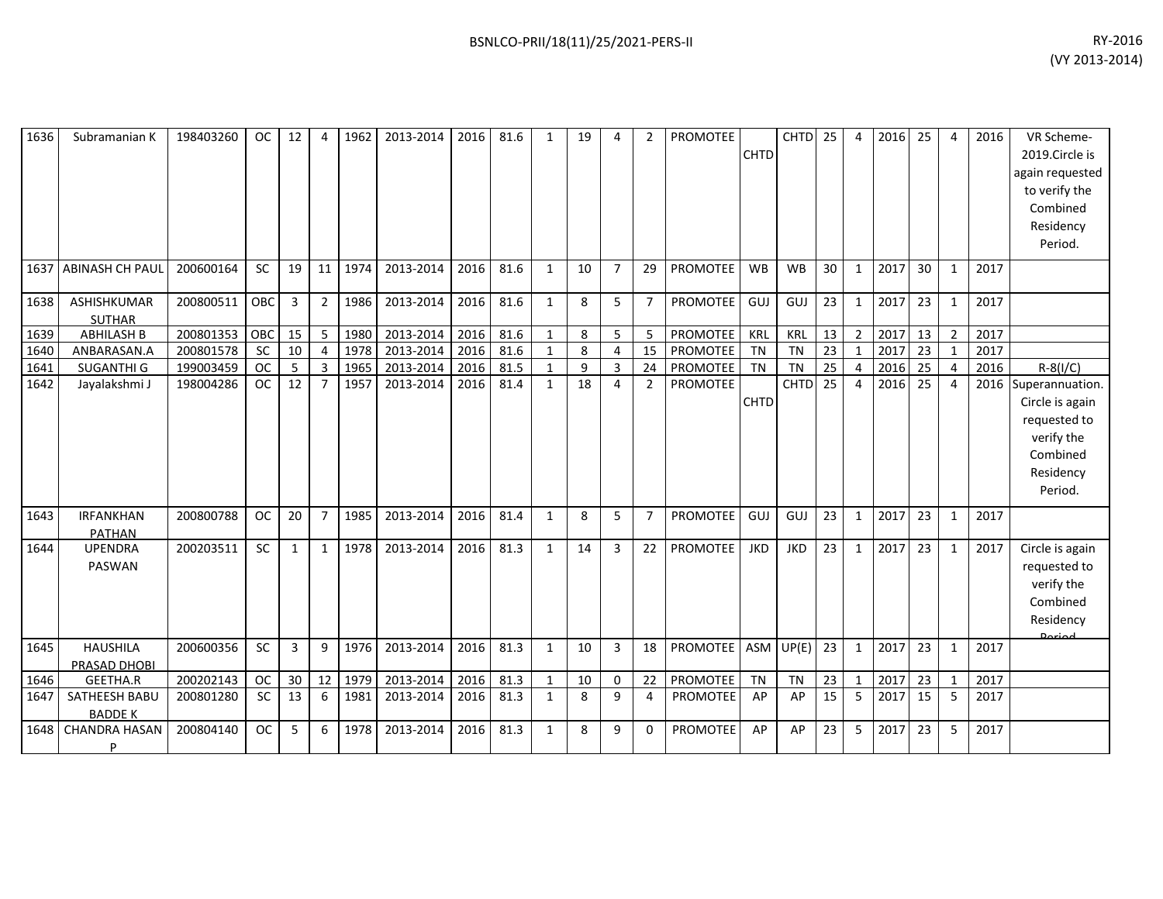| 1636 | Subramanian K                          | 198403260 | <b>OC</b> | 12 | 4              | 1962 | 2013-2014 | 2016 | 81.6 | 1            | 19 | 4              | 2              | <b>PROMOTEE</b> | <b>CHTD</b> | <b>CHTD</b> | 25              | $\overline{4}$ | 2016 | 25 | 4              | 2016 | VR Scheme-<br>2019.Circle is<br>again requested<br>to verify the<br>Combined<br>Residency<br>Period.      |
|------|----------------------------------------|-----------|-----------|----|----------------|------|-----------|------|------|--------------|----|----------------|----------------|-----------------|-------------|-------------|-----------------|----------------|------|----|----------------|------|-----------------------------------------------------------------------------------------------------------|
| 1637 | ABINASH CH PAUL                        | 200600164 | <b>SC</b> | 19 | 11             | 1974 | 2013-2014 | 2016 | 81.6 | 1            | 10 | $\overline{7}$ | 29             | PROMOTEE        | <b>WB</b>   | <b>WB</b>   | 30              | 1              | 2017 | 30 | 1              | 2017 |                                                                                                           |
| 1638 | ASHISHKUMAR<br><b>SUTHAR</b>           | 200800511 | OBC       | 3  | $\overline{2}$ | 1986 | 2013-2014 | 2016 | 81.6 | $\mathbf{1}$ | 8  | 5              | $\overline{7}$ | <b>PROMOTEE</b> | GUJ         | <b>GUJ</b>  | 23              | $\mathbf{1}$   | 2017 | 23 | 1              | 2017 |                                                                                                           |
| 1639 | <b>ABHILASH B</b>                      | 200801353 | OBC       | 15 | 5              | 1980 | 2013-2014 | 2016 | 81.6 | $\mathbf{1}$ | 8  | 5              | 5              | PROMOTEE        | KRL         | KRL         | 13              | $\overline{2}$ | 2017 | 13 | $\overline{2}$ | 2017 |                                                                                                           |
| 1640 | ANBARASAN.A                            | 200801578 | <b>SC</b> | 10 | $\overline{4}$ | 1978 | 2013-2014 | 2016 | 81.6 | $\mathbf{1}$ | 8  | 4              | 15             | PROMOTEE        | <b>TN</b>   | <b>TN</b>   | $\overline{23}$ | $\mathbf{1}$   | 2017 | 23 | $\mathbf{1}$   | 2017 |                                                                                                           |
| 1641 | SUGANTHI G                             | 199003459 | <b>OC</b> | 5  | $\overline{3}$ | 1965 | 2013-2014 | 2016 | 81.5 | $\mathbf{1}$ | 9  | 3              | 24             | <b>PROMOTEE</b> | <b>TN</b>   | <b>TN</b>   | 25              | $\overline{4}$ | 2016 | 25 | 4              | 2016 | $R-S(1/C)$                                                                                                |
| 1642 | Jayalakshmi J                          | 198004286 | <b>OC</b> | 12 | $\overline{7}$ | 1957 | 2013-2014 | 2016 | 81.4 | $\mathbf{1}$ | 18 | 4              | $\overline{2}$ | <b>PROMOTEE</b> | <b>CHTD</b> | CHTD        | $\overline{25}$ | $\overline{4}$ | 2016 | 25 | $\overline{a}$ |      | 2016 Superannuation.<br>Circle is again<br>requested to<br>verify the<br>Combined<br>Residency<br>Period. |
| 1643 | <b>IRFANKHAN</b><br><b>PATHAN</b>      | 200800788 | <b>OC</b> | 20 | $\overline{7}$ | 1985 | 2013-2014 | 2016 | 81.4 | 1            | 8  | 5              | $\overline{7}$ | PROMOTEE        | GUJ         | GUJ         | 23              | $\mathbf{1}$   | 2017 | 23 | 1              | 2017 |                                                                                                           |
| 1644 | <b>UPENDRA</b><br>PASWAN               | 200203511 | SC        | 1  | $\mathbf{1}$   | 1978 | 2013-2014 | 2016 | 81.3 | $\mathbf{1}$ | 14 | 3              | 22             | <b>PROMOTEE</b> | <b>JKD</b>  | <b>JKD</b>  | 23              | $\mathbf{1}$   | 2017 | 23 | $\mathbf{1}$   | 2017 | Circle is again<br>requested to<br>verify the<br>Combined<br>Residency<br>Doriod                          |
| 1645 | <b>HAUSHILA</b><br><b>PRASAD DHOBI</b> | 200600356 | <b>SC</b> | 3  | q              | 1976 | 2013-2014 | 2016 | 81.3 | $\mathbf{1}$ | 10 | 3              | 18             | PROMOTEE        |             | $ASM$ UP(E) | 23              | $\mathbf{1}$   | 2017 | 23 | 1              | 2017 |                                                                                                           |
| 1646 | <b>GEETHA.R</b>                        | 200202143 | <b>OC</b> | 30 | 12             | 1979 | 2013-2014 | 2016 | 81.3 | $\mathbf{1}$ | 10 | $\Omega$       | 22             | PROMOTEE        | <b>TN</b>   | <b>TN</b>   | 23              | $\mathbf{1}$   | 2017 | 23 | $\mathbf{1}$   | 2017 |                                                                                                           |
| 1647 | SATHEESH BABU<br><b>BADDE K</b>        | 200801280 | <b>SC</b> | 13 | 6              | 1981 | 2013-2014 | 2016 | 81.3 | 1            | 8  | 9              | 4              | PROMOTEE        | AP          | AP          | 15              | 5              | 2017 | 15 | 5              | 2017 |                                                                                                           |
| 1648 | <b>CHANDRA HASAN</b><br>P              | 200804140 | <b>OC</b> | 5  | 6              | 1978 | 2013-2014 | 2016 | 81.3 | $\mathbf{1}$ | 8  | 9              | $\Omega$       | <b>PROMOTEE</b> | AP          | AP          | 23              | 5              | 2017 | 23 | 5              | 2017 |                                                                                                           |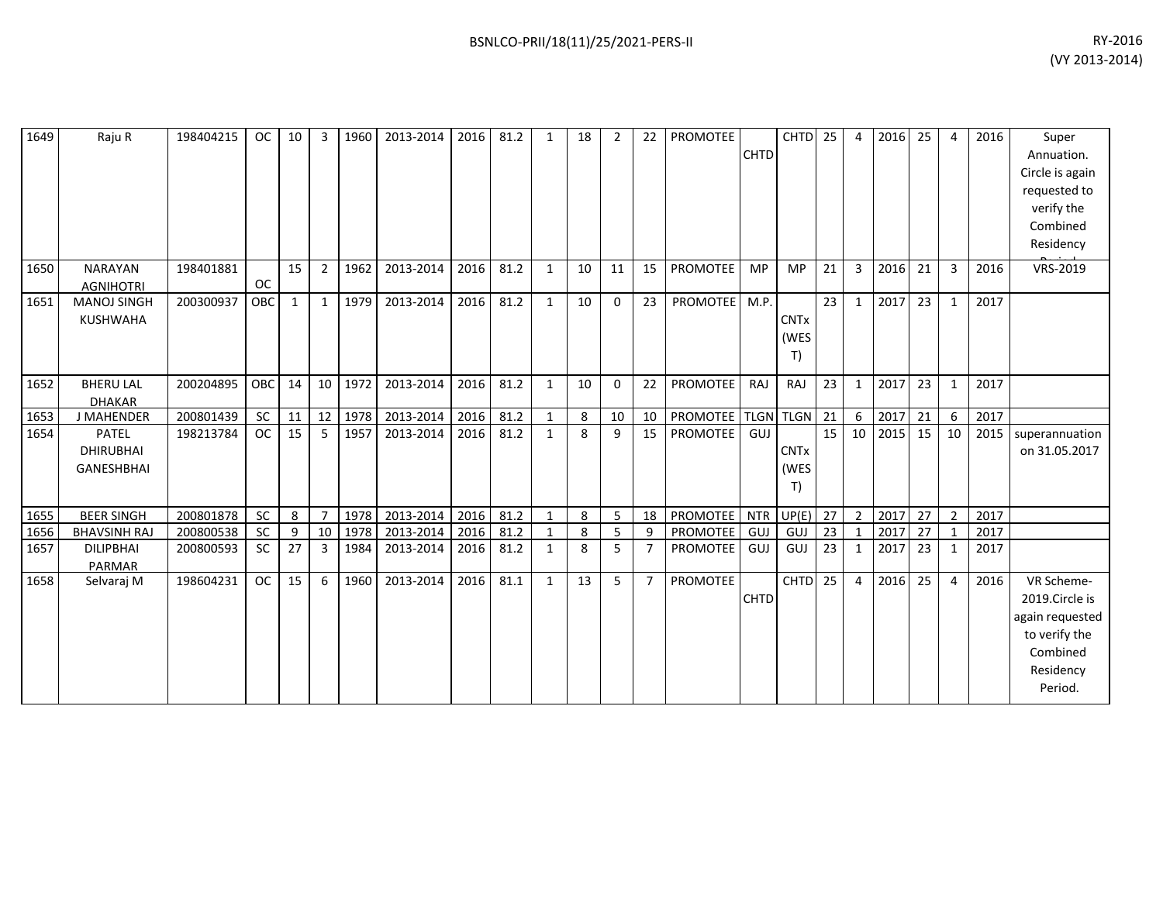| 1649 | Raju R                                                | 198404215 | <b>OC</b>  | 10 <sup>1</sup> | 3               | 1960    | 2013-2014 | 2016 | 81.2 | $\mathbf{1}$ | 18 | $\overline{2}$ | 22             | PROMOTEE           | <b>CHTD</b> | CHTD <sub>25</sub>        |    | $\overline{4}$ | 2016 | 25 | 4              | 2016 | Super<br>Annuation.<br>Circle is again<br>requested to<br>verify the<br>Combined<br>Residency        |
|------|-------------------------------------------------------|-----------|------------|-----------------|-----------------|---------|-----------|------|------|--------------|----|----------------|----------------|--------------------|-------------|---------------------------|----|----------------|------|----|----------------|------|------------------------------------------------------------------------------------------------------|
| 1650 | <b>NARAYAN</b><br><b>AGNIHOTRI</b>                    | 198401881 | <b>OC</b>  | 15              | $\overline{2}$  | 1962    | 2013-2014 | 2016 | 81.2 | $\mathbf{1}$ | 10 | 11             | 15             | <b>PROMOTEE</b>    | <b>MP</b>   | <b>MP</b>                 | 21 | 3              | 2016 | 21 | 3              | 2016 | VRS-2019                                                                                             |
| 1651 | <b>MANOJ SINGH</b><br><b>KUSHWAHA</b>                 | 200300937 | <b>OBC</b> | 1               | 1               | 1979    | 2013-2014 | 2016 | 81.2 | $\mathbf{1}$ | 10 | $\Omega$       | 23             | <b>PROMOTEE</b>    | M.P.        | <b>CNTx</b><br>(WES<br>T) | 23 | $\mathbf{1}$   | 2017 | 23 | $\mathbf{1}$   | 2017 |                                                                                                      |
| 1652 | <b>BHERU LAL</b><br><b>DHAKAR</b>                     | 200204895 | OBC        | 14              |                 | 10 1972 | 2013-2014 | 2016 | 81.2 | $\mathbf{1}$ | 10 | $\mathbf 0$    | 22             | <b>PROMOTEE</b>    | RAJ         | RAJ                       | 23 | $\mathbf{1}$   | 2017 | 23 | 1              | 2017 |                                                                                                      |
| 1653 | J MAHENDER                                            | 200801439 | <b>SC</b>  | 11              | 12 <sup>1</sup> | 1978    | 2013-2014 | 2016 | 81.2 | 1            | 8  | 10             | 10             | PROMOTEE TLGN TLGN |             |                           | 21 | 6              | 2017 | 21 | 6              | 2017 |                                                                                                      |
| 1654 | <b>PATEL</b><br><b>DHIRUBHAI</b><br><b>GANESHBHAI</b> | 198213784 | <b>OC</b>  | 15              | 5               | 1957    | 2013-2014 | 2016 | 81.2 | $\mathbf{1}$ | 8  | 9              | 15             | PROMOTEE           | GUJ         | <b>CNTx</b><br>(WES<br>T) | 15 | 10             | 2015 | 15 | 10             | 2015 | superannuation<br>on 31.05.2017                                                                      |
| 1655 | <b>BEER SINGH</b>                                     | 200801878 | <b>SC</b>  | 8               | $\overline{7}$  | 1978    | 2013-2014 | 2016 | 81.2 | $\mathbf{1}$ | 8  | 5 <sub>1</sub> | 18             | PROMOTEE           | <b>NTR</b>  | UP(E)                     | 27 | $\overline{2}$ | 2017 | 27 | $\overline{2}$ | 2017 |                                                                                                      |
| 1656 | <b>BHAVSINH RAJ</b>                                   | 200800538 | <b>SC</b>  | 9               | 10 <sup>1</sup> | 1978    | 2013-2014 | 2016 | 81.2 | $\mathbf{1}$ | 8  | 5              | 9              | <b>PROMOTEE</b>    | <b>GUJ</b>  | GUJ                       | 23 | $\mathbf{1}$   | 2017 | 27 |                | 2017 |                                                                                                      |
| 1657 | <b>DILIPBHAI</b><br>PARMAR                            | 200800593 | <b>SC</b>  | 27              | 3               | 1984    | 2013-2014 | 2016 | 81.2 | $\mathbf{1}$ | 8  | 5              | $\overline{7}$ | PROMOTEE           | GUJ         | GUJ                       | 23 | 1              | 2017 | 23 | 1              | 2017 |                                                                                                      |
| 1658 | Selvaraj M                                            | 198604231 | <b>OC</b>  | 15              | 6               | 1960    | 2013-2014 | 2016 | 81.1 | $\mathbf{1}$ | 13 | 5              | $\overline{7}$ | PROMOTEE           | <b>CHTD</b> | <b>CHTD</b>               | 25 | $\overline{4}$ | 2016 | 25 | $\overline{4}$ | 2016 | VR Scheme-<br>2019.Circle is<br>again requested<br>to verify the<br>Combined<br>Residency<br>Period. |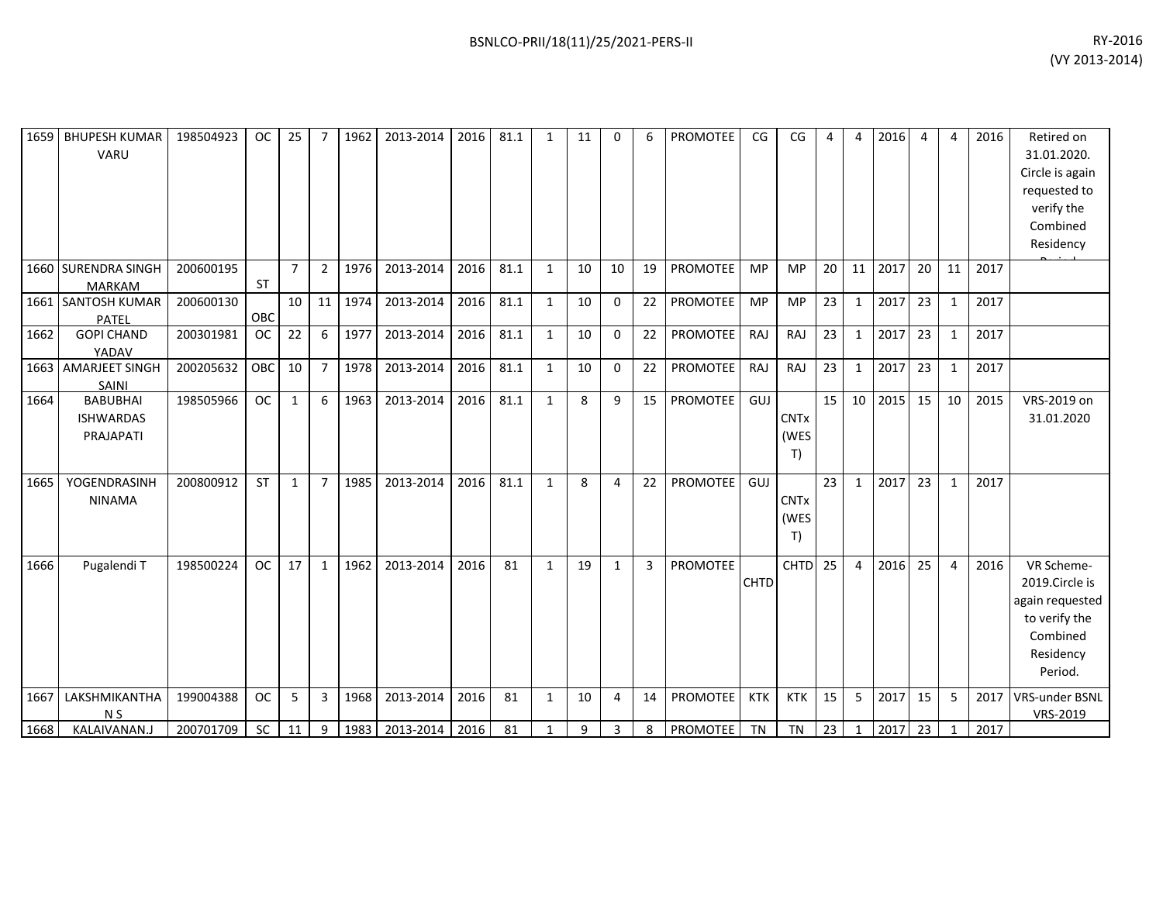| 1659 | <b>BHUPESH KUMAR</b><br>VARU                     | 198504923 | <b>OC</b> | 25             | 7              | 1962 | 2013-2014 | 2016 | 81.1 | $\mathbf{1}$ | 11 | $\Omega$     | 6              | <b>PROMOTEE</b> | CG          | CG                        | 4  | 4              | 2016 | 4  | 4            | 2016 | Retired on<br>31.01.2020.<br>Circle is again<br>requested to<br>verify the<br>Combined<br>Residency  |
|------|--------------------------------------------------|-----------|-----------|----------------|----------------|------|-----------|------|------|--------------|----|--------------|----------------|-----------------|-------------|---------------------------|----|----------------|------|----|--------------|------|------------------------------------------------------------------------------------------------------|
|      | 1660 SURENDRA SINGH<br><b>MARKAM</b>             | 200600195 | <b>ST</b> | $\overline{7}$ | $\overline{2}$ | 1976 | 2013-2014 | 2016 | 81.1 | $\mathbf{1}$ | 10 | 10           | 19             | <b>PROMOTEE</b> | <b>MP</b>   | <b>MP</b>                 | 20 | 11             | 2017 | 20 | 11           | 2017 |                                                                                                      |
|      | 1661 SANTOSH KUMAR<br>PATEL                      | 200600130 | OBC       | 10             | 11             | 1974 | 2013-2014 | 2016 | 81.1 | 1            | 10 | $\Omega$     | 22             | <b>PROMOTEE</b> | <b>MP</b>   | <b>MP</b>                 | 23 | 1              | 2017 | 23 | $\mathbf{1}$ | 2017 |                                                                                                      |
| 1662 | <b>GOPI CHAND</b><br>YADAV                       | 200301981 | <b>OC</b> | 22             | 6              | 1977 | 2013-2014 | 2016 | 81.1 | $\mathbf{1}$ | 10 | 0            | 22             | PROMOTEE        | RAJ         | RAJ                       | 23 | 1              | 2017 | 23 | $\mathbf{1}$ | 2017 |                                                                                                      |
|      | 1663 AMARJEET SINGH<br>SAINI                     | 200205632 | OBC       | 10             | $\overline{7}$ | 1978 | 2013-2014 | 2016 | 81.1 | $\mathbf{1}$ | 10 | $\Omega$     | 22             | <b>PROMOTEE</b> | RAJ         | <b>RAJ</b>                | 23 | $\mathbf{1}$   | 2017 | 23 | $\mathbf{1}$ | 2017 |                                                                                                      |
| 1664 | <b>BABUBHAI</b><br><b>ISHWARDAS</b><br>PRAJAPATI | 198505966 | <b>OC</b> | $\mathbf{1}$   | 6              | 1963 | 2013-2014 | 2016 | 81.1 | $\mathbf{1}$ | 8  | 9            | 15             | <b>PROMOTEE</b> | GUJ         | <b>CNTx</b><br>(WES<br>T) | 15 | 10             | 2015 | 15 | 10           | 2015 | VRS-2019 on<br>31.01.2020                                                                            |
| 1665 | YOGENDRASINH<br><b>NINAMA</b>                    | 200800912 | <b>ST</b> | $\mathbf{1}$   | $\overline{7}$ | 1985 | 2013-2014 | 2016 | 81.1 | 1            | 8  | 4            | 22             | <b>PROMOTEE</b> | GUJ         | <b>CNTx</b><br>(WES<br>T) | 23 | $\mathbf{1}$   | 2017 | 23 | $\mathbf{1}$ | 2017 |                                                                                                      |
| 1666 | Pugalendi T                                      | 198500224 | <b>OC</b> | 17             | 1              | 1962 | 2013-2014 | 2016 | 81   | $\mathbf{1}$ | 19 | $\mathbf{1}$ | $\overline{3}$ | PROMOTEE        | <b>CHTD</b> | <b>CHTD</b>               | 25 | $\overline{4}$ | 2016 | 25 | 4            | 2016 | VR Scheme-<br>2019.Circle is<br>again requested<br>to verify the<br>Combined<br>Residency<br>Period. |
| 1667 | LAKSHMIKANTHA<br>N <sub>S</sub>                  | 199004388 | <b>OC</b> | 5              | $\overline{3}$ | 1968 | 2013-2014 | 2016 | 81   | $\mathbf{1}$ | 10 | 4            | 14             | <b>PROMOTEE</b> | <b>KTK</b>  | <b>KTK</b>                | 15 | 5              | 2017 | 15 | 5            |      | 2017 VRS-under BSNL<br>VRS-2019                                                                      |
| 1668 | KALAIVANAN.J                                     | 200701709 | SC        | 11             | 9              | 1983 | 2013-2014 | 2016 | 81   | $\mathbf{1}$ | 9  | 3            | 8              | <b>PROMOTEE</b> | <b>TN</b>   | <b>TN</b>                 | 23 | $\mathbf{1}$   | 2017 | 23 | $\mathbf{1}$ | 2017 |                                                                                                      |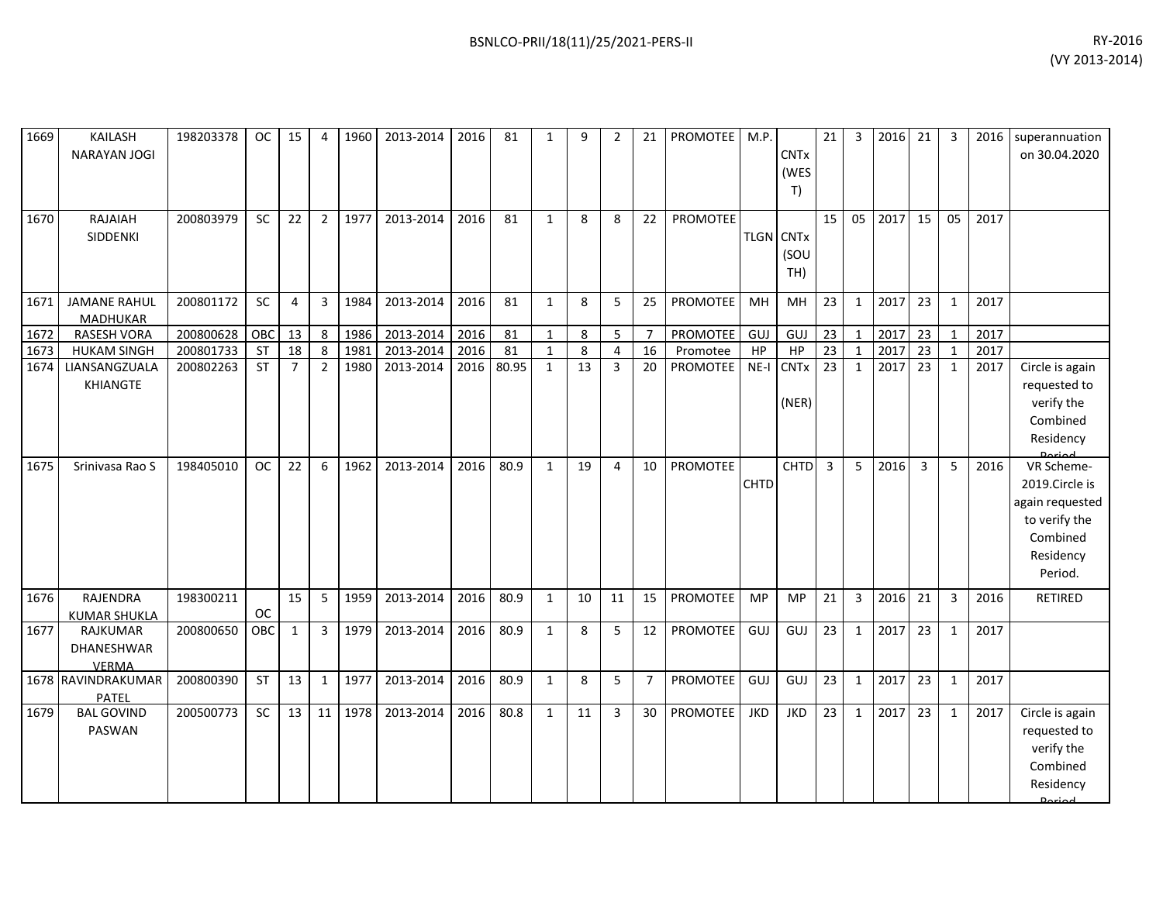| 1669 | KAILASH<br><b>NARAYAN JOGI</b>         | 198203378 | <b>OC</b> | 15             | 4              | 1960    | 2013-2014 | 2016 | 81    | $\mathbf{1}$ | 9  | $\overline{2}$ | 21             | PROMOTEE        | M.P.        | <b>CNTx</b><br>(WES<br>T)       | 21             | 3              | 2016 | 21             | 3            | 2016 | superannuation<br>on 30.04.2020                                                                      |
|------|----------------------------------------|-----------|-----------|----------------|----------------|---------|-----------|------|-------|--------------|----|----------------|----------------|-----------------|-------------|---------------------------------|----------------|----------------|------|----------------|--------------|------|------------------------------------------------------------------------------------------------------|
| 1670 | RAJAIAH<br>SIDDENKI                    | 200803979 | <b>SC</b> | 22             | $\overline{2}$ | 1977    | 2013-2014 | 2016 | 81    | $\mathbf{1}$ | 8  | 8              | 22             | PROMOTEE        |             | <b>TLGN CNTx</b><br>(SOU<br>TH) | 15             | 05             | 2017 | 15             | 05           | 2017 |                                                                                                      |
| 1671 | <b>JAMANE RAHUL</b><br>MADHUKAR        | 200801172 | SC        | $\overline{4}$ | 3              | 1984    | 2013-2014 | 2016 | 81    | $\mathbf{1}$ | 8  | 5              | 25             | PROMOTEE        | MH          | MH                              | 23             | $\mathbf{1}$   | 2017 | 23             | $\mathbf{1}$ | 2017 |                                                                                                      |
| 1672 | <b>RASESH VORA</b>                     | 200800628 | OBC       | 13             | 8              | 1986    | 2013-2014 | 2016 | 81    | $\mathbf{1}$ | 8  | 5              | $\overline{7}$ | PROMOTEE        | GUJ         | GUJ                             | 23             | $\mathbf{1}$   | 2017 | 23             | $\mathbf{1}$ | 2017 |                                                                                                      |
| 1673 | <b>HUKAM SINGH</b>                     | 200801733 | ST        | 18             | 8              | 1981    | 2013-2014 | 2016 | 81    | $\mathbf{1}$ | 8  | $\overline{4}$ | 16             | Promotee        | HP          | HP                              | 23             | $\mathbf{1}$   | 2017 | 23             | $\mathbf{1}$ | 2017 |                                                                                                      |
| 1674 | LIANSANGZUALA<br>KHIANGTE              | 200802263 | <b>ST</b> | $\overline{7}$ | $\overline{2}$ | 1980    | 2013-2014 | 2016 | 80.95 | $\mathbf{1}$ | 13 | $\overline{3}$ | 20             | PROMOTEE        | $NE-I$      | <b>CNTx</b><br>(NER)            | 23             | $\mathbf{1}$   | 2017 | 23             | $\mathbf{1}$ | 2017 | Circle is again<br>requested to<br>verify the<br>Combined<br>Residency                               |
| 1675 | Srinivasa Rao S                        | 198405010 | <b>OC</b> | 22             | 6              | 1962    | 2013-2014 | 2016 | 80.9  | $\mathbf{1}$ | 19 | 4              | 10             | <b>PROMOTEE</b> | <b>CHTD</b> | <b>CHTD</b>                     | $\overline{3}$ | 5              | 2016 | $\overline{3}$ | 5            | 2016 | VR Scheme-<br>2019.Circle is<br>again requested<br>to verify the<br>Combined<br>Residency<br>Period. |
| 1676 | RAJENDRA<br><b>KUMAR SHUKLA</b>        | 198300211 | <b>OC</b> | 15             | 5              | 1959    | 2013-2014 | 2016 | 80.9  | $\mathbf{1}$ | 10 | 11             | 15             | <b>PROMOTEE</b> | <b>MP</b>   | <b>MP</b>                       | 21             | $\overline{3}$ | 2016 | 21             | 3            | 2016 | RETIRED                                                                                              |
| 1677 | RAJKUMAR<br>DHANESHWAR<br><b>VERMA</b> | 200800650 | OBC       | $\mathbf{1}$   |                | 3 1979  | 2013-2014 | 2016 | 80.9  | $\mathbf{1}$ | 8  | 5              | 12             | PROMOTEE        | GUJ         | GUJ                             | 23             | $\mathbf{1}$   | 2017 | 23             | $\mathbf{1}$ | 2017 |                                                                                                      |
|      | 1678 RAVINDRAKUMAR<br><b>PATEL</b>     | 200800390 | <b>ST</b> | 13             | $\mathbf{1}$   | 1977    | 2013-2014 | 2016 | 80.9  | $\mathbf{1}$ | 8  | 5 <sup>1</sup> | $\overline{7}$ | PROMOTEE        | GUJ         | GUJ                             | 23             | $\mathbf{1}$   | 2017 | 23             | $\mathbf{1}$ | 2017 |                                                                                                      |
| 1679 | <b>BAL GOVIND</b><br>PASWAN            | 200500773 | <b>SC</b> | 13             |                | 11 1978 | 2013-2014 | 2016 | 80.8  | $\mathbf{1}$ | 11 | $\mathbf{3}$   | 30             | PROMOTEE        | <b>JKD</b>  | <b>JKD</b>                      | 23             | $\mathbf{1}$   | 2017 | 23             | $\mathbf{1}$ | 2017 | Circle is again<br>requested to<br>verify the<br>Combined<br>Residency<br>لممنعمه                    |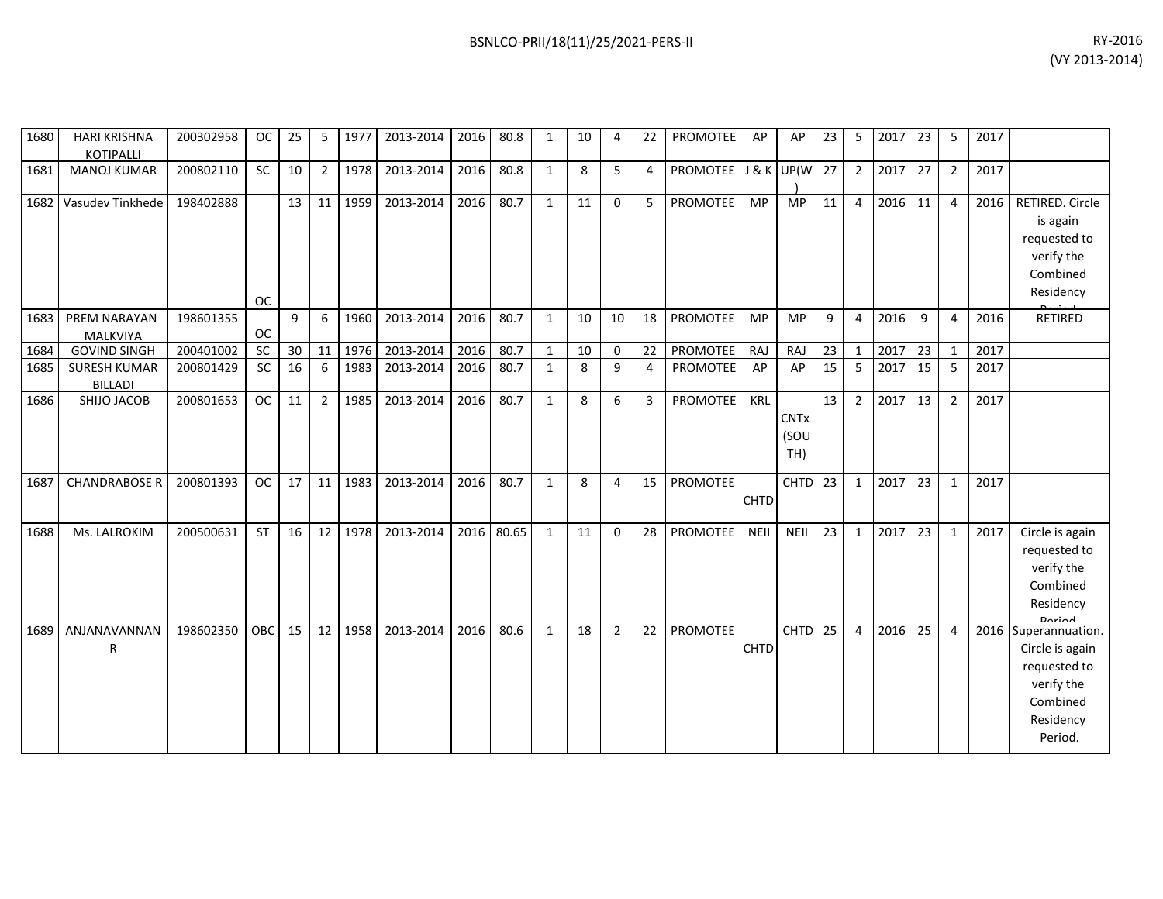| 1680 | <b>HARI KRISHNA</b><br><b>KOTIPALLI</b> | 200302958 | <b>OC</b> | 25 | 5                | 1977 | 2013-2014 | 2016 | 80.8  | 1            | 10 | 4           | 22             | <b>PROMOTEE</b> | AP          | AP                         | 23 | 5              | 2017 | 23 | 5              | 2017 |                                                                                                      |
|------|-----------------------------------------|-----------|-----------|----|------------------|------|-----------|------|-------|--------------|----|-------------|----------------|-----------------|-------------|----------------------------|----|----------------|------|----|----------------|------|------------------------------------------------------------------------------------------------------|
| 1681 | <b>MANOJ KUMAR</b>                      | 200802110 | <b>SC</b> | 10 | $\overline{2}$   | 1978 | 2013-2014 | 2016 | 80.8  | 1            | 8  | 5           | 4              | PROMOTEE        |             | J & K UP(W                 | 27 | $\overline{2}$ | 2017 | 27 | $\overline{2}$ | 2017 |                                                                                                      |
| 1682 | Vasudev Tinkhede                        | 198402888 | <b>OC</b> | 13 | 11               | 1959 | 2013-2014 | 2016 | 80.7  | $\mathbf{1}$ | 11 | $\mathbf 0$ | 5              | <b>PROMOTEE</b> | MP          | <b>MP</b>                  | 11 | $\overline{4}$ | 2016 | 11 | 4              | 2016 | RETIRED. Circle<br>is again<br>requested to<br>verify the<br>Combined<br>Residency                   |
| 1683 | PREM NARAYAN<br>MALKVIYA                | 198601355 | <b>OC</b> | 9  | $6 \overline{6}$ | 1960 | 2013-2014 | 2016 | 80.7  | $\mathbf{1}$ | 10 | 10          | 18             | <b>PROMOTEE</b> | <b>MP</b>   | <b>MP</b>                  | 9  | 4              | 2016 | 9  | 4              | 2016 | <b>RETIRED</b>                                                                                       |
| 1684 | <b>GOVIND SINGH</b>                     | 200401002 | SC        | 30 | 11               | 1976 | 2013-2014 | 2016 | 80.7  | $\mathbf{1}$ | 10 | $\mathbf 0$ | 22             | PROMOTEE        | RAJ         | RAJ                        | 23 | $\mathbf{1}$   | 2017 | 23 | $\mathbf{1}$   | 2017 |                                                                                                      |
| 1685 | <b>SURESH KUMAR</b><br><b>BILLADI</b>   | 200801429 | SC        | 16 | 6                | 1983 | 2013-2014 | 2016 | 80.7  | 1            | 8  | 9           | $\overline{4}$ | PROMOTEE        | AP          | AP                         | 15 | 5              | 2017 | 15 | 5              | 2017 |                                                                                                      |
| 1686 | SHIJO JACOB                             | 200801653 | <b>OC</b> | 11 | $\overline{2}$   | 1985 | 2013-2014 | 2016 | 80.7  | $\mathbf{1}$ | 8  | 6           | 3              | PROMOTEE        | KRL         | <b>CNTx</b><br>(SOU<br>TH) | 13 | $\overline{2}$ | 2017 | 13 | $\overline{2}$ | 2017 |                                                                                                      |
| 1687 | <b>CHANDRABOSE R</b>                    | 200801393 | <b>OC</b> | 17 | 11               | 1983 | 2013-2014 | 2016 | 80.7  | 1            | 8  | 4           | 15             | <b>PROMOTEE</b> | CHTD        | <b>CHTD</b>                | 23 | 1              | 2017 | 23 | $\mathbf{1}$   | 2017 |                                                                                                      |
| 1688 | Ms. LALROKIM                            | 200500631 | <b>ST</b> | 16 | 12               | 1978 | 2013-2014 | 2016 | 80.65 | $\mathbf{1}$ | 11 | $\Omega$    | 28             | <b>PROMOTEE</b> | <b>NEII</b> | NEII                       | 23 | $\mathbf{1}$   | 2017 | 23 | $\mathbf{1}$   | 2017 | Circle is again<br>requested to<br>verify the<br>Combined<br>Residency<br>Doube al                   |
| 1689 | ANJANAVANNAN<br>R                       | 198602350 | OBC       | 15 | 12               | 1958 | 2013-2014 | 2016 | 80.6  | 1            | 18 | 2           | 22             | PROMOTEE        | <b>CHTD</b> | <b>CHTD</b>                | 25 | 4              | 2016 | 25 | 4              | 2016 | Superannuation.<br>Circle is again<br>requested to<br>verify the<br>Combined<br>Residency<br>Period. |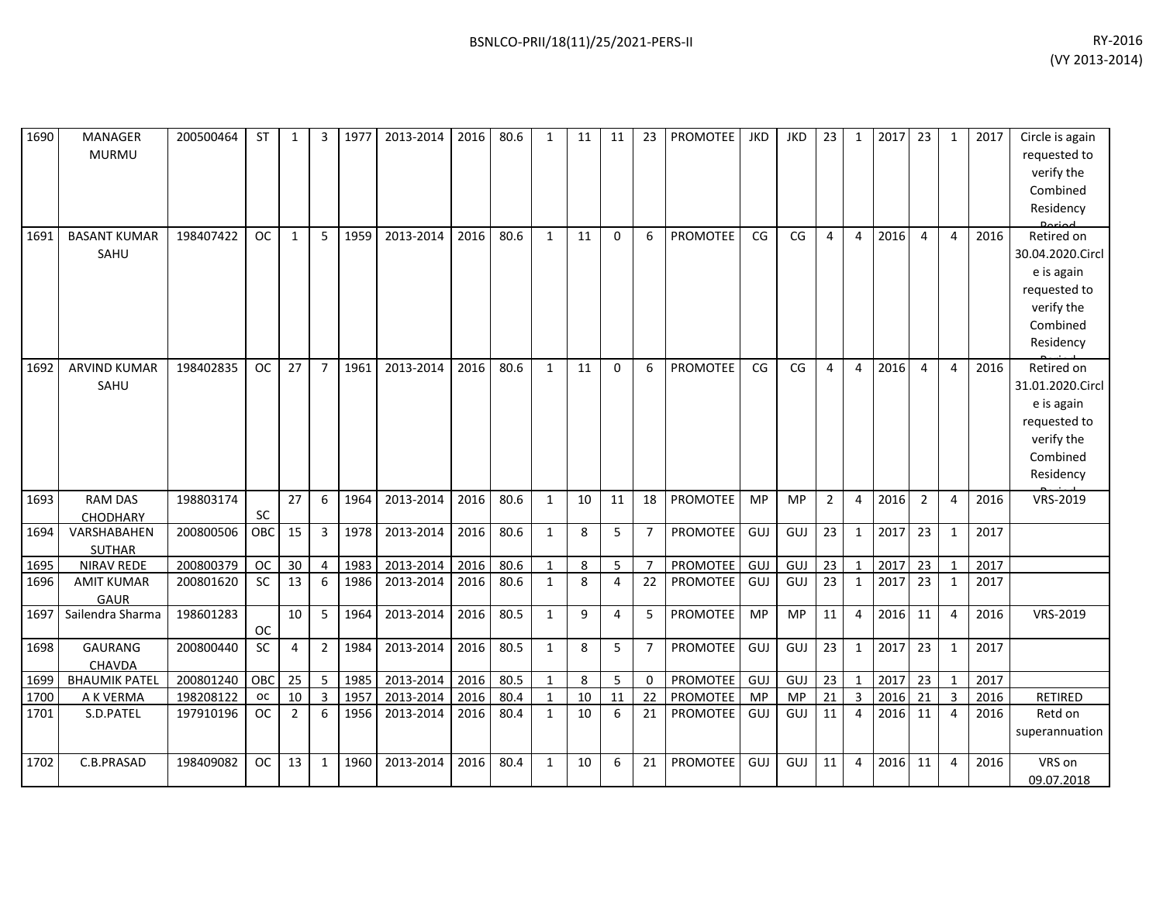| 1690 | MANAGER<br><b>MURMU</b>           | 200500464 | <b>ST</b> | 1              | 3              | 1977 | 2013-2014 | 2016 | 80.6 | 1            | 11 | 11             | 23             | <b>PROMOTEE</b> | JKD        | JKD       | 23 <sub>1</sub> | $\mathbf{1}$   | 2017 23 |                | 1            | 2017 | Circle is again<br>requested to<br>verify the<br>Combined<br>Residency                              |
|------|-----------------------------------|-----------|-----------|----------------|----------------|------|-----------|------|------|--------------|----|----------------|----------------|-----------------|------------|-----------|-----------------|----------------|---------|----------------|--------------|------|-----------------------------------------------------------------------------------------------------|
| 1691 | <b>BASANT KUMAR</b><br>SAHU       | 198407422 | <b>OC</b> | $\mathbf{1}$   | 5              | 1959 | 2013-2014 | 2016 | 80.6 | $\mathbf{1}$ | 11 | $\Omega$       | 6              | PROMOTEE        | CG         | CG        | $\overline{4}$  | $\overline{4}$ | 2016    | 4              | 4            | 2016 | Retired on<br>30.04.2020.Circl<br>e is again<br>requested to<br>verify the<br>Combined<br>Residency |
| 1692 | <b>ARVIND KUMAR</b><br>SAHU       | 198402835 | <b>OC</b> | 27             | $\overline{7}$ | 1961 | 2013-2014 | 2016 | 80.6 | 1            | 11 | $\Omega$       | 6              | <b>PROMOTEE</b> | CG         | CG        | 4               | 4              | 2016    | 4              | 4            | 2016 | Retired on<br>31.01.2020.Circl<br>e is again<br>requested to<br>verify the<br>Combined<br>Residency |
| 1693 | <b>RAM DAS</b><br><b>CHODHARY</b> | 198803174 | SC        | 27             | 6              | 1964 | 2013-2014 | 2016 | 80.6 | $\mathbf{1}$ | 10 | 11             | 18             | PROMOTEE        | <b>MP</b>  | <b>MP</b> | $\overline{2}$  | $\overline{4}$ | 2016    | $\overline{2}$ | 4            | 2016 | VRS-2019                                                                                            |
| 1694 | VARSHABAHEN<br><b>SUTHAR</b>      | 200800506 | OBC       | 15             | 3              | 1978 | 2013-2014 | 2016 | 80.6 | $\mathbf{1}$ | 8  | 5              | $\overline{7}$ | PROMOTEE        | <b>GUJ</b> | GUJ       | 23              | $\mathbf{1}$   | 2017    | 23             | $\mathbf{1}$ | 2017 |                                                                                                     |
| 1695 | <b>NIRAV REDE</b>                 | 200800379 | OC        | 30             | 4              | 1983 | 2013-2014 | 2016 | 80.6 | 1            | 8  | 5              |                | <b>PROMOTEE</b> | <b>GUJ</b> | GUJ       | 23              | $\mathbf{1}$   | 2017    | 23             | $\mathbf{1}$ | 2017 |                                                                                                     |
| 1696 | <b>AMIT KUMAR</b><br><b>GAUR</b>  | 200801620 | SC        | 13             | 6              | 1986 | 2013-2014 | 2016 | 80.6 | $\mathbf{1}$ | 8  | $\overline{4}$ | 22             | PROMOTEE        | <b>GUJ</b> | GUJ       | 23              | $\mathbf{1}$   | 2017    | 23             | $\mathbf{1}$ | 2017 |                                                                                                     |
| 1697 | Sailendra Sharma                  | 198601283 | <b>OC</b> | 10             | 5              | 1964 | 2013-2014 | 2016 | 80.5 | $\mathbf{1}$ | 9  | 4              | 5              | PROMOTEE        | <b>MP</b>  | <b>MP</b> | 11              | $\overline{4}$ | 2016 11 |                | 4            | 2016 | VRS-2019                                                                                            |
| 1698 | GAURANG<br><b>CHAVDA</b>          | 200800440 | SC        | 4              | $\overline{2}$ | 1984 | 2013-2014 | 2016 | 80.5 | $\mathbf{1}$ | 8  | 5              | 7              | PROMOTEE        | GUJ        | GUJ       | 23              | $\mathbf{1}$   | 2017    | 23             | 1            | 2017 |                                                                                                     |
| 1699 | <b>BHAUMIK PATEL</b>              | 200801240 | OBC       | 25             | 5              | 1985 | 2013-2014 | 2016 | 80.5 | $\mathbf{1}$ | 8  | 5              | $\Omega$       | PROMOTEE        | <b>GUJ</b> | GUJ       | 23              | $\mathbf{1}$   | 2017    | 23             | 1            | 2017 |                                                                                                     |
| 1700 | A K VERMA                         | 198208122 | oc        | $10\,$         | 3              | 1957 | 2013-2014 | 2016 | 80.4 | $\mathbf{1}$ | 10 | 11             | 22             | PROMOTEE        | MP         | MP        | 21              | $\overline{3}$ | 2016    | 21             | 3            | 2016 | <b>RETIRED</b>                                                                                      |
| 1701 | S.D.PATEL                         | 197910196 | <b>OC</b> | $\overline{2}$ | 6              | 1956 | 2013-2014 | 2016 | 80.4 | $\mathbf{1}$ | 10 | 6              | 21             | <b>PROMOTEE</b> | <b>GUJ</b> | GUJ       | 11              | $\overline{4}$ | 2016    | 11             | 4            | 2016 | Retd on<br>superannuation                                                                           |
| 1702 | C.B.PRASAD                        | 198409082 | <b>OC</b> | 13             | $\mathbf{1}$   | 1960 | 2013-2014 | 2016 | 80.4 | 1            | 10 | 6              | 21             | <b>PROMOTEE</b> | <b>GUJ</b> | GUJ       | 11              | $\overline{4}$ | 2016    | 11             | 4            | 2016 | VRS on<br>09.07.2018                                                                                |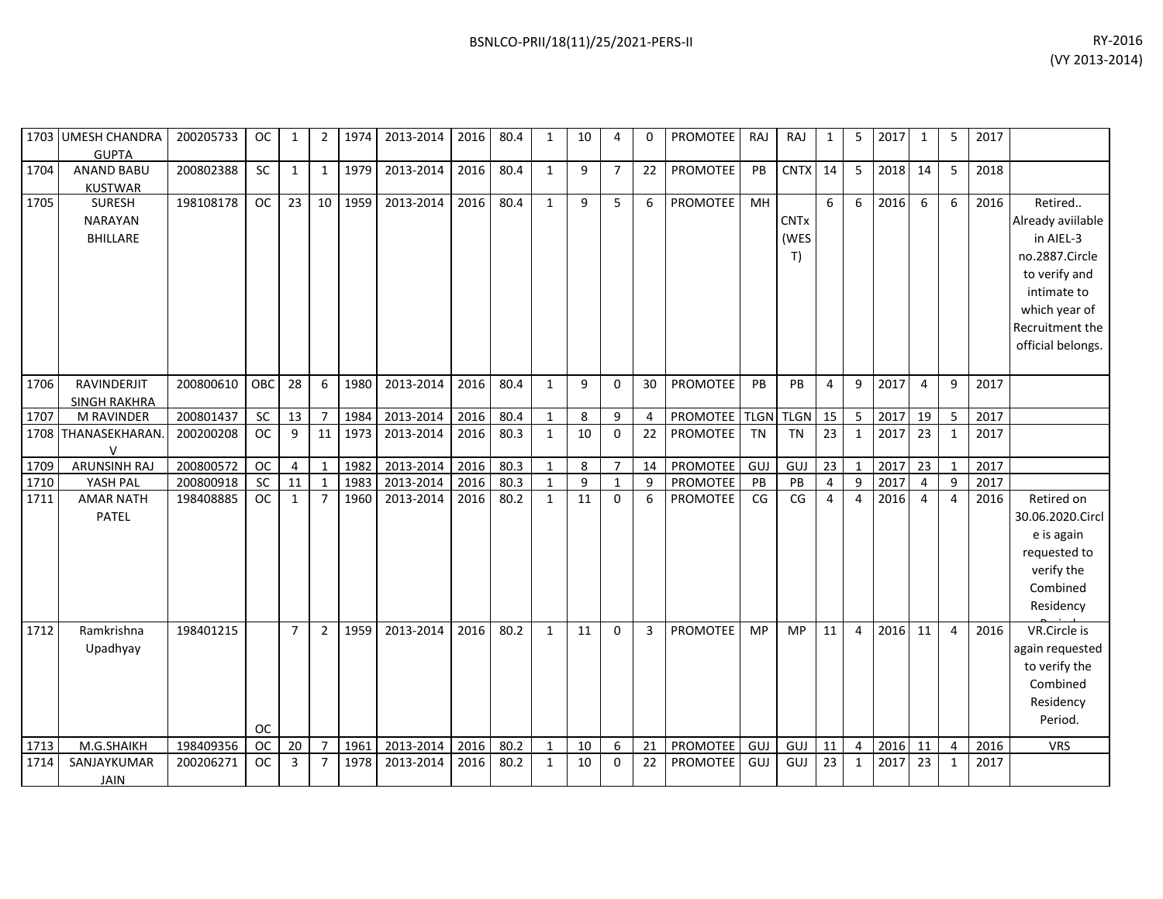|      | 1703 UMESH CHANDRA<br><b>GUPTA</b>                 | 200205733 | <b>OC</b> | 1              | $\overline{2}$  | 1974 | 2013-2014 | 2016 | 80.4 | 1            | 10           | 4              | 0              | <b>PROMOTEE</b> | RAJ         | RAJ                       | 1               | 5                | 2017 | 1              | 5              | 2017 |                                                                                                                                                      |
|------|----------------------------------------------------|-----------|-----------|----------------|-----------------|------|-----------|------|------|--------------|--------------|----------------|----------------|-----------------|-------------|---------------------------|-----------------|------------------|------|----------------|----------------|------|------------------------------------------------------------------------------------------------------------------------------------------------------|
| 1704 | <b>ANAND BABU</b><br><b>KUSTWAR</b>                | 200802388 | SC        | 1              | $\mathbf{1}$    | 1979 | 2013-2014 | 2016 | 80.4 | 1            | 9            | $\overline{7}$ | 22             | PROMOTEE        | PB          | <b>CNTX</b>               | 14              | 5                | 2018 | 14             | 5              | 2018 |                                                                                                                                                      |
| 1705 | <b>SURESH</b><br><b>NARAYAN</b><br><b>BHILLARE</b> | 198108178 | <b>OC</b> | 23             | 10 <sup>1</sup> | 1959 | 2013-2014 | 2016 | 80.4 | $\mathbf{1}$ | 9            | 5              | 6              | PROMOTEE        | MH          | <b>CNTx</b><br>(WES<br>T) | 6               | 6                | 2016 | 6              | 6              | 2016 | Retired<br>Already aviilable<br>in AIEL-3<br>no.2887.Circle<br>to verify and<br>intimate to<br>which year of<br>Recruitment the<br>official belongs. |
| 1706 | RAVINDERJIT<br><b>SINGH RAKHRA</b>                 | 200800610 | OBC       | 28             | 6               | 1980 | 2013-2014 | 2016 | 80.4 | $\mathbf{1}$ | $\mathbf{q}$ | $\Omega$       | 30             | <b>PROMOTEE</b> | PB          | PB                        | $\overline{4}$  | 9                | 2017 | $\overline{4}$ | 9              | 2017 |                                                                                                                                                      |
| 1707 | M RAVINDER                                         | 200801437 | SC        | 13             | $\overline{7}$  | 1984 | 2013-2014 | 2016 | 80.4 | $\mathbf{1}$ | 8            | 9              | 4              | PROMOTEE        | <b>TLGN</b> | <b>TLGN</b>               | 15              | 5                | 2017 | 19             | 5              | 2017 |                                                                                                                                                      |
|      | 1708 THANASEKHARAN.<br>$\mathsf{V}$                | 200200208 | <b>OC</b> | 9              | 11              | 1973 | 2013-2014 | 2016 | 80.3 | $\mathbf{1}$ | 10           | $\mathbf{0}$   | 22             | <b>PROMOTEE</b> | <b>TN</b>   | <b>TN</b>                 | $\overline{23}$ | $\mathbf{1}$     | 2017 | 23             | 1              | 2017 |                                                                                                                                                      |
| 1709 | <b>ARUNSINH RAJ</b>                                | 200800572 | <b>OC</b> | 4              | $\mathbf 1$     | 1982 | 2013-2014 | 2016 | 80.3 | $\mathbf{1}$ | 8            | $\overline{7}$ | 14             | PROMOTEE        | <b>GUJ</b>  | GUJ                       | 23              | $\mathbf{1}$     | 2017 | 23             | 1              | 2017 |                                                                                                                                                      |
| 1710 | YASH PAL                                           | 200800918 | SC        | 11             | $\mathbf{1}$    | 1983 | 2013-2014 | 2016 | 80.3 | $\mathbf{1}$ | 9            | $\mathbf{1}$   | 9              | <b>PROMOTEE</b> | PB          | PB                        | $\overline{4}$  | $\boldsymbol{9}$ | 2017 | $\overline{4}$ | 9              | 2017 |                                                                                                                                                      |
| 1711 | <b>AMAR NATH</b><br>PATEL                          | 198408885 | <b>OC</b> | $\mathbf{1}$   | $\overline{7}$  | 1960 | 2013-2014 | 2016 | 80.2 | $\mathbf{1}$ | 11           | $\Omega$       | 6              | <b>PROMOTEE</b> | CG          | CG                        | $\overline{4}$  | $\overline{4}$   | 2016 | $\overline{4}$ | 4              | 2016 | Retired on<br>30.06.2020.Circl<br>e is again<br>requested to<br>verify the<br>Combined<br>Residency                                                  |
| 1712 | Ramkrishna<br>Upadhyay                             | 198401215 | <b>OC</b> | $\overline{7}$ | $\overline{2}$  | 1959 | 2013-2014 | 2016 | 80.2 | $\mathbf{1}$ | 11           | $\Omega$       | $\overline{3}$ | <b>PROMOTEE</b> | <b>MP</b>   | MP                        | 11              | $\overline{4}$   | 2016 | 11             | $\overline{4}$ | 2016 | VR.Circle is<br>again requested<br>to verify the<br>Combined<br>Residency<br>Period.                                                                 |
| 1713 | M.G.SHAIKH                                         | 198409356 | <b>OC</b> | 20             | $\overline{7}$  | 1961 | 2013-2014 | 2016 | 80.2 | $\mathbf{1}$ | 10           | 6              | 21             | <b>PROMOTEE</b> | <b>GUJ</b>  | <b>GUJ</b>                | 11              | 4                | 2016 | 11             | 4              | 2016 | <b>VRS</b>                                                                                                                                           |
| 1714 | SANJAYKUMAR<br><b>JAIN</b>                         | 200206271 | <b>OC</b> | 3              | $\overline{7}$  | 1978 | 2013-2014 | 2016 | 80.2 | $\mathbf{1}$ | 10           | $\mathbf{0}$   | 22             | <b>PROMOTEE</b> | GUJ         | GUJ                       | 23              | $\mathbf{1}$     | 2017 | 23             | 1              | 2017 |                                                                                                                                                      |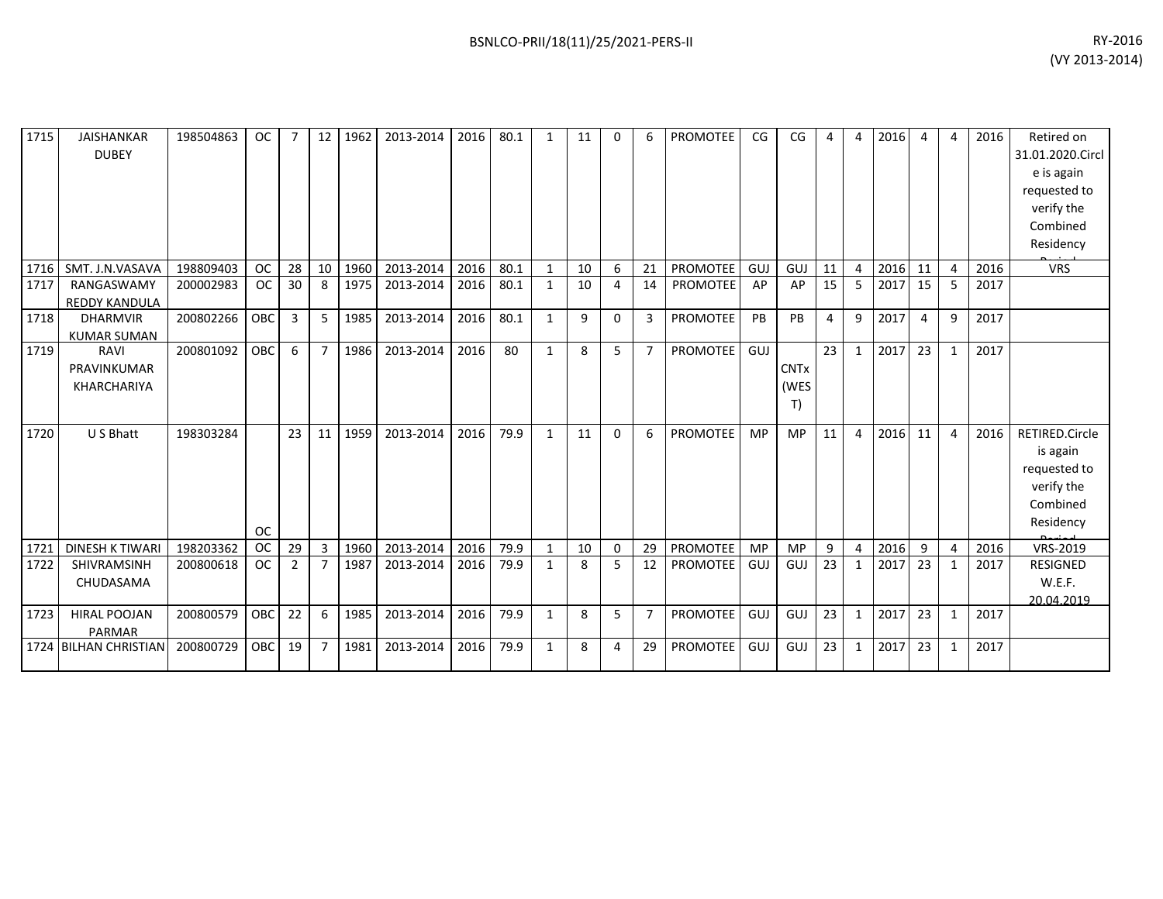| 1715 | <b>JAISHANKAR</b><br><b>DUBEY</b>     | 198504863 | <b>OC</b>  |                 | 12              | 1962 | 2013-2014 | 2016 | 80.1 | 1            | 11 | 0              | 6              | <b>PROMOTEE</b> | CG        | CG                        | 4              | 4              | 2016 | 4  | 4              | 2016 | Retired on<br>31.01.2020.Circl<br>e is again<br>requested to<br>verify the<br>Combined<br>Residency |
|------|---------------------------------------|-----------|------------|-----------------|-----------------|------|-----------|------|------|--------------|----|----------------|----------------|-----------------|-----------|---------------------------|----------------|----------------|------|----|----------------|------|-----------------------------------------------------------------------------------------------------|
| 1716 | SMT. J.N.VASAVA                       | 198809403 | <b>OC</b>  | 28              | 10 <sup>1</sup> | 1960 | 2013-2014 | 2016 | 80.1 | 1            | 10 | 6              | 21             | <b>PROMOTEE</b> | GUJ       | GUJ                       | 11             | $\overline{4}$ | 2016 | 11 | 4              | 2016 | <b>VRS</b>                                                                                          |
| 1717 | RANGASWAMY<br><b>REDDY KANDULA</b>    | 200002983 | <b>OC</b>  | 30              | 8               | 1975 | 2013-2014 | 2016 | 80.1 | $\mathbf{1}$ | 10 | $\overline{4}$ | 14             | <b>PROMOTEE</b> | AP        | AP                        | 15             | 5              | 2017 | 15 | 5              | 2017 |                                                                                                     |
| 1718 | <b>DHARMVIR</b><br><b>KUMAR SUMAN</b> | 200802266 | OBC        | 3               | 5               | 1985 | 2013-2014 | 2016 | 80.1 | $\mathbf{1}$ | 9  | $\mathbf{0}$   | 3              | PROMOTEE        | PB        | PB                        | $\overline{4}$ | 9              | 2017 | 4  | 9              | 2017 |                                                                                                     |
| 1719 | RAVI<br>PRAVINKUMAR<br>KHARCHARIYA    | 200801092 | <b>OBC</b> | 6               | $\overline{7}$  | 1986 | 2013-2014 | 2016 | 80   | $\mathbf{1}$ | 8  | 5              | $\overline{7}$ | PROMOTEE        | GUJ       | <b>CNTx</b><br>(WES<br>T) | 23             | $\mathbf{1}$   | 2017 | 23 | $\mathbf{1}$   | 2017 |                                                                                                     |
| 1720 | U S Bhatt                             | 198303284 | <b>OC</b>  | 23              | 11              | 1959 | 2013-2014 | 2016 | 79.9 | 1            | 11 | 0              | 6              | <b>PROMOTEE</b> | <b>MP</b> | <b>MP</b>                 | 11             | 4              | 2016 | 11 | 4              | 2016 | RETIRED.Circle<br>is again<br>requested to<br>verify the<br>Combined<br>Residency                   |
| 1721 | <b>DINESH K TIWARI</b>                | 198203362 | <b>OC</b>  | 29              | 3               | 1960 | 2013-2014 | 2016 | 79.9 | 1            | 10 | $\mathbf 0$    | 29             | PROMOTEE        | MP        | <b>MP</b>                 | 9              | $\overline{4}$ | 2016 | 9  | $\overline{4}$ | 2016 | VRS-2019                                                                                            |
| 1722 | SHIVRAMSINH<br>CHUDASAMA              | 200800618 | <b>OC</b>  | $\overline{2}$  | 7               | 1987 | 2013-2014 | 2016 | 79.9 | 1            | 8  | 5              | 12             | PROMOTEE        | GUJ       | GUJ                       | 23             | 1              | 2017 | 23 | 1              | 2017 | <b>RESIGNED</b><br>W.E.F.<br>20.04.2019                                                             |
| 1723 | <b>HIRAL POOJAN</b><br><b>PARMAR</b>  | 200800579 | OBC        | 22              | 6               | 1985 | 2013-2014 | 2016 | 79.9 | $\mathbf{1}$ | 8  | 5              | $\overline{7}$ | PROMOTEE        | GUJ       | GUJ                       | 23             | $\mathbf{1}$   | 2017 | 23 | $\mathbf{1}$   | 2017 |                                                                                                     |
|      | 1724 BILHAN CHRISTIAN                 | 200800729 | <b>OBC</b> | 19 <sup>1</sup> | 7               | 1981 | 2013-2014 | 2016 | 79.9 | 1            | 8  | 4              | 29             | PROMOTEE        | GUJ       | GUJ                       | 23             | $\mathbf{1}$   | 2017 | 23 | 1              | 2017 |                                                                                                     |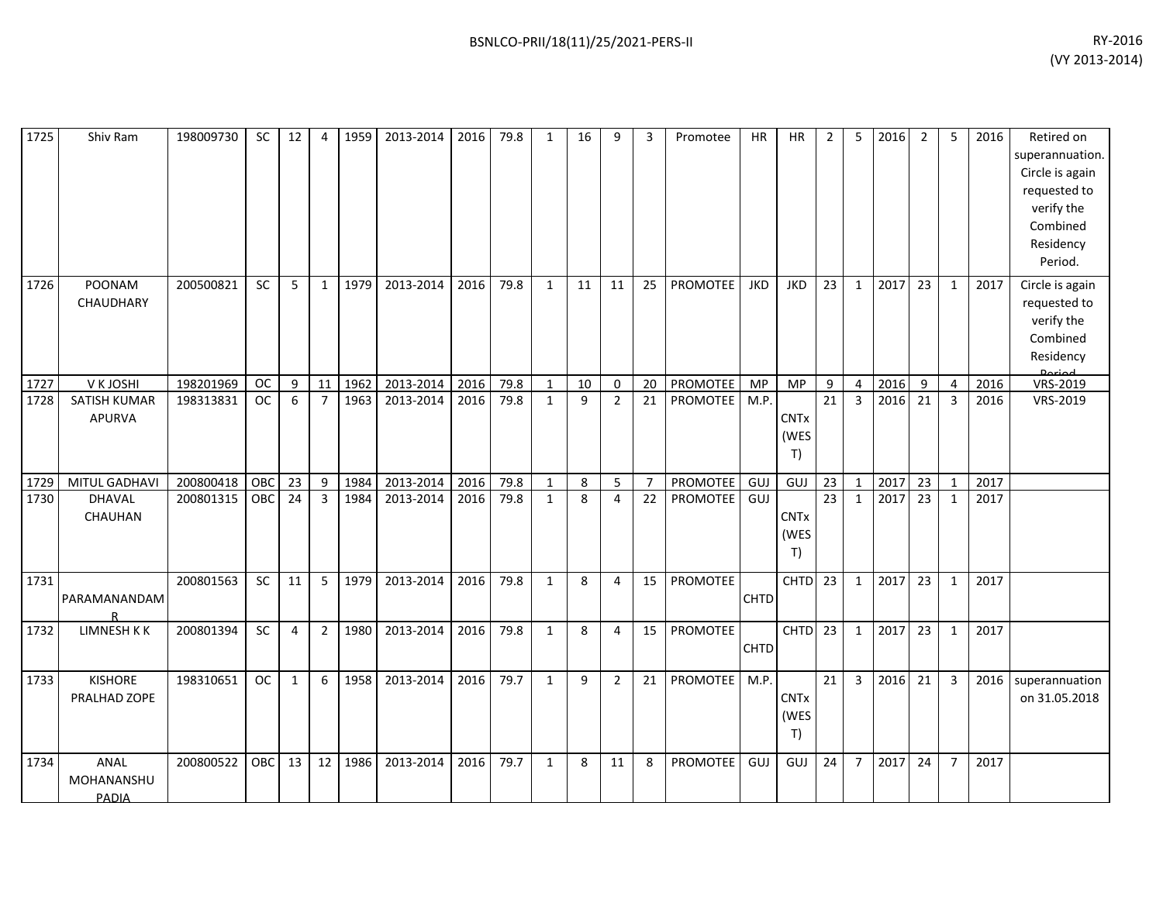| 1725 | Shiv Ram                       | 198009730 | <b>SC</b>  | 12             | $\boldsymbol{\varDelta}$ | 1959 | 2013-2014 | 2016 | 79.8 | $\mathbf{1}$ | 16 | 9              | 3              | Promotee        | <b>HR</b>   | <b>HR</b>                 | 2               | 5              | 2016 | 2  | 5              | 2016 | Retired on<br>superannuation.<br>Circle is again<br>requested to<br>verify the<br>Combined<br>Residency<br>Period. |
|------|--------------------------------|-----------|------------|----------------|--------------------------|------|-----------|------|------|--------------|----|----------------|----------------|-----------------|-------------|---------------------------|-----------------|----------------|------|----|----------------|------|--------------------------------------------------------------------------------------------------------------------|
| 1726 | POONAM<br>CHAUDHARY            | 200500821 | SC         | 5              | $\mathbf{1}$             | 1979 | 2013-2014 | 2016 | 79.8 | $\mathbf{1}$ | 11 | 11             | 25             | PROMOTEE        | <b>JKD</b>  | <b>JKD</b>                | 23              | $\mathbf{1}$   | 2017 | 23 | 1              | 2017 | Circle is again<br>requested to<br>verify the<br>Combined<br>Residency                                             |
| 1727 | V K JOSHI                      | 198201969 | <b>OC</b>  | 9              | 11                       | 1962 | 2013-2014 | 2016 | 79.8 | $\mathbf{1}$ | 10 | $\mathbf 0$    | 20             | PROMOTEE        | MP          | <b>MP</b>                 | 9               | $\overline{4}$ | 2016 | 9  | 4              | 2016 | VRS-2019                                                                                                           |
| 1728 | SATISH KUMAR<br><b>APURVA</b>  | 198313831 | <b>OC</b>  | 6              | $\overline{7}$           | 1963 | 2013-2014 | 2016 | 79.8 | $\mathbf{1}$ | 9  | $\overline{2}$ | 21             | PROMOTEE        | M.P.        | <b>CNTx</b><br>(WES<br>T) | 21              | 3              | 2016 | 21 | $\overline{3}$ | 2016 | VRS-2019                                                                                                           |
| 1729 | MITUL GADHAVI                  | 200800418 | OBC        | 23             | 9                        | 1984 | 2013-2014 | 2016 | 79.8 | $\mathbf{1}$ | 8  | 5              | $\overline{7}$ | PROMOTEE        | GUJ         | GUJ                       | 23              | $\mathbf{1}$   | 2017 | 23 | 1              | 2017 |                                                                                                                    |
| 1730 | DHAVAL<br>CHAUHAN              | 200801315 | OBC        | 24             | 3                        | 1984 | 2013-2014 | 2016 | 79.8 | $\mathbf{1}$ | 8  | 4              | 22             | <b>PROMOTEE</b> | GUJ         | <b>CNTx</b><br>(WES<br>T) | $\overline{23}$ | $\mathbf{1}$   | 2017 | 23 | 1              | 2017 |                                                                                                                    |
| 1731 | PARAMANANDAM                   | 200801563 | <b>SC</b>  | 11             | 5                        | 1979 | 2013-2014 | 2016 | 79.8 | $\mathbf{1}$ | 8  | 4              | 15             | PROMOTEE        | <b>CHTD</b> | CHTD                      | 23              | $\mathbf{1}$   | 2017 | 23 | 1              | 2017 |                                                                                                                    |
| 1732 | LIMNESH K K                    | 200801394 | SC         | $\overline{4}$ | $\overline{2}$           | 1980 | 2013-2014 | 2016 | 79.8 | $\mathbf{1}$ | 8  | 4              | 15             | PROMOTEE        | <b>CHTD</b> | <b>CHTD</b>               | 23              | $\mathbf{1}$   | 2017 | 23 | $\mathbf{1}$   | 2017 |                                                                                                                    |
| 1733 | <b>KISHORE</b><br>PRALHAD ZOPE | 198310651 | <b>OC</b>  | $\mathbf{1}$   | 6                        | 1958 | 2013-2014 | 2016 | 79.7 | $\mathbf{1}$ | 9  | $\overline{2}$ | 21             | <b>PROMOTEE</b> | M.P.        | <b>CNTx</b><br>(WES<br>T) | $\overline{21}$ | $\overline{3}$ | 2016 | 21 | $\overline{3}$ | 2016 | superannuation<br>on 31.05.2018                                                                                    |
| 1734 | ANAL<br>MOHANANSHU<br>PADIA    | 200800522 | <b>OBC</b> | 13             | 12                       | 1986 | 2013-2014 | 2016 | 79.7 | $\mathbf{1}$ | 8  | 11             | 8              | <b>PROMOTEE</b> | GUJ         | GUJ                       | 24              | $\overline{7}$ | 2017 | 24 | $\overline{7}$ | 2017 |                                                                                                                    |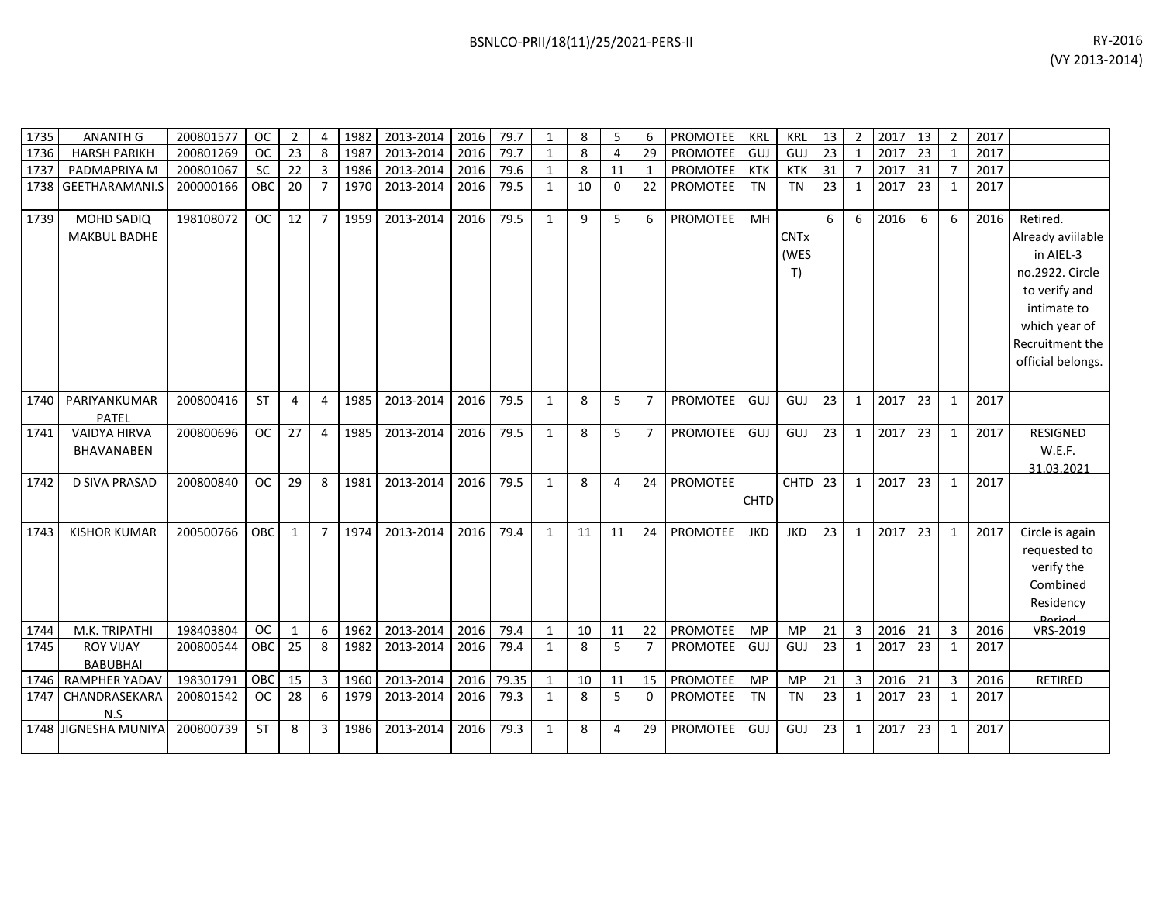| 1735 | <b>ANANTH G</b>                          | 200801577 | <b>OC</b>  | 2            |                | 1982 | 2013-2014 | 2016 | 79.7  | 1            | 8  | 5              | 6              | PROMOTEE        | KRL         | <b>KRL</b>                | 13 | $\overline{2}$ | 2017 | 13 | $\overline{2}$ | 2017 |                                                                                                                                                        |
|------|------------------------------------------|-----------|------------|--------------|----------------|------|-----------|------|-------|--------------|----|----------------|----------------|-----------------|-------------|---------------------------|----|----------------|------|----|----------------|------|--------------------------------------------------------------------------------------------------------------------------------------------------------|
| 1736 | <b>HARSH PARIKH</b>                      | 200801269 | <b>OC</b>  | 23           | 8              | 1987 | 2013-2014 | 2016 | 79.7  | $\mathbf{1}$ | 8  | $\overline{4}$ | 29             | PROMOTEE        | GUJ         | GUJ                       | 23 | $\mathbf{1}$   | 2017 | 23 |                | 2017 |                                                                                                                                                        |
| 1737 | PADMAPRIYA M                             | 200801067 | <b>SC</b>  | 22           | 3              | 1986 | 2013-2014 | 2016 | 79.6  | $\mathbf{1}$ | 8  | 11             |                | <b>PROMOTEE</b> | KTK         | <b>KTK</b>                | 31 | $\overline{7}$ | 2017 | 31 |                | 2017 |                                                                                                                                                        |
| 1738 | <b>GEETHARAMANI.S</b>                    | 200000166 | OBC        | 20           | $\overline{7}$ | 1970 | 2013-2014 | 2016 | 79.5  | 1            | 10 | $\Omega$       | 22             | <b>PROMOTEE</b> | <b>TN</b>   | <b>TN</b>                 | 23 | $\mathbf{1}$   | 2017 | 23 | 1              | 2017 |                                                                                                                                                        |
| 1739 | <b>MOHD SADIQ</b><br><b>MAKBUL BADHE</b> | 198108072 | <b>OC</b>  | 12           | $\overline{7}$ | 1959 | 2013-2014 | 2016 | 79.5  | $\mathbf{1}$ | 9  | 5              | 6              | PROMOTEE        | MH          | <b>CNTx</b><br>(WES<br>T) | 6  | 6              | 2016 | 6  | 6              | 2016 | Retired.<br>Already aviilable<br>in AIEL-3<br>no.2922. Circle<br>to verify and<br>intimate to<br>which year of<br>Recruitment the<br>official belongs. |
| 1740 | PARIYANKUMAR<br>PATEL                    | 200800416 | <b>ST</b>  | 4            | 4              | 1985 | 2013-2014 | 2016 | 79.5  | 1            | 8  | 5              | $\overline{7}$ | <b>PROMOTEE</b> | GUJ         | GUJ                       | 23 | $\mathbf{1}$   | 2017 | 23 | 1              | 2017 |                                                                                                                                                        |
| 1741 | <b>VAIDYA HIRVA</b><br>BHAVANABEN        | 200800696 | <b>OC</b>  | 27           | 4              | 1985 | 2013-2014 | 2016 | 79.5  | $\mathbf{1}$ | 8  | 5              | $\overline{7}$ | <b>PROMOTEE</b> | GUJ         | GUJ                       | 23 | $\mathbf{1}$   | 2017 | 23 | $\mathbf{1}$   | 2017 | RESIGNED<br>W.E.F.<br>31.03.2021                                                                                                                       |
| 1742 | D SIVA PRASAD                            | 200800840 | <b>OC</b>  | 29           | 8              | 1981 | 2013-2014 | 2016 | 79.5  | $\mathbf{1}$ | 8  | 4              | 24             | <b>PROMOTEE</b> | <b>CHTD</b> | <b>CHTD</b>               | 23 | $\mathbf{1}$   | 2017 | 23 | 1              | 2017 |                                                                                                                                                        |
| 1743 | <b>KISHOR KUMAR</b>                      | 200500766 | OBC        | $\mathbf{1}$ | $\overline{7}$ | 1974 | 2013-2014 | 2016 | 79.4  | $\mathbf{1}$ | 11 | 11             | 24             | <b>PROMOTEE</b> | <b>JKD</b>  | <b>JKD</b>                | 23 | $\mathbf{1}$   | 2017 | 23 | 1              | 2017 | Circle is again<br>requested to<br>verify the<br>Combined<br>Residency                                                                                 |
| 1744 | M.K. TRIPATHI                            | 198403804 | <b>OC</b>  | $\mathbf{1}$ | 6              | 1962 | 2013-2014 | 2016 | 79.4  | $\mathbf{1}$ | 10 | 11             | 22             | <b>PROMOTEE</b> | <b>MP</b>   | MP                        | 21 | $\overline{3}$ | 2016 | 21 | 3              | 2016 | VRS-2019                                                                                                                                               |
| 1745 | <b>ROY VIJAY</b><br><b>BABUBHAI</b>      | 200800544 | <b>OBC</b> | 25           | 8              | 1982 | 2013-2014 | 2016 | 79.4  | $\mathbf{1}$ | 8  | 5              | $\overline{7}$ | PROMOTEE        | GUJ         | GUJ                       | 23 | $\mathbf{1}$   | 2017 | 23 | 1              | 2017 |                                                                                                                                                        |
| 1746 | RAMPHER YADAV                            | 198301791 | OBC        | 15           | 3              | 1960 | 2013-2014 | 2016 | 79.35 | $\mathbf{1}$ | 10 | 11             | 15             | PROMOTEE        | <b>MP</b>   | <b>MP</b>                 | 21 | 3              | 2016 | 21 | 3              | 2016 | RETIRED                                                                                                                                                |
| 1747 | CHANDRASEKARA<br>N.S                     | 200801542 | <b>OC</b>  | 28           | 6              | 1979 | 2013-2014 | 2016 | 79.3  | 1            | 8  | 5              | $\Omega$       | <b>PROMOTEE</b> | <b>TN</b>   | <b>TN</b>                 | 23 | $\mathbf{1}$   | 2017 | 23 | 1              | 2017 |                                                                                                                                                        |
| 1748 | <b>JIGNESHA MUNIYA</b>                   | 200800739 | <b>ST</b>  | 8            | 3              | 1986 | 2013-2014 | 2016 | 79.3  | $\mathbf{1}$ | 8  | 4              | 29             | <b>PROMOTEE</b> | GUJ         | GUJ                       | 23 | $\mathbf{1}$   | 2017 | 23 | 1              | 2017 |                                                                                                                                                        |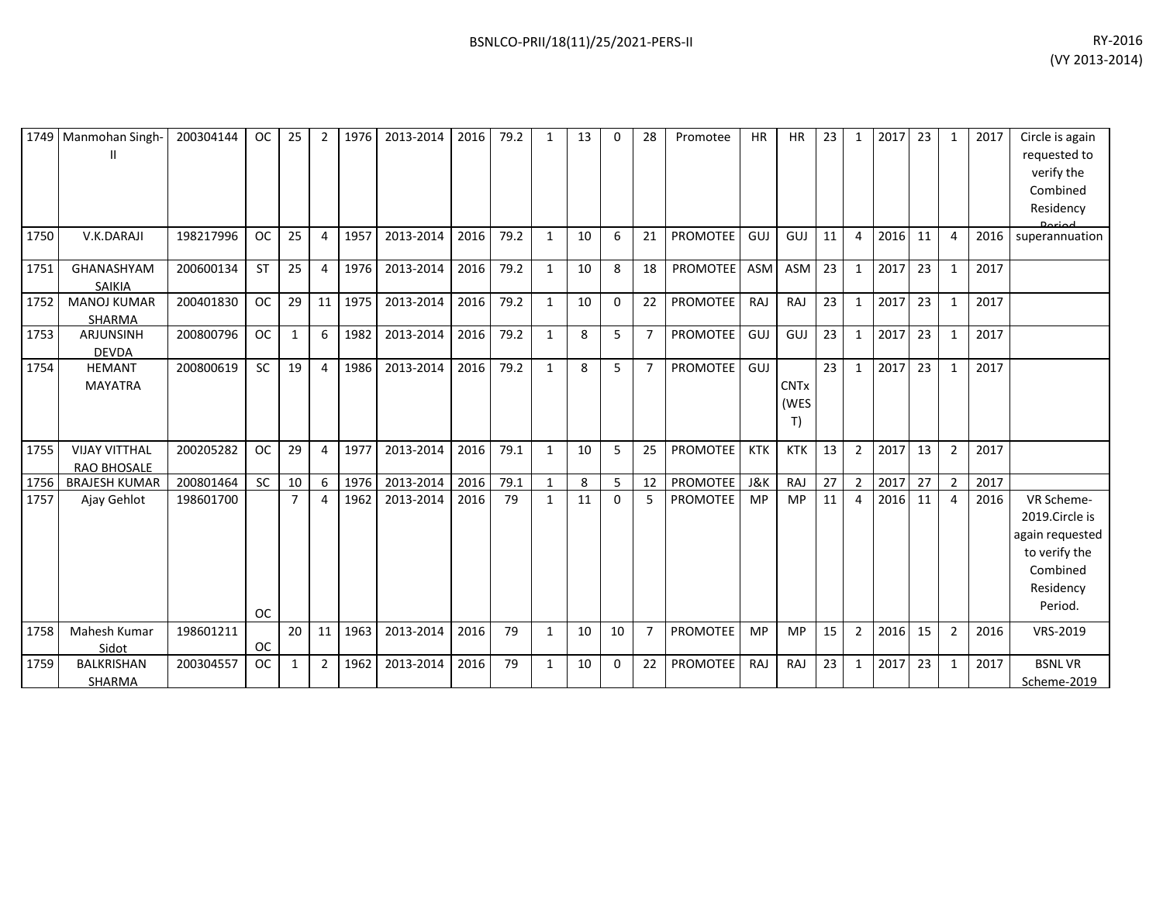| 1749 | Manmohan Singh-<br>Ш                | 200304144 | <b>OC</b> | 25             | 2              | 1976 | 2013-2014 | 2016 | 79.2 | 1            | 13 | 0            | 28             | Promotee        | <b>HR</b>  | <b>HR</b>                            | 23 | -1             | 2017 | 23 | 1              | 2017 | Circle is again<br>requested to<br>verify the<br>Combined<br>Residency                               |
|------|-------------------------------------|-----------|-----------|----------------|----------------|------|-----------|------|------|--------------|----|--------------|----------------|-----------------|------------|--------------------------------------|----|----------------|------|----|----------------|------|------------------------------------------------------------------------------------------------------|
| 1750 | V.K.DARAJI                          | 198217996 | <b>OC</b> | 25             | 4              | 1957 | 2013-2014 | 2016 | 79.2 | $\mathbf{1}$ | 10 | 6            | 21             | <b>PROMOTEE</b> | GUJ        | GUJ                                  | 11 | $\overline{4}$ | 2016 | 11 | 4              | 2016 | superannuation                                                                                       |
| 1751 | GHANASHYAM<br>SAIKIA                | 200600134 | <b>ST</b> | 25             | 4              | 1976 | 2013-2014 | 2016 | 79.2 | $\mathbf{1}$ | 10 | 8            | 18             | <b>PROMOTEE</b> | ASM        | ASM                                  | 23 | 1              | 2017 | 23 | $\mathbf{1}$   | 2017 |                                                                                                      |
| 1752 | <b>MANOJ KUMAR</b><br>SHARMA        | 200401830 | <b>OC</b> | 29             | 11             | 1975 | 2013-2014 | 2016 | 79.2 | $\mathbf{1}$ | 10 | $\Omega$     | 22             | <b>PROMOTEE</b> | RAJ        | RAJ                                  | 23 | $\mathbf{1}$   | 2017 | 23 | $\mathbf{1}$   | 2017 |                                                                                                      |
| 1753 | <b>ARJUNSINH</b><br><b>DEVDA</b>    | 200800796 | <b>OC</b> | 1              | 6              | 1982 | 2013-2014 | 2016 | 79.2 | $\mathbf{1}$ | 8  | 5            | $\overline{7}$ | PROMOTEE        | GUJ        | GUJ                                  | 23 | 1              | 2017 | 23 | $\mathbf{1}$   | 2017 |                                                                                                      |
| 1754 | <b>HEMANT</b><br><b>MAYATRA</b>     | 200800619 | <b>SC</b> | 19             | 4              | 1986 | 2013-2014 | 2016 | 79.2 | $\mathbf{1}$ | 8  | 5            | $\overline{7}$ | <b>PROMOTEE</b> | GUJ        | <b>CNT<sub>x</sub></b><br>(WES<br>T) | 23 | 1              | 2017 | 23 | $\mathbf{1}$   | 2017 |                                                                                                      |
| 1755 | <b>VIJAY VITTHAL</b><br>RAO BHOSALE | 200205282 | <b>OC</b> | 29             | 4              | 1977 | 2013-2014 | 2016 | 79.1 | $\mathbf{1}$ | 10 | 5            | 25             | <b>PROMOTEE</b> | <b>KTK</b> | <b>KTK</b>                           | 13 | $\overline{2}$ | 2017 | 13 | $\overline{2}$ | 2017 |                                                                                                      |
| 1756 | <b>BRAJESH KUMAR</b>                | 200801464 | <b>SC</b> | 10             | 6              | 1976 | 2013-2014 | 2016 | 79.1 | 1            | 8  | 5            | 12             | <b>PROMOTEE</b> | J&K        | RAJ                                  | 27 | $\overline{2}$ | 2017 | 27 | $\overline{2}$ | 2017 |                                                                                                      |
| 1757 | Ajay Gehlot                         | 198601700 | <b>OC</b> | $\overline{7}$ | 4              | 1962 | 2013-2014 | 2016 | 79   | $\mathbf{1}$ | 11 | $\mathbf{0}$ | 5              | <b>PROMOTEE</b> | <b>MP</b>  | MP                                   | 11 | 4              | 2016 | 11 | 4              | 2016 | VR Scheme-<br>2019.Circle is<br>again requested<br>to verify the<br>Combined<br>Residency<br>Period. |
| 1758 | Mahesh Kumar<br>Sidot               | 198601211 | <b>OC</b> | 20             | 11             | 1963 | 2013-2014 | 2016 | 79   | $\mathbf{1}$ | 10 | 10           | $\overline{7}$ | PROMOTEE        | <b>MP</b>  | <b>MP</b>                            | 15 | $\overline{2}$ | 2016 | 15 | $\overline{2}$ | 2016 | VRS-2019                                                                                             |
| 1759 | <b>BALKRISHAN</b><br>SHARMA         | 200304557 | <b>OC</b> | 1              | $\overline{2}$ | 1962 | 2013-2014 | 2016 | 79   | 1            | 10 | 0            | 22             | <b>PROMOTEE</b> | <b>RAJ</b> | RAJ                                  | 23 | 1              | 2017 | 23 | $\mathbf{1}$   | 2017 | <b>BSNLVR</b><br>Scheme-2019                                                                         |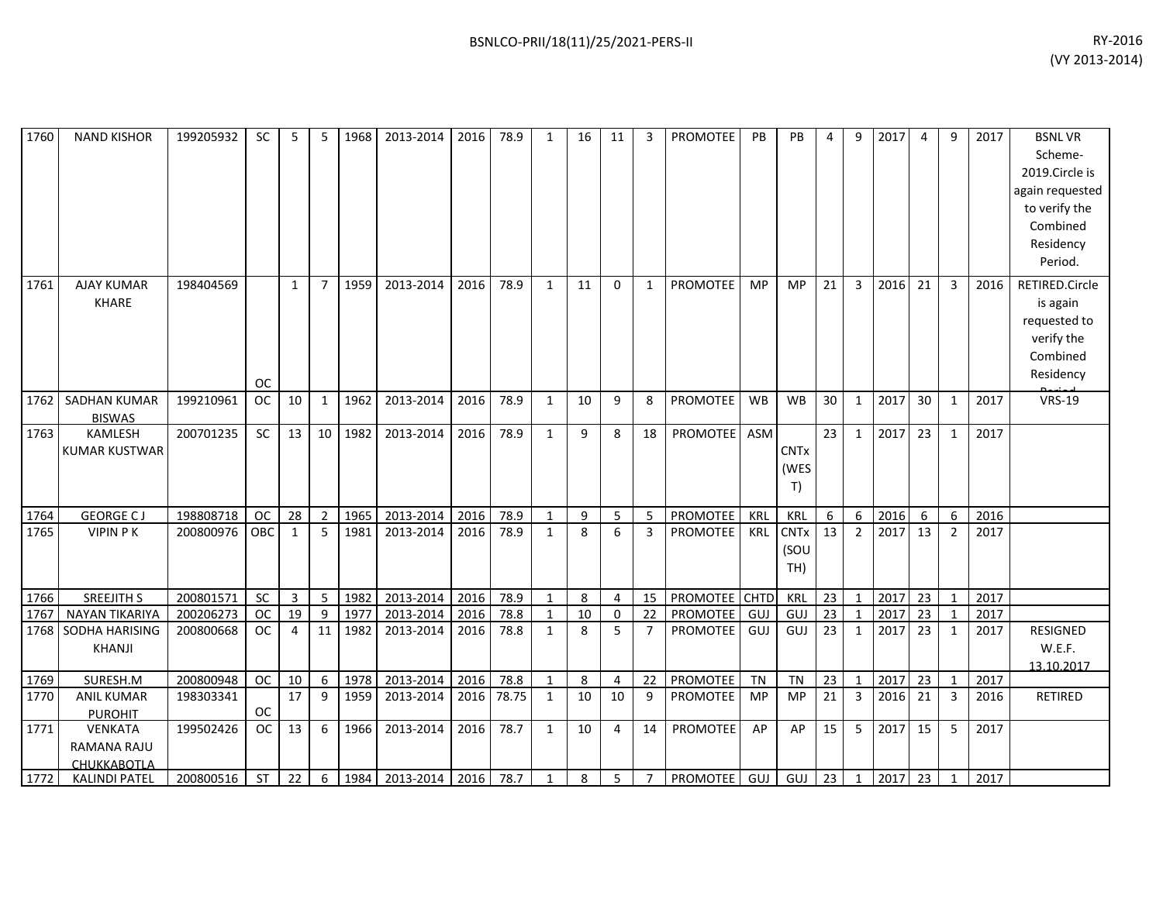| 1760 | <b>NAND KISHOR</b>                                                    | 199205932 | <b>SC</b> | 5              | 5               | 1968 | 2013-2014 | 2016 | 78.9  | $\mathbf{1}$ | 16 | 11             | 3              | <b>PROMOTEE</b> | <b>PB</b> | PB                         | 4               | 9              | 2017 | 4  | 9              | 2017 | <b>BSNLVR</b><br>Scheme-<br>2019.Circle is<br>again requested<br>to verify the<br>Combined<br>Residency<br>Period. |
|------|-----------------------------------------------------------------------|-----------|-----------|----------------|-----------------|------|-----------|------|-------|--------------|----|----------------|----------------|-----------------|-----------|----------------------------|-----------------|----------------|------|----|----------------|------|--------------------------------------------------------------------------------------------------------------------|
| 1761 | <b>AJAY KUMAR</b><br><b>KHARE</b>                                     | 198404569 | <b>OC</b> | $\mathbf{1}$   | $\overline{7}$  | 1959 | 2013-2014 | 2016 | 78.9  | $\mathbf{1}$ | 11 | $\Omega$       | $\mathbf{1}$   | <b>PROMOTEE</b> | <b>MP</b> | <b>MP</b>                  | 21              | 3              | 2016 | 21 | 3              | 2016 | RETIRED.Circle<br>is again<br>requested to<br>verify the<br>Combined<br>Residency                                  |
| 1762 | <b>SADHAN KUMAR</b><br><b>BISWAS</b>                                  | 199210961 | <b>OC</b> | 10             | 1               | 1962 | 2013-2014 | 2016 | 78.9  | $\mathbf{1}$ | 10 | 9              | 8              | PROMOTEE        | <b>WB</b> | <b>WB</b>                  | 30              | $\mathbf{1}$   | 2017 | 30 | 1              | 2017 | <b>VRS-19</b>                                                                                                      |
| 1763 | KAMLESH<br><b>KUMAR KUSTWAR</b>                                       | 200701235 | SC        | 13             | 10 <sup>1</sup> | 1982 | 2013-2014 | 2016 | 78.9  | $\mathbf{1}$ | 9  | 8              | 18             | <b>PROMOTEE</b> | ASM       | <b>CNTx</b><br>(WES<br>T)  | 23              | $\mathbf{1}$   | 2017 | 23 | $\mathbf{1}$   | 2017 |                                                                                                                    |
| 1764 | <b>GEORGE CJ</b>                                                      | 198808718 | <b>OC</b> | 28             | $\overline{2}$  | 1965 | 2013-2014 | 2016 | 78.9  | $\mathbf{1}$ | 9  | 5              | 5              | PROMOTEE        | KRL       | KRL                        | 6               | 6              | 2016 | 6  | 6              | 2016 |                                                                                                                    |
| 1765 | <b>VIPIN PK</b>                                                       | 200800976 | OBC       | $\mathbf{1}$   | 5               | 1981 | 2013-2014 | 2016 | 78.9  | $\mathbf{1}$ | 8  | 6              | $\overline{3}$ | <b>PROMOTEE</b> | KRL       | <b>CNTx</b><br>(SOU<br>TH) | 13              | $\overline{2}$ | 2017 | 13 | $\overline{2}$ | 2017 |                                                                                                                    |
| 1766 | <b>SREEJITH S</b>                                                     | 200801571 | SC        | 3              | 5               | 1982 | 2013-2014 | 2016 | 78.9  | $\mathbf{1}$ | 8  | 4              | 15             | PROMOTEE CHTD   |           | <b>KRL</b>                 | 23              | $\mathbf{1}$   | 2017 | 23 | $\mathbf{1}$   | 2017 |                                                                                                                    |
| 1767 | <b>NAYAN TIKARIYA</b>                                                 | 200206273 | <b>OC</b> | 19             | 9               | 1977 | 2013-2014 | 2016 | 78.8  | $\mathbf{1}$ | 10 | 0              | 22             | PROMOTEE        | GUJ       | GUJ                        | 23              |                | 2017 | 23 | $\mathbf{1}$   | 2017 |                                                                                                                    |
| 1768 | SODHA HARISING<br>KHANJI                                              | 200800668 | <b>OC</b> | $\overline{a}$ | 11              | 1982 | 2013-2014 | 2016 | 78.8  | $\mathbf{1}$ | 8  | 5              | $\overline{7}$ | <b>PROMOTEE</b> | GUJ       | GUJ                        | 23              | 1              | 2017 | 23 | 1              | 2017 | RESIGNED<br>W.E.F.<br>13.10.2017                                                                                   |
| 1769 | SURESH.M                                                              | 200800948 | <b>OC</b> | 10             | 6 <sup>1</sup>  | 1978 | 2013-2014 | 2016 | 78.8  | $\mathbf{1}$ | 8  | $\overline{4}$ | 22             | PROMOTEE        | TN        | <b>TN</b>                  | $\overline{23}$ | $\overline{1}$ | 2017 | 23 | $\mathbf{1}$   | 2017 |                                                                                                                    |
| 1770 | <b>ANIL KUMAR</b>                                                     | 198303341 | <b>OC</b> | 17             | 9               | 1959 | 2013-2014 | 2016 | 78.75 | 1            | 10 | 10             | 9              | <b>PROMOTEE</b> | <b>MP</b> | <b>MP</b>                  | 21              | 3              | 2016 | 21 | $\mathbf{3}$   | 2016 | RETIRED                                                                                                            |
| 1771 | <b>PUROHIT</b><br><b>VENKATA</b><br>RAMANA RAJU<br><b>CHUKKABOTLA</b> | 199502426 | <b>OC</b> | 13             | 6               | 1966 | 2013-2014 | 2016 | 78.7  | $\mathbf{1}$ | 10 | 4              | 14             | PROMOTEE        | AP        | AP                         | 15              | 5              | 2017 | 15 | 5              | 2017 |                                                                                                                    |
| 1772 | <b>KALINDI PATEL</b>                                                  | 200800516 | <b>ST</b> | 22             | 6               | 1984 | 2013-2014 | 2016 | 78.7  | $\mathbf{1}$ | 8  | 5              | $\overline{7}$ | <b>PROMOTEE</b> | GUJ       | GUJ                        | 23              | $\mathbf{1}$   | 2017 | 23 | $\mathbf{1}$   | 2017 |                                                                                                                    |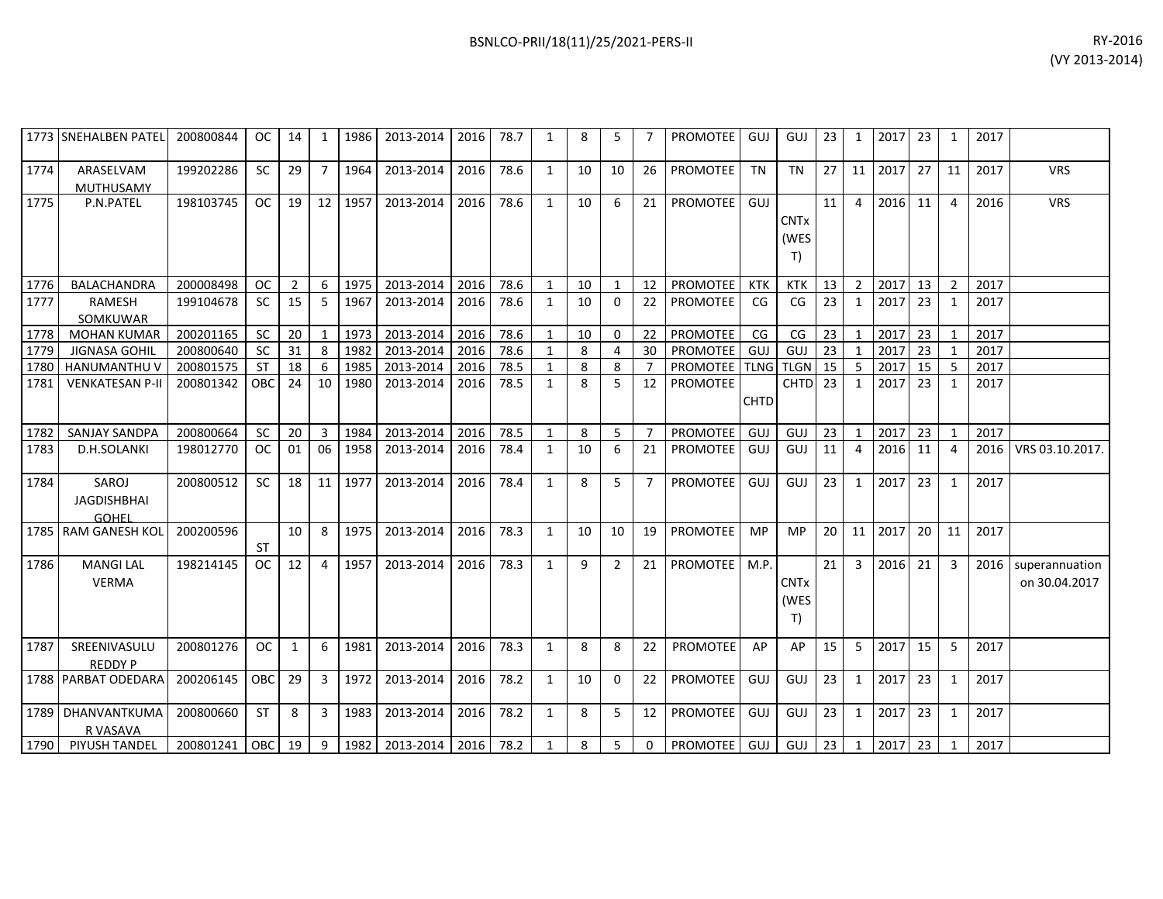|      | 1773 SNEHALBEN PATEL 200800844       |                                                           | OC.        | 14 | 1              |         | 1986   2013-2014   2016   78.7 |      |      | 1              | 8  | 5              |                 | PROMOTEE GUJ GUJ                              |             |                           | 23 | 1              | 2017 23 |    | 1              | 2017 |                                      |
|------|--------------------------------------|-----------------------------------------------------------|------------|----|----------------|---------|--------------------------------|------|------|----------------|----|----------------|-----------------|-----------------------------------------------|-------------|---------------------------|----|----------------|---------|----|----------------|------|--------------------------------------|
| 1774 | ARASELVAM<br>MUTHUSAMY               | 199202286                                                 | SC         | 29 | $\overline{7}$ | 1964    | 2013-2014                      | 2016 | 78.6 | 1              | 10 | 10             | 26              | PROMOTEE                                      | <b>TN</b>   | <b>TN</b>                 | 27 |                | 11 2017 | 27 | 11             | 2017 | <b>VRS</b>                           |
| 1775 | P.N.PATEL                            | 198103745                                                 | <b>OC</b>  | 19 | 12             | 1957    | 2013-2014                      | 2016 | 78.6 | 1              | 10 | 6              | 21              | <b>PROMOTEE</b>                               | GUJ         | <b>CNTx</b><br>(WES<br>T) | 11 | $\overline{4}$ | 2016    | 11 | 4              | 2016 | <b>VRS</b>                           |
| 1776 | BALACHANDRA                          | 200008498                                                 | <b>OC</b>  | 2  | 6              | 1975    | 2013-2014                      | 2016 | 78.6 | 1              | 10 | $\mathbf{1}$   | 12 <sup>1</sup> | <b>PROMOTEE</b>                               | KTK         | <b>KTK</b>                | 13 | $\overline{2}$ | 2017    | 13 | $\overline{2}$ | 2017 |                                      |
| 1777 | RAMESH<br>SOMKUWAR                   | 199104678                                                 | <b>SC</b>  | 15 | 5              | 1967    | 2013-2014                      | 2016 | 78.6 | $\overline{1}$ | 10 | $\Omega$       | 22              | <b>PROMOTEE</b>                               | CG          | CG                        | 23 | 1              | 2017    | 23 | $\mathbf{1}$   | 2017 |                                      |
| 1778 | <b>MOHAN KUMAR</b>                   | 200201165                                                 | <b>SC</b>  | 20 | $\mathbf{1}$   | 1973    | 2013-2014                      | 2016 | 78.6 | $\overline{1}$ | 10 | $\Omega$       | 22              | <b>PROMOTEE</b>                               | CG          | CG                        | 23 | $\overline{1}$ | 2017    | 23 |                | 2017 |                                      |
| 1779 | <b>JIGNASA GOHIL</b>                 | 200800640                                                 | <b>SC</b>  | 31 | 8              | 1982    | 2013-2014                      | 2016 | 78.6 |                | 8  | 4              | 30 <sup>°</sup> | <b>PROMOTEE</b>                               | GUJ         | GUJ                       | 23 | 1              | 2017    | 23 |                | 2017 |                                      |
| 1780 | HANUMANTHU V                         | 200801575                                                 | <b>ST</b>  | 18 | 6              | 1985    | 2013-2014                      | 2016 | 78.5 | $\mathbf{1}$   | 8  | 8              | $\overline{7}$  | <b>PROMOTEE</b>                               |             | <b>TLNG TLGN</b>          | 15 | -5             | 2017    | 15 | 5              | 2017 |                                      |
| 1781 | <b>VENKATESAN P-II</b>               | 200801342                                                 | <b>OBC</b> | 24 | 10             | 1980    | 2013-2014                      | 2016 | 78.5 | $\mathbf{1}$   | 8  | 5              | 12 <sup>2</sup> | <b>PROMOTEE</b>                               | <b>CHTD</b> | CHTD <sub>23</sub>        |    | 1              | 2017    | 23 | $\mathbf{1}$   | 2017 |                                      |
| 1782 | SANJAY SANDPA                        | 200800664                                                 | <b>SC</b>  | 20 | $\overline{3}$ | 1984    | 2013-2014                      | 2016 | 78.5 | 1              | 8  | 5              | $7^{\circ}$     | <b>PROMOTEE</b>                               | GUJ         | GUJ                       | 23 | $\overline{1}$ | 2017    | 23 | $\mathbf{1}$   | 2017 |                                      |
| 1783 | D.H.SOLANKI                          | 198012770                                                 | <b>OC</b>  | 01 | 06             | 1958    | 2013-2014                      | 2016 | 78.4 | $\mathbf{1}$   | 10 | 6              | 21              | PROMOTEE                                      | GUJ         | GUJ                       | 11 | $\overline{4}$ | 2016    | 11 | 4              | 2016 | VRS 03.10.2017.                      |
| 1784 | SAROJ<br><b>JAGDISHBHAI</b><br>GOHFI | 200800512                                                 | <b>SC</b>  | 18 |                | 11 1977 | 2013-2014                      | 2016 | 78.4 | 1              | 8  | 5              | 7 <sup>2</sup>  | <b>PROMOTEE</b>                               | GUJ         | GUJ                       | 23 | $\mathbf{1}$   | 2017    | 23 | 1              | 2017 |                                      |
|      | 1785 RAM GANESH KOL                  | 200200596                                                 | ST         | 10 | 8              | 1975    | 2013-2014                      | 2016 | 78.3 | 1              | 10 | 10             | 19              | <b>PROMOTEE</b>                               | <b>MP</b>   | <b>MP</b>                 | 20 | 11             | 2017    | 20 | 11             | 2017 |                                      |
| 1786 | <b>MANGI LAL</b><br><b>VERMA</b>     | 198214145                                                 | OC.        | 12 | $\overline{4}$ | 1957    | 2013-2014                      | 2016 | 78.3 | 1              | 9  | 2              | 21 <sup>1</sup> | PROMOTEE M.P.                                 |             | <b>CNTx</b><br>(WES<br>T  | 21 | $\overline{3}$ | 2016    | 21 | $\overline{3}$ |      | 2016 superannuation<br>on 30.04.2017 |
| 1787 | SREENIVASULU<br><b>REDDY P</b>       | 200801276                                                 | OC         | 1  | 6              | 1981    | 2013-2014                      | 2016 | 78.3 | $\mathbf{1}$   | 8  | 8              | 22              | <b>PROMOTEE</b>                               | AP          | AP                        | 15 | -5             | 2017    | 15 | $5^{\circ}$    | 2017 |                                      |
|      | 1788 PARBAT ODEDARA                  | 200206145                                                 | <b>OBC</b> | 29 | $\overline{3}$ | 1972    | 2013-2014                      | 2016 | 78.2 | 1              | 10 | $\mathbf{0}$   | 22              | <b>PROMOTEE</b>                               | GUJ         | GUJ                       | 23 | 1              | 2017    | 23 | 1              | 2017 |                                      |
|      | 1789 DHANVANTKUMA<br>R VASAVA        | 200800660                                                 | <b>ST</b>  | 8  | $\overline{3}$ | 1983    | 2013-2014                      | 2016 | 78.2 | $\mathbf{1}$   | 8  | 5              | 12 <sup>1</sup> | <b>PROMOTEE</b>                               | GUJ         | GUJ                       | 23 | $\mathbf{1}$   | 2017    | 23 | $\mathbf{1}$   | 2017 |                                      |
|      | 1790 PIYUSH TANDEL                   | 200801241   OBC   19   9   1982   2013-2014   2016   78.2 |            |    |                |         |                                |      |      | 1              | 8  | 5 <sub>1</sub> |                 | 0   PROMOTEE   GUJ   GUJ   23   1   2017   23 |             |                           |    |                |         |    | $\overline{1}$ | 2017 |                                      |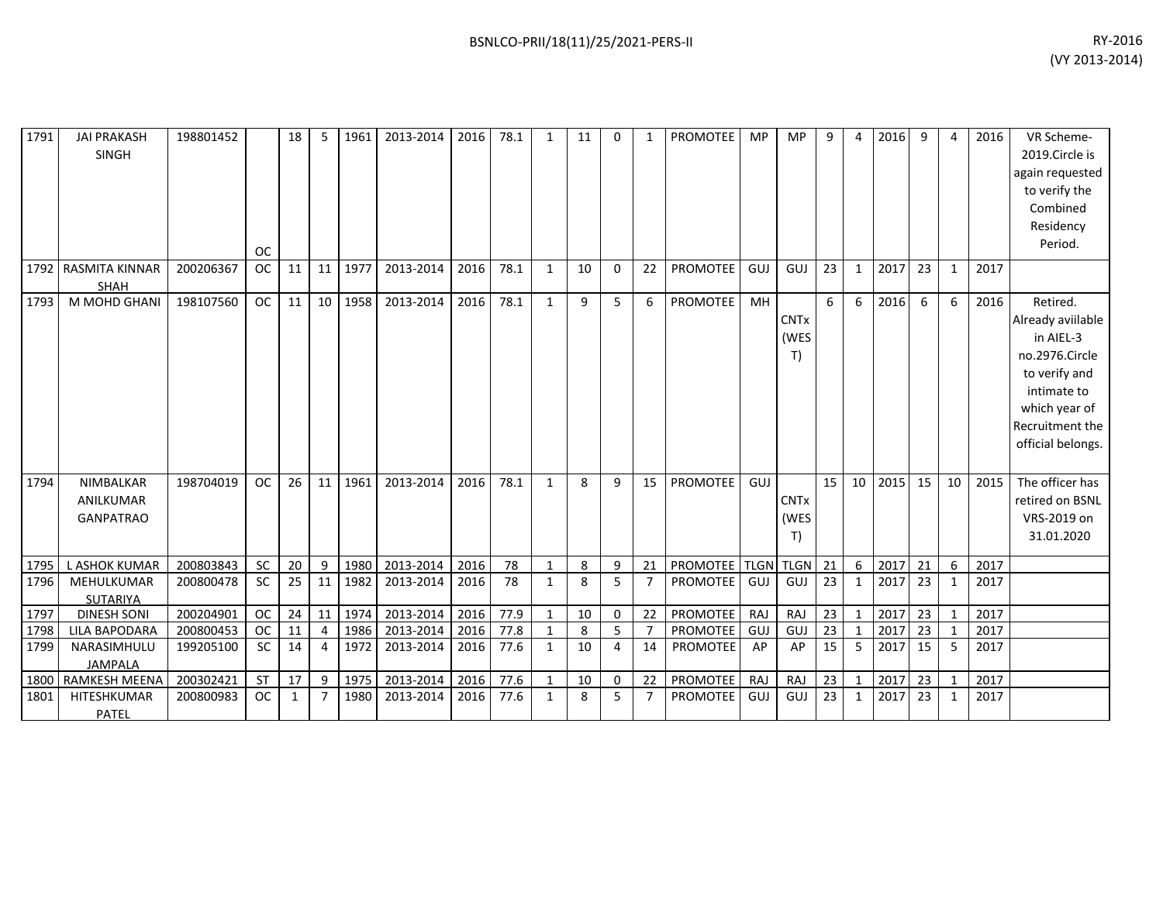| 1791 | <b>JAI PRAKASH</b><br><b>SINGH</b>                | 198801452 | <b>OC</b> | 18 | 5              | 1961    | 2013-2014 | 2016 | 78.1 | $\mathbf{1}$ | 11 | 0        | 1              | PROMOTEE        | <b>MP</b> | <b>MP</b>                            | 9  | $\Delta$     | 2016 | 9  | 4            | 2016 | VR Scheme-<br>2019.Circle is<br>again requested<br>to verify the<br>Combined<br>Residency<br>Period.                                                  |
|------|---------------------------------------------------|-----------|-----------|----|----------------|---------|-----------|------|------|--------------|----|----------|----------------|-----------------|-----------|--------------------------------------|----|--------------|------|----|--------------|------|-------------------------------------------------------------------------------------------------------------------------------------------------------|
| 1792 | <b>RASMITA KINNAR</b><br><b>SHAH</b>              | 200206367 | <b>OC</b> | 11 | 11             | 1977    | 2013-2014 | 2016 | 78.1 | $\mathbf{1}$ | 10 | $\Omega$ | 22             | <b>PROMOTEE</b> | GUJ       | GUJ                                  | 23 | 1            | 2017 | 23 | $\mathbf{1}$ | 2017 |                                                                                                                                                       |
| 1793 | M MOHD GHANI                                      | 198107560 | <b>OC</b> | 11 |                | 10 1958 | 2013-2014 | 2016 | 78.1 | $\mathbf{1}$ | 9  | 5        | 6              | <b>PROMOTEE</b> | MH        | <b>CNTx</b><br>(WES<br>T)            | 6  | 6            | 2016 | 6  | 6            | 2016 | Retired.<br>Already aviilable<br>in AIEL-3<br>no.2976.Circle<br>to verify and<br>intimate to<br>which year of<br>Recruitment the<br>official belongs. |
| 1794 | <b>NIMBALKAR</b><br>ANILKUMAR<br><b>GANPATRAO</b> | 198704019 | <b>OC</b> | 26 | 11             | 1961    | 2013-2014 | 2016 | 78.1 | $\mathbf{1}$ | 8  | 9        | 15             | <b>PROMOTEE</b> | GUJ       | <b>CNT<sub>x</sub></b><br>(WES<br>T) | 15 | 10           | 2015 | 15 | 10           | 2015 | The officer has<br>retired on BSNL<br>VRS-2019 on<br>31.01.2020                                                                                       |
| 1795 | L ASHOK KUMAR                                     | 200803843 | <b>SC</b> | 20 | 9              | 1980    | 2013-2014 | 2016 | 78   | $\mathbf{1}$ | 8  | 9        | 21             | PROMOTEE TLGN   |           | <b>TLGN</b>                          | 21 | 6            | 2017 | 21 | 6            | 2017 |                                                                                                                                                       |
| 1796 | MEHULKUMAR<br><b>SUTARIYA</b>                     | 200800478 | <b>SC</b> | 25 | 11             | 1982    | 2013-2014 | 2016 | 78   | 1            | 8  | 5        | $\overline{7}$ | <b>PROMOTEE</b> | GUJ       | GUJ                                  | 23 | 1            | 2017 | 23 | 1            | 2017 |                                                                                                                                                       |
| 1797 | <b>DINESH SONI</b>                                | 200204901 | <b>OC</b> | 24 | 11             | 1974    | 2013-2014 | 2016 | 77.9 | 1            | 10 | 0        | 22             | <b>PROMOTEE</b> | RAJ       | RAJ                                  | 23 | $\mathbf{1}$ | 2017 | 23 | $\mathbf{1}$ | 2017 |                                                                                                                                                       |
| 1798 | <b>LILA BAPODARA</b>                              | 200800453 | <b>OC</b> | 11 | $\overline{a}$ | 1986    | 2013-2014 | 2016 | 77.8 | 1            | 8  | 5        | $\overline{7}$ | <b>PROMOTEE</b> | GUJ       | <b>GUJ</b>                           | 23 | $\mathbf 1$  | 2017 | 23 | $\mathbf{1}$ | 2017 |                                                                                                                                                       |
| 1799 | NARASIMHULU<br><b>JAMPALA</b>                     | 199205100 | <b>SC</b> | 14 | 4              | 1972    | 2013-2014 | 2016 | 77.6 | $\mathbf{1}$ | 10 | 4        | 14             | <b>PROMOTEE</b> | AP        | AP                                   | 15 | 5            | 2017 | 15 | 5            | 2017 |                                                                                                                                                       |
| 1800 | <b>RAMKESH MEENA</b>                              | 200302421 | <b>ST</b> | 17 | 9              | 1975    | 2013-2014 | 2016 | 77.6 | $\mathbf{1}$ | 10 | 0        | 22             | PROMOTEE        | RAJ       | RAJ                                  | 23 | 1            | 2017 | 23 | $\mathbf{1}$ | 2017 |                                                                                                                                                       |
| 1801 | HITESHKUMAR<br>PATEL                              | 200800983 | <b>OC</b> | 1  | $\overline{7}$ | 1980    | 2013-2014 | 2016 | 77.6 | 1            | 8  | 5        | $\overline{7}$ | <b>PROMOTEE</b> | GUJ       | GUJ                                  | 23 | 1            | 2017 | 23 | 1            | 2017 |                                                                                                                                                       |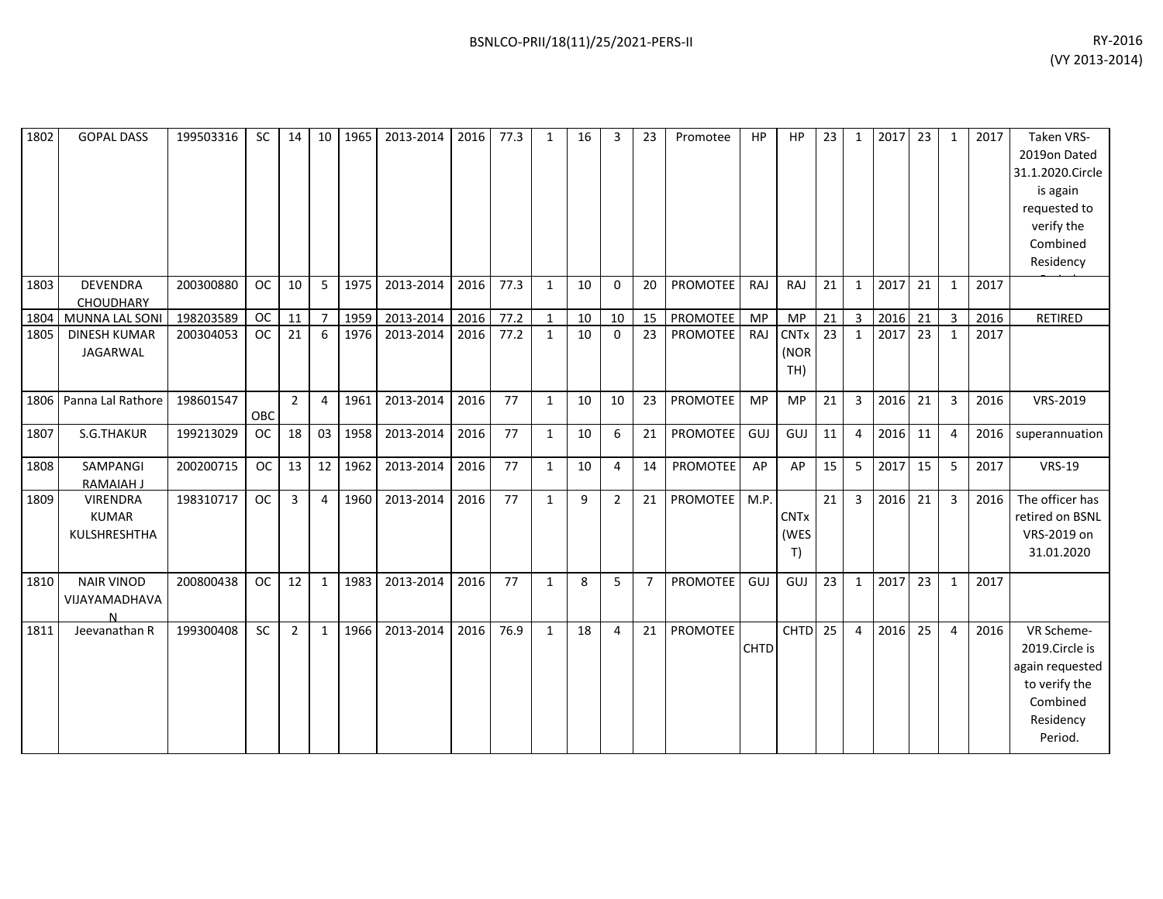| 1802 | <b>GOPAL DASS</b>                        | 199503316 | <b>SC</b> | 14             | 10 <sup>1</sup> | 1965 | 2013-2014 | 2016 | 77.3 | $\mathbf{1}$ | 16 | 3              | 23             | Promotee        | HP          | HP                         | 23 | $\mathbf{1}$   | 2017 | 23 | $\mathbf{1}$ | 2017 | <b>Taken VRS-</b><br>2019on Dated<br>31.1.2020.Circle<br>is again<br>requested to<br>verify the<br>Combined<br>Residency |
|------|------------------------------------------|-----------|-----------|----------------|-----------------|------|-----------|------|------|--------------|----|----------------|----------------|-----------------|-------------|----------------------------|----|----------------|------|----|--------------|------|--------------------------------------------------------------------------------------------------------------------------|
| 1803 | <b>DEVENDRA</b><br><b>CHOUDHARY</b>      | 200300880 | <b>OC</b> | 10             | 5               | 1975 | 2013-2014 | 2016 | 77.3 | $\mathbf{1}$ | 10 | $\Omega$       | 20             | PROMOTEE        | RAJ         | RAJ                        | 21 | $\mathbf{1}$   | 2017 | 21 | $\mathbf{1}$ | 2017 |                                                                                                                          |
| 1804 | MUNNA LAL SONI                           | 198203589 | <b>OC</b> | 11             | $\overline{7}$  | 1959 | 2013-2014 | 2016 | 77.2 | $\mathbf{1}$ | 10 | 10             | 15             | PROMOTEE        | MP          | <b>MP</b>                  | 21 | $\mathbf{3}$   | 2016 | 21 | 3            | 2016 | RETIRED                                                                                                                  |
| 1805 | <b>DINESH KUMAR</b><br>JAGARWAL          | 200304053 | <b>OC</b> | 21             | 6               | 1976 | 2013-2014 | 2016 | 77.2 | $\mathbf{1}$ | 10 | $\Omega$       | 23             | <b>PROMOTEE</b> | RAJ         | <b>CNTx</b><br>(NOR<br>TH) | 23 | 1              | 2017 | 23 | $\mathbf{1}$ | 2017 |                                                                                                                          |
| 1806 | Panna Lal Rathore                        | 198601547 | OBC       | $\overline{2}$ | 4               | 1961 | 2013-2014 | 2016 | 77   | $\mathbf{1}$ | 10 | 10             | 23             | <b>PROMOTEE</b> | <b>MP</b>   | <b>MP</b>                  | 21 | $\overline{3}$ | 2016 | 21 | 3            | 2016 | VRS-2019                                                                                                                 |
| 1807 | S.G.THAKUR                               | 199213029 | <b>OC</b> | 18             | 03              | 1958 | 2013-2014 | 2016 | 77   | $\mathbf{1}$ | 10 | 6              | 21             | PROMOTEE        | GUJ         | GUJ                        | 11 | $\overline{4}$ | 2016 | 11 | 4            | 2016 | superannuation                                                                                                           |
| 1808 | SAMPANGI<br><b>RAMAIAH J</b>             | 200200715 | <b>OC</b> | 13             | 12              | 1962 | 2013-2014 | 2016 | 77   | $\mathbf{1}$ | 10 | $\overline{4}$ | 14             | PROMOTEE        | AP          | AP                         | 15 | 5              | 2017 | 15 | 5            | 2017 | <b>VRS-19</b>                                                                                                            |
| 1809 | VIRENDRA<br><b>KUMAR</b><br>KULSHRESHTHA | 198310717 | <b>OC</b> | 3              | 4               | 1960 | 2013-2014 | 2016 | 77   | $\mathbf{1}$ | 9  | $\overline{2}$ | 21             | PROMOTEE        | M.P.        | <b>CNTx</b><br>(WES<br>T)  | 21 | 3              | 2016 | 21 | 3            | 2016 | The officer has<br>retired on BSNL<br>VRS-2019 on<br>31.01.2020                                                          |
| 1810 | <b>NAIR VINOD</b><br>VIJAYAMADHAVA<br>N  | 200800438 | <b>OC</b> | 12             | 1               | 1983 | 2013-2014 | 2016 | 77   | $\mathbf{1}$ | 8  | 5              | $\overline{7}$ | PROMOTEE        | GUJ         | GUJ                        | 23 | $\mathbf{1}$   | 2017 | 23 | $\mathbf{1}$ | 2017 |                                                                                                                          |
| 1811 | Jeevanathan R                            | 199300408 | <b>SC</b> | 2              | $\mathbf{1}$    | 1966 | 2013-2014 | 2016 | 76.9 | $\mathbf{1}$ | 18 | $\overline{a}$ | 21             | PROMOTEE        | <b>CHTD</b> | CHTD <sub>25</sub>         |    | $\overline{4}$ | 2016 | 25 | 4            | 2016 | VR Scheme-<br>2019.Circle is<br>again requested<br>to verify the<br>Combined<br>Residency<br>Period.                     |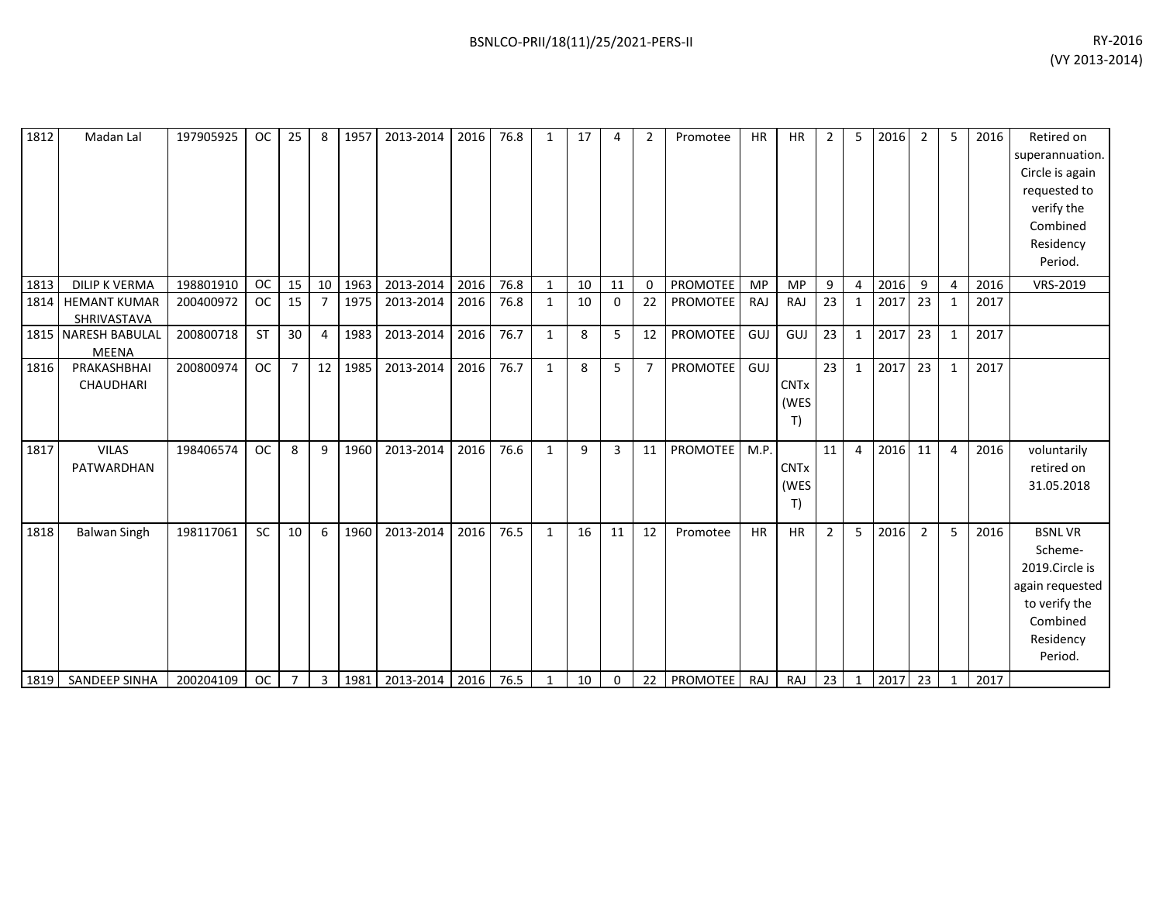| 1812 | Madan Lal                           | 197905925 | <b>OC</b> | 25             | 8              | 1957 | 2013-2014      | 2016 | 76.8 | 1            | 17 | 4              | $\overline{2}$ | Promotee        | <b>HR</b> | <b>HR</b>                 | $\overline{2}$ | -5             | 2016 | $\overline{2}$ | 5              | 2016 | Retired on<br>superannuation.<br>Circle is again<br>requested to<br>verify the<br>Combined                         |
|------|-------------------------------------|-----------|-----------|----------------|----------------|------|----------------|------|------|--------------|----|----------------|----------------|-----------------|-----------|---------------------------|----------------|----------------|------|----------------|----------------|------|--------------------------------------------------------------------------------------------------------------------|
|      |                                     |           |           |                |                |      |                |      |      |              |    |                |                |                 |           |                           |                |                |      |                |                |      | Residency<br>Period.                                                                                               |
| 1813 | <b>DILIP K VERMA</b>                | 198801910 | <b>OC</b> | 15             | 10             | 1963 | 2013-2014      | 2016 | 76.8 | 1            | 10 | 11             | $\Omega$       | <b>PROMOTEE</b> | <b>MP</b> | <b>MP</b>                 | 9              | $\overline{4}$ | 2016 | 9              | $\overline{4}$ | 2016 | VRS-2019                                                                                                           |
| 1814 | <b>HEMANT KUMAR</b><br>SHRIVASTAVA  | 200400972 | <b>OC</b> | 15             | $\overline{7}$ | 1975 | 2013-2014      | 2016 | 76.8 | $\mathbf{1}$ | 10 | $\Omega$       | 22             | PROMOTEE        | RAJ       | RAJ                       | 23             | $\mathbf{1}$   | 2017 | 23             | 1              | 2017 |                                                                                                                    |
|      | 1815 NARESH BABULAL<br><b>MEENA</b> | 200800718 | <b>ST</b> | 30             | $\overline{4}$ | 1983 | 2013-2014      | 2016 | 76.7 | $\mathbf{1}$ | 8  | 5              | 12             | <b>PROMOTEE</b> | GUJ       | GUJ                       | 23             | $\mathbf{1}$   | 2017 | 23             | $\mathbf{1}$   | 2017 |                                                                                                                    |
| 1816 | PRAKASHBHAI<br>CHAUDHARI            | 200800974 | <b>OC</b> | $\overline{7}$ | 12             | 1985 | 2013-2014      | 2016 | 76.7 | $\mathbf{1}$ | 8  | 5              | $\overline{7}$ | <b>PROMOTEE</b> | GUJ       | <b>CNTx</b><br>(WES<br>T) | 23             | $\mathbf{1}$   | 2017 | 23             | 1              | 2017 |                                                                                                                    |
| 1817 | <b>VILAS</b><br>PATWARDHAN          | 198406574 | <b>OC</b> | 8              | 9              | 1960 | 2013-2014      | 2016 | 76.6 | $\mathbf{1}$ | 9  | $\overline{3}$ | 11             | PROMOTEE        | M.P.      | <b>CNTx</b><br>(WES<br>T) | 11             | $\overline{4}$ | 2016 | 11             | 4              | 2016 | voluntarily<br>retired on<br>31.05.2018                                                                            |
| 1818 | <b>Balwan Singh</b>                 | 198117061 | SC        | 10             | 6              | 1960 | 2013-2014      | 2016 | 76.5 | $\mathbf{1}$ | 16 | 11             | 12             | Promotee        | <b>HR</b> | <b>HR</b>                 | 2              | 5              | 2016 | $\overline{2}$ | 5              | 2016 | <b>BSNLVR</b><br>Scheme-<br>2019.Circle is<br>again requested<br>to verify the<br>Combined<br>Residency<br>Period. |
| 1819 | SANDEEP SINHA                       | 200204109 | OC        | $\overline{7}$ | 3              | 1981 | 2013-2014 2016 |      | 76.5 | $\mathbf{1}$ | 10 | 0              | 22             | <b>PROMOTEE</b> | RAJ       | RAJ                       | 23             | $\mathbf{1}$   | 2017 | 23             | $\mathbf{1}$   | 2017 |                                                                                                                    |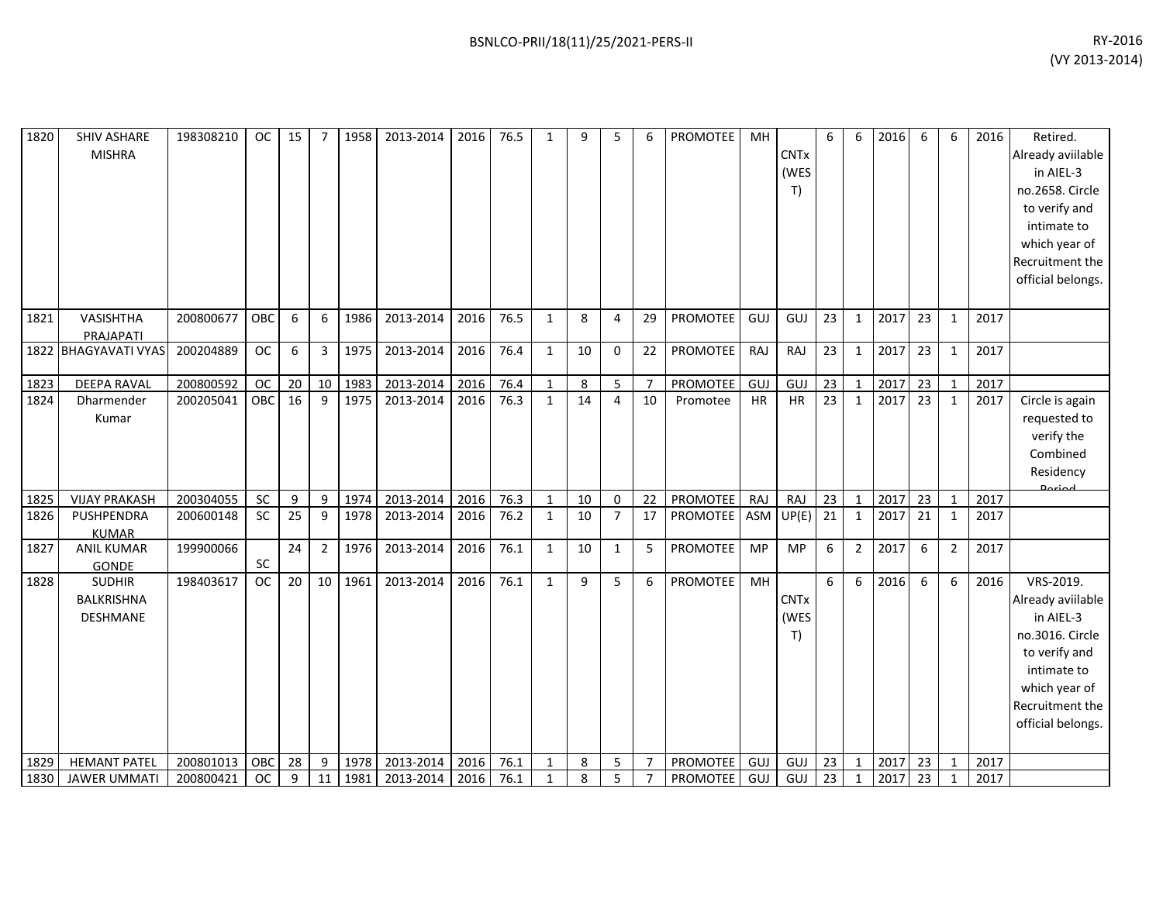| 1820 | <b>SHIV ASHARE</b><br><b>MISHRA</b>            | 198308210 | <b>OC</b>  | 15 | $\overline{7}$ | 1958 | 2013-2014 | 2016 | 76.5 | $\mathbf{1}$ | 9  | 5              | 6              | PROMOTEE        | MH         | <b>CNTx</b><br>(WES<br>T)            | 6               | 6              | 2016 | 6  | 6              | 2016 | Retired.<br>Already aviilable<br>in AIEL-3<br>no.2658. Circle<br>to verify and<br>intimate to<br>which year of<br>Recruitment the<br>official belongs.  |
|------|------------------------------------------------|-----------|------------|----|----------------|------|-----------|------|------|--------------|----|----------------|----------------|-----------------|------------|--------------------------------------|-----------------|----------------|------|----|----------------|------|---------------------------------------------------------------------------------------------------------------------------------------------------------|
| 1821 | VASISHTHA<br>PRAJAPATI                         | 200800677 | OBC        | 6  | 6              | 1986 | 2013-2014 | 2016 | 76.5 | $\mathbf{1}$ | 8  | 4              | 29             | <b>PROMOTEE</b> | GUJ        | GUJ                                  | 23              | 1              | 2017 | 23 | 1              | 2017 |                                                                                                                                                         |
|      | 1822 BHAGYAVATI VYAS                           | 200204889 | <b>OC</b>  | 6  | 3              | 1975 | 2013-2014 | 2016 | 76.4 | $\mathbf{1}$ | 10 | $\Omega$       | 22             | <b>PROMOTEE</b> | RAJ        | RAJ                                  | 23              | $\mathbf{1}$   | 2017 | 23 | $\mathbf{1}$   | 2017 |                                                                                                                                                         |
| 1823 | DEEPA RAVAL                                    | 200800592 | <b>OC</b>  | 20 | 10             | 1983 | 2013-2014 | 2016 | 76.4 | $\mathbf{1}$ | 8  | 5              | 7              | <b>PROMOTEE</b> | <b>GUJ</b> | GUJ                                  | 23              | 1              | 2017 | 23 | 1              | 2017 |                                                                                                                                                         |
| 1824 | Dharmender<br>Kumar                            | 200205041 | <b>OBC</b> | 16 | 9              | 1975 | 2013-2014 | 2016 | 76.3 | $\mathbf{1}$ | 14 | $\overline{4}$ | 10             | Promotee        | HR         | <b>HR</b>                            | 23              | $\mathbf{1}$   | 2017 | 23 | $\mathbf{1}$   | 2017 | Circle is again<br>requested to<br>verify the<br>Combined<br>Residency<br><b>Darigd</b>                                                                 |
| 1825 | <b>VIJAY PRAKASH</b>                           | 200304055 | SC         | 9  | 9              | 1974 | 2013-2014 | 2016 | 76.3 | $\mathbf{1}$ | 10 | $\mathbf 0$    | 22             | PROMOTEE        | RAJ        | RAJ                                  | 23              | $\mathbf{1}$   | 2017 | 23 | $\mathbf{1}$   | 2017 |                                                                                                                                                         |
| 1826 | PUSHPENDRA<br><b>KUMAR</b>                     | 200600148 | <b>SC</b>  | 25 | 9              | 1978 | 2013-2014 | 2016 | 76.2 | $\mathbf{1}$ | 10 | $\overline{7}$ | 17             | PROMOTEE        | ASM        | UP(E)                                | $\overline{21}$ | $\mathbf{1}$   | 2017 | 21 | $\mathbf{1}$   | 2017 |                                                                                                                                                         |
| 1827 | <b>ANIL KUMAR</b><br>GONDE                     | 199900066 | SC         | 24 | $\overline{2}$ | 1976 | 2013-2014 | 2016 | 76.1 | $\mathbf{1}$ | 10 | $\mathbf{1}$   | 5              | <b>PROMOTEE</b> | MP         | <b>MP</b>                            | 6               | $\overline{2}$ | 2017 | 6  | $\overline{2}$ | 2017 |                                                                                                                                                         |
| 1828 | <b>SUDHIR</b><br>BALKRISHNA<br><b>DESHMANE</b> | 198403617 | <b>OC</b>  | 20 | 10             | 1961 | 2013-2014 | 2016 | 76.1 | $\mathbf{1}$ | 9  | 5              | 6              | PROMOTEE        | MH         | <b>CNT<sub>x</sub></b><br>(WES<br>T) | 6               | 6              | 2016 | 6  | 6              | 2016 | VRS-2019.<br>Already aviilable<br>in AIEL-3<br>no.3016. Circle<br>to verify and<br>intimate to<br>which year of<br>Recruitment the<br>official belongs. |
| 1829 | <b>HEMANT PATEL</b>                            | 200801013 | OBC        | 28 | 9              | 1978 | 2013-2014 | 2016 | 76.1 | $\mathbf{1}$ | 8  | 5              | $\overline{7}$ | PROMOTEE        | GUJ        | GUJ                                  | 23              | $\mathbf{1}$   | 2017 | 23 | $\mathbf{1}$   | 2017 |                                                                                                                                                         |
| 1830 | <b>JAWER UMMATI</b>                            | 200800421 | <b>OC</b>  | 9  | 11             | 1981 | 2013-2014 | 2016 | 76.1 | $\mathbf{1}$ | 8  | 5              | $\overline{7}$ | PROMOTEE        | GUJ        | GUJ                                  | 23              | $\mathbf{1}$   | 2017 | 23 |                | 2017 |                                                                                                                                                         |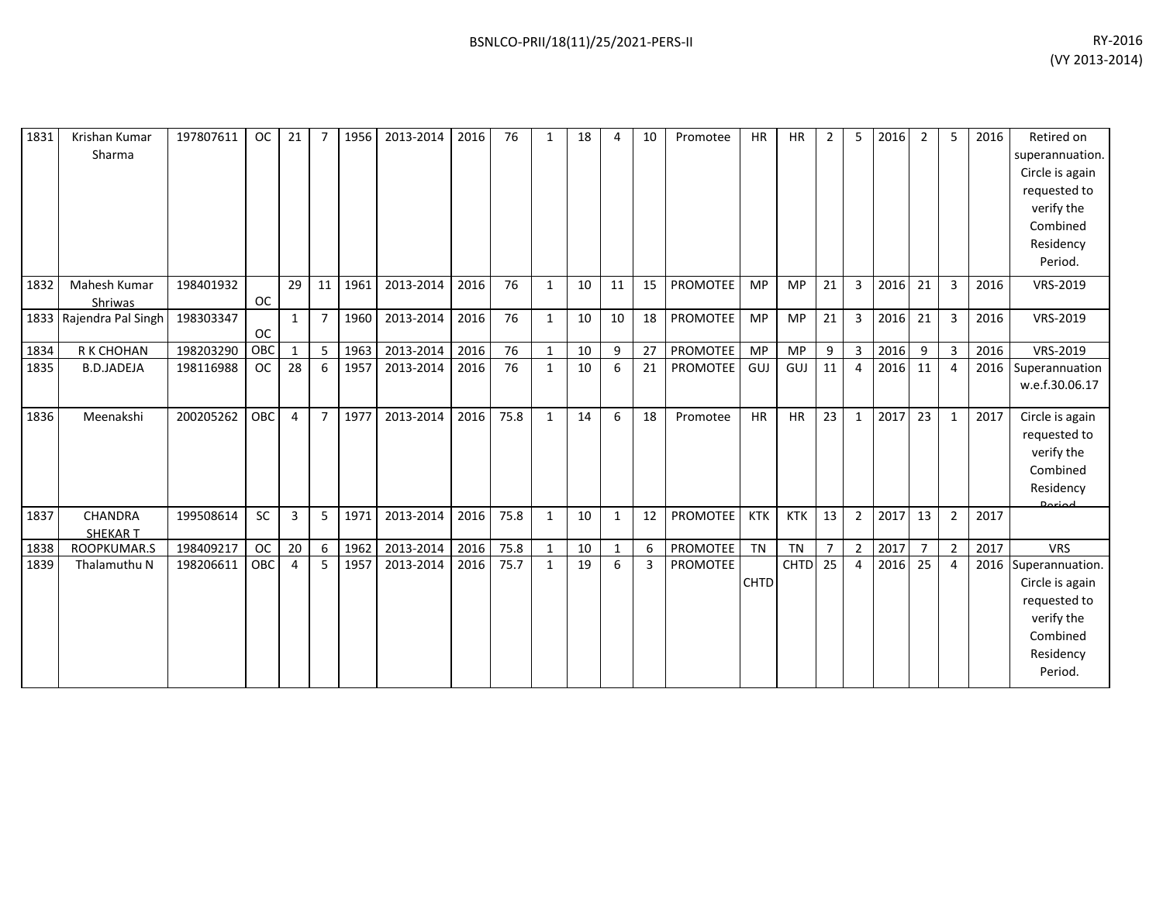| 1831 | Krishan Kumar<br>Sharma | 197807611 | <b>OC</b> | 21              |                | 1956 | 2013-2014 | 2016 | 76   | $\mathbf{1}$ | 18 | 4            | 10 | Promotee        | <b>HR</b>   | <b>HR</b>          | 2              | 5              | 2016 | $\overline{2}$ | 5              | 2016 | Retired on<br>superannuation.<br>Circle is again |
|------|-------------------------|-----------|-----------|-----------------|----------------|------|-----------|------|------|--------------|----|--------------|----|-----------------|-------------|--------------------|----------------|----------------|------|----------------|----------------|------|--------------------------------------------------|
|      |                         |           |           |                 |                |      |           |      |      |              |    |              |    |                 |             |                    |                |                |      |                |                |      | requested to                                     |
|      |                         |           |           |                 |                |      |           |      |      |              |    |              |    |                 |             |                    |                |                |      |                |                |      | verify the                                       |
|      |                         |           |           |                 |                |      |           |      |      |              |    |              |    |                 |             |                    |                |                |      |                |                |      | Combined                                         |
|      |                         |           |           |                 |                |      |           |      |      |              |    |              |    |                 |             |                    |                |                |      |                |                |      | Residency                                        |
|      |                         |           |           |                 |                |      |           |      |      |              |    |              |    |                 |             |                    |                |                |      |                |                |      | Period.                                          |
| 1832 | Mahesh Kumar            | 198401932 |           | 29              | 11             | 1961 | 2013-2014 | 2016 | 76   | $\mathbf{1}$ | 10 | 11           | 15 | <b>PROMOTEE</b> | <b>MP</b>   | <b>MP</b>          | 21             | 3              | 2016 | 21             | $\mathbf{3}$   | 2016 | VRS-2019                                         |
|      | Shriwas                 |           | <b>OC</b> |                 |                |      |           |      |      |              |    |              |    |                 |             |                    |                |                |      |                |                |      |                                                  |
|      | 1833 Rajendra Pal Singh | 198303347 | <b>OC</b> | $\mathbf{1}$    | $\overline{7}$ | 1960 | 2013-2014 | 2016 | 76   | $\mathbf{1}$ | 10 | 10           | 18 | PROMOTEE        | <b>MP</b>   | <b>MP</b>          | 21             | 3              | 2016 | 21             | 3              | 2016 | VRS-2019                                         |
| 1834 | R K CHOHAN              | 198203290 | OBC       | $\mathbf{1}$    | 5              | 1963 | 2013-2014 | 2016 | 76   | $\mathbf{1}$ | 10 | 9            | 27 | PROMOTEE        | MP          | <b>MP</b>          | 9              | 3              | 2016 | 9              | $\mathbf{3}$   | 2016 | VRS-2019                                         |
| 1835 | <b>B.D.JADEJA</b>       | 198116988 | <b>OC</b> | 28              | 6              | 1957 | 2013-2014 | 2016 | 76   | $\mathbf{1}$ | 10 | 6            | 21 | PROMOTEE        | GUJ         | GUJ                | 11             | 4              | 2016 | 11             | 4              | 2016 | Superannuation<br>w.e.f.30.06.17                 |
| 1836 | Meenakshi               | 200205262 | OBC       | 4               | $\overline{7}$ | 1977 | 2013-2014 | 2016 | 75.8 | $\mathbf{1}$ | 14 | 6            | 18 | Promotee        | <b>HR</b>   | <b>HR</b>          | 23             | $\mathbf{1}$   | 2017 | 23             | $\mathbf{1}$   | 2017 | Circle is again                                  |
|      |                         |           |           |                 |                |      |           |      |      |              |    |              |    |                 |             |                    |                |                |      |                |                |      | requested to                                     |
|      |                         |           |           |                 |                |      |           |      |      |              |    |              |    |                 |             |                    |                |                |      |                |                |      | verify the                                       |
|      |                         |           |           |                 |                |      |           |      |      |              |    |              |    |                 |             |                    |                |                |      |                |                |      | Combined                                         |
|      |                         |           |           |                 |                |      |           |      |      |              |    |              |    |                 |             |                    |                |                |      |                |                |      | Residency                                        |
| 1837 | CHANDRA                 | 199508614 | SC        | 3               | 5              | 1971 | 2013-2014 | 2016 | 75.8 | $\mathbf{1}$ | 10 | $\mathbf{1}$ | 12 | PROMOTEE        | <b>KTK</b>  | <b>KTK</b>         | 13             | $\overline{2}$ | 2017 | 13             | $\overline{2}$ | 2017 | <b>Doriod</b>                                    |
|      | <b>SHEKART</b>          |           |           |                 |                |      |           |      |      |              |    |              |    |                 |             |                    |                |                |      |                |                |      |                                                  |
| 1838 | ROOPKUMAR.S             | 198409217 | <b>OC</b> | 20 <sup>1</sup> | 6              | 1962 | 2013-2014 | 2016 | 75.8 | 1            | 10 | $\mathbf{1}$ | 6  | PROMOTEE        | TN          | <b>TN</b>          | $\overline{7}$ | $\overline{2}$ | 2017 | $\overline{7}$ | $\overline{2}$ | 2017 | <b>VRS</b>                                       |
| 1839 | Thalamuthu N            | 198206611 | OBC       | 4               | 5              | 1957 | 2013-2014 | 2016 | 75.7 | $\mathbf{1}$ | 19 | 6            | 3  | PROMOTEE        |             | CHTD <sub>25</sub> |                | $\overline{4}$ | 2016 | 25             | 4              |      | 2016 Superannuation.                             |
|      |                         |           |           |                 |                |      |           |      |      |              |    |              |    |                 | <b>CHTD</b> |                    |                |                |      |                |                |      | Circle is again                                  |
|      |                         |           |           |                 |                |      |           |      |      |              |    |              |    |                 |             |                    |                |                |      |                |                |      | requested to                                     |
|      |                         |           |           |                 |                |      |           |      |      |              |    |              |    |                 |             |                    |                |                |      |                |                |      | verify the                                       |
|      |                         |           |           |                 |                |      |           |      |      |              |    |              |    |                 |             |                    |                |                |      |                |                |      | Combined                                         |
|      |                         |           |           |                 |                |      |           |      |      |              |    |              |    |                 |             |                    |                |                |      |                |                |      | Residency                                        |
|      |                         |           |           |                 |                |      |           |      |      |              |    |              |    |                 |             |                    |                |                |      |                |                |      | Period.                                          |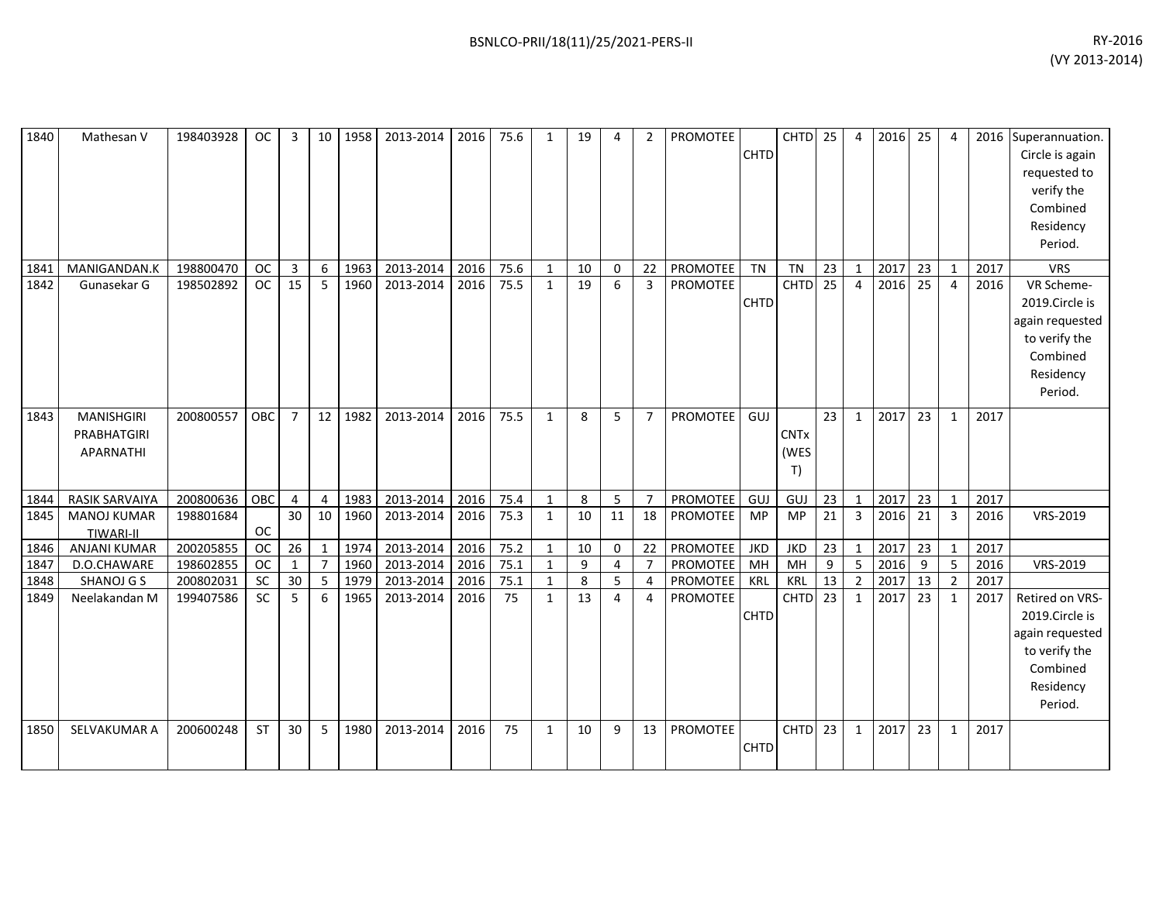|      |                       |           |           |                 |                 |      |           |      | 75.6 |              |    |                |                |                 |             | CHTD 25            |                |                |      | 25 |                |      |                      |
|------|-----------------------|-----------|-----------|-----------------|-----------------|------|-----------|------|------|--------------|----|----------------|----------------|-----------------|-------------|--------------------|----------------|----------------|------|----|----------------|------|----------------------|
| 1840 | Mathesan V            | 198403928 | <b>OC</b> | 3               | 10 <sup>1</sup> | 1958 | 2013-2014 | 2016 |      | $\mathbf{1}$ | 19 | 4              | $\overline{2}$ | PROMOTEE        |             |                    |                | $\overline{4}$ | 2016 |    | 4              |      | 2016 Superannuation. |
|      |                       |           |           |                 |                 |      |           |      |      |              |    |                |                |                 | CHTD        |                    |                |                |      |    |                |      | Circle is again      |
|      |                       |           |           |                 |                 |      |           |      |      |              |    |                |                |                 |             |                    |                |                |      |    |                |      | requested to         |
|      |                       |           |           |                 |                 |      |           |      |      |              |    |                |                |                 |             |                    |                |                |      |    |                |      | verify the           |
|      |                       |           |           |                 |                 |      |           |      |      |              |    |                |                |                 |             |                    |                |                |      |    |                |      | Combined             |
|      |                       |           |           |                 |                 |      |           |      |      |              |    |                |                |                 |             |                    |                |                |      |    |                |      | Residency            |
|      |                       |           |           |                 |                 |      |           |      |      |              |    |                |                |                 |             |                    |                |                |      |    |                |      | Period.              |
| 1841 | MANIGANDAN.K          | 198800470 | <b>OC</b> | 3               | 6               | 1963 | 2013-2014 | 2016 | 75.6 | $\mathbf{1}$ | 10 | 0              | 22             | <b>PROMOTEE</b> | <b>TN</b>   | <b>TN</b>          | 23             | $\mathbf{1}$   | 2017 | 23 | $\mathbf{1}$   | 2017 | <b>VRS</b>           |
| 1842 | Gunasekar G           | 198502892 | <b>OC</b> | 15              | 5               | 1960 | 2013-2014 | 2016 | 75.5 | $\mathbf{1}$ | 19 | 6              | 3              | PROMOTEE        |             | <b>CHTD</b>        | 25             | $\overline{4}$ | 2016 | 25 | $\overline{4}$ | 2016 | VR Scheme-           |
|      |                       |           |           |                 |                 |      |           |      |      |              |    |                |                |                 | <b>CHTD</b> |                    |                |                |      |    |                |      | 2019.Circle is       |
|      |                       |           |           |                 |                 |      |           |      |      |              |    |                |                |                 |             |                    |                |                |      |    |                |      | again requested      |
|      |                       |           |           |                 |                 |      |           |      |      |              |    |                |                |                 |             |                    |                |                |      |    |                |      | to verify the        |
|      |                       |           |           |                 |                 |      |           |      |      |              |    |                |                |                 |             |                    |                |                |      |    |                |      | Combined             |
|      |                       |           |           |                 |                 |      |           |      |      |              |    |                |                |                 |             |                    |                |                |      |    |                |      | Residency            |
|      |                       |           |           |                 |                 |      |           |      |      |              |    |                |                |                 |             |                    |                |                |      |    |                |      | Period.              |
|      |                       |           |           |                 |                 |      |           |      |      |              |    |                |                |                 |             |                    |                |                |      |    |                |      |                      |
| 1843 | <b>MANISHGIRI</b>     | 200800557 | OBC       | $\overline{7}$  | 12 <sup>1</sup> | 1982 | 2013-2014 | 2016 | 75.5 | $\mathbf{1}$ | 8  | 5              | $\overline{7}$ | <b>PROMOTEE</b> | GUJ         |                    | 23             | $\mathbf{1}$   | 2017 | 23 | $\mathbf{1}$   | 2017 |                      |
|      | PRABHATGIRI           |           |           |                 |                 |      |           |      |      |              |    |                |                |                 |             | <b>CNTx</b>        |                |                |      |    |                |      |                      |
|      | APARNATHI             |           |           |                 |                 |      |           |      |      |              |    |                |                |                 |             | (WES               |                |                |      |    |                |      |                      |
|      |                       |           |           |                 |                 |      |           |      |      |              |    |                |                |                 |             | T)                 |                |                |      |    |                |      |                      |
| 1844 | <b>RASIK SARVAIYA</b> | 200800636 | OBC       | 4               | 4               | 1983 | 2013-2014 | 2016 | 75.4 | $\mathbf{1}$ | 8  | 5              | $\overline{7}$ | PROMOTEE        | GUJ         | GUJ                | 23             | $\mathbf{1}$   | 2017 | 23 | $\mathbf{1}$   | 2017 |                      |
| 1845 | <b>MANOJ KUMAR</b>    | 198801684 |           | 30 <sup>°</sup> | 10              | 1960 | 2013-2014 | 2016 | 75.3 | $\mathbf{1}$ | 10 | 11             | 18             | <b>PROMOTEE</b> | MP          | <b>MP</b>          | 21             | 3              | 2016 | 21 | $\mathbf{3}$   | 2016 | VRS-2019             |
|      | <b>TIWARI-II</b>      |           | <b>OC</b> |                 |                 |      |           |      |      |              |    |                |                |                 |             |                    |                |                |      |    |                |      |                      |
| 1846 | <b>ANJANI KUMAR</b>   | 200205855 | <b>OC</b> | 26              | $\mathbf{1}$    | 1974 | 2013-2014 | 2016 | 75.2 | $\mathbf{1}$ | 10 | 0              | 22             | <b>PROMOTEE</b> | <b>JKD</b>  | <b>JKD</b>         | 23             | $\mathbf{1}$   | 2017 | 23 | $\mathbf{1}$   | 2017 |                      |
| 1847 | D.O.CHAWARE           | 198602855 | <b>OC</b> | $\mathbf{1}$    | $\overline{7}$  | 1960 | 2013-2014 | 2016 | 75.1 | 1            | 9  | 4              | $\overline{7}$ | <b>PROMOTEE</b> | MH          | MH                 | $\overline{9}$ | 5              | 2016 | 9  | 5              | 2016 | VRS-2019             |
| 1848 | SHANOJ G S            | 200802031 | <b>SC</b> | 30              | 5               | 1979 | 2013-2014 | 2016 | 75.1 | $\mathbf{1}$ | 8  | 5              | 4              | PROMOTEE        | KRL         | <b>KRL</b>         | 13             | $\overline{2}$ | 2017 | 13 | $\overline{2}$ | 2017 |                      |
| 1849 | Neelakandan M         | 199407586 | <b>SC</b> | 5               | 6               | 1965 | 2013-2014 | 2016 | 75   | $\mathbf{1}$ | 13 | $\overline{4}$ | 4              | <b>PROMOTEE</b> |             | CHTD <sub>23</sub> |                | $\mathbf{1}$   | 2017 | 23 | $\mathbf{1}$   | 2017 | Retired on VRS-      |
|      |                       |           |           |                 |                 |      |           |      |      |              |    |                |                |                 | CHTD        |                    |                |                |      |    |                |      | 2019.Circle is       |
|      |                       |           |           |                 |                 |      |           |      |      |              |    |                |                |                 |             |                    |                |                |      |    |                |      | again requested      |
|      |                       |           |           |                 |                 |      |           |      |      |              |    |                |                |                 |             |                    |                |                |      |    |                |      | to verify the        |
|      |                       |           |           |                 |                 |      |           |      |      |              |    |                |                |                 |             |                    |                |                |      |    |                |      | Combined             |
|      |                       |           |           |                 |                 |      |           |      |      |              |    |                |                |                 |             |                    |                |                |      |    |                |      | Residency            |
|      |                       |           |           |                 |                 |      |           |      |      |              |    |                |                |                 |             |                    |                |                |      |    |                |      | Period.              |
|      |                       |           |           |                 |                 |      |           |      |      |              |    |                |                |                 |             |                    |                |                |      |    |                |      |                      |
| 1850 | SELVAKUMAR A          | 200600248 | <b>ST</b> | 30              | 5               | 1980 | 2013-2014 | 2016 | 75   | $\mathbf{1}$ | 10 | 9              | 13             | PROMOTEE        |             | CHTD <sub>23</sub> |                | $\mathbf{1}$   | 2017 | 23 | $\mathbf{1}$   | 2017 |                      |
|      |                       |           |           |                 |                 |      |           |      |      |              |    |                |                |                 | <b>CHTD</b> |                    |                |                |      |    |                |      |                      |
|      |                       |           |           |                 |                 |      |           |      |      |              |    |                |                |                 |             |                    |                |                |      |    |                |      |                      |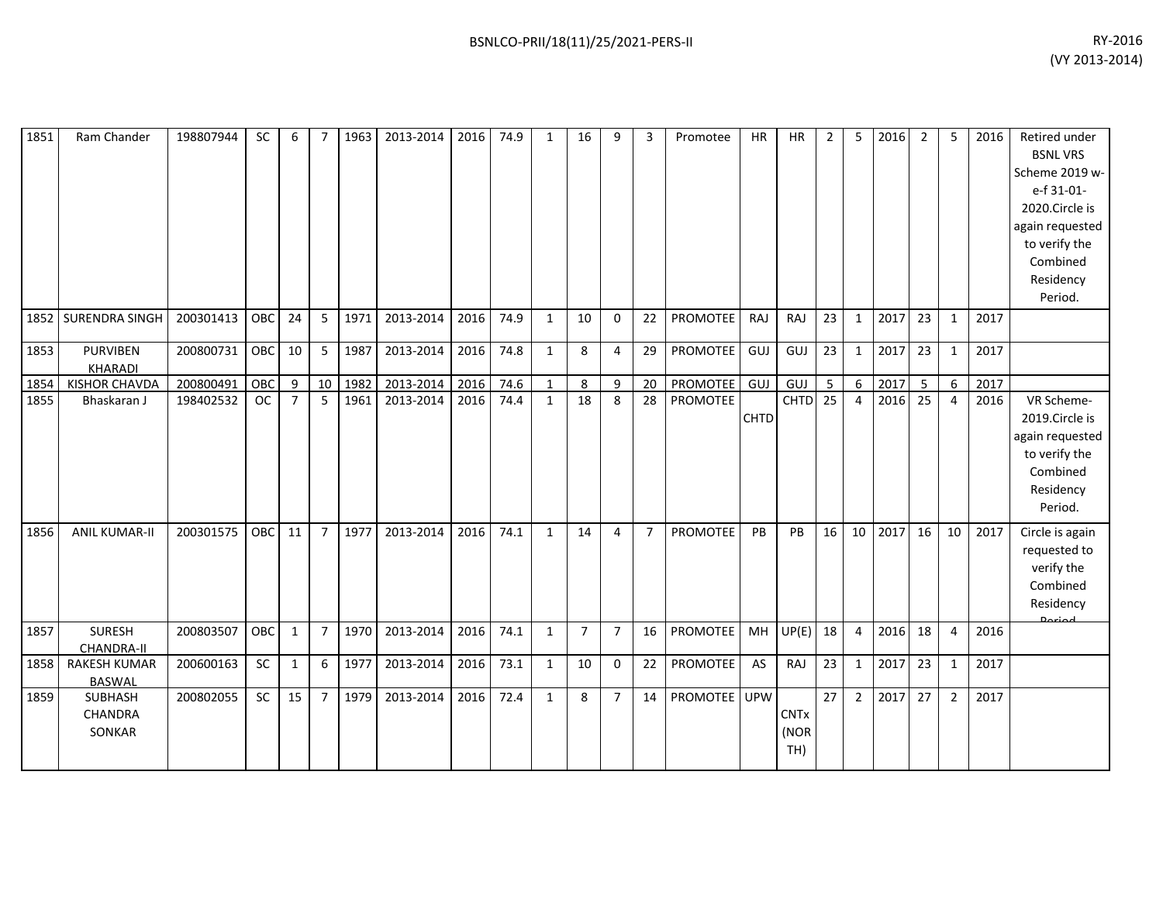| 1851 | Ram Chander                          | 198807944 | <b>SC</b> | 6               | $\overline{7}$ | 1963 | 2013-2014 | 2016 | 74.9 | $\mathbf{1}$ | 16             | 9              | 3              | Promotee        | <b>HR</b>   | <b>HR</b>                  | $\overline{2}$ | 5              | 2016 | $\overline{2}$ | 5              | 2016 | Retired under<br><b>BSNL VRS</b><br>Scheme 2019 w-<br>e-f 31-01-<br>2020.Circle is<br>again requested<br>to verify the<br>Combined<br>Residency<br>Period. |
|------|--------------------------------------|-----------|-----------|-----------------|----------------|------|-----------|------|------|--------------|----------------|----------------|----------------|-----------------|-------------|----------------------------|----------------|----------------|------|----------------|----------------|------|------------------------------------------------------------------------------------------------------------------------------------------------------------|
| 1852 | SURENDRA SINGH                       | 200301413 | OBC       | 24              | 5              | 1971 | 2013-2014 | 2016 | 74.9 | $\mathbf{1}$ | 10             | $\mathbf 0$    | 22             | <b>PROMOTEE</b> | RAJ         | RAJ                        | 23             | $\mathbf{1}$   | 2017 | 23             | $\mathbf{1}$   | 2017 |                                                                                                                                                            |
| 1853 | <b>PURVIBEN</b><br>KHARADI           | 200800731 | OBC       | 10 <sup>1</sup> | 5              | 1987 | 2013-2014 | 2016 | 74.8 | $\mathbf{1}$ | 8              | 4              | 29             | PROMOTEE        | GUJ         | <b>GUJ</b>                 | 23             | 1              | 2017 | 23             | 1              | 2017 |                                                                                                                                                            |
| 1854 | <b>KISHOR CHAVDA</b>                 | 200800491 | OBC       | 9               | 10             | 1982 | 2013-2014 | 2016 | 74.6 | $\mathbf{1}$ | 8              | 9              | 20             | PROMOTEE        | GUJ         | GUJ                        | 5              | 6              | 2017 | 5              | 6              | 2017 |                                                                                                                                                            |
| 1855 | Bhaskaran J                          | 198402532 | <b>OC</b> | $\overline{7}$  | 5              | 1961 | 2013-2014 | 2016 | 74.4 | $\mathbf{1}$ | 18             | 8              | 28             | <b>PROMOTEE</b> | <b>CHTD</b> | CHTD <sub>25</sub>         |                | $\overline{4}$ | 2016 | 25             | 4              | 2016 | VR Scheme-<br>2019.Circle is<br>again requested<br>to verify the<br>Combined<br>Residency<br>Period.                                                       |
| 1856 | <b>ANIL KUMAR-II</b>                 | 200301575 | OBC       | 11              | $\overline{7}$ | 1977 | 2013-2014 | 2016 | 74.1 | $\mathbf{1}$ | 14             | 4              | $\overline{7}$ | <b>PROMOTEE</b> | PB          | PB                         | 16             | 10             | 2017 | 16             | 10             | 2017 | Circle is again<br>requested to<br>verify the<br>Combined<br>Residency<br><b>Doriod</b>                                                                    |
| 1857 | <b>SURESH</b><br><b>CHANDRA-II</b>   | 200803507 | OBC       | $\mathbf{1}$    | $\overline{7}$ | 1970 | 2013-2014 | 2016 | 74.1 | $\mathbf{1}$ | $\overline{7}$ | $\overline{7}$ | 16             | PROMOTEE        | MH          | UP(E)                      | 18             | $\overline{4}$ | 2016 | 18             | $\overline{4}$ | 2016 |                                                                                                                                                            |
| 1858 | <b>RAKESH KUMAR</b><br><b>BASWAL</b> | 200600163 | <b>SC</b> | $\mathbf{1}$    | 6              | 1977 | 2013-2014 | 2016 | 73.1 | $\mathbf{1}$ | 10             | 0              | 22             | PROMOTEE        | AS          | RAJ                        | 23             | $\mathbf{1}$   | 2017 | 23             | $\mathbf{1}$   | 2017 |                                                                                                                                                            |
| 1859 | SUBHASH<br>CHANDRA<br>SONKAR         | 200802055 | SC        | 15              | 7 <sup>1</sup> | 1979 | 2013-2014 | 2016 | 72.4 | $\mathbf{1}$ | 8              | $\overline{7}$ | 14             | PROMOTEE        | <b>UPW</b>  | <b>CNTx</b><br>(NOR<br>TH) | 27             | $\overline{2}$ | 2017 | 27             | $\overline{2}$ | 2017 |                                                                                                                                                            |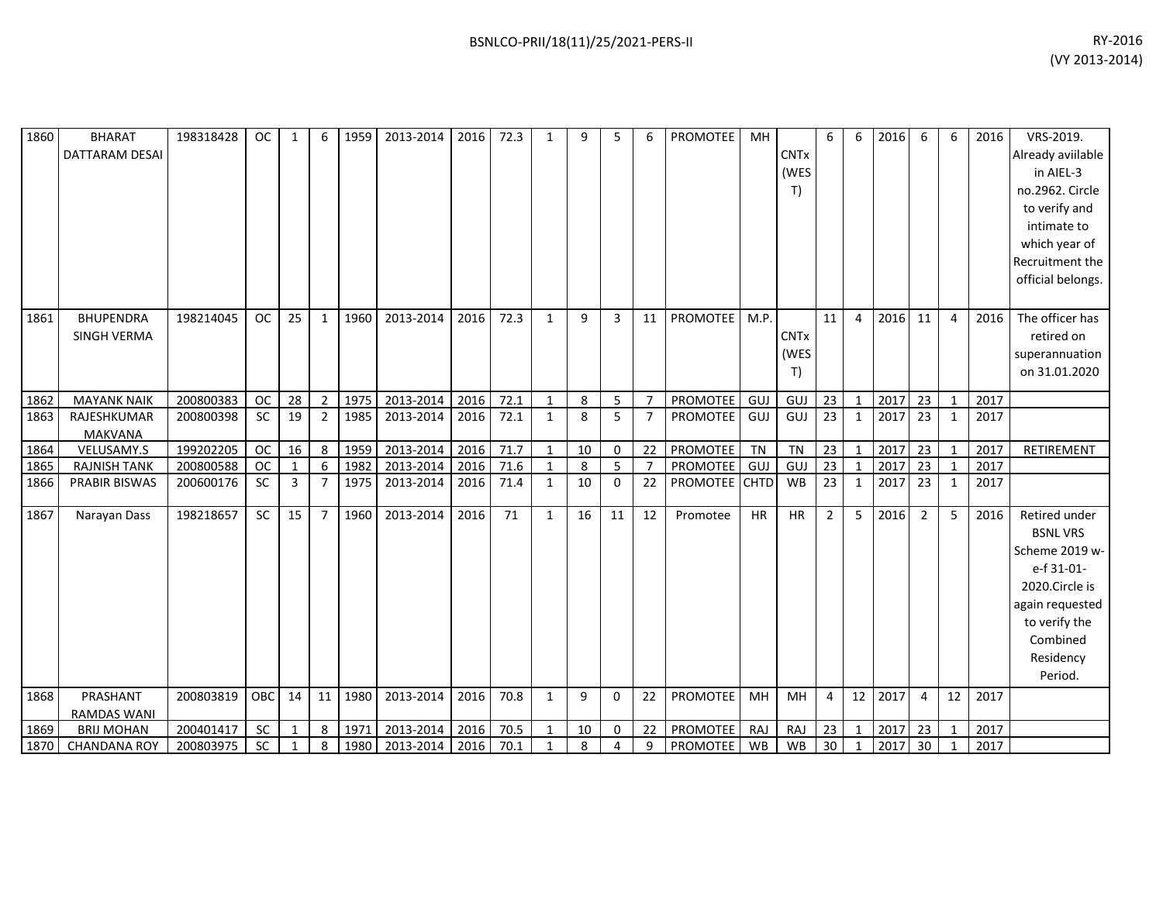| 1860         | <b>BHARAT</b>                            | 198318428              | <b>OC</b> | $\mathbf{1}$ | 6              | 1959         | 2013-2014              | 2016         | 72.3         | $\mathbf{1}$      | 9       | 5            | 6              | PROMOTEE             | MH        |                  | 6              | 6              | 2016         | 6               | 6                            | 2016         | VRS-2019.         |
|--------------|------------------------------------------|------------------------|-----------|--------------|----------------|--------------|------------------------|--------------|--------------|-------------------|---------|--------------|----------------|----------------------|-----------|------------------|----------------|----------------|--------------|-----------------|------------------------------|--------------|-------------------|
|              | <b>DATTARAM DESAI</b>                    |                        |           |              |                |              |                        |              |              |                   |         |              |                |                      |           | <b>CNTx</b>      |                |                |              |                 |                              |              | Already aviilable |
|              |                                          |                        |           |              |                |              |                        |              |              |                   |         |              |                |                      |           | (WES             |                |                |              |                 |                              |              | in AIEL-3         |
|              |                                          |                        |           |              |                |              |                        |              |              |                   |         |              |                |                      |           | T)               |                |                |              |                 |                              |              | no.2962. Circle   |
|              |                                          |                        |           |              |                |              |                        |              |              |                   |         |              |                |                      |           |                  |                |                |              |                 |                              |              | to verify and     |
|              |                                          |                        |           |              |                |              |                        |              |              |                   |         |              |                |                      |           |                  |                |                |              |                 |                              |              | intimate to       |
|              |                                          |                        |           |              |                |              |                        |              |              |                   |         |              |                |                      |           |                  |                |                |              |                 |                              |              | which year of     |
|              |                                          |                        |           |              |                |              |                        |              |              |                   |         |              |                |                      |           |                  |                |                |              |                 |                              |              | Recruitment the   |
|              |                                          |                        |           |              |                |              |                        |              |              |                   |         |              |                |                      |           |                  |                |                |              |                 |                              |              | official belongs. |
|              |                                          |                        |           |              |                |              |                        |              |              |                   |         |              |                |                      |           |                  |                |                |              |                 |                              |              |                   |
| 1861         | <b>BHUPENDRA</b>                         | 198214045              | <b>OC</b> | 25           | $\mathbf{1}$   | 1960         | 2013-2014              | 2016         | 72.3         | $\mathbf{1}$      | 9       | 3            | 11             | PROMOTEE             | M.P.      |                  | 11             | $\overline{4}$ | 2016         | 11              | $\overline{4}$               | 2016         | The officer has   |
|              | <b>SINGH VERMA</b>                       |                        |           |              |                |              |                        |              |              |                   |         |              |                |                      |           | <b>CNTx</b>      |                |                |              |                 |                              |              | retired on        |
|              |                                          |                        |           |              |                |              |                        |              |              |                   |         |              |                |                      |           | (WES             |                |                |              |                 |                              |              | superannuation    |
|              |                                          |                        |           |              |                |              |                        |              |              |                   |         |              |                |                      |           | T)               |                |                |              |                 |                              |              | on 31.01.2020     |
| 1862         | <b>MAYANK NAIK</b>                       | 200800383              | <b>OC</b> | 28           | 2              | 1975         | 2013-2014              | 2016         | 72.1         | $\mathbf{1}$      | 8       | 5            | $\overline{7}$ | PROMOTEE             | GUJ       | GUJ              | 23             | $\mathbf{1}$   | 2017         | 23              | $\mathbf{1}$                 | 2017         |                   |
| 1863         | RAJESHKUMAR                              | 200800398              | <b>SC</b> | 19           | $\overline{2}$ | 1985         | 2013-2014              | 2016         | 72.1         | $\mathbf{1}$      | 8       | 5            | $\overline{7}$ | <b>PROMOTEE</b>      | GUJ       | GUJ              | 23             | 1              | 2017         | 23              | $\mathbf{1}$                 | 2017         |                   |
|              | <b>MAKVANA</b>                           |                        |           |              |                |              |                        |              |              |                   |         |              |                |                      |           |                  |                |                |              |                 |                              |              |                   |
| 1864         | VELUSAMY.S                               | 199202205              | OC        | 16           | 8              | 1959         | 2013-2014              | 2016         | 71.7         | $\mathbf{1}$      | 10      | 0            | 22             | PROMOTEE             | TN        | <b>TN</b>        | 23             | $\mathbf{1}$   | 2017         | 23              | $\mathbf{1}$                 | 2017         | RETIREMENT        |
| 1865         | <b>RAJNISH TANK</b>                      | 200800588              | <b>OC</b> | $\mathbf{1}$ | 6              | 1982         | 2013-2014              | 2016         | 71.6         | 1                 | 8       | 5            | $\overline{7}$ | PROMOTEE             | GUJ       | GUJ              | 23             | $\mathbf{1}$   | 2017         | 23              | $\mathbf{1}$                 | 2017         |                   |
| 1866         | PRABIR BISWAS                            | 200600176              | SC        | 3            | $\overline{7}$ | 1975         | 2013-2014              | 2016         | 71.4         | $\mathbf{1}$      | 10      | 0            | 22             | PROMOTEE CHTD        |           | WB               | 23             | $\mathbf{1}$   | 2017         | $\overline{23}$ | $\mathbf{1}$                 | 2017         |                   |
|              |                                          |                        |           |              |                |              |                        |              |              |                   |         |              |                |                      |           |                  |                |                |              |                 |                              |              |                   |
| 1867         | Narayan Dass                             | 198218657              | <b>SC</b> | 15           | $\overline{7}$ | 1960         | 2013-2014              | 2016         | 71           | $\mathbf{1}$      | 16      | 11           | 12             | Promotee             | <b>HR</b> | <b>HR</b>        | $\overline{2}$ | 5              | 2016         | $\overline{2}$  | 5                            | 2016         | Retired under     |
|              |                                          |                        |           |              |                |              |                        |              |              |                   |         |              |                |                      |           |                  |                |                |              |                 |                              |              | <b>BSNL VRS</b>   |
|              |                                          |                        |           |              |                |              |                        |              |              |                   |         |              |                |                      |           |                  |                |                |              |                 |                              |              | Scheme 2019 w-    |
|              |                                          |                        |           |              |                |              |                        |              |              |                   |         |              |                |                      |           |                  |                |                |              |                 |                              |              | e-f 31-01-        |
|              |                                          |                        |           |              |                |              |                        |              |              |                   |         |              |                |                      |           |                  |                |                |              |                 |                              |              | 2020.Circle is    |
|              |                                          |                        |           |              |                |              |                        |              |              |                   |         |              |                |                      |           |                  |                |                |              |                 |                              |              | again requested   |
|              |                                          |                        |           |              |                |              |                        |              |              |                   |         |              |                |                      |           |                  |                |                |              |                 |                              |              | to verify the     |
|              |                                          |                        |           |              |                |              |                        |              |              |                   |         |              |                |                      |           |                  |                |                |              |                 |                              |              | Combined          |
|              |                                          |                        |           |              |                |              |                        |              |              |                   |         |              |                |                      |           |                  |                |                |              |                 |                              |              | Residency         |
|              |                                          |                        |           |              |                |              |                        |              |              |                   |         |              |                |                      |           |                  |                |                |              |                 |                              |              | Period.           |
| 1868         | PRASHANT                                 | 200803819              | OBC       | 14           | 11             | 1980         | 2013-2014              | 2016         | 70.8         | $\mathbf{1}$      | 9       | $\mathbf{0}$ | 22             | <b>PROMOTEE</b>      | MH        | MH               | $\overline{a}$ | 12             | 2017         | 4               | 12                           | 2017         |                   |
|              | <b>RAMDAS WANI</b>                       |                        |           |              |                |              |                        |              |              |                   |         |              |                |                      |           |                  |                |                |              |                 |                              |              |                   |
| 1869<br>1870 | <b>BRIJ MOHAN</b><br><b>CHANDANA ROY</b> | 200401417<br>200803975 | SC<br>SC  | 1<br>1       | 8<br>8         | 1971<br>1980 | 2013-2014<br>2013-2014 | 2016<br>2016 | 70.5<br>70.1 | $\mathbf{1}$<br>1 | 10<br>8 | 0<br>4       | 22<br>9        | PROMOTEE<br>PROMOTEE | RAJ<br>WB | RAJ<br><b>WB</b> | 23<br>30       | $\mathbf{1}$   | 2017<br>2017 | 23<br>30        | $\mathbf{1}$<br>$\mathbf{1}$ | 2017<br>2017 |                   |
|              |                                          |                        |           |              |                |              |                        |              |              |                   |         |              |                |                      |           |                  |                |                |              |                 |                              |              |                   |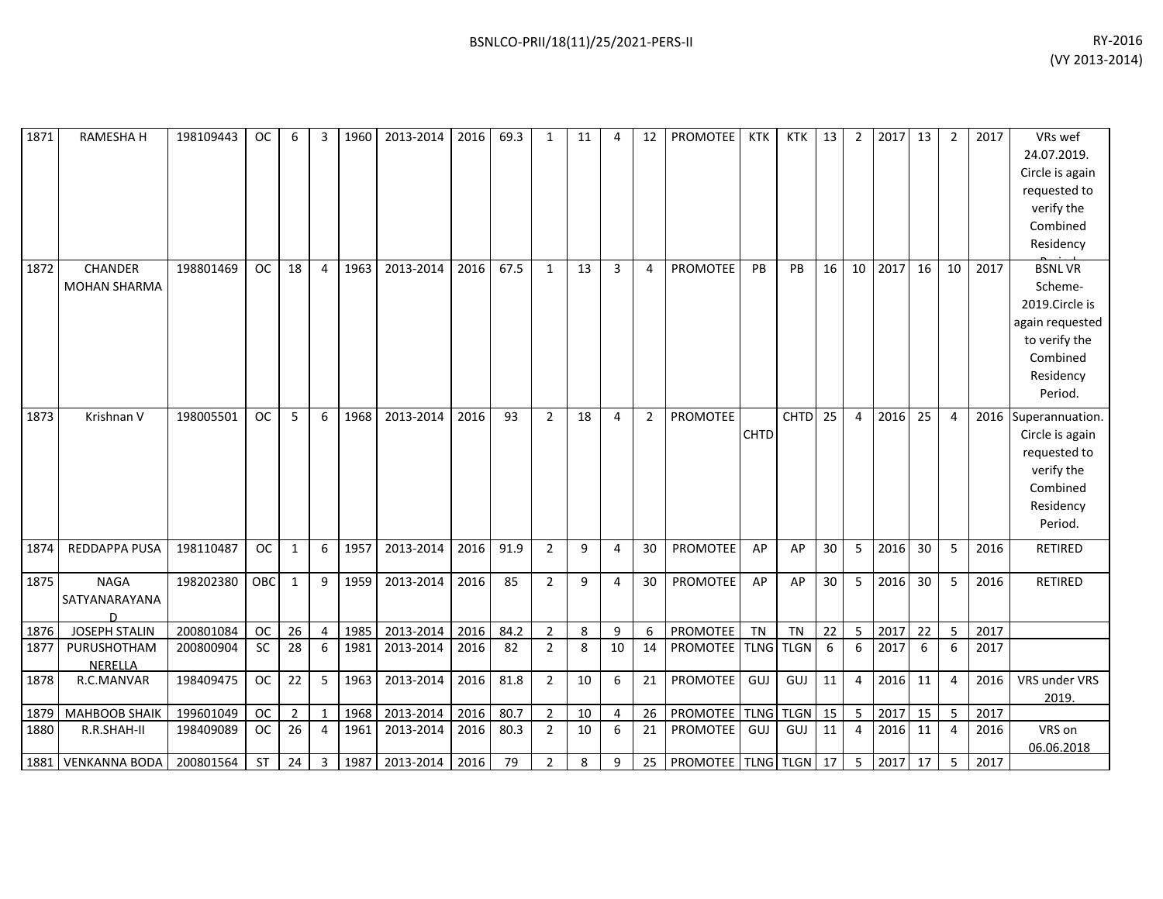| 1871 | RAMESHA H                          | 198109443 | <b>OC</b> | 6              | 3              | 1960 | 2013-2014 | 2016 | 69.3 | 1              | 11 | 4              | 12             | <b>PROMOTEE</b>       | KTK         | KTK I       | 13 | $\overline{2}$ | $2017$ 13 |                 | $\overline{2}$ | 2017 | VRs wef<br>24.07.2019.<br>Circle is again<br>requested to<br>verify the<br>Combined<br>Residency                   |
|------|------------------------------------|-----------|-----------|----------------|----------------|------|-----------|------|------|----------------|----|----------------|----------------|-----------------------|-------------|-------------|----|----------------|-----------|-----------------|----------------|------|--------------------------------------------------------------------------------------------------------------------|
| 1872 | CHANDER<br><b>MOHAN SHARMA</b>     | 198801469 | <b>OC</b> | 18             | $\overline{4}$ | 1963 | 2013-2014 | 2016 | 67.5 | $\mathbf{1}$   | 13 | $\overline{3}$ | $\overline{4}$ | PROMOTEE              | PB          | PB          | 16 | 10             | 2017      | 16              | 10             | 2017 | <b>BSNLVR</b><br>Scheme-<br>2019.Circle is<br>again requested<br>to verify the<br>Combined<br>Residency<br>Period. |
| 1873 | Krishnan V                         | 198005501 | OC        | 5              | 6              | 1968 | 2013-2014 | 2016 | 93   | $\overline{2}$ | 18 | 4              | $2^{\circ}$    | PROMOTEE              | <b>CHTD</b> | <b>CHTD</b> | 25 | $\overline{4}$ | 2016      | 25              | 4              |      | 2016 Superannuation.<br>Circle is again<br>requested to<br>verify the<br>Combined<br>Residency<br>Period.          |
| 1874 | REDDAPPA PUSA                      | 198110487 | <b>OC</b> | $\mathbf{1}$   | 6              | 1957 | 2013-2014 | 2016 | 91.9 | $\overline{2}$ | 9  | 4              | 30             | PROMOTEE              | AP          | AP          | 30 | 5              | 2016      | 30              | 5              | 2016 | <b>RETIRED</b>                                                                                                     |
| 1875 | <b>NAGA</b><br>SATYANARAYANA<br>D. | 198202380 | OBC       | $\mathbf{1}$   | 9              | 1959 | 2013-2014 | 2016 | 85   | $\overline{2}$ | 9  | 4              | 30             | PROMOTEE              | AP          | AP          | 30 | 5              | 2016      | 30 <sup>°</sup> | 5              | 2016 | RETIRED                                                                                                            |
| 1876 | <b>JOSEPH STALIN</b>               | 200801084 | <b>OC</b> | 26             | $\overline{4}$ | 1985 | 2013-2014 | 2016 | 84.2 | $\overline{2}$ | 8  | 9              | 6              | PROMOTEE              | TN          | <b>TN</b>   | 22 | 5              | 2017      | 22              | 5              | 2017 |                                                                                                                    |
| 1877 | PURUSHOTHAM<br><b>NERELLA</b>      | 200800904 | SC        | 28             | 6              | 1981 | 2013-2014 | 2016 | 82   | $\overline{2}$ | 8  | 10             | 14             | PROMOTEE TLNG TLGN    |             |             | 6  | 6              | 2017      | 6               | 6              | 2017 |                                                                                                                    |
| 1878 | R.C.MANVAR                         | 198409475 | <b>OC</b> | 22             | 5              | 1963 | 2013-2014 | 2016 | 81.8 | $\overline{2}$ | 10 | 6              | 21             | PROMOTEE              | GUJ         | GUJ         | 11 | $\overline{4}$ | 2016      | 11              | 4              | 2016 | VRS under VRS<br>2019.                                                                                             |
| 1879 | <b>MAHBOOB SHAIK</b>               | 199601049 | OC        | $\overline{2}$ | $\mathbf{1}$   | 1968 | 2013-2014 | 2016 | 80.7 | $\overline{2}$ | 10 | 4              | 26             | PROMOTEE TLNG         |             | <b>TLGN</b> | 15 | 5              | 2017      | 15              | 5              | 2017 |                                                                                                                    |
| 1880 | R.R.SHAH-II                        | 198409089 | <b>OC</b> | 26             | $\overline{4}$ | 1961 | 2013-2014 | 2016 | 80.3 | $\overline{2}$ | 10 | 6              | 21             | PROMOTEE              | GUJ         | GUJ         | 11 | $\overline{4}$ | 2016      | 11              | 4              | 2016 | VRS on<br>06.06.2018                                                                                               |
|      | 1881   VENKANNA BODA               | 200801564 | ST        | 24             | $\overline{3}$ | 1987 | 2013-2014 | 2016 | 79   | $\overline{2}$ | 8  | 9              | 25             | PROMOTEE TLNG TLGN 17 |             |             |    |                | 2017      | 17              | 5              | 2017 |                                                                                                                    |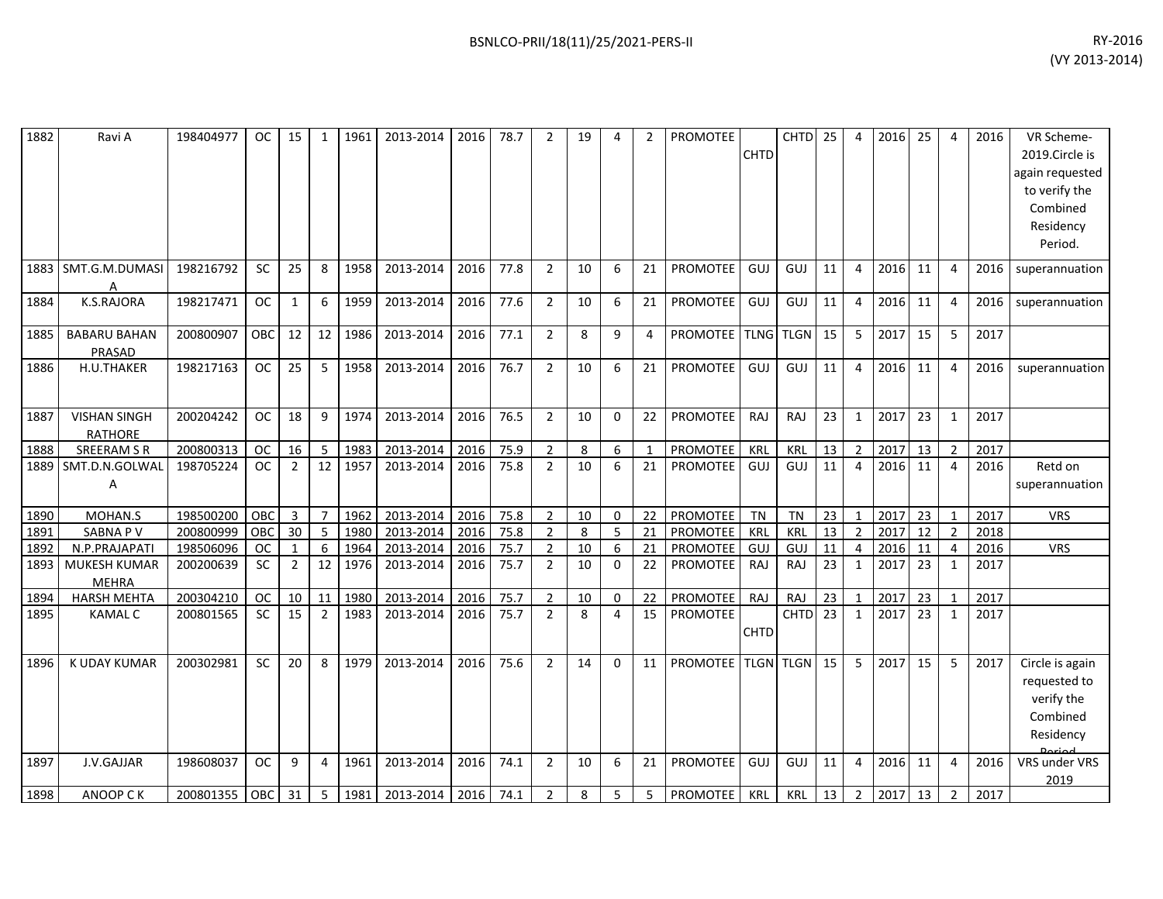| 1882 | Ravi A                                | 198404977 | OC.       | 15             | 1              | 1961 | 2013-2014 | 2016 | 78.7 | 2              | 19 | 4            | $\overline{2}$ | <b>PROMOTEE</b>    | <b>CHTD</b> | <b>CHTD</b>      | 25              | $\overline{4}$ | 2016 | 25 | 4              | 2016 | VR Scheme-<br>2019.Circle is<br>again requested<br>to verify the<br>Combined<br>Residency<br>Period. |
|------|---------------------------------------|-----------|-----------|----------------|----------------|------|-----------|------|------|----------------|----|--------------|----------------|--------------------|-------------|------------------|-----------------|----------------|------|----|----------------|------|------------------------------------------------------------------------------------------------------|
| 1883 | SMT.G.M.DUMASI<br>А                   | 198216792 | <b>SC</b> | 25             | 8              | 1958 | 2013-2014 | 2016 | 77.8 | $\overline{2}$ | 10 | 6            | 21             | <b>PROMOTEE</b>    | GUJ         | GUJ              | 11              | 4              | 2016 | 11 | 4              | 2016 | superannuation                                                                                       |
| 1884 | K.S.RAJORA                            | 198217471 | <b>OC</b> | 1              | 6              | 1959 | 2013-2014 | 2016 | 77.6 | $\overline{2}$ | 10 | 6            | 21             | PROMOTEE           | GUJ         | GUJ              | 11              | $\overline{4}$ | 2016 | 11 | 4              | 2016 | superannuation                                                                                       |
| 1885 | <b>BABARU BAHAN</b><br>PRASAD         | 200800907 | OBC       | 12             | 12             | 1986 | 2013-2014 | 2016 | 77.1 | $\overline{2}$ | 8  | 9            | 4              | PROMOTEE TLNG TLGN |             |                  | 15              | 5              | 2017 | 15 | 5              | 2017 |                                                                                                      |
| 1886 | H.U.THAKER                            | 198217163 | <b>OC</b> | 25             | 5              | 1958 | 2013-2014 | 2016 | 76.7 | $\overline{2}$ | 10 | 6            | 21             | <b>PROMOTEE</b>    | GUJ         | GUJ              | 11              | $\overline{4}$ | 2016 | 11 | 4              | 2016 | superannuation                                                                                       |
| 1887 | <b>VISHAN SINGH</b><br><b>RATHORE</b> | 200204242 | <b>OC</b> | 18             | 9              | 1974 | 2013-2014 | 2016 | 76.5 | $\overline{2}$ | 10 | $\mathbf{0}$ | 22             | <b>PROMOTEE</b>    | RAJ         | RAJ              | 23              | 1              | 2017 | 23 | 1              | 2017 |                                                                                                      |
| 1888 | <b>SREERAM S R</b>                    | 200800313 | <b>OC</b> | 16             | 5              | 1983 | 2013-2014 | 2016 | 75.9 | $\overline{2}$ | 8  | 6            | 1              | <b>PROMOTEE</b>    | KRL         | KRL              | 13              | $\overline{2}$ | 2017 | 13 | 2              | 2017 |                                                                                                      |
| 1889 | SMT.D.N.GOLWAL<br>Α                   | 198705224 | <b>OC</b> | $\overline{2}$ | 12             | 1957 | 2013-2014 | 2016 | 75.8 | $\overline{2}$ | 10 | 6            | 21             | <b>PROMOTEE</b>    | GUJ         | GUJ              | 11              | 4              | 2016 | 11 | 4              | 2016 | Retd on<br>superannuation                                                                            |
| 1890 | MOHAN.S                               | 198500200 | OBC       | $\mathbf{3}$   | $\overline{7}$ | 1962 | 2013-2014 | 2016 | 75.8 | $\overline{2}$ | 10 | $\mathbf 0$  | 22             | PROMOTEE           | <b>TN</b>   | <b>TN</b>        | 23              | $\mathbf{1}$   | 2017 | 23 | $\mathbf{1}$   | 2017 | <b>VRS</b>                                                                                           |
| 1891 | SABNA PV                              | 200800999 | OBC       | 30             | 5              | 1980 | 2013-2014 | 2016 | 75.8 | 2              | 8  | 5            | 21             | <b>PROMOTEE</b>    | KRL         | KRL              | 13              | $\overline{2}$ | 2017 | 12 | $\overline{2}$ | 2018 |                                                                                                      |
| 1892 | N.P.PRAJAPAT                          | 198506096 | <b>OC</b> | $\mathbf{1}$   | 6              | 1964 | 2013-2014 | 2016 | 75.7 | $\overline{2}$ | 10 | 6            | 21             | <b>PROMOTEE</b>    | GUJ         | <b>GUJ</b>       | 11              | $\overline{4}$ | 2016 | 11 | 4              | 2016 | <b>VRS</b>                                                                                           |
| 1893 | <b>MUKESH KUMAR</b><br><b>MEHRA</b>   | 200200639 | <b>SC</b> | $\overline{2}$ | 12             | 1976 | 2013-2014 | 2016 | 75.7 | $\overline{2}$ | 10 | $\Omega$     | 22             | <b>PROMOTEE</b>    | RAJ         | <b>RAJ</b>       | 23              | 1              | 2017 | 23 | 1              | 2017 |                                                                                                      |
| 1894 | <b>HARSH MEHTA</b>                    | 200304210 | <b>OC</b> | 10             | 11             | 1980 | 2013-2014 | 2016 | 75.7 | $\overline{2}$ | 10 | $\mathbf 0$  | 22             | <b>PROMOTEE</b>    | RAJ         | RAJ              | 23              | $\mathbf{1}$   | 2017 | 23 | 1              | 2017 |                                                                                                      |
| 1895 | <b>KAMAL C</b>                        | 200801565 | SC        | 15             | 2              | 1983 | 2013-2014 | 2016 | 75.7 | $\overline{2}$ | 8  | 4            | 15             | PROMOTEE           | <b>CHTD</b> | <b>CHTD</b>      | $\overline{23}$ | $\mathbf{1}$   | 2017 | 23 | 1              | 2017 |                                                                                                      |
| 1896 | K UDAY KUMAR                          | 200302981 | <b>SC</b> | 20             | 8              | 1979 | 2013-2014 | 2016 | 75.6 | $\overline{2}$ | 14 | $\Omega$     | 11             | <b>PROMOTEE</b>    |             | <b>TLGN TLGN</b> | 15              | 5              | 2017 | 15 | 5              | 2017 | Circle is again<br>requested to<br>verify the<br>Combined<br>Residency                               |
| 1897 | J.V.GAJJAR                            | 198608037 | <b>OC</b> | 9              | 4              | 1961 | 2013-2014 | 2016 | 74.1 | $\overline{2}$ | 10 | 6            | 21             | <b>PROMOTEE</b>    | GUJ         | GUJ              | 11              | $\overline{4}$ | 2016 | 11 | $\overline{4}$ | 2016 | VRS under VRS<br>2019                                                                                |
| 1898 | ANOOP CK                              | 200801355 | OBC       | 31             | -5             | 1981 | 2013-2014 | 2016 | 74.1 | $\overline{2}$ | 8  | 5            | 5              | <b>PROMOTEE</b>    | KRL         | KRL              | 13              | $\overline{2}$ | 2017 | 13 | $\overline{2}$ | 2017 |                                                                                                      |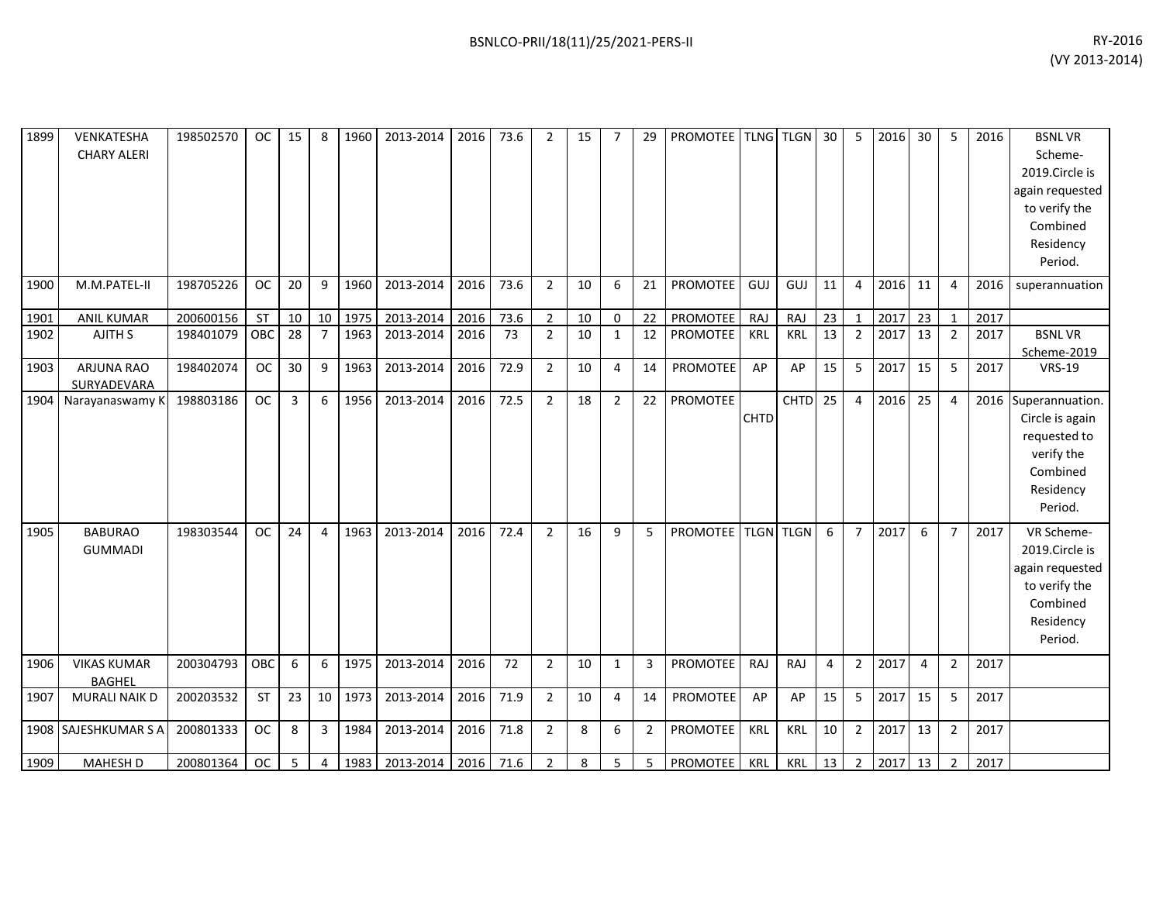| 1899 | VENKATESHA<br><b>CHARY ALERI</b>    | 198502570 | <b>OC</b> | 15             | 8               | 1960 | 2013-2014 | 2016      | 73.6 | $\overline{2}$ | 15 | $\overline{7}$ | 29             | PROMOTEE TLNG TLGN 30 |             |            |    | 5              | 2016 | 30 | 5              | 2016 | <b>BSNLVR</b><br>Scheme-<br>2019.Circle is<br>again requested<br>to verify the<br>Combined<br>Residency<br>Period. |
|------|-------------------------------------|-----------|-----------|----------------|-----------------|------|-----------|-----------|------|----------------|----|----------------|----------------|-----------------------|-------------|------------|----|----------------|------|----|----------------|------|--------------------------------------------------------------------------------------------------------------------|
| 1900 | M.M.PATEL-II                        | 198705226 | <b>OC</b> | 20             | 9               | 1960 | 2013-2014 | 2016      | 73.6 | $\overline{2}$ | 10 | 6              | 21             | <b>PROMOTEE</b>       | GUJ         | GUJ        | 11 | $\overline{4}$ | 2016 | 11 | 4              | 2016 | superannuation                                                                                                     |
| 1901 | <b>ANIL KUMAR</b>                   | 200600156 | <b>ST</b> | 10             | 10 <sup>1</sup> | 1975 | 2013-2014 | 2016      | 73.6 | $\overline{2}$ | 10 | 0              | 22             | PROMOTEE              | RAJ         | RAJ        | 23 | $\mathbf{1}$   | 2017 | 23 | $\mathbf{1}$   | 2017 |                                                                                                                    |
| 1902 | AJITH S                             | 198401079 | OBC       | 28             | $\overline{7}$  | 1963 | 2013-2014 | 2016      | 73   | $\overline{2}$ | 10 | $\mathbf{1}$   | 12             | PROMOTEE              | KRL         | <b>KRL</b> | 13 | $\overline{2}$ | 2017 | 13 | $\overline{2}$ | 2017 | <b>BSNLVR</b><br>Scheme-2019                                                                                       |
| 1903 | ARJUNA RAO<br>SURYADEVARA           | 198402074 | <b>OC</b> | 30             | 9               | 1963 | 2013-2014 | 2016      | 72.9 | $\overline{2}$ | 10 | $\overline{4}$ | 14             | <b>PROMOTEE</b>       | AP          | AP         | 15 | 5              | 2017 | 15 | 5              | 2017 | <b>VRS-19</b>                                                                                                      |
|      | 1904 Narayanaswamy K                | 198803186 | <b>OC</b> | $\overline{3}$ | 6               | 1956 | 2013-2014 | 2016      | 72.5 | $\overline{2}$ | 18 | $\overline{2}$ | 22             | PROMOTEE              | <b>CHTD</b> | $CHTD$ 25  |    | $\overline{4}$ | 2016 | 25 | 4              |      | 2016 Superannuation.<br>Circle is again<br>requested to<br>verify the<br>Combined<br>Residency<br>Period.          |
| 1905 | <b>BABURAO</b><br><b>GUMMADI</b>    | 198303544 | <b>OC</b> | 24             | 4               | 1963 | 2013-2014 | 2016      | 72.4 | $\overline{2}$ | 16 | 9              | 5              | PROMOTEE TLGN TLGN    |             |            | 6  | $\overline{7}$ | 2017 | 6  | $\overline{7}$ | 2017 | VR Scheme-<br>2019.Circle is<br>again requested<br>to verify the<br>Combined<br>Residency<br>Period.               |
| 1906 | <b>VIKAS KUMAR</b><br><b>BAGHEL</b> | 200304793 | OBC       | 6              | 6               | 1975 | 2013-2014 | 2016      | 72   | $\overline{2}$ | 10 | $\mathbf{1}$   | 3              | <b>PROMOTEE</b>       | RAJ         | RAJ        | 4  | $\overline{2}$ | 2017 | 4  | $\overline{2}$ | 2017 |                                                                                                                    |
| 1907 | <b>MURALI NAIK D</b>                | 200203532 | <b>ST</b> | 23             | 10 <sup>1</sup> | 1973 | 2013-2014 | 2016      | 71.9 | $\overline{2}$ | 10 | $\overline{4}$ | 14             | <b>PROMOTEE</b>       | AP          | AP         | 15 | 5              | 2017 | 15 | 5              | 2017 |                                                                                                                    |
|      | 1908 SAJESHKUMAR S A                | 200801333 | <b>OC</b> | 8              | $\overline{3}$  | 1984 | 2013-2014 | 2016      | 71.8 | $\overline{2}$ | 8  | 6              | $\overline{2}$ | PROMOTEE              | KRL         | <b>KRL</b> | 10 | $\overline{2}$ | 2017 | 13 | $\overline{2}$ | 2017 |                                                                                                                    |
| 1909 | MAHESH D                            | 200801364 | <b>OC</b> | 5              | 4               | 1983 | 2013-2014 | 2016 71.6 |      | $\overline{2}$ | 8  | 5              | 5              | PROMOTEE KRL          |             | <b>KRL</b> | 13 | $\overline{2}$ | 2017 | 13 | $\overline{2}$ | 2017 |                                                                                                                    |